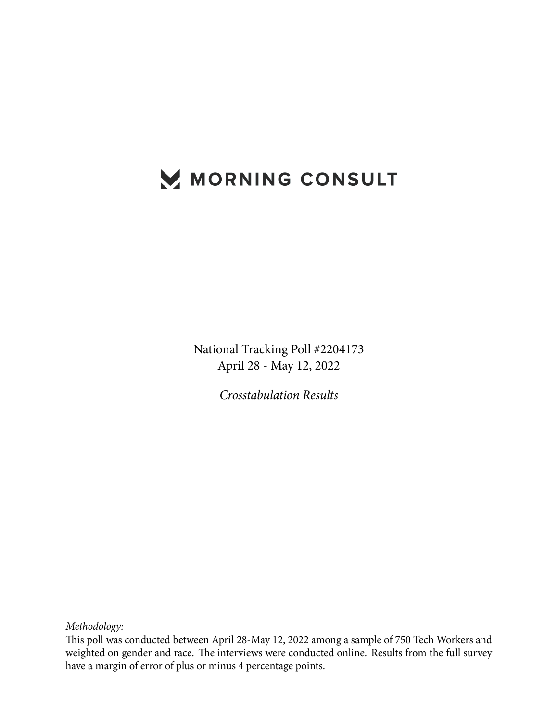# MORNING CONSULT

National Tracking Poll #2204173 April 28 - May 12, 2022

*Crosstabulation Results*

*Methodology:*

This poll was conducted between April 28-May 12, 2022 among a sample of 750 Tech Workers and weighted on gender and race. The interviews were conducted online. Results from the full survey have a margin of error of plus or minus 4 percentage points.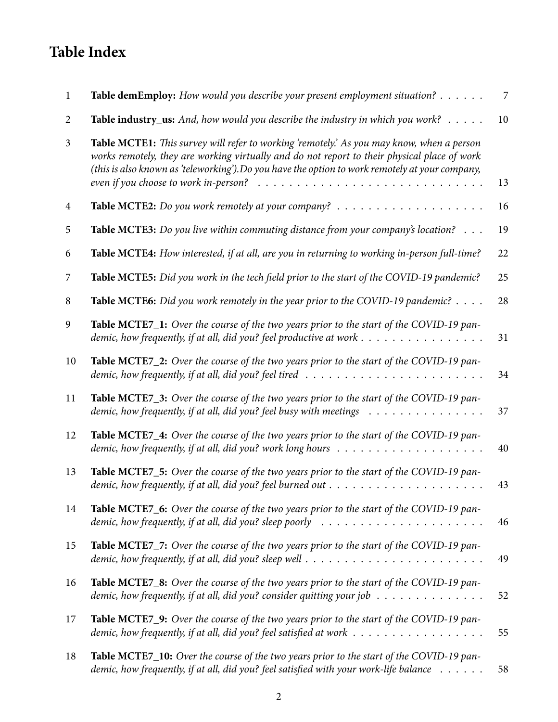## **Table Index**

| 1              | Table demEmploy: How would you describe your present employment situation?                                                                                                                                                                                                                                                                                                                                          | 7  |
|----------------|---------------------------------------------------------------------------------------------------------------------------------------------------------------------------------------------------------------------------------------------------------------------------------------------------------------------------------------------------------------------------------------------------------------------|----|
| 2              | Table industry_us: And, how would you describe the industry in which you work?                                                                                                                                                                                                                                                                                                                                      | 10 |
| $\mathfrak{Z}$ | Table MCTE1: This survey will refer to working 'remotely'. As you may know, when a person<br>works remotely, they are working virtually and do not report to their physical place of work<br>(this is also known as 'teleworking').Do you have the option to work remotely at your company,<br>even if you choose to work in-person? $\ldots \ldots \ldots \ldots \ldots \ldots \ldots \ldots \ldots \ldots \ldots$ | 13 |
| 4              | <b>Table MCTE2:</b> Do you work remotely at your company? $\ldots \ldots \ldots \ldots \ldots \ldots \ldots$                                                                                                                                                                                                                                                                                                        | 16 |
| 5              | <b>Table MCTE3:</b> Do you live within commuting distance from your company's location? $\ldots$                                                                                                                                                                                                                                                                                                                    | 19 |
| 6              | Table MCTE4: How interested, if at all, are you in returning to working in-person full-time?                                                                                                                                                                                                                                                                                                                        | 22 |
| 7              | Table MCTE5: Did you work in the tech field prior to the start of the COVID-19 pandemic?                                                                                                                                                                                                                                                                                                                            | 25 |
| 8              | Table MCTE6: Did you work remotely in the year prior to the COVID-19 pandemic?                                                                                                                                                                                                                                                                                                                                      | 28 |
| 9              | Table MCTE7_1: Over the course of the two years prior to the start of the COVID-19 pan-                                                                                                                                                                                                                                                                                                                             | 31 |
| 10             | Table MCTE7_2: Over the course of the two years prior to the start of the COVID-19 pan-<br>demic, how frequently, if at all, did you? feel tired $\ldots \ldots \ldots \ldots \ldots \ldots \ldots \ldots$                                                                                                                                                                                                          | 34 |
| 11             | Table MCTE7_3: Over the course of the two years prior to the start of the COVID-19 pan-<br>demic, how frequently, if at all, did you? feel busy with meetings                                                                                                                                                                                                                                                       | 37 |
| 12             | Table MCTE7_4: Over the course of the two years prior to the start of the COVID-19 pan-<br>demic, how frequently, if at all, did you? work long hours $\dots \dots \dots \dots \dots \dots \dots$                                                                                                                                                                                                                   | 40 |
| 13             | Table MCTE7_5: Over the course of the two years prior to the start of the COVID-19 pan-                                                                                                                                                                                                                                                                                                                             | 43 |
| 14             | Table MCTE7_6: Over the course of the two years prior to the start of the COVID-19 pan-<br>demic, how frequently, if at all, did you? sleep poorly $\ldots \ldots \ldots \ldots \ldots \ldots \ldots$                                                                                                                                                                                                               | 46 |
| 15             | Table MCTE7_7: Over the course of the two years prior to the start of the COVID-19 pan-<br>demic, how frequently, if at all, did you? sleep well $\ldots \ldots \ldots \ldots \ldots \ldots \ldots \ldots$                                                                                                                                                                                                          | 49 |
| 16             | Table MCTE7_8: Over the course of the two years prior to the start of the COVID-19 pan-<br>demic, how frequently, if at all, did you? consider quitting your job $\dots \dots \dots \dots \dots$                                                                                                                                                                                                                    | 52 |
| 17             | Table MCTE7_9: Over the course of the two years prior to the start of the COVID-19 pan-<br>demic, how frequently, if at all, did you? feel satisfied at work $\dots \dots \dots \dots \dots \dots$                                                                                                                                                                                                                  | 55 |
| 18             | Table MCTE7_10: Over the course of the two years prior to the start of the COVID-19 pan-<br>demic, how frequently, if at all, did you? feel satisfied with your work-life balance                                                                                                                                                                                                                                   | 58 |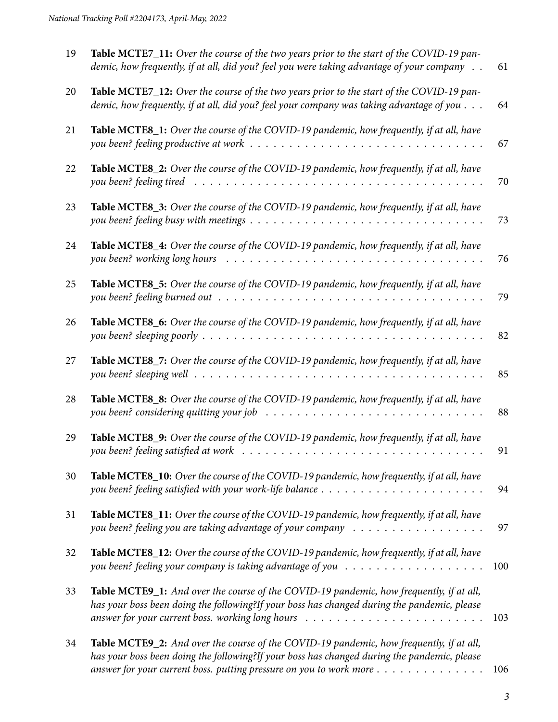| 19 | Table MCTE7_11: Over the course of the two years prior to the start of the COVID-19 pan-<br>demic, how frequently, if at all, did you? feel you were taking advantage of your company                                                                                                                    | 61  |
|----|----------------------------------------------------------------------------------------------------------------------------------------------------------------------------------------------------------------------------------------------------------------------------------------------------------|-----|
| 20 | Table MCTE7_12: Over the course of the two years prior to the start of the COVID-19 pan-<br>demic, how frequently, if at all, did you? feel your company was taking advantage of you                                                                                                                     | 64  |
| 21 | Table MCTE8_1: Over the course of the COVID-19 pandemic, how frequently, if at all, have                                                                                                                                                                                                                 | 67  |
| 22 | Table MCTE8_2: Over the course of the COVID-19 pandemic, how frequently, if at all, have                                                                                                                                                                                                                 | 70  |
| 23 | Table MCTE8_3: Over the course of the COVID-19 pandemic, how frequently, if at all, have                                                                                                                                                                                                                 | 73  |
| 24 | Table MCTE8_4: Over the course of the COVID-19 pandemic, how frequently, if at all, have                                                                                                                                                                                                                 | 76  |
| 25 | Table MCTE8_5: Over the course of the COVID-19 pandemic, how frequently, if at all, have                                                                                                                                                                                                                 | 79  |
| 26 | Table MCTE8_6: Over the course of the COVID-19 pandemic, how frequently, if at all, have                                                                                                                                                                                                                 | 82  |
| 27 | Table MCTE8_7: Over the course of the COVID-19 pandemic, how frequently, if at all, have                                                                                                                                                                                                                 | 85  |
| 28 | Table MCTE8_8: Over the course of the COVID-19 pandemic, how frequently, if at all, have                                                                                                                                                                                                                 | 88  |
| 29 | Table MCTE8_9: Over the course of the COVID-19 pandemic, how frequently, if at all, have                                                                                                                                                                                                                 | 91  |
| 30 | Table MCTE8_10: Over the course of the COVID-19 pandemic, how frequently, if at all, have                                                                                                                                                                                                                | 94  |
| 31 | Table MCTE8_11: Over the course of the COVID-19 pandemic, how frequently, if at all, have                                                                                                                                                                                                                | 97  |
| 32 | Table MCTE8_12: Over the course of the COVID-19 pandemic, how frequently, if at all, have                                                                                                                                                                                                                | 100 |
| 33 | Table MCTE9_1: And over the course of the COVID-19 pandemic, how frequently, if at all,<br>has your boss been doing the following?If your boss has changed during the pandemic, please<br>answer for your current boss. working long hours $\dots \dots \dots \dots \dots \dots \dots \dots \dots \dots$ | 103 |
| 34 | Table MCTE9_2: And over the course of the COVID-19 pandemic, how frequently, if at all,<br>has your boss been doing the following?If your boss has changed during the pandemic, please<br>answer for your current boss. putting pressure on you to work more                                             | 106 |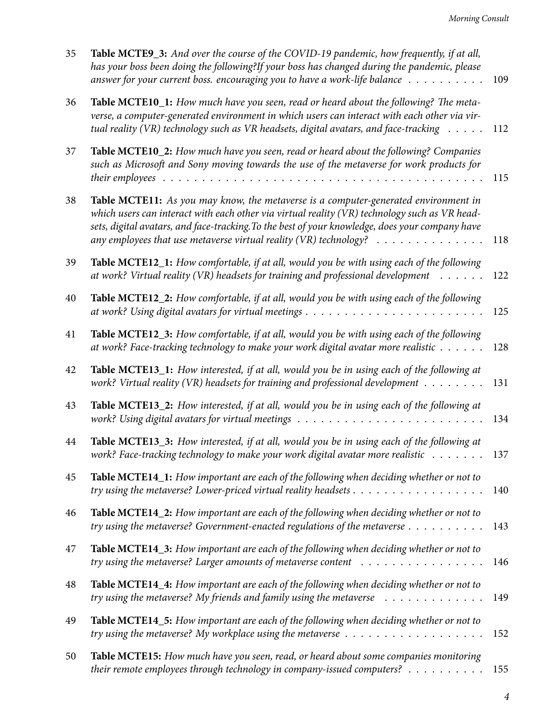| 35 | Table MCTE9_3: And over the course of the COVID-19 pandemic, how frequently, if at all,<br>has your boss been doing the following?If your boss has changed during the pandemic, please<br>answer for your current boss. encouraging you to have a work-life balance                                                                                                                        | 109 |
|----|--------------------------------------------------------------------------------------------------------------------------------------------------------------------------------------------------------------------------------------------------------------------------------------------------------------------------------------------------------------------------------------------|-----|
| 36 | Table MCTE10_1: How much have you seen, read or heard about the following? The meta-<br>verse, a computer-generated environment in which users can interact with each other via vir-<br>tual reality (VR) technology such as VR headsets, digital avatars, and face-tracking                                                                                                               | 112 |
| 37 | Table MCTE10_2: How much have you seen, read or heard about the following? Companies<br>such as Microsoft and Sony moving towards the use of the metaverse for work products for                                                                                                                                                                                                           | 115 |
| 38 | Table MCTE11: As you may know, the metaverse is a computer-generated environment in<br>which users can interact with each other via virtual reality (VR) technology such as VR head-<br>sets, digital avatars, and face-tracking. To the best of your knowledge, does your company have<br>any employees that use metaverse virtual reality (VR) technology? $\ldots \ldots \ldots \ldots$ | 118 |
| 39 | Table MCTE12_1: How comfortable, if at all, would you be with using each of the following<br>at work? Virtual reality (VR) headsets for training and professional development                                                                                                                                                                                                              | 122 |
| 40 | Table MCTE12_2: How comfortable, if at all, would you be with using each of the following                                                                                                                                                                                                                                                                                                  | 125 |
| 41 | Table MCTE12_3: How comfortable, if at all, would you be with using each of the following<br>at work? Face-tracking technology to make your work digital avatar more realistic                                                                                                                                                                                                             | 128 |
| 42 | Table MCTE13_1: How interested, if at all, would you be in using each of the following at<br>work? Virtual reality (VR) headsets for training and professional development                                                                                                                                                                                                                 | 131 |
| 43 | Table MCTE13_2: How interested, if at all, would you be in using each of the following at                                                                                                                                                                                                                                                                                                  | 134 |
| 44 | Table MCTE13_3: How interested, if at all, would you be in using each of the following at<br>work? Face-tracking technology to make your work digital avatar more realistic                                                                                                                                                                                                                | 137 |
| 45 | Table MCTE14_1: How important are each of the following when deciding whether or not to                                                                                                                                                                                                                                                                                                    | 140 |
| 46 | Table MCTE14_2: How important are each of the following when deciding whether or not to<br>try using the metaverse? Government-enacted regulations of the metaverse                                                                                                                                                                                                                        | 143 |
| 47 | Table MCTE14_3: How important are each of the following when deciding whether or not to                                                                                                                                                                                                                                                                                                    | 146 |
| 48 | Table MCTE14_4: How important are each of the following when deciding whether or not to<br>try using the metaverse? My friends and family using the metaverse $\dots \dots \dots \dots$                                                                                                                                                                                                    | 149 |
| 49 | Table MCTE14_5: How important are each of the following when deciding whether or not to<br>try using the metaverse? My workplace using the metaverse $\dots \dots \dots \dots \dots \dots \dots$                                                                                                                                                                                           | 152 |
| 50 | Table MCTE15: How much have you seen, read, or heard about some companies monitoring<br>their remote employees through technology in company-issued computers? $\dots \dots \dots$                                                                                                                                                                                                         | 155 |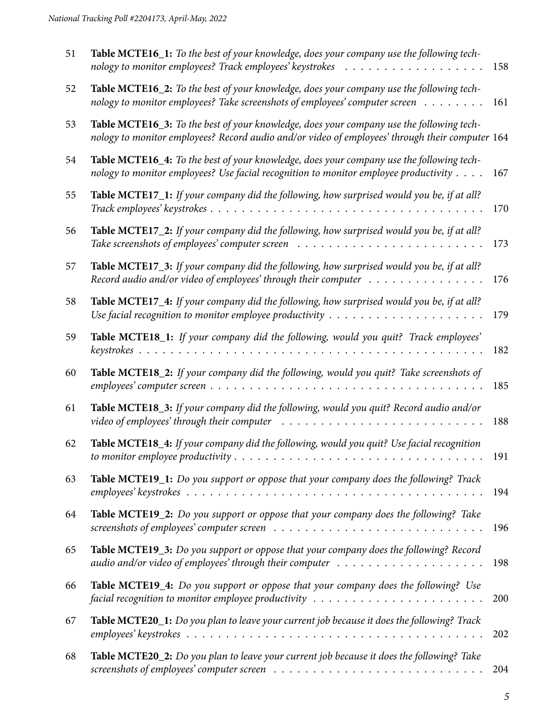| 51 | Table MCTE16_1: To the best of your knowledge, does your company use the following tech-                                                                                                                     | 158 |
|----|--------------------------------------------------------------------------------------------------------------------------------------------------------------------------------------------------------------|-----|
| 52 | Table MCTE16_2: To the best of your knowledge, does your company use the following tech-<br>nology to monitor employees? Take screenshots of employees' computer screen                                      | 161 |
| 53 | Table MCTE16_3: To the best of your knowledge, does your company use the following tech-<br>nology to monitor employees? Record audio and/or video of employees' through their computer 164                  |     |
| 54 | Table MCTE16_4: To the best of your knowledge, does your company use the following tech-<br>nology to monitor employees? Use facial recognition to monitor employee productivity                             | 167 |
| 55 | Table MCTE17_1: If your company did the following, how surprised would you be, if at all?                                                                                                                    | 170 |
| 56 | Table MCTE17_2: If your company did the following, how surprised would you be, if at all?<br>Take screenshots of employees' computer screen $\ldots \ldots \ldots \ldots \ldots \ldots \ldots \ldots \ldots$ | 173 |
| 57 | Table MCTE17_3: If your company did the following, how surprised would you be, if at all?<br>Record audio and/or video of employees' through their computer $\dots \dots \dots \dots \dots$                  | 176 |
| 58 | Table MCTE17_4: If your company did the following, how surprised would you be, if at all?<br>Use facial recognition to monitor employee productivity $\dots \dots \dots \dots \dots \dots \dots \dots$       | 179 |
| 59 | Table MCTE18_1: If your company did the following, would you quit? Track employees'                                                                                                                          | 182 |
| 60 | Table MCTE18_2: If your company did the following, would you quit? Take screenshots of                                                                                                                       | 185 |
| 61 | Table MCTE18_3: If your company did the following, would you quit? Record audio and/or                                                                                                                       | 188 |
| 62 | Table MCTE18_4: If your company did the following, would you quit? Use facial recognition                                                                                                                    | 191 |
| 63 | Table MCTE19_1: Do you support or oppose that your company does the following? Track                                                                                                                         | 194 |
| 64 | Table MCTE19_2: Do you support or oppose that your company does the following? Take                                                                                                                          | 196 |
| 65 | Table MCTE19_3: Do you support or oppose that your company does the following? Record<br>audio and/or video of employees' through their computer $\dots \dots \dots \dots \dots \dots \dots$                 | 198 |
| 66 | Table MCTE19_4: Do you support or oppose that your company does the following? Use<br>facial recognition to monitor employee productivity $\dots \dots \dots \dots \dots \dots \dots \dots \dots$            | 200 |
| 67 | Table MCTE20_1: Do you plan to leave your current job because it does the following? Track                                                                                                                   | 202 |
| 68 | Table MCTE20_2: Do you plan to leave your current job because it does the following? Take                                                                                                                    | 204 |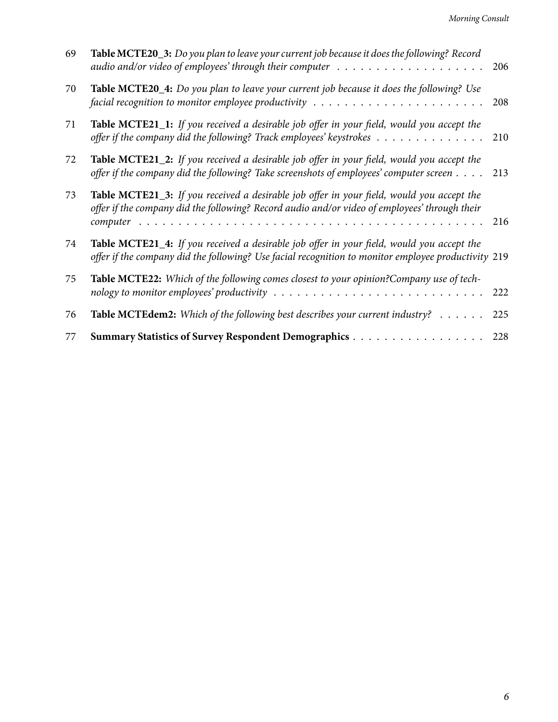| 69 | Table MCTE20_3: Do you plan to leave your current job because it does the following? Record<br>audio and/or video of employees' through their computer $\dots \dots \dots \dots \dots \dots \dots$             | 206 |
|----|----------------------------------------------------------------------------------------------------------------------------------------------------------------------------------------------------------------|-----|
| 70 | Table MCTE20_4: Do you plan to leave your current job because it does the following? Use<br>facial recognition to monitor employee productivity $\ldots \ldots \ldots \ldots \ldots \ldots \ldots$             | 208 |
| 71 | <b>Table MCTE21_1:</b> If you received a desirable job offer in your field, would you accept the<br>offer if the company did the following? Track employees' keystrokes $\dots \dots \dots \dots \dots$        | 210 |
| 72 | <b>Table MCTE21_2:</b> If you received a desirable job offer in your field, would you accept the<br>offer if the company did the following? Take screenshots of employees' computer screen 213                 |     |
| 73 | <b>Table MCTE21_3:</b> If you received a desirable job offer in your field, would you accept the<br>offer if the company did the following? Record audio and/or video of employees' through their              | 216 |
| 74 | Table MCTE21_4: If you received a desirable job offer in your field, would you accept the<br>offer if the company did the following? Use facial recognition to monitor employee productivity 219               |     |
| 75 | Table MCTE22: Which of the following comes closest to your opinion?Company use of tech-<br>nology to monitor employees' productivity $\dots \dots \dots \dots \dots \dots \dots \dots \dots \dots \dots \dots$ | 222 |
| 76 | Table MCTEdem2: Which of the following best describes your current industry?                                                                                                                                   | 225 |
| 77 | Summary Statistics of Survey Respondent Demographics                                                                                                                                                           | 228 |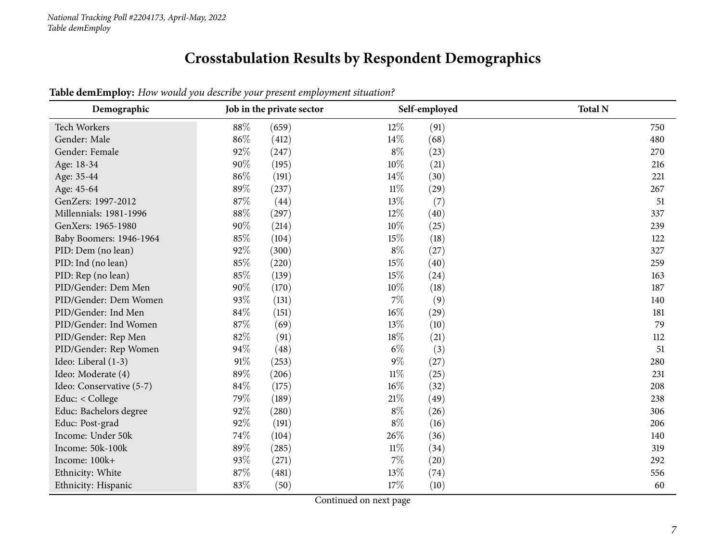## **Crosstabulation Results by Respondent Demographics**

<span id="page-6-0"></span>

| Demographic              | Self-employed<br>Job in the private sector |                | <b>Total N</b> |
|--------------------------|--------------------------------------------|----------------|----------------|
| Tech Workers             | 88%<br>(659)                               | $12\%$<br>(91) | 750            |
| Gender: Male             | 86%<br>(412)                               | $14\%$<br>(68) | 480            |
| Gender: Female           | 92%<br>(247)                               | $8\%$<br>(23)  | 270            |
| Age: 18-34               | 90%<br>(195)                               | 10%<br>(21)    | 216            |
| Age: 35-44               | 86%<br>(191)                               | $14\%$<br>(30) | 221            |
| Age: 45-64               | 89%<br>(237)                               | $11\%$<br>(29) | 267            |
| GenZers: 1997-2012       | 87%<br>(44)                                | $13\%$<br>(7)  | 51             |
| Millennials: 1981-1996   | $88\%$<br>(297)                            | 12%<br>(40)    | 337            |
| GenXers: 1965-1980       | 90%<br>(214)                               | 10%<br>(25)    | 239            |
| Baby Boomers: 1946-1964  | 85%<br>(104)                               | 15%<br>(18)    | 122            |
| PID: Dem (no lean)       | 92%<br>(300)                               | $8\%$<br>(27)  | 327            |
| PID: Ind (no lean)       | 85%<br>(220)                               | 15%<br>(40)    | 259            |
| PID: Rep (no lean)       | 85%<br>(139)                               | 15%<br>(24)    | 163            |
| PID/Gender: Dem Men      | 90%<br>(170)                               | 10%<br>(18)    | 187            |
| PID/Gender: Dem Women    | 93%<br>(131)                               | $7\%$<br>(9)   | 140            |
| PID/Gender: Ind Men      | 84%<br>(151)                               | 16%<br>(29)    | 181            |
| PID/Gender: Ind Women    | 87%<br>(69)                                | 13%<br>(10)    | 79             |
| PID/Gender: Rep Men      | 82%<br>(91)                                | 18%<br>(21)    | 112            |
| PID/Gender: Rep Women    | 94\%<br>(48)                               | $6\%$<br>(3)   | 51             |
| Ideo: Liberal (1-3)      | 91%<br>(253)                               | $9\%$<br>(27)  | 280            |
| Ideo: Moderate (4)       | 89%<br>(206)                               | $11\%$<br>(25) | 231            |
| Ideo: Conservative (5-7) | 84%<br>(175)                               | 16%<br>(32)    | 208            |
| Educ: < College          | 79%<br>(189)                               | 21%<br>(49)    | 238            |
| Educ: Bachelors degree   | 92%<br>(280)                               | $8\%$<br>(26)  | 306            |
| Educ: Post-grad          | 92%<br>(191)                               | $8\%$<br>(16)  | 206            |
| Income: Under 50k        | 74%<br>(104)                               | 26%<br>(36)    | 140            |
| Income: 50k-100k         | 89%<br>(285)                               | $11\%$<br>(34) | 319            |
| Income: 100k+            | 93%<br>(271)                               | $7\%$<br>(20)  | 292            |
| Ethnicity: White         | 87%<br>(481)                               | 13%<br>(74)    | 556            |
| Ethnicity: Hispanic      | 83%<br>(50)                                | 17%<br>(10)    | 60             |

**Table demEmploy:** *How would you describe your present employment situation?*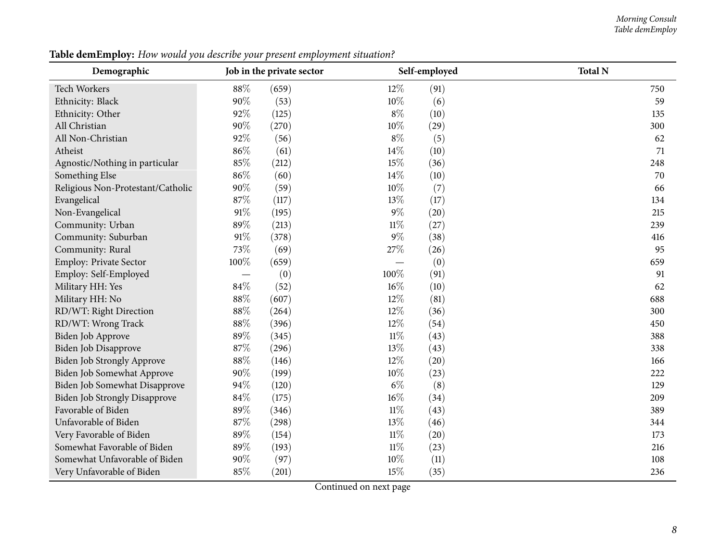#### *Morning Consult Table demEmploy*

| Demographic                          | Job in the private sector         |       |        | Self-employed | <b>Total N</b> |
|--------------------------------------|-----------------------------------|-------|--------|---------------|----------------|
| Tech Workers                         | 88%                               | (659) | $12\%$ | (91)          | 750            |
| Ethnicity: Black                     | 90%                               | (53)  | 10%    | (6)           | 59             |
| Ethnicity: Other                     | 92%                               | (125) | $8\%$  | (10)          | 135            |
| All Christian                        | 90%                               | (270) | 10%    | (29)          | 300            |
| All Non-Christian                    | 92%                               | (56)  | $8\%$  | (5)           | 62             |
| Atheist                              | 86%                               | (61)  | 14%    | (10)          | 71             |
| Agnostic/Nothing in particular       | 85%                               | (212) | 15%    | (36)          | 248            |
| Something Else                       | 86%                               | (60)  | 14%    | (10)          | 70             |
| Religious Non-Protestant/Catholic    | 90%                               | (59)  | 10%    | (7)           | 66             |
| Evangelical                          | 87%                               | (117) | 13%    | (17)          | 134            |
| Non-Evangelical                      | 91%                               | (195) | 9%     | (20)          | 215            |
| Community: Urban                     | 89%                               | (213) | $11\%$ | (27)          | 239            |
| Community: Suburban                  | 91%                               | (378) | $9\%$  | (38)          | 416            |
| Community: Rural                     | 73%                               | (69)  | 27%    | (26)          | 95             |
| <b>Employ: Private Sector</b>        | 100%                              | (659) |        | (0)           | 659            |
| Employ: Self-Employed                | $\overbrace{\phantom{123221111}}$ | (0)   | 100%   | (91)          | 91             |
| Military HH: Yes                     | 84%                               | (52)  | 16%    | (10)          | 62             |
| Military HH: No                      | 88%                               | (607) | 12%    | (81)          | 688            |
| RD/WT: Right Direction               | 88%                               | (264) | 12%    | (36)          | 300            |
| RD/WT: Wrong Track                   | 88%                               | (396) | 12%    | (54)          | 450            |
| Biden Job Approve                    | 89%                               | (345) | $11\%$ | (43)          | 388            |
| Biden Job Disapprove                 | 87%                               | (296) | 13%    | (43)          | 338            |
| Biden Job Strongly Approve           | 88%                               | (146) | 12%    | (20)          | 166            |
| Biden Job Somewhat Approve           | 90%                               | (199) | 10%    | (23)          | 222            |
| Biden Job Somewhat Disapprove        | 94%                               | (120) | $6\%$  | (8)           | 129            |
| <b>Biden Job Strongly Disapprove</b> | 84%                               | (175) | 16%    | (34)          | 209            |
| Favorable of Biden                   | 89%                               | (346) | $11\%$ | (43)          | 389            |
| Unfavorable of Biden                 | 87%                               | (298) | 13%    | (46)          | 344            |
| Very Favorable of Biden              | 89%                               | (154) | $11\%$ | (20)          | 173            |
| Somewhat Favorable of Biden          | 89%                               | (193) | $11\%$ | (23)          | 216            |
| Somewhat Unfavorable of Biden        | 90%                               | (97)  | 10%    | (11)          | 108            |
| Very Unfavorable of Biden            | 85%                               | (201) | 15%    | (35)          | 236            |

**Table demEmploy:** *How would you describe your present employment situation?*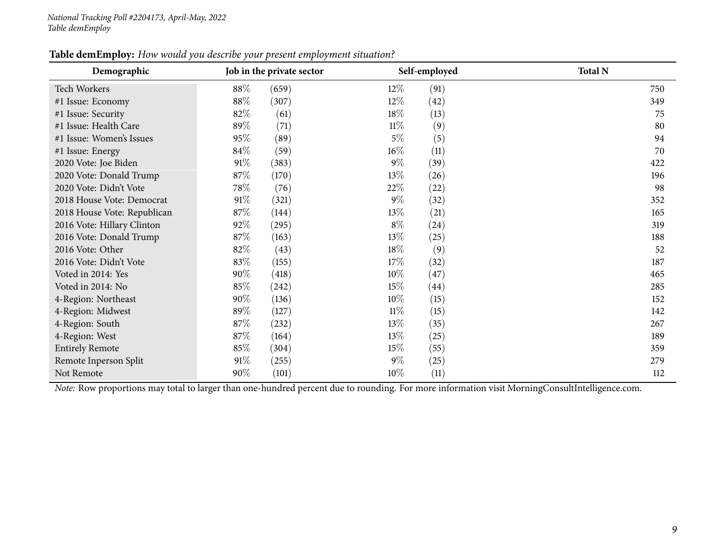| Table demEmploy: How would you describe your present employment situation? |
|----------------------------------------------------------------------------|
|----------------------------------------------------------------------------|

| Demographic                 | Job in the private sector | Self-employed  | <b>Total N</b> |  |
|-----------------------------|---------------------------|----------------|----------------|--|
| Tech Workers                | 88%<br>(659)              | $12\%$<br>(91) | 750            |  |
| #1 Issue: Economy           | 88%<br>(307)              | $12\%$<br>(42) | 349            |  |
| #1 Issue: Security          | 82\%<br>(61)              | 18%<br>(13)    | 75             |  |
| #1 Issue: Health Care       | 89%<br>(71)               | $11\%$<br>(9)  | 80             |  |
| #1 Issue: Women's Issues    | 95%<br>(89)               | $5\%$<br>(5)   | 94             |  |
| #1 Issue: Energy            | 84%<br>(59)               | $16\%$<br>(11) | 70             |  |
| 2020 Vote: Joe Biden        | 91%<br>(383)              | $9\%$<br>(39)  | 422            |  |
| 2020 Vote: Donald Trump     | 87\%<br>(170)             | 13\%<br>(26)   | 196            |  |
| 2020 Vote: Didn't Vote      | 78\%<br>(76)              | 22\%<br>(22)   | 98             |  |
| 2018 House Vote: Democrat   | 91%<br>(321)              | $9\%$<br>(32)  | 352            |  |
| 2018 House Vote: Republican | 87\%<br>(144)             | 13\%<br>(21)   | 165            |  |
| 2016 Vote: Hillary Clinton  | 92%<br>(295)              | $8\%$<br>(24)  | 319            |  |
| 2016 Vote: Donald Trump     | 87\%<br>(163)             | 13\%<br>(25)   | 188            |  |
| 2016 Vote: Other            | 82%<br>(43)               | 18\%<br>(9)    | 52             |  |
| 2016 Vote: Didn't Vote      | 83%<br>(155)              | 17%<br>(32)    | 187            |  |
| Voted in 2014: Yes          | 90%<br>(418)              | $10\%$<br>(47) | 465            |  |
| Voted in 2014: No           | 85%<br>(242)              | 15%<br>(44)    | 285            |  |
| 4-Region: Northeast         | 90%<br>(136)              | $10\%$<br>(15) | 152            |  |
| 4-Region: Midwest           | 89%<br>(127)              | $11\%$<br>(15) | 142            |  |
| 4-Region: South             | 87%<br>(232)              | 13\%<br>(35)   | 267            |  |
| 4-Region: West              | 87\%<br>(164)             | 13%<br>(25)    | 189            |  |
| <b>Entirely Remote</b>      | 85%<br>(304)              | 15%<br>(55)    | 359            |  |
| Remote Inperson Split       | 91\%<br>(255)             | $9\%$<br>(25)  | 279            |  |
| Not Remote                  | 90%<br>(101)              | $10\%$<br>(11) | 112            |  |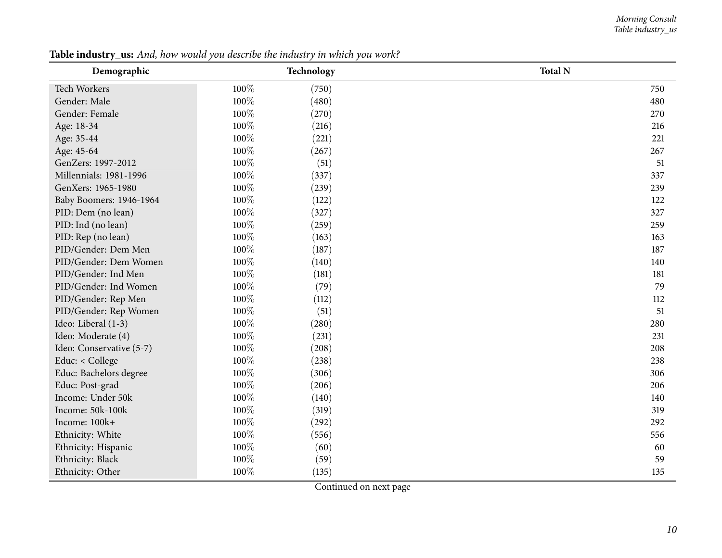#### *Morning Consult Table industry\_us*

<span id="page-9-0"></span>

| Demographic              |      | Technology | <b>Total N</b> |
|--------------------------|------|------------|----------------|
| Tech Workers             | 100% | (750)      | 750            |
| Gender: Male             | 100% | (480)      | 480            |
| Gender: Female           | 100% | (270)      | 270            |
| Age: 18-34               | 100% | (216)      | 216            |
| Age: 35-44               | 100% | (221)      | 221            |
| Age: 45-64               | 100% | (267)      | 267            |
| GenZers: 1997-2012       | 100% | (51)       | 51             |
| Millennials: 1981-1996   | 100% | (337)      | 337            |
| GenXers: 1965-1980       | 100% | (239)      | 239            |
| Baby Boomers: 1946-1964  | 100% | (122)      | 122            |
| PID: Dem (no lean)       | 100% | (327)      | 327            |
| PID: Ind (no lean)       | 100% | (259)      | 259            |
| PID: Rep (no lean)       | 100% | (163)      | 163            |
| PID/Gender: Dem Men      | 100% | (187)      | 187            |
| PID/Gender: Dem Women    | 100% | (140)      | 140            |
| PID/Gender: Ind Men      | 100% | (181)      | 181            |
| PID/Gender: Ind Women    | 100% | (79)       | 79             |
| PID/Gender: Rep Men      | 100% | (112)      | 112            |
| PID/Gender: Rep Women    | 100% | (51)       | 51             |
| Ideo: Liberal (1-3)      | 100% | (280)      | 280            |
| Ideo: Moderate (4)       | 100% | (231)      | 231            |
| Ideo: Conservative (5-7) | 100% | (208)      | 208            |
| Educ: < College          | 100% | (238)      | 238            |
| Educ: Bachelors degree   | 100% | (306)      | 306            |
| Educ: Post-grad          | 100% | (206)      | 206            |
| Income: Under 50k        | 100% | (140)      | 140            |
| Income: 50k-100k         | 100% | (319)      | 319            |
| Income: 100k+            | 100% | (292)      | 292            |
| Ethnicity: White         | 100% | (556)      | 556            |
| Ethnicity: Hispanic      | 100% | (60)       | 60             |
| Ethnicity: Black         | 100% | (59)       | 59             |
| Ethnicity: Other         | 100% | (135)      | 135            |

Table industry\_us: And, how would you describe the industry in which you work?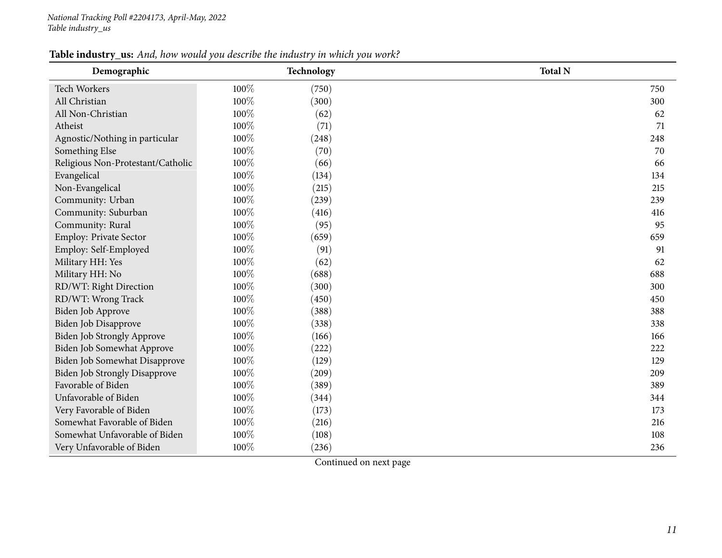#### Table industry\_us: And, how would you describe the industry in which you work?

| Demographic                          |      | Technology | <b>Total N</b> |
|--------------------------------------|------|------------|----------------|
| Tech Workers                         | 100% | (750)      | 750            |
| All Christian                        | 100% | (300)      | 300            |
| All Non-Christian                    | 100% | (62)       | 62             |
| Atheist                              | 100% | (71)       | 71             |
| Agnostic/Nothing in particular       | 100% | (248)      | 248            |
| Something Else                       | 100% | (70)       | 70             |
| Religious Non-Protestant/Catholic    | 100% | (66)       | 66             |
| Evangelical                          | 100% | (134)      | 134            |
| Non-Evangelical                      | 100% | (215)      | 215            |
| Community: Urban                     | 100% | (239)      | 239            |
| Community: Suburban                  | 100% | (416)      | 416            |
| Community: Rural                     | 100% | (95)       | 95             |
| Employ: Private Sector               | 100% | (659)      | 659            |
| Employ: Self-Employed                | 100% | (91)       | 91             |
| Military HH: Yes                     | 100% | (62)       | 62             |
| Military HH: No                      | 100% | (688)      | 688            |
| RD/WT: Right Direction               | 100% | (300)      | 300            |
| RD/WT: Wrong Track                   | 100% | (450)      | 450            |
| Biden Job Approve                    | 100% | (388)      | 388            |
| Biden Job Disapprove                 | 100% | (338)      | 338            |
| Biden Job Strongly Approve           | 100% | (166)      | 166            |
| Biden Job Somewhat Approve           | 100% | (222)      | 222            |
| Biden Job Somewhat Disapprove        | 100% | (129)      | 129            |
| <b>Biden Job Strongly Disapprove</b> | 100% | (209)      | 209            |
| Favorable of Biden                   | 100% | (389)      | 389            |
| Unfavorable of Biden                 | 100% | (344)      | 344            |
| Very Favorable of Biden              | 100% | (173)      | 173            |
| Somewhat Favorable of Biden          | 100% | (216)      | 216            |
| Somewhat Unfavorable of Biden        | 100% | (108)      | 108            |
| Very Unfavorable of Biden            | 100% | (236)      | 236            |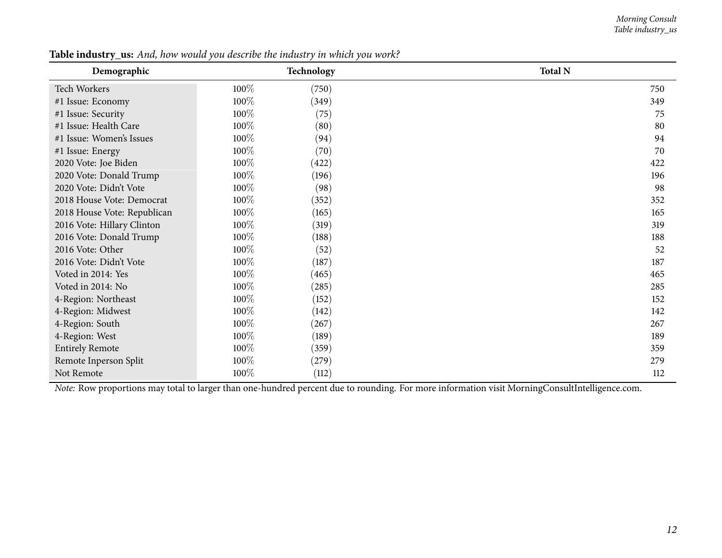#### *Morning Consult Table industry\_us*

| Demographic                                                                                                                                    |      | Technology | <b>Total N</b> |  |
|------------------------------------------------------------------------------------------------------------------------------------------------|------|------------|----------------|--|
| Tech Workers                                                                                                                                   | 100% | (750)      | 750            |  |
| #1 Issue: Economy                                                                                                                              | 100% | (349)      | 349            |  |
| #1 Issue: Security                                                                                                                             | 100% | (75)       | 75             |  |
| #1 Issue: Health Care                                                                                                                          | 100% | (80)       | 80             |  |
| #1 Issue: Women's Issues                                                                                                                       | 100% | (94)       | 94             |  |
| #1 Issue: Energy                                                                                                                               | 100% | (70)       | 70             |  |
| 2020 Vote: Joe Biden                                                                                                                           | 100% | (422)      | 422            |  |
| 2020 Vote: Donald Trump                                                                                                                        | 100% | (196)      | 196            |  |
| 2020 Vote: Didn't Vote                                                                                                                         | 100% | (98)       | 98             |  |
| 2018 House Vote: Democrat                                                                                                                      | 100% | (352)      | 352            |  |
| 2018 House Vote: Republican                                                                                                                    | 100% | (165)      | 165            |  |
| 2016 Vote: Hillary Clinton                                                                                                                     | 100% | (319)      | 319            |  |
| 2016 Vote: Donald Trump                                                                                                                        | 100% | (188)      | 188            |  |
| 2016 Vote: Other                                                                                                                               | 100% | (52)       | 52             |  |
| 2016 Vote: Didn't Vote                                                                                                                         | 100% | (187)      | 187            |  |
| Voted in 2014: Yes                                                                                                                             | 100% | (465)      | 465            |  |
| Voted in 2014: No                                                                                                                              | 100% | (285)      | 285            |  |
| 4-Region: Northeast                                                                                                                            | 100% | (152)      | 152            |  |
| 4-Region: Midwest                                                                                                                              | 100% | (142)      | 142            |  |
| 4-Region: South                                                                                                                                | 100% | (267)      | 267            |  |
| 4-Region: West                                                                                                                                 | 100% | (189)      | 189            |  |
| <b>Entirely Remote</b>                                                                                                                         | 100% | (359)      | 359            |  |
| Remote Inperson Split                                                                                                                          | 100% | (279)      | 279            |  |
| Not Remote                                                                                                                                     | 100% | (112)      | 112            |  |
| Note: Row proportions may total to larger than one-hundred percent due to rounding. For more information visit MorningConsultIntelligence.com. |      |            |                |  |

Table industry\_us: And, how would you describe the industry in which you work?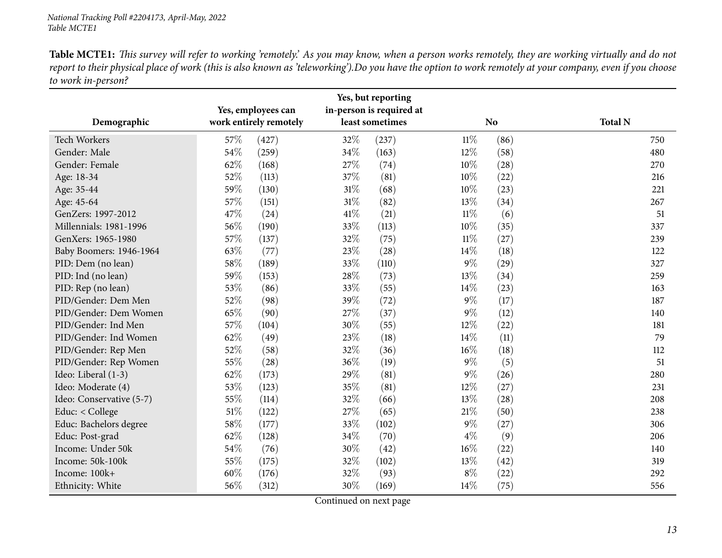Table MCTE1: This survey will refer to working 'remotely.' As you may know, when a person works remotely, they are working virtually and do not report to their physical place of work (this is also known as 'teleworking').Do you have the option to work remotely at your company, even if you choose *to work in-person?*

<span id="page-12-0"></span>

|                          |     | Yes, employees can     |      | Yes, but reporting                          |        |                |                |
|--------------------------|-----|------------------------|------|---------------------------------------------|--------|----------------|----------------|
| Demographic              |     | work entirely remotely |      | in-person is required at<br>least sometimes |        | N <sub>o</sub> | <b>Total N</b> |
| Tech Workers             | 57% | (427)                  | 32%  | (237)                                       | $11\%$ | (86)           | 750            |
| Gender: Male             | 54% | (259)                  | 34%  | (163)                                       | 12%    | (58)           | 480            |
| Gender: Female           | 62% | (168)                  | 27%  | (74)                                        | 10%    | (28)           | 270            |
| Age: 18-34               | 52% | (113)                  | 37%  | (81)                                        | 10%    | (22)           | 216            |
| Age: 35-44               | 59% | (130)                  | 31%  | (68)                                        | 10%    | (23)           | 221            |
| Age: 45-64               | 57% | (151)                  | 31%  | (82)                                        | 13%    | (34)           | 267            |
| GenZers: 1997-2012       | 47% | (24)                   | 41%  | (21)                                        | $11\%$ | (6)            | 51             |
| Millennials: 1981-1996   | 56% | (190)                  | 33%  | (113)                                       | $10\%$ | (35)           | 337            |
| GenXers: 1965-1980       | 57% | (137)                  | 32%  | (75)                                        | $11\%$ | (27)           | 239            |
| Baby Boomers: 1946-1964  | 63% | (77)                   | 23%  | (28)                                        | 14\%   | (18)           | 122            |
| PID: Dem (no lean)       | 58% | (189)                  | 33%  | (110)                                       | $9\%$  | (29)           | 327            |
| PID: Ind (no lean)       | 59% | (153)                  | 28%  | (73)                                        | 13%    | (34)           | 259            |
| PID: Rep (no lean)       | 53% | (86)                   | 33%  | (55)                                        | 14\%   | (23)           | 163            |
| PID/Gender: Dem Men      | 52% | (98)                   | 39%  | (72)                                        | $9\%$  | (17)           | 187            |
| PID/Gender: Dem Women    | 65% | (90)                   | 27%  | (37)                                        | $9\%$  | (12)           | 140            |
| PID/Gender: Ind Men      | 57% | (104)                  | 30%  | (55)                                        | 12%    | (22)           | 181            |
| PID/Gender: Ind Women    | 62% | (49)                   | 23%  | (18)                                        | 14\%   | (11)           | 79             |
| PID/Gender: Rep Men      | 52% | (58)                   | 32%  | (36)                                        | $16\%$ | (18)           | 112            |
| PID/Gender: Rep Women    | 55% | (28)                   | 36%  | (19)                                        | $9\%$  | (5)            | 51             |
| Ideo: Liberal (1-3)      | 62% | (173)                  | 29%  | (81)                                        | $9\%$  | (26)           | 280            |
| Ideo: Moderate (4)       | 53% | (123)                  | 35%  | (81)                                        | 12%    | (27)           | 231            |
| Ideo: Conservative (5-7) | 55% | (114)                  | 32%  | (66)                                        | 13%    | (28)           | 208            |
| Educ: < College          | 51% | (122)                  | 27%  | (65)                                        | 21%    | (50)           | 238            |
| Educ: Bachelors degree   | 58% | (177)                  | 33%  | (102)                                       | $9\%$  | (27)           | 306            |
| Educ: Post-grad          | 62% | (128)                  | 34\% | (70)                                        | $4\%$  | (9)            | 206            |
| Income: Under 50k        | 54% | (76)                   | 30%  | (42)                                        | $16\%$ | (22)           | 140            |
| Income: 50k-100k         | 55% | (175)                  | 32%  | (102)                                       | 13%    | (42)           | 319            |
| Income: 100k+            | 60% | (176)                  | 32%  | (93)                                        | $8\%$  | (22)           | 292            |
| Ethnicity: White         | 56% | (312)                  | 30%  | (169)                                       | 14%    | (75)           | 556            |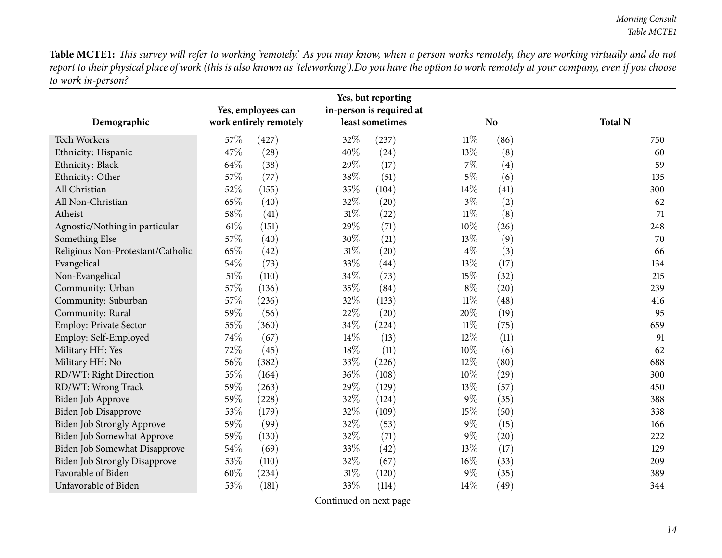Table MCTE1: This survey will refer to working 'remotely.' As you may know, when a person works remotely, they are working virtually and do not report to their physical place of work (this is also known as 'teleworking').Do you have the option to work remotely at your company, even if you choose *to work in-person?*

|                                   |     | Yes, employees can     |        | Yes, but reporting<br>in-person is required at |        |                |                |
|-----------------------------------|-----|------------------------|--------|------------------------------------------------|--------|----------------|----------------|
| Demographic                       |     | work entirely remotely |        | least sometimes                                |        | N <sub>o</sub> | <b>Total N</b> |
| Tech Workers                      | 57% | (427)                  | 32%    | (237)                                          | $11\%$ | (86)           | 750            |
| Ethnicity: Hispanic               | 47% | (28)                   | 40%    | (24)                                           | 13%    | (8)            | 60             |
| Ethnicity: Black                  | 64% | (38)                   | 29%    | (17)                                           | $7\%$  | (4)            | 59             |
| Ethnicity: Other                  | 57% | (77)                   | 38%    | (51)                                           | $5\%$  | (6)            | 135            |
| All Christian                     | 52% | (155)                  | 35%    | (104)                                          | 14%    | (41)           | 300            |
| All Non-Christian                 | 65% | (40)                   | 32%    | (20)                                           | $3\%$  | (2)            | 62             |
| Atheist                           | 58% | (41)                   | 31%    | (22)                                           | $11\%$ | (8)            | 71             |
| Agnostic/Nothing in particular    | 61% | (151)                  | 29%    | (71)                                           | 10%    | (26)           | 248            |
| Something Else                    | 57% | (40)                   | 30%    | (21)                                           | 13%    | (9)            | 70             |
| Religious Non-Protestant/Catholic | 65% | (42)                   | $31\%$ | (20)                                           | $4\%$  | (3)            | 66             |
| Evangelical                       | 54% | (73)                   | 33%    | (44)                                           | 13%    | (17)           | 134            |
| Non-Evangelical                   | 51% | (110)                  | 34%    | (73)                                           | 15%    | (32)           | 215            |
| Community: Urban                  | 57% | (136)                  | 35%    | (84)                                           | $8\%$  | (20)           | 239            |
| Community: Suburban               | 57% | (236)                  | 32%    | (133)                                          | $11\%$ | (48)           | 416            |
| Community: Rural                  | 59% | (56)                   | 22%    | (20)                                           | 20%    | (19)           | 95             |
| Employ: Private Sector            | 55% | (360)                  | 34%    | (224)                                          | $11\%$ | (75)           | 659            |
| Employ: Self-Employed             | 74% | (67)                   | 14%    | (13)                                           | 12%    | (11)           | 91             |
| Military HH: Yes                  | 72% | (45)                   | 18%    | (11)                                           | 10%    | (6)            | 62             |
| Military HH: No                   | 56% | (382)                  | 33%    | (226)                                          | 12%    | (80)           | 688            |
| RD/WT: Right Direction            | 55% | (164)                  | 36%    | (108)                                          | 10%    | (29)           | 300            |
| RD/WT: Wrong Track                | 59% | (263)                  | 29%    | (129)                                          | 13%    | (57)           | 450            |
| Biden Job Approve                 | 59% | (228)                  | 32%    | (124)                                          | $9\%$  | (35)           | 388            |
| Biden Job Disapprove              | 53% | (179)                  | 32%    | (109)                                          | 15%    | (50)           | 338            |
| Biden Job Strongly Approve        | 59% | (99)                   | 32%    | (53)                                           | $9\%$  | (15)           | 166            |
| Biden Job Somewhat Approve        | 59% | (130)                  | 32%    | (71)                                           | $9\%$  | (20)           | 222            |
| Biden Job Somewhat Disapprove     | 54% | (69)                   | 33%    | (42)                                           | 13%    | (17)           | 129            |
| Biden Job Strongly Disapprove     | 53% | (110)                  | 32%    | (67)                                           | 16%    | (33)           | 209            |
| Favorable of Biden                | 60% | (234)                  | 31%    | (120)                                          | $9\%$  | (35)           | 389            |
| Unfavorable of Biden              | 53% | (181)                  | 33%    | (114)                                          | 14%    | (49)           | 344            |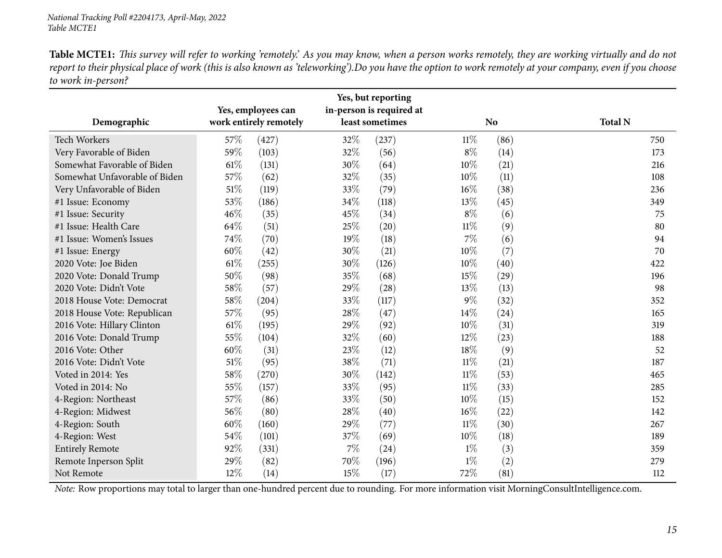Table MCTE1: This survey will refer to working 'remotely.' As you may know, when a person works remotely, they are working virtually and do not report to their physical place of work (this is also known as 'teleworking').Do you have the option to work remotely at your company, even if you choose *to work in-person?*

|                               | Yes, employees can | Yes, but reporting<br>in-person is required at |     |                 |        |                |                |
|-------------------------------|--------------------|------------------------------------------------|-----|-----------------|--------|----------------|----------------|
| Demographic                   |                    | work entirely remotely                         |     | least sometimes |        | N <sub>o</sub> | <b>Total N</b> |
| <b>Tech Workers</b>           | 57%                | (427)                                          | 32% | (237)           | $11\%$ | (86)           | 750            |
| Very Favorable of Biden       | 59%                | (103)                                          | 32% | (56)            | $8\%$  | (14)           | 173            |
| Somewhat Favorable of Biden   | 61%                | (131)                                          | 30% | (64)            | 10%    | (21)           | 216            |
| Somewhat Unfavorable of Biden | 57%                | (62)                                           | 32% | (35)            | 10%    | (11)           | 108            |
| Very Unfavorable of Biden     | 51%                | (119)                                          | 33% | (79)            | 16%    | (38)           | 236            |
| #1 Issue: Economy             | 53%                | (186)                                          | 34% | (118)           | 13%    | (45)           | 349            |
| #1 Issue: Security            | 46%                | (35)                                           | 45% | (34)            | $8\%$  | (6)            | 75             |
| #1 Issue: Health Care         | 64%                | (51)                                           | 25% | (20)            | $11\%$ | (9)            | 80             |
| #1 Issue: Women's Issues      | 74%                | (70)                                           | 19% | (18)            | 7%     | (6)            | 94             |
| #1 Issue: Energy              | 60%                | (42)                                           | 30% | (21)            | 10%    | (7)            | 70             |
| 2020 Vote: Joe Biden          | 61\%               | (255)                                          | 30% | (126)           | 10%    | (40)           | 422            |
| 2020 Vote: Donald Trump       | 50%                | (98)                                           | 35% | (68)            | 15%    | (29)           | 196            |
| 2020 Vote: Didn't Vote        | 58%                | (57)                                           | 29% | (28)            | 13%    | (13)           | 98             |
| 2018 House Vote: Democrat     | 58%                | (204)                                          | 33% | (117)           | $9\%$  | (32)           | 352            |
| 2018 House Vote: Republican   | 57%                | (95)                                           | 28% | (47)            | 14\%   | (24)           | 165            |
| 2016 Vote: Hillary Clinton    | 61%                | (195)                                          | 29% | (92)            | 10%    | (31)           | 319            |
| 2016 Vote: Donald Trump       | 55%                | (104)                                          | 32% | (60)            | 12%    | (23)           | 188            |
| 2016 Vote: Other              | 60%                | (31)                                           | 23% | (12)            | 18%    | (9)            | 52             |
| 2016 Vote: Didn't Vote        | 51%                | (95)                                           | 38% | (71)            | $11\%$ | (21)           | 187            |
| Voted in 2014: Yes            | 58%                | (270)                                          | 30% | (142)           | $11\%$ | (53)           | 465            |
| Voted in 2014: No             | 55%                | (157)                                          | 33% | (95)            | $11\%$ | (33)           | 285            |
| 4-Region: Northeast           | 57%                | (86)                                           | 33% | (50)            | 10%    | (15)           | 152            |
| 4-Region: Midwest             | 56%                | (80)                                           | 28% | (40)            | 16%    | (22)           | 142            |
| 4-Region: South               | 60%                | (160)                                          | 29% | (77)            | $11\%$ | (30)           | 267            |
| 4-Region: West                | 54%                | (101)                                          | 37% | (69)            | 10%    | (18)           | 189            |
| <b>Entirely Remote</b>        | 92%                | (331)                                          | 7%  | (24)            | $1\%$  | (3)            | 359            |
| Remote Inperson Split         | 29%                | (82)                                           | 70% | (196)           | $1\%$  | (2)            | 279            |
| Not Remote                    | 12%                | (14)                                           | 15% | (17)            | 72%    | (81)           | 112            |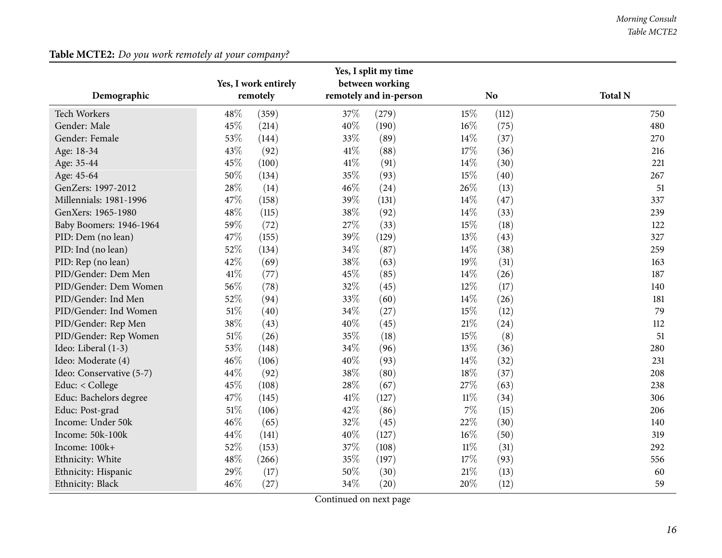## **Table MCTE2:** *Do you work remotely at your company?*

<span id="page-15-0"></span>

|                          |        |                      |      | Yes, I split my time   |        |       |                |
|--------------------------|--------|----------------------|------|------------------------|--------|-------|----------------|
|                          |        | Yes, I work entirely |      | between working        |        |       |                |
| Demographic              |        | remotely             |      | remotely and in-person | No     |       | <b>Total N</b> |
| Tech Workers             | 48%    | (359)                | 37%  | (279)                  | 15%    | (112) | 750            |
| Gender: Male             | 45%    | (214)                | 40%  | (190)                  | 16%    | (75)  | 480            |
| Gender: Female           | 53%    | (144)                | 33%  | (89)                   | 14%    | (37)  | 270            |
| Age: 18-34               | 43%    | (92)                 | 41\% | (88)                   | 17%    | (36)  | 216            |
| Age: 35-44               | 45%    | (100)                | 41\% | (91)                   | $14\%$ | (30)  | 221            |
| Age: 45-64               | 50%    | (134)                | 35%  | (93)                   | 15%    | (40)  | 267            |
| GenZers: 1997-2012       | 28%    | (14)                 | 46%  | (24)                   | 26%    | (13)  | 51             |
| Millennials: 1981-1996   | 47%    | (158)                | 39%  | (131)                  | $14\%$ | (47)  | 337            |
| GenXers: 1965-1980       | 48%    | (115)                | 38%  | (92)                   | 14%    | (33)  | 239            |
| Baby Boomers: 1946-1964  | 59%    | (72)                 | 27%  | (33)                   | 15%    | (18)  | 122            |
| PID: Dem (no lean)       | 47%    | (155)                | 39%  | (129)                  | 13%    | (43)  | 327            |
| PID: Ind (no lean)       | $52\%$ | (134)                | 34%  | (87)                   | 14%    | (38)  | 259            |
| PID: Rep (no lean)       | 42%    | (69)                 | 38%  | (63)                   | 19%    | (31)  | 163            |
| PID/Gender: Dem Men      | 41\%   | (77)                 | 45%  | (85)                   | 14\%   | (26)  | 187            |
| PID/Gender: Dem Women    | 56%    | (78)                 | 32%  | (45)                   | 12%    | (17)  | 140            |
| PID/Gender: Ind Men      | 52%    | (94)                 | 33%  | (60)                   | 14%    | (26)  | 181            |
| PID/Gender: Ind Women    | $51\%$ | (40)                 | 34%  | (27)                   | 15%    | (12)  | 79             |
| PID/Gender: Rep Men      | 38%    | (43)                 | 40%  | (45)                   | $21\%$ | (24)  | 112            |
| PID/Gender: Rep Women    | $51\%$ | (26)                 | 35%  | (18)                   | 15%    | (8)   | 51             |
| Ideo: Liberal (1-3)      | 53%    | (148)                | 34%  | (96)                   | 13%    | (36)  | 280            |
| Ideo: Moderate (4)       | 46%    | (106)                | 40%  | (93)                   | 14%    | (32)  | 231            |
| Ideo: Conservative (5-7) | 44%    | (92)                 | 38%  | (80)                   | 18%    | (37)  | 208            |
| Educ: < College          | 45%    | (108)                | 28%  | (67)                   | 27%    | (63)  | 238            |
| Educ: Bachelors degree   | 47%    | (145)                | 41\% | (127)                  | $11\%$ | (34)  | 306            |
| Educ: Post-grad          | $51\%$ | (106)                | 42%  | (86)                   | $7\%$  | (15)  | 206            |
| Income: Under 50k        | 46%    | (65)                 | 32%  | (45)                   | 22%    | (30)  | 140            |
| Income: 50k-100k         | 44%    | (141)                | 40%  | (127)                  | $16\%$ | (50)  | 319            |
| Income: 100k+            | 52%    | (153)                | 37%  | (108)                  | $11\%$ | (31)  | 292            |
| Ethnicity: White         | 48%    | (266)                | 35%  | (197)                  | 17%    | (93)  | 556            |
| Ethnicity: Hispanic      | 29%    | (17)                 | 50%  | (30)                   | $21\%$ | (13)  | 60             |
| Ethnicity: Black         | 46%    | (27)                 | 34%  | (20)                   | 20%    | (12)  | 59             |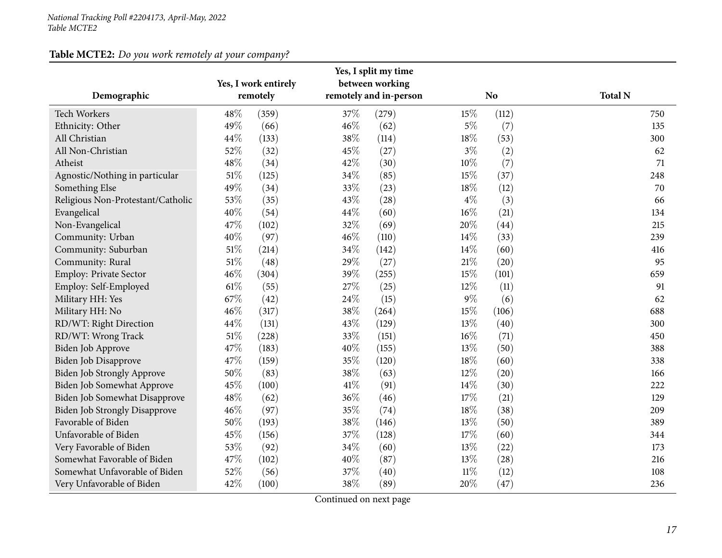## **Table MCTE2:** *Do you work remotely at your company?*

| Demographic                          |        | Yes, I work entirely<br>remotely |      | Yes, I split my time<br>between working<br>remotely and in-person |        | N <sub>o</sub> | <b>Total N</b> |
|--------------------------------------|--------|----------------------------------|------|-------------------------------------------------------------------|--------|----------------|----------------|
| Tech Workers                         | 48%    | (359)                            | 37%  | (279)                                                             | 15%    | (112)          | 750            |
| Ethnicity: Other                     | 49%    | (66)                             | 46%  | (62)                                                              | $5\%$  | (7)            | 135            |
| All Christian                        | 44%    | (133)                            | 38%  | (114)                                                             | 18%    | (53)           | 300            |
| All Non-Christian                    | 52%    | (32)                             | 45%  | (27)                                                              | $3\%$  | (2)            | 62             |
| Atheist                              | 48%    | (34)                             | 42%  | (30)                                                              | $10\%$ | (7)            | 71             |
| Agnostic/Nothing in particular       | 51%    | (125)                            | 34%  | (85)                                                              | 15%    | (37)           | 248            |
| Something Else                       | 49%    | (34)                             | 33%  | (23)                                                              | 18%    | (12)           | 70             |
| Religious Non-Protestant/Catholic    | 53%    | (35)                             | 43%  | (28)                                                              | $4\%$  | (3)            | 66             |
| Evangelical                          | 40%    | (54)                             | 44%  | (60)                                                              | $16\%$ | (21)           | 134            |
| Non-Evangelical                      | 47%    | (102)                            | 32%  | (69)                                                              | $20\%$ | (44)           | 215            |
| Community: Urban                     | 40%    | (97)                             | 46%  | (110)                                                             | 14%    | (33)           | 239            |
| Community: Suburban                  | $51\%$ | (214)                            | 34%  | (142)                                                             | 14%    | (60)           | 416            |
| Community: Rural                     | $51\%$ | (48)                             | 29%  | (27)                                                              | $21\%$ | (20)           | 95             |
| Employ: Private Sector               | 46%    | (304)                            | 39%  | (255)                                                             | 15%    | (101)          | 659            |
| Employ: Self-Employed                | $61\%$ | (55)                             | 27%  | (25)                                                              | 12%    | (11)           | 91             |
| Military HH: Yes                     | 67%    | (42)                             | 24%  | (15)                                                              | $9\%$  | (6)            | 62             |
| Military HH: No                      | 46%    | (317)                            | 38%  | (264)                                                             | 15%    | (106)          | 688            |
| RD/WT: Right Direction               | 44%    | (131)                            | 43%  | (129)                                                             | 13%    | (40)           | 300            |
| RD/WT: Wrong Track                   | 51%    | (228)                            | 33%  | (151)                                                             | $16\%$ | (71)           | 450            |
| Biden Job Approve                    | 47%    | (183)                            | 40%  | (155)                                                             | 13%    | (50)           | 388            |
| Biden Job Disapprove                 | 47%    | (159)                            | 35%  | (120)                                                             | 18%    | (60)           | 338            |
| Biden Job Strongly Approve           | 50%    | (83)                             | 38%  | (63)                                                              | 12%    | (20)           | 166            |
| Biden Job Somewhat Approve           | 45%    | (100)                            | 41\% | (91)                                                              | 14%    | (30)           | 222            |
| Biden Job Somewhat Disapprove        | 48%    | (62)                             | 36%  | (46)                                                              | 17%    | (21)           | 129            |
| <b>Biden Job Strongly Disapprove</b> | 46%    | (97)                             | 35%  | (74)                                                              | $18\%$ | (38)           | 209            |
| Favorable of Biden                   | 50%    | (193)                            | 38%  | (146)                                                             | 13%    | (50)           | 389            |
| Unfavorable of Biden                 | 45%    | (156)                            | 37%  | (128)                                                             | 17%    | (60)           | 344            |
| Very Favorable of Biden              | 53%    | (92)                             | 34%  | (60)                                                              | 13%    | (22)           | 173            |
| Somewhat Favorable of Biden          | 47%    | (102)                            | 40%  | (87)                                                              | 13%    | (28)           | 216            |
| Somewhat Unfavorable of Biden        | 52%    | (56)                             | 37%  | (40)                                                              | $11\%$ | (12)           | 108            |
| Very Unfavorable of Biden            | 42%    | (100)                            | 38%  | (89)                                                              | 20%    | (47)           | 236            |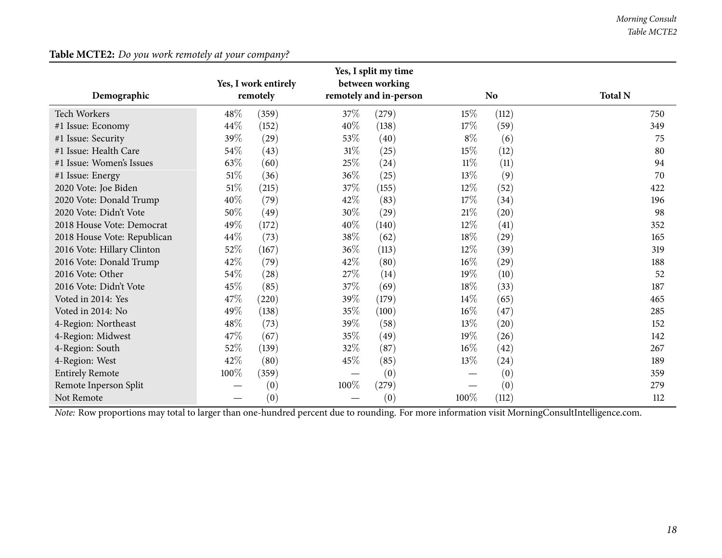#### **Table MCTE2:** *Do you work remotely at your company?*

|                                                                                                                                                |          | Yes, I work entirely |        | Yes, I split my time<br>between working |        |                |                |
|------------------------------------------------------------------------------------------------------------------------------------------------|----------|----------------------|--------|-----------------------------------------|--------|----------------|----------------|
| Demographic                                                                                                                                    | remotely |                      |        | remotely and in-person                  |        | N <sub>o</sub> | <b>Total N</b> |
| <b>Tech Workers</b>                                                                                                                            | 48%      | (359)                | 37%    | (279)                                   | 15\%   | (112)          | 750            |
| #1 Issue: Economy                                                                                                                              | 44%      | (152)                | 40%    | (138)                                   | $17\%$ | (59)           | 349            |
| #1 Issue: Security                                                                                                                             | 39%      | (29)                 | 53%    | (40)                                    | $8\%$  | (6)            | 75             |
| #1 Issue: Health Care                                                                                                                          | 54%      | (43)                 | $31\%$ | (25)                                    | 15\%   | (12)           | 80             |
| #1 Issue: Women's Issues                                                                                                                       | 63%      | (60)                 | 25%    | (24)                                    | $11\%$ | (11)           | 94             |
| #1 Issue: Energy                                                                                                                               | $51\%$   | (36)                 | 36%    | (25)                                    | 13\%   | (9)            | 70             |
| 2020 Vote: Joe Biden                                                                                                                           | $51\%$   | (215)                | $37\%$ | (155)                                   | $12\%$ | (52)           | 422            |
| 2020 Vote: Donald Trump                                                                                                                        | 40%      | (79)                 | 42%    | (83)                                    | 17\%   | (34)           | 196            |
| 2020 Vote: Didn't Vote                                                                                                                         | 50%      | (49)                 | 30%    | (29)                                    | $21\%$ | (20)           | 98             |
| 2018 House Vote: Democrat                                                                                                                      | 49%      | (172)                | 40%    | (140)                                   | 12%    | (41)           | 352            |
| 2018 House Vote: Republican                                                                                                                    | 44\%     | (73)                 | $38\%$ | (62)                                    | 18%    | (29)           | 165            |
| 2016 Vote: Hillary Clinton                                                                                                                     | 52%      | (167)                | $36\%$ | (113)                                   | $12\%$ | (39)           | 319            |
| 2016 Vote: Donald Trump                                                                                                                        | 42%      | (79)                 | 42%    | (80)                                    | $16\%$ | (29)           | 188            |
| 2016 Vote: Other                                                                                                                               | 54%      | (28)                 | 27%    | (14)                                    | 19%    | (10)           | 52             |
| 2016 Vote: Didn't Vote                                                                                                                         | 45%      | (85)                 | 37%    | (69)                                    | 18%    | (33)           | 187            |
| Voted in 2014: Yes                                                                                                                             | 47%      | (220)                | 39%    | (179)                                   | 14\%   | (65)           | 465            |
| Voted in 2014: No                                                                                                                              | 49%      | (138)                | $35\%$ | (100)                                   | $16\%$ | (47)           | 285            |
| 4-Region: Northeast                                                                                                                            | 48%      | (73)                 | 39%    | (58)                                    | 13%    | (20)           | 152            |
| 4-Region: Midwest                                                                                                                              | 47%      | (67)                 | 35%    | (49)                                    | 19%    | (26)           | 142            |
| 4-Region: South                                                                                                                                | 52%      | (139)                | 32%    | (87)                                    | 16%    | (42)           | 267            |
| 4-Region: West                                                                                                                                 | 42\%     | (80)                 | 45%    | (85)                                    | 13\%   | (24)           | 189            |
| <b>Entirely Remote</b>                                                                                                                         | 100%     | (359)                |        | (0)                                     |        | (0)            | 359            |
| Remote Inperson Split                                                                                                                          |          | (0)                  | 100%   | (279)                                   |        | (0)            | 279            |
| Not Remote                                                                                                                                     |          | (0)                  |        | (0)                                     | 100%   | (112)          | 112            |
| Note: Row proportions may total to larger than one-hundred percent due to rounding. For more information visit MorningConsultIntelligence.com. |          |                      |        |                                         |        |                |                |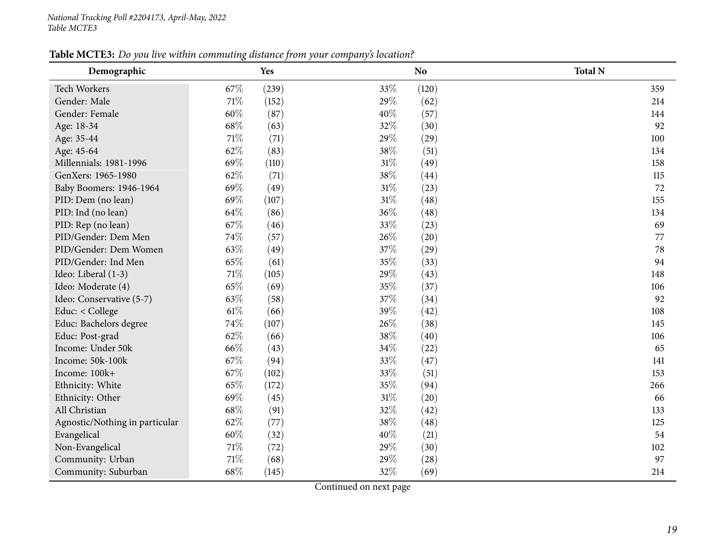| Table MCTE3: Do you live within commuting distance from your company's location? |
|----------------------------------------------------------------------------------|
|----------------------------------------------------------------------------------|

<span id="page-18-0"></span>

| Demographic                    | o    | Yes   |        | N <sub>o</sub> | <b>Total N</b> |
|--------------------------------|------|-------|--------|----------------|----------------|
| Tech Workers                   | 67%  | (239) | 33%    | (120)          | 359            |
| Gender: Male                   | 71%  | (152) | 29%    | (62)           | 214            |
| Gender: Female                 | 60%  | (87)  | 40%    | (57)           | 144            |
| Age: 18-34                     | 68%  | (63)  | 32%    | (30)           | 92             |
| Age: 35-44                     | 71%  | (71)  | 29%    | (29)           | 100            |
| Age: 45-64                     | 62%  | (83)  | 38%    | (51)           | 134            |
| Millennials: 1981-1996         | 69%  | (110) | $31\%$ | (49)           | 158            |
| GenXers: 1965-1980             | 62%  | (71)  | 38%    | (44)           | 115            |
| Baby Boomers: 1946-1964        | 69%  | (49)  | $31\%$ | (23)           | 72             |
| PID: Dem (no lean)             | 69%  | (107) | $31\%$ | (48)           | 155            |
| PID: Ind (no lean)             | 64%  | (86)  | 36%    | (48)           | 134            |
| PID: Rep (no lean)             | 67%  | (46)  | 33%    | (23)           | 69             |
| PID/Gender: Dem Men            | 74%  | (57)  | 26%    | (20)           | 77             |
| PID/Gender: Dem Women          | 63%  | (49)  | 37%    | (29)           | 78             |
| PID/Gender: Ind Men            | 65%  | (61)  | 35%    | (33)           | 94             |
| Ideo: Liberal (1-3)            | 71%  | (105) | 29%    | (43)           | 148            |
| Ideo: Moderate (4)             | 65%  | (69)  | 35%    | (37)           | 106            |
| Ideo: Conservative (5-7)       | 63%  | (58)  | 37%    | (34)           | 92             |
| Educ: < College                | 61\% | (66)  | 39%    | (42)           | 108            |
| Educ: Bachelors degree         | 74%  | (107) | 26%    | (38)           | 145            |
| Educ: Post-grad                | 62%  | (66)  | 38%    | (40)           | 106            |
| Income: Under 50k              | 66%  | (43)  | 34%    | (22)           | 65             |
| Income: 50k-100k               | 67%  | (94)  | 33%    | (47)           | 141            |
| Income: 100k+                  | 67%  | (102) | 33%    | (51)           | 153            |
| Ethnicity: White               | 65%  | (172) | 35%    | (94)           | 266            |
| Ethnicity: Other               | 69%  | (45)  | $31\%$ | (20)           | 66             |
| All Christian                  | 68%  | (91)  | 32%    | (42)           | 133            |
| Agnostic/Nothing in particular | 62%  | (77)  | 38%    | (48)           | 125            |
| Evangelical                    | 60%  | (32)  | 40%    | (21)           | 54             |
| Non-Evangelical                | 71%  | (72)  | 29%    | (30)           | 102            |
| Community: Urban               | 71%  | (68)  | 29%    | (28)           | 97             |
| Community: Suburban            | 68%  | (145) | 32%    | (69)           | 214            |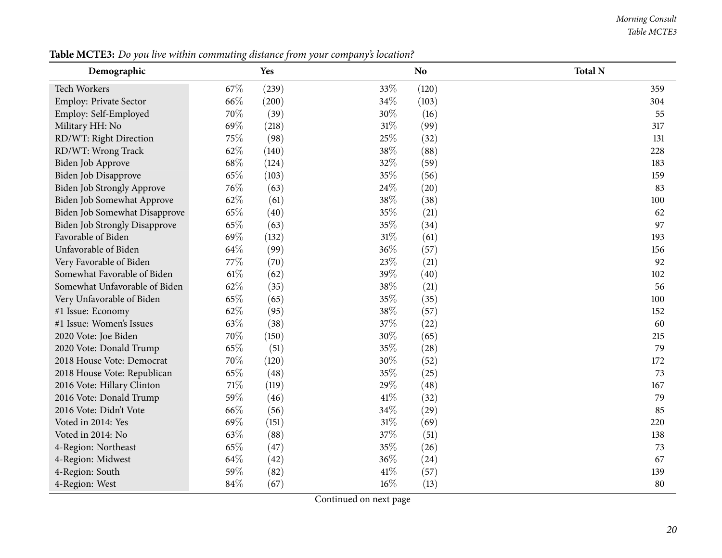#### *Morning Consult Table MCTE3*

| Demographic                          |      | Yes   |        | No.   | <b>Total N</b> |
|--------------------------------------|------|-------|--------|-------|----------------|
| Tech Workers                         | 67%  | (239) | 33%    | (120) | 359            |
| Employ: Private Sector               | 66%  | (200) | 34\%   | (103) | 304            |
| Employ: Self-Employed                | 70%  | (39)  | 30%    | (16)  | 55             |
| Military HH: No                      | 69%  | (218) | 31%    | (99)  | 317            |
| RD/WT: Right Direction               | 75%  | (98)  | 25%    | (32)  | 131            |
| RD/WT: Wrong Track                   | 62%  | (140) | 38\%   | (88)  | 228            |
| Biden Job Approve                    | 68%  | (124) | 32%    | (59)  | 183            |
| Biden Job Disapprove                 | 65%  | (103) | 35%    | (56)  | 159            |
| <b>Biden Job Strongly Approve</b>    | 76%  | (63)  | 24\%   | (20)  | 83             |
| Biden Job Somewhat Approve           | 62%  | (61)  | 38\%   | (38)  | 100            |
| Biden Job Somewhat Disapprove        | 65%  | (40)  | 35%    | (21)  | 62             |
| <b>Biden Job Strongly Disapprove</b> | 65%  | (63)  | 35%    | (34)  | 97             |
| Favorable of Biden                   | 69%  | (132) | $31\%$ | (61)  | 193            |
| Unfavorable of Biden                 | 64%  | (99)  | 36%    | (57)  | 156            |
| Very Favorable of Biden              | 77%  | (70)  | 23%    | (21)  | 92             |
| Somewhat Favorable of Biden          | 61\% | (62)  | 39%    | (40)  | 102            |
| Somewhat Unfavorable of Biden        | 62%  | (35)  | 38%    | (21)  | 56             |
| Very Unfavorable of Biden            | 65%  | (65)  | 35%    | (35)  | 100            |
| #1 Issue: Economy                    | 62%  | (95)  | 38%    | (57)  | 152            |
| #1 Issue: Women's Issues             | 63%  | (38)  | 37%    | (22)  | 60             |
| 2020 Vote: Joe Biden                 | 70%  | (150) | 30%    | (65)  | 215            |
| 2020 Vote: Donald Trump              | 65%  | (51)  | 35%    | (28)  | 79             |
| 2018 House Vote: Democrat            | 70%  | (120) | $30\%$ | (52)  | 172            |
| 2018 House Vote: Republican          | 65%  | (48)  | 35%    | (25)  | 73             |
| 2016 Vote: Hillary Clinton           | 71%  | (119) | 29%    | (48)  | 167            |
| 2016 Vote: Donald Trump              | 59%  | (46)  | $41\%$ | (32)  | 79             |
| 2016 Vote: Didn't Vote               | 66%  | (56)  | 34%    | (29)  | 85             |
| Voted in 2014: Yes                   | 69%  | (151) | $31\%$ | (69)  | 220            |
| Voted in 2014: No                    | 63%  | (88)  | 37%    | (51)  | 138            |
| 4-Region: Northeast                  | 65%  | (47)  | 35%    | (26)  | 73             |
| 4-Region: Midwest                    | 64%  | (42)  | 36%    | (24)  | 67             |
| 4-Region: South                      | 59%  | (82)  | $41\%$ | (57)  | 139            |
| 4-Region: West                       | 84%  | (67)  | 16%    | (13)  | 80             |

Table MCTE3: Do you live within commuting distance from your company's location?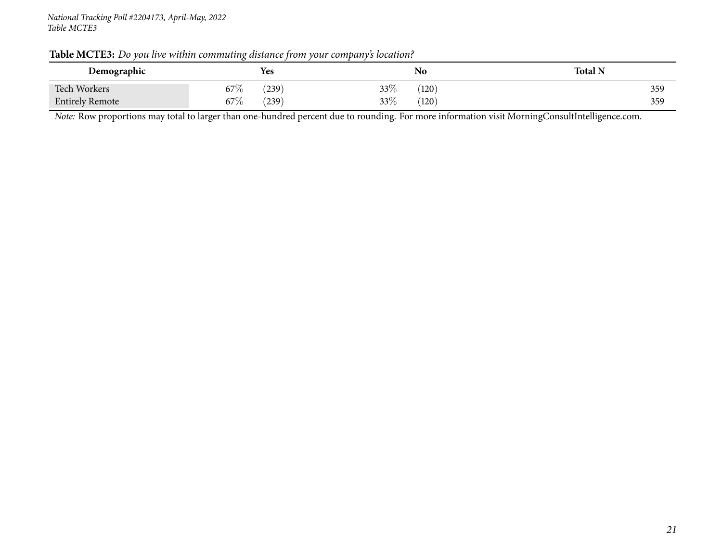#### *National Tracking Poll #2204173, April-May, <sup>2022</sup> Table MCTE3*

|  |  | Table MCTE3: Do you live within commuting distance from your company's location? |  |  |  |  |
|--|--|----------------------------------------------------------------------------------|--|--|--|--|
|--|--|----------------------------------------------------------------------------------|--|--|--|--|

| Demographic            | Yes                      | No                     | <b>Total N</b> |
|------------------------|--------------------------|------------------------|----------------|
| <b>Tech Workers</b>    | $67\%$<br>$^{'}239$      | 33\%<br>$^{\prime}120$ | 359            |
| <b>Entirely Remote</b> | $67\%$<br>$^{\prime}239$ | 33%<br>$^{\prime}120$  | 359            |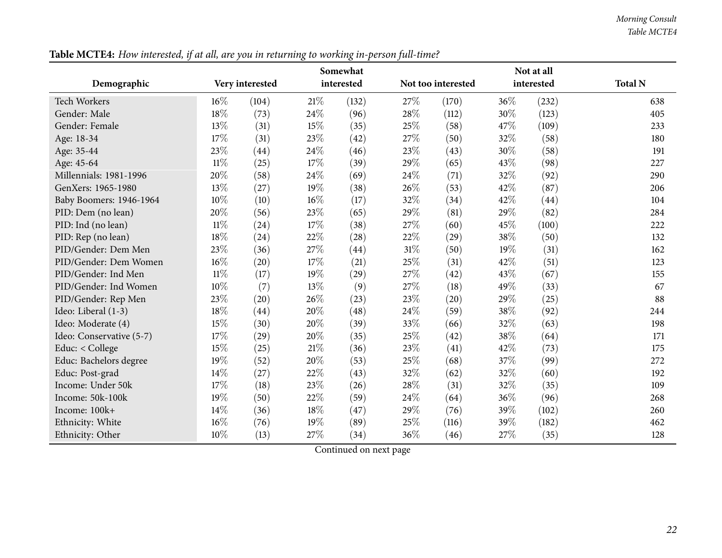*Morning Consult Table MCTE4*

<span id="page-21-0"></span>

|                          |        |                 |      | Somewhat   |     |                    |     | Not at all |                |
|--------------------------|--------|-----------------|------|------------|-----|--------------------|-----|------------|----------------|
| Demographic              |        | Very interested |      | interested |     | Not too interested |     | interested | <b>Total N</b> |
| <b>Tech Workers</b>      | $16\%$ | (104)           | 21\% | (132)      | 27% | (170)              | 36% | (232)      | 638            |
| Gender: Male             | 18%    | (73)            | 24%  | (96)       | 28% | (112)              | 30% | (123)      | 405            |
| Gender: Female           | 13%    | (31)            | 15%  | (35)       | 25% | (58)               | 47% | (109)      | 233            |
| Age: 18-34               | 17%    | (31)            | 23%  | (42)       | 27% | (50)               | 32% | (58)       | 180            |
| Age: 35-44               | 23%    | (44)            | 24%  | (46)       | 23% | (43)               | 30% | (58)       | 191            |
| Age: 45-64               | $11\%$ | (25)            | 17%  | (39)       | 29% | (65)               | 43% | (98)       | 227            |
| Millennials: 1981-1996   | 20%    | (58)            | 24%  | (69)       | 24% | (71)               | 32% | (92)       | 290            |
| GenXers: 1965-1980       | 13%    | (27)            | 19%  | (38)       | 26% | (53)               | 42% | (87)       | 206            |
| Baby Boomers: 1946-1964  | 10%    | (10)            | 16%  | (17)       | 32% | (34)               | 42% | (44)       | 104            |
| PID: Dem (no lean)       | 20%    | (56)            | 23%  | (65)       | 29% | (81)               | 29% | (82)       | 284            |
| PID: Ind (no lean)       | $11\%$ | (24)            | 17%  | (38)       | 27% | (60)               | 45% | (100)      | 222            |
| PID: Rep (no lean)       | 18%    | (24)            | 22%  | (28)       | 22% | (29)               | 38% | (50)       | 132            |
| PID/Gender: Dem Men      | 23%    | (36)            | 27%  | (44)       | 31% | (50)               | 19% | (31)       | 162            |
| PID/Gender: Dem Women    | 16%    | (20)            | 17%  | (21)       | 25% | (31)               | 42% | (51)       | 123            |
| PID/Gender: Ind Men      | $11\%$ | (17)            | 19%  | (29)       | 27% | (42)               | 43% | (67)       | 155            |
| PID/Gender: Ind Women    | 10%    | (7)             | 13%  | (9)        | 27% | (18)               | 49% | (33)       | 67             |
| PID/Gender: Rep Men      | 23%    | (20)            | 26%  | (23)       | 23% | (20)               | 29% | (25)       | 88             |
| Ideo: Liberal (1-3)      | 18%    | (44)            | 20%  | (48)       | 24% | (59)               | 38% | (92)       | 244            |
| Ideo: Moderate (4)       | 15%    | (30)            | 20%  | (39)       | 33% | (66)               | 32% | (63)       | 198            |
| Ideo: Conservative (5-7) | 17%    | (29)            | 20%  | (35)       | 25% | (42)               | 38% | (64)       | 171            |
| Educ: < College          | 15%    | (25)            | 21%  | (36)       | 23% | (41)               | 42% | (73)       | 175            |
| Educ: Bachelors degree   | 19%    | (52)            | 20%  | (53)       | 25% | (68)               | 37% | (99)       | 272            |
| Educ: Post-grad          | 14%    | (27)            | 22%  | (43)       | 32% | (62)               | 32% | (60)       | 192            |
| Income: Under 50k        | 17%    | (18)            | 23%  | (26)       | 28% | (31)               | 32% | (35)       | 109            |
| Income: 50k-100k         | 19%    | (50)            | 22%  | (59)       | 24% | (64)               | 36% | (96)       | 268            |
| Income: 100k+            | 14%    | (36)            | 18%  | (47)       | 29% | (76)               | 39% | (102)      | 260            |
| Ethnicity: White         | 16%    | (76)            | 19%  | (89)       | 25% | (116)              | 39% | (182)      | 462            |
| Ethnicity: Other         | 10%    | (13)            | 27%  | (34)       | 36% | (46)               | 27% | (35)       | 128            |

Table MCTE4: How interested, if at all, are you in returning to working in-person full-time?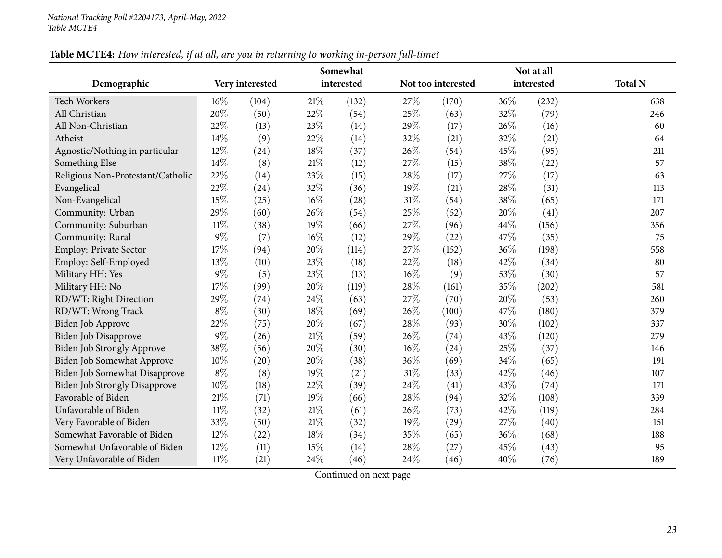|                                      |        | Not at all      |        |            |     |                    |      |            |                |
|--------------------------------------|--------|-----------------|--------|------------|-----|--------------------|------|------------|----------------|
| Demographic                          |        | Very interested |        | interested |     | Not too interested |      | interested | <b>Total N</b> |
| <b>Tech Workers</b>                  | $16\%$ | (104)           | $21\%$ | (132)      | 27% | (170)              | 36%  | (232)      | 638            |
| All Christian                        | 20%    | (50)            | 22%    | (54)       | 25% | (63)               | 32%  | (79)       | 246            |
| All Non-Christian                    | 22%    | (13)            | 23%    | (14)       | 29% | (17)               | 26%  | (16)       | 60             |
| Atheist                              | 14%    | (9)             | 22%    | (14)       | 32% | (21)               | 32%  | (21)       | 64             |
| Agnostic/Nothing in particular       | 12%    | (24)            | 18%    | (37)       | 26% | (54)               | 45%  | (95)       | 211            |
| Something Else                       | 14%    | (8)             | $21\%$ | (12)       | 27% | (15)               | 38\% | (22)       | 57             |
| Religious Non-Protestant/Catholic    | 22%    | (14)            | 23%    | (15)       | 28% | (17)               | 27\% | (17)       | 63             |
| Evangelical                          | 22%    | (24)            | 32%    | (36)       | 19% | (21)               | 28%  | (31)       | 113            |
| Non-Evangelical                      | 15%    | (25)            | 16%    | (28)       | 31% | (54)               | 38%  | (65)       | 171            |
| Community: Urban                     | 29%    | (60)            | 26%    | (54)       | 25% | (52)               | 20%  | (41)       | 207            |
| Community: Suburban                  | $11\%$ | (38)            | 19%    | (66)       | 27% | (96)               | 44%  | (156)      | 356            |
| Community: Rural                     | $9\%$  | (7)             | 16%    | (12)       | 29% | (22)               | 47%  | (35)       | 75             |
| <b>Employ: Private Sector</b>        | 17%    | (94)            | 20%    | (114)      | 27% | (152)              | 36%  | (198)      | 558            |
| Employ: Self-Employed                | 13%    | (10)            | 23%    | (18)       | 22% | (18)               | 42%  | (34)       | 80             |
| Military HH: Yes                     | $9\%$  | (5)             | 23%    | (13)       | 16% | (9)                | 53%  | (30)       | 57             |
| Military HH: No                      | 17%    | (99)            | 20%    | (119)      | 28% | (161)              | 35%  | (202)      | 581            |
| RD/WT: Right Direction               | 29%    | (74)            | 24\%   | (63)       | 27% | (70)               | 20%  | (53)       | 260            |
| RD/WT: Wrong Track                   | $8\%$  | (30)            | 18%    | (69)       | 26% | (100)              | 47\% | (180)      | 379            |
| Biden Job Approve                    | 22%    | (75)            | 20%    | (67)       | 28% | (93)               | 30%  | (102)      | 337            |
| Biden Job Disapprove                 | $9\%$  | (26)            | 21%    | (59)       | 26% | (74)               | 43%  | (120)      | 279            |
| Biden Job Strongly Approve           | 38%    | (56)            | 20%    | (30)       | 16% | (24)               | 25%  | (37)       | 146            |
| Biden Job Somewhat Approve           | 10%    | (20)            | 20%    | (38)       | 36% | (69)               | 34%  | (65)       | 191            |
| Biden Job Somewhat Disapprove        | $8\%$  | (8)             | 19%    | (21)       | 31% | (33)               | 42%  | (46)       | 107            |
| <b>Biden Job Strongly Disapprove</b> | 10%    | (18)            | 22%    | (39)       | 24% | (41)               | 43%  | (74)       | 171            |
| Favorable of Biden                   | 21%    | (71)            | 19%    | (66)       | 28% | (94)               | 32%  | (108)      | 339            |
| Unfavorable of Biden                 | $11\%$ | (32)            | $21\%$ | (61)       | 26% | (73)               | 42%  | (119)      | 284            |
| Very Favorable of Biden              | 33%    | (50)            | $21\%$ | (32)       | 19% | (29)               | 27%  | (40)       | 151            |
| Somewhat Favorable of Biden          | 12%    | (22)            | 18%    | (34)       | 35% | (65)               | 36%  | (68)       | 188            |
| Somewhat Unfavorable of Biden        | 12%    | (11)            | 15%    | (14)       | 28% | (27)               | 45%  | (43)       | 95             |
| Very Unfavorable of Biden            | $11\%$ | (21)            | 24%    | (46)       | 24% | (46)               | 40%  | (76)       | 189            |

## Table MCTE4: How interested, if at all, are you in returning to working in-person full-time?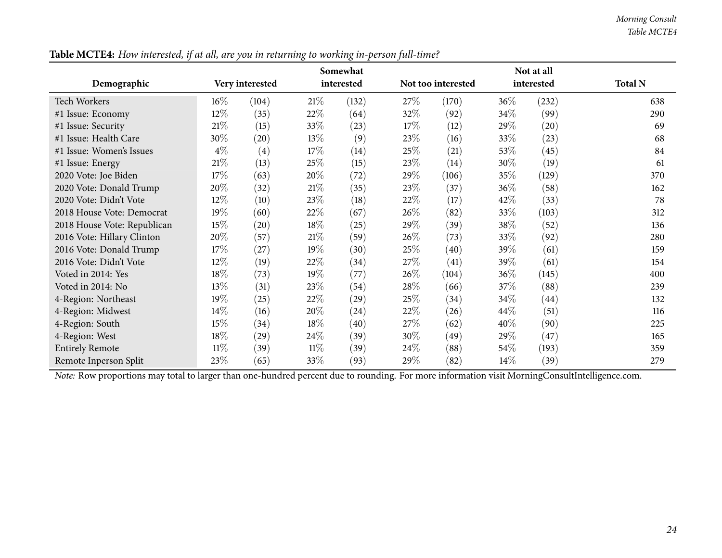*Morning Consult Table MCTE4*

|                             |        |                    |        | Somewhat           |      | Not at all         |      |                    |                |
|-----------------------------|--------|--------------------|--------|--------------------|------|--------------------|------|--------------------|----------------|
| Demographic                 |        | Very interested    |        | interested         |      | Not too interested |      | interested         | <b>Total N</b> |
| <b>Tech Workers</b>         | $16\%$ | (104)              | 21%    | (132)              | 27%  | (170)              | 36\% | (232)              | 638            |
| #1 Issue: Economy           | 12%    | (35)               | 22\%   | (64)               | 32\% | (92)               | 34\% | (99)               | 290            |
| #1 Issue: Security          | $21\%$ | (15)               | 33\%   | (23)               | 17\% | (12)               | 29%  | $\left( 20\right)$ | 69             |
| #1 Issue: Health Care       | 30%    | $\left( 20\right)$ | 13%    | (9)                | 23%  | (16)               | 33\% | (23)               | 68             |
| #1 Issue: Women's Issues    | $4\%$  | (4)                | 17%    | (14)               | 25\% | (21)               | 53%  | (45)               | 84             |
| #1 Issue: Energy            | $21\%$ | (13)               | 25\%   | (15)               | 23\% | (14)               | 30%  | (19)               | 61             |
| 2020 Vote: Joe Biden        | 17%    | (63)               | $20\%$ | (72)               | 29%  | (106)              | 35%  | (129)              | 370            |
| 2020 Vote: Donald Trump     | 20%    | (32)               | 21\%   | (35)               | 23\% | (37)               | 36\% | (58)               | 162            |
| 2020 Vote: Didn't Vote      | 12%    | (10)               | 23\%   | (18)               | 22%  | (17)               | 42\% | (33)               | 78             |
| 2018 House Vote: Democrat   | 19%    | (60)               | 22%    | (67)               | 26\% | (82)               | 33\% | (103)              | 312            |
| 2018 House Vote: Republican | 15%    | (20)               | 18\%   | (25)               | 29\% | (39)               | 38%  | (52)               | 136            |
| 2016 Vote: Hillary Clinton  | 20%    | (57)               | 21%    | (59)               | 26\% | (73)               | 33\% | (92)               | 280            |
| 2016 Vote: Donald Trump     | 17%    | (27)               | 19%    | (30)               | 25\% | (40)               | 39%  | (61)               | 159            |
| 2016 Vote: Didn't Vote      | 12%    | (19)               | 22%    | (34)               | 27\% | (41)               | 39%  | (61)               | 154            |
| Voted in 2014: Yes          | 18%    | (73)               | 19%    | (77)               | 26%  | (104)              | 36\% | (145)              | 400            |
| Voted in 2014: No           | 13%    | (31)               | 23\%   | (54)               | 28\% | (66)               | 37\% | (88)               | 239            |
| 4-Region: Northeast         | 19%    | (25)               | 22\%   | (29)               | 25%  | $^{(34)}$          | 34\% | (44)               | 132            |
| 4-Region: Midwest           | 14%    | (16)               | 20%    | $\left( 24\right)$ | 22%  | (26)               | 44\% | (51)               | 116            |
| 4-Region: South             | 15%    | (34)               | 18%    | (40)               | 27\% | (62)               | 40\% | (90)               | 225            |
| 4-Region: West              | 18%    | (29)               | $24\%$ | (39)               | 30%  | (49)               | 29%  | (47)               | 165            |
| <b>Entirely Remote</b>      | $11\%$ | (39)               | $11\%$ | (39)               | 24\% | (88)               | 54\% | (193)              | 359            |
| Remote Inperson Split       | 23%    | (65)               | 33\%   | (93)               | 29%  | (82)               | 14\% | (39)               | 279            |

Table MCTE4: How interested, if at all, are you in returning to working in-person full-time?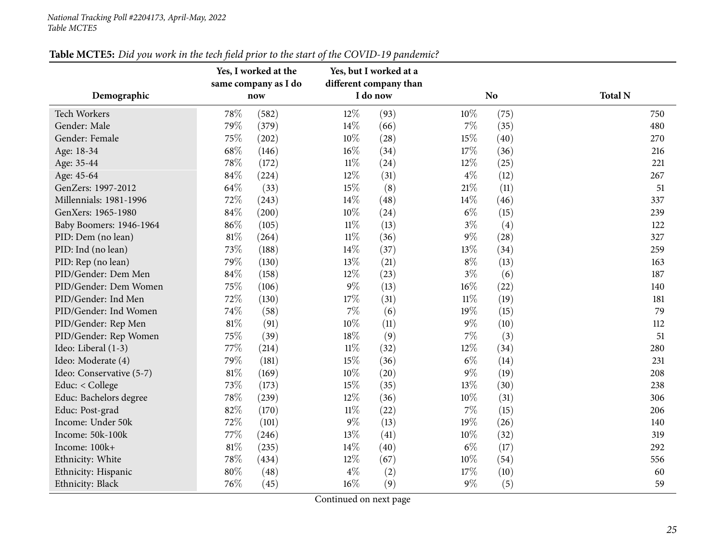<span id="page-24-0"></span>

|                          |     | Yes, I worked at the<br>same company as I do | Yes, but I worked at a<br>different company than |          |        |                |                |
|--------------------------|-----|----------------------------------------------|--------------------------------------------------|----------|--------|----------------|----------------|
| Demographic              |     | now                                          |                                                  | I do now |        | N <sub>o</sub> | <b>Total N</b> |
| <b>Tech Workers</b>      | 78% | (582)                                        | 12%                                              | (93)     | 10%    | (75)           | 750            |
| Gender: Male             | 79% | (379)                                        | 14%                                              | (66)     | $7\%$  | (35)           | 480            |
| Gender: Female           | 75% | (202)                                        | 10%                                              | (28)     | 15%    | (40)           | 270            |
| Age: 18-34               | 68% | (146)                                        | $16\%$                                           | (34)     | 17%    | (36)           | 216            |
| Age: 35-44               | 78% | (172)                                        | $11\%$                                           | (24)     | 12%    | (25)           | 221            |
| Age: 45-64               | 84% | (224)                                        | 12%                                              | (31)     | $4\%$  | (12)           | 267            |
| GenZers: 1997-2012       | 64% | (33)                                         | 15%                                              | (8)      | $21\%$ | (11)           | 51             |
| Millennials: 1981-1996   | 72% | (243)                                        | 14%                                              | (48)     | $14\%$ | (46)           | 337            |
| GenXers: 1965-1980       | 84% | (200)                                        | 10%                                              | (24)     | $6\%$  | (15)           | 239            |
| Baby Boomers: 1946-1964  | 86% | (105)                                        | $11\%$                                           | (13)     | $3\%$  | (4)            | 122            |
| PID: Dem (no lean)       | 81% | (264)                                        | $11\%$                                           | (36)     | $9\%$  | (28)           | 327            |
| PID: Ind (no lean)       | 73% | (188)                                        | 14%                                              | (37)     | 13%    | (34)           | 259            |
| PID: Rep (no lean)       | 79% | (130)                                        | 13%                                              | (21)     | $8\%$  | (13)           | 163            |
| PID/Gender: Dem Men      | 84% | (158)                                        | 12%                                              | (23)     | $3\%$  | (6)            | 187            |
| PID/Gender: Dem Women    | 75% | (106)                                        | $9\%$                                            | (13)     | $16\%$ | (22)           | 140            |
| PID/Gender: Ind Men      | 72% | (130)                                        | 17%                                              | (31)     | $11\%$ | (19)           | 181            |
| PID/Gender: Ind Women    | 74% | (58)                                         | 7%                                               | (6)      | 19%    | (15)           | 79             |
| PID/Gender: Rep Men      | 81% | (91)                                         | 10%                                              | (11)     | $9\%$  | (10)           | 112            |
| PID/Gender: Rep Women    | 75% | (39)                                         | 18%                                              | (9)      | $7\%$  | (3)            | 51             |
| Ideo: Liberal (1-3)      | 77% | (214)                                        | $11\%$                                           | (32)     | 12\%   | (34)           | 280            |
| Ideo: Moderate (4)       | 79% | (181)                                        | 15%                                              | (36)     | $6\%$  | (14)           | 231            |
| Ideo: Conservative (5-7) | 81% | (169)                                        | 10%                                              | (20)     | $9\%$  | (19)           | 208            |
| Educ: < College          | 73% | (173)                                        | 15%                                              | (35)     | 13%    | (30)           | 238            |
| Educ: Bachelors degree   | 78% | (239)                                        | 12%                                              | (36)     | $10\%$ | (31)           | 306            |
| Educ: Post-grad          | 82% | (170)                                        | $11\%$                                           | (22)     | $7\%$  | (15)           | 206            |
| Income: Under 50k        | 72% | (101)                                        | $9\%$                                            | (13)     | 19%    | (26)           | 140            |
| Income: 50k-100k         | 77% | (246)                                        | 13%                                              | (41)     | 10%    | (32)           | 319            |
| Income: 100k+            | 81% | (235)                                        | 14%                                              | (40)     | $6\%$  | (17)           | 292            |
| Ethnicity: White         | 78% | (434)                                        | 12%                                              | (67)     | $10\%$ | (54)           | 556            |
| Ethnicity: Hispanic      | 80% | (48)                                         | 4%                                               | (2)      | 17%    | (10)           | 60             |
| Ethnicity: Black         | 76% | (45)                                         | 16%                                              | (9)      | $9\%$  | (5)            | 59             |

## Table MCTE5: Did you work in the tech field prior to the start of the COVID-19 pandemic?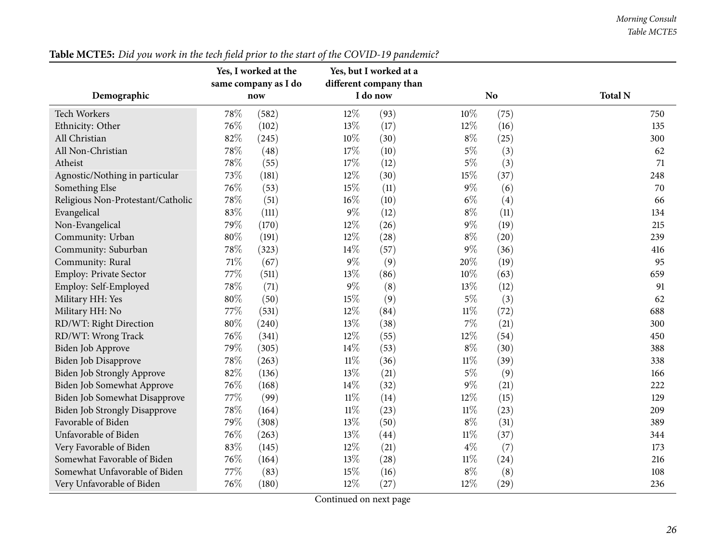*Morning Consult Table MCTE5*

|                                      |     | Yes, I worked at the<br>same company as I do |                                 | Yes, but I worked at a<br>different company than |        |                |                |
|--------------------------------------|-----|----------------------------------------------|---------------------------------|--------------------------------------------------|--------|----------------|----------------|
| Demographic                          |     | now                                          |                                 | I do now                                         |        | N <sub>o</sub> | <b>Total N</b> |
| <b>Tech Workers</b>                  | 78% | (582)                                        | 12%                             | (93)                                             | $10\%$ | (75)           | 750            |
| Ethnicity: Other                     | 76% | (102)                                        | 13%                             | (17)                                             | 12%    | (16)           | 135            |
| All Christian                        | 82% | (245)                                        | 10%                             | (30)                                             | $8\%$  | (25)           | 300            |
| All Non-Christian                    | 78% | (48)                                         | 17%                             | (10)                                             | $5\%$  | (3)            | 62             |
| Atheist                              | 78% | (55)                                         | 17%                             | (12)                                             | $5\%$  | (3)            | 71             |
| Agnostic/Nothing in particular       | 73% | (181)                                        | 12%                             | (30)                                             | $15\%$ | (37)           | 248            |
| Something Else                       | 76% | (53)                                         | 15%                             | (11)                                             | $9\%$  | (6)            | 70             |
| Religious Non-Protestant/Catholic    | 78% | (51)                                         | $16\%$                          | (10)                                             | $6\%$  | (4)            | 66             |
| Evangelical                          | 83% | (111)                                        | $9\%$                           | (12)                                             | $8\%$  | (11)           | 134            |
| Non-Evangelical                      | 79% | (170)                                        | 12%                             | (26)                                             | $9\%$  | (19)           | 215            |
| Community: Urban                     | 80% | (191)                                        | 12%                             | (28)                                             | $8\%$  | (20)           | 239            |
| Community: Suburban                  | 78% | (323)                                        | 14%                             | (57)                                             | $9\%$  | (36)           | 416            |
| Community: Rural                     | 71% | (67)                                         | $9\%$                           | (9)                                              | 20%    | (19)           | 95             |
| <b>Employ: Private Sector</b>        | 77% | (511)                                        | 13%                             | (86)                                             | 10%    | (63)           | 659            |
| Employ: Self-Employed                | 78% | (71)                                         | 9%                              | (8)                                              | 13%    | (12)           | 91             |
| Military HH: Yes                     | 80% | (50)                                         | 15%                             | (9)                                              | $5\%$  | (3)            | 62             |
| Military HH: No                      | 77% | (531)                                        | 12%                             | (84)                                             | $11\%$ | (72)           | 688            |
| RD/WT: Right Direction               | 80% | (240)                                        | 13%                             | (38)                                             | 7%     | (21)           | 300            |
| RD/WT: Wrong Track                   | 76% | (341)                                        | 12%                             | (55)                                             | 12%    | (54)           | 450            |
| Biden Job Approve                    | 79% | (305)                                        | 14\%                            | (53)                                             | $8\%$  | (30)           | 388            |
| Biden Job Disapprove                 | 78% | (263)                                        | $11\%$                          | (36)                                             | $11\%$ | (39)           | 338            |
| <b>Biden Job Strongly Approve</b>    | 82% | (136)                                        | 13%                             | (21)                                             | $5\%$  | (9)            | 166            |
| Biden Job Somewhat Approve           | 76% | (168)                                        | 14\%                            | (32)                                             | $9\%$  | (21)           | 222            |
| Biden Job Somewhat Disapprove        | 77% | (99)                                         | $11\%$                          | (14)                                             | 12%    | (15)           | 129            |
| <b>Biden Job Strongly Disapprove</b> | 78% | (164)                                        | $11\%$                          | (23)                                             | $11\%$ | (23)           | 209            |
| Favorable of Biden                   | 79% | (308)                                        | 13%                             | (50)                                             | $8\%$  | (31)           | 389            |
| Unfavorable of Biden                 | 76% | (263)                                        | 13%                             | (44)                                             | $11\%$ | (37)           | 344            |
| Very Favorable of Biden              | 83% | (145)                                        | $12\%$                          | (21)                                             | $4\%$  | (7)            | 173            |
| Somewhat Favorable of Biden          | 76% | (164)                                        | 13%                             | (28)                                             | $11\%$ | (24)           | 216            |
| Somewhat Unfavorable of Biden        | 77% | (83)                                         | 15%                             | (16)                                             | $8\%$  | (8)            | 108            |
| Very Unfavorable of Biden            | 76% | (180)                                        | 12%<br>$\overline{\phantom{0}}$ | (27)                                             | 12%    | (29)           | 236            |

## Table MCTE5: Did you work in the tech field prior to the start of the COVID-19 pandemic?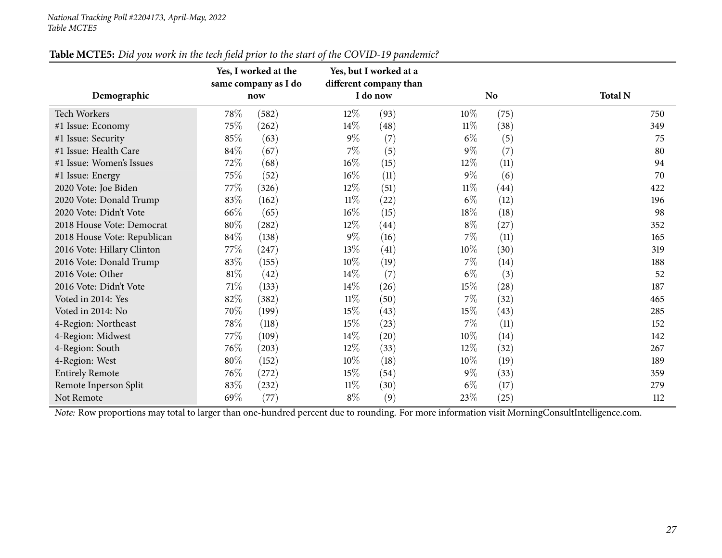|                             |        | Yes, I worked at the<br>same company as I do |        | Yes, but I worked at a<br>different company than |        |                    |                |
|-----------------------------|--------|----------------------------------------------|--------|--------------------------------------------------|--------|--------------------|----------------|
| Demographic                 |        | now                                          |        | I do now                                         |        | N <sub>o</sub>     | <b>Total N</b> |
| <b>Tech Workers</b>         | 78%    | (582)                                        | 12%    | (93)                                             | $10\%$ | (75)               | 750            |
| #1 Issue: Economy           | 75%    | (262)                                        | 14%    | (48)                                             | $11\%$ | (38)               | 349            |
| #1 Issue: Security          | 85%    | (63)                                         | $9\%$  | (7)                                              | $6\%$  | (5)                | 75             |
| #1 Issue: Health Care       | 84%    | (67)                                         | $7\%$  | (5)                                              | $9\%$  | (7)                | 80             |
| #1 Issue: Women's Issues    | 72%    | (68)                                         | $16\%$ | (15)                                             | 12%    | (11)               | 94             |
| #1 Issue: Energy            | 75%    | (52)                                         | $16\%$ | (11)                                             | $9\%$  | (6)                | 70             |
| 2020 Vote: Joe Biden        | 77%    | (326)                                        | $12\%$ | (51)                                             | $11\%$ | $\left( 44\right)$ | 422            |
| 2020 Vote: Donald Trump     | 83%    | (162)                                        | $11\%$ | $^{(22)}$                                        | $6\%$  | (12)               | 196            |
| 2020 Vote: Didn't Vote      | 66%    | (65)                                         | $16\%$ | (15)                                             | 18%    | (18)               | 98             |
| 2018 House Vote: Democrat   | 80%    | (282)                                        | 12\%   | (44)                                             | $8\%$  | (27)               | 352            |
| 2018 House Vote: Republican | 84%    | (138)                                        | $9\%$  | (16)                                             | $7\%$  | (11)               | 165            |
| 2016 Vote: Hillary Clinton  | 77\%   | (247)                                        | 13%    | (41)                                             | 10%    | (30)               | 319            |
| 2016 Vote: Donald Trump     | 83%    | (155)                                        | $10\%$ | (19)                                             | $7\%$  | (14)               | 188            |
| 2016 Vote: Other            | $81\%$ | (42)                                         | 14\%   | (7)                                              | $6\%$  | (3)                | 52             |
| 2016 Vote: Didn't Vote      | 71\%   | (133)                                        | 14\%   | (26)                                             | 15%    | $\left( 28\right)$ | 187            |
| Voted in 2014: Yes          | 82%    | (382)                                        | $11\%$ | (50)                                             | $7\%$  | (32)               | 465            |
| Voted in 2014: No           | 70%    | (199)                                        | 15\%   | (43)                                             | 15\%   | (43)               | 285            |
| 4-Region: Northeast         | 78\%   | (118)                                        | 15\%   | (23)                                             | $7\%$  | (11)               | 152            |
| 4-Region: Midwest           | 77\%   | (109)                                        | 14\%   | (20)                                             | $10\%$ | (14)               | 142            |
| 4-Region: South             | 76%    | (203)                                        | 12%    | (33)                                             | 12%    | (32)               | 267            |
| 4-Region: West              | 80%    | (152)                                        | $10\%$ | (18)                                             | 10%    | (19)               | 189            |
| <b>Entirely Remote</b>      | 76%    | (272)                                        | 15\%   | (54)                                             | $9\%$  | (33)               | 359            |
| Remote Inperson Split       | 83%    | (232)                                        | $11\%$ | (30)                                             | $6\%$  | (17)               | 279            |
| Not Remote                  | 69%    | (77)                                         | $8\%$  | (9)                                              | 23%    | (25)               | 112            |

#### Table MCTE5: Did you work in the tech field prior to the start of the COVID-19 pandemic?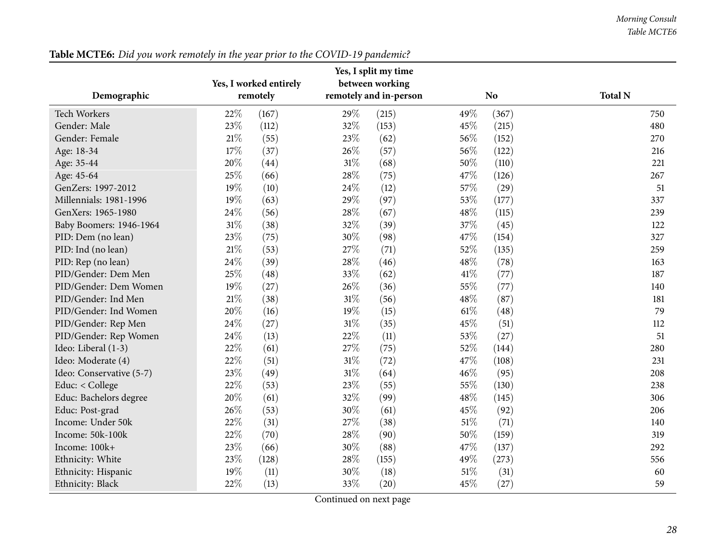#### *Morning Consult Table MCTE6*

<span id="page-27-0"></span>

|                          |      | Yes, I split my time   |                                   |                        |        |                |                |
|--------------------------|------|------------------------|-----------------------------------|------------------------|--------|----------------|----------------|
|                          |      | Yes, I worked entirely |                                   | between working        |        |                |                |
| Demographic              |      | remotely               |                                   | remotely and in-person |        | N <sub>o</sub> | <b>Total N</b> |
| <b>Tech Workers</b>      | 22%  | (167)                  | 29%                               | (215)                  | 49%    | (367)          | 750            |
| Gender: Male             | 23%  | (112)                  | 32%                               | (153)                  | 45%    | (215)          | 480            |
| Gender: Female           | 21\% | (55)                   | 23%                               | (62)                   | 56%    | (152)          | 270            |
| Age: 18-34               | 17%  | (37)                   | 26%                               | (57)                   | 56%    | (122)          | 216            |
| Age: 35-44               | 20%  | (44)                   | $31\%$                            | (68)                   | 50%    | (110)          | 221            |
| Age: 45-64               | 25%  | (66)                   | 28%                               | (75)                   | 47%    | (126)          | 267            |
| GenZers: 1997-2012       | 19%  | (10)                   | 24%                               | (12)                   | 57%    | (29)           | 51             |
| Millennials: 1981-1996   | 19%  | (63)                   | 29%                               | (97)                   | 53%    | (177)          | 337            |
| GenXers: 1965-1980       | 24%  | (56)                   | 28%                               | (67)                   | 48%    | (115)          | 239            |
| Baby Boomers: 1946-1964  | 31%  | (38)                   | 32%                               | (39)                   | 37%    | (45)           | 122            |
| PID: Dem (no lean)       | 23%  | (75)                   | 30%                               | (98)                   | 47%    | (154)          | 327            |
| PID: Ind (no lean)       | 21%  | (53)                   | 27%                               | (71)                   | 52%    | (135)          | 259            |
| PID: Rep (no lean)       | 24%  | (39)                   | 28%                               | (46)                   | 48%    | (78)           | 163            |
| PID/Gender: Dem Men      | 25%  | (48)                   | 33%                               | (62)                   | 41\%   | (77)           | 187            |
| PID/Gender: Dem Women    | 19%  | (27)                   | 26%                               | (36)                   | 55%    | (77)           | 140            |
| PID/Gender: Ind Men      | 21%  | (38)                   | $31\%$                            | (56)                   | 48%    | (87)           | 181            |
| PID/Gender: Ind Women    | 20%  | (16)                   | 19%                               | (15)                   | $61\%$ | (48)           | 79             |
| PID/Gender: Rep Men      | 24%  | (27)                   | $31\%$                            | (35)                   | 45%    | (51)           | 112            |
| PID/Gender: Rep Women    | 24%  | (13)                   | 22%                               | (11)                   | 53%    | (27)           | 51             |
| Ideo: Liberal (1-3)      | 22%  | (61)                   | 27%                               | (75)                   | 52%    | (144)          | 280            |
| Ideo: Moderate (4)       | 22%  | (51)                   | $31\%$                            | (72)                   | 47%    | (108)          | 231            |
| Ideo: Conservative (5-7) | 23%  | (49)                   | $31\%$                            | (64)                   | 46%    | (95)           | 208            |
| Educ: < College          | 22%  | (53)                   | 23%                               | (55)                   | 55%    | (130)          | 238            |
| Educ: Bachelors degree   | 20%  | (61)                   | 32%                               | (99)                   | 48%    | (145)          | 306            |
| Educ: Post-grad          | 26%  | (53)                   | 30%                               | (61)                   | 45%    | (92)           | 206            |
| Income: Under 50k        | 22%  | (31)                   | 27%                               | (38)                   | $51\%$ | (71)           | 140            |
| Income: 50k-100k         | 22%  | (70)                   | 28%                               | (90)                   | 50%    | (159)          | 319            |
| Income: 100k+            | 23%  | (66)                   | 30%                               | (88)                   | 47%    | (137)          | 292            |
| Ethnicity: White         | 23%  | (128)                  | 28%                               | (155)                  | 49%    | (273)          | 556            |
| Ethnicity: Hispanic      | 19%  | (11)                   | 30%                               | (18)                   | $51\%$ | (31)           | 60             |
| Ethnicity: Black         | 22%  | (13)                   | 33%<br>$\sqrt{ }$<br>$\mathbf{1}$ | (20)                   | 45%    | (27)           | 59             |

Table MCTE6: Did you work remotely in the year prior to the COVID-19 pandemic?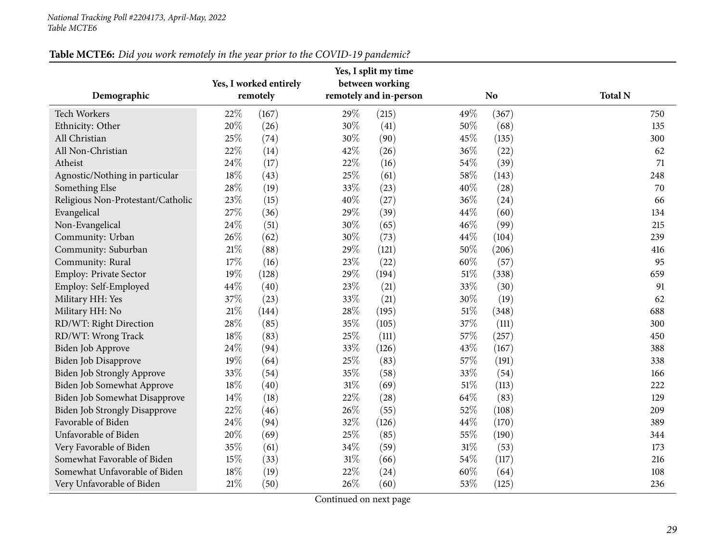|                                      |      | Yes, I worked entirely |     | Yes, I split my time<br>between working |        |           |                |
|--------------------------------------|------|------------------------|-----|-----------------------------------------|--------|-----------|----------------|
| Demographic                          |      | remotely               |     | remotely and in-person                  |        | <b>No</b> | <b>Total N</b> |
| <b>Tech Workers</b>                  | 22%  | (167)                  | 29% | (215)                                   | 49%    | (367)     | 750            |
| Ethnicity: Other                     | 20%  | (26)                   | 30% | (41)                                    | 50%    | (68)      | 135            |
| All Christian                        | 25%  | (74)                   | 30% | (90)                                    | 45%    | (135)     | 300            |
| All Non-Christian                    | 22%  | (14)                   | 42% | (26)                                    | 36%    | (22)      | 62             |
| Atheist                              | 24%  | (17)                   | 22% | (16)                                    | 54\%   | (39)      | 71             |
| Agnostic/Nothing in particular       | 18%  | (43)                   | 25% | (61)                                    | 58%    | (143)     | 248            |
| Something Else                       | 28%  | (19)                   | 33% | (23)                                    | 40%    | (28)      | 70             |
| Religious Non-Protestant/Catholic    | 23%  | (15)                   | 40% | (27)                                    | 36%    | (24)      | 66             |
| Evangelical                          | 27%  | (36)                   | 29% | (39)                                    | 44\%   | (60)      | 134            |
| Non-Evangelical                      | 24%  | (51)                   | 30% | (65)                                    | 46%    | (99)      | 215            |
| Community: Urban                     | 26%  | (62)                   | 30% | (73)                                    | $44\%$ | (104)     | 239            |
| Community: Suburban                  | 21%  | (88)                   | 29% | (121)                                   | $50\%$ | (206)     | 416            |
| Community: Rural                     | 17%  | (16)                   | 23% | (22)                                    | 60%    | (57)      | 95             |
| <b>Employ: Private Sector</b>        | 19%  | (128)                  | 29% | (194)                                   | $51\%$ | (338)     | 659            |
| Employ: Self-Employed                | 44%  | (40)                   | 23% | (21)                                    | 33%    | (30)      | 91             |
| Military HH: Yes                     | 37%  | (23)                   | 33% | (21)                                    | 30%    | (19)      | 62             |
| Military HH: No                      | 21\% | (144)                  | 28% | (195)                                   | $51\%$ | (348)     | 688            |
| RD/WT: Right Direction               | 28%  | (85)                   | 35% | (105)                                   | 37%    | (111)     | 300            |
| RD/WT: Wrong Track                   | 18%  | (83)                   | 25% | (111)                                   | 57%    | (257)     | 450            |
| Biden Job Approve                    | 24%  | (94)                   | 33% | (126)                                   | 43%    | (167)     | 388            |
| Biden Job Disapprove                 | 19%  | (64)                   | 25% | (83)                                    | 57%    | (191)     | 338            |
| <b>Biden Job Strongly Approve</b>    | 33%  | (54)                   | 35% | (58)                                    | 33%    | (54)      | 166            |
| Biden Job Somewhat Approve           | 18%  | (40)                   | 31% | (69)                                    | $51\%$ | (113)     | 222            |
| Biden Job Somewhat Disapprove        | 14%  | (18)                   | 22% | (28)                                    | 64\%   | (83)      | 129            |
| <b>Biden Job Strongly Disapprove</b> | 22%  | (46)                   | 26% | (55)                                    | 52%    | (108)     | 209            |
| Favorable of Biden                   | 24%  | (94)                   | 32% | (126)                                   | 44\%   | (170)     | 389            |
| Unfavorable of Biden                 | 20%  | (69)                   | 25% | (85)                                    | 55%    | (190)     | 344            |
| Very Favorable of Biden              | 35%  | (61)                   | 34% | (59)                                    | $31\%$ | (53)      | 173            |
| Somewhat Favorable of Biden          | 15%  | (33)                   | 31% | (66)                                    | 54\%   | (117)     | 216            |
| Somewhat Unfavorable of Biden        | 18%  | (19)                   | 22% | (24)                                    | 60%    | (64)      | 108            |
| Very Unfavorable of Biden            | 21%  | (50)                   | 26% | (60)                                    | 53%    | (125)     | 236            |

#### Table MCTE6: Did you work remotely in the year prior to the COVID-19 pandemic?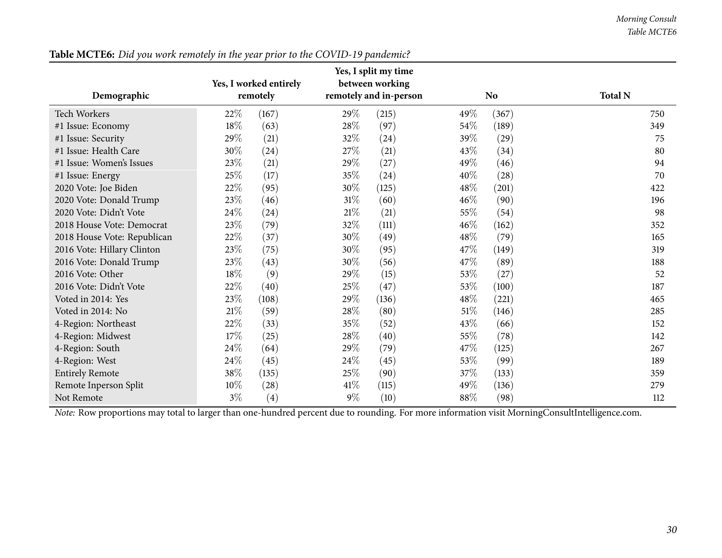| Demographic                 | Yes, I worked entirely<br>remotely |       |        | Yes, I split my time<br>between working<br>remotely and in-person |        | <b>No</b> | <b>Total N</b> |
|-----------------------------|------------------------------------|-------|--------|-------------------------------------------------------------------|--------|-----------|----------------|
| <b>Tech Workers</b>         | 22%                                | (167) | 29%    | (215)                                                             | 49%    | (367)     | 750            |
| #1 Issue: Economy           | 18%                                | (63)  | 28\%   | (97)                                                              | $54\%$ | (189)     | 349            |
| #1 Issue: Security          | 29%                                | (21)  | 32\%   | (24)                                                              | 39\%   | (29)      | 75             |
| #1 Issue: Health Care       | 30%                                | (24)  | 27\%   | (21)                                                              | 43%    | (34)      | 80             |
| #1 Issue: Women's Issues    | 23%                                | (21)  | 29%    | (27)                                                              | 49%    | (46)      | 94             |
| #1 Issue: Energy            | 25\%                               | (17)  | 35%    | (24)                                                              | 40%    | (28)      | 70             |
| 2020 Vote: Joe Biden        | 22%                                | (95)  | 30%    | (125)                                                             | 48\%   | (201)     | 422            |
| 2020 Vote: Donald Trump     | 23%                                | (46)  | $31\%$ | (60)                                                              | 46%    | (90)      | 196            |
| 2020 Vote: Didn't Vote      | 24%                                | (24)  | 21\%   | (21)                                                              | 55%    | (54)      | 98             |
| 2018 House Vote: Democrat   | 23\%                               | (79)  | 32%    | (111)                                                             | 46\%   | (162)     | 352            |
| 2018 House Vote: Republican | 22\%                               | (37)  | 30%    | (49)                                                              | 48\%   | (79)      | 165            |
| 2016 Vote: Hillary Clinton  | 23%                                | (75)  | 30%    | (95)                                                              | 47\%   | (149)     | 319            |
| 2016 Vote: Donald Trump     | 23%                                | (43)  | 30%    | (56)                                                              | 47\%   | (89)      | 188            |
| 2016 Vote: Other            | 18\%                               | (9)   | 29%    | (15)                                                              | 53%    | (27)      | 52             |
| 2016 Vote: Didn't Vote      | 22%                                | (40)  | 25%    | (47)                                                              | 53\%   | (100)     | 187            |
| Voted in 2014: Yes          | 23%                                | (108) | 29%    | (136)                                                             | 48\%   | (221)     | 465            |
| Voted in 2014: No           | 21%                                | (59)  | 28\%   | (80)                                                              | 51\%   | (146)     | 285            |
| 4-Region: Northeast         | 22%                                | (33)  | 35%    | (52)                                                              | 43%    | (66)      | 152            |
| 4-Region: Midwest           | 17%                                | (25)  | 28\%   | (40)                                                              | 55%    | (78)      | 142            |
| 4-Region: South             | 24%                                | (64)  | 29%    | (79)                                                              | 47\%   | (125)     | 267            |
| 4-Region: West              | 24\%                               | (45)  | 24\%   | (45)                                                              | 53%    | (99)      | 189            |
| <b>Entirely Remote</b>      | 38%                                | (135) | 25%    | (90)                                                              | 37%    | (133)     | 359            |
| Remote Inperson Split       | $10\%$                             | (28)  | 41\%   | (115)                                                             | 49%    | (136)     | 279            |
| Not Remote                  | $3\%$                              | (4)   | $9\%$  | (10)                                                              | 88\%   | (98)      | 112            |

Table MCTE6: Did you work remotely in the year prior to the COVID-19 pandemic?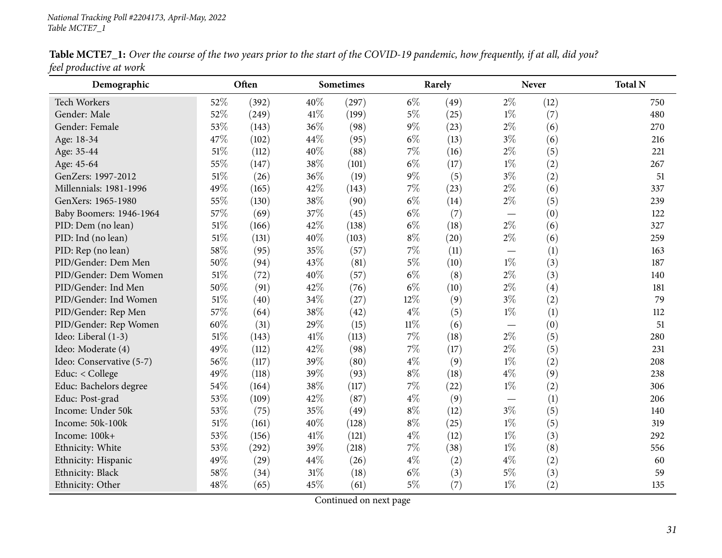<span id="page-30-0"></span>

| Demographic              |        | Often |     | <b>Sometimes</b> |        | Rarely |       | <b>Never</b> | <b>Total N</b> |
|--------------------------|--------|-------|-----|------------------|--------|--------|-------|--------------|----------------|
| <b>Tech Workers</b>      | 52%    | (392) | 40% | (297)            | $6\%$  | (49)   | $2\%$ | (12)         | 750            |
| Gender: Male             | 52%    | (249) | 41% | (199)            | $5\%$  | (25)   | $1\%$ | (7)          | 480            |
| Gender: Female           | 53%    | (143) | 36% | (98)             | $9\%$  | (23)   | $2\%$ | (6)          | 270            |
| Age: 18-34               | 47%    | (102) | 44% | (95)             | $6\%$  | (13)   | $3\%$ | (6)          | 216            |
| Age: 35-44               | 51\%   | (112) | 40% | (88)             | 7%     | (16)   | $2\%$ | (5)          | 221            |
| Age: 45-64               | 55%    | (147) | 38% | (101)            | $6\%$  | (17)   | $1\%$ | (2)          | 267            |
| GenZers: 1997-2012       | $51\%$ | (26)  | 36% | (19)             | $9\%$  | (5)    | $3\%$ | (2)          | 51             |
| Millennials: 1981-1996   | 49%    | (165) | 42% | (143)            | 7%     | (23)   | $2\%$ | (6)          | 337            |
| GenXers: 1965-1980       | 55%    | (130) | 38% | (90)             | $6\%$  | (14)   | $2\%$ | (5)          | 239            |
| Baby Boomers: 1946-1964  | 57%    | (69)  | 37% | (45)             | $6\%$  | (7)    |       | (0)          | 122            |
| PID: Dem (no lean)       | $51\%$ | (166) | 42% | (138)            | $6\%$  | (18)   | $2\%$ | (6)          | 327            |
| PID: Ind (no lean)       | $51\%$ | (131) | 40% | (103)            | $8\%$  | (20)   | $2\%$ | (6)          | 259            |
| PID: Rep (no lean)       | 58\%   | (95)  | 35% | (57)             | 7%     | (11)   |       | (1)          | 163            |
| PID/Gender: Dem Men      | 50%    | (94)  | 43% | (81)             | $5\%$  | (10)   | $1\%$ | (3)          | 187            |
| PID/Gender: Dem Women    | $51\%$ | (72)  | 40% | (57)             | $6\%$  | (8)    | $2\%$ | (3)          | 140            |
| PID/Gender: Ind Men      | $50\%$ | (91)  | 42% | (76)             | $6\%$  | (10)   | $2\%$ | (4)          | 181            |
| PID/Gender: Ind Women    | $51\%$ | (40)  | 34% | (27)             | 12%    | (9)    | $3\%$ | (2)          | 79             |
| PID/Gender: Rep Men      | 57%    | (64)  | 38% | (42)             | $4\%$  | (5)    | $1\%$ | (1)          | 112            |
| PID/Gender: Rep Women    | 60%    | (31)  | 29% | (15)             | $11\%$ | (6)    |       | (0)          | 51             |
| Ideo: Liberal (1-3)      | 51\%   | (143) | 41% | (113)            | 7%     | (18)   | $2\%$ | (5)          | 280            |
| Ideo: Moderate (4)       | 49%    | (112) | 42% | (98)             | 7%     | (17)   | $2\%$ | (5)          | 231            |
| Ideo: Conservative (5-7) | 56%    | (117) | 39% | (80)             | $4\%$  | (9)    | $1\%$ | (2)          | 208            |
| Educ: < College          | 49%    | (118) | 39% | (93)             | $8\%$  | (18)   | $4\%$ | (9)          | 238            |
| Educ: Bachelors degree   | 54%    | (164) | 38% | (117)            | 7%     | (22)   | $1\%$ | (2)          | 306            |
| Educ: Post-grad          | 53%    | (109) | 42% | (87)             | $4\%$  | (9)    |       | (1)          | 206            |
| Income: Under 50k        | 53%    | (75)  | 35% | (49)             | $8\%$  | (12)   | $3\%$ | (5)          | 140            |
| Income: 50k-100k         | $51\%$ | (161) | 40% | (128)            | $8\%$  | (25)   | $1\%$ | (5)          | 319            |
| Income: 100k+            | 53%    | (156) | 41% | (121)            | $4\%$  | (12)   | $1\%$ | (3)          | 292            |
| Ethnicity: White         | 53%    | (292) | 39% | (218)            | 7%     | (38)   | $1\%$ | (8)          | 556            |
| Ethnicity: Hispanic      | 49%    | (29)  | 44% | (26)             | $4\%$  | (2)    | $4\%$ | (2)          | 60             |
| Ethnicity: Black         | 58%    | (34)  | 31% | (18)             | $6\%$  | (3)    | $5\%$ | (3)          | 59             |
| Ethnicity: Other         | 48%    | (65)  | 45% | (61)             | $5\%$  | (7)    | $1\%$ | (2)          | 135            |

Table MCTE7\_1: Over the course of the two years prior to the start of the COVID-19 pandemic, how frequently, if at all, did you? *feel productive at work*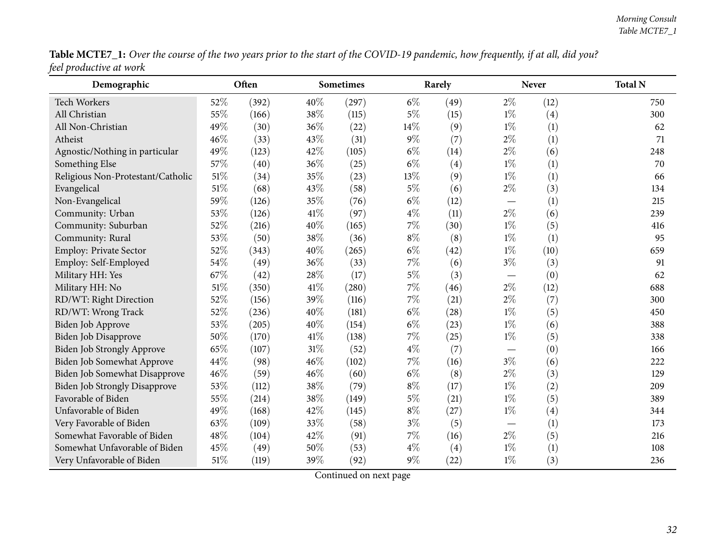| Table MCTE7_1: Over the course of the two years prior to the start of the COVID-19 pandemic, how frequently, if at all, did you? |  |
|----------------------------------------------------------------------------------------------------------------------------------|--|
| feel productive at work                                                                                                          |  |

| Demographic                          |     | Often |      | <b>Sometimes</b> |       | Rarely |       | Never | <b>Total N</b> |
|--------------------------------------|-----|-------|------|------------------|-------|--------|-------|-------|----------------|
| Tech Workers                         | 52% | (392) | 40%  | (297)            | $6\%$ | (49)   | $2\%$ | (12)  | 750            |
| All Christian                        | 55% | (166) | 38%  | (115)            | $5\%$ | (15)   | $1\%$ | (4)   | 300            |
| All Non-Christian                    | 49% | (30)  | 36%  | (22)             | 14%   | (9)    | $1\%$ | (1)   | 62             |
| Atheist                              | 46% | (33)  | 43%  | (31)             | $9\%$ | (7)    | $2\%$ | (1)   | 71             |
| Agnostic/Nothing in particular       | 49% | (123) | 42%  | (105)            | $6\%$ | (14)   | $2\%$ | (6)   | 248            |
| Something Else                       | 57% | (40)  | 36%  | (25)             | $6\%$ | (4)    | $1\%$ | (1)   | 70             |
| Religious Non-Protestant/Catholic    | 51% | (34)  | 35%  | (23)             | 13%   | (9)    | $1\%$ | (1)   | 66             |
| Evangelical                          | 51% | (68)  | 43%  | (58)             | $5\%$ | (6)    | $2\%$ | (3)   | 134            |
| Non-Evangelical                      | 59% | (126) | 35%  | (76)             | $6\%$ | (12)   |       | (1)   | 215            |
| Community: Urban                     | 53% | (126) | 41\% | (97)             | $4\%$ | (11)   | $2\%$ | (6)   | 239            |
| Community: Suburban                  | 52% | (216) | 40%  | (165)            | 7%    | (30)   | $1\%$ | (5)   | 416            |
| Community: Rural                     | 53% | (50)  | 38%  | (36)             | $8\%$ | (8)    | $1\%$ | (1)   | 95             |
| Employ: Private Sector               | 52% | (343) | 40%  | (265)            | $6\%$ | (42)   | $1\%$ | (10)  | 659            |
| Employ: Self-Employed                | 54% | (49)  | 36%  | (33)             | $7\%$ | (6)    | $3\%$ | (3)   | 91             |
| Military HH: Yes                     | 67% | (42)  | 28%  | (17)             | 5%    | (3)    |       | (0)   | 62             |
| Military HH: No                      | 51% | (350) | 41\% | (280)            | 7%    | (46)   | $2\%$ | (12)  | 688            |
| RD/WT: Right Direction               | 52% | (156) | 39%  | (116)            | 7%    | (21)   | $2\%$ | (7)   | 300            |
| RD/WT: Wrong Track                   | 52% | (236) | 40%  | (181)            | $6\%$ | (28)   | $1\%$ | (5)   | 450            |
| Biden Job Approve                    | 53% | (205) | 40%  | (154)            | $6\%$ | (23)   | $1\%$ | (6)   | 388            |
| Biden Job Disapprove                 | 50% | (170) | 41\% | (138)            | $7\%$ | (25)   | $1\%$ | (5)   | 338            |
| Biden Job Strongly Approve           | 65% | (107) | 31%  | (52)             | $4\%$ | (7)    |       | (0)   | 166            |
| Biden Job Somewhat Approve           | 44% | (98)  | 46%  | (102)            | 7%    | (16)   | $3\%$ | (6)   | 222            |
| Biden Job Somewhat Disapprove        | 46% | (59)  | 46%  | (60)             | $6\%$ | (8)    | $2\%$ | (3)   | 129            |
| <b>Biden Job Strongly Disapprove</b> | 53% | (112) | 38%  | (79)             | $8\%$ | (17)   | $1\%$ | (2)   | 209            |
| Favorable of Biden                   | 55% | (214) | 38%  | (149)            | $5\%$ | (21)   | $1\%$ | (5)   | 389            |
| Unfavorable of Biden                 | 49% | (168) | 42%  | (145)            | $8\%$ | (27)   | $1\%$ | (4)   | 344            |
| Very Favorable of Biden              | 63% | (109) | 33%  | (58)             | $3\%$ | (5)    |       | (1)   | 173            |
| Somewhat Favorable of Biden          | 48% | (104) | 42%  | (91)             | $7\%$ | (16)   | $2\%$ | (5)   | 216            |
| Somewhat Unfavorable of Biden        | 45% | (49)  | 50%  | (53)             | $4\%$ | (4)    | $1\%$ | (1)   | 108            |
| Very Unfavorable of Biden            | 51% | (119) | 39%  | (92)             | $9\%$ | (22)   | $1\%$ | (3)   | 236            |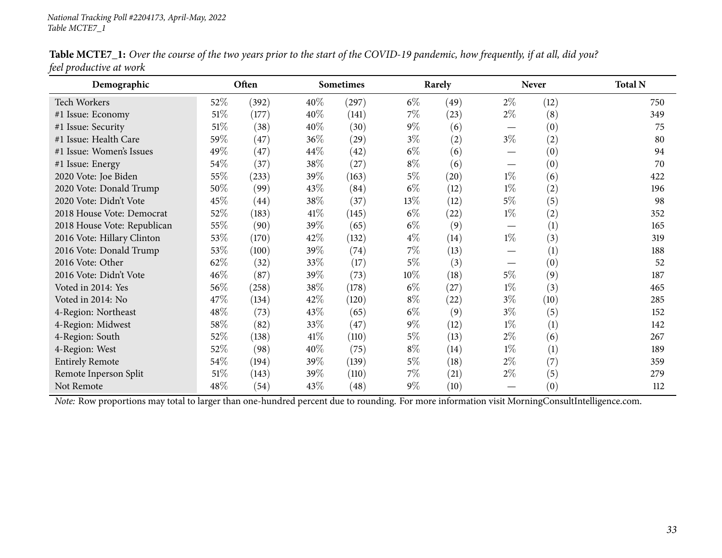| Demographic                                                                                                                                    |        | Often              |        | <b>Sometimes</b> |        | Rarely             |                               | <b>Never</b>     | <b>Total N</b> |
|------------------------------------------------------------------------------------------------------------------------------------------------|--------|--------------------|--------|------------------|--------|--------------------|-------------------------------|------------------|----------------|
| <b>Tech Workers</b>                                                                                                                            | 52\%   | (392)              | $40\%$ | (297)            | $6\%$  | (49)               | $2\%$                         | (12)             | 750            |
| #1 Issue: Economy                                                                                                                              | $51\%$ | (177)              | 40%    | (141)            | $7\%$  | (23)               | $2\%$                         | (8)              | 349            |
| #1 Issue: Security                                                                                                                             | 51\%   | (38)               | 40%    | (30)             | $9\%$  | (6)                | $\overbrace{\phantom{12333}}$ | (0)              | 75             |
| #1 Issue: Health Care                                                                                                                          | 59%    | (47)               | 36%    | (29)             | $3\%$  | (2)                | $3\%$                         | $\rm(2)$         | 80             |
| #1 Issue: Women's Issues                                                                                                                       | 49%    | (47)               | 44\%   | (42)             | $6\%$  | (6)                |                               | $\left(0\right)$ | 94             |
| #1 Issue: Energy                                                                                                                               | 54\%   | (37)               | 38\%   | (27)             | $8\%$  | (6)                | $\overbrace{\phantom{12333}}$ | $\left(0\right)$ | 70             |
| 2020 Vote: Joe Biden                                                                                                                           | 55%    | (233)              | 39%    | (163)            | $5\%$  | $\left( 20\right)$ | $1\%$                         | (6)              | 422            |
| 2020 Vote: Donald Trump                                                                                                                        | 50%    | (99)               | 43%    | (84)             | $6\%$  | (12)               | $1\%$                         | $\rm(2)$         | 196            |
| 2020 Vote: Didn't Vote                                                                                                                         | 45%    | $\left( 44\right)$ | 38%    | (37)             | $13\%$ | (12)               | $5\%$                         | (5)              | 98             |
| 2018 House Vote: Democrat                                                                                                                      | 52%    | (183)              | 41\%   | (145)            | $6\%$  | $\left( 22\right)$ | $1\%$                         | (2)              | 352            |
| 2018 House Vote: Republican                                                                                                                    | 55%    | (90)               | 39%    | (65)             | $6\%$  | (9)                |                               | (1)              | 165            |
| 2016 Vote: Hillary Clinton                                                                                                                     | 53%    | (170)              | 42\%   | (132)            | $4\%$  | (14)               | $1\%$                         | (3)              | 319            |
| 2016 Vote: Donald Trump                                                                                                                        | 53%    | (100)              | 39%    | (74)             | $7\%$  | (13)               |                               | (1)              | 188            |
| 2016 Vote: Other                                                                                                                               | 62%    | (32)               | 33\%   | (17)             | $5\%$  | (3)                |                               | (0)              | 52             |
| 2016 Vote: Didn't Vote                                                                                                                         | 46\%   | (87)               | 39%    | (73)             | $10\%$ | (18)               | $5\%$                         | (9)              | 187            |
| Voted in 2014: Yes                                                                                                                             | 56\%   | (258)              | 38\%   | (178)            | $6\%$  | (27)               | $1\%$                         | (3)              | 465            |
| Voted in 2014: No                                                                                                                              | 47\%   | (134)              | 42\%   | (120)            | $8\%$  | $^{(22)}$          | $3\%$                         | (10)             | 285            |
| 4-Region: Northeast                                                                                                                            | 48\%   | (73)               | 43\%   | (65)             | $6\%$  | (9)                | $3\%$                         | (5)              | 152            |
| 4-Region: Midwest                                                                                                                              | 58\%   | (82)               | 33%    | (47)             | $9\%$  | (12)               | $1\%$                         | (1)              | 142            |
| 4-Region: South                                                                                                                                | 52\%   | (138)              | 41\%   | (110)            | $5\%$  | (13)               | $2\%$                         | (6)              | 267            |
| 4-Region: West                                                                                                                                 | 52%    | (98)               | 40%    | (75)             | $8\%$  | (14)               | $1\%$                         | (1)              | 189            |
| <b>Entirely Remote</b>                                                                                                                         | 54\%   | (194)              | 39%    | (139)            | $5\%$  | (18)               | $2\%$                         | (7)              | 359            |
| Remote Inperson Split                                                                                                                          | 51\%   | (143)              | 39%    | (110)            | $7\%$  | (21)               | $2\%$                         | (5)              | 279            |
| Not Remote                                                                                                                                     | 48\%   | (54)               | 43\%   | (48)             | $9\%$  | (10)               |                               | (0)              | 112            |
| Note: Row proportions may total to larger than one-hundred percent due to rounding. For more information visit MorningConsultIntelligence.com. |        |                    |        |                  |        |                    |                               |                  |                |

Table MCTE7\_1: Over the course of the two years prior to the start of the COVID-19 pandemic, how frequently, if at all, did you? *feel productive at work*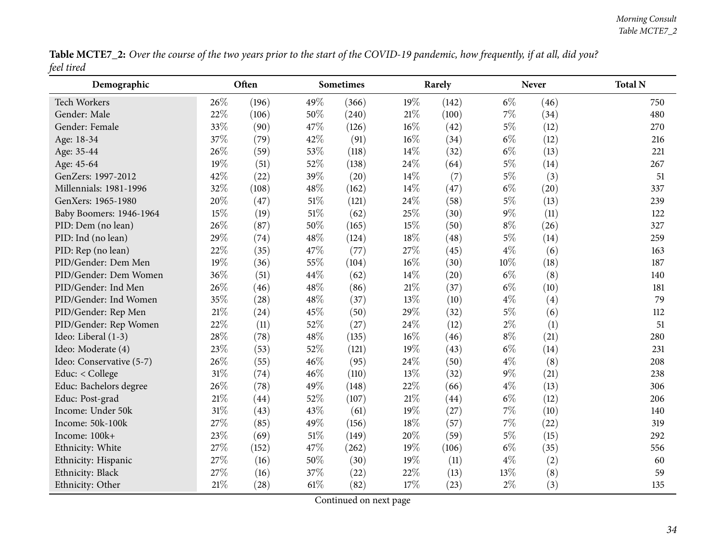Table MCTE7\_2: Over the course of the two years prior to the start of the COVID-19 pandemic, how frequently, if at all, did you? *feel tired*

<span id="page-33-0"></span>

| Demographic              |     | Often |      | <b>Sometimes</b> | Rarely |       |       | Never | <b>Total N</b> |
|--------------------------|-----|-------|------|------------------|--------|-------|-------|-------|----------------|
| Tech Workers             | 26% | (196) | 49%  | (366)            | 19%    | (142) | $6\%$ | (46)  | 750            |
| Gender: Male             | 22% | (106) | 50%  | (240)            | 21%    | (100) | $7\%$ | (34)  | 480            |
| Gender: Female           | 33% | (90)  | 47%  | (126)            | $16\%$ | (42)  | $5\%$ | (12)  | 270            |
| Age: 18-34               | 37% | (79)  | 42%  | (91)             | $16\%$ | (34)  | $6\%$ | (12)  | 216            |
| Age: 35-44               | 26% | (59)  | 53%  | (118)            | 14%    | (32)  | $6\%$ | (13)  | 221            |
| Age: 45-64               | 19% | (51)  | 52%  | (138)            | 24%    | (64)  | $5\%$ | (14)  | 267            |
| GenZers: 1997-2012       | 42% | (22)  | 39%  | (20)             | 14%    | (7)   | $5\%$ | (3)   | 51             |
| Millennials: 1981-1996   | 32% | (108) | 48%  | (162)            | 14%    | (47)  | $6\%$ | (20)  | 337            |
| GenXers: 1965-1980       | 20% | (47)  | 51%  | (121)            | 24%    | (58)  | $5\%$ | (13)  | 239            |
| Baby Boomers: 1946-1964  | 15% | (19)  | 51%  | (62)             | 25%    | (30)  | $9\%$ | (11)  | 122            |
| PID: Dem (no lean)       | 26% | (87)  | 50%  | (165)            | 15%    | (50)  | $8\%$ | (26)  | 327            |
| PID: Ind (no lean)       | 29% | (74)  | 48%  | (124)            | 18%    | (48)  | $5\%$ | (14)  | 259            |
| PID: Rep (no lean)       | 22% | (35)  | 47%  | (77)             | 27%    | (45)  | $4\%$ | (6)   | 163            |
| PID/Gender: Dem Men      | 19% | (36)  | 55%  | (104)            | 16%    | (30)  | 10%   | (18)  | 187            |
| PID/Gender: Dem Women    | 36% | (51)  | 44%  | (62)             | 14%    | (20)  | $6\%$ | (8)   | 140            |
| PID/Gender: Ind Men      | 26% | (46)  | 48%  | (86)             | $21\%$ | (37)  | $6\%$ | (10)  | 181            |
| PID/Gender: Ind Women    | 35% | (28)  | 48%  | (37)             | 13%    | (10)  | $4\%$ | (4)   | 79             |
| PID/Gender: Rep Men      | 21% | (24)  | 45%  | (50)             | 29%    | (32)  | $5\%$ | (6)   | 112            |
| PID/Gender: Rep Women    | 22% | (11)  | 52%  | (27)             | 24%    | (12)  | $2\%$ | (1)   | 51             |
| Ideo: Liberal (1-3)      | 28% | (78)  | 48%  | (135)            | 16%    | (46)  | $8\%$ | (21)  | 280            |
| Ideo: Moderate (4)       | 23% | (53)  | 52%  | (121)            | 19%    | (43)  | $6\%$ | (14)  | 231            |
| Ideo: Conservative (5-7) | 26% | (55)  | 46%  | (95)             | 24%    | (50)  | $4\%$ | (8)   | 208            |
| Educ: < College          | 31% | (74)  | 46%  | (110)            | 13%    | (32)  | $9\%$ | (21)  | 238            |
| Educ: Bachelors degree   | 26% | (78)  | 49%  | (148)            | 22%    | (66)  | $4\%$ | (13)  | 306            |
| Educ: Post-grad          | 21% | (44)  | 52%  | (107)            | 21%    | (44)  | $6\%$ | (12)  | 206            |
| Income: Under 50k        | 31% | (43)  | 43%  | (61)             | 19%    | (27)  | $7\%$ | (10)  | 140            |
| Income: 50k-100k         | 27% | (85)  | 49%  | (156)            | 18%    | (57)  | $7\%$ | (22)  | 319            |
| Income: 100k+            | 23% | (69)  | 51%  | (149)            | 20%    | (59)  | $5\%$ | (15)  | 292            |
| Ethnicity: White         | 27% | (152) | 47%  | (262)            | 19%    | (106) | $6\%$ | (35)  | 556            |
| Ethnicity: Hispanic      | 27% | (16)  | 50%  | (30)             | 19%    | (11)  | $4\%$ | (2)   | 60             |
| Ethnicity: Black         | 27% | (16)  | 37%  | (22)             | 22%    | (13)  | 13%   | (8)   | 59             |
| Ethnicity: Other         | 21% | (28)  | 61\% | (82)             | 17%    | (23)  | $2\%$ | (3)   | 135            |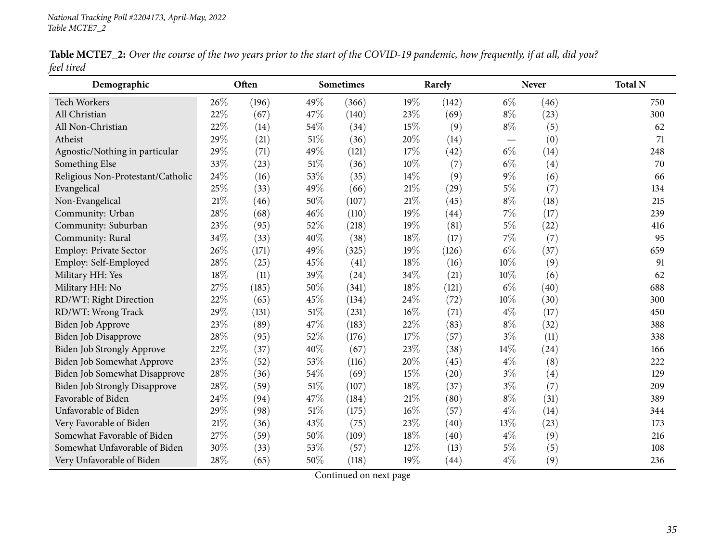| Table MCTE7_2: Over the course of the two years prior to the start of the COVID-19 pandemic, how frequently, if at all, did you? |  |
|----------------------------------------------------------------------------------------------------------------------------------|--|
| feel tired                                                                                                                       |  |

| Demographic                          |     | Often |        | <b>Sometimes</b> |        | Rarely |       | <b>Never</b>      | <b>Total N</b> |
|--------------------------------------|-----|-------|--------|------------------|--------|--------|-------|-------------------|----------------|
| <b>Tech Workers</b>                  | 26% | (196) | 49%    | (366)            | 19%    | (142)  | $6\%$ | (46)              | 750            |
| All Christian                        | 22% | (67)  | 47%    | (140)            | 23%    | (69)   | $8\%$ | (23)              | 300            |
| All Non-Christian                    | 22% | (14)  | 54%    | (34)             | 15%    | (9)    | $8\%$ | (5)               | 62             |
| Atheist                              | 29% | (21)  | $51\%$ | (36)             | 20%    | (14)   |       | (0)               | 71             |
| Agnostic/Nothing in particular       | 29% | (71)  | 49%    | (121)            | 17%    | (42)   | $6\%$ | (14)              | 248            |
| Something Else                       | 33% | (23)  | 51\%   | (36)             | 10%    | (7)    | $6\%$ | $\left( 4\right)$ | 70             |
| Religious Non-Protestant/Catholic    | 24% | (16)  | 53%    | (35)             | 14%    | (9)    | $9\%$ | (6)               | 66             |
| Evangelical                          | 25% | (33)  | 49%    | (66)             | 21%    | (29)   | $5\%$ | (7)               | 134            |
| Non-Evangelical                      | 21% | (46)  | 50%    | (107)            | 21%    | (45)   | $8\%$ | (18)              | 215            |
| Community: Urban                     | 28% | (68)  | 46%    | (110)            | 19%    | (44)   | 7%    | (17)              | 239            |
| Community: Suburban                  | 23% | (95)  | 52%    | (218)            | 19%    | (81)   | $5\%$ | (22)              | 416            |
| Community: Rural                     | 34% | (33)  | 40%    | (38)             | 18%    | (17)   | $7\%$ | (7)               | 95             |
| Employ: Private Sector               | 26% | (171) | 49%    | (325)            | 19%    | (126)  | $6\%$ | (37)              | 659            |
| Employ: Self-Employed                | 28% | (25)  | 45%    | (41)             | 18%    | (16)   | 10%   | (9)               | 91             |
| Military HH: Yes                     | 18% | (11)  | 39%    | (24)             | 34%    | (21)   | 10%   | (6)               | 62             |
| Military HH: No                      | 27% | (185) | 50%    | (341)            | 18%    | (121)  | $6\%$ | (40)              | 688            |
| RD/WT: Right Direction               | 22% | (65)  | 45%    | (134)            | 24%    | (72)   | 10%   | (30)              | 300            |
| RD/WT: Wrong Track                   | 29% | (131) | 51\%   | (231)            | $16\%$ | (71)   | $4\%$ | (17)              | 450            |
| <b>Biden Job Approve</b>             | 23% | (89)  | 47%    | (183)            | 22%    | (83)   | $8\%$ | (32)              | 388            |
| Biden Job Disapprove                 | 28% | (95)  | 52%    | (176)            | 17%    | (57)   | $3\%$ | (11)              | 338            |
| Biden Job Strongly Approve           | 22% | (37)  | 40%    | (67)             | 23%    | (38)   | 14%   | (24)              | 166            |
| Biden Job Somewhat Approve           | 23% | (52)  | 53%    | (116)            | 20%    | (45)   | $4\%$ | (8)               | 222            |
| Biden Job Somewhat Disapprove        | 28% | (36)  | 54%    | (69)             | 15%    | (20)   | $3\%$ | (4)               | 129            |
| <b>Biden Job Strongly Disapprove</b> | 28% | (59)  | 51%    | (107)            | 18%    | (37)   | $3\%$ | (7)               | 209            |
| Favorable of Biden                   | 24% | (94)  | 47%    | (184)            | 21\%   | (80)   | $8\%$ | (31)              | 389            |
| Unfavorable of Biden                 | 29% | (98)  | 51\%   | (175)            | 16%    | (57)   | $4\%$ | (14)              | 344            |
| Very Favorable of Biden              | 21% | (36)  | 43%    | (75)             | 23%    | (40)   | 13%   | (23)              | 173            |
| Somewhat Favorable of Biden          | 27% | (59)  | 50%    | (109)            | 18%    | (40)   | $4\%$ | (9)               | 216            |
| Somewhat Unfavorable of Biden        | 30% | (33)  | 53%    | (57)             | 12%    | (13)   | $5\%$ | (5)               | 108            |
| Very Unfavorable of Biden            | 28% | (65)  | 50%    | (118)            | 19%    | (44)   | $4\%$ | (9)               | 236            |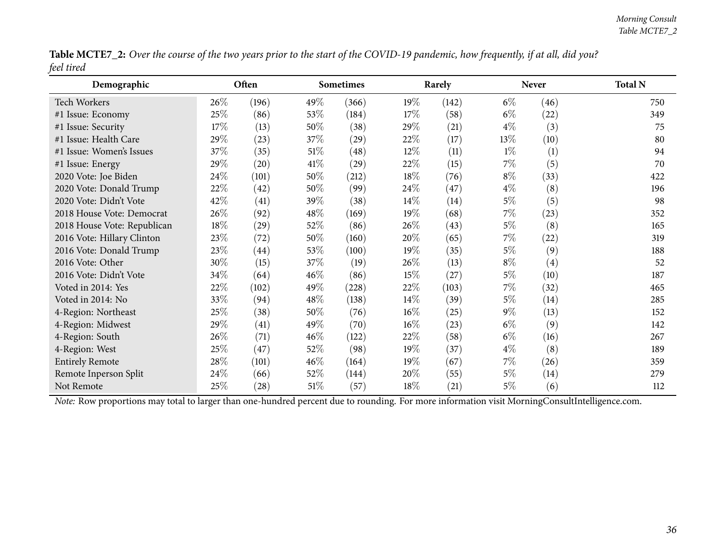Table MCTE7\_2: Over the course of the two years prior to the start of the COVID-19 pandemic, how frequently, if at all, did you? *feel tired*

| Demographic                 |        | Often              | <b>Sometimes</b> |       |        | Rarely |       | <b>Never</b>       | <b>Total N</b> |  |
|-----------------------------|--------|--------------------|------------------|-------|--------|--------|-------|--------------------|----------------|--|
| <b>Tech Workers</b>         | $26\%$ | (196)              | 49\%             | (366) | 19%    | (142)  | $6\%$ | (46)               | 750            |  |
| #1 Issue: Economy           | 25%    | (86)               | 53\%             | (184) | 17\%   | (58)   | $6\%$ | (22)               | 349            |  |
| #1 Issue: Security          | $17\%$ | (13)               | 50\%             | (38)  | 29%    | (21)   | $4\%$ | (3)                | 75             |  |
| #1 Issue: Health Care       | 29%    | (23)               | 37\%             | (29)  | 22\%   | (17)   | 13\%  | (10)               | 80             |  |
| #1 Issue: Women's Issues    | 37%    | (35)               | $51\%$           | (48)  | $12\%$ | (11)   | $1\%$ | (1)                | 94             |  |
| #1 Issue: Energy            | 29%    | (20)               | $41\%$           | (29)  | 22\%   | (15)   | $7\%$ | (5)                | 70             |  |
| 2020 Vote: Joe Biden        | 24\%   | (101)              | 50%              | (212) | 18\%   | (76)   | $8\%$ | (33)               | 422            |  |
| 2020 Vote: Donald Trump     | 22%    | (42)               | 50%              | (99)  | 24\%   | (47)   | $4\%$ | (8)                | 196            |  |
| 2020 Vote: Didn't Vote      | 42%    | (41)               | 39\%             | (38)  | $14\%$ | (14)   | $5\%$ | (5)                | 98             |  |
| 2018 House Vote: Democrat   | 26\%   | (92)               | $48\%$           | (169) | 19%    | (68)   | $7\%$ | (23)               | 352            |  |
| 2018 House Vote: Republican | 18%    | (29)               | 52\%             | (86)  | 26\%   | (43)   | $5\%$ | (8)                | 165            |  |
| 2016 Vote: Hillary Clinton  | 23%    | (72)               | 50\%             | (160) | 20%    | (65)   | $7\%$ | $\left( 22\right)$ | 319            |  |
| 2016 Vote: Donald Trump     | 23%    | $\left( 44\right)$ | 53\%             | (100) | $19\%$ | (35)   | $5\%$ | (9)                | 188            |  |
| 2016 Vote: Other            | 30%    | (15)               | 37\%             | (19)  | 26\%   | (13)   | $8\%$ | $\left( 4\right)$  | 52             |  |
| 2016 Vote: Didn't Vote      | 34\%   | (64)               | 46\%             | (86)  | 15%    | (27)   | $5\%$ | (10)               | 187            |  |
| Voted in 2014: Yes          | 22\%   | (102)              | 49\%             | (228) | 22\%   | (103)  | $7\%$ | (32)               | 465            |  |
| Voted in 2014: No           | 33\%   | (94)               | $48\%$           | (138) | $14\%$ | (39)   | $5\%$ | (14)               | 285            |  |
| 4-Region: Northeast         | 25%    | (38)               | 50\%             | (76)  | $16\%$ | (25)   | $9\%$ | (13)               | 152            |  |
| 4-Region: Midwest           | 29%    | (41)               | 49\%             | (70)  | $16\%$ | (23)   | $6\%$ | (9)                | 142            |  |
| 4-Region: South             | 26\%   | (71)               | 46\%             | (122) | 22\%   | (58)   | $6\%$ | (16)               | 267            |  |
| 4-Region: West              | 25%    | (47)               | 52\%             | (98)  | $19\%$ | (37)   | $4\%$ | (8)                | 189            |  |
| <b>Entirely Remote</b>      | 28\%   | (101)              | $46\%$           | (164) | 19%    | (67)   | $7\%$ | (26)               | 359            |  |
| Remote Inperson Split       | 24\%   | (66)               | 52\%             | (144) | 20%    | (55)   | $5\%$ | (14)               | 279            |  |
| Not Remote                  | 25%    | $\left( 28\right)$ | $51\%$           | (57)  | 18\%   | (21)   | $5\%$ | (6)                | 112            |  |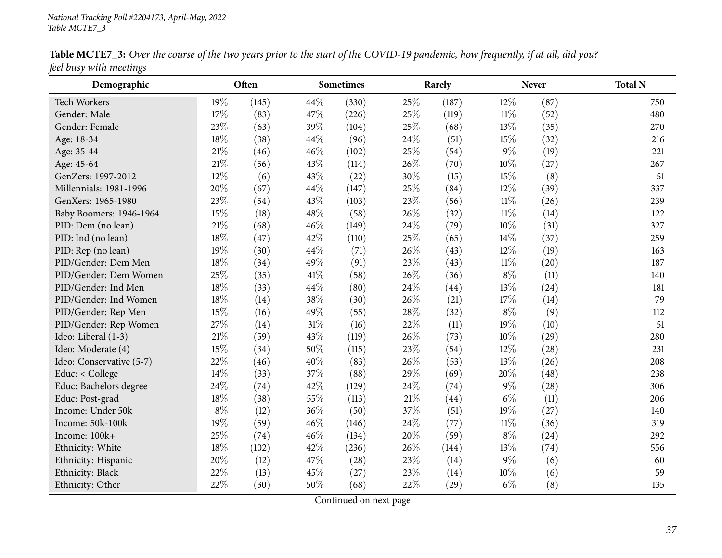| Demographic              |        | Often |      | <b>Sometimes</b> |      | Rarely |        | <b>Never</b> | <b>Total N</b> |
|--------------------------|--------|-------|------|------------------|------|--------|--------|--------------|----------------|
| <b>Tech Workers</b>      | 19%    | (145) | 44%  | (330)            | 25%  | (187)  | 12%    | (87)         | 750            |
| Gender: Male             | 17%    | (83)  | 47%  | (226)            | 25%  | (119)  | $11\%$ | (52)         | 480            |
| Gender: Female           | 23%    | (63)  | 39%  | (104)            | 25%  | (68)   | 13%    | (35)         | 270            |
| Age: 18-34               | 18%    | (38)  | 44%  | (96)             | 24\% | (51)   | 15%    | (32)         | 216            |
| Age: 35-44               | $21\%$ | (46)  | 46%  | (102)            | 25%  | (54)   | $9\%$  | (19)         | 221            |
| Age: 45-64               | $21\%$ | (56)  | 43%  | (114)            | 26%  | (70)   | 10%    | (27)         | 267            |
| GenZers: 1997-2012       | 12%    | (6)   | 43%  | (22)             | 30%  | (15)   | 15%    | (8)          | 51             |
| Millennials: 1981-1996   | 20%    | (67)  | 44%  | (147)            | 25%  | (84)   | 12%    | (39)         | 337            |
| GenXers: 1965-1980       | 23%    | (54)  | 43%  | (103)            | 23%  | (56)   | $11\%$ | (26)         | 239            |
| Baby Boomers: 1946-1964  | 15%    | (18)  | 48%  | (58)             | 26%  | (32)   | $11\%$ | (14)         | 122            |
| PID: Dem (no lean)       | $21\%$ | (68)  | 46%  | (149)            | 24%  | (79)   | 10%    | (31)         | 327            |
| PID: Ind (no lean)       | 18%    | (47)  | 42%  | (110)            | 25%  | (65)   | 14%    | (37)         | 259            |
| PID: Rep (no lean)       | 19%    | (30)  | 44%  | (71)             | 26%  | (43)   | 12%    | (19)         | 163            |
| PID/Gender: Dem Men      | 18%    | (34)  | 49%  | (91)             | 23%  | (43)   | $11\%$ | (20)         | 187            |
| PID/Gender: Dem Women    | 25%    | (35)  | 41\% | (58)             | 26%  | (36)   | $8\%$  | (11)         | 140            |
| PID/Gender: Ind Men      | 18%    | (33)  | 44%  | (80)             | 24%  | (44)   | 13%    | (24)         | 181            |
| PID/Gender: Ind Women    | 18%    | (14)  | 38%  | (30)             | 26%  | (21)   | 17%    | (14)         | 79             |
| PID/Gender: Rep Men      | 15%    | (16)  | 49%  | (55)             | 28%  | (32)   | $8\%$  | (9)          | 112            |
| PID/Gender: Rep Women    | 27%    | (14)  | 31%  | (16)             | 22%  | (11)   | 19%    | (10)         | 51             |
| Ideo: Liberal (1-3)      | $21\%$ | (59)  | 43%  | (119)            | 26%  | (73)   | 10%    | (29)         | 280            |
| Ideo: Moderate (4)       | 15%    | (34)  | 50%  | (115)            | 23%  | (54)   | 12%    | (28)         | 231            |
| Ideo: Conservative (5-7) | 22%    | (46)  | 40%  | (83)             | 26%  | (53)   | 13%    | (26)         | 208            |
| Educ: < College          | 14%    | (33)  | 37%  | (88)             | 29%  | (69)   | 20%    | (48)         | 238            |
| Educ: Bachelors degree   | 24%    | (74)  | 42%  | (129)            | 24%  | (74)   | $9\%$  | (28)         | 306            |
| Educ: Post-grad          | 18%    | (38)  | 55%  | (113)            | 21%  | (44)   | $6\%$  | (11)         | 206            |
| Income: Under 50k        | $8\%$  | (12)  | 36%  | (50)             | 37%  | (51)   | 19%    | (27)         | 140            |
| Income: 50k-100k         | 19%    | (59)  | 46%  | (146)            | 24%  | (77)   | $11\%$ | (36)         | 319            |
| Income: 100k+            | 25%    | (74)  | 46%  | (134)            | 20%  | (59)   | $8\%$  | (24)         | 292            |
| Ethnicity: White         | $18\%$ | (102) | 42%  | (236)            | 26%  | (144)  | 13%    | (74)         | 556            |
| Ethnicity: Hispanic      | 20%    | (12)  | 47%  | (28)             | 23%  | (14)   | $9\%$  | (6)          | 60             |
| Ethnicity: Black         | 22%    | (13)  | 45%  | (27)             | 23%  | (14)   | 10%    | (6)          | 59             |
| Ethnicity: Other         | 22%    | (30)  | 50%  | (68)             | 22%  | (29)   | $6\%$  | (8)          | 135            |

Table MCTE7\_3: Over the course of the two years prior to the start of the COVID-19 pandemic, how frequently, if at all, did you? *feel busy with meetings*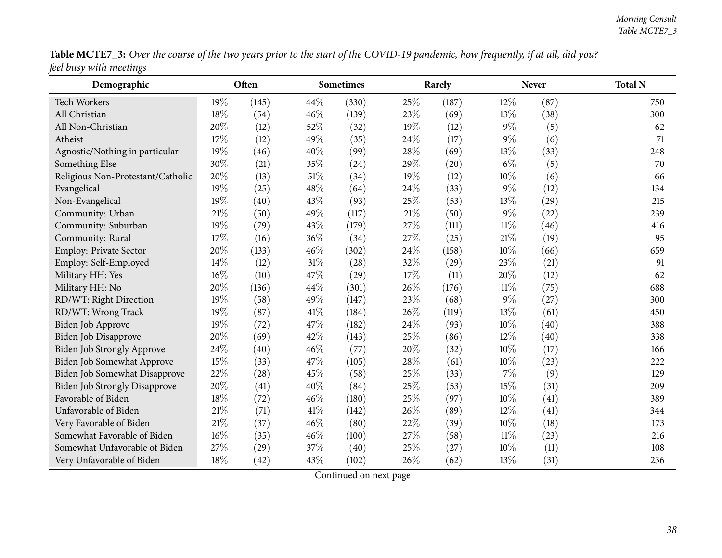| Table MCTE7_3: Over the course of the two years prior to the start of the COVID-19 pandemic, how frequently, if at all, did you? |  |
|----------------------------------------------------------------------------------------------------------------------------------|--|
| feel busy with meetings                                                                                                          |  |

| Demographic                          |     | Often |      | <b>Sometimes</b> |        | Rarely |        | <b>Never</b> | <b>Total N</b> |
|--------------------------------------|-----|-------|------|------------------|--------|--------|--------|--------------|----------------|
| <b>Tech Workers</b>                  | 19% | (145) | 44\% | (330)            | 25%    | (187)  | 12%    | (87)         | 750            |
| All Christian                        | 18% | (54)  | 46%  | (139)            | 23%    | (69)   | 13%    | (38)         | 300            |
| All Non-Christian                    | 20% | (12)  | 52%  | (32)             | 19%    | (12)   | $9\%$  | (5)          | 62             |
| Atheist                              | 17% | (12)  | 49%  | (35)             | 24%    | (17)   | $9\%$  | (6)          | 71             |
| Agnostic/Nothing in particular       | 19% | (46)  | 40%  | (99)             | 28%    | (69)   | 13%    | (33)         | 248            |
| Something Else                       | 30% | (21)  | 35%  | (24)             | 29%    | (20)   | $6\%$  | (5)          | 70             |
| Religious Non-Protestant/Catholic    | 20% | (13)  | 51%  | (34)             | 19%    | (12)   | 10%    | (6)          | 66             |
| Evangelical                          | 19% | (25)  | 48%  | (64)             | 24%    | (33)   | $9\%$  | (12)         | 134            |
| Non-Evangelical                      | 19% | (40)  | 43%  | (93)             | 25%    | (53)   | 13%    | (29)         | 215            |
| Community: Urban                     | 21% | (50)  | 49%  | (117)            | $21\%$ | (50)   | $9\%$  | (22)         | 239            |
| Community: Suburban                  | 19% | (79)  | 43%  | (179)            | 27%    | (111)  | $11\%$ | (46)         | 416            |
| Community: Rural                     | 17% | (16)  | 36%  | (34)             | 27%    | (25)   | 21%    | (19)         | 95             |
| Employ: Private Sector               | 20% | (133) | 46%  | (302)            | 24%    | (158)  | $10\%$ | (66)         | 659            |
| Employ: Self-Employed                | 14% | (12)  | 31%  | (28)             | 32%    | (29)   | 23%    | (21)         | 91             |
| Military HH: Yes                     | 16% | (10)  | 47%  | (29)             | 17%    | (11)   | 20%    | (12)         | 62             |
| Military HH: No                      | 20% | (136) | 44%  | (301)            | 26%    | (176)  | 11%    | (75)         | 688            |
| RD/WT: Right Direction               | 19% | (58)  | 49%  | (147)            | 23%    | (68)   | $9\%$  | (27)         | 300            |
| RD/WT: Wrong Track                   | 19% | (87)  | 41\% | (184)            | 26%    | (119)  | 13%    | (61)         | 450            |
| Biden Job Approve                    | 19% | (72)  | 47%  | (182)            | 24%    | (93)   | 10%    | (40)         | 388            |
| Biden Job Disapprove                 | 20% | (69)  | 42%  | (143)            | 25%    | (86)   | 12%    | (40)         | 338            |
| Biden Job Strongly Approve           | 24% | (40)  | 46%  | (77)             | 20%    | (32)   | 10%    | (17)         | 166            |
| Biden Job Somewhat Approve           | 15% | (33)  | 47%  | (105)            | 28%    | (61)   | 10%    | (23)         | 222            |
| Biden Job Somewhat Disapprove        | 22% | (28)  | 45%  | (58)             | 25%    | (33)   | 7%     | (9)          | 129            |
| <b>Biden Job Strongly Disapprove</b> | 20% | (41)  | 40%  | (84)             | 25%    | (53)   | 15%    | (31)         | 209            |
| Favorable of Biden                   | 18% | (72)  | 46%  | (180)            | 25%    | (97)   | 10%    | (41)         | 389            |
| Unfavorable of Biden                 | 21% | (71)  | 41\% | (142)            | 26%    | (89)   | 12%    | (41)         | 344            |
| Very Favorable of Biden              | 21% | (37)  | 46%  | (80)             | 22%    | (39)   | 10%    | (18)         | 173            |
| Somewhat Favorable of Biden          | 16% | (35)  | 46%  | (100)            | 27%    | (58)   | $11\%$ | (23)         | 216            |
| Somewhat Unfavorable of Biden        | 27% | (29)  | 37%  | (40)             | 25%    | (27)   | 10%    | (11)         | 108            |
| Very Unfavorable of Biden            | 18% | (42)  | 43%  | (102)            | 26%    | (62)   | 13%    | (31)         | 236            |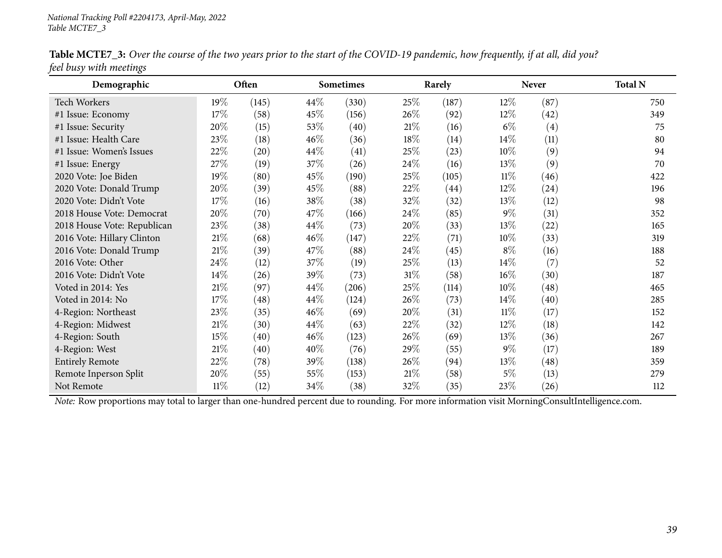| Demographic                 |        | Often |        | <b>Sometimes</b> |        | Rarely |        | <b>Never</b> | <b>Total N</b> |
|-----------------------------|--------|-------|--------|------------------|--------|--------|--------|--------------|----------------|
| Tech Workers                | $19\%$ | (145) | 44\%   | (330)            | 25\%   | (187)  | 12\%   | (87)         | 750            |
| #1 Issue: Economy           | 17%    | (58)  | 45\%   | (156)            | 26\%   | (92)   | 12%    | (42)         | 349            |
| #1 Issue: Security          | 20%    | (15)  | 53\%   | (40)             | $21\%$ | (16)   | $6\%$  | (4)          | 75             |
| #1 Issue: Health Care       | 23\%   | (18)  | $46\%$ | (36)             | 18%    | (14)   | 14\%   | (11)         | 80             |
| #1 Issue: Women's Issues    | 22%    | (20)  | 44\%   | (41)             | 25%    | (23)   | 10%    | (9)          | 94             |
| #1 Issue: Energy            | 27\%   | (19)  | 37%    | (26)             | 24\%   | (16)   | 13%    | (9)          | 70             |
| 2020 Vote: Joe Biden        | 19%    | (80)  | 45\%   | (190)            | 25\%   | (105)  | 11%    | (46)         | 422            |
| 2020 Vote: Donald Trump     | 20%    | (39)  | 45\%   | (88)             | 22%    | (44)   | 12%    | (24)         | 196            |
| 2020 Vote: Didn't Vote      | 17%    | (16)  | 38\%   | (38)             | 32%    | (32)   | 13%    | (12)         | 98             |
| 2018 House Vote: Democrat   | 20%    | (70)  | 47\%   | (166)            | $24\%$ | (85)   | $9\%$  | (31)         | 352            |
| 2018 House Vote: Republican | 23\%   | (38)  | 44\%   | (73)             | 20%    | (33)   | 13%    | (22)         | 165            |
| 2016 Vote: Hillary Clinton  | $21\%$ | (68)  | 46%    | (147)            | 22%    | (71)   | 10%    | (33)         | 319            |
| 2016 Vote: Donald Trump     | $21\%$ | (39)  | 47\%   | (88)             | 24%    | (45)   | $8\%$  | (16)         | 188            |
| 2016 Vote: Other            | 24\%   | (12)  | 37%    | (19)             | 25%    | (13)   | $14\%$ | (7)          | 52             |
| 2016 Vote: Didn't Vote      | 14\%   | (26)  | 39\%   | (73)             | $31\%$ | (58)   | $16\%$ | (30)         | 187            |
| Voted in 2014: Yes          | $21\%$ | (97)  | 44\%   | (206)            | 25\%   | (114)  | $10\%$ | (48)         | 465            |
| Voted in 2014: No           | 17%    | (48)  | 44\%   | (124)            | $26\%$ | (73)   | $14\%$ | (40)         | 285            |
| 4-Region: Northeast         | 23\%   | (35)  | 46%    | (69)             | 20%    | (31)   | $11\%$ | (17)         | 152            |
| 4-Region: Midwest           | $21\%$ | (30)  | 44\%   | (63)             | 22%    | (32)   | 12%    | (18)         | 142            |
| 4-Region: South             | 15%    | (40)  | $46\%$ | (123)            | 26%    | (69)   | 13%    | (36)         | 267            |
| 4-Region: West              | $21\%$ | (40)  | 40%    | (76)             | 29%    | (55)   | $9\%$  | (17)         | 189            |
| <b>Entirely Remote</b>      | 22%    | (78)  | 39\%   | (138)            | 26\%   | (94)   | 13%    | (48)         | 359            |
| Remote Inperson Split       | 20%    | (55)  | 55\%   | (153)            | 21%    | (58)   | 5%     | (13)         | 279            |
| Not Remote                  | $11\%$ | (12)  | 34\%   | (38)             | 32%    | (35)   | 23%    | (26)         | 112            |

Table MCTE7\_3: Over the course of the two years prior to the start of the COVID-19 pandemic, how frequently, if at all, did you? *feel busy with meetings*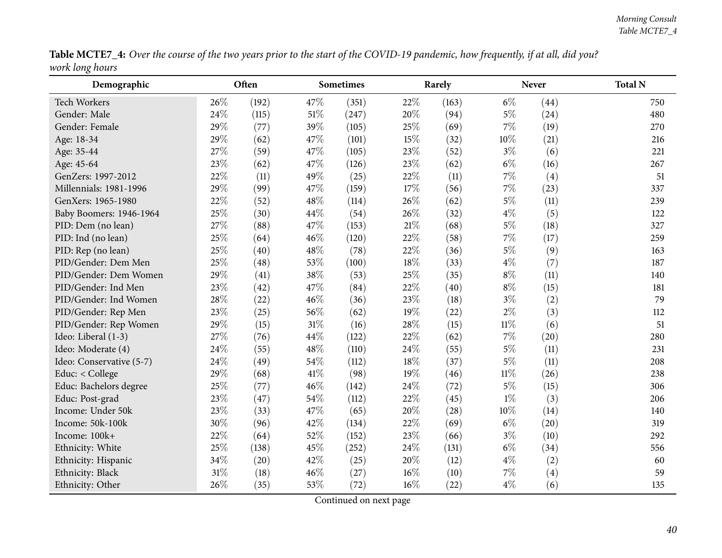Table MCTE7\_4: Over the course of the two years prior to the start of the COVID-19 pandemic, how frequently, if at all, did you? *work long hours*

| Demographic              |     | Often |        | <b>Sometimes</b> |        | Rarely |        | <b>Never</b> | <b>Total N</b> |
|--------------------------|-----|-------|--------|------------------|--------|--------|--------|--------------|----------------|
| <b>Tech Workers</b>      | 26% | (192) | 47%    | (351)            | 22%    | (163)  | $6\%$  | (44)         | 750            |
| Gender: Male             | 24% | (115) | 51%    | (247)            | 20%    | (94)   | $5\%$  | (24)         | 480            |
| Gender: Female           | 29% | (77)  | 39%    | (105)            | 25%    | (69)   | $7\%$  | (19)         | 270            |
| Age: 18-34               | 29% | (62)  | 47%    | (101)            | 15%    | (32)   | $10\%$ | (21)         | 216            |
| Age: 35-44               | 27% | (59)  | 47%    | (105)            | 23%    | (52)   | $3\%$  | (6)          | 221            |
| Age: 45-64               | 23% | (62)  | 47%    | (126)            | 23%    | (62)   | $6\%$  | (16)         | 267            |
| GenZers: 1997-2012       | 22% | (11)  | 49%    | (25)             | 22%    | (11)   | 7%     | (4)          | 51             |
| Millennials: 1981-1996   | 29% | (99)  | 47%    | (159)            | 17%    | (56)   | 7%     | (23)         | 337            |
| GenXers: 1965-1980       | 22% | (52)  | 48%    | (114)            | 26%    | (62)   | $5\%$  | (11)         | 239            |
| Baby Boomers: 1946-1964  | 25% | (30)  | 44%    | (54)             | 26%    | (32)   | $4\%$  | (5)          | 122            |
| PID: Dem (no lean)       | 27% | (88)  | 47%    | (153)            | $21\%$ | (68)   | $5\%$  | (18)         | 327            |
| PID: Ind (no lean)       | 25% | (64)  | 46%    | (120)            | 22%    | (58)   | $7\%$  | (17)         | 259            |
| PID: Rep (no lean)       | 25% | (40)  | 48%    | (78)             | 22%    | (36)   | $5\%$  | (9)          | 163            |
| PID/Gender: Dem Men      | 25% | (48)  | 53%    | (100)            | 18%    | (33)   | $4\%$  | (7)          | 187            |
| PID/Gender: Dem Women    | 29% | (41)  | 38%    | (53)             | 25%    | (35)   | $8\%$  | (11)         | 140            |
| PID/Gender: Ind Men      | 23% | (42)  | 47%    | (84)             | 22%    | (40)   | $8\%$  | (15)         | 181            |
| PID/Gender: Ind Women    | 28% | (22)  | 46%    | (36)             | 23%    | (18)   | $3\%$  | (2)          | 79             |
| PID/Gender: Rep Men      | 23% | (25)  | 56%    | (62)             | 19%    | (22)   | $2\%$  | (3)          | 112            |
| PID/Gender: Rep Women    | 29% | (15)  | 31%    | (16)             | 28%    | (15)   | $11\%$ | (6)          | 51             |
| Ideo: Liberal (1-3)      | 27% | (76)  | 44%    | (122)            | 22%    | (62)   | 7%     | (20)         | 280            |
| Ideo: Moderate (4)       | 24% | (55)  | 48%    | (110)            | 24%    | (55)   | $5\%$  | (11)         | 231            |
| Ideo: Conservative (5-7) | 24% | (49)  | 54%    | (112)            | 18%    | (37)   | $5\%$  | (11)         | 208            |
| Educ: < College          | 29% | (68)  | 41\%   | (98)             | 19%    | (46)   | $11\%$ | (26)         | 238            |
| Educ: Bachelors degree   | 25% | (77)  | $46\%$ | (142)            | 24%    | (72)   | $5\%$  | (15)         | 306            |
| Educ: Post-grad          | 23% | (47)  | 54%    | (112)            | 22%    | (45)   | $1\%$  | (3)          | 206            |
| Income: Under 50k        | 23% | (33)  | 47%    | (65)             | 20%    | (28)   | $10\%$ | (14)         | 140            |
| Income: 50k-100k         | 30% | (96)  | 42%    | (134)            | 22%    | (69)   | $6\%$  | (20)         | 319            |
| Income: 100k+            | 22% | (64)  | 52%    | (152)            | 23%    | (66)   | $3\%$  | (10)         | 292            |
| Ethnicity: White         | 25% | (138) | 45%    | (252)            | 24%    | (131)  | $6\%$  | (34)         | 556            |
| Ethnicity: Hispanic      | 34% | (20)  | 42%    | (25)             | 20%    | (12)   | $4\%$  | (2)          | 60             |
| Ethnicity: Black         | 31% | (18)  | 46%    | (27)             | $16\%$ | (10)   | $7\%$  | (4)          | 59             |
| Ethnicity: Other         | 26% | (35)  | 53%    | (72)             | $16\%$ | (22)   | $4\%$  | (6)          | 135            |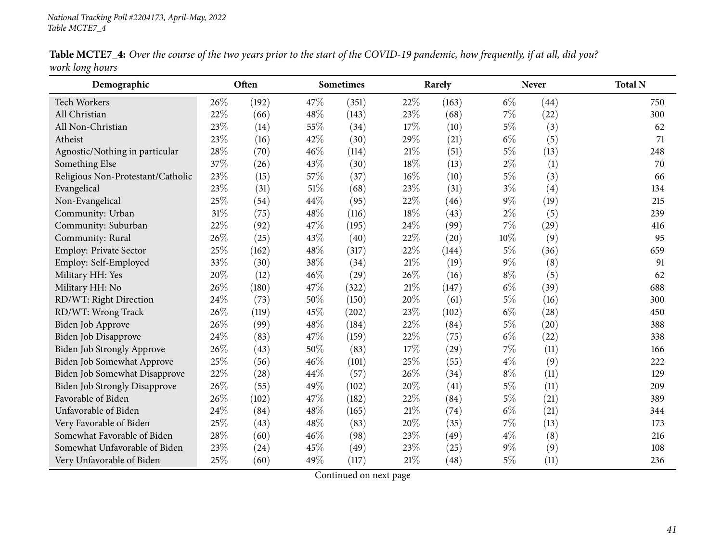| Demographic                          |     | Often |        | Sometimes |     | Rarely             |       | <b>Never</b>      | <b>Total N</b> |
|--------------------------------------|-----|-------|--------|-----------|-----|--------------------|-------|-------------------|----------------|
| <b>Tech Workers</b>                  | 26% | (192) | 47\%   | (351)     | 22% | (163)              | $6\%$ | (44)              | 750            |
| All Christian                        | 22% | (66)  | 48%    | (143)     | 23% | (68)               | 7%    | (22)              | 300            |
| All Non-Christian                    | 23% | (14)  | 55%    | (34)      | 17% | (10)               | $5\%$ | (3)               | 62             |
| Atheist                              | 23% | (16)  | 42%    | (30)      | 29% | (21)               | $6\%$ | (5)               | 71             |
| Agnostic/Nothing in particular       | 28% | (70)  | 46%    | (114)     | 21% | (51)               | 5%    | (13)              | 248            |
| Something Else                       | 37% | (26)  | 43%    | (30)      | 18% | (13)               | $2\%$ | (1)               | 70             |
| Religious Non-Protestant/Catholic    | 23% | (15)  | 57%    | (37)      | 16% | (10)               | $5\%$ | (3)               | 66             |
| Evangelical                          | 23% | (31)  | $51\%$ | (68)      | 23% | (31)               | $3\%$ | $\left( 4\right)$ | 134            |
| Non-Evangelical                      | 25% | (54)  | 44%    | (95)      | 22% | (46)               | $9\%$ | (19)              | 215            |
| Community: Urban                     | 31% | (75)  | 48%    | (116)     | 18% | (43)               | $2\%$ | (5)               | 239            |
| Community: Suburban                  | 22% | (92)  | 47%    | (195)     | 24% | (99)               | 7%    | (29)              | 416            |
| Community: Rural                     | 26% | (25)  | 43\%   | (40)      | 22% | (20)               | 10%   | (9)               | 95             |
| Employ: Private Sector               | 25% | (162) | 48%    | (317)     | 22% | (144)              | $5\%$ | (36)              | 659            |
| Employ: Self-Employed                | 33% | (30)  | 38%    | (34)      | 21% | (19)               | $9\%$ | (8)               | 91             |
| Military HH: Yes                     | 20% | (12)  | 46\%   | (29)      | 26% | (16)               | $8\%$ | (5)               | 62             |
| Military HH: No                      | 26% | (180) | 47%    | (322)     | 21% | (147)              | $6\%$ | (39)              | 688            |
| RD/WT: Right Direction               | 24% | (73)  | 50%    | (150)     | 20% | (61)               | $5\%$ | (16)              | 300            |
| RD/WT: Wrong Track                   | 26% | (119) | 45%    | (202)     | 23% | (102)              | $6\%$ | (28)              | 450            |
| Biden Job Approve                    | 26% | (99)  | 48%    | (184)     | 22% | (84)               | $5\%$ | (20)              | 388            |
| Biden Job Disapprove                 | 24% | (83)  | 47%    | (159)     | 22% | (75)               | $6\%$ | (22)              | 338            |
| Biden Job Strongly Approve           | 26% | (43)  | 50%    | (83)      | 17% | $\left( 29\right)$ | 7%    | (11)              | 166            |
| <b>Biden Job Somewhat Approve</b>    | 25% | (56)  | 46%    | (101)     | 25% | (55)               | $4\%$ | (9)               | 222            |
| Biden Job Somewhat Disapprove        | 22% | (28)  | 44%    | (57)      | 26% | (34)               | $8\%$ | (11)              | 129            |
| <b>Biden Job Strongly Disapprove</b> | 26% | (55)  | 49%    | (102)     | 20% | (41)               | $5\%$ | (11)              | 209            |
| Favorable of Biden                   | 26% | (102) | 47%    | (182)     | 22% | (84)               | $5\%$ | (21)              | 389            |
| Unfavorable of Biden                 | 24% | (84)  | 48%    | (165)     | 21% | (74)               | $6\%$ | (21)              | 344            |
| Very Favorable of Biden              | 25% | (43)  | 48%    | (83)      | 20% | (35)               | 7%    | (13)              | 173            |
| Somewhat Favorable of Biden          | 28% | (60)  | 46%    | (98)      | 23% | (49)               | $4\%$ | (8)               | 216            |
| Somewhat Unfavorable of Biden        | 23% | (24)  | 45%    | (49)      | 23% | (25)               | $9\%$ | (9)               | 108            |
| Very Unfavorable of Biden            | 25% | (60)  | 49%    | (117)     | 21% | (48)               | 5%    | (11)              | 236            |

Table MCTE7\_4: Over the course of the two years prior to the start of the COVID-19 pandemic, how frequently, if at all, did you? *work long hours*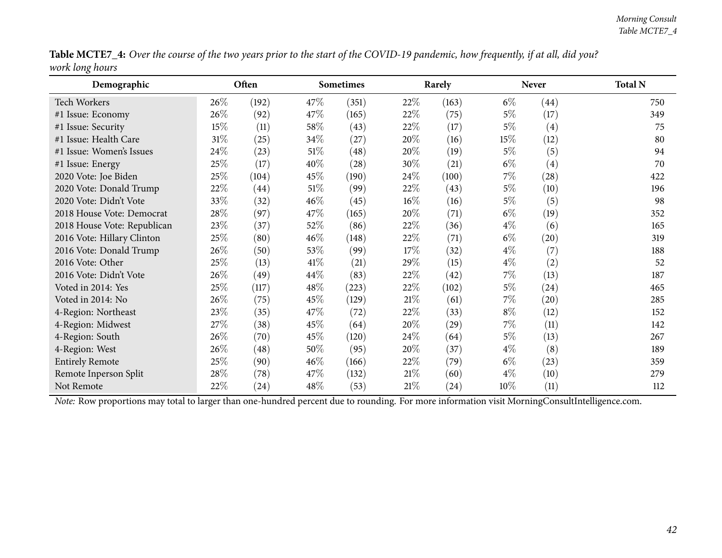| Table MCTE7_4: Over the course of the two years prior to the start of the COVID-19 pandemic, how frequently, if at all, did you? |  |
|----------------------------------------------------------------------------------------------------------------------------------|--|
| work long hours                                                                                                                  |  |

| Demographic                 |        | Often              |        | <b>Sometimes</b> |        | Rarely |        | <b>Never</b> | <b>Total N</b> |
|-----------------------------|--------|--------------------|--------|------------------|--------|--------|--------|--------------|----------------|
| Tech Workers                | 26\%   | (192)              | 47\%   | (351)            | 22\%   | (163)  | $6\%$  | (44)         | 750            |
| #1 Issue: Economy           | 26%    | (92)               | 47\%   | (165)            | 22%    | (75)   | $5\%$  | (17)         | 349            |
| #1 Issue: Security          | 15%    | (11)               | 58\%   | (43)             | 22%    | (17)   | $5\%$  | (4)          | 75             |
| #1 Issue: Health Care       | $31\%$ | (25)               | 34\%   | (27)             | 20%    | (16)   | 15%    | (12)         | 80             |
| #1 Issue: Women's Issues    | 24\%   | (23)               | $51\%$ | (48)             | 20%    | (19)   | $5\%$  | (5)          | 94             |
| #1 Issue: Energy            | 25%    | (17)               | 40%    | (28)             | 30%    | (21)   | $6\%$  | (4)          | 70             |
| 2020 Vote: Joe Biden        | 25%    | (104)              | 45\%   | (190)            | 24\%   | (100)  | $7\%$  | (28)         | 422            |
| 2020 Vote: Donald Trump     | 22%    | (44)               | 51%    | (99)             | 22\%   | (43)   | $5\%$  | (10)         | 196            |
| 2020 Vote: Didn't Vote      | 33%    | (32)               | $46\%$ | (45)             | $16\%$ | (16)   | $5\%$  | (5)          | 98             |
| 2018 House Vote: Democrat   | 28\%   | (97)               | 47\%   | (165)            | 20%    | (71)   | $6\%$  | (19)         | 352            |
| 2018 House Vote: Republican | 23%    | (37)               | 52\%   | (86)             | 22%    | (36)   | $4\%$  | (6)          | 165            |
| 2016 Vote: Hillary Clinton  | 25%    | (80)               | 46%    | (148)            | 22%    | (71)   | $6\%$  | (20)         | 319            |
| 2016 Vote: Donald Trump     | 26%    | (50)               | 53\%   | (99)             | 17%    | (32)   | $4\%$  | (7)          | 188            |
| 2016 Vote: Other            | 25%    | (13)               | 41\%   | (21)             | 29%    | (15)   | $4\%$  | (2)          | 52             |
| 2016 Vote: Didn't Vote      | 26%    | (49)               | 44\%   | (83)             | 22\%   | (42)   | $7\%$  | (13)         | 187            |
| Voted in 2014: Yes          | 25%    | (117)              | 48\%   | (223)            | 22\%   | (102)  | $5\%$  | (24)         | 465            |
| Voted in 2014: No           | 26%    | (75)               | 45\%   | (129)            | 21%    | (61)   | $7\%$  | (20)         | 285            |
| 4-Region: Northeast         | 23%    | (35)               | 47\%   | (72)             | 22\%   | (33)   | $8\%$  | (12)         | 152            |
| 4-Region: Midwest           | 27%    | (38)               | 45\%   | (64)             | 20%    | (29)   | $7\%$  | (11)         | 142            |
| 4-Region: South             | 26%    | (70)               | 45%    | (120)            | 24\%   | (64)   | $5\%$  | (13)         | 267            |
| 4-Region: West              | 26%    | (48)               | 50%    | (95)             | 20%    | (37)   | $4\%$  | (8)          | 189            |
| <b>Entirely Remote</b>      | 25%    | (90)               | $46\%$ | (166)            | 22\%   | (79)   | $6\%$  | (23)         | 359            |
| Remote Inperson Split       | 28\%   | (78)               | 47\%   | (132)            | 21%    | (60)   | $4\%$  | (10)         | 279            |
| Not Remote                  | 22%    | $\left( 24\right)$ | 48\%   | (53)             | 21%    | (24)   | $10\%$ | (11)         | 112            |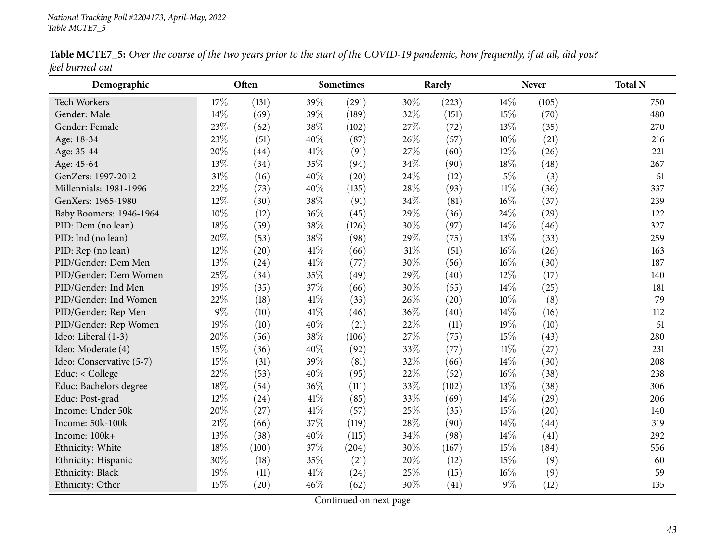| Table MCTE7_5: Over the course of the two years prior to the start of the COVID-19 pandemic, how frequently, if at all, did you? |  |
|----------------------------------------------------------------------------------------------------------------------------------|--|
| feel burned out                                                                                                                  |  |

| Demographic              |     | Often |      | <b>Sometimes</b> |     | Rarely |        | <b>Never</b> | <b>Total N</b> |
|--------------------------|-----|-------|------|------------------|-----|--------|--------|--------------|----------------|
| Tech Workers             | 17% | (131) | 39%  | (291)            | 30% | (223)  | 14%    | (105)        | 750            |
| Gender: Male             | 14% | (69)  | 39%  | (189)            | 32% | (151)  | 15%    | (70)         | 480            |
| Gender: Female           | 23% | (62)  | 38%  | (102)            | 27% | (72)   | 13%    | (35)         | 270            |
| Age: 18-34               | 23% | (51)  | 40%  | (87)             | 26% | (57)   | 10%    | (21)         | 216            |
| Age: 35-44               | 20% | (44)  | 41%  | (91)             | 27% | (60)   | 12%    | (26)         | 221            |
| Age: 45-64               | 13% | (34)  | 35%  | (94)             | 34% | (90)   | 18%    | (48)         | 267            |
| GenZers: 1997-2012       | 31% | (16)  | 40%  | (20)             | 24% | (12)   | $5\%$  | (3)          | 51             |
| Millennials: 1981-1996   | 22% | (73)  | 40%  | (135)            | 28% | (93)   | $11\%$ | (36)         | 337            |
| GenXers: 1965-1980       | 12% | (30)  | 38%  | (91)             | 34% | (81)   | 16%    | (37)         | 239            |
| Baby Boomers: 1946-1964  | 10% | (12)  | 36%  | (45)             | 29% | (36)   | 24%    | (29)         | 122            |
| PID: Dem (no lean)       | 18% | (59)  | 38%  | (126)            | 30% | (97)   | 14%    | (46)         | 327            |
| PID: Ind (no lean)       | 20% | (53)  | 38%  | (98)             | 29% | (75)   | 13%    | (33)         | 259            |
| PID: Rep (no lean)       | 12% | (20)  | 41\% | (66)             | 31% | (51)   | $16\%$ | (26)         | 163            |
| PID/Gender: Dem Men      | 13% | (24)  | 41\% | (77)             | 30% | (56)   | $16\%$ | (30)         | 187            |
| PID/Gender: Dem Women    | 25% | (34)  | 35%  | (49)             | 29% | (40)   | 12%    | (17)         | 140            |
| PID/Gender: Ind Men      | 19% | (35)  | 37%  | (66)             | 30% | (55)   | 14%    | (25)         | 181            |
| PID/Gender: Ind Women    | 22% | (18)  | 41\% | (33)             | 26% | (20)   | 10%    | (8)          | 79             |
| PID/Gender: Rep Men      | 9%  | (10)  | 41\% | (46)             | 36% | (40)   | 14%    | (16)         | 112            |
| PID/Gender: Rep Women    | 19% | (10)  | 40%  | (21)             | 22% | (11)   | 19%    | (10)         | 51             |
| Ideo: Liberal (1-3)      | 20% | (56)  | 38%  | (106)            | 27% | (75)   | 15%    | (43)         | 280            |
| Ideo: Moderate (4)       | 15% | (36)  | 40%  | (92)             | 33% | (77)   | $11\%$ | (27)         | 231            |
| Ideo: Conservative (5-7) | 15% | (31)  | 39%  | (81)             | 32% | (66)   | 14%    | (30)         | 208            |
| Educ: < College          | 22% | (53)  | 40%  | (95)             | 22% | (52)   | 16%    | (38)         | 238            |
| Educ: Bachelors degree   | 18% | (54)  | 36%  | (111)            | 33% | (102)  | 13%    | (38)         | 306            |
| Educ: Post-grad          | 12% | (24)  | 41\% | (85)             | 33% | (69)   | 14%    | (29)         | 206            |
| Income: Under 50k        | 20% | (27)  | 41%  | (57)             | 25% | (35)   | 15%    | (20)         | 140            |
| Income: 50k-100k         | 21% | (66)  | 37%  | (119)            | 28% | (90)   | 14%    | (44)         | 319            |
| Income: 100k+            | 13% | (38)  | 40%  | (115)            | 34% | (98)   | 14%    | (41)         | 292            |
| Ethnicity: White         | 18% | (100) | 37%  | (204)            | 30% | (167)  | 15%    | (84)         | 556            |
| Ethnicity: Hispanic      | 30% | (18)  | 35%  | (21)             | 20% | (12)   | 15%    | (9)          | 60             |
| Ethnicity: Black         | 19% | (11)  | 41\% | (24)             | 25% | (15)   | $16\%$ | (9)          | 59             |
| Ethnicity: Other         | 15% | (20)  | 46%  | (62)             | 30% | (41)   | $9\%$  | (12)         | 135            |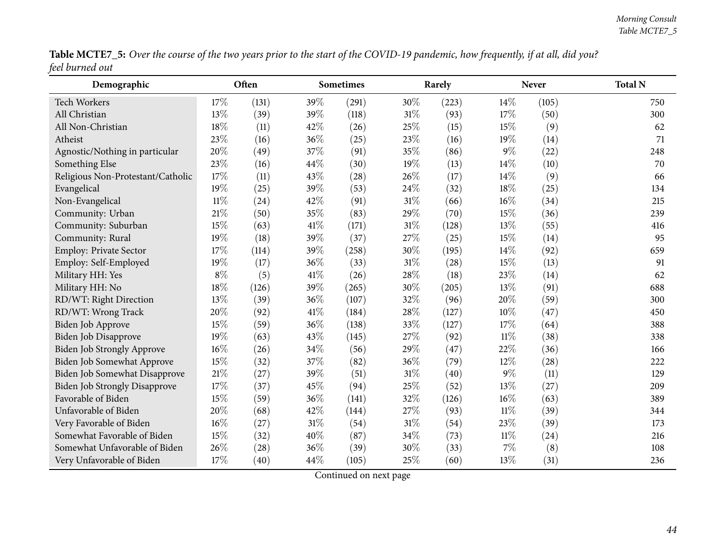| Table MCTE7_5: Over the course of the two years prior to the start of the COVID-19 pandemic, how frequently, if at all, did you? |  |
|----------------------------------------------------------------------------------------------------------------------------------|--|
| feel burned out                                                                                                                  |  |

| Demographic                          |        | Often     |      | <b>Sometimes</b> |        | Rarely |        | <b>Never</b> | <b>Total N</b> |
|--------------------------------------|--------|-----------|------|------------------|--------|--------|--------|--------------|----------------|
| Tech Workers                         | 17%    | (131)     | 39%  | (291)            | 30%    | (223)  | 14\%   | (105)        | 750            |
| All Christian                        | 13%    | (39)      | 39%  | (118)            | 31%    | (93)   | 17%    | (50)         | 300            |
| All Non-Christian                    | 18%    | (11)      | 42%  | (26)             | 25%    | (15)   | 15%    | (9)          | 62             |
| Atheist                              | 23%    | (16)      | 36%  | (25)             | 23%    | (16)   | 19%    | (14)         | 71             |
| Agnostic/Nothing in particular       | 20%    | (49)      | 37%  | (91)             | 35%    | (86)   | $9\%$  | (22)         | 248            |
| Something Else                       | 23%    | (16)      | 44%  | (30)             | 19%    | (13)   | 14%    | (10)         | 70             |
| Religious Non-Protestant/Catholic    | 17%    | (11)      | 43%  | (28)             | 26%    | (17)   | 14%    | (9)          | 66             |
| Evangelical                          | 19%    | (25)      | 39%  | (53)             | 24%    | (32)   | 18%    | (25)         | 134            |
| Non-Evangelical                      | $11\%$ | $^{(24)}$ | 42%  | (91)             | $31\%$ | (66)   | 16%    | (34)         | 215            |
| Community: Urban                     | 21%    | (50)      | 35%  | (83)             | 29%    | (70)   | 15%    | (36)         | 239            |
| Community: Suburban                  | 15%    | (63)      | 41\% | (171)            | 31%    | (128)  | 13%    | (55)         | 416            |
| Community: Rural                     | 19%    | (18)      | 39%  | (37)             | 27%    | (25)   | 15%    | (14)         | 95             |
| Employ: Private Sector               | 17%    | (114)     | 39%  | (258)            | 30%    | (195)  | 14%    | (92)         | 659            |
| Employ: Self-Employed                | 19%    | (17)      | 36%  | (33)             | $31\%$ | (28)   | 15%    | (13)         | 91             |
| Military HH: Yes                     | $8\%$  | (5)       | 41\% | (26)             | 28%    | (18)   | 23%    | (14)         | 62             |
| Military HH: No                      | 18%    | (126)     | 39%  | (265)            | 30%    | (205)  | 13%    | (91)         | 688            |
| RD/WT: Right Direction               | 13%    | (39)      | 36%  | (107)            | 32%    | (96)   | 20%    | (59)         | 300            |
| RD/WT: Wrong Track                   | 20%    | (92)      | 41\% | (184)            | 28%    | (127)  | 10%    | (47)         | 450            |
| Biden Job Approve                    | 15%    | (59)      | 36%  | (138)            | 33%    | (127)  | 17%    | (64)         | 388            |
| Biden Job Disapprove                 | 19%    | (63)      | 43%  | (145)            | 27%    | (92)   | $11\%$ | (38)         | 338            |
| Biden Job Strongly Approve           | 16%    | (26)      | 34%  | (56)             | 29%    | (47)   | 22%    | (36)         | 166            |
| <b>Biden Job Somewhat Approve</b>    | 15%    | (32)      | 37%  | (82)             | 36%    | (79)   | 12%    | (28)         | 222            |
| Biden Job Somewhat Disapprove        | $21\%$ | (27)      | 39%  | (51)             | $31\%$ | (40)   | $9\%$  | (11)         | 129            |
| <b>Biden Job Strongly Disapprove</b> | 17%    | (37)      | 45%  | (94)             | 25%    | (52)   | 13%    | (27)         | 209            |
| Favorable of Biden                   | 15%    | (59)      | 36%  | (141)            | 32%    | (126)  | 16%    | (63)         | 389            |
| Unfavorable of Biden                 | 20%    | (68)      | 42%  | (144)            | 27%    | (93)   | $11\%$ | (39)         | 344            |
| Very Favorable of Biden              | 16%    | (27)      | 31%  | (54)             | 31%    | (54)   | 23%    | (39)         | 173            |
| Somewhat Favorable of Biden          | 15%    | (32)      | 40%  | (87)             | 34%    | (73)   | $11\%$ | (24)         | 216            |
| Somewhat Unfavorable of Biden        | 26%    | (28)      | 36%  | (39)             | 30%    | (33)   | $7\%$  | (8)          | 108            |
| Very Unfavorable of Biden            | 17%    | (40)      | 44%  | (105)            | 25%    | (60)   | 13%    | (31)         | 236            |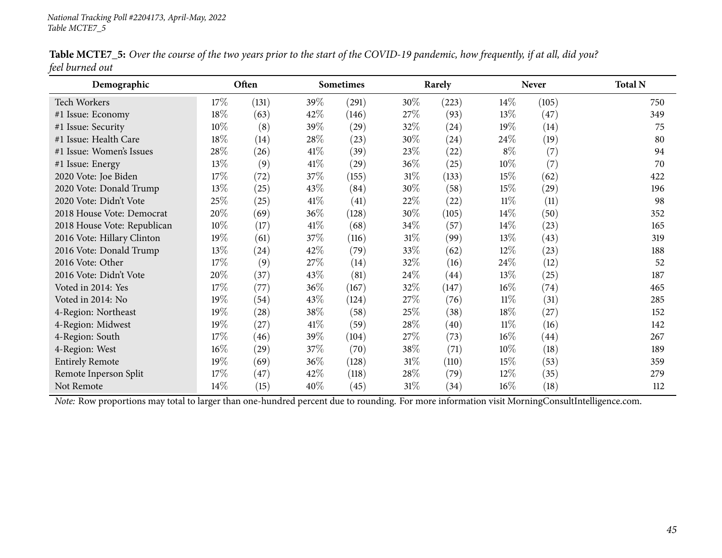| Demographic                 |        | Often |        | <b>Sometimes</b>   |        | Rarely |        | <b>Never</b> | <b>Total N</b> |
|-----------------------------|--------|-------|--------|--------------------|--------|--------|--------|--------------|----------------|
| <b>Tech Workers</b>         | $17\%$ | (131) | 39%    | (291)              | $30\%$ | (223)  | $14\%$ | (105)        | 750            |
| #1 Issue: Economy           | 18%    | (63)  | 42\%   | (146)              | 27\%   | (93)   | 13%    | (47)         | 349            |
| #1 Issue: Security          | 10%    | (8)   | 39%    | $\left( 29\right)$ | 32\%   | (24)   | 19%    | (14)         | 75             |
| #1 Issue: Health Care       | 18%    | (14)  | 28\%   | (23)               | 30%    | (24)   | 24%    | (19)         | 80             |
| #1 Issue: Women's Issues    | 28\%   | (26)  | 41\%   | (39)               | 23%    | (22)   | $8\%$  | (7)          | 94             |
| #1 Issue: Energy            | 13%    | (9)   | 41\%   | $\left( 29\right)$ | $36\%$ | (25)   | 10%    | (7)          | 70             |
| 2020 Vote: Joe Biden        | 17\%   | (72)  | 37\%   | (155)              | $31\%$ | (133)  | 15%    | (62)         | 422            |
| 2020 Vote: Donald Trump     | 13%    | (25)  | 43\%   | (84)               | 30%    | (58)   | 15%    | (29)         | 196            |
| 2020 Vote: Didn't Vote      | 25\%   | (25)  | 41\%   | (41)               | 22\%   | (22)   | 11%    | (11)         | 98             |
| 2018 House Vote: Democrat   | 20%    | (69)  | 36\%   | (128)              | 30%    | (105)  | 14%    | (50)         | 352            |
| 2018 House Vote: Republican | 10%    | (17)  | 41\%   | (68)               | $34\%$ | (57)   | 14%    | (23)         | 165            |
| 2016 Vote: Hillary Clinton  | 19%    | (61)  | 37%    | (116)              | $31\%$ | (99)   | 13%    | (43)         | 319            |
| 2016 Vote: Donald Trump     | 13%    | (24)  | 42\%   | (79)               | 33\%   | (62)   | $12\%$ | (23)         | 188            |
| 2016 Vote: Other            | 17\%   | (9)   | 27%    | (14)               | 32%    | (16)   | 24\%   | (12)         | 52             |
| 2016 Vote: Didn't Vote      | 20%    | (37)  | 43\%   | (81)               | 24\%   | (44)   | 13%    | (25)         | 187            |
| Voted in 2014: Yes          | 17%    | (77)  | 36\%   | (167)              | 32%    | (147)  | $16\%$ | (74)         | 465            |
| Voted in 2014: No           | 19%    | (54)  | 43\%   | (124)              | 27\%   | (76)   | 11%    | (31)         | 285            |
| 4-Region: Northeast         | 19%    | (28)  | 38\%   | (58)               | 25%    | (38)   | 18%    | (27)         | 152            |
| 4-Region: Midwest           | 19%    | (27)  | 41\%   | (59)               | $28\%$ | (40)   | $11\%$ | (16)         | 142            |
| 4-Region: South             | 17\%   | (46)  | $39\%$ | (104)              | 27\%   | (73)   | $16\%$ | (44)         | 267            |
| 4-Region: West              | 16%    | (29)  | 37\%   | (70)               | 38\%   | (71)   | 10%    | (18)         | 189            |
| <b>Entirely Remote</b>      | 19%    | (69)  | 36%    | (128)              | $31\%$ | (110)  | 15%    | (53)         | 359            |
| Remote Inperson Split       | 17%    | (47)  | 42\%   | (118)              | 28\%   | (79)   | $12\%$ | (35)         | 279            |
| Not Remote                  | 14\%   | (15)  | 40%    | (45)               | $31\%$ | (34)   | $16\%$ | (18)         | 112            |

Table MCTE7\_5: Over the course of the two years prior to the start of the COVID-19 pandemic, how frequently, if at all, did you? *feel burned out*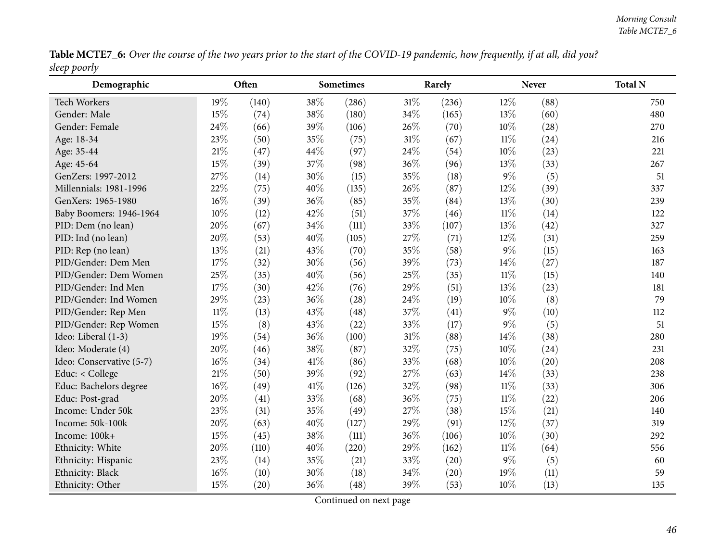Table MCTE7\_6: Over the course of the two years prior to the start of the COVID-19 pandemic, how frequently, if at all, did you? *sleep poorly*

| Demographic              |        | Often |      | <b>Sometimes</b> |        | Rarely |        | <b>Never</b> | <b>Total N</b> |
|--------------------------|--------|-------|------|------------------|--------|--------|--------|--------------|----------------|
| Tech Workers             | 19%    | (140) | 38%  | (286)            | $31\%$ | (236)  | 12%    | (88)         | 750            |
| Gender: Male             | 15%    | (74)  | 38%  | (180)            | 34%    | (165)  | 13%    | (60)         | 480            |
| Gender: Female           | 24\%   | (66)  | 39%  | (106)            | 26%    | (70)   | $10\%$ | (28)         | 270            |
| Age: 18-34               | 23%    | (50)  | 35%  | (75)             | 31%    | (67)   | $11\%$ | (24)         | 216            |
| Age: 35-44               | 21%    | (47)  | 44%  | (97)             | 24%    | (54)   | 10%    | (23)         | 221            |
| Age: 45-64               | 15%    | (39)  | 37%  | (98)             | 36%    | (96)   | 13%    | (33)         | 267            |
| GenZers: 1997-2012       | 27%    | (14)  | 30%  | (15)             | 35%    | (18)   | $9\%$  | (5)          | 51             |
| Millennials: 1981-1996   | 22%    | (75)  | 40%  | (135)            | 26%    | (87)   | 12%    | (39)         | 337            |
| GenXers: 1965-1980       | 16%    | (39)  | 36%  | (85)             | 35%    | (84)   | 13%    | (30)         | 239            |
| Baby Boomers: 1946-1964  | 10%    | (12)  | 42%  | (51)             | 37%    | (46)   | $11\%$ | (14)         | 122            |
| PID: Dem (no lean)       | 20%    | (67)  | 34%  | (111)            | 33%    | (107)  | 13%    | (42)         | 327            |
| PID: Ind (no lean)       | 20%    | (53)  | 40%  | (105)            | 27%    | (71)   | 12%    | (31)         | 259            |
| PID: Rep (no lean)       | 13%    | (21)  | 43%  | (70)             | 35%    | (58)   | $9\%$  | (15)         | 163            |
| PID/Gender: Dem Men      | 17%    | (32)  | 30%  | (56)             | 39%    | (73)   | 14%    | (27)         | 187            |
| PID/Gender: Dem Women    | 25%    | (35)  | 40%  | (56)             | 25%    | (35)   | $11\%$ | (15)         | 140            |
| PID/Gender: Ind Men      | 17%    | (30)  | 42%  | (76)             | 29%    | (51)   | 13%    | (23)         | 181            |
| PID/Gender: Ind Women    | 29%    | (23)  | 36%  | (28)             | 24%    | (19)   | 10%    | (8)          | 79             |
| PID/Gender: Rep Men      | $11\%$ | (13)  | 43%  | (48)             | 37%    | (41)   | $9\%$  | (10)         | 112            |
| PID/Gender: Rep Women    | 15%    | (8)   | 43%  | (22)             | 33%    | (17)   | $9\%$  | (5)          | 51             |
| Ideo: Liberal (1-3)      | 19%    | (54)  | 36%  | (100)            | $31\%$ | (88)   | 14%    | (38)         | 280            |
| Ideo: Moderate (4)       | 20%    | (46)  | 38%  | (87)             | 32%    | (75)   | 10%    | (24)         | 231            |
| Ideo: Conservative (5-7) | 16%    | (34)  | 41\% | (86)             | 33%    | (68)   | $10\%$ | (20)         | 208            |
| Educ: < College          | 21%    | (50)  | 39%  | (92)             | 27%    | (63)   | 14%    | (33)         | 238            |
| Educ: Bachelors degree   | 16%    | (49)  | 41\% | (126)            | 32%    | (98)   | $11\%$ | (33)         | 306            |
| Educ: Post-grad          | 20%    | (41)  | 33%  | (68)             | 36%    | (75)   | $11\%$ | (22)         | 206            |
| Income: Under 50k        | 23%    | (31)  | 35%  | (49)             | 27%    | (38)   | 15%    | (21)         | 140            |
| Income: 50k-100k         | 20%    | (63)  | 40%  | (127)            | 29%    | (91)   | 12%    | (37)         | 319            |
| Income: 100k+            | 15%    | (45)  | 38%  | (111)            | 36%    | (106)  | 10%    | (30)         | 292            |
| Ethnicity: White         | 20%    | (110) | 40%  | (220)            | 29%    | (162)  | $11\%$ | (64)         | 556            |
| Ethnicity: Hispanic      | 23%    | (14)  | 35%  | (21)             | 33%    | (20)   | $9\%$  | (5)          | 60             |
| Ethnicity: Black         | 16%    | (10)  | 30%  | (18)             | 34%    | (20)   | 19%    | (11)         | 59             |
| Ethnicity: Other         | 15%    | (20)  | 36%  | (48)             | 39%    | (53)   | 10%    | (13)         | 135            |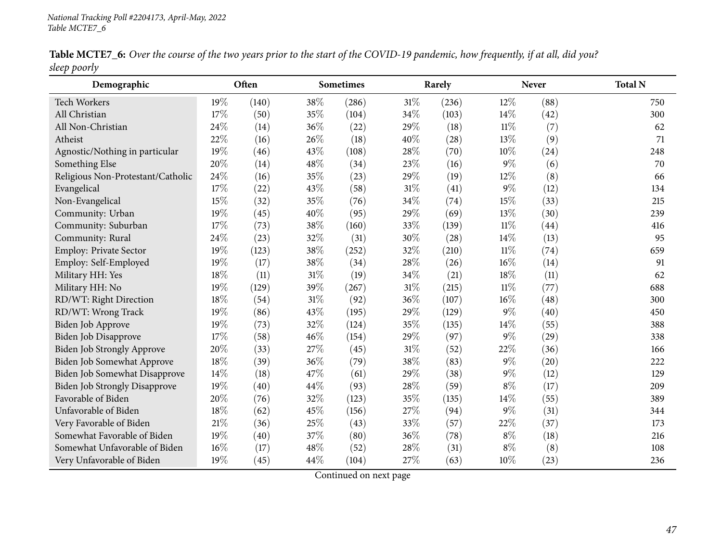|              | Table MCTE7_6: Over the course of the two years prior to the start of the COVID-19 pandemic, how frequently, if at all, did you? |  |  |
|--------------|----------------------------------------------------------------------------------------------------------------------------------|--|--|
| sleep poorly |                                                                                                                                  |  |  |

| $\mathbf{r}$ $\mathbf{r}$ $\mathbf{r}$ .<br>Demographic |     | Often |        | <b>Sometimes</b> |     | Rarely |        | <b>Never</b> | <b>Total N</b> |
|---------------------------------------------------------|-----|-------|--------|------------------|-----|--------|--------|--------------|----------------|
| Tech Workers                                            | 19% | (140) | 38%    | (286)            | 31% | (236)  | 12%    | (88)         | 750            |
| All Christian                                           | 17% | (50)  | 35%    | (104)            | 34% | (103)  | 14%    | (42)         | 300            |
| All Non-Christian                                       | 24% | (14)  | 36%    | (22)             | 29% | (18)   | $11\%$ | (7)          | 62             |
| Atheist                                                 | 22% | (16)  | 26%    | (18)             | 40% | (28)   | 13%    | (9)          | 71             |
| Agnostic/Nothing in particular                          | 19% | (46)  | 43%    | (108)            | 28% | (70)   | 10%    | (24)         | 248            |
| Something Else                                          | 20% | (14)  | 48%    | (34)             | 23% | (16)   | $9\%$  | (6)          | 70             |
| Religious Non-Protestant/Catholic                       | 24% | (16)  | 35%    | (23)             | 29% | (19)   | 12%    | (8)          | 66             |
| Evangelical                                             | 17% | (22)  | 43%    | (58)             | 31% | (41)   | $9\%$  | (12)         | 134            |
| Non-Evangelical                                         | 15% | (32)  | 35%    | (76)             | 34% | (74)   | 15%    | (33)         | 215            |
| Community: Urban                                        | 19% | (45)  | 40%    | (95)             | 29% | (69)   | 13%    | (30)         | 239            |
| Community: Suburban                                     | 17% | (73)  | 38%    | (160)            | 33% | (139)  | $11\%$ | (44)         | 416            |
| Community: Rural                                        | 24% | (23)  | 32%    | (31)             | 30% | (28)   | 14%    | (13)         | 95             |
| Employ: Private Sector                                  | 19% | (123) | 38%    | (252)            | 32% | (210)  | $11\%$ | (74)         | 659            |
| Employ: Self-Employed                                   | 19% | (17)  | 38%    | (34)             | 28% | (26)   | $16\%$ | (14)         | 91             |
| Military HH: Yes                                        | 18% | (11)  | $31\%$ | (19)             | 34% | (21)   | $18\%$ | (11)         | 62             |
| Military HH: No                                         | 19% | (129) | 39%    | (267)            | 31% | (215)  | $11\%$ | (77)         | 688            |
| RD/WT: Right Direction                                  | 18% | (54)  | 31%    | (92)             | 36% | (107)  | 16%    | (48)         | 300            |
| RD/WT: Wrong Track                                      | 19% | (86)  | 43%    | (195)            | 29% | (129)  | $9\%$  | (40)         | 450            |
| Biden Job Approve                                       | 19% | (73)  | 32%    | (124)            | 35% | (135)  | 14%    | (55)         | 388            |
| Biden Job Disapprove                                    | 17% | (58)  | 46%    | (154)            | 29% | (97)   | $9\%$  | (29)         | 338            |
| Biden Job Strongly Approve                              | 20% | (33)  | 27%    | (45)             | 31% | (52)   | 22%    | (36)         | 166            |
| Biden Job Somewhat Approve                              | 18% | (39)  | 36%    | (79)             | 38% | (83)   | $9\%$  | (20)         | 222            |
| Biden Job Somewhat Disapprove                           | 14% | (18)  | 47%    | (61)             | 29% | (38)   | $9\%$  | (12)         | 129            |
| <b>Biden Job Strongly Disapprove</b>                    | 19% | (40)  | 44%    | (93)             | 28% | (59)   | $8\%$  | (17)         | 209            |
| Favorable of Biden                                      | 20% | (76)  | 32%    | (123)            | 35% | (135)  | $14\%$ | (55)         | 389            |
| Unfavorable of Biden                                    | 18% | (62)  | 45%    | (156)            | 27% | (94)   | $9\%$  | (31)         | 344            |
| Very Favorable of Biden                                 | 21% | (36)  | 25%    | (43)             | 33% | (57)   | 22%    | (37)         | 173            |
| Somewhat Favorable of Biden                             | 19% | (40)  | 37%    | (80)             | 36% | (78)   | $8\%$  | (18)         | 216            |
| Somewhat Unfavorable of Biden                           | 16% | (17)  | 48%    | (52)             | 28% | (31)   | $8\%$  | (8)          | 108            |
| Very Unfavorable of Biden                               | 19% | (45)  | 44%    | (104)            | 27% | (63)   | $10\%$ | (23)         | 236            |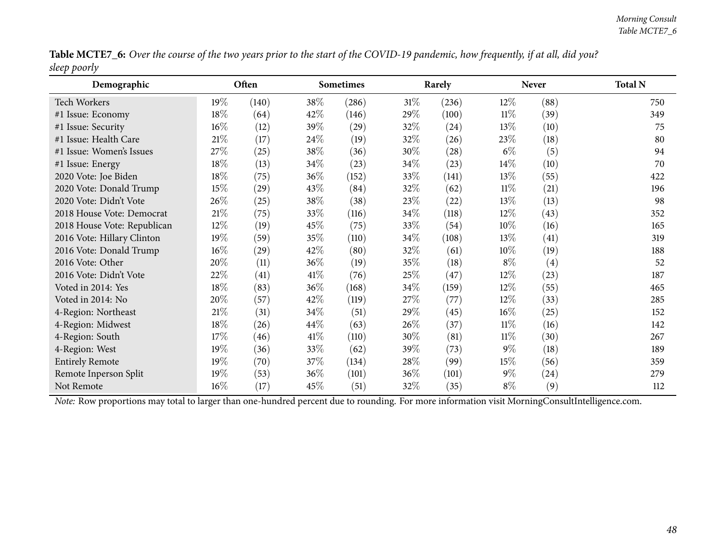Table MCTE7\_6: Over the course of the two years prior to the start of the COVID-19 pandemic, how frequently, if at all, did you? *sleep poorly*

| Demographic                                                                                                                                    |        | Often |        | <b>Sometimes</b> |        | Rarely |        | <b>Never</b> | <b>Total N</b> |
|------------------------------------------------------------------------------------------------------------------------------------------------|--------|-------|--------|------------------|--------|--------|--------|--------------|----------------|
| Tech Workers                                                                                                                                   | $19\%$ | (140) | 38\%   | (286)            | $31\%$ | (236)  | 12%    | (88)         | 750            |
| #1 Issue: Economy                                                                                                                              | 18%    | (64)  | 42%    | (146)            | 29%    | (100)  | $11\%$ | (39)         | 349            |
| #1 Issue: Security                                                                                                                             | 16%    | (12)  | 39\%   | (29)             | 32\%   | (24)   | 13%    | (10)         | 75             |
| #1 Issue: Health Care                                                                                                                          | $21\%$ | (17)  | 24%    | (19)             | 32\%   | (26)   | 23\%   | (18)         | 80             |
| #1 Issue: Women's Issues                                                                                                                       | 27\%   | (25)  | 38%    | (36)             | 30\%   | (28)   | $6\%$  | (5)          | 94             |
| #1 Issue: Energy                                                                                                                               | 18%    | (13)  | $34\%$ | (23)             | 34\%   | (23)   | $14\%$ | (10)         | 70             |
| 2020 Vote: Joe Biden                                                                                                                           | 18\%   | (75)  | 36\%   | (152)            | 33\%   | (141)  | 13\%   | (55)         | 422            |
| 2020 Vote: Donald Trump                                                                                                                        | 15%    | (29)  | 43\%   | (84)             | 32\%   | (62)   | $11\%$ | (21)         | 196            |
| 2020 Vote: Didn't Vote                                                                                                                         | 26\%   | (25)  | 38\%   | (38)             | 23\%   | (22)   | 13\%   | (13)         | 98             |
| 2018 House Vote: Democrat                                                                                                                      | $21\%$ | (75)  | 33\%   | (116)            | 34\%   | (118)  | 12\%   | (43)         | 352            |
| 2018 House Vote: Republican                                                                                                                    | 12%    | (19)  | 45\%   | (75)             | 33\%   | (54)   | $10\%$ | (16)         | 165            |
| 2016 Vote: Hillary Clinton                                                                                                                     | 19%    | (59)  | 35\%   | (110)            | 34\%   | (108)  | 13\%   | (41)         | 319            |
| 2016 Vote: Donald Trump                                                                                                                        | $16\%$ | (29)  | $42\%$ | (80)             | 32\%   | (61)   | $10\%$ | (19)         | 188            |
| 2016 Vote: Other                                                                                                                               | 20%    | (11)  | $36\%$ | (19)             | 35%    | (18)   | $8\%$  | (4)          | 52             |
| 2016 Vote: Didn't Vote                                                                                                                         | 22%    | (41)  | $41\%$ | (76)             | 25\%   | (47)   | 12\%   | (23)         | 187            |
| Voted in 2014: Yes                                                                                                                             | 18%    | (83)  | $36\%$ | (168)            | 34\%   | (159)  | 12\%   | (55)         | 465            |
| Voted in 2014: No                                                                                                                              | 20%    | (57)  | 42\%   | (119)            | 27\%   | (77)   | 12\%   | (33)         | 285            |
| 4-Region: Northeast                                                                                                                            | $21\%$ | (31)  | $34\%$ | (51)             | 29%    | (45)   | $16\%$ | (25)         | 152            |
| 4-Region: Midwest                                                                                                                              | $18\%$ | (26)  | $44\%$ | (63)             | 26\%   | (37)   | $11\%$ | (16)         | 142            |
| 4-Region: South                                                                                                                                | 17\%   | (46)  | $41\%$ | (110)            | 30\%   | (81)   | 11%    | (30)         | 267            |
| 4-Region: West                                                                                                                                 | 19%    | (36)  | 33\%   | (62)             | 39\%   | (73)   | $9\%$  | (18)         | 189            |
| <b>Entirely Remote</b>                                                                                                                         | 19%    | (70)  | 37\%   | (134)            | 28\%   | (99)   | 15%    | (56)         | 359            |
| Remote Inperson Split                                                                                                                          | 19%    | (53)  | 36%    | (101)            | 36\%   | (101)  | $9\%$  | (24)         | 279            |
| Not Remote                                                                                                                                     | $16\%$ | (17)  | 45\%   | (51)             | 32\%   | (35)   | $8\%$  | (9)          | 112            |
| Note: Row proportions may total to larger than one-hundred percent due to rounding. For more information visit MorningConsultIntelligence.com. |        |       |        |                  |        |        |        |              |                |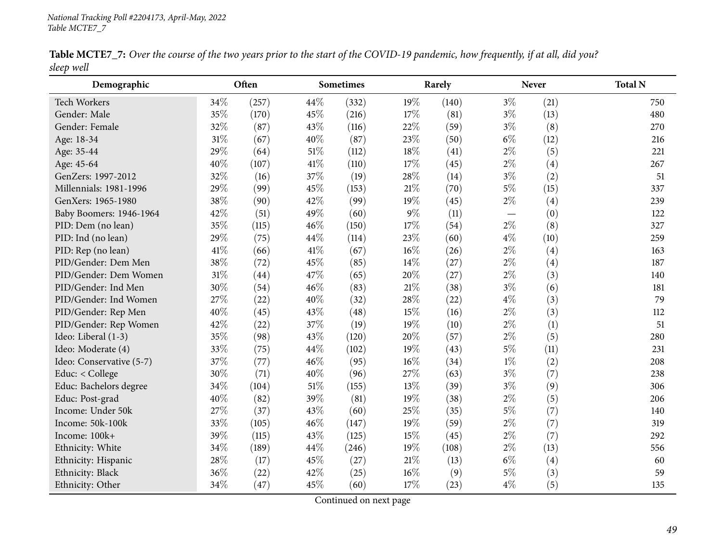|            | Table MCTE7_7: Over the course of the two years prior to the start of the COVID-19 pandemic, how frequently, if at all, did you? |  |  |
|------------|----------------------------------------------------------------------------------------------------------------------------------|--|--|
| sleep well |                                                                                                                                  |  |  |

| Demographic              |      | Often |      | <b>Sometimes</b> |        | Rarely |                          | <b>Never</b> | <b>Total N</b> |
|--------------------------|------|-------|------|------------------|--------|--------|--------------------------|--------------|----------------|
| Tech Workers             | 34%  | (257) | 44%  | (332)            | 19%    | (140)  | $3\%$                    | (21)         | 750            |
| Gender: Male             | 35%  | (170) | 45%  | (216)            | 17%    | (81)   | $3\%$                    | (13)         | 480            |
| Gender: Female           | 32%  | (87)  | 43%  | (116)            | 22%    | (59)   | $3\%$                    | (8)          | 270            |
| Age: 18-34               | 31%  | (67)  | 40%  | (87)             | 23%    | (50)   | $6\%$                    | (12)         | 216            |
| Age: 35-44               | 29%  | (64)  | 51%  | (112)            | 18%    | (41)   | $2\%$                    | (5)          | 221            |
| Age: 45-64               | 40%  | (107) | 41\% | (110)            | 17%    | (45)   | $2\%$                    | (4)          | 267            |
| GenZers: 1997-2012       | 32%  | (16)  | 37%  | (19)             | 28%    | (14)   | $3\%$                    | (2)          | 51             |
| Millennials: 1981-1996   | 29%  | (99)  | 45%  | (153)            | $21\%$ | (70)   | $5\%$                    | (15)         | 337            |
| GenXers: 1965-1980       | 38%  | (90)  | 42%  | (99)             | 19%    | (45)   | $2\%$                    | (4)          | 239            |
| Baby Boomers: 1946-1964  | 42%  | (51)  | 49%  | (60)             | $9\%$  | (11)   | $\overline{\phantom{0}}$ | (0)          | 122            |
| PID: Dem (no lean)       | 35%  | (115) | 46%  | (150)            | 17%    | (54)   | $2\%$                    | (8)          | 327            |
| PID: Ind (no lean)       | 29%  | (75)  | 44%  | (114)            | 23%    | (60)   | $4\%$                    | (10)         | 259            |
| PID: Rep (no lean)       | 41\% | (66)  | 41\% | (67)             | 16%    | (26)   | $2\%$                    | (4)          | 163            |
| PID/Gender: Dem Men      | 38%  | (72)  | 45%  | (85)             | 14%    | (27)   | $2\%$                    | (4)          | 187            |
| PID/Gender: Dem Women    | 31%  | (44)  | 47%  | (65)             | 20%    | (27)   | $2\%$                    | (3)          | 140            |
| PID/Gender: Ind Men      | 30%  | (54)  | 46%  | (83)             | $21\%$ | (38)   | $3\%$                    | (6)          | 181            |
| PID/Gender: Ind Women    | 27%  | (22)  | 40%  | (32)             | 28%    | (22)   | $4\%$                    | (3)          | 79             |
| PID/Gender: Rep Men      | 40%  | (45)  | 43%  | (48)             | 15%    | (16)   | $2\%$                    | (3)          | 112            |
| PID/Gender: Rep Women    | 42%  | (22)  | 37%  | (19)             | 19%    | (10)   | $2\%$                    | (1)          | 51             |
| Ideo: Liberal (1-3)      | 35%  | (98)  | 43%  | (120)            | 20%    | (57)   | $2\%$                    | (5)          | 280            |
| Ideo: Moderate (4)       | 33%  | (75)  | 44%  | (102)            | 19%    | (43)   | $5\%$                    | (11)         | 231            |
| Ideo: Conservative (5-7) | 37%  | (77)  | 46%  | (95)             | 16%    | (34)   | $1\%$                    | (2)          | 208            |
| Educ: < College          | 30%  | (71)  | 40%  | (96)             | 27%    | (63)   | $3\%$                    | (7)          | 238            |
| Educ: Bachelors degree   | 34%  | (104) | 51%  | (155)            | 13%    | (39)   | $3\%$                    | (9)          | 306            |
| Educ: Post-grad          | 40%  | (82)  | 39%  | (81)             | 19%    | (38)   | $2\%$                    | (5)          | 206            |
| Income: Under 50k        | 27%  | (37)  | 43%  | (60)             | 25%    | (35)   | $5\%$                    | (7)          | 140            |
| Income: 50k-100k         | 33%  | (105) | 46%  | (147)            | 19%    | (59)   | $2\%$                    | (7)          | 319            |
| Income: 100k+            | 39%  | (115) | 43%  | (125)            | 15%    | (45)   | $2\%$                    | (7)          | 292            |
| Ethnicity: White         | 34%  | (189) | 44%  | (246)            | 19%    | (108)  | $2\%$                    | (13)         | 556            |
| Ethnicity: Hispanic      | 28%  | (17)  | 45%  | (27)             | $21\%$ | (13)   | $6\%$                    | (4)          | 60             |
| Ethnicity: Black         | 36%  | (22)  | 42%  | (25)             | 16%    | (9)    | $5\%$                    | (3)          | 59             |
| Ethnicity: Other         | 34%  | (47)  | 45%  | (60)             | 17%    | (23)   | $4\%$                    | (5)          | 135            |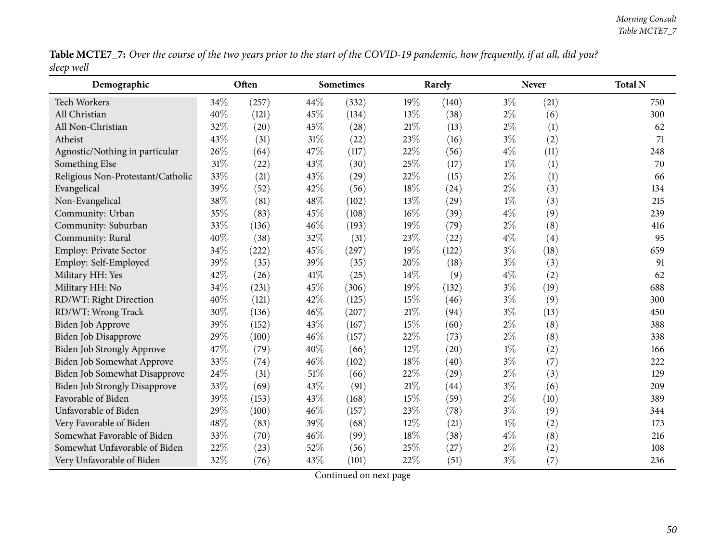Table MCTE7\_7: Over the course of the two years prior to the start of the COVID-19 pandemic, how frequently, if at all, did you? *sleep well*

| Demographic                          |     | Often |        | <b>Sometimes</b> |      | Rarely |       | <b>Never</b>      | <b>Total N</b> |
|--------------------------------------|-----|-------|--------|------------------|------|--------|-------|-------------------|----------------|
| Tech Workers                         | 34% | (257) | 44%    | (332)            | 19%  | (140)  | $3\%$ | (21)              | 750            |
| All Christian                        | 40% | (121) | 45%    | (134)            | 13\% | (38)   | $2\%$ | (6)               | 300            |
| All Non-Christian                    | 32% | (20)  | 45%    | (28)             | 21%  | (13)   | $2\%$ | (1)               | 62             |
| Atheist                              | 43% | (31)  | 31%    | (22)             | 23%  | (16)   | $3\%$ | (2)               | 71             |
| Agnostic/Nothing in particular       | 26% | (64)  | 47%    | (117)            | 22%  | (56)   | $4\%$ | (11)              | 248            |
| Something Else                       | 31% | (22)  | 43%    | (30)             | 25%  | (17)   | $1\%$ | (1)               | 70             |
| Religious Non-Protestant/Catholic    | 33% | (21)  | 43%    | (29)             | 22%  | (15)   | $2\%$ | (1)               | 66             |
| Evangelical                          | 39% | (52)  | 42%    | (56)             | 18%  | (24)   | $2\%$ | (3)               | 134            |
| Non-Evangelical                      | 38% | (81)  | 48%    | (102)            | 13%  | (29)   | $1\%$ | (3)               | 215            |
| Community: Urban                     | 35% | (83)  | 45%    | (108)            | 16%  | (39)   | $4\%$ | (9)               | 239            |
| Community: Suburban                  | 33% | (136) | 46%    | (193)            | 19%  | (79)   | $2\%$ | (8)               | 416            |
| Community: Rural                     | 40% | (38)  | 32%    | (31)             | 23%  | (22)   | $4\%$ | $\left( 4\right)$ | 95             |
| Employ: Private Sector               | 34% | (222) | 45%    | (297)            | 19%  | (122)  | $3\%$ | (18)              | 659            |
| Employ: Self-Employed                | 39% | (35)  | 39%    | (35)             | 20%  | (18)   | $3\%$ | (3)               | 91             |
| Military HH: Yes                     | 42% | (26)  | 41\%   | (25)             | 14\% | (9)    | $4\%$ | (2)               | 62             |
| Military HH: No                      | 34% | (231) | 45%    | (306)            | 19%  | (132)  | $3\%$ | (19)              | 688            |
| RD/WT: Right Direction               | 40% | (121) | 42%    | (125)            | 15%  | (46)   | $3\%$ | (9)               | 300            |
| RD/WT: Wrong Track                   | 30% | (136) | 46%    | (207)            | 21%  | (94)   | $3\%$ | (13)              | 450            |
| Biden Job Approve                    | 39% | (152) | 43%    | (167)            | 15%  | (60)   | $2\%$ | (8)               | 388            |
| Biden Job Disapprove                 | 29% | (100) | 46%    | (157)            | 22%  | (73)   | $2\%$ | (8)               | 338            |
| Biden Job Strongly Approve           | 47% | (79)  | 40%    | (66)             | 12%  | (20)   | $1\%$ | (2)               | 166            |
| Biden Job Somewhat Approve           | 33% | (74)  | 46%    | (102)            | 18%  | (40)   | $3\%$ | (7)               | 222            |
| Biden Job Somewhat Disapprove        | 24% | (31)  | 51%    | (66)             | 22%  | (29)   | $2\%$ | (3)               | 129            |
| <b>Biden Job Strongly Disapprove</b> | 33% | (69)  | 43%    | (91)             | 21%  | (44)   | $3\%$ | (6)               | 209            |
| Favorable of Biden                   | 39% | (153) | 43%    | (168)            | 15%  | (59)   | $2\%$ | (10)              | 389            |
| Unfavorable of Biden                 | 29% | (100) | $46\%$ | (157)            | 23%  | (78)   | $3\%$ | (9)               | 344            |
| Very Favorable of Biden              | 48% | (83)  | 39%    | (68)             | 12%  | (21)   | $1\%$ | (2)               | 173            |
| Somewhat Favorable of Biden          | 33% | (70)  | 46%    | (99)             | 18%  | (38)   | $4\%$ | (8)               | 216            |
| Somewhat Unfavorable of Biden        | 22% | (23)  | 52%    | (56)             | 25%  | (27)   | $2\%$ | (2)               | 108            |
| Very Unfavorable of Biden            | 32% | (76)  | 43%    | (101)            | 22%  | (51)   | $3\%$ | (7)               | 236            |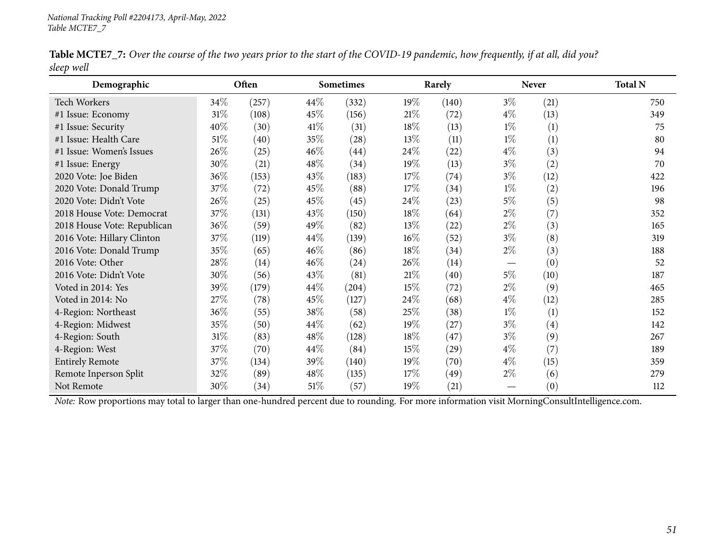| Table MCTE7_7: Over the course of the two years prior to the start of the COVID-19 pandemic, how frequently, if at all, did you? |  |
|----------------------------------------------------------------------------------------------------------------------------------|--|
| sleep well                                                                                                                       |  |

| Demographic                                                                                                                                    |        | Often |        | <b>Sometimes</b> |        | Rarely |       | <b>Never</b>      | <b>Total N</b> |
|------------------------------------------------------------------------------------------------------------------------------------------------|--------|-------|--------|------------------|--------|--------|-------|-------------------|----------------|
| <b>Tech Workers</b>                                                                                                                            | $34\%$ | (257) | $44\%$ | (332)            | 19%    | (140)  | $3\%$ | (21)              | 750            |
| #1 Issue: Economy                                                                                                                              | 31\%   | (108) | 45\%   | (156)            | 21%    | (72)   | $4\%$ | (13)              | 349            |
| #1 Issue: Security                                                                                                                             | 40%    | (30)  | $41\%$ | (31)             | 18\%   | (13)   | $1\%$ | (1)               | 75             |
| #1 Issue: Health Care                                                                                                                          | $51\%$ | (40)  | 35\%   | (28)             | 13\%   | (11)   | $1\%$ | (1)               | 80             |
| #1 Issue: Women's Issues                                                                                                                       | 26%    | (25)  | $46\%$ | (44)             | 24\%   | (22)   | $4\%$ | (3)               | 94             |
| #1 Issue: Energy                                                                                                                               | 30%    | (21)  | 48\%   | (34)             | 19%    | (13)   | $3\%$ | (2)               | 70             |
| 2020 Vote: Joe Biden                                                                                                                           | 36%    | (153) | 43\%   | (183)            | 17%    | (74)   | $3\%$ | (12)              | 422            |
| 2020 Vote: Donald Trump                                                                                                                        | 37%    | (72)  | 45\%   | (88)             | 17%    | (34)   | $1\%$ | (2)               | 196            |
| 2020 Vote: Didn't Vote                                                                                                                         | 26\%   | (25)  | 45\%   | (45)             | 24\%   | (23)   | $5\%$ | (5)               | 98             |
| 2018 House Vote: Democrat                                                                                                                      | 37%    | (131) | 43\%   | (150)            | 18\%   | (64)   | $2\%$ | (7)               | 352            |
| 2018 House Vote: Republican                                                                                                                    | 36%    | (59)  | 49\%   | (82)             | 13\%   | (22)   | $2\%$ | (3)               | 165            |
| 2016 Vote: Hillary Clinton                                                                                                                     | 37%    | (119) | $44\%$ | (139)            | $16\%$ | (52)   | $3\%$ | (8)               | 319            |
| 2016 Vote: Donald Trump                                                                                                                        | 35%    | (65)  | $46\%$ | (86)             | 18\%   | (34)   | $2\%$ | (3)               | 188            |
| 2016 Vote: Other                                                                                                                               | 28\%   | (14)  | $46\%$ | (24)             | 26\%   | (14)   |       | (0)               | 52             |
| 2016 Vote: Didn't Vote                                                                                                                         | 30%    | (56)  | 43\%   | (81)             | 21%    | (40)   | $5\%$ | (10)              | 187            |
| Voted in 2014: Yes                                                                                                                             | 39%    | (179) | $44\%$ | (204)            | 15%    | (72)   | $2\%$ | (9)               | 465            |
| Voted in 2014: No                                                                                                                              | 27\%   | (78)  | 45\%   | (127)            | 24\%   | (68)   | $4\%$ | (12)              | 285            |
| 4-Region: Northeast                                                                                                                            | 36%    | (55)  | 38\%   | (58)             | 25\%   | (38)   | $1\%$ | (1)               | 152            |
| 4-Region: Midwest                                                                                                                              | 35%    | (50)  | $44\%$ | (62)             | 19%    | (27)   | $3\%$ | $\left( 4\right)$ | 142            |
| 4-Region: South                                                                                                                                | $31\%$ | (83)  | $48\%$ | (128)            | 18\%   | (47)   | $3\%$ | (9)               | 267            |
| 4-Region: West                                                                                                                                 | 37%    | (70)  | $44\%$ | (84)             | 15%    | (29)   | $4\%$ | (7)               | 189            |
| <b>Entirely Remote</b>                                                                                                                         | 37%    | (134) | 39\%   | (140)            | 19%    | (70)   | $4\%$ | (15)              | 359            |
| Remote Inperson Split                                                                                                                          | 32%    | (89)  | $48\%$ | (135)            | 17%    | (49)   | $2\%$ | (6)               | 279            |
| Not Remote                                                                                                                                     | 30%    | (34)  | $51\%$ | (57)             | 19%    | (21)   |       | (0)               | 112            |
| Note: Row proportions may total to larger than one-hundred percent due to rounding. For more information visit MorningConsultIntelligence.com. |        |       |        |                  |        |        |       |                   |                |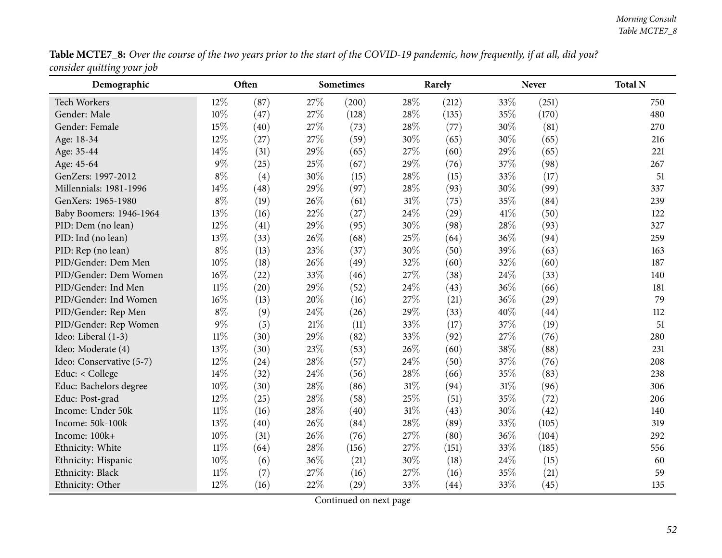| Table MCTE7_8: Over the course of the two years prior to the start of the COVID-19 pandemic, how frequently, if at all, did you? |  |
|----------------------------------------------------------------------------------------------------------------------------------|--|
| consider quitting your job                                                                                                       |  |

| $\mathcal{\circ}$ /<br>Demographic |        | Often |        | <b>Sometimes</b> |        | Rarely |      | <b>Never</b>       | <b>Total N</b> |
|------------------------------------|--------|-------|--------|------------------|--------|--------|------|--------------------|----------------|
| Tech Workers                       | 12%    | (87)  | 27%    | (200)            | 28%    | (212)  | 33%  | (251)              | 750            |
| Gender: Male                       | 10%    | (47)  | 27%    | (128)            | 28%    | (135)  | 35%  | (170)              | 480            |
| Gender: Female                     | 15%    | (40)  | 27%    | (73)             | 28%    | (77)   | 30%  | (81)               | 270            |
| Age: 18-34                         | 12%    | (27)  | 27%    | (59)             | 30%    | (65)   | 30%  | (65)               | 216            |
| Age: 35-44                         | 14%    | (31)  | 29%    | (65)             | 27%    | (60)   | 29%  | (65)               | 221            |
| Age: 45-64                         | 9%     | (25)  | 25%    | (67)             | 29%    | (76)   | 37%  | (98)               | 267            |
| GenZers: 1997-2012                 | $8\%$  | (4)   | 30%    | (15)             | 28%    | (15)   | 33%  | (17)               | 51             |
| Millennials: 1981-1996             | 14%    | (48)  | 29%    | (97)             | 28%    | (93)   | 30%  | (99)               | 337            |
| GenXers: 1965-1980                 | $8\%$  | (19)  | 26%    | (61)             | $31\%$ | (75)   | 35%  | (84)               | 239            |
| Baby Boomers: 1946-1964            | 13%    | (16)  | 22%    | (27)             | 24%    | (29)   | 41\% | (50)               | 122            |
| PID: Dem (no lean)                 | 12%    | (41)  | 29%    | (95)             | 30%    | (98)   | 28%  | (93)               | 327            |
| PID: Ind (no lean)                 | 13%    | (33)  | 26%    | (68)             | 25%    | (64)   | 36%  | (94)               | 259            |
| PID: Rep (no lean)                 | $8\%$  | (13)  | 23%    | (37)             | 30%    | (50)   | 39%  | (63)               | 163            |
| PID/Gender: Dem Men                | 10%    | (18)  | 26%    | (49)             | 32%    | (60)   | 32%  | (60)               | 187            |
| PID/Gender: Dem Women              | 16%    | (22)  | 33%    | (46)             | 27%    | (38)   | 24%  | (33)               | 140            |
| PID/Gender: Ind Men                | $11\%$ | (20)  | 29%    | (52)             | 24%    | (43)   | 36%  | (66)               | 181            |
| PID/Gender: Ind Women              | 16%    | (13)  | 20%    | (16)             | 27%    | (21)   | 36%  | $\left( 29\right)$ | 79             |
| PID/Gender: Rep Men                | $8\%$  | (9)   | 24\%   | (26)             | 29%    | (33)   | 40%  | (44)               | 112            |
| PID/Gender: Rep Women              | 9%     | (5)   | 21\%   | (11)             | 33%    | (17)   | 37%  | (19)               | 51             |
| Ideo: Liberal (1-3)                | $11\%$ | (30)  | 29%    | (82)             | 33%    | (92)   | 27%  | (76)               | 280            |
| Ideo: Moderate (4)                 | 13%    | (30)  | 23%    | (53)             | 26%    | (60)   | 38%  | (88)               | 231            |
| Ideo: Conservative (5-7)           | 12%    | (24)  | 28\%   | (57)             | 24%    | (50)   | 37%  | (76)               | 208            |
| Educ: < College                    | 14%    | (32)  | 24\%   | (56)             | 28%    | (66)   | 35%  | (83)               | 238            |
| Educ: Bachelors degree             | 10%    | (30)  | 28%    | (86)             | 31%    | (94)   | 31%  | (96)               | 306            |
| Educ: Post-grad                    | 12%    | (25)  | 28%    | (58)             | 25%    | (51)   | 35%  | (72)               | 206            |
| Income: Under 50k                  | $11\%$ | (16)  | 28\%   | (40)             | 31%    | (43)   | 30%  | (42)               | 140            |
| Income: 50k-100k                   | 13%    | (40)  | 26%    | (84)             | 28%    | (89)   | 33%  | (105)              | 319            |
| Income: 100k+                      | 10%    | (31)  | $26\%$ | (76)             | 27%    | (80)   | 36%  | (104)              | 292            |
| Ethnicity: White                   | $11\%$ | (64)  | 28%    | (156)            | 27%    | (151)  | 33%  | (185)              | 556            |
| Ethnicity: Hispanic                | 10%    | (6)   | 36%    | (21)             | 30%    | (18)   | 24%  | (15)               | 60             |
| Ethnicity: Black                   | $11\%$ | (7)   | 27%    | (16)             | 27%    | (16)   | 35%  | (21)               | 59             |
| Ethnicity: Other                   | 12%    | (16)  | 22%    | (29)             | 33%    | (44)   | 33%  | (45)               | 135            |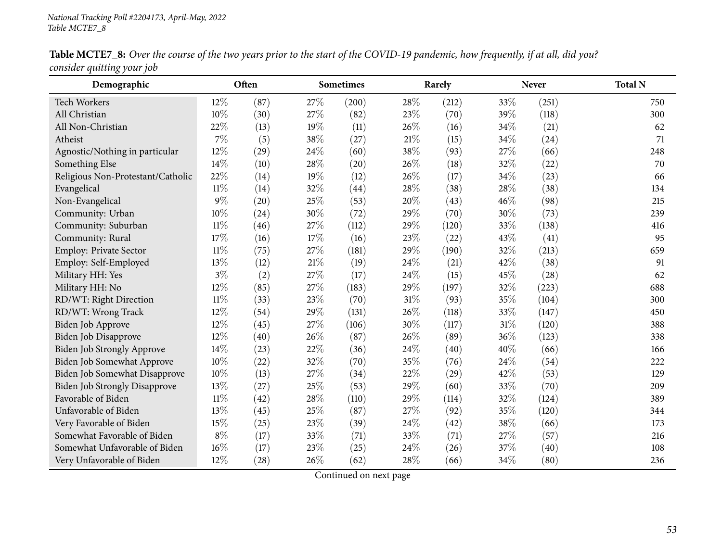| Demographic                          |        | Often |        | Sometimes |        | Rarely |     | <b>Never</b> | <b>Total N</b> |
|--------------------------------------|--------|-------|--------|-----------|--------|--------|-----|--------------|----------------|
| <b>Tech Workers</b>                  | 12%    | (87)  | 27\%   | (200)     | 28\%   | (212)  | 33% | (251)        | 750            |
| All Christian                        | 10%    | (30)  | 27\%   | (82)      | 23%    | (70)   | 39% | (118)        | 300            |
| All Non-Christian                    | 22%    | (13)  | 19%    | (11)      | 26%    | (16)   | 34% | (21)         | 62             |
| Atheist                              | $7\%$  | (5)   | 38%    | (27)      | $21\%$ | (15)   | 34% | (24)         | 71             |
| Agnostic/Nothing in particular       | 12%    | (29)  | 24\%   | (60)      | 38%    | (93)   | 27% | (66)         | 248            |
| Something Else                       | 14%    | (10)  | 28%    | (20)      | 26%    | (18)   | 32% | (22)         | 70             |
| Religious Non-Protestant/Catholic    | 22%    | (14)  | 19%    | (12)      | 26%    | (17)   | 34% | (23)         | 66             |
| Evangelical                          | $11\%$ | (14)  | 32%    | (44)      | 28%    | (38)   | 28% | (38)         | 134            |
| Non-Evangelical                      | 9%     | (20)  | 25%    | (53)      | 20%    | (43)   | 46% | (98)         | 215            |
| Community: Urban                     | 10%    | (24)  | 30%    | (72)      | 29%    | (70)   | 30% | (73)         | 239            |
| Community: Suburban                  | $11\%$ | (46)  | 27%    | (112)     | 29%    | (120)  | 33% | (138)        | 416            |
| Community: Rural                     | 17%    | (16)  | 17%    | (16)      | 23%    | (22)   | 43% | (41)         | 95             |
| Employ: Private Sector               | $11\%$ | (75)  | 27%    | (181)     | 29%    | (190)  | 32% | (213)        | 659            |
| Employ: Self-Employed                | 13%    | (12)  | $21\%$ | (19)      | 24%    | (21)   | 42% | (38)         | 91             |
| Military HH: Yes                     | $3\%$  | (2)   | 27%    | (17)      | 24%    | (15)   | 45% | (28)         | 62             |
| Military HH: No                      | 12%    | (85)  | 27%    | (183)     | 29%    | (197)  | 32% | (223)        | 688            |
| RD/WT: Right Direction               | $11\%$ | (33)  | 23%    | (70)      | 31%    | (93)   | 35% | (104)        | 300            |
| RD/WT: Wrong Track                   | 12%    | (54)  | 29%    | (131)     | 26%    | (118)  | 33% | (147)        | 450            |
| Biden Job Approve                    | 12%    | (45)  | 27%    | (106)     | 30%    | (117)  | 31% | (120)        | 388            |
| Biden Job Disapprove                 | 12%    | (40)  | 26%    | (87)      | 26%    | (89)   | 36% | (123)        | 338            |
| <b>Biden Job Strongly Approve</b>    | 14%    | (23)  | 22%    | (36)      | 24%    | (40)   | 40% | (66)         | 166            |
| Biden Job Somewhat Approve           | 10%    | (22)  | 32%    | (70)      | 35%    | (76)   | 24% | (54)         | 222            |
| <b>Biden Job Somewhat Disapprove</b> | 10%    | (13)  | 27%    | (34)      | 22%    | (29)   | 42% | (53)         | 129            |
| <b>Biden Job Strongly Disapprove</b> | 13%    | (27)  | 25%    | (53)      | 29%    | (60)   | 33% | (70)         | 209            |
| Favorable of Biden                   | $11\%$ | (42)  | 28\%   | (110)     | 29%    | (114)  | 32% | (124)        | 389            |
| Unfavorable of Biden                 | 13%    | (45)  | 25%    | (87)      | 27%    | (92)   | 35% | (120)        | 344            |
| Very Favorable of Biden              | 15%    | (25)  | 23%    | (39)      | 24%    | (42)   | 38% | (66)         | 173            |
| Somewhat Favorable of Biden          | $8\%$  | (17)  | 33%    | (71)      | 33%    | (71)   | 27% | (57)         | 216            |
| Somewhat Unfavorable of Biden        | 16%    | (17)  | 23%    | (25)      | 24%    | (26)   | 37% | (40)         | 108            |
| Very Unfavorable of Biden            | 12%    | (28)  | 26\%   | (62)      | 28%    | (66)   | 34% | (80)         | 236            |

Table MCTE7\_8: Over the course of the two years prior to the start of the COVID-19 pandemic, how frequently, if at all, did you? *consider quitting your job*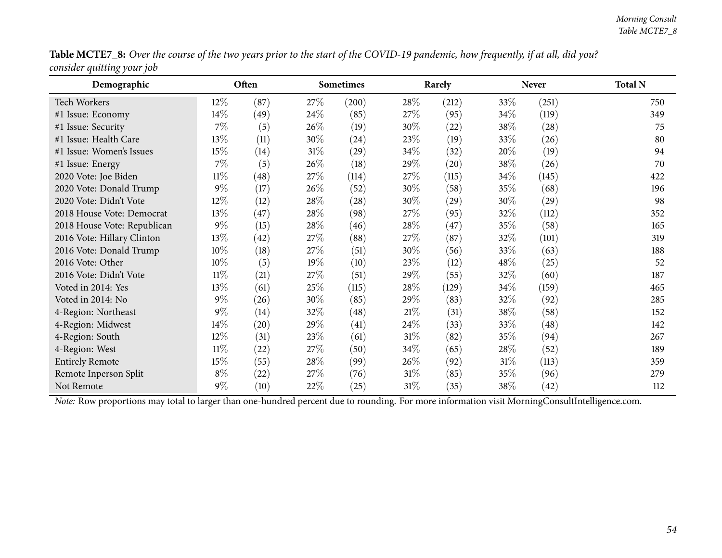| Table MCTE7_8: Over the course of the two years prior to the start of the COVID-19 pandemic, how frequently, if at all, did you? |  |
|----------------------------------------------------------------------------------------------------------------------------------|--|
| consider quitting your job                                                                                                       |  |

| Demographic                 |        | Often |        | <b>Sometimes</b> |        | Rarely             |        | <b>Never</b> | <b>Total N</b> |
|-----------------------------|--------|-------|--------|------------------|--------|--------------------|--------|--------------|----------------|
| <b>Tech Workers</b>         | $12\%$ | (87)  | 27%    | (200)            | 28\%   | (212)              | 33\%   | (251)        | 750            |
| #1 Issue: Economy           | $14\%$ | (49)  | 24\%   | (85)             | 27\%   | (95)               | 34\%   | (119)        | 349            |
| #1 Issue: Security          | 7%     | (5)   | 26\%   | (19)             | 30\%   | (22)               | 38\%   | (28)         | 75             |
| #1 Issue: Health Care       | 13%    | (11)  | 30\%   | (24)             | 23\%   | (19)               | $33\%$ | (26)         | 80             |
| #1 Issue: Women's Issues    | 15%    | (14)  | $31\%$ | (29)             | 34\%   | (32)               | $20\%$ | (19)         | 94             |
| #1 Issue: Energy            | $7\%$  | (5)   | 26\%   | (18)             | 29\%   | $\left( 20\right)$ | 38\%   | (26)         | 70             |
| 2020 Vote: Joe Biden        | $11\%$ | (48)  | 27%    | (114)            | 27\%   | (115)              | 34%    | (145)        | 422            |
| 2020 Vote: Donald Trump     | $9\%$  | (17)  | 26\%   | (52)             | 30\%   | (58)               | 35%    | (68)         | 196            |
| 2020 Vote: Didn't Vote      | $12\%$ | (12)  | 28\%   | (28)             | 30\%   | (29)               | 30\%   | (29)         | 98             |
| 2018 House Vote: Democrat   | 13%    | (47)  | 28\%   | (98)             | 27\%   | (95)               | 32%    | (112)        | 352            |
| 2018 House Vote: Republican | $9\%$  | (15)  | 28\%   | (46)             | 28%    | (47)               | 35%    | (58)         | 165            |
| 2016 Vote: Hillary Clinton  | 13%    | (42)  | 27\%   | (88)             | 27\%   | (87)               | 32%    | (101)        | 319            |
| 2016 Vote: Donald Trump     | 10%    | (18)  | 27\%   | (51)             | 30\%   | (56)               | 33\%   | (63)         | 188            |
| 2016 Vote: Other            | $10\%$ | (5)   | 19%    | (10)             | 23\%   | (12)               | $48\%$ | (25)         | 52             |
| 2016 Vote: Didn't Vote      | $11\%$ | (21)  | 27\%   | (51)             | 29\%   | (55)               | 32%    | (60)         | 187            |
| Voted in 2014: Yes          | 13\%   | (61)  | 25%    | (115)            | 28%    | (129)              | 34%    | (159)        | 465            |
| Voted in 2014: No           | $9\%$  | (26)  | 30\%   | (85)             | 29\%   | (83)               | $32\%$ | (92)         | 285            |
| 4-Region: Northeast         | $9\%$  | (14)  | 32\%   | (48)             | 21%    | (31)               | 38\%   | (58)         | 152            |
| 4-Region: Midwest           | 14%    | (20)  | 29%    | (41)             | $24\%$ | (33)               | $33\%$ | (48)         | 142            |
| 4-Region: South             | 12%    | (31)  | 23\%   | (61)             | 31\%   | (82)               | 35%    | (94)         | 267            |
| 4-Region: West              | $11\%$ | (22)  | 27\%   | (50)             | 34\%   | (65)               | 28\%   | (52)         | 189            |
| <b>Entirely Remote</b>      | 15%    | (55)  | 28\%   | (99)             | 26%    | (92)               | 31%    | (113)        | 359            |
| Remote Inperson Split       | $8\%$  | (22)  | 27\%   | (76)             | 31%    | (85)               | 35%    | (96)         | 279            |
| Not Remote                  | $9\%$  | (10)  | 22\%   | (25)             | 31%    | (35)               | 38\%   | (42)         | 112            |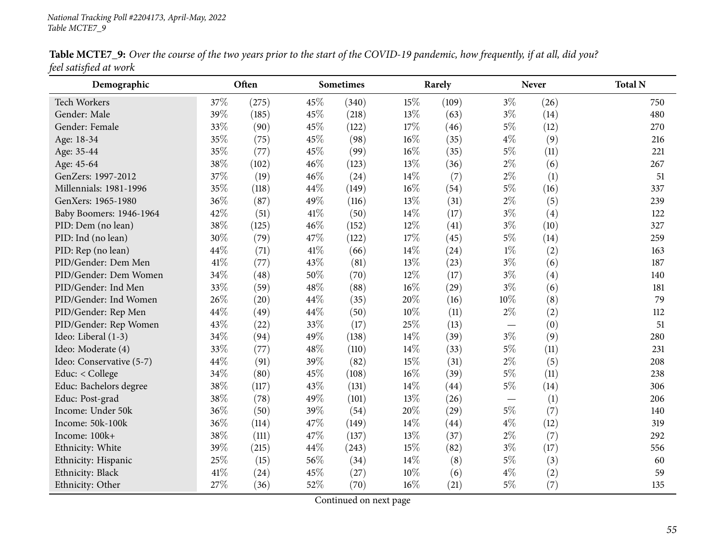| Demographic                                                                                                                             | Often | <b>Sometimes</b> | Rarely | <b>Never</b> | <b>Total N</b> |
|-----------------------------------------------------------------------------------------------------------------------------------------|-------|------------------|--------|--------------|----------------|
| feel satisfied at work                                                                                                                  |       |                  |        |              |                |
| <b>Table MCTE7_9:</b> Over the course of the two years prior to the start of the COVID-19 pandemic, how frequently, if at all, did you? |       |                  |        |              |                |

| Table MCTE7_9: Over the course of the two years prior to the start of the COVID-19 pandemic, how frequently, if at all, did you? |  |
|----------------------------------------------------------------------------------------------------------------------------------|--|
| feel satisfied at work                                                                                                           |  |

| Demographic              |     | Often              |      | <b>Sometimes</b> |        | Rarely |                          | <b>Never</b> | <b>Total N</b> |
|--------------------------|-----|--------------------|------|------------------|--------|--------|--------------------------|--------------|----------------|
| Tech Workers             | 37% | (275)              | 45%  | (340)            | 15%    | (109)  | $3\%$                    | (26)         | 750            |
| Gender: Male             | 39% | (185)              | 45%  | (218)            | 13%    | (63)   | $3\%$                    | (14)         | 480            |
| Gender: Female           | 33% | (90)               | 45%  | (122)            | 17%    | (46)   | $5\%$                    | (12)         | 270            |
| Age: 18-34               | 35% | (75)               | 45%  | (98)             | $16\%$ | (35)   | $4\%$                    | (9)          | 216            |
| Age: 35-44               | 35% | (77)               | 45%  | (99)             | $16\%$ | (35)   | $5\%$                    | (11)         | 221            |
| Age: 45-64               | 38% | (102)              | 46%  | (123)            | 13%    | (36)   | $2\%$                    | (6)          | 267            |
| GenZers: 1997-2012       | 37% | (19)               | 46%  | (24)             | 14%    | (7)    | $2\%$                    | (1)          | 51             |
| Millennials: 1981-1996   | 35% | (118)              | 44%  | (149)            | $16\%$ | (54)   | $5\%$                    | (16)         | 337            |
| GenXers: 1965-1980       | 36% | (87)               | 49%  | (116)            | 13%    | (31)   | $2\%$                    | (5)          | 239            |
| Baby Boomers: 1946-1964  | 42% | (51)               | 41\% | (50)             | 14\%   | (17)   | $3\%$                    | (4)          | 122            |
| PID: Dem (no lean)       | 38% | (125)              | 46%  | (152)            | 12%    | (41)   | $3\%$                    | (10)         | 327            |
| PID: Ind (no lean)       | 30% | (79)               | 47%  | (122)            | 17%    | (45)   | $5\%$                    | (14)         | 259            |
| PID: Rep (no lean)       | 44% | (71)               | 41%  | (66)             | 14%    | (24)   | $1\%$                    | (2)          | 163            |
| PID/Gender: Dem Men      | 41% | (77)               | 43\% | (81)             | 13%    | (23)   | $3\%$                    | (6)          | 187            |
| PID/Gender: Dem Women    | 34% | (48)               | 50%  | (70)             | 12%    | (17)   | $3\%$                    | (4)          | 140            |
| PID/Gender: Ind Men      | 33% | (59)               | 48%  | (88)             | $16\%$ | (29)   | $3\%$                    | (6)          | 181            |
| PID/Gender: Ind Women    | 26% | (20)               | 44%  | (35)             | 20%    | (16)   | $10\%$                   | (8)          | 79             |
| PID/Gender: Rep Men      | 44% | (49)               | 44%  | (50)             | 10%    | (11)   | $2\%$                    | (2)          | 112            |
| PID/Gender: Rep Women    | 43% | $\left( 22\right)$ | 33%  | (17)             | 25%    | (13)   | $\overline{\phantom{0}}$ | (0)          | 51             |
| Ideo: Liberal (1-3)      | 34% | (94)               | 49%  | (138)            | 14%    | (39)   | $3\%$                    | (9)          | 280            |
| Ideo: Moderate (4)       | 33% | (77)               | 48%  | (110)            | 14%    | (33)   | $5\%$                    | (11)         | 231            |
| Ideo: Conservative (5-7) | 44% | (91)               | 39%  | (82)             | 15%    | (31)   | $2\%$                    | (5)          | 208            |
| Educ: < College          | 34% | (80)               | 45%  | (108)            | 16%    | (39)   | $5\%$                    | (11)         | 238            |
| Educ: Bachelors degree   | 38% | (117)              | 43%  | (131)            | 14%    | (44)   | $5\%$                    | (14)         | 306            |
| Educ: Post-grad          | 38% | (78)               | 49%  | (101)            | 13%    | (26)   | $\overline{\phantom{0}}$ | (1)          | 206            |
| Income: Under 50k        | 36% | (50)               | 39%  | (54)             | 20%    | (29)   | $5\%$                    | (7)          | 140            |
| Income: 50k-100k         | 36% | (114)              | 47%  | (149)            | 14%    | (44)   | $4\%$                    | (12)         | 319            |
| Income: 100k+            | 38% | (111)              | 47%  | (137)            | 13%    | (37)   | $2\%$                    | (7)          | 292            |
| Ethnicity: White         | 39% | (215)              | 44%  | (243)            | 15%    | (82)   | $3\%$                    | (17)         | 556            |
| Ethnicity: Hispanic      | 25% | (15)               | 56%  | (34)             | 14%    | (8)    | $5\%$                    | (3)          | 60             |
| Ethnicity: Black         | 41% | (24)               | 45%  | (27)             | 10%    | (6)    | $4\%$                    | (2)          | 59             |
| Ethnicity: Other         | 27% | (36)               | 52%  | (70)             | $16\%$ | (21)   | $5\%$                    | (7)          | 135            |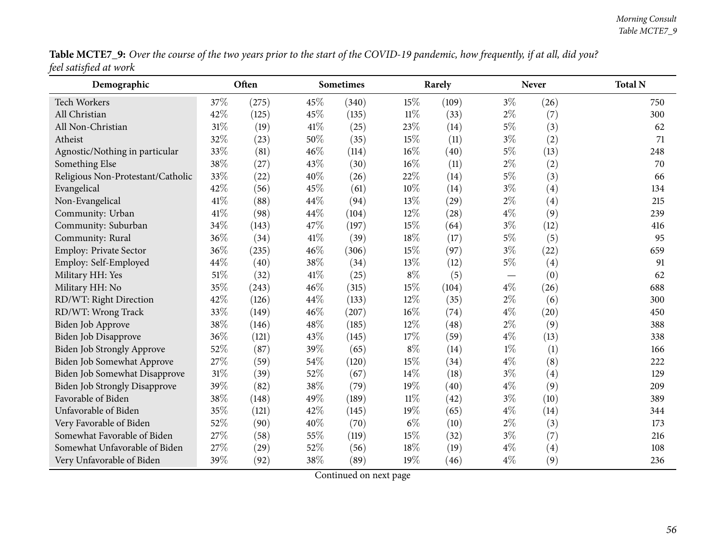| Table MCTE7_9: Over the course of the two years prior to the start of the COVID-19 pandemic, how frequently, if at all, did you? |  |
|----------------------------------------------------------------------------------------------------------------------------------|--|
| feel satisfied at work                                                                                                           |  |

| Demographic                          |      | Often |      | <b>Sometimes</b> |        | Rarely |       | <b>Never</b> | <b>Total N</b> |
|--------------------------------------|------|-------|------|------------------|--------|--------|-------|--------------|----------------|
| <b>Tech Workers</b>                  | 37%  | (275) | 45%  | (340)            | 15%    | (109)  | $3\%$ | (26)         | 750            |
| All Christian                        | 42%  | (125) | 45%  | (135)            | $11\%$ | (33)   | $2\%$ | (7)          | 300            |
| All Non-Christian                    | 31%  | (19)  | 41\% | (25)             | 23%    | (14)   | $5\%$ | (3)          | 62             |
| Atheist                              | 32%  | (23)  | 50%  | (35)             | 15%    | (11)   | $3\%$ | (2)          | 71             |
| Agnostic/Nothing in particular       | 33%  | (81)  | 46%  | (114)            | 16%    | (40)   | $5\%$ | (13)         | 248            |
| Something Else                       | 38%  | (27)  | 43%  | (30)             | 16%    | (11)   | $2\%$ | (2)          | 70             |
| Religious Non-Protestant/Catholic    | 33%  | (22)  | 40%  | (26)             | 22%    | (14)   | $5\%$ | (3)          | 66             |
| Evangelical                          | 42%  | (56)  | 45%  | (61)             | 10%    | (14)   | $3\%$ | (4)          | 134            |
| Non-Evangelical                      | 41\% | (88)  | 44%  | (94)             | 13%    | (29)   | $2\%$ | (4)          | 215            |
| Community: Urban                     | 41\% | (98)  | 44%  | (104)            | 12%    | (28)   | $4\%$ | (9)          | 239            |
| Community: Suburban                  | 34%  | (143) | 47%  | (197)            | 15%    | (64)   | $3\%$ | (12)         | 416            |
| Community: Rural                     | 36%  | (34)  | 41\% | (39)             | 18%    | (17)   | $5\%$ | (5)          | 95             |
| Employ: Private Sector               | 36%  | (235) | 46%  | (306)            | 15%    | (97)   | $3\%$ | (22)         | 659            |
| Employ: Self-Employed                | 44%  | (40)  | 38%  | (34)             | 13%    | (12)   | $5\%$ | (4)          | 91             |
| Military HH: Yes                     | 51%  | (32)  | 41\% | (25)             | $8\%$  | (5)    |       | (0)          | 62             |
| Military HH: No                      | 35%  | (243) | 46%  | (315)            | 15%    | (104)  | $4\%$ | (26)         | 688            |
| RD/WT: Right Direction               | 42%  | (126) | 44%  | (133)            | 12%    | (35)   | $2\%$ | (6)          | 300            |
| RD/WT: Wrong Track                   | 33%  | (149) | 46%  | (207)            | 16%    | (74)   | $4\%$ | (20)         | 450            |
| Biden Job Approve                    | 38%  | (146) | 48%  | (185)            | 12%    | (48)   | $2\%$ | (9)          | 388            |
| <b>Biden Job Disapprove</b>          | 36%  | (121) | 43%  | (145)            | 17%    | (59)   | $4\%$ | (13)         | 338            |
| Biden Job Strongly Approve           | 52%  | (87)  | 39%  | (65)             | $8\%$  | (14)   | $1\%$ | (1)          | 166            |
| Biden Job Somewhat Approve           | 27%  | (59)  | 54%  | (120)            | 15%    | (34)   | $4\%$ | (8)          | 222            |
| Biden Job Somewhat Disapprove        | 31%  | (39)  | 52%  | (67)             | 14%    | (18)   | $3\%$ | (4)          | 129            |
| <b>Biden Job Strongly Disapprove</b> | 39%  | (82)  | 38%  | (79)             | 19%    | (40)   | $4\%$ | (9)          | 209            |
| Favorable of Biden                   | 38%  | (148) | 49%  | (189)            | $11\%$ | (42)   | $3\%$ | (10)         | 389            |
| Unfavorable of Biden                 | 35%  | (121) | 42%  | (145)            | 19%    | (65)   | $4\%$ | (14)         | 344            |
| Very Favorable of Biden              | 52%  | (90)  | 40%  | (70)             | $6\%$  | (10)   | $2\%$ | (3)          | 173            |
| Somewhat Favorable of Biden          | 27%  | (58)  | 55%  | (119)            | 15%    | (32)   | $3\%$ | (7)          | 216            |
| Somewhat Unfavorable of Biden        | 27%  | (29)  | 52%  | (56)             | 18%    | (19)   | $4\%$ | (4)          | 108            |
| Very Unfavorable of Biden            | 39%  | (92)  | 38%  | (89)             | 19%    | (46)   | $4\%$ | (9)          | 236            |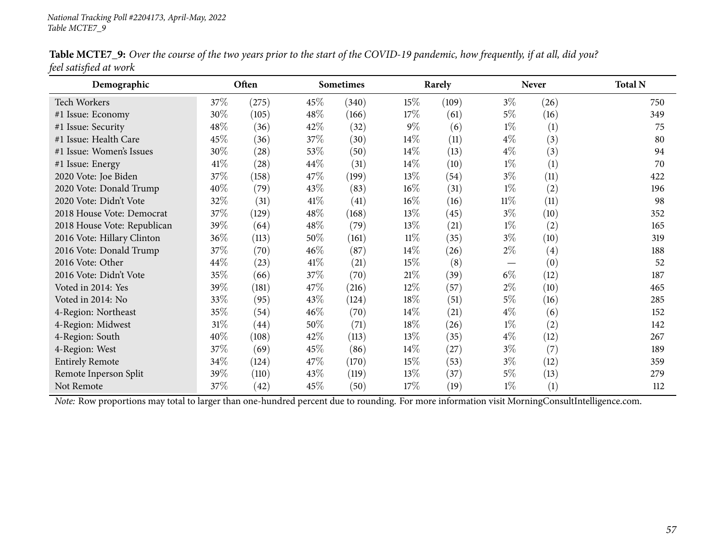| Demographic                                                                                                                                    |        | Often              |        | Sometimes |        | Rarely |        | <b>Never</b>      | <b>Total N</b> |
|------------------------------------------------------------------------------------------------------------------------------------------------|--------|--------------------|--------|-----------|--------|--------|--------|-------------------|----------------|
| <b>Tech Workers</b>                                                                                                                            | 37\%   | (275)              | 45\%   | (340)     | $15\%$ | (109)  | $3\%$  | (26)              | 750            |
| #1 Issue: Economy                                                                                                                              | 30%    | (105)              | 48\%   | (166)     | 17%    | (61)   | 5%     | (16)              | 349            |
| #1 Issue: Security                                                                                                                             | 48%    | (36)               | 42\%   | (32)      | $9\%$  | (6)    | $1\%$  | (1)               | 75             |
| #1 Issue: Health Care                                                                                                                          | 45%    | (36)               | 37\%   | (30)      | $14\%$ | (11)   | $4\%$  | (3)               | 80             |
| #1 Issue: Women's Issues                                                                                                                       | 30%    | (28)               | 53\%   | (50)      | $14\%$ | (13)   | $4\%$  | (3)               | 94             |
| #1 Issue: Energy                                                                                                                               | 41\%   | (28)               | 44\%   | (31)      | 14\%   | (10)   | $1\%$  | (1)               | 70             |
| 2020 Vote: Joe Biden                                                                                                                           | 37%    | (158)              | 47\%   | (199)     | 13\%   | (54)   | $3\%$  | (11)              | 422            |
| 2020 Vote: Donald Trump                                                                                                                        | 40%    | (79)               | 43\%   | (83)      | $16\%$ | (31)   | $1\%$  | (2)               | 196            |
| 2020 Vote: Didn't Vote                                                                                                                         | 32%    | (31)               | 41\%   | (41)      | $16\%$ | (16)   | $11\%$ | (11)              | 98             |
| 2018 House Vote: Democrat                                                                                                                      | 37%    | (129)              | 48\%   | (168)     | 13\%   | (45)   | $3\%$  | (10)              | 352            |
| 2018 House Vote: Republican                                                                                                                    | 39%    | (64)               | 48\%   | (79)      | $13\%$ | (21)   | $1\%$  | (2)               | 165            |
| 2016 Vote: Hillary Clinton                                                                                                                     | 36%    | (113)              | 50\%   | (161)     | $11\%$ | (35)   | $3\%$  | (10)              | 319            |
| 2016 Vote: Donald Trump                                                                                                                        | 37%    | (70)               | $46\%$ | (87)      | $14\%$ | (26)   | $2\%$  | $\left( 4\right)$ | 188            |
| 2016 Vote: Other                                                                                                                               | 44\%   | (23)               | 41\%   | (21)      | $15\%$ | (8)    |        | (0)               | 52             |
| 2016 Vote: Didn't Vote                                                                                                                         | 35%    | (66)               | 37%    | (70)      | $21\%$ | (39)   | $6\%$  | (12)              | 187            |
| Voted in 2014: Yes                                                                                                                             | 39%    | (181)              | 47\%   | (216)     | $12\%$ | (57)   | $2\%$  | (10)              | 465            |
| Voted in 2014: No                                                                                                                              | 33%    | (95)               | 43\%   | (124)     | 18\%   | (51)   | 5%     | (16)              | 285            |
| 4-Region: Northeast                                                                                                                            | 35%    | (54)               | $46\%$ | (70)      | $14\%$ | (21)   | $4\%$  | (6)               | 152            |
| 4-Region: Midwest                                                                                                                              | $31\%$ | $\left( 44\right)$ | 50%    | (71)      | 18%    | (26)   | $1\%$  | (2)               | 142            |
| 4-Region: South                                                                                                                                | 40%    | (108)              | 42\%   | (113)     | 13\%   | (35)   | $4\%$  | (12)              | 267            |
| 4-Region: West                                                                                                                                 | 37%    | (69)               | 45\%   | (86)      | $14\%$ | (27)   | $3\%$  | (7)               | 189            |
| <b>Entirely Remote</b>                                                                                                                         | 34%    | (124)              | 47\%   | (170)     | $15\%$ | (53)   | $3\%$  | (12)              | 359            |
| Remote Inperson Split                                                                                                                          | 39%    | (110)              | 43%    | (119)     | 13%    | (37)   | $5\%$  | (13)              | 279            |
| Not Remote                                                                                                                                     | 37%    | (42)               | 45%    | (50)      | $17\%$ | (19)   | $1\%$  | (1)               | 112            |
| Note: Row proportions may total to larger than one-hundred percent due to rounding. For more information visit MorningConsultIntelligence.com. |        |                    |        |           |        |        |        |                   |                |

Table MCTE7\_9: Over the course of the two years prior to the start of the COVID-19 pandemic, how frequently, if at all, did you? *feel satisfied at work*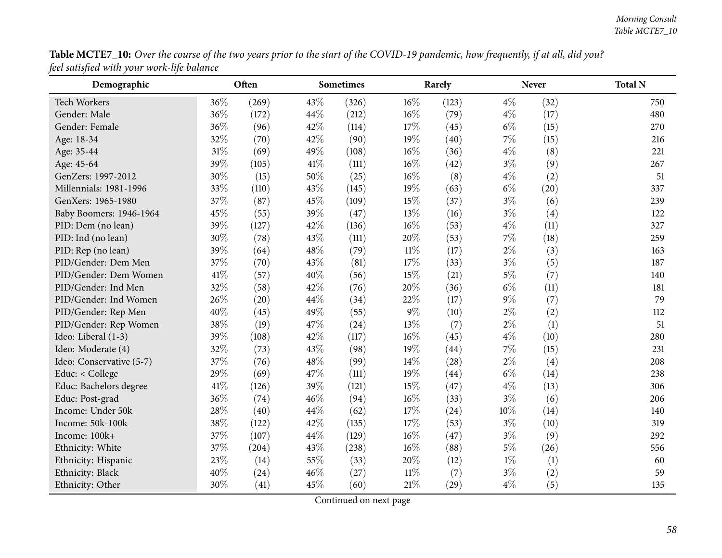Table MCTE7\_10: Over the course of the two years prior to the start of the COVID-19 pandemic, how frequently, if at all, did you? *feel satisfied with your work-life balance*

| Demographic              |        | Often |      | <b>Sometimes</b> |        | Rarely |       | <b>Never</b> | <b>Total N</b> |
|--------------------------|--------|-------|------|------------------|--------|--------|-------|--------------|----------------|
| <b>Tech Workers</b>      | 36%    | (269) | 43%  | (326)            | 16%    | (123)  | $4\%$ | (32)         | 750            |
| Gender: Male             | 36%    | (172) | 44%  | (212)            | $16\%$ | (79)   | $4\%$ | (17)         | 480            |
| Gender: Female           | 36%    | (96)  | 42%  | (114)            | 17\%   | (45)   | $6\%$ | (15)         | 270            |
| Age: 18-34               | 32%    | (70)  | 42%  | (90)             | 19%    | (40)   | 7%    | (15)         | 216            |
| Age: 35-44               | 31%    | (69)  | 49%  | (108)            | 16%    | (36)   | $4\%$ | (8)          | 221            |
| Age: 45-64               | 39%    | (105) | 41\% | (111)            | 16%    | (42)   | $3\%$ | (9)          | 267            |
| GenZers: 1997-2012       | 30%    | (15)  | 50%  | (25)             | 16%    | (8)    | $4\%$ | (2)          | 51             |
| Millennials: 1981-1996   | 33%    | (110) | 43%  | (145)            | 19%    | (63)   | $6\%$ | (20)         | 337            |
| GenXers: 1965-1980       | 37%    | (87)  | 45%  | (109)            | 15%    | (37)   | $3\%$ | (6)          | 239            |
| Baby Boomers: 1946-1964  | 45%    | (55)  | 39%  | (47)             | 13%    | (16)   | $3\%$ | (4)          | 122            |
| PID: Dem (no lean)       | 39%    | (127) | 42%  | (136)            | $16\%$ | (53)   | $4\%$ | (11)         | 327            |
| PID: Ind (no lean)       | 30%    | (78)  | 43%  | (111)            | 20%    | (53)   | $7\%$ | (18)         | 259            |
| PID: Rep (no lean)       | 39%    | (64)  | 48%  | (79)             | $11\%$ | (17)   | $2\%$ | (3)          | 163            |
| PID/Gender: Dem Men      | 37%    | (70)  | 43%  | (81)             | 17%    | (33)   | $3\%$ | (5)          | 187            |
| PID/Gender: Dem Women    | $41\%$ | (57)  | 40%  | (56)             | 15%    | (21)   | $5\%$ | (7)          | 140            |
| PID/Gender: Ind Men      | 32%    | (58)  | 42%  | (76)             | 20%    | (36)   | $6\%$ | (11)         | 181            |
| PID/Gender: Ind Women    | 26%    | (20)  | 44%  | (34)             | 22%    | (17)   | $9\%$ | (7)          | 79             |
| PID/Gender: Rep Men      | 40%    | (45)  | 49%  | (55)             | $9\%$  | (10)   | $2\%$ | (2)          | 112            |
| PID/Gender: Rep Women    | 38%    | (19)  | 47%  | (24)             | $13\%$ | (7)    | $2\%$ | (1)          | 51             |
| Ideo: Liberal (1-3)      | 39%    | (108) | 42%  | (117)            | 16%    | (45)   | $4\%$ | (10)         | 280            |
| Ideo: Moderate (4)       | 32%    | (73)  | 43%  | (98)             | 19%    | (44)   | 7%    | (15)         | 231            |
| Ideo: Conservative (5-7) | 37%    | (76)  | 48%  | (99)             | 14%    | (28)   | $2\%$ | (4)          | 208            |
| Educ: < College          | 29%    | (69)  | 47\% | (111)            | 19%    | (44)   | $6\%$ | (14)         | 238            |
| Educ: Bachelors degree   | 41\%   | (126) | 39%  | (121)            | 15%    | (47)   | $4\%$ | (13)         | 306            |
| Educ: Post-grad          | 36%    | (74)  | 46%  | (94)             | 16%    | (33)   | $3\%$ | (6)          | 206            |
| Income: Under 50k        | 28%    | (40)  | 44%  | (62)             | 17%    | (24)   | 10%   | (14)         | 140            |
| Income: 50k-100k         | 38%    | (122) | 42%  | (135)            | 17%    | (53)   | $3\%$ | (10)         | 319            |
| Income: 100k+            | 37%    | (107) | 44%  | (129)            | $16\%$ | (47)   | $3\%$ | (9)          | 292            |
| Ethnicity: White         | 37%    | (204) | 43%  | (238)            | $16\%$ | (88)   | $5\%$ | (26)         | 556            |
| Ethnicity: Hispanic      | 23%    | (14)  | 55%  | (33)             | 20%    | (12)   | $1\%$ | (1)          | 60             |
| Ethnicity: Black         | 40%    | (24)  | 46%  | (27)             | $11\%$ | (7)    | $3\%$ | (2)          | 59             |
| Ethnicity: Other         | 30%    | (41)  | 45%  | (60)             | 21%    | (29)   | $4\%$ | (5)          | 135            |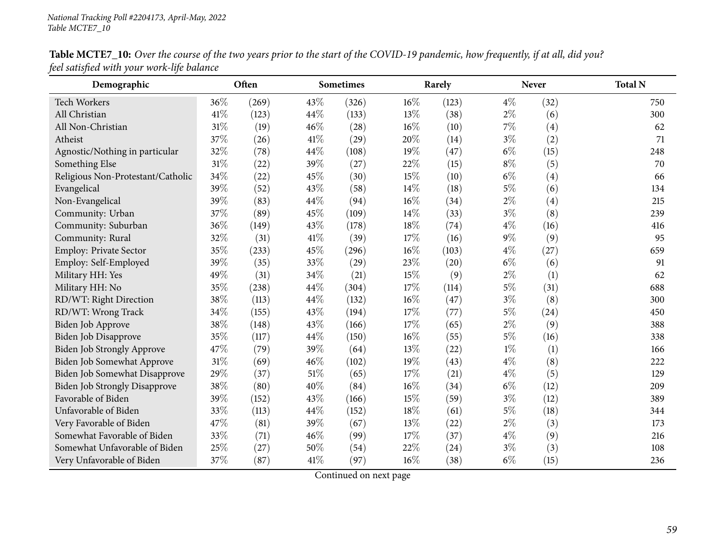| Demographic                          |        | Often |        | Sometimes |      | Rarely |       | <b>Never</b>      | <b>Total N</b> |
|--------------------------------------|--------|-------|--------|-----------|------|--------|-------|-------------------|----------------|
| <b>Tech Workers</b>                  | 36%    | (269) | 43\%   | (326)     | 16%  | (123)  | $4\%$ | (32)              | 750            |
| All Christian                        | 41\%   | (123) | 44\%   | (133)     | 13%  | (38)   | $2\%$ | (6)               | 300            |
| All Non-Christian                    | 31%    | (19)  | 46%    | (28)      | 16%  | (10)   | 7%    | $\left( 4\right)$ | 62             |
| Atheist                              | 37%    | (26)  | 41\%   | (29)      | 20%  | (14)   | $3\%$ | (2)               | 71             |
| Agnostic/Nothing in particular       | 32%    | (78)  | 44%    | (108)     | 19%  | (47)   | $6\%$ | (15)              | 248            |
| Something Else                       | $31\%$ | (22)  | 39%    | (27)      | 22%  | (15)   | $8\%$ | (5)               | 70             |
| Religious Non-Protestant/Catholic    | 34%    | (22)  | 45%    | (30)      | 15%  | (10)   | $6\%$ | (4)               | 66             |
| Evangelical                          | 39%    | (52)  | 43%    | (58)      | 14%  | (18)   | $5\%$ | (6)               | 134            |
| Non-Evangelical                      | 39%    | (83)  | 44\%   | (94)      | 16%  | (34)   | $2\%$ | $\left( 4\right)$ | 215            |
| Community: Urban                     | 37%    | (89)  | 45%    | (109)     | 14\% | (33)   | $3\%$ | (8)               | 239            |
| Community: Suburban                  | 36%    | (149) | 43%    | (178)     | 18%  | (74)   | $4\%$ | (16)              | 416            |
| Community: Rural                     | 32%    | (31)  | $41\%$ | (39)      | 17%  | (16)   | $9\%$ | (9)               | 95             |
| Employ: Private Sector               | 35%    | (233) | 45%    | (296)     | 16%  | (103)  | $4\%$ | (27)              | 659            |
| Employ: Self-Employed                | 39%    | (35)  | 33%    | (29)      | 23%  | (20)   | $6\%$ | (6)               | 91             |
| Military HH: Yes                     | 49%    | (31)  | 34%    | (21)      | 15%  | (9)    | $2\%$ | (1)               | 62             |
| Military HH: No                      | 35%    | (238) | 44%    | (304)     | 17%  | (114)  | $5\%$ | (31)              | 688            |
| RD/WT: Right Direction               | 38%    | (113) | 44%    | (132)     | 16%  | (47)   | $3\%$ | (8)               | 300            |
| RD/WT: Wrong Track                   | 34%    | (155) | 43\%   | (194)     | 17%  | (77)   | $5\%$ | (24)              | 450            |
| Biden Job Approve                    | 38%    | (148) | 43%    | (166)     | 17%  | (65)   | $2\%$ | (9)               | 388            |
| Biden Job Disapprove                 | 35%    | (117) | 44\%   | (150)     | 16%  | (55)   | $5\%$ | (16)              | 338            |
| <b>Biden Job Strongly Approve</b>    | 47%    | (79)  | 39%    | (64)      | 13%  | (22)   | $1\%$ | (1)               | 166            |
| <b>Biden Job Somewhat Approve</b>    | 31%    | (69)  | 46%    | (102)     | 19%  | (43)   | $4\%$ | (8)               | 222            |
| Biden Job Somewhat Disapprove        | 29%    | (37)  | 51%    | (65)      | 17%  | (21)   | $4\%$ | (5)               | 129            |
| <b>Biden Job Strongly Disapprove</b> | 38%    | (80)  | 40%    | (84)      | 16%  | (34)   | $6\%$ | (12)              | 209            |
| Favorable of Biden                   | 39%    | (152) | 43%    | (166)     | 15%  | (59)   | $3\%$ | (12)              | 389            |
| Unfavorable of Biden                 | 33%    | (113) | 44%    | (152)     | 18%  | (61)   | $5\%$ | (18)              | 344            |
| Very Favorable of Biden              | 47%    | (81)  | 39%    | (67)      | 13%  | (22)   | $2\%$ | (3)               | 173            |
| Somewhat Favorable of Biden          | 33%    | (71)  | 46%    | (99)      | 17%  | (37)   | $4\%$ | (9)               | 216            |
| Somewhat Unfavorable of Biden        | 25%    | (27)  | 50%    | (54)      | 22%  | (24)   | $3\%$ | (3)               | 108            |
| Very Unfavorable of Biden            | 37%    | (87)  | 41\%   | (97)      | 16%  | (38)   | $6\%$ | (15)              | 236            |

Table MCTE7\_10: Over the course of the two years prior to the start of the COVID-19 pandemic, how frequently, if at all, did you? *feel satisfied with your work-life balance*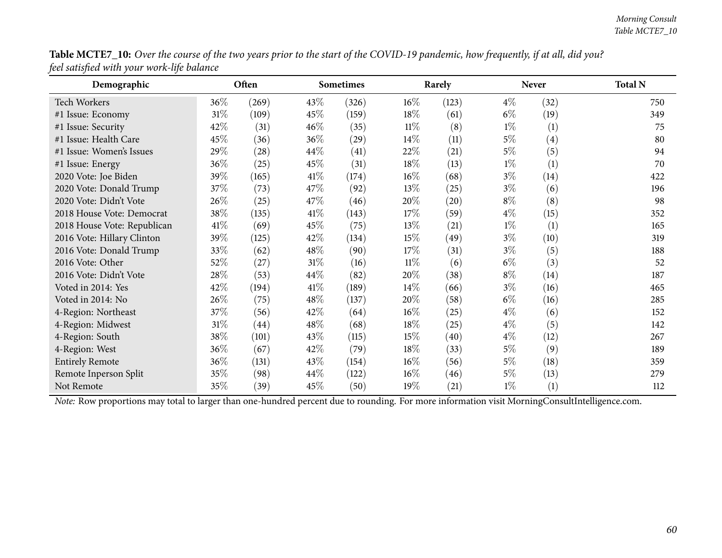| Table MCTE7_10: Over the course of the two years prior to the start of the COVID-19 pandemic, how frequently, if at all, did you? |  |
|-----------------------------------------------------------------------------------------------------------------------------------|--|
| feel satisfied with your work-life balance                                                                                        |  |

| Demographic                                                                                                                                    |        | Often |        | Sometimes |        | Rarely |       | <b>Never</b> | <b>Total N</b> |
|------------------------------------------------------------------------------------------------------------------------------------------------|--------|-------|--------|-----------|--------|--------|-------|--------------|----------------|
| Tech Workers                                                                                                                                   | 36\%   | (269) | 43\%   | (326)     | $16\%$ | (123)  | $4\%$ | (32)         | 750            |
| #1 Issue: Economy                                                                                                                              | $31\%$ | (109) | 45\%   | (159)     | $18\%$ | (61)   | $6\%$ | (19)         | 349            |
| #1 Issue: Security                                                                                                                             | 42%    | (31)  | $46\%$ | (35)      | $11\%$ | (8)    | $1\%$ | (1)          | 75             |
| #1 Issue: Health Care                                                                                                                          | 45%    | (36)  | $36\%$ | (29)      | $14\%$ | (11)   | $5\%$ | (4)          | 80             |
| #1 Issue: Women's Issues                                                                                                                       | 29%    | (28)  | 44\%   | (41)      | 22\%   | (21)   | $5\%$ | (5)          | 94             |
| #1 Issue: Energy                                                                                                                               | 36%    | (25)  | 45\%   | (31)      | 18\%   | (13)   | $1\%$ | (1)          | 70             |
| 2020 Vote: Joe Biden                                                                                                                           | 39%    | (165) | 41\%   | (174)     | $16\%$ | (68)   | $3\%$ | (14)         | 422            |
| 2020 Vote: Donald Trump                                                                                                                        | 37%    | (73)  | 47\%   | (92)      | $13\%$ | (25)   | $3\%$ | (6)          | 196            |
| 2020 Vote: Didn't Vote                                                                                                                         | 26\%   | (25)  | 47\%   | (46)      | 20%    | (20)   | $8\%$ | (8)          | 98             |
| 2018 House Vote: Democrat                                                                                                                      | 38%    | (135) | 41\%   | (143)     | 17%    | (59)   | $4\%$ | (15)         | 352            |
| 2018 House Vote: Republican                                                                                                                    | $41\%$ | (69)  | 45\%   | (75)      | $13\%$ | (21)   | $1\%$ | (1)          | 165            |
| 2016 Vote: Hillary Clinton                                                                                                                     | 39%    | (125) | 42\%   | (134)     | $15\%$ | (49)   | $3\%$ | (10)         | 319            |
| 2016 Vote: Donald Trump                                                                                                                        | 33%    | (62)  | 48\%   | (90)      | 17%    | (31)   | $3\%$ | (5)          | 188            |
| 2016 Vote: Other                                                                                                                               | 52%    | (27)  | $31\%$ | (16)      | $11\%$ | (6)    | $6\%$ | (3)          | 52             |
| 2016 Vote: Didn't Vote                                                                                                                         | 28\%   | (53)  | 44\%   | (82)      | 20%    | (38)   | $8\%$ | (14)         | 187            |
| Voted in 2014: Yes                                                                                                                             | 42%    | (194) | 41\%   | (189)     | $14\%$ | (66)   | $3\%$ | (16)         | 465            |
| Voted in 2014: No                                                                                                                              | 26%    | (75)  | 48\%   | (137)     | 20%    | (58)   | $6\%$ | (16)         | 285            |
| 4-Region: Northeast                                                                                                                            | 37%    | (56)  | 42\%   | (64)      | $16\%$ | (25)   | $4\%$ | (6)          | 152            |
| 4-Region: Midwest                                                                                                                              | $31\%$ | (44)  | 48\%   | (68)      | 18%    | (25)   | $4\%$ | (5)          | 142            |
| 4-Region: South                                                                                                                                | 38%    | (101) | 43\%   | (115)     | 15%    | (40)   | $4\%$ | (12)         | 267            |
| 4-Region: West                                                                                                                                 | 36%    | (67)  | 42\%   | (79)      | $18\%$ | (33)   | $5\%$ | (9)          | 189            |
| <b>Entirely Remote</b>                                                                                                                         | 36%    | (131) | 43\%   | (154)     | $16\%$ | (56)   | $5\%$ | (18)         | 359            |
| Remote Inperson Split                                                                                                                          | 35%    | (98)  | 44\%   | (122)     | $16\%$ | (46)   | $5\%$ | (13)         | 279            |
| Not Remote                                                                                                                                     | 35%    | (39)  | 45\%   | (50)      | 19%    | (21)   | $1\%$ | (1)          | 112            |
| Note: Row proportions may total to larger than one-hundred percent due to rounding. For more information visit MorningConsultIntelligence.com. |        |       |        |           |        |        |       |              |                |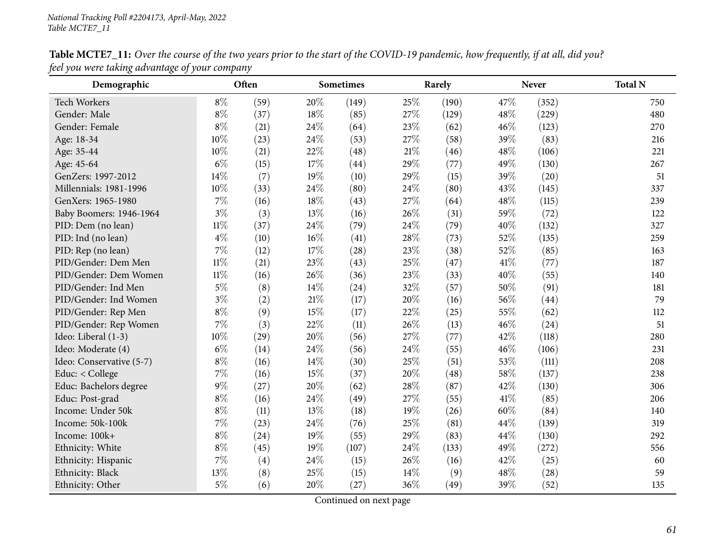| Demographic              |        | Often |      | Sometimes |     | Rarely |      | Never | <b>Total N</b> |
|--------------------------|--------|-------|------|-----------|-----|--------|------|-------|----------------|
| <b>Tech Workers</b>      | $8\%$  | (59)  | 20%  | (149)     | 25% | (190)  | 47%  | (352) | 750            |
| Gender: Male             | $8\%$  | (37)  | 18%  | (85)      | 27% | (129)  | 48%  | (229) | 480            |
| Gender: Female           | $8\%$  | (21)  | 24%  | (64)      | 23% | (62)   | 46%  | (123) | 270            |
| Age: 18-34               | 10%    | (23)  | 24\% | (53)      | 27% | (58)   | 39%  | (83)  | 216            |
| Age: 35-44               | 10%    | (21)  | 22%  | (48)      | 21% | (46)   | 48%  | (106) | 221            |
| Age: 45-64               | $6\%$  | (15)  | 17%  | (44)      | 29% | (77)   | 49%  | (130) | 267            |
| GenZers: 1997-2012       | 14%    | (7)   | 19%  | (10)      | 29% | (15)   | 39%  | (20)  | 51             |
| Millennials: 1981-1996   | 10%    | (33)  | 24%  | (80)      | 24% | (80)   | 43%  | (145) | 337            |
| GenXers: 1965-1980       | 7%     | (16)  | 18%  | (43)      | 27% | (64)   | 48%  | (115) | 239            |
| Baby Boomers: 1946-1964  | $3\%$  | (3)   | 13%  | (16)      | 26% | (31)   | 59%  | (72)  | 122            |
| PID: Dem (no lean)       | $11\%$ | (37)  | 24%  | (79)      | 24% | (79)   | 40%  | (132) | 327            |
| PID: Ind (no lean)       | $4\%$  | (10)  | 16%  | (41)      | 28% | (73)   | 52%  | (135) | 259            |
| PID: Rep (no lean)       | $7\%$  | (12)  | 17%  | (28)      | 23% | (38)   | 52%  | (85)  | 163            |
| PID/Gender: Dem Men      | $11\%$ | (21)  | 23%  | (43)      | 25% | (47)   | 41\% | (77)  | 187            |
| PID/Gender: Dem Women    | $11\%$ | (16)  | 26%  | (36)      | 23% | (33)   | 40%  | (55)  | 140            |
| PID/Gender: Ind Men      | $5\%$  | (8)   | 14\% | (24)      | 32% | (57)   | 50%  | (91)  | 181            |
| PID/Gender: Ind Women    | $3\%$  | (2)   | 21\% | (17)      | 20% | (16)   | 56%  | (44)  | 79             |
| PID/Gender: Rep Men      | $8\%$  | (9)   | 15%  | (17)      | 22% | (25)   | 55%  | (62)  | 112            |
| PID/Gender: Rep Women    | $7\%$  | (3)   | 22%  | (11)      | 26% | (13)   | 46%  | (24)  | 51             |
| Ideo: Liberal (1-3)      | 10%    | (29)  | 20%  | (56)      | 27% | (77)   | 42%  | (118) | 280            |
| Ideo: Moderate (4)       | $6\%$  | (14)  | 24%  | (56)      | 24% | (55)   | 46%  | (106) | 231            |
| Ideo: Conservative (5-7) | $8\%$  | (16)  | 14\% | (30)      | 25% | (51)   | 53%  | (111) | 208            |
| Educ: < College          | 7%     | (16)  | 15%  | (37)      | 20% | (48)   | 58%  | (137) | 238            |
| Educ: Bachelors degree   | $9\%$  | (27)  | 20%  | (62)      | 28% | (87)   | 42%  | (130) | 306            |
| Educ: Post-grad          | $8\%$  | (16)  | 24\% | (49)      | 27% | (55)   | 41\% | (85)  | 206            |
| Income: Under 50k        | $8\%$  | (11)  | 13%  | (18)      | 19% | (26)   | 60%  | (84)  | 140            |
| Income: 50k-100k         | 7%     | (23)  | 24%  | (76)      | 25% | (81)   | 44%  | (139) | 319            |
| Income: 100k+            | $8\%$  | (24)  | 19%  | (55)      | 29% | (83)   | 44%  | (130) | 292            |
| Ethnicity: White         | $8\%$  | (45)  | 19%  | (107)     | 24% | (133)  | 49%  | (272) | 556            |
| Ethnicity: Hispanic      | $7\%$  | (4)   | 24\% | (15)      | 26% | (16)   | 42%  | (25)  | 60             |
| Ethnicity: Black         | 13%    | (8)   | 25%  | (15)      | 14% | (9)    | 48%  | (28)  | 59             |
| Ethnicity: Other         | $5\%$  | (6)   | 20%  | (27)      | 36% | (49)   | 39%  | (52)  | 135            |

Table MCTE7\_11: Over the course of the two years prior to the start of the COVID-19 pandemic, how frequently, if at all, did you? *feel you were taking advantage of your company*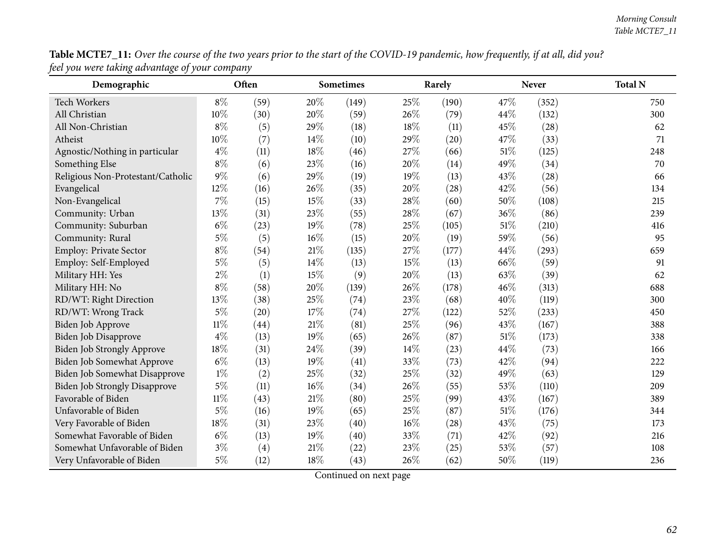| Table MCTE7_11: Over the course of the two years prior to the start of the COVID-19 pandemic, how frequently, if at all, did you? |  |
|-----------------------------------------------------------------------------------------------------------------------------------|--|
| feel you were taking advantage of your company                                                                                    |  |

| 7 J<br>Demographic                   | $\cdots$ r | Often |     | <b>Sometimes</b> |        | Rarely |        | <b>Never</b> | <b>Total N</b> |
|--------------------------------------|------------|-------|-----|------------------|--------|--------|--------|--------------|----------------|
| Tech Workers                         | $8\%$      | (59)  | 20% | (149)            | 25%    | (190)  | 47%    | (352)        | 750            |
| All Christian                        | 10%        | (30)  | 20% | (59)             | 26%    | (79)   | 44%    | (132)        | 300            |
| All Non-Christian                    | $8\%$      | (5)   | 29% | (18)             | 18%    | (11)   | 45%    | (28)         | 62             |
| Atheist                              | $10\%$     | (7)   | 14% | (10)             | 29%    | (20)   | 47%    | (33)         | 71             |
| Agnostic/Nothing in particular       | $4\%$      | (11)  | 18% | (46)             | 27%    | (66)   | 51%    | (125)        | 248            |
| Something Else                       | $8\%$      | (6)   | 23% | (16)             | 20%    | (14)   | 49%    | (34)         | 70             |
| Religious Non-Protestant/Catholic    | 9%         | (6)   | 29% | (19)             | 19%    | (13)   | 43%    | (28)         | 66             |
| Evangelical                          | 12%        | (16)  | 26% | (35)             | 20%    | (28)   | 42%    | (56)         | 134            |
| Non-Evangelical                      | $7\%$      | (15)  | 15% | (33)             | 28%    | (60)   | 50%    | (108)        | 215            |
| Community: Urban                     | 13%        | (31)  | 23% | (55)             | 28%    | (67)   | 36%    | (86)         | 239            |
| Community: Suburban                  | $6\%$      | (23)  | 19% | (78)             | 25%    | (105)  | $51\%$ | (210)        | 416            |
| Community: Rural                     | $5\%$      | (5)   | 16% | (15)             | 20%    | (19)   | 59%    | (56)         | 95             |
| Employ: Private Sector               | $8\%$      | (54)  | 21% | (135)            | 27%    | (177)  | 44%    | (293)        | 659            |
| Employ: Self-Employed                | $5\%$      | (5)   | 14% | (13)             | 15%    | (13)   | 66%    | (59)         | 91             |
| Military HH: Yes                     | $2\%$      | (1)   | 15% | (9)              | 20%    | (13)   | 63%    | (39)         | 62             |
| Military HH: No                      | $8\%$      | (58)  | 20% | (139)            | 26%    | (178)  | 46%    | (313)        | 688            |
| RD/WT: Right Direction               | 13%        | (38)  | 25% | (74)             | 23%    | (68)   | 40%    | (119)        | 300            |
| RD/WT: Wrong Track                   | $5\%$      | (20)  | 17% | (74)             | 27%    | (122)  | 52%    | (233)        | 450            |
| Biden Job Approve                    | $11\%$     | (44)  | 21% | (81)             | 25%    | (96)   | 43%    | (167)        | 388            |
| Biden Job Disapprove                 | $4\%$      | (13)  | 19% | (65)             | 26%    | (87)   | 51%    | (173)        | 338            |
| Biden Job Strongly Approve           | 18%        | (31)  | 24% | (39)             | 14\%   | (23)   | 44%    | (73)         | 166            |
| <b>Biden Job Somewhat Approve</b>    | $6\%$      | (13)  | 19% | (41)             | 33%    | (73)   | 42%    | (94)         | 222            |
| Biden Job Somewhat Disapprove        | $1\%$      | (2)   | 25% | (32)             | 25%    | (32)   | 49%    | (63)         | 129            |
| <b>Biden Job Strongly Disapprove</b> | $5\%$      | (11)  | 16% | (34)             | 26%    | (55)   | 53%    | (110)        | 209            |
| Favorable of Biden                   | $11\%$     | (43)  | 21% | (80)             | 25%    | (99)   | 43%    | (167)        | 389            |
| Unfavorable of Biden                 | $5\%$      | (16)  | 19% | (65)             | 25%    | (87)   | 51%    | (176)        | 344            |
| Very Favorable of Biden              | 18%        | (31)  | 23% | (40)             | $16\%$ | (28)   | 43%    | (75)         | 173            |
| Somewhat Favorable of Biden          | $6\%$      | (13)  | 19% | (40)             | 33%    | (71)   | 42%    | (92)         | 216            |
| Somewhat Unfavorable of Biden        | $3\%$      | (4)   | 21% | (22)             | 23%    | (25)   | 53%    | (57)         | 108            |
| Very Unfavorable of Biden            | $5\%$      | (12)  | 18% | (43)             | 26%    | (62)   | 50%    | (119)        | 236            |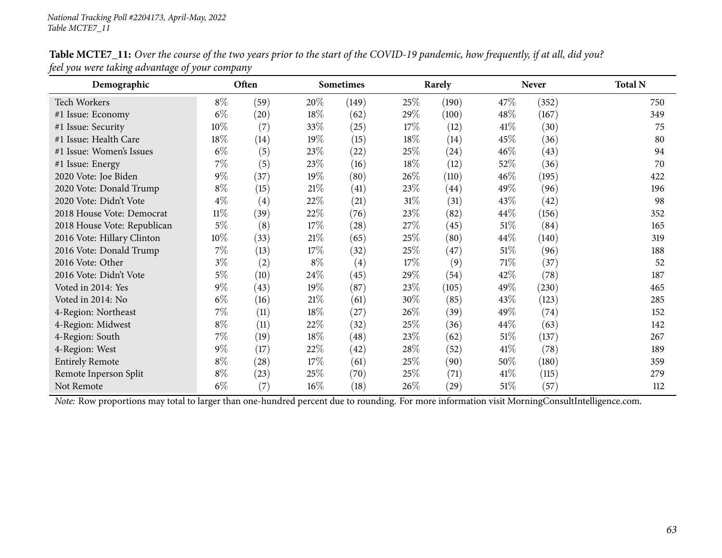| Demographic                                                                                                                                    |        | Often |        | <b>Sometimes</b>  |        | Rarely |        | <b>Never</b> | <b>Total N</b> |
|------------------------------------------------------------------------------------------------------------------------------------------------|--------|-------|--------|-------------------|--------|--------|--------|--------------|----------------|
| <b>Tech Workers</b>                                                                                                                            | $8\%$  | (59)  | 20%    | (149)             | 25%    | (190)  | 47\%   | (352)        | 750            |
| #1 Issue: Economy                                                                                                                              | $6\%$  | (20)  | 18\%   | (62)              | 29%    | (100)  | 48\%   | (167)        | 349            |
| #1 Issue: Security                                                                                                                             | 10%    | (7)   | $33\%$ | (25)              | 17%    | (12)   | 41%    | (30)         | 75             |
| #1 Issue: Health Care                                                                                                                          | 18%    | (14)  | $19\%$ | (15)              | 18%    | (14)   | 45%    | (36)         | 80             |
| #1 Issue: Women's Issues                                                                                                                       | $6\%$  | (5)   | 23\%   | (22)              | 25%    | (24)   | 46%    | (43)         | 94             |
| #1 Issue: Energy                                                                                                                               | $7\%$  | (5)   | 23\%   | (16)              | $18\%$ | (12)   | 52%    | (36)         | 70             |
| 2020 Vote: Joe Biden                                                                                                                           | $9\%$  | (37)  | 19%    | (80)              | 26\%   | (110)  | 46\%   | (195)        | 422            |
| 2020 Vote: Donald Trump                                                                                                                        | $8\%$  | (15)  | 21%    | (41)              | 23%    | (44)   | 49%    | (96)         | 196            |
| 2020 Vote: Didn't Vote                                                                                                                         | $4\%$  | (4)   | 22\%   | (21)              | $31\%$ | (31)   | 43%    | (42)         | 98             |
| 2018 House Vote: Democrat                                                                                                                      | $11\%$ | (39)  | 22\%   | (76)              | 23%    | (82)   | 44\%   | (156)        | 352            |
| 2018 House Vote: Republican                                                                                                                    | $5\%$  | (8)   | 17%    | (28)              | 27\%   | (45)   | 51%    | (84)         | 165            |
| 2016 Vote: Hillary Clinton                                                                                                                     | $10\%$ | (33)  | 21%    | (65)              | 25\%   | (80)   | 44\%   | (140)        | 319            |
| 2016 Vote: Donald Trump                                                                                                                        | $7\%$  | (13)  | 17\%   | (32)              | $25\%$ | (47)   | 51\%   | (96)         | 188            |
| 2016 Vote: Other                                                                                                                               | $3\%$  | (2)   | $8\%$  | $\left( 4\right)$ | $17\%$ | (9)    | 71\%   | (37)         | 52             |
| 2016 Vote: Didn't Vote                                                                                                                         | $5\%$  | (10)  | 24\%   | (45)              | 29%    | (54)   | 42\%   | (78)         | 187            |
| Voted in 2014: Yes                                                                                                                             | $9\%$  | (43)  | $19\%$ | (87)              | 23\%   | (105)  | 49%    | (230)        | 465            |
| Voted in 2014: No                                                                                                                              | $6\%$  | (16)  | 21%    | (61)              | 30%    | (85)   | 43%    | (123)        | 285            |
| 4-Region: Northeast                                                                                                                            | $7\%$  | (11)  | 18\%   | (27)              | 26\%   | (39)   | 49%    | (74)         | 152            |
| 4-Region: Midwest                                                                                                                              | $8\%$  | (11)  | 22\%   | (32)              | $25\%$ | (36)   | 44\%   | (63)         | 142            |
| 4-Region: South                                                                                                                                | $7\%$  | (19)  | 18\%   | (48)              | 23%    | (62)   | 51%    | (137)        | 267            |
| 4-Region: West                                                                                                                                 | $9\%$  | (17)  | 22\%   | (42)              | 28\%   | (52)   | 41\%   | (78)         | 189            |
| <b>Entirely Remote</b>                                                                                                                         | $8\%$  | (28)  | 17%    | (61)              | 25%    | (90)   | $50\%$ | (180)        | 359            |
| Remote Inperson Split                                                                                                                          | $8\%$  | (23)  | 25%    | (70)              | 25%    | (71)   | 41\%   | (115)        | 279            |
| Not Remote                                                                                                                                     | $6\%$  | (7)   | $16\%$ | (18)              | $26\%$ | (29)   | 51%    | (57)         | 112            |
| Note: Row proportions may total to larger than one-hundred percent due to rounding. For more information visit MorningConsultIntelligence.com. |        |       |        |                   |        |        |        |              |                |

Table MCTE7\_11: Over the course of the two years prior to the start of the COVID-19 pandemic, how frequently, if at all, did you? *feel you were taking advantage of your company*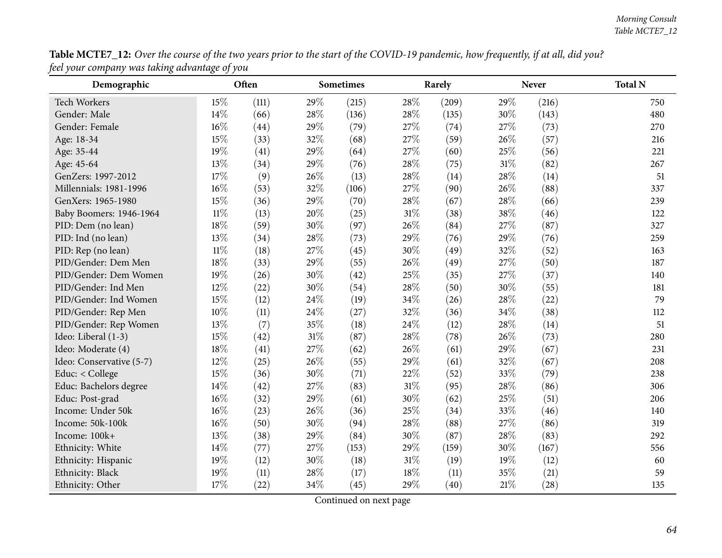| Table MCTE7_12: Over the course of the two years prior to the start of the COVID-19 pandemic, how frequently, if at all, did you? |  |
|-----------------------------------------------------------------------------------------------------------------------------------|--|
| feel your company was taking advantage of you                                                                                     |  |

| $\circ$<br>Demographic   | $\circ$<br>ر ر | Often |      | <b>Sometimes</b> |        | Rarely |        | <b>Never</b> | <b>Total N</b> |
|--------------------------|----------------|-------|------|------------------|--------|--------|--------|--------------|----------------|
| Tech Workers             | 15%            | (111) | 29%  | (215)            | 28%    | (209)  | 29%    | (216)        | 750            |
| Gender: Male             | 14%            | (66)  | 28%  | (136)            | 28%    | (135)  | 30%    | (143)        | 480            |
| Gender: Female           | 16%            | (44)  | 29%  | (79)             | 27\%   | (74)   | 27\%   | (73)         | 270            |
| Age: 18-34               | 15%            | (33)  | 32%  | (68)             | 27%    | (59)   | 26%    | (57)         | 216            |
| Age: 35-44               | 19%            | (41)  | 29%  | (64)             | 27%    | (60)   | 25%    | (56)         | 221            |
| Age: 45-64               | 13%            | (34)  | 29%  | (76)             | 28%    | (75)   | $31\%$ | (82)         | 267            |
| GenZers: 1997-2012       | 17%            | (9)   | 26%  | (13)             | 28%    | (14)   | 28\%   | (14)         | 51             |
| Millennials: 1981-1996   | 16%            | (53)  | 32%  | (106)            | 27%    | (90)   | 26%    | (88)         | 337            |
| GenXers: 1965-1980       | 15%            | (36)  | 29%  | (70)             | 28%    | (67)   | 28\%   | (66)         | 239            |
| Baby Boomers: 1946-1964  | $11\%$         | (13)  | 20%  | (25)             | $31\%$ | (38)   | 38%    | (46)         | 122            |
| PID: Dem (no lean)       | 18%            | (59)  | 30%  | (97)             | 26%    | (84)   | 27%    | (87)         | 327            |
| PID: Ind (no lean)       | 13%            | (34)  | 28%  | (73)             | 29%    | (76)   | 29%    | (76)         | 259            |
| PID: Rep (no lean)       | $11\%$         | (18)  | 27%  | (45)             | 30%    | (49)   | 32%    | (52)         | 163            |
| PID/Gender: Dem Men      | 18%            | (33)  | 29%  | (55)             | 26%    | (49)   | 27%    | (50)         | 187            |
| PID/Gender: Dem Women    | 19%            | (26)  | 30%  | (42)             | 25%    | (35)   | 27%    | (37)         | 140            |
| PID/Gender: Ind Men      | 12%            | (22)  | 30%  | (54)             | 28%    | (50)   | 30%    | (55)         | 181            |
| PID/Gender: Ind Women    | 15%            | (12)  | 24\% | (19)             | 34%    | (26)   | 28%    | (22)         | 79             |
| PID/Gender: Rep Men      | 10%            | (11)  | 24\% | (27)             | 32%    | (36)   | 34%    | (38)         | 112            |
| PID/Gender: Rep Women    | 13%            | (7)   | 35%  | (18)             | 24%    | (12)   | 28%    | (14)         | 51             |
| Ideo: Liberal (1-3)      | 15%            | (42)  | 31%  | (87)             | 28%    | (78)   | 26%    | (73)         | 280            |
| Ideo: Moderate (4)       | 18%            | (41)  | 27%  | (62)             | 26%    | (61)   | 29%    | (67)         | 231            |
| Ideo: Conservative (5-7) | 12%            | (25)  | 26%  | (55)             | 29%    | (61)   | 32%    | (67)         | 208            |
| Educ: < College          | 15%            | (36)  | 30%  | (71)             | 22%    | (52)   | 33%    | (79)         | 238            |
| Educ: Bachelors degree   | 14%            | (42)  | 27%  | (83)             | 31%    | (95)   | 28%    | (86)         | 306            |
| Educ: Post-grad          | 16%            | (32)  | 29%  | (61)             | 30%    | (62)   | $25\%$ | (51)         | 206            |
| Income: Under 50k        | 16%            | (23)  | 26%  | (36)             | 25%    | (34)   | 33%    | (46)         | 140            |
| Income: 50k-100k         | 16%            | (50)  | 30%  | (94)             | 28%    | (88)   | 27%    | (86)         | 319            |
| Income: 100k+            | 13%            | (38)  | 29%  | (84)             | 30%    | (87)   | 28%    | (83)         | 292            |
| Ethnicity: White         | 14%            | (77)  | 27%  | (153)            | 29%    | (159)  | 30%    | (167)        | 556            |
| Ethnicity: Hispanic      | 19%            | (12)  | 30%  | (18)             | 31%    | (19)   | 19%    | (12)         | 60             |
| Ethnicity: Black         | 19%            | (11)  | 28%  | (17)             | 18%    | (11)   | 35%    | (21)         | 59             |
| Ethnicity: Other         | 17%            | (22)  | 34%  | (45)             | 29%    | (40)   | 21%    | (28)         | 135            |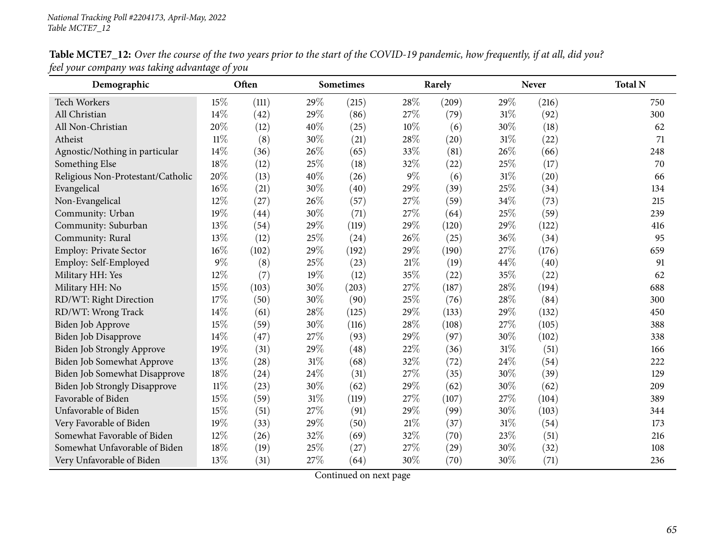| Demographic                       |        | Often |     | <b>Sometimes</b> |        | Rarely |        | <b>Never</b> | <b>Total N</b> |
|-----------------------------------|--------|-------|-----|------------------|--------|--------|--------|--------------|----------------|
| Tech Workers                      | 15%    | (111) | 29% | (215)            | 28%    | (209)  | 29%    | (216)        | 750            |
| All Christian                     | 14%    | (42)  | 29% | (86)             | 27\%   | (79)   | $31\%$ | (92)         | 300            |
| All Non-Christian                 | 20%    | (12)  | 40% | (25)             | 10%    | (6)    | 30%    | (18)         | 62             |
| Atheist                           | $11\%$ | (8)   | 30% | (21)             | 28%    | (20)   | 31%    | (22)         | 71             |
| Agnostic/Nothing in particular    | 14%    | (36)  | 26% | (65)             | 33%    | (81)   | 26\%   | (66)         | 248            |
| Something Else                    | 18%    | (12)  | 25% | (18)             | 32%    | (22)   | 25%    | (17)         | 70             |
| Religious Non-Protestant/Catholic | 20%    | (13)  | 40% | (26)             | $9\%$  | (6)    | 31%    | (20)         | 66             |
| Evangelical                       | 16%    | (21)  | 30% | (40)             | 29%    | (39)   | 25%    | (34)         | 134            |
| Non-Evangelical                   | 12%    | (27)  | 26% | (57)             | 27%    | (59)   | 34%    | (73)         | 215            |
| Community: Urban                  | 19%    | (44)  | 30% | (71)             | 27%    | (64)   | 25%    | (59)         | 239            |
| Community: Suburban               | 13%    | (54)  | 29% | (119)            | 29%    | (120)  | 29%    | (122)        | 416            |
| Community: Rural                  | 13%    | (12)  | 25% | (24)             | 26%    | (25)   | 36%    | (34)         | 95             |
| Employ: Private Sector            | 16%    | (102) | 29% | (192)            | 29%    | (190)  | 27%    | (176)        | 659            |
| Employ: Self-Employed             | $9\%$  | (8)   | 25% | (23)             | 21%    | (19)   | 44\%   | (40)         | 91             |
| Military HH: Yes                  | 12%    | (7)   | 19% | (12)             | 35%    | (22)   | 35%    | (22)         | 62             |
| Military HH: No                   | 15%    | (103) | 30% | (203)            | 27%    | (187)  | 28%    | (194)        | 688            |
| RD/WT: Right Direction            | 17%    | (50)  | 30% | (90)             | 25%    | (76)   | 28%    | (84)         | 300            |
| RD/WT: Wrong Track                | 14%    | (61)  | 28% | (125)            | 29%    | (133)  | 29%    | (132)        | 450            |
| Biden Job Approve                 | 15%    | (59)  | 30% | (116)            | 28%    | (108)  | 27%    | (105)        | 388            |
| Biden Job Disapprove              | 14%    | (47)  | 27% | (93)             | 29%    | (97)   | 30%    | (102)        | 338            |
| Biden Job Strongly Approve        | 19%    | (31)  | 29% | (48)             | 22%    | (36)   | 31%    | (51)         | 166            |
| Biden Job Somewhat Approve        | 13%    | (28)  | 31% | (68)             | 32%    | (72)   | 24\%   | (54)         | 222            |
| Biden Job Somewhat Disapprove     | 18%    | (24)  | 24% | (31)             | 27%    | (35)   | 30%    | (39)         | 129            |
| Biden Job Strongly Disapprove     | $11\%$ | (23)  | 30% | (62)             | 29%    | (62)   | 30%    | (62)         | 209            |
| Favorable of Biden                | 15%    | (59)  | 31% | (119)            | 27%    | (107)  | 27%    | (104)        | 389            |
| Unfavorable of Biden              | 15%    | (51)  | 27% | (91)             | 29%    | (99)   | 30%    | (103)        | 344            |
| Very Favorable of Biden           | 19%    | (33)  | 29% | (50)             | $21\%$ | (37)   | $31\%$ | (54)         | 173            |
| Somewhat Favorable of Biden       | 12%    | (26)  | 32% | (69)             | 32%    | (70)   | 23%    | (51)         | 216            |
| Somewhat Unfavorable of Biden     | 18%    | (19)  | 25% | (27)             | 27%    | (29)   | 30%    | (32)         | 108            |
| Very Unfavorable of Biden         | 13%    | (31)  | 27% | (64)             | 30%    | (70)   | 30%    | (71)         | 236            |

Table MCTE7\_12: Over the course of the two years prior to the start of the COVID-19 pandemic, how frequently, if at all, did you? *feel your company was taking advantage of you*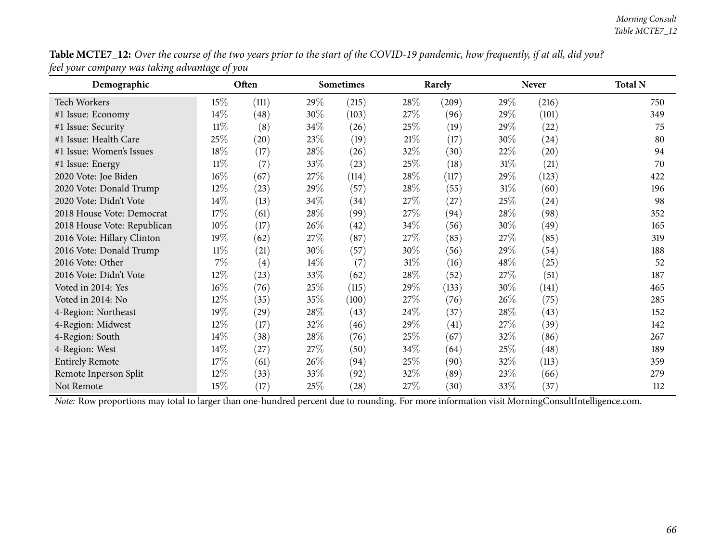| Demographic                 |        | Often |        | <b>Sometimes</b> |        | Rarely |        | <b>Never</b>       | <b>Total N</b> |
|-----------------------------|--------|-------|--------|------------------|--------|--------|--------|--------------------|----------------|
| <b>Tech Workers</b>         | 15%    | (111) | 29\%   | (215)            | 28\%   | (209)  | 29%    | (216)              | 750            |
| #1 Issue: Economy           | 14\%   | (48)  | 30%    | (103)            | 27\%   | (96)   | 29%    | (101)              | 349            |
| #1 Issue: Security          | $11\%$ | (8)   | 34\%   | (26)             | 25\%   | (19)   | 29%    | (22)               | 75             |
| #1 Issue: Health Care       | 25%    | (20)  | 23%    | (19)             | 21%    | (17)   | $30\%$ | (24)               | 80             |
| #1 Issue: Women's Issues    | 18%    | (17)  | 28\%   | (26)             | 32%    | (30)   | 22\%   | $\left( 20\right)$ | 94             |
| #1 Issue: Energy            | $11\%$ | (7)   | 33\%   | (23)             | 25\%   | (18)   | $31\%$ | (21)               | 70             |
| 2020 Vote: Joe Biden        | $16\%$ | (67)  | 27\%   | (114)            | 28\%   | (117)  | 29%    | (123)              | 422            |
| 2020 Vote: Donald Trump     | 12%    | (23)  | 29%    | (57)             | 28\%   | (55)   | $31\%$ | (60)               | 196            |
| 2020 Vote: Didn't Vote      | 14\%   | (13)  | 34\%   | (34)             | 27\%   | (27)   | 25%    | (24)               | 98             |
| 2018 House Vote: Democrat   | 17%    | (61)  | 28\%   | (99)             | 27\%   | (94)   | 28\%   | (98)               | 352            |
| 2018 House Vote: Republican | $10\%$ | (17)  | 26%    | (42)             | 34\%   | (56)   | 30%    | (49)               | 165            |
| 2016 Vote: Hillary Clinton  | 19%    | (62)  | 27%    | (87)             | 27\%   | (85)   | 27\%   | (85)               | 319            |
| 2016 Vote: Donald Trump     | $11\%$ | (21)  | 30%    | (57)             | 30\%   | (56)   | 29%    | (54)               | 188            |
| 2016 Vote: Other            | $7\%$  | (4)   | $14\%$ | (7)              | $31\%$ | (16)   | 48\%   | (25)               | 52             |
| 2016 Vote: Didn't Vote      | $12\%$ | (23)  | 33\%   | (62)             | 28\%   | (52)   | 27%    | (51)               | 187            |
| Voted in 2014: Yes          | $16\%$ | (76)  | 25%    | (115)            | 29%    | (133)  | $30\%$ | (141)              | 465            |
| Voted in 2014: No           | 12%    | (35)  | 35%    | (100)            | 27\%   | (76)   | 26\%   | (75)               | 285            |
| 4-Region: Northeast         | 19%    | (29)  | 28\%   | (43)             | 24\%   | (37)   | $28\%$ | (43)               | 152            |
| 4-Region: Midwest           | $12\%$ | (17)  | 32\%   | (46)             | 29\%   | (41)   | 27\%   | (39)               | 142            |
| 4-Region: South             | 14\%   | (38)  | 28\%   | (76)             | 25\%   | (67)   | 32\%   | (86)               | 267            |
| 4-Region: West              | 14\%   | (27)  | 27\%   | (50)             | 34\%   | (64)   | 25%    | (48)               | 189            |
| <b>Entirely Remote</b>      | 17%    | (61)  | 26\%   | (94)             | 25%    | (90)   | 32\%   | (113)              | 359            |
| Remote Inperson Split       | 12%    | (33)  | 33\%   | (92)             | 32\%   | (89)   | 23\%   | (66)               | 279            |
| Not Remote                  | 15%    | (17)  | 25\%   | (28)             | 27\%   | (30)   | 33\%   | (37)               | 112            |

Table MCTE7\_12: Over the course of the two years prior to the start of the COVID-19 pandemic, how frequently, if at all, did you? *feel your company was taking advantage of you*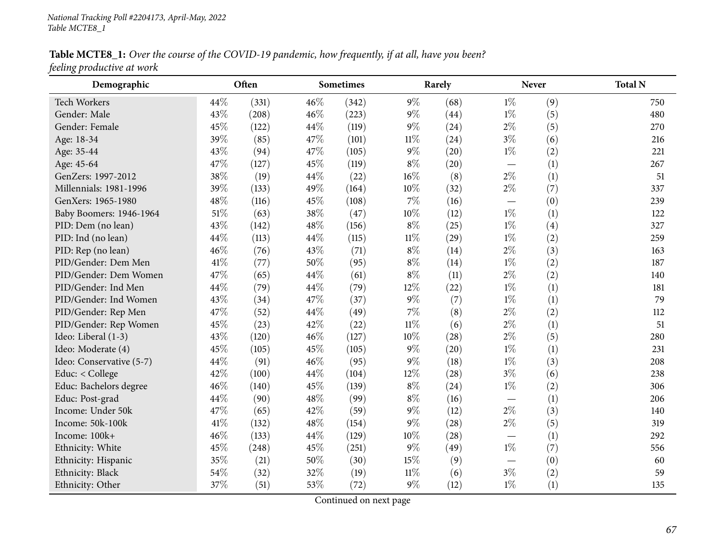Table MCTE8\_1: Over the course of the COVID-19 pandemic, how frequently, if at all, have you been? *feeling productive at work*

| Demographic              |        | Often |     | <b>Sometimes</b> |        | Rarely |                          | <b>Never</b> | <b>Total N</b> |
|--------------------------|--------|-------|-----|------------------|--------|--------|--------------------------|--------------|----------------|
| <b>Tech Workers</b>      | 44%    | (331) | 46% | (342)            | $9\%$  | (68)   | $1\%$                    | (9)          | 750            |
| Gender: Male             | 43%    | (208) | 46% | (223)            | $9\%$  | (44)   | $1\%$                    | (5)          | 480            |
| Gender: Female           | 45%    | (122) | 44% | (119)            | $9\%$  | (24)   | $2\%$                    | (5)          | 270            |
| Age: 18-34               | 39%    | (85)  | 47% | (101)            | 11%    | (24)   | $3\%$                    | (6)          | 216            |
| Age: 35-44               | 43%    | (94)  | 47% | (105)            | 9%     | (20)   | $1\%$                    | (2)          | 221            |
| Age: 45-64               | 47%    | (127) | 45% | (119)            | $8\%$  | (20)   | $\overline{\phantom{0}}$ | (1)          | 267            |
| GenZers: 1997-2012       | 38%    | (19)  | 44% | (22)             | 16%    | (8)    | $2\%$                    | (1)          | 51             |
| Millennials: 1981-1996   | 39%    | (133) | 49% | (164)            | 10%    | (32)   | $2\%$                    | (7)          | 337            |
| GenXers: 1965-1980       | 48%    | (116) | 45% | (108)            | 7%     | (16)   |                          | (0)          | 239            |
| Baby Boomers: 1946-1964  | $51\%$ | (63)  | 38% | (47)             | 10%    | (12)   | $1\%$                    | (1)          | 122            |
| PID: Dem (no lean)       | 43%    | (142) | 48% | (156)            | $8\%$  | (25)   | $1\%$                    | (4)          | 327            |
| PID: Ind (no lean)       | 44%    | (113) | 44% | (115)            | $11\%$ | (29)   | $1\%$                    | (2)          | 259            |
| PID: Rep (no lean)       | 46%    | (76)  | 43% | (71)             | $8\%$  | (14)   | $2\%$                    | (3)          | 163            |
| PID/Gender: Dem Men      | 41\%   | (77)  | 50% | (95)             | $8\%$  | (14)   | $1\%$                    | (2)          | 187            |
| PID/Gender: Dem Women    | 47%    | (65)  | 44% | (61)             | $8\%$  | (11)   | $2\%$                    | (2)          | 140            |
| PID/Gender: Ind Men      | 44%    | (79)  | 44% | (79)             | 12%    | (22)   | $1\%$                    | (1)          | 181            |
| PID/Gender: Ind Women    | 43%    | (34)  | 47% | (37)             | 9%     | (7)    | $1\%$                    | (1)          | 79             |
| PID/Gender: Rep Men      | 47%    | (52)  | 44% | (49)             | 7%     | (8)    | $2\%$                    | (2)          | 112            |
| PID/Gender: Rep Women    | 45%    | (23)  | 42% | (22)             | $11\%$ | (6)    | $2\%$                    | (1)          | 51             |
| Ideo: Liberal (1-3)      | 43%    | (120) | 46% | (127)            | 10%    | (28)   | $2\%$                    | (5)          | 280            |
| Ideo: Moderate (4)       | 45%    | (105) | 45% | (105)            | $9\%$  | (20)   | $1\%$                    | (1)          | 231            |
| Ideo: Conservative (5-7) | 44%    | (91)  | 46% | (95)             | 9%     | (18)   | $1\%$                    | (3)          | 208            |
| Educ: < College          | 42%    | (100) | 44% | (104)            | 12%    | (28)   | $3\%$                    | (6)          | 238            |
| Educ: Bachelors degree   | 46%    | (140) | 45% | (139)            | $8\%$  | (24)   | $1\%$                    | (2)          | 306            |
| Educ: Post-grad          | 44%    | (90)  | 48% | (99)             | $8\%$  | (16)   |                          | (1)          | 206            |
| Income: Under 50k        | 47%    | (65)  | 42% | (59)             | 9%     | (12)   | $2\%$                    | (3)          | 140            |
| Income: 50k-100k         | 41\%   | (132) | 48% | (154)            | $9\%$  | (28)   | $2\%$                    | (5)          | 319            |
| Income: 100k+            | 46%    | (133) | 44% | (129)            | 10%    | (28)   |                          | (1)          | 292            |
| Ethnicity: White         | 45%    | (248) | 45% | (251)            | 9%     | (49)   | $1\%$                    | (7)          | 556            |
| Ethnicity: Hispanic      | 35%    | (21)  | 50% | (30)             | 15%    | (9)    |                          | (0)          | 60             |
| Ethnicity: Black         | 54%    | (32)  | 32% | (19)             | $11\%$ | (6)    | $3\%$                    | (2)          | 59             |
| Ethnicity: Other         | 37%    | (51)  | 53% | (72)             | 9%     | (12)   | $1\%$                    | (1)          | 135            |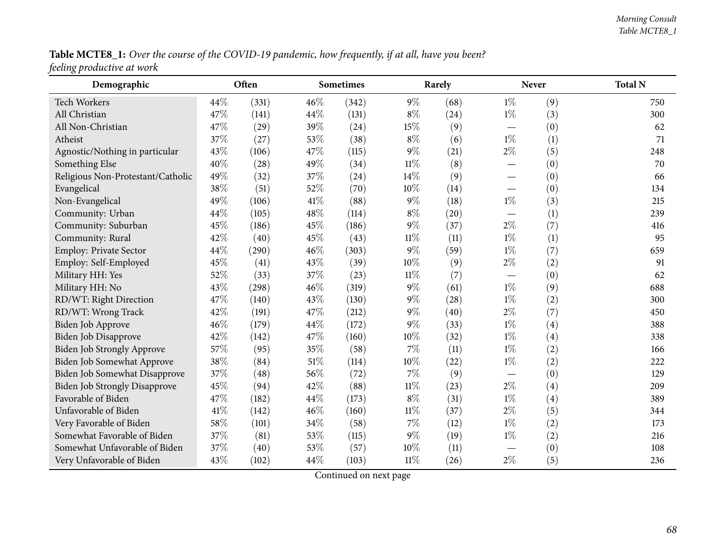Table MCTE8\_1: Over the course of the COVID-19 pandemic, how frequently, if at all, have you been? *feeling productive at work*

| Demographic                          |      | Often |        | Sometimes |        | Rarely |                               | <b>Never</b> | <b>Total N</b> |
|--------------------------------------|------|-------|--------|-----------|--------|--------|-------------------------------|--------------|----------------|
| Tech Workers                         | 44\% | (331) | 46%    | (342)     | $9\%$  | (68)   | $1\%$                         | (9)          | 750            |
| All Christian                        | 47%  | (141) | 44%    | (131)     | $8\%$  | (24)   | $1\%$                         | (3)          | 300            |
| All Non-Christian                    | 47%  | (29)  | 39%    | (24)      | 15%    | (9)    |                               | (0)          | 62             |
| Atheist                              | 37%  | (27)  | 53%    | (38)      | $8\%$  | (6)    | $1\%$                         | (1)          | 71             |
| Agnostic/Nothing in particular       | 43%  | (106) | 47%    | (115)     | 9%     | (21)   | $2\%$                         | (5)          | 248            |
| Something Else                       | 40%  | (28)  | 49%    | (34)      | $11\%$ | (8)    |                               | (0)          | 70             |
| Religious Non-Protestant/Catholic    | 49%  | (32)  | 37%    | (24)      | 14%    | (9)    |                               | (0)          | 66             |
| Evangelical                          | 38%  | (51)  | 52%    | (70)      | 10%    | (14)   |                               | (0)          | 134            |
| Non-Evangelical                      | 49%  | (106) | $41\%$ | (88)      | $9\%$  | (18)   | $1\%$                         | (3)          | 215            |
| Community: Urban                     | 44%  | (105) | 48%    | (114)     | $8\%$  | (20)   |                               | (1)          | 239            |
| Community: Suburban                  | 45%  | (186) | 45%    | (186)     | 9%     | (37)   | $2\%$                         | (7)          | 416            |
| Community: Rural                     | 42%  | (40)  | 45%    | (43)      | $11\%$ | (11)   | $1\%$                         | (1)          | 95             |
| Employ: Private Sector               | 44%  | (290) | 46%    | (303)     | $9\%$  | (59)   | $1\%$                         | (7)          | 659            |
| Employ: Self-Employed                | 45%  | (41)  | 43%    | (39)      | 10%    | (9)    | $2\%$                         | (2)          | 91             |
| Military HH: Yes                     | 52%  | (33)  | 37%    | (23)      | $11\%$ | (7)    |                               | (0)          | 62             |
| Military HH: No                      | 43%  | (298) | 46%    | (319)     | $9\%$  | (61)   | $1\%$                         | (9)          | 688            |
| RD/WT: Right Direction               | 47%  | (140) | 43%    | (130)     | 9%     | (28)   | $1\%$                         | (2)          | 300            |
| RD/WT: Wrong Track                   | 42%  | (191) | 47%    | (212)     | 9%     | (40)   | $2\%$                         | (7)          | 450            |
| <b>Biden Job Approve</b>             | 46%  | (179) | 44%    | (172)     | 9%     | (33)   | $1\%$                         | (4)          | 388            |
| Biden Job Disapprove                 | 42%  | (142) | 47%    | (160)     | 10%    | (32)   | $1\%$                         | (4)          | 338            |
| Biden Job Strongly Approve           | 57%  | (95)  | 35%    | (58)      | 7%     | (11)   | $1\%$                         | (2)          | 166            |
| Biden Job Somewhat Approve           | 38%  | (84)  | 51%    | (114)     | 10%    | (22)   | $1\%$                         | (2)          | 222            |
| <b>Biden Job Somewhat Disapprove</b> | 37%  | (48)  | 56%    | (72)      | 7%     | (9)    |                               | (0)          | 129            |
| <b>Biden Job Strongly Disapprove</b> | 45%  | (94)  | 42%    | (88)      | $11\%$ | (23)   | $2\%$                         | (4)          | 209            |
| Favorable of Biden                   | 47%  | (182) | 44%    | (173)     | $8\%$  | (31)   | $1\%$                         | (4)          | 389            |
| Unfavorable of Biden                 | 41%  | (142) | 46%    | (160)     | $11\%$ | (37)   | $2\%$                         | (5)          | 344            |
| Very Favorable of Biden              | 58%  | (101) | 34%    | (58)      | 7%     | (12)   | $1\%$                         | (2)          | 173            |
| Somewhat Favorable of Biden          | 37%  | (81)  | 53%    | (115)     | 9%     | (19)   | $1\%$                         | (2)          | 216            |
| Somewhat Unfavorable of Biden        | 37%  | (40)  | 53%    | (57)      | 10%    | (11)   | $\overbrace{\phantom{12333}}$ | (0)          | 108            |
| Very Unfavorable of Biden            | 43%  | (102) | 44%    | (103)     | $11\%$ | (26)   | $2\%$                         | (5)          | 236            |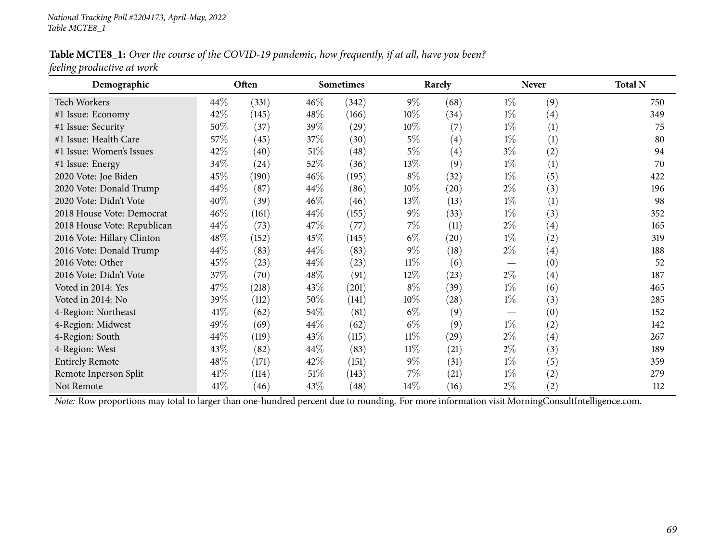Table MCTE8\_1: Over the course of the COVID-19 pandemic, how frequently, if at all, have you been? *feeling productive at work*

| Demographic                                                                                                                                    |      | Often |        | <b>Sometimes</b> |        | Rarely |                 | <b>Never</b> | <b>Total N</b> |
|------------------------------------------------------------------------------------------------------------------------------------------------|------|-------|--------|------------------|--------|--------|-----------------|--------------|----------------|
| <b>Tech Workers</b>                                                                                                                            | 44\% | (331) | $46\%$ | (342)            | $9\%$  | (68)   | $1\%$           | (9)          | 750            |
| #1 Issue: Economy                                                                                                                              | 42%  | (145) | $48\%$ | (166)            | $10\%$ | (34)   | $1\%$           | (4)          | 349            |
| #1 Issue: Security                                                                                                                             | 50%  | (37)  | 39\%   | (29)             | $10\%$ | (7)    | $1\%$           | (1)          | 75             |
| #1 Issue: Health Care                                                                                                                          | 57\% | (45)  | 37\%   | (30)             | $5\%$  | (4)    | $1\%$           | (1)          | 80             |
| #1 Issue: Women's Issues                                                                                                                       | 42%  | (40)  | $51\%$ | (48)             | $5\%$  | (4)    | $3\%$           | (2)          | 94             |
| #1 Issue: Energy                                                                                                                               | 34\% | (24)  | 52\%   | (36)             | 13%    | (9)    | $1\%$           | (1)          | 70             |
| 2020 Vote: Joe Biden                                                                                                                           | 45%  | (190) | $46\%$ | (195)            | $8\%$  | (32)   | $1\%$           | (5)          | 422            |
| 2020 Vote: Donald Trump                                                                                                                        | 44\% | (87)  | 44\%   | (86)             | $10\%$ | (20)   | $2\%$           | (3)          | 196            |
| 2020 Vote: Didn't Vote                                                                                                                         | 40%  | (39)  | $46\%$ | (46)             | 13\%   | (13)   | $1\%$           | (1)          | 98             |
| 2018 House Vote: Democrat                                                                                                                      | 46%  | (161) | $44\%$ | (155)            | $9\%$  | (33)   | $1\%$           | (3)          | 352            |
| 2018 House Vote: Republican                                                                                                                    | 44\% | (73)  | 47\%   | (77)             | $7\%$  | (11)   | $2\%$           | (4)          | 165            |
| 2016 Vote: Hillary Clinton                                                                                                                     | 48\% | (152) | 45\%   | (145)            | $6\%$  | (20)   | $1\%$           | (2)          | 319            |
| 2016 Vote: Donald Trump                                                                                                                        | 44%  | (83)  | $44\%$ | (83)             | $9\%$  | (18)   | $2\%$           | (4)          | 188            |
| 2016 Vote: Other                                                                                                                               | 45%  | (23)  | $44\%$ | (23)             | $11\%$ | (6)    | $\qquad \qquad$ | (0)          | 52             |
| 2016 Vote: Didn't Vote                                                                                                                         | 37%  | (70)  | $48\%$ | (91)             | $12\%$ | (23)   | $2\%$           | (4)          | 187            |
| Voted in 2014: Yes                                                                                                                             | 47%  | (218) | 43\%   | (201)            | $8\%$  | (39)   | $1\%$           | (6)          | 465            |
| Voted in 2014: No                                                                                                                              | 39%  | (112) | 50%    | (141)            | 10%    | (28)   | $1\%$           | (3)          | 285            |
| 4-Region: Northeast                                                                                                                            | 41\% | (62)  | 54\%   | (81)             | $6\%$  | (9)    |                 | (0)          | 152            |
| 4-Region: Midwest                                                                                                                              | 49%  | (69)  | $44\%$ | (62)             | $6\%$  | (9)    | $1\%$           | (2)          | 142            |
| 4-Region: South                                                                                                                                | 44\% | (119) | 43\%   | (115)            | $11\%$ | (29)   | $2\%$           | (4)          | 267            |
| 4-Region: West                                                                                                                                 | 43\% | (82)  | $44\%$ | (83)             | $11\%$ | (21)   | $2\%$           | (3)          | 189            |
| <b>Entirely Remote</b>                                                                                                                         | 48\% | (171) | $42\%$ | (151)            | $9\%$  | (31)   | $1\%$           | (5)          | 359            |
| Remote Inperson Split                                                                                                                          | 41\% | (114) | $51\%$ | (143)            | $7\%$  | (21)   | $1\%$           | (2)          | 279            |
| Not Remote                                                                                                                                     | 41\% | (46)  | 43\%   | (48)             | $14\%$ | (16)   | $2\%$           | (2)          | 112            |
| Note: Row proportions may total to larger than one-hundred percent due to rounding. For more information visit MorningConsultIntelligence.com. |      |       |        |                  |        |        |                 |              |                |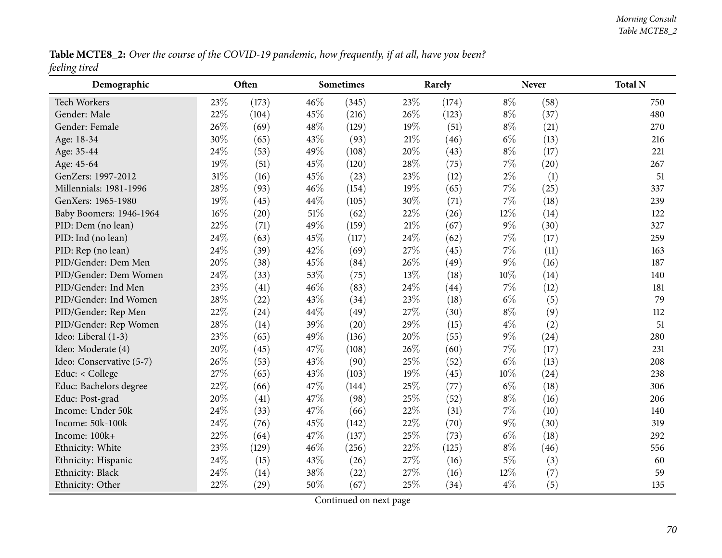Table MCTE8\_2: Over the course of the COVID-19 pandemic, how frequently, if at all, have you been? *feeling tired*

| Demographic              |     | Often |      | <b>Sometimes</b> | Rarely |       |       | <b>Never</b> | <b>Total N</b> |
|--------------------------|-----|-------|------|------------------|--------|-------|-------|--------------|----------------|
| Tech Workers             | 23% | (173) | 46%  | (345)            | 23%    | (174) | $8\%$ | (58)         | 750            |
| Gender: Male             | 22% | (104) | 45%  | (216)            | 26%    | (123) | $8\%$ | (37)         | 480            |
| Gender: Female           | 26% | (69)  | 48%  | (129)            | 19%    | (51)  | $8\%$ | (21)         | 270            |
| Age: 18-34               | 30% | (65)  | 43\% | (93)             | $21\%$ | (46)  | $6\%$ | (13)         | 216            |
| Age: 35-44               | 24% | (53)  | 49%  | (108)            | 20%    | (43)  | $8\%$ | (17)         | 221            |
| Age: 45-64               | 19% | (51)  | 45%  | (120)            | 28%    | (75)  | $7\%$ | (20)         | 267            |
| GenZers: 1997-2012       | 31% | (16)  | 45%  | (23)             | 23%    | (12)  | $2\%$ | (1)          | 51             |
| Millennials: 1981-1996   | 28% | (93)  | 46%  | (154)            | 19%    | (65)  | $7\%$ | (25)         | 337            |
| GenXers: 1965-1980       | 19% | (45)  | 44%  | (105)            | 30%    | (71)  | $7\%$ | (18)         | 239            |
| Baby Boomers: 1946-1964  | 16% | (20)  | 51%  | (62)             | 22%    | (26)  | 12%   | (14)         | 122            |
| PID: Dem (no lean)       | 22% | (71)  | 49%  | (159)            | $21\%$ | (67)  | $9\%$ | (30)         | 327            |
| PID: Ind (no lean)       | 24% | (63)  | 45%  | (117)            | 24%    | (62)  | $7\%$ | (17)         | 259            |
| PID: Rep (no lean)       | 24% | (39)  | 42%  | (69)             | 27%    | (45)  | $7\%$ | (11)         | 163            |
| PID/Gender: Dem Men      | 20% | (38)  | 45%  | (84)             | 26%    | (49)  | $9\%$ | (16)         | 187            |
| PID/Gender: Dem Women    | 24% | (33)  | 53%  | (75)             | 13%    | (18)  | 10%   | (14)         | 140            |
| PID/Gender: Ind Men      | 23% | (41)  | 46%  | (83)             | 24%    | (44)  | $7\%$ | (12)         | 181            |
| PID/Gender: Ind Women    | 28% | (22)  | 43%  | (34)             | 23%    | (18)  | $6\%$ | (5)          | 79             |
| PID/Gender: Rep Men      | 22% | (24)  | 44%  | (49)             | 27%    | (30)  | $8\%$ | (9)          | 112            |
| PID/Gender: Rep Women    | 28% | (14)  | 39%  | (20)             | 29%    | (15)  | $4\%$ | (2)          | 51             |
| Ideo: Liberal (1-3)      | 23% | (65)  | 49%  | (136)            | 20%    | (55)  | $9\%$ | (24)         | 280            |
| Ideo: Moderate (4)       | 20% | (45)  | 47%  | (108)            | 26%    | (60)  | $7\%$ | (17)         | 231            |
| Ideo: Conservative (5-7) | 26% | (53)  | 43%  | (90)             | 25%    | (52)  | $6\%$ | (13)         | 208            |
| Educ: < College          | 27% | (65)  | 43%  | (103)            | 19%    | (45)  | 10%   | (24)         | 238            |
| Educ: Bachelors degree   | 22% | (66)  | 47%  | (144)            | 25%    | (77)  | $6\%$ | (18)         | 306            |
| Educ: Post-grad          | 20% | (41)  | 47%  | (98)             | 25%    | (52)  | $8\%$ | (16)         | 206            |
| Income: Under 50k        | 24% | (33)  | 47%  | (66)             | 22%    | (31)  | $7\%$ | (10)         | 140            |
| Income: 50k-100k         | 24% | (76)  | 45%  | (142)            | 22%    | (70)  | $9\%$ | (30)         | 319            |
| Income: 100k+            | 22% | (64)  | 47%  | (137)            | 25%    | (73)  | $6\%$ | (18)         | 292            |
| Ethnicity: White         | 23% | (129) | 46%  | (256)            | 22%    | (125) | $8\%$ | (46)         | 556            |
| Ethnicity: Hispanic      | 24% | (15)  | 43%  | (26)             | 27\%   | (16)  | $5\%$ | (3)          | 60             |
| Ethnicity: Black         | 24% | (14)  | 38%  | (22)             | 27%    | (16)  | 12%   | (7)          | 59             |
| Ethnicity: Other         | 22% | (29)  | 50%  | (67)             | 25%    | (34)  | $4\%$ | (5)          | 135            |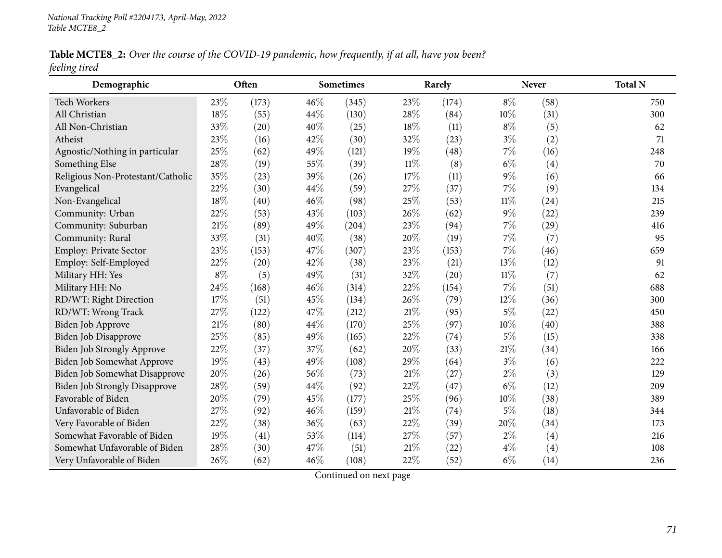Table MCTE8\_2: Over the course of the COVID-19 pandemic, how frequently, if at all, have you been? *feeling tired*

| Demographic                          |       | Often |     | Sometimes | Rarely |       |        | <b>Never</b> | <b>Total N</b> |
|--------------------------------------|-------|-------|-----|-----------|--------|-------|--------|--------------|----------------|
| <b>Tech Workers</b>                  | 23%   | (173) | 46% | (345)     | 23%    | (174) | $8\%$  | (58)         | 750            |
| All Christian                        | 18%   | (55)  | 44% | (130)     | 28%    | (84)  | 10%    | (31)         | 300            |
| All Non-Christian                    | 33%   | (20)  | 40% | (25)      | 18%    | (11)  | $8\%$  | (5)          | 62             |
| Atheist                              | 23%   | (16)  | 42% | (30)      | 32%    | (23)  | $3\%$  | (2)          | 71             |
| Agnostic/Nothing in particular       | 25%   | (62)  | 49% | (121)     | 19%    | (48)  | $7\%$  | (16)         | 248            |
| Something Else                       | 28%   | (19)  | 55% | (39)      | $11\%$ | (8)   | $6\%$  | (4)          | 70             |
| Religious Non-Protestant/Catholic    | 35%   | (23)  | 39% | (26)      | 17%    | (11)  | $9\%$  | (6)          | 66             |
| Evangelical                          | 22%   | (30)  | 44% | (59)      | 27%    | (37)  | $7\%$  | (9)          | 134            |
| Non-Evangelical                      | 18%   | (40)  | 46% | (98)      | 25%    | (53)  | $11\%$ | (24)         | 215            |
| Community: Urban                     | 22%   | (53)  | 43% | (103)     | 26%    | (62)  | $9\%$  | (22)         | 239            |
| Community: Suburban                  | 21%   | (89)  | 49% | (204)     | 23%    | (94)  | $7\%$  | (29)         | 416            |
| Community: Rural                     | 33%   | (31)  | 40% | (38)      | 20%    | (19)  | $7\%$  | (7)          | 95             |
| Employ: Private Sector               | 23%   | (153) | 47% | (307)     | 23%    | (153) | $7\%$  | (46)         | 659            |
| Employ: Self-Employed                | 22%   | (20)  | 42% | (38)      | 23%    | (21)  | 13%    | (12)         | 91             |
| Military HH: Yes                     | $8\%$ | (5)   | 49% | (31)      | 32%    | (20)  | $11\%$ | (7)          | 62             |
| Military HH: No                      | 24%   | (168) | 46% | (314)     | 22%    | (154) | $7\%$  | (51)         | 688            |
| RD/WT: Right Direction               | 17%   | (51)  | 45% | (134)     | 26%    | (79)  | 12%    | (36)         | 300            |
| RD/WT: Wrong Track                   | 27%   | (122) | 47% | (212)     | 21%    | (95)  | $5\%$  | (22)         | 450            |
| Biden Job Approve                    | 21%   | (80)  | 44% | (170)     | 25%    | (97)  | $10\%$ | (40)         | 388            |
| Biden Job Disapprove                 | 25%   | (85)  | 49% | (165)     | 22%    | (74)  | $5\%$  | (15)         | 338            |
| Biden Job Strongly Approve           | 22%   | (37)  | 37% | (62)      | 20%    | (33)  | 21%    | (34)         | 166            |
| <b>Biden Job Somewhat Approve</b>    | 19%   | (43)  | 49% | (108)     | 29%    | (64)  | $3\%$  | (6)          | 222            |
| Biden Job Somewhat Disapprove        | 20%   | (26)  | 56% | (73)      | 21%    | (27)  | $2\%$  | (3)          | 129            |
| <b>Biden Job Strongly Disapprove</b> | 28%   | (59)  | 44% | (92)      | 22%    | (47)  | $6\%$  | (12)         | 209            |
| Favorable of Biden                   | 20%   | (79)  | 45% | (177)     | 25%    | (96)  | 10%    | (38)         | 389            |
| Unfavorable of Biden                 | 27%   | (92)  | 46% | (159)     | 21%    | (74)  | $5\%$  | (18)         | 344            |
| Very Favorable of Biden              | 22%   | (38)  | 36% | (63)      | 22%    | (39)  | 20%    | (34)         | 173            |
| Somewhat Favorable of Biden          | 19%   | (41)  | 53% | (114)     | 27%    | (57)  | $2\%$  | (4)          | 216            |
| Somewhat Unfavorable of Biden        | 28%   | (30)  | 47% | (51)      | 21%    | (22)  | $4\%$  | (4)          | 108            |
| Very Unfavorable of Biden            | 26%   | (62)  | 46% | (108)     | 22%    | (52)  | $6\%$  | (14)         | 236            |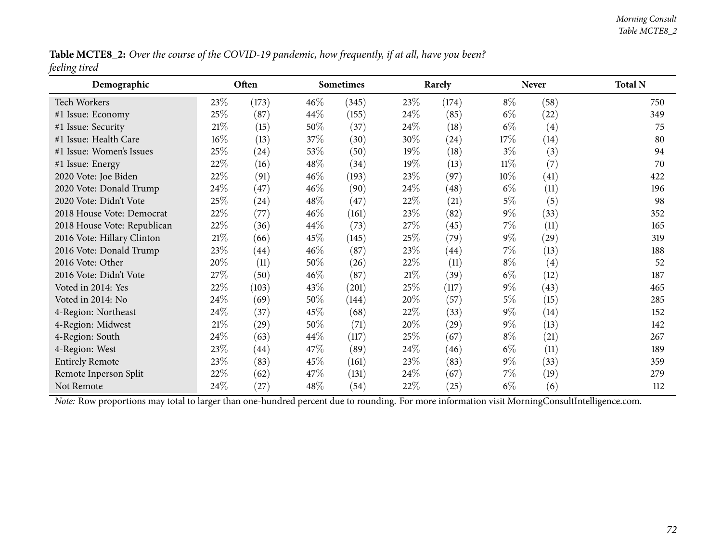Table MCTE8\_2: Over the course of the COVID-19 pandemic, how frequently, if at all, have you been? *feeling tired*

| Demographic                 |        | Often              |        | Sometimes<br>Rarely |      | <b>Never</b>       |        | <b>Total N</b>     |     |
|-----------------------------|--------|--------------------|--------|---------------------|------|--------------------|--------|--------------------|-----|
| <b>Tech Workers</b>         | 23\%   | (173)              | $46\%$ | (345)               | 23\% | (174)              | $8\%$  | (58)               | 750 |
| #1 Issue: Economy           | 25%    | (87)               | $44\%$ | (155)               | 24\% | (85)               | $6\%$  | $\left( 22\right)$ | 349 |
| #1 Issue: Security          | $21\%$ | (15)               | $50\%$ | (37)                | 24\% | (18)               | $6\%$  | (4)                | 75  |
| #1 Issue: Health Care       | $16\%$ | (13)               | 37\%   | (30)                | 30\% | (24)               | 17\%   | (14)               | 80  |
| #1 Issue: Women's Issues    | 25\%   | (24)               | 53\%   | (50)                | 19%  | (18)               | $3\%$  | (3)                | 94  |
| #1 Issue: Energy            | 22%    | (16)               | $48\%$ | (34)                | 19%  | (13)               | $11\%$ | (7)                | 70  |
| 2020 Vote: Joe Biden        | 22%    | (91)               | $46\%$ | (193)               | 23\% | (97)               | $10\%$ | $\left( 41\right)$ | 422 |
| 2020 Vote: Donald Trump     | 24\%   | (47)               | $46\%$ | (90)                | 24\% | (48)               | $6\%$  | (11)               | 196 |
| 2020 Vote: Didn't Vote      | 25%    | (24)               | $48\%$ | (47)                | 22%  | (21)               | $5\%$  | (5)                | 98  |
| 2018 House Vote: Democrat   | 22%    | (77)               | $46\%$ | (161)               | 23%  | (82)               | $9\%$  | (33)               | 352 |
| 2018 House Vote: Republican | 22%    | (36)               | $44\%$ | (73)                | 27\% | (45)               | $7\%$  | (11)               | 165 |
| 2016 Vote: Hillary Clinton  | $21\%$ | (66)               | 45\%   | (145)               | 25%  | (79)               | $9\%$  | $\left( 29\right)$ | 319 |
| 2016 Vote: Donald Trump     | 23%    | $\left( 44\right)$ | $46\%$ | (87)                | 23\% | (44)               | $7\%$  | (13)               | 188 |
| 2016 Vote: Other            | 20%    | (11)               | 50%    | (26)                | 22%  | (11)               | $8\%$  | (4)                | 52  |
| 2016 Vote: Didn't Vote      | 27\%   | (50)               | $46\%$ | (87)                | 21%  | (39)               | $6\%$  | (12)               | 187 |
| Voted in 2014: Yes          | 22\%   | (103)              | 43\%   | (201)               | 25\% | (117)              | $9\%$  | (43)               | 465 |
| Voted in 2014: No           | 24\%   | (69)               | 50%    | (144)               | 20%  | (57)               | $5\%$  | (15)               | 285 |
| 4-Region: Northeast         | 24\%   | (37)               | 45\%   | (68)                | 22%  | (33)               | $9\%$  | (14)               | 152 |
| 4-Region: Midwest           | $21\%$ | (29)               | 50%    | (71)                | 20%  | $\left( 29\right)$ | $9\%$  | (13)               | 142 |
| 4-Region: South             | 24\%   | (63)               | $44\%$ | (117)               | 25\% | (67)               | $8\%$  | (21)               | 267 |
| 4-Region: West              | 23\%   | $\left( 44\right)$ | 47\%   | (89)                | 24\% | (46)               | $6\%$  | (11)               | 189 |
| <b>Entirely Remote</b>      | 23\%   | (83)               | 45\%   | (161)               | 23\% | (83)               | $9\%$  | (33)               | 359 |
| Remote Inperson Split       | 22%    | (62)               | 47\%   | (131)               | 24\% | (67)               | $7\%$  | (19)               | 279 |
| Not Remote                  | 24\%   | (27)               | $48\%$ | (54)                | 22%  | (25)               | $6\%$  | (6)                | 112 |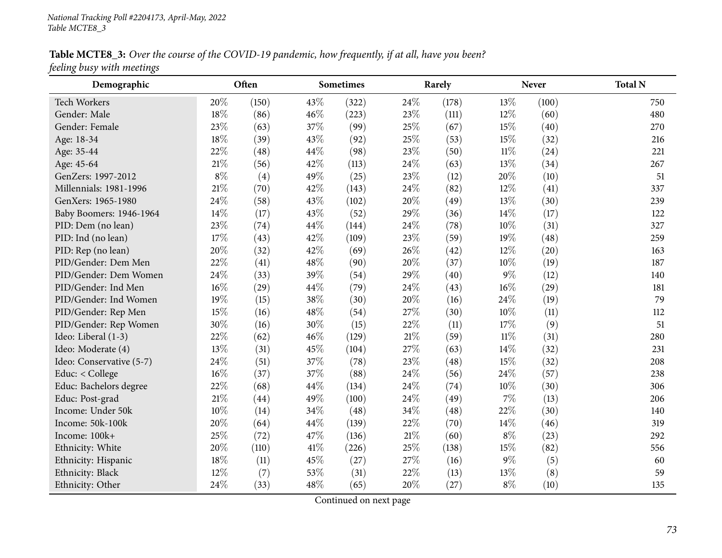Table MCTE8\_3: Over the course of the COVID-19 pandemic, how frequently, if at all, have you been? *feeling busy with meetings*

| ပ<br>Demographic         |        | Often |      | <b>Sometimes</b> |     | Rarely |        | <b>Never</b> | <b>Total N</b> |
|--------------------------|--------|-------|------|------------------|-----|--------|--------|--------------|----------------|
| Tech Workers             | 20%    | (150) | 43%  | (322)            | 24% | (178)  | 13%    | (100)        | 750            |
| Gender: Male             | 18%    | (86)  | 46%  | (223)            | 23% | (111)  | 12%    | (60)         | 480            |
| Gender: Female           | 23%    | (63)  | 37%  | (99)             | 25% | (67)   | 15%    | (40)         | 270            |
| Age: 18-34               | 18%    | (39)  | 43%  | (92)             | 25% | (53)   | 15%    | (32)         | 216            |
| Age: 35-44               | 22%    | (48)  | 44%  | (98)             | 23% | (50)   | $11\%$ | (24)         | 221            |
| Age: 45-64               | $21\%$ | (56)  | 42%  | (113)            | 24% | (63)   | 13%    | (34)         | 267            |
| GenZers: 1997-2012       | $8\%$  | (4)   | 49%  | (25)             | 23% | (12)   | 20%    | (10)         | 51             |
| Millennials: 1981-1996   | 21\%   | (70)  | 42%  | (143)            | 24% | (82)   | 12%    | (41)         | 337            |
| GenXers: 1965-1980       | 24%    | (58)  | 43%  | (102)            | 20% | (49)   | 13%    | (30)         | 239            |
| Baby Boomers: 1946-1964  | 14%    | (17)  | 43%  | (52)             | 29% | (36)   | 14%    | (17)         | 122            |
| PID: Dem (no lean)       | 23%    | (74)  | 44%  | (144)            | 24% | (78)   | 10%    | (31)         | 327            |
| PID: Ind (no lean)       | 17%    | (43)  | 42%  | (109)            | 23% | (59)   | 19%    | (48)         | 259            |
| PID: Rep (no lean)       | 20%    | (32)  | 42%  | (69)             | 26% | (42)   | 12%    | (20)         | 163            |
| PID/Gender: Dem Men      | 22%    | (41)  | 48%  | (90)             | 20% | (37)   | 10%    | (19)         | 187            |
| PID/Gender: Dem Women    | 24%    | (33)  | 39%  | (54)             | 29% | (40)   | $9\%$  | (12)         | 140            |
| PID/Gender: Ind Men      | 16%    | (29)  | 44%  | (79)             | 24% | (43)   | 16%    | (29)         | 181            |
| PID/Gender: Ind Women    | 19%    | (15)  | 38\% | (30)             | 20% | (16)   | 24%    | (19)         | 79             |
| PID/Gender: Rep Men      | 15%    | (16)  | 48%  | (54)             | 27% | (30)   | 10%    | (11)         | 112            |
| PID/Gender: Rep Women    | 30%    | (16)  | 30%  | (15)             | 22% | (11)   | 17%    | (9)          | 51             |
| Ideo: Liberal (1-3)      | 22%    | (62)  | 46%  | (129)            | 21% | (59)   | $11\%$ | (31)         | 280            |
| Ideo: Moderate (4)       | 13%    | (31)  | 45%  | (104)            | 27% | (63)   | 14%    | (32)         | 231            |
| Ideo: Conservative (5-7) | 24%    | (51)  | 37%  | (78)             | 23% | (48)   | 15%    | (32)         | 208            |
| Educ: < College          | 16%    | (37)  | 37%  | (88)             | 24% | (56)   | 24\%   | (57)         | 238            |
| Educ: Bachelors degree   | 22%    | (68)  | 44%  | (134)            | 24% | (74)   | 10%    | (30)         | 306            |
| Educ: Post-grad          | 21%    | (44)  | 49%  | (100)            | 24% | (49)   | 7%     | (13)         | 206            |
| Income: Under 50k        | 10%    | (14)  | 34%  | (48)             | 34% | (48)   | 22%    | (30)         | 140            |
| Income: 50k-100k         | 20%    | (64)  | 44%  | (139)            | 22% | (70)   | 14%    | (46)         | 319            |
| Income: 100k+            | 25%    | (72)  | 47%  | (136)            | 21% | (60)   | $8\%$  | (23)         | 292            |
| Ethnicity: White         | 20%    | (110) | 41%  | (226)            | 25% | (138)  | 15%    | (82)         | 556            |
| Ethnicity: Hispanic      | 18%    | (11)  | 45%  | (27)             | 27% | (16)   | $9\%$  | (5)          | 60             |
| Ethnicity: Black         | 12%    | (7)   | 53%  | (31)             | 22% | (13)   | 13%    | (8)          | 59             |
| Ethnicity: Other         | 24%    | (33)  | 48%  | (65)             | 20% | (27)   | $8\%$  | (10)         | 135            |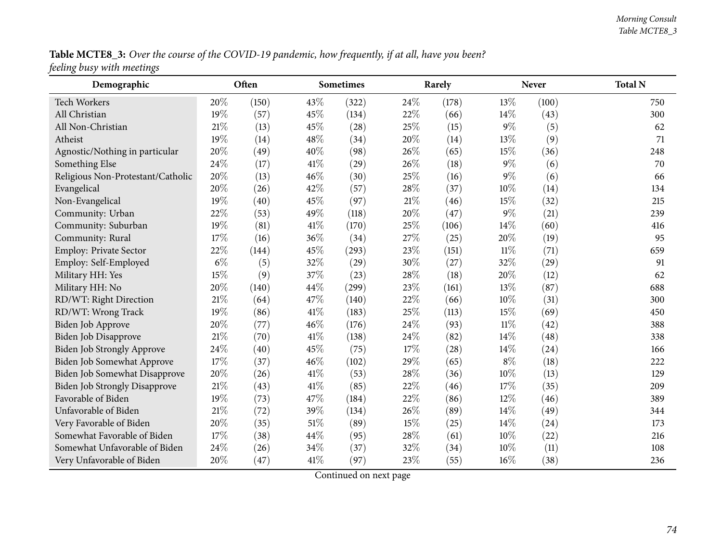Table MCTE8\_3: Over the course of the COVID-19 pandemic, how frequently, if at all, have you been? *feeling busy with meetings*

| Demographic                          |       | Often |        | <b>Sometimes</b> |        | Rarely |        | <b>Never</b> | <b>Total N</b> |
|--------------------------------------|-------|-------|--------|------------------|--------|--------|--------|--------------|----------------|
| Tech Workers                         | 20%   | (150) | 43%    | (322)            | 24\%   | (178)  | 13%    | (100)        | 750            |
| All Christian                        | 19%   | (57)  | 45%    | (134)            | 22%    | (66)   | 14%    | (43)         | 300            |
| All Non-Christian                    | 21%   | (13)  | 45%    | (28)             | 25%    | (15)   | $9\%$  | (5)          | 62             |
| Atheist                              | 19%   | (14)  | 48%    | (34)             | 20%    | (14)   | 13%    | (9)          | 71             |
| Agnostic/Nothing in particular       | 20%   | (49)  | 40%    | (98)             | 26%    | (65)   | 15%    | (36)         | 248            |
| Something Else                       | 24%   | (17)  | 41\%   | (29)             | 26%    | (18)   | $9\%$  | (6)          | 70             |
| Religious Non-Protestant/Catholic    | 20%   | (13)  | 46%    | (30)             | 25%    | (16)   | $9\%$  | (6)          | 66             |
| Evangelical                          | 20%   | (26)  | 42%    | (57)             | 28%    | (37)   | 10%    | (14)         | 134            |
| Non-Evangelical                      | 19%   | (40)  | 45%    | (97)             | $21\%$ | (46)   | 15%    | (32)         | 215            |
| Community: Urban                     | 22%   | (53)  | 49%    | (118)            | 20%    | (47)   | $9\%$  | (21)         | 239            |
| Community: Suburban                  | 19%   | (81)  | 41%    | (170)            | 25%    | (106)  | 14%    | (60)         | 416            |
| Community: Rural                     | 17%   | (16)  | 36%    | (34)             | 27%    | (25)   | 20%    | (19)         | 95             |
| Employ: Private Sector               | 22%   | (144) | 45%    | (293)            | 23%    | (151)  | $11\%$ | (71)         | 659            |
| Employ: Self-Employed                | $6\%$ | (5)   | 32%    | (29)             | 30%    | (27)   | 32%    | (29)         | 91             |
| Military HH: Yes                     | 15%   | (9)   | 37%    | (23)             | 28%    | (18)   | 20%    | (12)         | 62             |
| Military HH: No                      | 20%   | (140) | 44%    | (299)            | 23%    | (161)  | 13%    | (87)         | 688            |
| RD/WT: Right Direction               | 21%   | (64)  | 47%    | (140)            | 22%    | (66)   | 10%    | (31)         | 300            |
| RD/WT: Wrong Track                   | 19%   | (86)  | 41\%   | (183)            | 25%    | (113)  | 15%    | (69)         | 450            |
| Biden Job Approve                    | 20%   | (77)  | 46%    | (176)            | 24%    | (93)   | $11\%$ | (42)         | 388            |
| Biden Job Disapprove                 | 21%   | (70)  | 41\%   | (138)            | 24%    | (82)   | 14%    | (48)         | 338            |
| Biden Job Strongly Approve           | 24%   | (40)  | 45%    | (75)             | 17%    | (28)   | 14%    | (24)         | 166            |
| Biden Job Somewhat Approve           | 17%   | (37)  | 46%    | (102)            | 29%    | (65)   | $8\%$  | (18)         | 222            |
| Biden Job Somewhat Disapprove        | 20%   | (26)  | 41\%   | (53)             | 28%    | (36)   | 10%    | (13)         | 129            |
| <b>Biden Job Strongly Disapprove</b> | 21%   | (43)  | $41\%$ | (85)             | 22%    | (46)   | 17%    | (35)         | 209            |
| Favorable of Biden                   | 19%   | (73)  | 47%    | (184)            | 22%    | (86)   | 12%    | (46)         | 389            |
| Unfavorable of Biden                 | 21%   | (72)  | 39%    | (134)            | 26%    | (89)   | 14%    | (49)         | 344            |
| Very Favorable of Biden              | 20%   | (35)  | $51\%$ | (89)             | 15%    | (25)   | 14%    | (24)         | 173            |
| Somewhat Favorable of Biden          | 17%   | (38)  | 44%    | (95)             | 28%    | (61)   | 10%    | (22)         | 216            |
| Somewhat Unfavorable of Biden        | 24%   | (26)  | 34%    | (37)             | 32%    | (34)   | 10%    | (11)         | 108            |
| Very Unfavorable of Biden            | 20%   | (47)  | 41\%   | (97)             | 23%    | (55)   | 16%    | (38)         | 236            |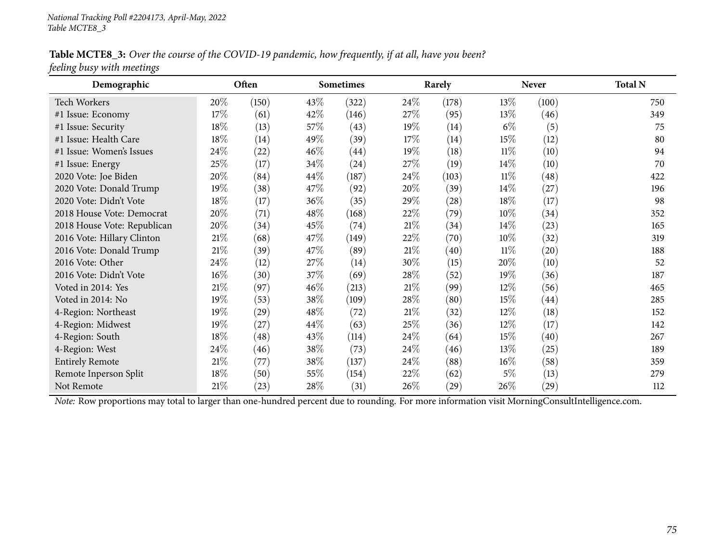Table MCTE8\_3: Over the course of the COVID-19 pandemic, how frequently, if at all, have you been? *feeling busy with meetings*

| Demographic                 |        | Often |        | <b>Sometimes</b> |        | Rarely             |        | <b>Never</b>       | <b>Total N</b> |
|-----------------------------|--------|-------|--------|------------------|--------|--------------------|--------|--------------------|----------------|
| <b>Tech Workers</b>         | 20%    | (150) | 43\%   | (322)            | 24\%   | (178)              | 13\%   | (100)              | 750            |
| #1 Issue: Economy           | 17%    | (61)  | 42\%   | (146)            | 27\%   | (95)               | 13%    | (46)               | 349            |
| #1 Issue: Security          | 18%    | (13)  | 57\%   | (43)             | 19%    | (14)               | $6\%$  | (5)                | 75             |
| #1 Issue: Health Care       | 18%    | (14)  | 49\%   | (39)             | $17\%$ | (14)               | 15%    | (12)               | 80             |
| #1 Issue: Women's Issues    | 24\%   | (22)  | $46\%$ | (44)             | 19%    | (18)               | 11%    | (10)               | 94             |
| #1 Issue: Energy            | 25%    | (17)  | 34\%   | (24)             | 27\%   | (19)               | 14%    | (10)               | 70             |
| 2020 Vote: Joe Biden        | 20%    | (84)  | 44\%   | (187)            | 24\%   | (103)              | 11%    | (48)               | 422            |
| 2020 Vote: Donald Trump     | 19%    | (38)  | 47\%   | (92)             | 20%    | (39)               | $14\%$ | (27)               | 196            |
| 2020 Vote: Didn't Vote      | 18%    | (17)  | $36\%$ | (35)             | 29%    | $\left( 28\right)$ | 18%    | (17)               | 98             |
| 2018 House Vote: Democrat   | 20%    | (71)  | 48\%   | (168)            | 22\%   | (79)               | $10\%$ | (34)               | 352            |
| 2018 House Vote: Republican | 20%    | (34)  | 45\%   | (74)             | 21\%   | (34)               | 14%    | (23)               | 165            |
| 2016 Vote: Hillary Clinton  | $21\%$ | (68)  | 47\%   | (149)            | 22%    | (70)               | $10\%$ | (32)               | 319            |
| 2016 Vote: Donald Trump     | $21\%$ | (39)  | 47\%   | (89)             | 21%    | (40)               | $11\%$ | $\left( 20\right)$ | 188            |
| 2016 Vote: Other            | 24\%   | (12)  | 27\%   | (14)             | 30%    | (15)               | 20%    | (10)               | 52             |
| 2016 Vote: Didn't Vote      | $16\%$ | (30)  | 37\%   | (69)             | $28\%$ | (52)               | 19%    | (36)               | 187            |
| Voted in 2014: Yes          | 21%    | (97)  | $46\%$ | (213)            | 21%    | (99)               | $12\%$ | (56)               | 465            |
| Voted in 2014: No           | $19\%$ | (53)  | 38\%   | (109)            | $28\%$ | (80)               | 15%    | (44)               | 285            |
| 4-Region: Northeast         | $19\%$ | (29)  | 48\%   | (72)             | 21%    | (32)               | 12%    | (18)               | 152            |
| 4-Region: Midwest           | 19%    | (27)  | 44\%   | (63)             | 25%    | (36)               | $12\%$ | (17)               | 142            |
| 4-Region: South             | 18%    | (48)  | 43\%   | (114)            | 24\%   | (64)               | 15%    | (40)               | 267            |
| 4-Region: West              | 24%    | (46)  | 38\%   | (73)             | 24\%   | (46)               | 13%    | (25)               | 189            |
| <b>Entirely Remote</b>      | $21\%$ | (77)  | 38\%   | (137)            | 24\%   | (88)               | $16\%$ | (58)               | 359            |
| Remote Inperson Split       | 18%    | (50)  | 55\%   | (154)            | 22%    | (62)               | 5%     | (13)               | 279            |
| Not Remote                  | $21\%$ | (23)  | 28\%   | (31)             | 26\%   | $\left( 29\right)$ | 26\%   | $\left( 29\right)$ | 112            |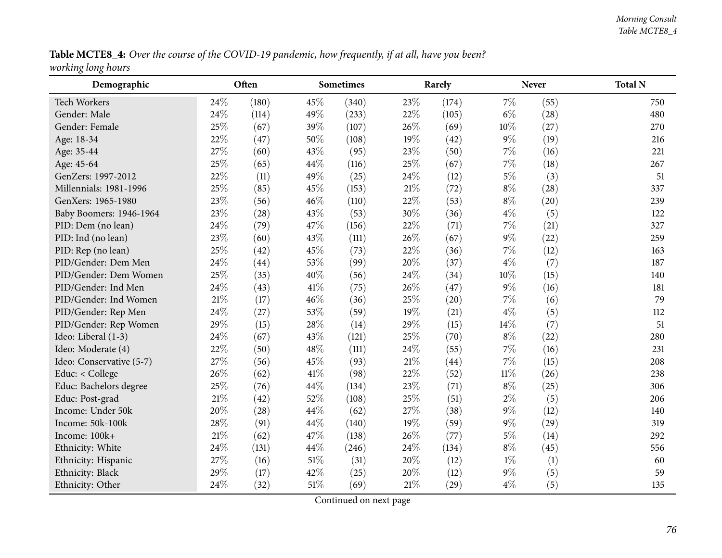Table MCTE8\_4: Over the course of the COVID-19 pandemic, how frequently, if at all, have you been? *working long hours*

| Demographic              |        | Often |        | Sometimes |        | Rarely |        | <b>Never</b> | <b>Total N</b> |
|--------------------------|--------|-------|--------|-----------|--------|--------|--------|--------------|----------------|
| Tech Workers             | 24%    | (180) | 45%    | (340)     | 23%    | (174)  | $7\%$  | (55)         | 750            |
| Gender: Male             | 24%    | (114) | 49%    | (233)     | 22%    | (105)  | $6\%$  | (28)         | 480            |
| Gender: Female           | 25%    | (67)  | 39%    | (107)     | 26%    | (69)   | 10%    | (27)         | 270            |
| Age: 18-34               | 22%    | (47)  | 50%    | (108)     | 19%    | (42)   | $9\%$  | (19)         | 216            |
| Age: 35-44               | 27%    | (60)  | 43\%   | (95)      | 23%    | (50)   | $7\%$  | (16)         | 221            |
| Age: 45-64               | 25%    | (65)  | 44%    | (116)     | 25%    | (67)   | $7\%$  | (18)         | 267            |
| GenZers: 1997-2012       | 22%    | (11)  | 49%    | (25)      | 24%    | (12)   | $5\%$  | (3)          | 51             |
| Millennials: 1981-1996   | 25%    | (85)  | 45%    | (153)     | 21%    | (72)   | $8\%$  | (28)         | 337            |
| GenXers: 1965-1980       | 23%    | (56)  | 46%    | (110)     | 22%    | (53)   | $8\%$  | (20)         | 239            |
| Baby Boomers: 1946-1964  | 23%    | (28)  | 43%    | (53)      | 30%    | (36)   | $4\%$  | (5)          | 122            |
| PID: Dem (no lean)       | 24%    | (79)  | 47%    | (156)     | 22%    | (71)   | $7\%$  | (21)         | 327            |
| PID: Ind (no lean)       | 23%    | (60)  | 43%    | (111)     | 26%    | (67)   | $9\%$  | (22)         | 259            |
| PID: Rep (no lean)       | 25%    | (42)  | 45%    | (73)      | 22%    | (36)   | 7%     | (12)         | 163            |
| PID/Gender: Dem Men      | 24\%   | (44)  | 53%    | (99)      | 20%    | (37)   | $4\%$  | (7)          | 187            |
| PID/Gender: Dem Women    | 25%    | (35)  | 40%    | (56)      | 24%    | (34)   | 10%    | (15)         | 140            |
| PID/Gender: Ind Men      | 24%    | (43)  | 41\%   | (75)      | 26%    | (47)   | $9\%$  | (16)         | 181            |
| PID/Gender: Ind Women    | $21\%$ | (17)  | 46%    | (36)      | 25%    | (20)   | 7%     | (6)          | 79             |
| PID/Gender: Rep Men      | 24\%   | (27)  | 53%    | (59)      | 19%    | (21)   | $4\%$  | (5)          | 112            |
| PID/Gender: Rep Women    | 29%    | (15)  | 28\%   | (14)      | 29%    | (15)   | 14%    | (7)          | 51             |
| Ideo: Liberal (1-3)      | 24\%   | (67)  | 43%    | (121)     | 25%    | (70)   | $8\%$  | (22)         | 280            |
| Ideo: Moderate (4)       | 22%    | (50)  | 48%    | (111)     | 24%    | (55)   | $7\%$  | (16)         | 231            |
| Ideo: Conservative (5-7) | 27%    | (56)  | 45%    | (93)      | $21\%$ | (44)   | $7\%$  | (15)         | 208            |
| Educ: < College          | 26%    | (62)  | 41\%   | (98)      | 22%    | (52)   | $11\%$ | (26)         | 238            |
| Educ: Bachelors degree   | 25%    | (76)  | 44%    | (134)     | 23%    | (71)   | $8\%$  | (25)         | 306            |
| Educ: Post-grad          | 21\%   | (42)  | 52%    | (108)     | 25%    | (51)   | $2\%$  | (5)          | 206            |
| Income: Under 50k        | 20%    | (28)  | 44%    | (62)      | 27%    | (38)   | $9\%$  | (12)         | 140            |
| Income: 50k-100k         | 28%    | (91)  | 44%    | (140)     | 19%    | (59)   | $9\%$  | (29)         | 319            |
| Income: 100k+            | $21\%$ | (62)  | 47\%   | (138)     | 26%    | (77)   | $5\%$  | (14)         | 292            |
| Ethnicity: White         | 24\%   | (131) | 44%    | (246)     | 24%    | (134)  | $8\%$  | (45)         | 556            |
| Ethnicity: Hispanic      | 27%    | (16)  | $51\%$ | (31)      | 20%    | (12)   | $1\%$  | (1)          | 60             |
| Ethnicity: Black         | 29%    | (17)  | 42%    | (25)      | 20%    | (12)   | $9\%$  | (5)          | 59             |
| Ethnicity: Other         | 24%    | (32)  | $51\%$ | (69)      | $21\%$ | (29)   | $4\%$  | (5)          | 135            |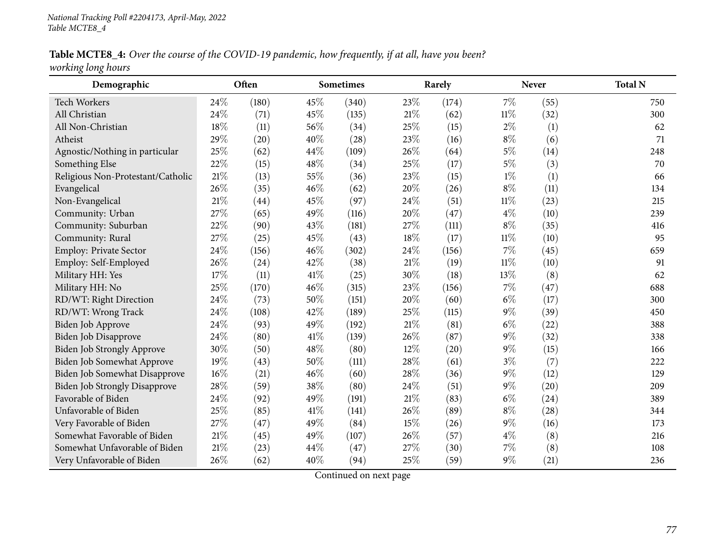Table MCTE8\_4: Over the course of the COVID-19 pandemic, how frequently, if at all, have you been? *working long hours*

| Demographic                          |     | Often |      | <b>Sometimes</b> |        | Rarely |        | <b>Never</b> | <b>Total N</b> |
|--------------------------------------|-----|-------|------|------------------|--------|--------|--------|--------------|----------------|
| Tech Workers                         | 24% | (180) | 45%  | (340)            | 23%    | (174)  | $7\%$  | (55)         | 750            |
| All Christian                        | 24% | (71)  | 45%  | (135)            | 21\%   | (62)   | $11\%$ | (32)         | 300            |
| All Non-Christian                    | 18% | (11)  | 56%  | (34)             | 25\%   | (15)   | $2\%$  | (1)          | 62             |
| Atheist                              | 29% | (20)  | 40%  | (28)             | 23%    | (16)   | $8\%$  | (6)          | 71             |
| Agnostic/Nothing in particular       | 25% | (62)  | 44%  | (109)            | 26%    | (64)   | $5\%$  | (14)         | 248            |
| Something Else                       | 22% | (15)  | 48%  | (34)             | 25%    | (17)   | $5\%$  | (3)          | 70             |
| Religious Non-Protestant/Catholic    | 21% | (13)  | 55%  | (36)             | 23%    | (15)   | $1\%$  | (1)          | 66             |
| Evangelical                          | 26% | (35)  | 46%  | (62)             | 20%    | (26)   | $8\%$  | (11)         | 134            |
| Non-Evangelical                      | 21% | (44)  | 45%  | (97)             | 24%    | (51)   | $11\%$ | (23)         | 215            |
| Community: Urban                     | 27% | (65)  | 49%  | (116)            | 20%    | (47)   | $4\%$  | (10)         | 239            |
| Community: Suburban                  | 22% | (90)  | 43%  | (181)            | 27\%   | (111)  | $8\%$  | (35)         | 416            |
| Community: Rural                     | 27% | (25)  | 45%  | (43)             | 18%    | (17)   | $11\%$ | (10)         | 95             |
| Employ: Private Sector               | 24% | (156) | 46%  | (302)            | 24%    | (156)  | 7%     | (45)         | 659            |
| Employ: Self-Employed                | 26% | (24)  | 42%  | (38)             | 21%    | (19)   | 11%    | (10)         | 91             |
| Military HH: Yes                     | 17% | (11)  | 41\% | (25)             | 30%    | (18)   | 13%    | (8)          | 62             |
| Military HH: No                      | 25% | (170) | 46%  | (315)            | 23%    | (156)  | 7%     | (47)         | 688            |
| RD/WT: Right Direction               | 24% | (73)  | 50%  | (151)            | 20%    | (60)   | $6\%$  | (17)         | 300            |
| RD/WT: Wrong Track                   | 24% | (108) | 42%  | (189)            | 25%    | (115)  | $9\%$  | (39)         | 450            |
| Biden Job Approve                    | 24% | (93)  | 49%  | (192)            | $21\%$ | (81)   | $6\%$  | (22)         | 388            |
| Biden Job Disapprove                 | 24% | (80)  | 41\% | (139)            | 26%    | (87)   | $9\%$  | (32)         | 338            |
| Biden Job Strongly Approve           | 30% | (50)  | 48%  | (80)             | 12%    | (20)   | $9\%$  | (15)         | 166            |
| <b>Biden Job Somewhat Approve</b>    | 19% | (43)  | 50%  | (111)            | 28%    | (61)   | $3\%$  | (7)          | 222            |
| Biden Job Somewhat Disapprove        | 16% | (21)  | 46%  | (60)             | 28%    | (36)   | $9\%$  | (12)         | 129            |
| <b>Biden Job Strongly Disapprove</b> | 28% | (59)  | 38%  | (80)             | 24%    | (51)   | $9\%$  | (20)         | 209            |
| Favorable of Biden                   | 24% | (92)  | 49%  | (191)            | 21\%   | (83)   | $6\%$  | (24)         | 389            |
| Unfavorable of Biden                 | 25% | (85)  | 41\% | (141)            | 26%    | (89)   | $8\%$  | (28)         | 344            |
| Very Favorable of Biden              | 27% | (47)  | 49%  | (84)             | 15%    | (26)   | $9\%$  | (16)         | 173            |
| Somewhat Favorable of Biden          | 21% | (45)  | 49%  | (107)            | 26%    | (57)   | $4\%$  | (8)          | 216            |
| Somewhat Unfavorable of Biden        | 21% | (23)  | 44%  | (47)             | 27%    | (30)   | 7%     | (8)          | 108            |
| Very Unfavorable of Biden            | 26% | (62)  | 40%  | (94)             | 25%    | (59)   | $9\%$  | (21)         | 236            |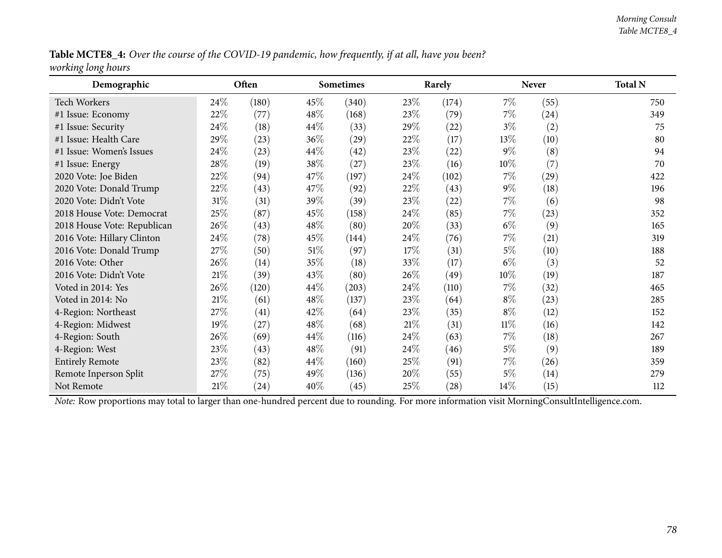Table MCTE8\_4: Over the course of the COVID-19 pandemic, how frequently, if at all, have you been? *working long hours*

| Demographic                 |        | Often |        | <b>Sometimes</b> |      | Rarely |        | <b>Never</b>       | <b>Total N</b> |
|-----------------------------|--------|-------|--------|------------------|------|--------|--------|--------------------|----------------|
| <b>Tech Workers</b>         | 24%    | (180) | 45\%   | (340)            | 23\% | (174)  | $7\%$  | (55)               | 750            |
| #1 Issue: Economy           | 22%    | (77)  | $48\%$ | (168)            | 23\% | (79)   | $7\%$  | (24)               | 349            |
| #1 Issue: Security          | 24\%   | (18)  | $44\%$ | (33)             | 29%  | (22)   | $3\%$  | (2)                | 75             |
| #1 Issue: Health Care       | 29%    | (23)  | $36\%$ | (29)             | 22\% | (17)   | $13\%$ | (10)               | 80             |
| #1 Issue: Women's Issues    | 24%    | (23)  | $44\%$ | (42)             | 23\% | (22)   | $9\%$  | (8)                | 94             |
| #1 Issue: Energy            | 28\%   | (19)  | 38\%   | (27)             | 23\% | (16)   | $10\%$ | (7)                | 70             |
| 2020 Vote: Joe Biden        | 22%    | (94)  | 47\%   | (197)            | 24\% | (102)  | $7\%$  | $\left( 29\right)$ | 422            |
| 2020 Vote: Donald Trump     | 22\%   | (43)  | 47\%   | (92)             | 22\% | (43)   | $9\%$  | (18)               | 196            |
| 2020 Vote: Didn't Vote      | $31\%$ | (31)  | 39\%   | (39)             | 23\% | (22)   | $7\%$  | (6)                | 98             |
| 2018 House Vote: Democrat   | 25%    | (87)  | 45\%   | (158)            | 24\% | (85)   | $7\%$  | (23)               | 352            |
| 2018 House Vote: Republican | 26%    | (43)  | 48\%   | (80)             | 20%  | (33)   | $6\%$  | (9)                | 165            |
| 2016 Vote: Hillary Clinton  | 24\%   | (78)  | 45\%   | (144)            | 24\% | (76)   | 7%     | (21)               | 319            |
| 2016 Vote: Donald Trump     | 27\%   | (50)  | $51\%$ | (97)             | 17%  | (31)   | $5\%$  | (10)               | 188            |
| 2016 Vote: Other            | 26\%   | (14)  | 35%    | (18)             | 33%  | (17)   | $6\%$  | (3)                | 52             |
| 2016 Vote: Didn't Vote      | $21\%$ | (39)  | 43%    | (80)             | 26\% | (49)   | $10\%$ | (19)               | 187            |
| Voted in 2014: Yes          | 26\%   | (120) | $44\%$ | (203)            | 24\% | (110)  | $7\%$  | (32)               | 465            |
| Voted in 2014: No           | $21\%$ | (61)  | $48\%$ | (137)            | 23\% | (64)   | $8\%$  | (23)               | 285            |
| 4-Region: Northeast         | 27\%   | (41)  | 42%    | (64)             | 23\% | (35)   | $8\%$  | (12)               | 152            |
| 4-Region: Midwest           | 19%    | (27)  | $48\%$ | (68)             | 21%  | (31)   | $11\%$ | (16)               | 142            |
| 4-Region: South             | 26\%   | (69)  | $44\%$ | (116)            | 24\% | (63)   | $7\%$  | (18)               | 267            |
| 4-Region: West              | 23%    | (43)  | $48\%$ | (91)             | 24\% | (46)   | $5\%$  | (9)                | 189            |
| <b>Entirely Remote</b>      | 23\%   | (82)  | $44\%$ | (160)            | 25\% | (91)   | 7%     | (26)               | 359            |
| Remote Inperson Split       | 27\%   | (75)  | $49\%$ | (136)            | 20%  | (55)   | $5\%$  | (14)               | 279            |
| Not Remote                  | $21\%$ | (24)  | $40\%$ | (45)             | 25\% | (28)   | $14\%$ | (15)               | 112            |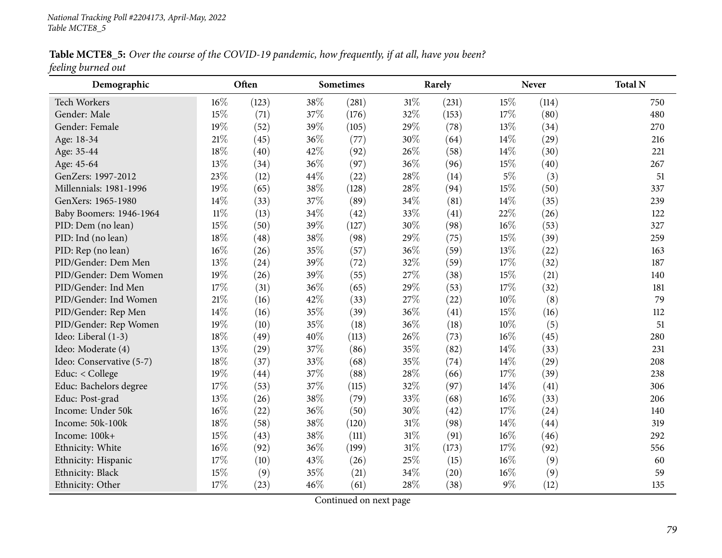Table MCTE8\_5: Over the course of the COVID-19 pandemic, how frequently, if at all, have you been? *feeling burned out*

| Demographic              |        | Often |     | <b>Sometimes</b> |     | Rarely |        | <b>Never</b> | <b>Total N</b> |
|--------------------------|--------|-------|-----|------------------|-----|--------|--------|--------------|----------------|
| Tech Workers             | 16%    | (123) | 38% | (281)            | 31% | (231)  | 15%    | (114)        | 750            |
| Gender: Male             | 15%    | (71)  | 37% | (176)            | 32% | (153)  | 17%    | (80)         | 480            |
| Gender: Female           | 19%    | (52)  | 39% | (105)            | 29% | (78)   | 13%    | (34)         | 270            |
| Age: 18-34               | $21\%$ | (45)  | 36% | (77)             | 30% | (64)   | 14%    | (29)         | 216            |
| Age: 35-44               | 18%    | (40)  | 42% | (92)             | 26% | (58)   | 14%    | (30)         | 221            |
| Age: 45-64               | 13%    | (34)  | 36% | (97)             | 36% | (96)   | 15%    | (40)         | 267            |
| GenZers: 1997-2012       | 23%    | (12)  | 44% | (22)             | 28% | (14)   | $5\%$  | (3)          | 51             |
| Millennials: 1981-1996   | 19%    | (65)  | 38% | (128)            | 28% | (94)   | 15%    | (50)         | 337            |
| GenXers: 1965-1980       | 14%    | (33)  | 37% | (89)             | 34% | (81)   | 14%    | (35)         | 239            |
| Baby Boomers: 1946-1964  | $11\%$ | (13)  | 34% | (42)             | 33% | (41)   | 22%    | (26)         | 122            |
| PID: Dem (no lean)       | 15%    | (50)  | 39% | (127)            | 30% | (98)   | 16%    | (53)         | 327            |
| PID: Ind (no lean)       | 18%    | (48)  | 38% | (98)             | 29% | (75)   | 15%    | (39)         | 259            |
| PID: Rep (no lean)       | 16%    | (26)  | 35% | (57)             | 36% | (59)   | 13%    | (22)         | 163            |
| PID/Gender: Dem Men      | 13%    | (24)  | 39% | (72)             | 32% | (59)   | 17%    | (32)         | 187            |
| PID/Gender: Dem Women    | 19%    | (26)  | 39% | (55)             | 27% | (38)   | 15%    | (21)         | 140            |
| PID/Gender: Ind Men      | 17%    | (31)  | 36% | (65)             | 29% | (53)   | 17%    | (32)         | 181            |
| PID/Gender: Ind Women    | 21%    | (16)  | 42% | (33)             | 27% | (22)   | 10%    | (8)          | 79             |
| PID/Gender: Rep Men      | 14%    | (16)  | 35% | (39)             | 36% | (41)   | 15%    | (16)         | 112            |
| PID/Gender: Rep Women    | 19%    | (10)  | 35% | (18)             | 36% | (18)   | 10%    | (5)          | 51             |
| Ideo: Liberal (1-3)      | 18%    | (49)  | 40% | (113)            | 26% | (73)   | 16%    | (45)         | 280            |
| Ideo: Moderate (4)       | 13%    | (29)  | 37% | (86)             | 35% | (82)   | 14%    | (33)         | 231            |
| Ideo: Conservative (5-7) | 18%    | (37)  | 33% | (68)             | 35% | (74)   | 14%    | (29)         | 208            |
| Educ: < College          | 19%    | (44)  | 37% | (88)             | 28% | (66)   | 17%    | (39)         | 238            |
| Educ: Bachelors degree   | 17%    | (53)  | 37% | (115)            | 32% | (97)   | 14%    | (41)         | 306            |
| Educ: Post-grad          | 13%    | (26)  | 38% | (79)             | 33% | (68)   | 16%    | (33)         | 206            |
| Income: Under 50k        | 16%    | (22)  | 36% | (50)             | 30% | (42)   | 17%    | (24)         | 140            |
| Income: 50k-100k         | 18%    | (58)  | 38% | (120)            | 31% | (98)   | 14%    | (44)         | 319            |
| Income: 100k+            | 15%    | (43)  | 38% | (111)            | 31% | (91)   | $16\%$ | (46)         | 292            |
| Ethnicity: White         | 16%    | (92)  | 36% | (199)            | 31% | (173)  | 17%    | (92)         | 556            |
| Ethnicity: Hispanic      | 17%    | (10)  | 43% | (26)             | 25% | (15)   | 16%    | (9)          | 60             |
| Ethnicity: Black         | 15%    | (9)   | 35% | (21)             | 34% | (20)   | 16%    | (9)          | 59             |
| Ethnicity: Other         | 17%    | (23)  | 46% | (61)             | 28% | (38)   | $9\%$  | (12)         | 135            |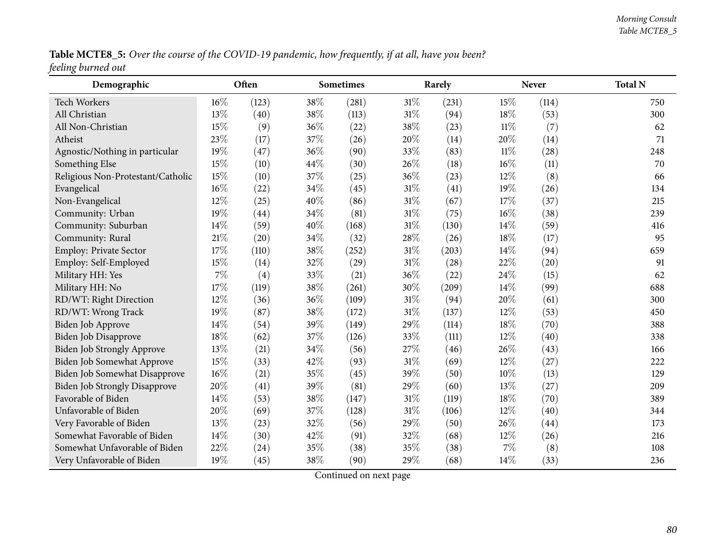Table MCTE8\_5: Over the course of the COVID-19 pandemic, how frequently, if at all, have you been? *feeling burned out*

| Demographic                          |        | Often |      | <b>Sometimes</b> |     | Rarely |        | <b>Never</b> | <b>Total N</b> |
|--------------------------------------|--------|-------|------|------------------|-----|--------|--------|--------------|----------------|
| <b>Tech Workers</b>                  | 16%    | (123) | 38%  | (281)            | 31% | (231)  | 15\%   | (114)        | 750            |
| All Christian                        | 13%    | (40)  | 38\% | (113)            | 31% | (94)   | 18%    | (53)         | 300            |
| All Non-Christian                    | 15%    | (9)   | 36%  | (22)             | 38% | (23)   | $11\%$ | (7)          | 62             |
| Atheist                              | 23%    | (17)  | 37%  | (26)             | 20% | (14)   | 20%    | (14)         | 71             |
| Agnostic/Nothing in particular       | 19%    | (47)  | 36%  | (90)             | 33% | (83)   | $11\%$ | (28)         | 248            |
| Something Else                       | $15\%$ | (10)  | 44%  | (30)             | 26% | (18)   | $16\%$ | (11)         | 70             |
| Religious Non-Protestant/Catholic    | 15%    | (10)  | 37%  | (25)             | 36% | (23)   | $12\%$ | (8)          | 66             |
| Evangelical                          | 16%    | (22)  | 34%  | (45)             | 31% | (41)   | 19%    | (26)         | 134            |
| Non-Evangelical                      | 12%    | (25)  | 40%  | (86)             | 31% | (67)   | 17%    | (37)         | 215            |
| Community: Urban                     | 19%    | (44)  | 34%  | (81)             | 31% | (75)   | $16\%$ | (38)         | 239            |
| Community: Suburban                  | 14%    | (59)  | 40%  | (168)            | 31% | (130)  | 14\%   | (59)         | 416            |
| Community: Rural                     | $21\%$ | (20)  | 34%  | (32)             | 28% | (26)   | 18%    | (17)         | 95             |
| Employ: Private Sector               | 17%    | (110) | 38%  | (252)            | 31% | (203)  | 14\%   | (94)         | 659            |
| Employ: Self-Employed                | 15%    | (14)  | 32%  | (29)             | 31% | (28)   | 22\%   | (20)         | 91             |
| Military HH: Yes                     | 7%     | (4)   | 33%  | (21)             | 36% | (22)   | 24\%   | (15)         | 62             |
| Military HH: No                      | 17%    | (119) | 38%  | (261)            | 30% | (209)  | 14\%   | (99)         | 688            |
| RD/WT: Right Direction               | 12%    | (36)  | 36%  | (109)            | 31% | (94)   | 20%    | (61)         | 300            |
| RD/WT: Wrong Track                   | 19%    | (87)  | 38%  | (172)            | 31% | (137)  | 12%    | (53)         | 450            |
| Biden Job Approve                    | 14%    | (54)  | 39%  | (149)            | 29% | (114)  | 18%    | (70)         | 388            |
| Biden Job Disapprove                 | 18%    | (62)  | 37%  | (126)            | 33% | (111)  | 12%    | (40)         | 338            |
| Biden Job Strongly Approve           | 13%    | (21)  | 34%  | (56)             | 27% | (46)   | 26%    | (43)         | 166            |
| Biden Job Somewhat Approve           | 15%    | (33)  | 42%  | (93)             | 31% | (69)   | 12%    | (27)         | 222            |
| Biden Job Somewhat Disapprove        | 16%    | (21)  | 35%  | (45)             | 39% | (50)   | 10%    | (13)         | 129            |
| <b>Biden Job Strongly Disapprove</b> | 20%    | (41)  | 39%  | (81)             | 29% | (60)   | 13%    | (27)         | 209            |
| Favorable of Biden                   | 14%    | (53)  | 38%  | (147)            | 31% | (119)  | 18%    | (70)         | 389            |
| Unfavorable of Biden                 | 20%    | (69)  | 37%  | (128)            | 31% | (106)  | 12%    | (40)         | 344            |
| Very Favorable of Biden              | 13%    | (23)  | 32%  | (56)             | 29% | (50)   | 26%    | (44)         | 173            |
| Somewhat Favorable of Biden          | 14%    | (30)  | 42%  | (91)             | 32% | (68)   | 12%    | (26)         | 216            |
| Somewhat Unfavorable of Biden        | 22%    | (24)  | 35%  | (38)             | 35% | (38)   | 7%     | (8)          | 108            |
| Very Unfavorable of Biden            | 19%    | (45)  | 38%  | (90)             | 29% | (68)   | 14%    | (33)         | 236            |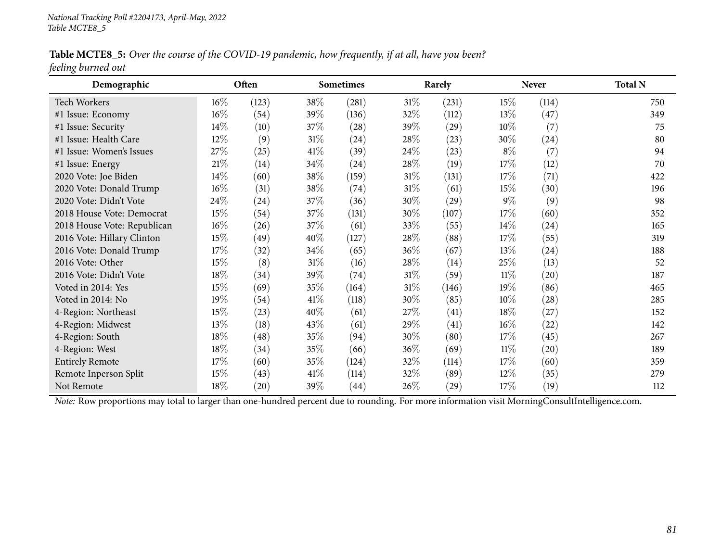Table MCTE8\_5: Over the course of the COVID-19 pandemic, how frequently, if at all, have you been? *feeling burned out*

| Demographic                 |        | Often              |        | <b>Sometimes</b> |        | Rarely             |        | <b>Never</b>       | <b>Total N</b> |
|-----------------------------|--------|--------------------|--------|------------------|--------|--------------------|--------|--------------------|----------------|
| <b>Tech Workers</b>         | $16\%$ | (123)              | 38\%   | (281)            | $31\%$ | (231)              | 15\%   | (114)              | 750            |
| #1 Issue: Economy           | 16\%   | (54)               | 39%    | (136)            | 32\%   | (112)              | 13%    | (47)               | 349            |
| #1 Issue: Security          | 14%    | (10)               | 37\%   | (28)             | 39\%   | (29)               | $10\%$ | (7)                | 75             |
| #1 Issue: Health Care       | 12%    | (9)                | $31\%$ | (24)             | $28\%$ | (23)               | 30\%   | (24)               | 80             |
| #1 Issue: Women's Issues    | 27%    | (25)               | 41\%   | (39)             | 24\%   | (23)               | $8\%$  | (7)                | 94             |
| #1 Issue: Energy            | $21\%$ | (14)               | 34\%   | (24)             | $28\%$ | (19)               | 17%    | (12)               | 70             |
| 2020 Vote: Joe Biden        | $14\%$ | (60)               | 38\%   | (159)            | $31\%$ | (131)              | 17%    | (71)               | 422            |
| 2020 Vote: Donald Trump     | 16%    | (31)               | 38\%   | (74)             | $31\%$ | (61)               | 15%    | (30)               | 196            |
| 2020 Vote: Didn't Vote      | 24\%   | (24)               | 37\%   | (36)             | $30\%$ | (29)               | $9\%$  | (9)                | 98             |
| 2018 House Vote: Democrat   | $15\%$ | (54)               | 37\%   | (131)            | $30\%$ | (107)              | 17%    | (60)               | 352            |
| 2018 House Vote: Republican | $16\%$ | (26)               | 37\%   | (61)             | 33\%   | (55)               | $14\%$ | (24)               | 165            |
| 2016 Vote: Hillary Clinton  | 15%    | (49)               | 40%    | (127)            | 28\%   | (88)               | 17%    | (55)               | 319            |
| 2016 Vote: Donald Trump     | 17%    | (32)               | 34\%   | (65)             | $36\%$ | (67)               | 13%    | (24)               | 188            |
| 2016 Vote: Other            | 15%    | (8)                | $31\%$ | (16)             | 28\%   | (14)               | 25\%   | (13)               | 52             |
| 2016 Vote: Didn't Vote      | 18%    | (34)               | 39\%   | (74)             | $31\%$ | (59)               | $11\%$ | $\left( 20\right)$ | 187            |
| Voted in 2014: Yes          | 15\%   | (69)               | 35%    | (164)            | $31\%$ | (146)              | 19%    | (86)               | 465            |
| Voted in 2014: No           | 19%    | (54)               | 41\%   | (118)            | $30\%$ | (85)               | $10\%$ | (28)               | 285            |
| 4-Region: Northeast         | 15%    | (23)               | 40%    | (61)             | 27\%   | (41)               | $18\%$ | (27)               | 152            |
| 4-Region: Midwest           | $13\%$ | (18)               | 43\%   | (61)             | 29%    | (41)               | $16\%$ | (22)               | 142            |
| 4-Region: South             | 18%    | (48)               | 35\%   | (94)             | $30\%$ | (80)               | 17%    | (45)               | 267            |
| 4-Region: West              | 18%    | (34)               | 35\%   | (66)             | $36\%$ | (69)               | $11\%$ | $\left( 20\right)$ | 189            |
| <b>Entirely Remote</b>      | 17%    | (60)               | 35\%   | (124)            | 32\%   | (114)              | 17%    | (60)               | 359            |
| Remote Inperson Split       | 15%    | (43)               | 41\%   | (114)            | 32\%   | (89)               | $12\%$ | (35)               | 279            |
| Not Remote                  | 18%    | $\left( 20\right)$ | 39\%   | (44)             | 26\%   | $\left( 29\right)$ | 17%    | (19)               | 112            |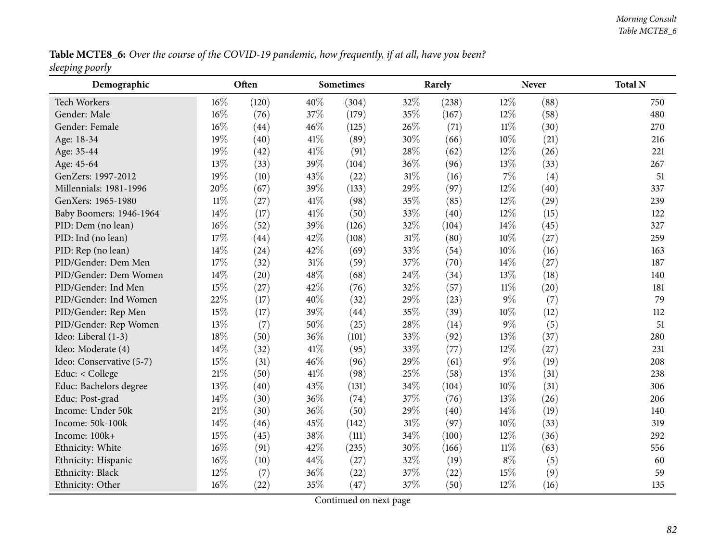Table MCTE8\_6: Over the course of the COVID-19 pandemic, how frequently, if at all, have you been? *sleeping poorly*

| Demographic              |        | Often |      | <b>Sometimes</b> |        | Rarely |        | <b>Never</b> | <b>Total N</b> |
|--------------------------|--------|-------|------|------------------|--------|--------|--------|--------------|----------------|
| <b>Tech Workers</b>      | 16%    | (120) | 40%  | (304)            | 32%    | (238)  | $12\%$ | (88)         | 750            |
| Gender: Male             | 16%    | (76)  | 37%  | (179)            | 35%    | (167)  | 12%    | (58)         | 480            |
| Gender: Female           | 16%    | (44)  | 46%  | (125)            | 26%    | (71)   | $11\%$ | (30)         | 270            |
| Age: 18-34               | 19%    | (40)  | 41\% | (89)             | 30%    | (66)   | 10%    | (21)         | 216            |
| Age: 35-44               | 19%    | (42)  | 41\% | (91)             | 28%    | (62)   | $12\%$ | (26)         | 221            |
| Age: 45-64               | 13%    | (33)  | 39%  | (104)            | 36%    | (96)   | 13%    | (33)         | 267            |
| GenZers: 1997-2012       | 19%    | (10)  | 43%  | (22)             | 31%    | (16)   | 7%     | (4)          | 51             |
| Millennials: 1981-1996   | 20%    | (67)  | 39%  | (133)            | 29%    | (97)   | 12%    | (40)         | 337            |
| GenXers: 1965-1980       | $11\%$ | (27)  | 41\% | (98)             | 35%    | (85)   | 12%    | (29)         | 239            |
| Baby Boomers: 1946-1964  | 14%    | (17)  | 41\% | (50)             | 33%    | (40)   | 12%    | (15)         | 122            |
| PID: Dem (no lean)       | 16%    | (52)  | 39%  | (126)            | 32%    | (104)  | 14%    | (45)         | 327            |
| PID: Ind (no lean)       | 17%    | (44)  | 42%  | (108)            | $31\%$ | (80)   | $10\%$ | (27)         | 259            |
| PID: Rep (no lean)       | 14%    | (24)  | 42%  | (69)             | 33%    | (54)   | 10%    | (16)         | 163            |
| PID/Gender: Dem Men      | 17%    | (32)  | 31%  | (59)             | 37%    | (70)   | 14%    | (27)         | 187            |
| PID/Gender: Dem Women    | 14%    | (20)  | 48%  | (68)             | 24\%   | (34)   | 13%    | (18)         | 140            |
| PID/Gender: Ind Men      | 15%    | (27)  | 42%  | (76)             | 32%    | (57)   | $11\%$ | (20)         | 181            |
| PID/Gender: Ind Women    | 22%    | (17)  | 40%  | (32)             | 29%    | (23)   | $9\%$  | (7)          | 79             |
| PID/Gender: Rep Men      | 15%    | (17)  | 39%  | (44)             | 35%    | (39)   | 10%    | (12)         | 112            |
| PID/Gender: Rep Women    | 13%    | (7)   | 50%  | (25)             | 28%    | (14)   | $9\%$  | (5)          | 51             |
| Ideo: Liberal (1-3)      | 18%    | (50)  | 36%  | (101)            | 33%    | (92)   | 13%    | (37)         | 280            |
| Ideo: Moderate (4)       | 14%    | (32)  | 41\% | (95)             | 33%    | (77)   | 12%    | (27)         | 231            |
| Ideo: Conservative (5-7) | 15%    | (31)  | 46%  | (96)             | 29%    | (61)   | $9\%$  | (19)         | 208            |
| Educ: < College          | 21%    | (50)  | 41\% | (98)             | 25%    | (58)   | 13%    | (31)         | 238            |
| Educ: Bachelors degree   | 13%    | (40)  | 43%  | (131)            | $34\%$ | (104)  | $10\%$ | (31)         | 306            |
| Educ: Post-grad          | 14%    | (30)  | 36%  | (74)             | 37%    | (76)   | 13%    | (26)         | 206            |
| Income: Under 50k        | 21%    | (30)  | 36%  | (50)             | 29%    | (40)   | 14%    | (19)         | 140            |
| Income: 50k-100k         | 14%    | (46)  | 45%  | (142)            | $31\%$ | (97)   | 10%    | (33)         | 319            |
| Income: 100k+            | 15%    | (45)  | 38%  | (111)            | 34%    | (100)  | 12%    | (36)         | 292            |
| Ethnicity: White         | 16%    | (91)  | 42%  | (235)            | 30%    | (166)  | $11\%$ | (63)         | 556            |
| Ethnicity: Hispanic      | 16%    | (10)  | 44\% | (27)             | 32%    | (19)   | $8\%$  | (5)          | 60             |
| Ethnicity: Black         | 12%    | (7)   | 36%  | (22)             | 37%    | (22)   | 15%    | (9)          | 59             |
| Ethnicity: Other         | 16%    | (22)  | 35%  | (47)             | 37%    | (50)   | $12\%$ | (16)         | 135            |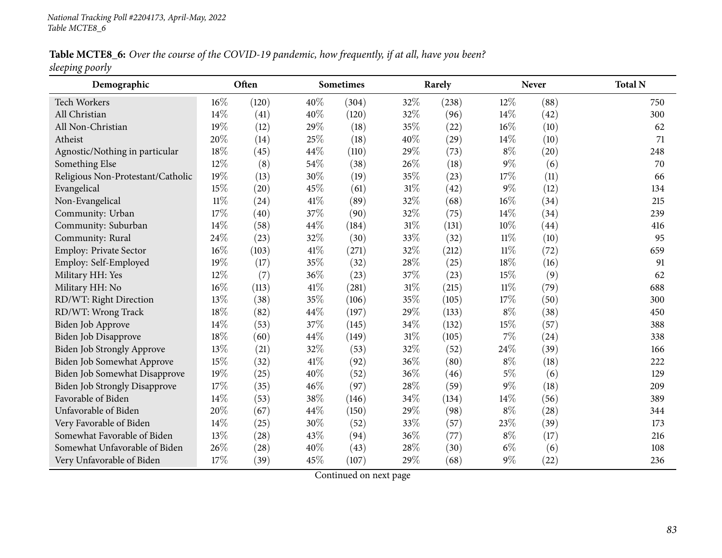Table MCTE8\_6: Over the course of the COVID-19 pandemic, how frequently, if at all, have you been? *sleeping poorly*

| Demographic                          |        | Often |     | Sometimes |     | Rarely |        | Never | <b>Total N</b> |
|--------------------------------------|--------|-------|-----|-----------|-----|--------|--------|-------|----------------|
| <b>Tech Workers</b>                  | 16%    | (120) | 40% | (304)     | 32% | (238)  | 12%    | (88)  | 750            |
| All Christian                        | 14%    | (41)  | 40% | (120)     | 32% | (96)   | 14%    | (42)  | 300            |
| All Non-Christian                    | 19%    | (12)  | 29% | (18)      | 35% | (22)   | $16\%$ | (10)  | 62             |
| Atheist                              | 20%    | (14)  | 25% | (18)      | 40% | (29)   | 14%    | (10)  | 71             |
| Agnostic/Nothing in particular       | 18%    | (45)  | 44% | (110)     | 29% | (73)   | $8\%$  | (20)  | 248            |
| Something Else                       | 12%    | (8)   | 54% | (38)      | 26% | (18)   | $9\%$  | (6)   | 70             |
| Religious Non-Protestant/Catholic    | 19%    | (13)  | 30% | (19)      | 35% | (23)   | 17%    | (11)  | 66             |
| Evangelical                          | 15%    | (20)  | 45% | (61)      | 31% | (42)   | $9\%$  | (12)  | 134            |
| Non-Evangelical                      | $11\%$ | (24)  | 41% | (89)      | 32% | (68)   | $16\%$ | (34)  | 215            |
| Community: Urban                     | 17%    | (40)  | 37% | (90)      | 32% | (75)   | 14%    | (34)  | 239            |
| Community: Suburban                  | 14%    | (58)  | 44% | (184)     | 31% | (131)  | 10%    | (44)  | 416            |
| Community: Rural                     | 24%    | (23)  | 32% | (30)      | 33% | (32)   | $11\%$ | (10)  | 95             |
| Employ: Private Sector               | 16%    | (103) | 41% | (271)     | 32% | (212)  | $11\%$ | (72)  | 659            |
| Employ: Self-Employed                | 19%    | (17)  | 35% | (32)      | 28% | (25)   | 18%    | (16)  | 91             |
| Military HH: Yes                     | 12%    | (7)   | 36% | (23)      | 37% | (23)   | 15%    | (9)   | 62             |
| Military HH: No                      | 16%    | (113) | 41% | (281)     | 31% | (215)  | $11\%$ | (79)  | 688            |
| RD/WT: Right Direction               | 13%    | (38)  | 35% | (106)     | 35% | (105)  | 17%    | (50)  | 300            |
| RD/WT: Wrong Track                   | 18%    | (82)  | 44% | (197)     | 29% | (133)  | $8\%$  | (38)  | 450            |
| Biden Job Approve                    | 14%    | (53)  | 37% | (145)     | 34% | (132)  | 15%    | (57)  | 388            |
| Biden Job Disapprove                 | 18%    | (60)  | 44% | (149)     | 31% | (105)  | 7%     | (24)  | 338            |
| Biden Job Strongly Approve           | 13%    | (21)  | 32% | (53)      | 32% | (52)   | 24%    | (39)  | 166            |
| Biden Job Somewhat Approve           | 15%    | (32)  | 41% | (92)      | 36% | (80)   | $8\%$  | (18)  | 222            |
| <b>Biden Job Somewhat Disapprove</b> | 19%    | (25)  | 40% | (52)      | 36% | (46)   | $5\%$  | (6)   | 129            |
| <b>Biden Job Strongly Disapprove</b> | 17%    | (35)  | 46% | (97)      | 28% | (59)   | $9\%$  | (18)  | 209            |
| Favorable of Biden                   | 14%    | (53)  | 38% | (146)     | 34% | (134)  | 14%    | (56)  | 389            |
| Unfavorable of Biden                 | 20%    | (67)  | 44% | (150)     | 29% | (98)   | $8\%$  | (28)  | 344            |
| Very Favorable of Biden              | 14%    | (25)  | 30% | (52)      | 33% | (57)   | 23%    | (39)  | 173            |
| Somewhat Favorable of Biden          | 13%    | (28)  | 43% | (94)      | 36% | (77)   | $8\%$  | (17)  | 216            |
| Somewhat Unfavorable of Biden        | 26%    | (28)  | 40% | (43)      | 28% | (30)   | $6\%$  | (6)   | 108            |
| Very Unfavorable of Biden            | 17%    | (39)  | 45% | (107)     | 29% | (68)   | $9\%$  | (22)  | 236            |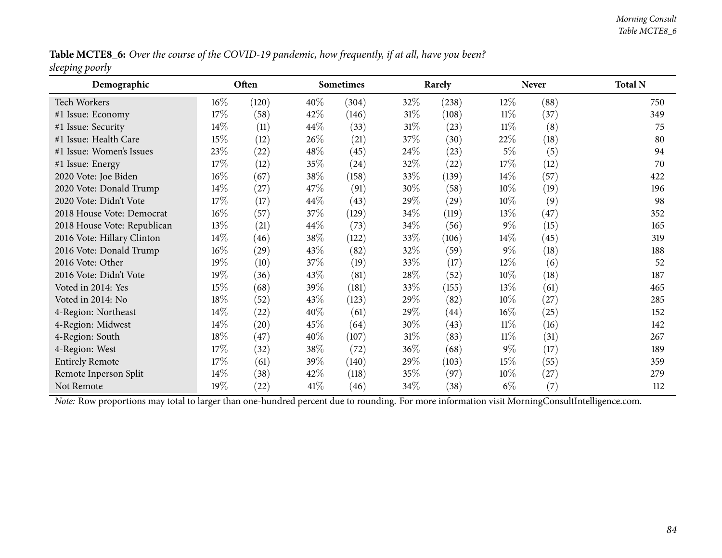Table MCTE8\_6: Over the course of the COVID-19 pandemic, how frequently, if at all, have you been? *sleeping poorly*

| Demographic                                                                                                                                    |        | Often              |        | Sometimes |        | Rarely |        | <b>Never</b> | <b>Total N</b> |  |
|------------------------------------------------------------------------------------------------------------------------------------------------|--------|--------------------|--------|-----------|--------|--------|--------|--------------|----------------|--|
| Tech Workers                                                                                                                                   | $16\%$ | (120)              | $40\%$ | (304)     | 32\%   | (238)  | 12\%   | (88)         | 750            |  |
| #1 Issue: Economy                                                                                                                              | 17%    | (58)               | 42%    | (146)     | $31\%$ | (108)  | $11\%$ | (37)         | 349            |  |
| #1 Issue: Security                                                                                                                             | 14\%   | (11)               | $44\%$ | (33)      | $31\%$ | (23)   | $11\%$ | (8)          | 75             |  |
| #1 Issue: Health Care                                                                                                                          | 15%    | (12)               | $26\%$ | (21)      | 37%    | (30)   | 22\%   | (18)         | 80             |  |
| #1 Issue: Women's Issues                                                                                                                       | 23\%   | (22)               | 48\%   | (45)      | 24\%   | (23)   | $5\%$  | (5)          | 94             |  |
| #1 Issue: Energy                                                                                                                               | 17\%   | (12)               | 35\%   | (24)      | 32\%   | (22)   | 17%    | (12)         | 70             |  |
| 2020 Vote: Joe Biden                                                                                                                           | $16\%$ | (67)               | 38\%   | (158)     | 33\%   | (139)  | $14\%$ | (57)         | 422            |  |
| 2020 Vote: Donald Trump                                                                                                                        | 14\%   | (27)               | 47\%   | (91)      | 30%    | (58)   | $10\%$ | (19)         | 196            |  |
| 2020 Vote: Didn't Vote                                                                                                                         | 17%    | (17)               | $44\%$ | (43)      | 29\%   | (29)   | $10\%$ | (9)          | 98             |  |
| 2018 House Vote: Democrat                                                                                                                      | $16\%$ | (57)               | 37\%   | (129)     | 34\%   | (119)  | 13\%   | (47)         | 352            |  |
| 2018 House Vote: Republican                                                                                                                    | 13%    | (21)               | $44\%$ | (73)      | 34\%   | (56)   | $9\%$  | (15)         | 165            |  |
| 2016 Vote: Hillary Clinton                                                                                                                     | 14\%   | (46)               | 38\%   | (122)     | 33\%   | (106)  | $14\%$ | (45)         | 319            |  |
| 2016 Vote: Donald Trump                                                                                                                        | $16\%$ | (29)               | 43\%   | (82)      | 32\%   | (59)   | $9\%$  | (18)         | 188            |  |
| 2016 Vote: Other                                                                                                                               | 19%    | (10)               | 37%    | (19)      | 33%    | (17)   | $12\%$ | (6)          | 52             |  |
| 2016 Vote: Didn't Vote                                                                                                                         | 19%    | (36)               | 43\%   | (81)      | 28\%   | (52)   | $10\%$ | (18)         | 187            |  |
| Voted in 2014: Yes                                                                                                                             | 15%    | (68)               | 39\%   | (181)     | 33\%   | (155)  | 13\%   | (61)         | 465            |  |
| Voted in 2014: No                                                                                                                              | 18%    | (52)               | 43\%   | (123)     | 29%    | (82)   | $10\%$ | (27)         | 285            |  |
| 4-Region: Northeast                                                                                                                            | 14\%   | (22)               | $40\%$ | (61)      | 29\%   | (44)   | $16\%$ | (25)         | 152            |  |
| 4-Region: Midwest                                                                                                                              | 14\%   | (20)               | 45\%   | (64)      | 30\%   | (43)   | $11\%$ | (16)         | 142            |  |
| 4-Region: South                                                                                                                                | 18%    | (47)               | $40\%$ | (107)     | $31\%$ | (83)   | $11\%$ | (31)         | 267            |  |
| 4-Region: West                                                                                                                                 | 17\%   | (32)               | 38\%   | (72)      | 36\%   | (68)   | $9\%$  | (17)         | 189            |  |
| <b>Entirely Remote</b>                                                                                                                         | 17%    | (61)               | 39\%   | (140)     | 29\%   | (103)  | 15%    | (55)         | 359            |  |
| Remote Inperson Split                                                                                                                          | 14\%   | (38)               | 42%    | (118)     | $35\%$ | (97)   | $10\%$ | (27)         | 279            |  |
| Not Remote                                                                                                                                     | 19%    | $\left( 22\right)$ | $41\%$ | (46)      | 34\%   | (38)   | $6\%$  | (7)          | 112            |  |
| Note: Row proportions may total to larger than one-hundred percent due to rounding. For more information visit MorningConsultIntelligence.com. |        |                    |        |           |        |        |        |              |                |  |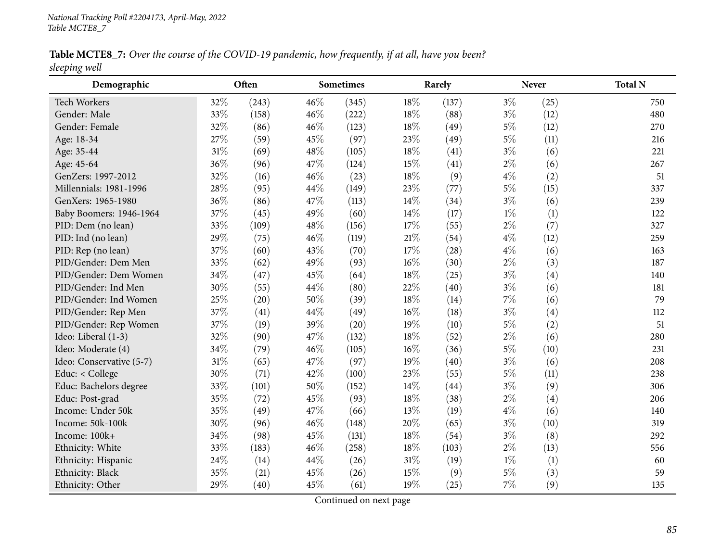Table MCTE8\_7: Over the course of the COVID-19 pandemic, how frequently, if at all, have you been? *sleeping well*

| Demographic              |        | Often |        | <b>Sometimes</b> |        | Rarely |       | <b>Never</b>      | <b>Total N</b> |
|--------------------------|--------|-------|--------|------------------|--------|--------|-------|-------------------|----------------|
| <b>Tech Workers</b>      | 32%    | (243) | 46%    | (345)            | 18%    | (137)  | $3\%$ | (25)              | 750            |
| Gender: Male             | 33%    | (158) | 46%    | (222)            | 18%    | (88)   | $3\%$ | (12)              | 480            |
| Gender: Female           | 32%    | (86)  | $46\%$ | (123)            | 18%    | (49)   | $5\%$ | (12)              | 270            |
| Age: 18-34               | 27%    | (59)  | 45%    | (97)             | 23%    | (49)   | $5\%$ | (11)              | 216            |
| Age: 35-44               | $31\%$ | (69)  | 48%    | (105)            | 18%    | (41)   | $3\%$ | (6)               | 221            |
| Age: 45-64               | 36%    | (96)  | 47%    | (124)            | 15%    | (41)   | $2\%$ | (6)               | 267            |
| GenZers: 1997-2012       | 32%    | (16)  | 46%    | (23)             | 18%    | (9)    | $4\%$ | (2)               | 51             |
| Millennials: 1981-1996   | 28%    | (95)  | 44%    | (149)            | 23%    | (77)   | $5\%$ | (15)              | 337            |
| GenXers: 1965-1980       | 36%    | (86)  | 47%    | (113)            | 14%    | (34)   | $3\%$ | (6)               | 239            |
| Baby Boomers: 1946-1964  | 37%    | (45)  | 49%    | (60)             | 14%    | (17)   | $1\%$ | (1)               | 122            |
| PID: Dem (no lean)       | 33%    | (109) | 48%    | (156)            | 17%    | (55)   | $2\%$ | (7)               | 327            |
| PID: Ind (no lean)       | 29%    | (75)  | $46\%$ | (119)            | 21%    | (54)   | $4\%$ | (12)              | 259            |
| PID: Rep (no lean)       | 37%    | (60)  | 43%    | (70)             | 17%    | (28)   | $4\%$ | (6)               | 163            |
| PID/Gender: Dem Men      | 33%    | (62)  | 49%    | (93)             | $16\%$ | (30)   | $2\%$ | (3)               | 187            |
| PID/Gender: Dem Women    | 34%    | (47)  | 45%    | (64)             | 18%    | (25)   | $3\%$ | $\left( 4\right)$ | 140            |
| PID/Gender: Ind Men      | 30%    | (55)  | 44%    | (80)             | 22%    | (40)   | $3\%$ | (6)               | 181            |
| PID/Gender: Ind Women    | 25%    | (20)  | 50%    | (39)             | 18%    | (14)   | $7\%$ | (6)               | 79             |
| PID/Gender: Rep Men      | 37%    | (41)  | 44%    | (49)             | 16%    | (18)   | $3\%$ | $\left( 4\right)$ | 112            |
| PID/Gender: Rep Women    | 37%    | (19)  | 39%    | (20)             | 19%    | (10)   | $5\%$ | (2)               | 51             |
| Ideo: Liberal (1-3)      | 32%    | (90)  | 47%    | (132)            | 18%    | (52)   | $2\%$ | (6)               | 280            |
| Ideo: Moderate (4)       | 34%    | (79)  | 46%    | (105)            | $16\%$ | (36)   | $5\%$ | (10)              | 231            |
| Ideo: Conservative (5-7) | $31\%$ | (65)  | 47%    | (97)             | 19%    | (40)   | $3\%$ | (6)               | 208            |
| Educ: < College          | 30%    | (71)  | 42%    | (100)            | 23%    | (55)   | $5\%$ | (11)              | 238            |
| Educ: Bachelors degree   | 33%    | (101) | 50%    | (152)            | 14%    | (44)   | $3\%$ | (9)               | 306            |
| Educ: Post-grad          | 35%    | (72)  | 45%    | (93)             | 18%    | (38)   | $2\%$ | $\left( 4\right)$ | 206            |
| Income: Under 50k        | 35%    | (49)  | 47%    | (66)             | 13%    | (19)   | $4\%$ | (6)               | 140            |
| Income: 50k-100k         | 30%    | (96)  | 46%    | (148)            | 20%    | (65)   | $3\%$ | (10)              | 319            |
| Income: 100k+            | 34%    | (98)  | 45%    | (131)            | 18%    | (54)   | $3\%$ | (8)               | 292            |
| Ethnicity: White         | 33%    | (183) | 46%    | (258)            | $18\%$ | (103)  | $2\%$ | (13)              | 556            |
| Ethnicity: Hispanic      | 24%    | (14)  | 44%    | (26)             | 31%    | (19)   | $1\%$ | (1)               | 60             |
| Ethnicity: Black         | 35%    | (21)  | 45%    | (26)             | 15%    | (9)    | $5\%$ | (3)               | 59             |
| Ethnicity: Other         | 29%    | (40)  | 45%    | (61)             | 19%    | (25)   | 7%    | (9)               | 135            |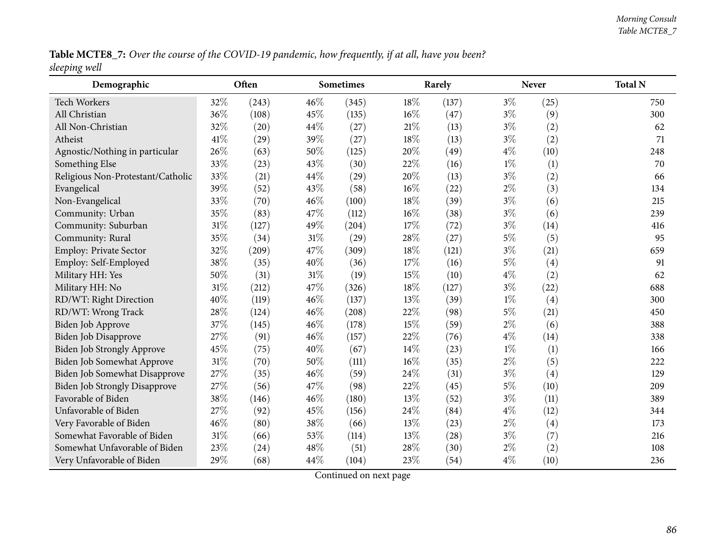Table MCTE8\_7: Over the course of the COVID-19 pandemic, how frequently, if at all, have you been? *sleeping well*

| Demographic                       |     | Often |     | Sometimes |        | Rarely |       | <b>Never</b> | <b>Total N</b> |
|-----------------------------------|-----|-------|-----|-----------|--------|--------|-------|--------------|----------------|
| Tech Workers                      | 32% | (243) | 46% | (345)     | 18%    | (137)  | $3\%$ | (25)         | 750            |
| All Christian                     | 36% | (108) | 45% | (135)     | 16%    | (47)   | $3\%$ | (9)          | 300            |
| All Non-Christian                 | 32% | (20)  | 44% | (27)      | 21%    | (13)   | $3\%$ | (2)          | 62             |
| Atheist                           | 41% | (29)  | 39% | (27)      | 18%    | (13)   | $3\%$ | (2)          | 71             |
| Agnostic/Nothing in particular    | 26% | (63)  | 50% | (125)     | 20%    | (49)   | $4\%$ | (10)         | 248            |
| Something Else                    | 33% | (23)  | 43% | (30)      | 22%    | (16)   | $1\%$ | (1)          | 70             |
| Religious Non-Protestant/Catholic | 33% | (21)  | 44% | (29)      | 20%    | (13)   | $3\%$ | (2)          | 66             |
| Evangelical                       | 39% | (52)  | 43% | (58)      | 16%    | (22)   | $2\%$ | (3)          | 134            |
| Non-Evangelical                   | 33% | (70)  | 46% | (100)     | 18%    | (39)   | $3\%$ | (6)          | 215            |
| Community: Urban                  | 35% | (83)  | 47% | (112)     | $16\%$ | (38)   | $3\%$ | (6)          | 239            |
| Community: Suburban               | 31% | (127) | 49% | (204)     | 17%    | (72)   | $3\%$ | (14)         | 416            |
| Community: Rural                  | 35% | (34)  | 31% | (29)      | 28%    | (27)   | $5\%$ | (5)          | 95             |
| Employ: Private Sector            | 32% | (209) | 47% | (309)     | 18%    | (121)  | $3\%$ | (21)         | 659            |
| Employ: Self-Employed             | 38% | (35)  | 40% | (36)      | 17%    | (16)   | $5\%$ | (4)          | 91             |
| Military HH: Yes                  | 50% | (31)  | 31% | (19)      | 15%    | (10)   | $4\%$ | (2)          | 62             |
| Military HH: No                   | 31% | (212) | 47% | (326)     | 18%    | (127)  | $3\%$ | (22)         | 688            |
| RD/WT: Right Direction            | 40% | (119) | 46% | (137)     | 13%    | (39)   | $1\%$ | (4)          | 300            |
| RD/WT: Wrong Track                | 28% | (124) | 46% | (208)     | 22%    | (98)   | $5\%$ | (21)         | 450            |
| Biden Job Approve                 | 37% | (145) | 46% | (178)     | 15%    | (59)   | $2\%$ | (6)          | 388            |
| Biden Job Disapprove              | 27% | (91)  | 46% | (157)     | 22%    | (76)   | $4\%$ | (14)         | 338            |
| Biden Job Strongly Approve        | 45% | (75)  | 40% | (67)      | 14%    | (23)   | $1\%$ | (1)          | 166            |
| Biden Job Somewhat Approve        | 31% | (70)  | 50% | (111)     | $16\%$ | (35)   | $2\%$ | (5)          | 222            |
| Biden Job Somewhat Disapprove     | 27% | (35)  | 46% | (59)      | 24%    | (31)   | $3\%$ | (4)          | 129            |
| Biden Job Strongly Disapprove     | 27% | (56)  | 47% | (98)      | 22%    | (45)   | $5\%$ | (10)         | 209            |
| Favorable of Biden                | 38% | (146) | 46% | (180)     | 13%    | (52)   | $3\%$ | (11)         | 389            |
| Unfavorable of Biden              | 27% | (92)  | 45% | (156)     | 24%    | (84)   | $4\%$ | (12)         | 344            |
| Very Favorable of Biden           | 46% | (80)  | 38% | (66)      | 13%    | (23)   | $2\%$ | (4)          | 173            |
| Somewhat Favorable of Biden       | 31% | (66)  | 53% | (114)     | 13%    | (28)   | $3\%$ | (7)          | 216            |
| Somewhat Unfavorable of Biden     | 23% | (24)  | 48% | (51)      | 28%    | (30)   | $2\%$ | (2)          | 108            |
| Very Unfavorable of Biden         | 29% | (68)  | 44% | (104)     | 23%    | (54)   | $4\%$ | (10)         | 236            |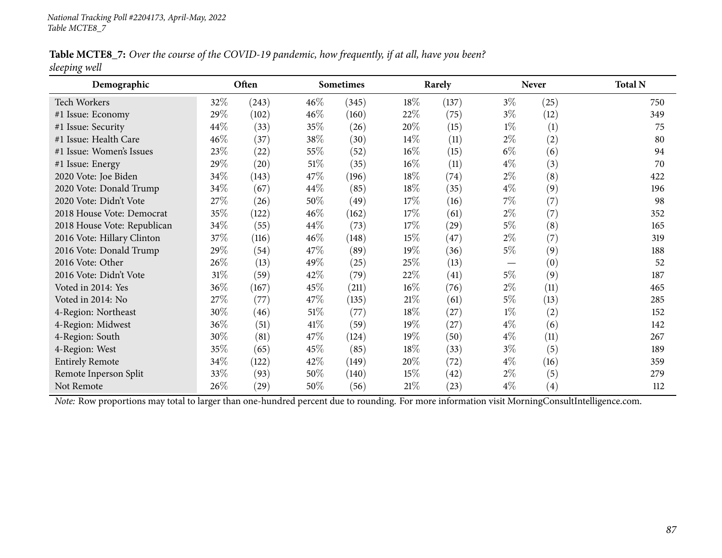Table MCTE8\_7: Over the course of the COVID-19 pandemic, how frequently, if at all, have you been? *sleeping well*

| Demographic                 |        | Often              |        | <b>Sometimes</b> |        | Rarely             |       | <b>Never</b>      | <b>Total N</b> |
|-----------------------------|--------|--------------------|--------|------------------|--------|--------------------|-------|-------------------|----------------|
| Tech Workers                | 32\%   | (243)              | $46\%$ | (345)            | 18%    | (137)              | $3\%$ | (25)              | 750            |
| #1 Issue: Economy           | 29%    | (102)              | $46\%$ | (160)            | 22%    | (75)               | $3\%$ | (12)              | 349            |
| #1 Issue: Security          | 44%    | (33)               | 35%    | (26)             | 20%    | (15)               | $1\%$ | (1)               | 75             |
| #1 Issue: Health Care       | 46%    | (37)               | 38\%   | (30)             | $14\%$ | (11)               | $2\%$ | (2)               | 80             |
| #1 Issue: Women's Issues    | 23%    | (22)               | 55\%   | (52)             | $16\%$ | (15)               | $6\%$ | (6)               | 94             |
| #1 Issue: Energy            | 29%    | (20)               | $51\%$ | (35)             | $16\%$ | (11)               | $4\%$ | (3)               | 70             |
| 2020 Vote: Joe Biden        | 34%    | (143)              | 47\%   | (196)            | 18\%   | (74)               | $2\%$ | (8)               | 422            |
| 2020 Vote: Donald Trump     | 34%    | (67)               | 44\%   | (85)             | 18\%   | (35)               | $4\%$ | (9)               | 196            |
| 2020 Vote: Didn't Vote      | 27\%   | (26)               | $50\%$ | (49)             | 17%    | (16)               | $7\%$ | (7)               | 98             |
| 2018 House Vote: Democrat   | 35%    | (122)              | 46\%   | (162)            | 17%    | (61)               | $2\%$ | (7)               | 352            |
| 2018 House Vote: Republican | 34%    | (55)               | 44\%   | (73)             | 17%    | $\left( 29\right)$ | 5%    | (8)               | 165            |
| 2016 Vote: Hillary Clinton  | 37%    | (116)              | $46\%$ | (148)            | 15%    | (47)               | $2\%$ | (7)               | 319            |
| 2016 Vote: Donald Trump     | 29%    | (54)               | 47\%   | (89)             | 19%    | (36)               | 5%    | (9)               | 188            |
| 2016 Vote: Other            | 26%    | (13)               | 49\%   | (25)             | 25%    | (13)               |       | (0)               | 52             |
| 2016 Vote: Didn't Vote      | $31\%$ | (59)               | 42%    | (79)             | 22\%   | (41)               | 5%    | (9)               | 187            |
| Voted in 2014: Yes          | 36%    | (167)              | 45\%   | (211)            | $16\%$ | (76)               | $2\%$ | (11)              | 465            |
| Voted in 2014: No           | 27%    | (77)               | 47\%   | (135)            | 21%    | (61)               | 5%    | (13)              | 285            |
| 4-Region: Northeast         | 30%    | (46)               | $51\%$ | (77)             | 18\%   | (27)               | $1\%$ | (2)               | 152            |
| 4-Region: Midwest           | 36%    | (51)               | $41\%$ | (59)             | 19%    | (27)               | $4\%$ | (6)               | 142            |
| 4-Region: South             | 30%    | (81)               | 47\%   | (124)            | 19%    | (50)               | $4\%$ | (11)              | 267            |
| 4-Region: West              | 35%    | (65)               | 45\%   | (85)             | 18\%   | (33)               | $3\%$ | (5)               | 189            |
| <b>Entirely Remote</b>      | 34%    | (122)              | 42\%   | (149)            | 20%    | $^{(72)}$          | $4\%$ | (16)              | 359            |
| Remote Inperson Split       | 33%    | (93)               | $50\%$ | (140)            | 15%    | (42)               | $2\%$ | (5)               | 279            |
| Not Remote                  | 26%    | $\left( 29\right)$ | 50%    | (56)             | 21%    | (23)               | $4\%$ | $\left( 4\right)$ | 112            |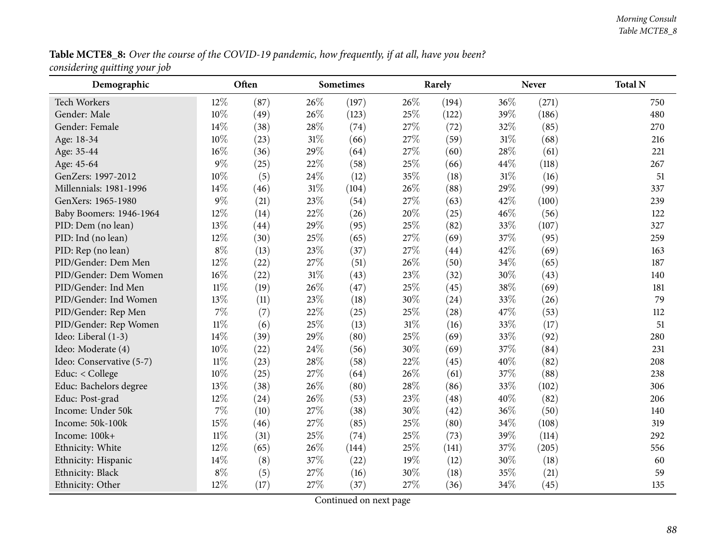## Table MCTE8\_8: Over the course of the COVID-19 pandemic, how frequently, if at all, have you been? *considering quitting your job*

| Demographic              |        | Often |        | Sometimes |        | Rarely |        | <b>Never</b> | <b>Total N</b> |
|--------------------------|--------|-------|--------|-----------|--------|--------|--------|--------------|----------------|
| <b>Tech Workers</b>      | 12%    | (87)  | 26%    | (197)     | 26%    | (194)  | 36%    | (271)        | 750            |
| Gender: Male             | 10%    | (49)  | 26%    | (123)     | 25%    | (122)  | 39%    | (186)        | 480            |
| Gender: Female           | 14%    | (38)  | 28%    | (74)      | 27%    | (72)   | 32%    | (85)         | 270            |
| Age: 18-34               | 10%    | (23)  | 31%    | (66)      | 27%    | (59)   | $31\%$ | (68)         | 216            |
| Age: 35-44               | 16%    | (36)  | 29%    | (64)      | 27%    | (60)   | 28%    | (61)         | 221            |
| Age: 45-64               | $9\%$  | (25)  | $22\%$ | (58)      | 25%    | (66)   | 44%    | (118)        | 267            |
| GenZers: 1997-2012       | 10%    | (5)   | 24%    | (12)      | 35%    | (18)   | $31\%$ | (16)         | 51             |
| Millennials: 1981-1996   | 14%    | (46)  | 31%    | (104)     | 26%    | (88)   | 29%    | (99)         | 337            |
| GenXers: 1965-1980       | $9\%$  | (21)  | 23%    | (54)      | 27%    | (63)   | 42%    | (100)        | 239            |
| Baby Boomers: 1946-1964  | 12%    | (14)  | 22%    | (26)      | 20%    | (25)   | 46%    | (56)         | 122            |
| PID: Dem (no lean)       | 13%    | (44)  | 29%    | (95)      | 25%    | (82)   | 33%    | (107)        | 327            |
| PID: Ind (no lean)       | 12%    | (30)  | 25%    | (65)      | 27%    | (69)   | 37%    | (95)         | 259            |
| PID: Rep (no lean)       | $8\%$  | (13)  | 23%    | (37)      | 27%    | (44)   | 42%    | (69)         | 163            |
| PID/Gender: Dem Men      | 12%    | (22)  | 27%    | (51)      | 26%    | (50)   | 34%    | (65)         | 187            |
| PID/Gender: Dem Women    | 16%    | (22)  | $31\%$ | (43)      | 23%    | (32)   | 30%    | (43)         | 140            |
| PID/Gender: Ind Men      | $11\%$ | (19)  | 26%    | (47)      | 25%    | (45)   | 38%    | (69)         | 181            |
| PID/Gender: Ind Women    | 13%    | (11)  | 23%    | (18)      | 30%    | (24)   | 33%    | (26)         | 79             |
| PID/Gender: Rep Men      | $7\%$  | (7)   | 22%    | (25)      | 25%    | (28)   | 47%    | (53)         | 112            |
| PID/Gender: Rep Women    | $11\%$ | (6)   | 25%    | (13)      | $31\%$ | (16)   | 33%    | (17)         | 51             |
| Ideo: Liberal (1-3)      | 14\%   | (39)  | 29%    | (80)      | 25%    | (69)   | 33%    | (92)         | 280            |
| Ideo: Moderate (4)       | 10%    | (22)  | 24%    | (56)      | 30%    | (69)   | 37%    | (84)         | 231            |
| Ideo: Conservative (5-7) | $11\%$ | (23)  | 28%    | (58)      | 22%    | (45)   | 40%    | (82)         | 208            |
| Educ: < College          | 10%    | (25)  | 27%    | (64)      | 26%    | (61)   | 37%    | (88)         | 238            |
| Educ: Bachelors degree   | 13%    | (38)  | 26%    | (80)      | 28%    | (86)   | 33%    | (102)        | 306            |
| Educ: Post-grad          | 12%    | (24)  | 26%    | (53)      | 23%    | (48)   | 40%    | (82)         | 206            |
| Income: Under 50k        | $7\%$  | (10)  | 27%    | (38)      | 30%    | (42)   | 36%    | (50)         | 140            |
| Income: 50k-100k         | 15%    | (46)  | 27%    | (85)      | 25%    | (80)   | 34%    | (108)        | 319            |
| Income: 100k+            | $11\%$ | (31)  | 25%    | (74)      | $25\%$ | (73)   | 39%    | (114)        | 292            |
| Ethnicity: White         | 12%    | (65)  | 26%    | (144)     | 25%    | (141)  | 37%    | (205)        | 556            |
| Ethnicity: Hispanic      | 14%    | (8)   | 37%    | (22)      | 19%    | (12)   | 30%    | (18)         | 60             |
| Ethnicity: Black         | $8\%$  | (5)   | 27%    | (16)      | 30%    | (18)   | 35%    | (21)         | 59             |
| Ethnicity: Other         | 12%    | (17)  | 27%    | (37)      | 27%    | (36)   | 34\%   | (45)         | 135            |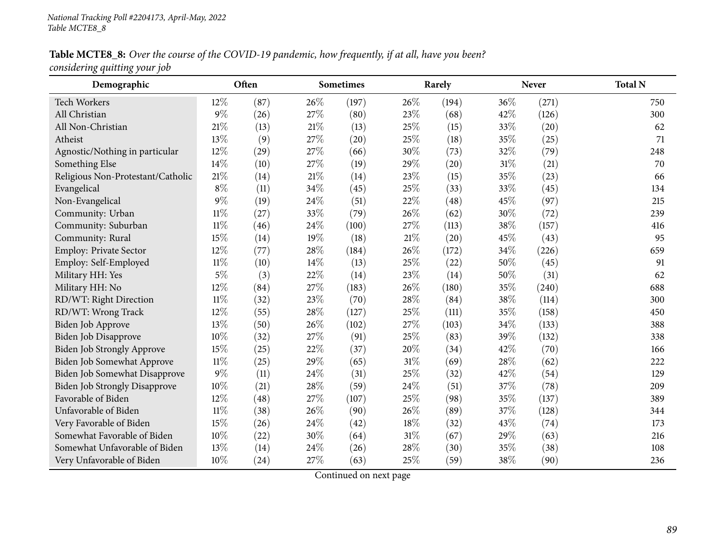#### Table MCTE8\_8: Over the course of the COVID-19 pandemic, how frequently, if at all, have you been? *considering quitting your job*

| Demographic                          |        | Often |        | <b>Sometimes</b> |        | Rarely |        | <b>Never</b> | <b>Total N</b> |
|--------------------------------------|--------|-------|--------|------------------|--------|--------|--------|--------------|----------------|
| Tech Workers                         | 12%    | (87)  | 26%    | (197)            | 26%    | (194)  | 36%    | (271)        | 750            |
| All Christian                        | $9\%$  | (26)  | 27%    | (80)             | 23%    | (68)   | 42%    | (126)        | 300            |
| All Non-Christian                    | 21%    | (13)  | 21%    | (13)             | 25%    | (15)   | 33%    | (20)         | 62             |
| Atheist                              | 13%    | (9)   | 27%    | (20)             | 25%    | (18)   | 35%    | (25)         | 71             |
| Agnostic/Nothing in particular       | 12%    | (29)  | 27%    | (66)             | 30%    | (73)   | 32%    | (79)         | 248            |
| Something Else                       | 14%    | (10)  | 27%    | (19)             | 29%    | (20)   | 31%    | (21)         | 70             |
| Religious Non-Protestant/Catholic    | $21\%$ | (14)  | $21\%$ | (14)             | 23%    | (15)   | $35\%$ | (23)         | 66             |
| Evangelical                          | $8\%$  | (11)  | 34%    | (45)             | 25%    | (33)   | 33%    | (45)         | 134            |
| Non-Evangelical                      | $9\%$  | (19)  | 24%    | (51)             | 22%    | (48)   | 45%    | (97)         | 215            |
| Community: Urban                     | $11\%$ | (27)  | 33%    | (79)             | 26%    | (62)   | 30%    | (72)         | 239            |
| Community: Suburban                  | $11\%$ | (46)  | 24%    | (100)            | 27%    | (113)  | 38%    | (157)        | 416            |
| Community: Rural                     | 15%    | (14)  | 19%    | (18)             | $21\%$ | (20)   | 45%    | (43)         | 95             |
| Employ: Private Sector               | 12%    | (77)  | 28%    | (184)            | 26%    | (172)  | 34%    | (226)        | 659            |
| Employ: Self-Employed                | 11%    | (10)  | 14\%   | (13)             | 25%    | (22)   | 50%    | (45)         | 91             |
| Military HH: Yes                     | $5\%$  | (3)   | 22%    | (14)             | 23%    | (14)   | 50%    | (31)         | 62             |
| Military HH: No                      | 12%    | (84)  | 27%    | (183)            | 26%    | (180)  | 35%    | (240)        | 688            |
| RD/WT: Right Direction               | $11\%$ | (32)  | 23%    | (70)             | 28%    | (84)   | 38%    | (114)        | 300            |
| RD/WT: Wrong Track                   | 12%    | (55)  | 28%    | (127)            | 25%    | (111)  | 35%    | (158)        | 450            |
| Biden Job Approve                    | 13%    | (50)  | 26%    | (102)            | 27%    | (103)  | 34%    | (133)        | 388            |
| Biden Job Disapprove                 | 10%    | (32)  | 27\%   | (91)             | 25%    | (83)   | 39%    | (132)        | 338            |
| Biden Job Strongly Approve           | 15%    | (25)  | 22%    | (37)             | 20%    | (34)   | 42%    | (70)         | 166            |
| Biden Job Somewhat Approve           | $11\%$ | (25)  | 29%    | (65)             | 31%    | (69)   | 28%    | (62)         | 222            |
| Biden Job Somewhat Disapprove        | 9%     | (11)  | 24%    | (31)             | 25%    | (32)   | 42%    | (54)         | 129            |
| <b>Biden Job Strongly Disapprove</b> | 10%    | (21)  | 28\%   | (59)             | 24\%   | (51)   | 37%    | (78)         | 209            |
| Favorable of Biden                   | 12%    | (48)  | 27%    | (107)            | 25%    | (98)   | 35%    | (137)        | 389            |
| Unfavorable of Biden                 | $11\%$ | (38)  | 26%    | (90)             | 26%    | (89)   | 37%    | (128)        | 344            |
| Very Favorable of Biden              | 15%    | (26)  | 24%    | (42)             | 18%    | (32)   | 43%    | (74)         | 173            |
| Somewhat Favorable of Biden          | 10%    | (22)  | 30%    | (64)             | 31%    | (67)   | 29%    | (63)         | 216            |
| Somewhat Unfavorable of Biden        | 13%    | (14)  | 24%    | (26)             | 28%    | (30)   | 35%    | (38)         | 108            |
| Very Unfavorable of Biden            | 10%    | (24)  | 27%    | (63)             | 25%    | (59)   | 38%    | (90)         | 236            |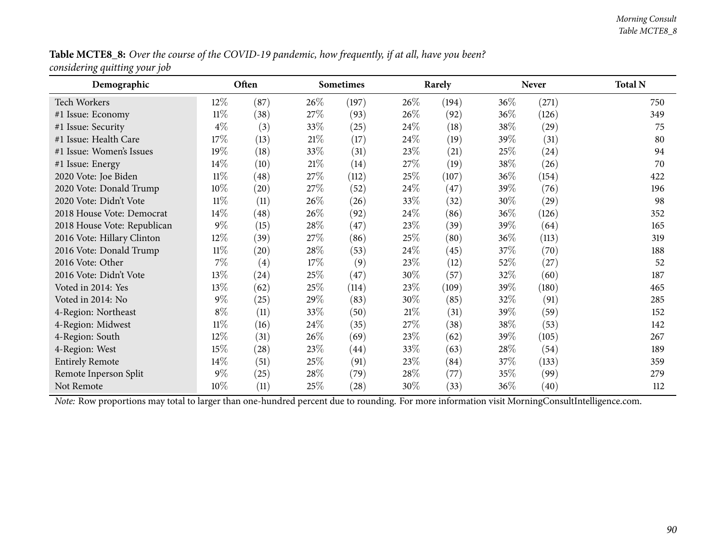#### Table MCTE8\_8: Over the course of the COVID-19 pandemic, how frequently, if at all, have you been? *considering quitting your job*

| Demographic                 |        | Often              |        | <b>Sometimes</b>   |        | Rarely |        | <b>Never</b> | <b>Total N</b> |
|-----------------------------|--------|--------------------|--------|--------------------|--------|--------|--------|--------------|----------------|
| <b>Tech Workers</b>         | $12\%$ | (87)               | $26\%$ | (197)              | 26\%   | (194)  | $36\%$ | (271)        | 750            |
| #1 Issue: Economy           | $11\%$ | (38)               | 27\%   | (93)               | $26\%$ | (92)   | 36\%   | (126)        | 349            |
| #1 Issue: Security          | $4\%$  | (3)                | 33\%   | (25)               | 24\%   | (18)   | 38\%   | (29)         | 75             |
| #1 Issue: Health Care       | 17\%   | (13)               | 21%    | (17)               | 24\%   | (19)   | 39\%   | (31)         | 80             |
| #1 Issue: Women's Issues    | 19%    | (18)               | 33%    | (31)               | 23\%   | (21)   | 25%    | (24)         | 94             |
| #1 Issue: Energy            | 14\%   | (10)               | $21\%$ | (14)               | 27\%   | (19)   | 38%    | (26)         | 70             |
| 2020 Vote: Joe Biden        | $11\%$ | (48)               | 27\%   | (112)              | 25\%   | (107)  | 36\%   | (154)        | 422            |
| 2020 Vote: Donald Trump     | 10%    | (20)               | 27\%   | (52)               | 24\%   | (47)   | 39%    | (76)         | 196            |
| 2020 Vote: Didn't Vote      | $11\%$ | (11)               | 26\%   | (26)               | 33%    | (32)   | 30%    | (29)         | 98             |
| 2018 House Vote: Democrat   | $14\%$ | (48)               | 26\%   | (92)               | 24\%   | (86)   | 36\%   | (126)        | 352            |
| 2018 House Vote: Republican | $9\%$  | (15)               | 28\%   | (47)               | 23\%   | (39)   | 39\%   | (64)         | 165            |
| 2016 Vote: Hillary Clinton  | $12\%$ | (39)               | 27\%   | (86)               | 25\%   | (80)   | 36\%   | (113)        | 319            |
| 2016 Vote: Donald Trump     | $11\%$ | (20)               | 28\%   | (53)               | 24\%   | (45)   | 37\%   | (70)         | 188            |
| 2016 Vote: Other            | $7\%$  | (4)                | 17%    | (9)                | 23%    | (12)   | 52%    | (27)         | 52             |
| 2016 Vote: Didn't Vote      | 13%    | (24)               | 25\%   | (47)               | 30%    | (57)   | 32%    | (60)         | 187            |
| Voted in 2014: Yes          | 13\%   | (62)               | 25\%   | (114)              | 23\%   | (109)  | 39\%   | (180)        | 465            |
| Voted in 2014: No           | $9\%$  | (25)               | 29%    | (83)               | 30%    | (85)   | 32%    | (91)         | 285            |
| 4-Region: Northeast         | $8\%$  | (11)               | 33\%   | (50)               | 21%    | (31)   | 39%    | (59)         | 152            |
| 4-Region: Midwest           | $11\%$ | (16)               | 24\%   | (35)               | 27\%   | (38)   | 38\%   | (53)         | 142            |
| 4-Region: South             | 12%    | (31)               | 26\%   | (69)               | 23\%   | (62)   | 39%    | (105)        | 267            |
| 4-Region: West              | 15%    | $\left( 28\right)$ | 23\%   | (44)               | 33%    | (63)   | 28\%   | (54)         | 189            |
| <b>Entirely Remote</b>      | 14\%   | (51)               | 25\%   | (91)               | 23\%   | (84)   | 37\%   | (133)        | 359            |
| Remote Inperson Split       | $9\%$  | (25)               | 28\%   | (79)               | 28\%   | (77)   | 35%    | (99)         | 279            |
| Not Remote                  | 10%    | (11)               | 25\%   | $\left( 28\right)$ | 30%    | (33)   | 36\%   | (40)         | 112            |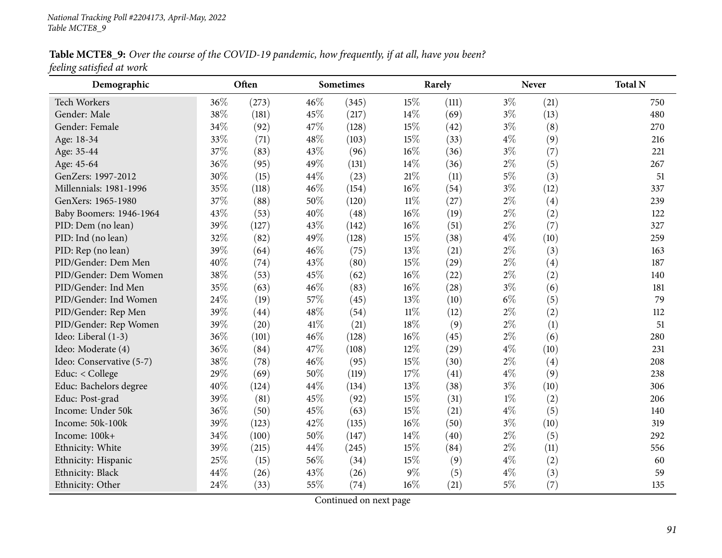Table MCTE8\_9: Over the course of the COVID-19 pandemic, how frequently, if at all, have you been? *feeling satisfied at work*

| Demographic              |     | Often |      | <b>Sometimes</b> |        | Rarely |       | <b>Never</b> | <b>Total N</b> |
|--------------------------|-----|-------|------|------------------|--------|--------|-------|--------------|----------------|
| <b>Tech Workers</b>      | 36% | (273) | 46%  | (345)            | 15%    | (111)  | $3\%$ | (21)         | 750            |
| Gender: Male             | 38% | (181) | 45%  | (217)            | 14%    | (69)   | $3\%$ | (13)         | 480            |
| Gender: Female           | 34% | (92)  | 47%  | (128)            | 15%    | (42)   | $3\%$ | (8)          | 270            |
| Age: 18-34               | 33% | (71)  | 48%  | (103)            | 15%    | (33)   | $4\%$ | (9)          | 216            |
| Age: 35-44               | 37% | (83)  | 43%  | (96)             | $16\%$ | (36)   | $3\%$ | (7)          | 221            |
| Age: 45-64               | 36% | (95)  | 49%  | (131)            | 14%    | (36)   | $2\%$ | (5)          | 267            |
| GenZers: 1997-2012       | 30% | (15)  | 44%  | (23)             | $21\%$ | (11)   | $5\%$ | (3)          | 51             |
| Millennials: 1981-1996   | 35% | (118) | 46%  | (154)            | $16\%$ | (54)   | $3\%$ | (12)         | 337            |
| GenXers: 1965-1980       | 37% | (88)  | 50%  | (120)            | $11\%$ | (27)   | $2\%$ | (4)          | 239            |
| Baby Boomers: 1946-1964  | 43% | (53)  | 40%  | (48)             | $16\%$ | (19)   | $2\%$ | (2)          | 122            |
| PID: Dem (no lean)       | 39% | (127) | 43%  | (142)            | $16\%$ | (51)   | $2\%$ | (7)          | 327            |
| PID: Ind (no lean)       | 32% | (82)  | 49%  | (128)            | 15%    | (38)   | $4\%$ | (10)         | 259            |
| PID: Rep (no lean)       | 39% | (64)  | 46%  | (75)             | 13%    | (21)   | $2\%$ | (3)          | 163            |
| PID/Gender: Dem Men      | 40% | (74)  | 43%  | (80)             | 15%    | (29)   | $2\%$ | (4)          | 187            |
| PID/Gender: Dem Women    | 38% | (53)  | 45%  | (62)             | $16\%$ | (22)   | $2\%$ | (2)          | 140            |
| PID/Gender: Ind Men      | 35% | (63)  | 46%  | (83)             | $16\%$ | (28)   | $3\%$ | (6)          | 181            |
| PID/Gender: Ind Women    | 24% | (19)  | 57%  | (45)             | 13%    | (10)   | $6\%$ | (5)          | 79             |
| PID/Gender: Rep Men      | 39% | (44)  | 48%  | (54)             | $11\%$ | (12)   | $2\%$ | (2)          | 112            |
| PID/Gender: Rep Women    | 39% | (20)  | 41\% | (21)             | 18%    | (9)    | $2\%$ | (1)          | 51             |
| Ideo: Liberal (1-3)      | 36% | (101) | 46%  | (128)            | $16\%$ | (45)   | $2\%$ | (6)          | 280            |
| Ideo: Moderate (4)       | 36% | (84)  | 47%  | (108)            | 12%    | (29)   | $4\%$ | (10)         | 231            |
| Ideo: Conservative (5-7) | 38% | (78)  | 46%  | (95)             | 15%    | (30)   | $2\%$ | (4)          | 208            |
| Educ: < College          | 29% | (69)  | 50%  | (119)            | 17%    | (41)   | $4\%$ | (9)          | 238            |
| Educ: Bachelors degree   | 40% | (124) | 44%  | (134)            | 13%    | (38)   | $3\%$ | (10)         | 306            |
| Educ: Post-grad          | 39% | (81)  | 45%  | (92)             | 15%    | (31)   | $1\%$ | (2)          | 206            |
| Income: Under 50k        | 36% | (50)  | 45%  | (63)             | 15%    | (21)   | $4\%$ | (5)          | 140            |
| Income: 50k-100k         | 39% | (123) | 42%  | (135)            | $16\%$ | (50)   | $3\%$ | (10)         | 319            |
| Income: 100k+            | 34% | (100) | 50%  | (147)            | 14%    | (40)   | $2\%$ | (5)          | 292            |
| Ethnicity: White         | 39% | (215) | 44%  | (245)            | 15%    | (84)   | $2\%$ | (11)         | 556            |
| Ethnicity: Hispanic      | 25% | (15)  | 56%  | (34)             | 15%    | (9)    | $4\%$ | (2)          | 60             |
| Ethnicity: Black         | 44% | (26)  | 43%  | (26)             | $9\%$  | (5)    | $4\%$ | (3)          | 59             |
| Ethnicity: Other         | 24% | (33)  | 55%  | (74)             | $16\%$ | (21)   | $5\%$ | (7)          | 135            |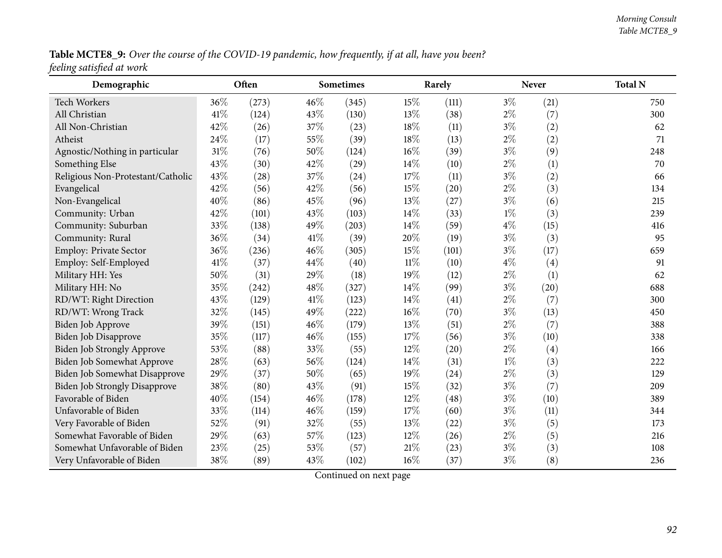Table MCTE8\_9: Over the course of the COVID-19 pandemic, how frequently, if at all, have you been? *feeling satisfied at work*

| Demographic                          |      | Often |      | <b>Sometimes</b> |        | Rarely |       | Never | <b>Total N</b> |
|--------------------------------------|------|-------|------|------------------|--------|--------|-------|-------|----------------|
| Tech Workers                         | 36%  | (273) | 46%  | (345)            | 15%    | (111)  | $3\%$ | (21)  | 750            |
| All Christian                        | 41\% | (124) | 43%  | (130)            | 13%    | (38)   | $2\%$ | (7)   | 300            |
| All Non-Christian                    | 42%  | (26)  | 37%  | (23)             | 18%    | (11)   | $3\%$ | (2)   | 62             |
| Atheist                              | 24%  | (17)  | 55%  | (39)             | 18%    | (13)   | $2\%$ | (2)   | 71             |
| Agnostic/Nothing in particular       | 31%  | (76)  | 50%  | (124)            | 16%    | (39)   | $3\%$ | (9)   | 248            |
| Something Else                       | 43%  | (30)  | 42%  | (29)             | 14%    | (10)   | $2\%$ | (1)   | 70             |
| Religious Non-Protestant/Catholic    | 43%  | (28)  | 37%  | (24)             | 17%    | (11)   | $3\%$ | (2)   | 66             |
| Evangelical                          | 42%  | (56)  | 42%  | (56)             | 15%    | (20)   | $2\%$ | (3)   | 134            |
| Non-Evangelical                      | 40%  | (86)  | 45%  | (96)             | 13%    | (27)   | $3\%$ | (6)   | 215            |
| Community: Urban                     | 42%  | (101) | 43%  | (103)            | 14%    | (33)   | $1\%$ | (3)   | 239            |
| Community: Suburban                  | 33%  | (138) | 49%  | (203)            | 14%    | (59)   | $4\%$ | (15)  | 416            |
| Community: Rural                     | 36%  | (34)  | 41\% | (39)             | 20%    | (19)   | $3\%$ | (3)   | 95             |
| Employ: Private Sector               | 36%  | (236) | 46%  | (305)            | 15%    | (101)  | $3\%$ | (17)  | 659            |
| Employ: Self-Employed                | 41%  | (37)  | 44%  | (40)             | $11\%$ | (10)   | $4\%$ | (4)   | 91             |
| Military HH: Yes                     | 50%  | (31)  | 29%  | (18)             | 19%    | (12)   | $2\%$ | (1)   | 62             |
| Military HH: No                      | 35%  | (242) | 48%  | (327)            | 14%    | (99)   | $3\%$ | (20)  | 688            |
| RD/WT: Right Direction               | 43%  | (129) | 41%  | (123)            | 14%    | (41)   | $2\%$ | (7)   | 300            |
| RD/WT: Wrong Track                   | 32%  | (145) | 49%  | (222)            | 16%    | (70)   | $3\%$ | (13)  | 450            |
| <b>Biden Job Approve</b>             | 39%  | (151) | 46%  | (179)            | 13%    | (51)   | $2\%$ | (7)   | 388            |
| Biden Job Disapprove                 | 35%  | (117) | 46%  | (155)            | 17%    | (56)   | $3\%$ | (10)  | 338            |
| Biden Job Strongly Approve           | 53%  | (88)  | 33%  | (55)             | 12%    | (20)   | $2\%$ | (4)   | 166            |
| Biden Job Somewhat Approve           | 28%  | (63)  | 56%  | (124)            | 14%    | (31)   | $1\%$ | (3)   | 222            |
| Biden Job Somewhat Disapprove        | 29%  | (37)  | 50%  | (65)             | 19%    | (24)   | $2\%$ | (3)   | 129            |
| <b>Biden Job Strongly Disapprove</b> | 38%  | (80)  | 43%  | (91)             | 15%    | (32)   | $3\%$ | (7)   | 209            |
| Favorable of Biden                   | 40%  | (154) | 46%  | (178)            | 12%    | (48)   | $3\%$ | (10)  | 389            |
| Unfavorable of Biden                 | 33%  | (114) | 46%  | (159)            | 17%    | (60)   | $3\%$ | (11)  | 344            |
| Very Favorable of Biden              | 52%  | (91)  | 32%  | (55)             | 13%    | (22)   | $3\%$ | (5)   | 173            |
| Somewhat Favorable of Biden          | 29%  | (63)  | 57%  | (123)            | 12%    | (26)   | $2\%$ | (5)   | 216            |
| Somewhat Unfavorable of Biden        | 23%  | (25)  | 53%  | (57)             | $21\%$ | (23)   | $3\%$ | (3)   | 108            |
| Very Unfavorable of Biden            | 38%  | (89)  | 43%  | (102)            | 16%    | (37)   | $3\%$ | (8)   | 236            |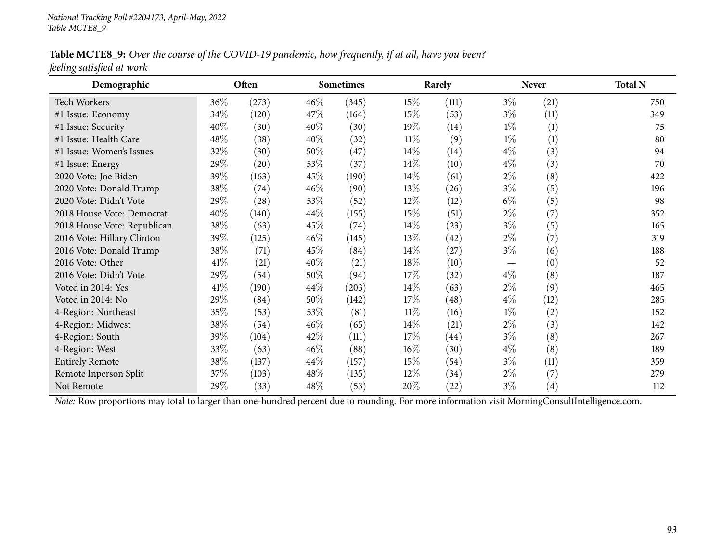Table MCTE8\_9: Over the course of the COVID-19 pandemic, how frequently, if at all, have you been? *feeling satisfied at work*

| Demographic                 |      | Often |        | Sometimes |        | Rarely             |       | <b>Never</b>      | <b>Total N</b> |
|-----------------------------|------|-------|--------|-----------|--------|--------------------|-------|-------------------|----------------|
| <b>Tech Workers</b>         | 36\% | (273) | $46\%$ | (345)     | 15\%   | (111)              | $3\%$ | (21)              | 750            |
| #1 Issue: Economy           | 34\% | (120) | 47\%   | (164)     | 15%    | (53)               | $3\%$ | (11)              | 349            |
| #1 Issue: Security          | 40%  | (30)  | 40%    | (30)      | 19%    | (14)               | $1\%$ | (1)               | 75             |
| #1 Issue: Health Care       | 48%  | (38)  | 40%    | (32)      | $11\%$ | (9)                | $1\%$ | (1)               | 80             |
| #1 Issue: Women's Issues    | 32%  | (30)  | 50%    | (47)      | 14\%   | (14)               | $4\%$ | (3)               | 94             |
| #1 Issue: Energy            | 29%  | (20)  | 53\%   | (37)      | $14\%$ | (10)               | $4\%$ | (3)               | 70             |
| 2020 Vote: Joe Biden        | 39%  | (163) | 45\%   | (190)     | $14\%$ | (61)               | $2\%$ | (8)               | 422            |
| 2020 Vote: Donald Trump     | 38\% | (74)  | $46\%$ | (90)      | 13\%   | (26)               | $3\%$ | (5)               | 196            |
| 2020 Vote: Didn't Vote      | 29\% | (28)  | 53\%   | (52)      | $12\%$ | (12)               | $6\%$ | (5)               | 98             |
| 2018 House Vote: Democrat   | 40\% | (140) | 44\%   | (155)     | 15%    | (51)               | $2\%$ | (7)               | 352            |
| 2018 House Vote: Republican | 38\% | (63)  | 45\%   | (74)      | 14\%   | (23)               | $3\%$ | (5)               | 165            |
| 2016 Vote: Hillary Clinton  | 39%  | (125) | 46%    | (145)     | 13%    | (42)               | $2\%$ | (7)               | 319            |
| 2016 Vote: Donald Trump     | 38\% | (71)  | 45\%   | (84)      | 14\%   | (27)               | $3\%$ | (6)               | 188            |
| 2016 Vote: Other            | 41\% | (21)  | 40%    | (21)      | 18%    | (10)               |       | (0)               | 52             |
| 2016 Vote: Didn't Vote      | 29%  | (54)  | 50%    | (94)      | 17%    | (32)               | $4\%$ | (8)               | 187            |
| Voted in 2014: Yes          | 41%  | (190) | 44\%   | (203)     | $14\%$ | (63)               | $2\%$ | (9)               | 465            |
| Voted in 2014: No           | 29%  | (84)  | 50%    | (142)     | 17%    | (48)               | $4\%$ | (12)              | 285            |
| 4-Region: Northeast         | 35\% | (53)  | 53\%   | (81)      | $11\%$ | (16)               | $1\%$ | (2)               | 152            |
| 4-Region: Midwest           | 38\% | (54)  | $46\%$ | (65)      | $14\%$ | (21)               | $2\%$ | (3)               | 142            |
| 4-Region: South             | 39\% | (104) | 42\%   | (111)     | 17%    | (44)               | $3\%$ | (8)               | 267            |
| 4-Region: West              | 33\% | (63)  | $46\%$ | (88)      | $16\%$ | (30)               | $4\%$ | (8)               | 189            |
| <b>Entirely Remote</b>      | 38\% | (137) | 44\%   | (157)     | 15%    | (54)               | $3\%$ | (11)              | 359            |
| Remote Inperson Split       | 37%  | (103) | 48\%   | (135)     | 12%    | (34)               | $2\%$ | (7)               | 279            |
| Not Remote                  | 29%  | (33)  | 48\%   | (53)      | 20%    | $\left( 22\right)$ | $3\%$ | $\left( 4\right)$ | 112            |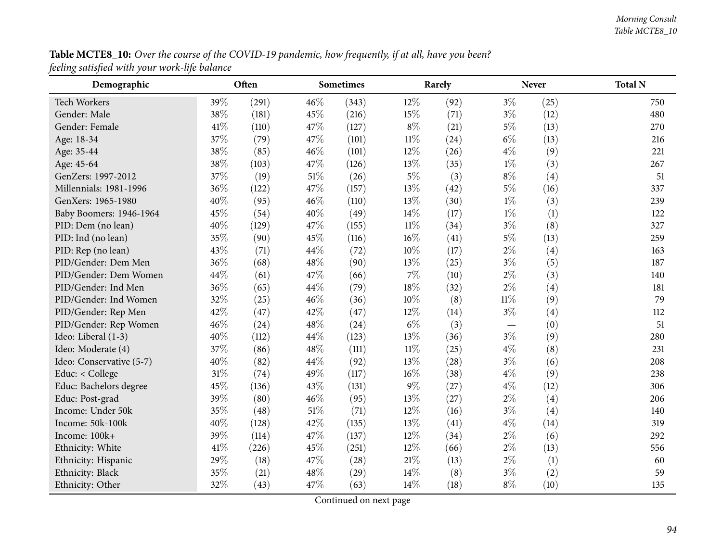# **Table MCTE8\_10:** Over the course of the COVID-19 pandemic, how frequently, if at all, have you been? *feeling satisfied with your work-life balance*

| Demographic              |        | Often |        | Sometimes |        | Rarely |        | <b>Never</b> | <b>Total N</b> |
|--------------------------|--------|-------|--------|-----------|--------|--------|--------|--------------|----------------|
| <b>Tech Workers</b>      | 39%    | (291) | 46%    | (343)     | 12%    | (92)   | $3\%$  | (25)         | 750            |
| Gender: Male             | 38%    | (181) | 45%    | (216)     | 15%    | (71)   | $3\%$  | (12)         | 480            |
| Gender: Female           | $41\%$ | (110) | 47%    | (127)     | $8\%$  | (21)   | $5\%$  | (13)         | 270            |
| Age: 18-34               | 37%    | (79)  | 47%    | (101)     | $11\%$ | (24)   | $6\%$  | (13)         | 216            |
| Age: 35-44               | 38%    | (85)  | 46%    | (101)     | 12%    | (26)   | $4\%$  | (9)          | 221            |
| Age: 45-64               | 38%    | (103) | 47%    | (126)     | 13%    | (35)   | $1\%$  | (3)          | 267            |
| GenZers: 1997-2012       | 37%    | (19)  | 51\%   | (26)      | $5\%$  | (3)    | $8\%$  | (4)          | 51             |
| Millennials: 1981-1996   | 36%    | (122) | 47%    | (157)     | 13%    | (42)   | $5\%$  | (16)         | 337            |
| GenXers: 1965-1980       | 40%    | (95)  | 46%    | (110)     | 13%    | (30)   | $1\%$  | (3)          | 239            |
| Baby Boomers: 1946-1964  | 45%    | (54)  | 40%    | (49)      | 14%    | (17)   | $1\%$  | (1)          | 122            |
| PID: Dem (no lean)       | 40%    | (129) | 47%    | (155)     | $11\%$ | (34)   | $3\%$  | (8)          | 327            |
| PID: Ind (no lean)       | 35%    | (90)  | 45%    | (116)     | $16\%$ | (41)   | $5\%$  | (13)         | 259            |
| PID: Rep (no lean)       | 43%    | (71)  | 44%    | (72)      | 10%    | (17)   | $2\%$  | (4)          | 163            |
| PID/Gender: Dem Men      | 36%    | (68)  | 48%    | (90)      | 13%    | (25)   | $3\%$  | (5)          | 187            |
| PID/Gender: Dem Women    | 44%    | (61)  | 47%    | (66)      | $7\%$  | (10)   | $2\%$  | (3)          | 140            |
| PID/Gender: Ind Men      | 36%    | (65)  | 44%    | (79)      | 18%    | (32)   | $2\%$  | (4)          | 181            |
| PID/Gender: Ind Women    | 32%    | (25)  | 46%    | (36)      | 10%    | (8)    | $11\%$ | (9)          | 79             |
| PID/Gender: Rep Men      | 42%    | (47)  | 42%    | (47)      | 12%    | (14)   | $3\%$  | (4)          | 112            |
| PID/Gender: Rep Women    | 46%    | (24)  | 48%    | (24)      | $6\%$  | (3)    |        | (0)          | 51             |
| Ideo: Liberal (1-3)      | 40%    | (112) | 44%    | (123)     | 13%    | (36)   | $3\%$  | (9)          | 280            |
| Ideo: Moderate (4)       | 37%    | (86)  | 48%    | (111)     | $11\%$ | (25)   | $4\%$  | (8)          | 231            |
| Ideo: Conservative (5-7) | 40%    | (82)  | 44%    | (92)      | 13%    | (28)   | $3\%$  | (6)          | 208            |
| Educ: < College          | $31\%$ | (74)  | 49%    | (117)     | $16\%$ | (38)   | $4\%$  | (9)          | 238            |
| Educ: Bachelors degree   | 45%    | (136) | 43%    | (131)     | $9\%$  | (27)   | $4\%$  | (12)         | 306            |
| Educ: Post-grad          | 39%    | (80)  | 46%    | (95)      | 13%    | (27)   | $2\%$  | (4)          | 206            |
| Income: Under 50k        | 35%    | (48)  | $51\%$ | (71)      | 12%    | (16)   | $3\%$  | (4)          | 140            |
| Income: 50k-100k         | 40%    | (128) | 42%    | (135)     | 13%    | (41)   | $4\%$  | (14)         | 319            |
| Income: 100k+            | 39%    | (114) | 47%    | (137)     | 12%    | (34)   | $2\%$  | (6)          | 292            |
| Ethnicity: White         | 41\%   | (226) | 45%    | (251)     | 12%    | (66)   | $2\%$  | (13)         | 556            |
| Ethnicity: Hispanic      | 29%    | (18)  | 47%    | (28)      | $21\%$ | (13)   | $2\%$  | (1)          | 60             |
| Ethnicity: Black         | 35%    | (21)  | 48%    | (29)      | 14%    | (8)    | $3\%$  | (2)          | 59             |
| Ethnicity: Other         | 32%    | (43)  | 47%    | (63)      | 14%    | (18)   | $8\%$  | (10)         | 135            |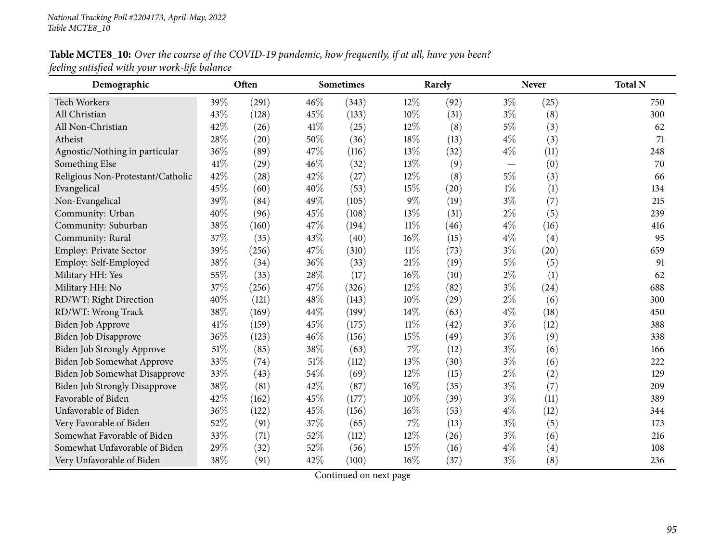## Table MCTE8\_10: Over the course of the COVID-19 pandemic, how frequently, if at all, have you been? *feeling satisfied with your work-life balance*

| Demographic                          |      | Often |      | <b>Sometimes</b> |        | Rarely |       | <b>Never</b> | <b>Total N</b> |
|--------------------------------------|------|-------|------|------------------|--------|--------|-------|--------------|----------------|
| Tech Workers                         | 39%  | (291) | 46%  | (343)            | 12%    | (92)   | $3\%$ | (25)         | 750            |
| All Christian                        | 43%  | (128) | 45%  | (133)            | 10%    | (31)   | $3\%$ | (8)          | 300            |
| All Non-Christian                    | 42%  | (26)  | 41%  | (25)             | $12\%$ | (8)    | $5\%$ | (3)          | 62             |
| Atheist                              | 28%  | (20)  | 50%  | (36)             | 18%    | (13)   | $4\%$ | (3)          | 71             |
| Agnostic/Nothing in particular       | 36%  | (89)  | 47%  | (116)            | 13%    | (32)   | $4\%$ | (11)         | 248            |
| Something Else                       | 41%  | (29)  | 46%  | (32)             | 13%    | (9)    |       | (0)          | 70             |
| Religious Non-Protestant/Catholic    | 42%  | (28)  | 42%  | (27)             | 12%    | (8)    | $5\%$ | (3)          | 66             |
| Evangelical                          | 45%  | (60)  | 40%  | (53)             | 15%    | (20)   | $1\%$ | (1)          | 134            |
| Non-Evangelical                      | 39%  | (84)  | 49%  | (105)            | $9\%$  | (19)   | $3\%$ | (7)          | 215            |
| Community: Urban                     | 40%  | (96)  | 45%  | (108)            | 13%    | (31)   | $2\%$ | (5)          | 239            |
| Community: Suburban                  | 38%  | (160) | 47\% | (194)            | 11%    | (46)   | $4\%$ | (16)         | 416            |
| Community: Rural                     | 37%  | (35)  | 43%  | (40)             | 16%    | (15)   | $4\%$ | (4)          | 95             |
| Employ: Private Sector               | 39%  | (256) | 47%  | (310)            | $11\%$ | (73)   | $3\%$ | (20)         | 659            |
| Employ: Self-Employed                | 38%  | (34)  | 36%  | (33)             | $21\%$ | (19)   | $5\%$ | (5)          | 91             |
| Military HH: Yes                     | 55%  | (35)  | 28%  | (17)             | $16\%$ | (10)   | $2\%$ | (1)          | 62             |
| Military HH: No                      | 37%  | (256) | 47%  | (326)            | 12%    | (82)   | $3\%$ | (24)         | 688            |
| RD/WT: Right Direction               | 40%  | (121) | 48%  | (143)            | 10%    | (29)   | $2\%$ | (6)          | 300            |
| RD/WT: Wrong Track                   | 38%  | (169) | 44%  | (199)            | 14\%   | (63)   | $4\%$ | (18)         | 450            |
| Biden Job Approve                    | 41\% | (159) | 45%  | (175)            | $11\%$ | (42)   | $3\%$ | (12)         | 388            |
| Biden Job Disapprove                 | 36%  | (123) | 46%  | (156)            | 15%    | (49)   | $3\%$ | (9)          | 338            |
| Biden Job Strongly Approve           | 51%  | (85)  | 38%  | (63)             | $7\%$  | (12)   | $3\%$ | (6)          | 166            |
| Biden Job Somewhat Approve           | 33%  | (74)  | 51%  | (112)            | 13%    | (30)   | $3\%$ | (6)          | 222            |
| Biden Job Somewhat Disapprove        | 33%  | (43)  | 54%  | (69)             | 12%    | (15)   | $2\%$ | (2)          | 129            |
| <b>Biden Job Strongly Disapprove</b> | 38%  | (81)  | 42%  | (87)             | 16%    | (35)   | $3\%$ | (7)          | 209            |
| Favorable of Biden                   | 42%  | (162) | 45%  | (177)            | 10%    | (39)   | $3\%$ | (11)         | 389            |
| Unfavorable of Biden                 | 36%  | (122) | 45%  | (156)            | $16\%$ | (53)   | $4\%$ | (12)         | 344            |
| Very Favorable of Biden              | 52%  | (91)  | 37%  | (65)             | 7%     | (13)   | $3\%$ | (5)          | 173            |
| Somewhat Favorable of Biden          | 33%  | (71)  | 52%  | (112)            | 12%    | (26)   | $3\%$ | (6)          | 216            |
| Somewhat Unfavorable of Biden        | 29%  | (32)  | 52%  | (56)             | 15%    | (16)   | $4\%$ | (4)          | 108            |
| Very Unfavorable of Biden            | 38%  | (91)  | 42%  | (100)            | 16%    | (37)   | $3\%$ | (8)          | 236            |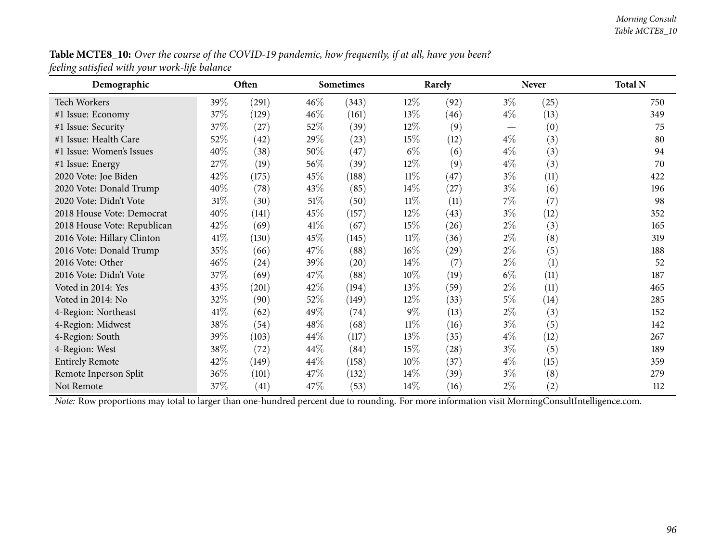| Table MCTE8_10: Over the course of the COVID-19 pandemic, how frequently, if at all, have you been? |  |
|-----------------------------------------------------------------------------------------------------|--|
| feeling satisfied with your work-life balance                                                       |  |

| Demographic                 |        | Often |                                                                                                                                                | <b>Sometimes</b> |        | Rarely             |       | <b>Never</b> | <b>Total N</b> |  |  |  |  |
|-----------------------------|--------|-------|------------------------------------------------------------------------------------------------------------------------------------------------|------------------|--------|--------------------|-------|--------------|----------------|--|--|--|--|
| <b>Tech Workers</b>         | 39\%   | (291) | $46\%$                                                                                                                                         | (343)            | $12\%$ | (92)               | $3\%$ | (25)         | 750            |  |  |  |  |
| #1 Issue: Economy           | 37%    | (129) | $46\%$                                                                                                                                         | (161)            | $13\%$ | (46)               | $4\%$ | (13)         | 349            |  |  |  |  |
| #1 Issue: Security          | 37%    | (27)  | 52%                                                                                                                                            | (39)             | $12\%$ | (9)                |       | (0)          | 75             |  |  |  |  |
| #1 Issue: Health Care       | 52%    | (42)  | 29\%                                                                                                                                           | (23)             | $15\%$ | (12)               | $4\%$ | (3)          | 80             |  |  |  |  |
| #1 Issue: Women's Issues    | 40%    | (38)  | 50%                                                                                                                                            | (47)             | $6\%$  | (6)                | $4\%$ | (3)          | 94             |  |  |  |  |
| #1 Issue: Energy            | 27%    | (19)  | 56%                                                                                                                                            | (39)             | $12\%$ | (9)                | $4\%$ | (3)          | 70             |  |  |  |  |
| 2020 Vote: Joe Biden        | 42%    | (175) | 45%                                                                                                                                            | (188)            | $11\%$ | (47)               | $3\%$ | (11)         | 422            |  |  |  |  |
| 2020 Vote: Donald Trump     | 40%    | (78)  | 43\%                                                                                                                                           | (85)             | $14\%$ | (27)               | $3\%$ | (6)          | 196            |  |  |  |  |
| 2020 Vote: Didn't Vote      | $31\%$ | (30)  | $51\%$                                                                                                                                         | (50)             | $11\%$ | (11)               | $7\%$ | (7)          | 98             |  |  |  |  |
| 2018 House Vote: Democrat   | 40%    | (141) | 45%                                                                                                                                            | (157)            | $12\%$ | (43)               | $3\%$ | (12)         | 352            |  |  |  |  |
| 2018 House Vote: Republican | 42%    | (69)  | 41%                                                                                                                                            | (67)             | 15%    | (26)               | $2\%$ | (3)          | 165            |  |  |  |  |
| 2016 Vote: Hillary Clinton  | 41\%   | (130) | 45%                                                                                                                                            | (145)            | $11\%$ | (36)               | $2\%$ | (8)          | 319            |  |  |  |  |
| 2016 Vote: Donald Trump     | 35%    | (66)  | 47\%                                                                                                                                           | (88)             | $16\%$ | $\left( 29\right)$ | $2\%$ | (5)          | 188            |  |  |  |  |
| 2016 Vote: Other            | 46%    | (24)  | 39\%                                                                                                                                           | (20)             | $14\%$ | (7)                | $2\%$ | (1)          | 52             |  |  |  |  |
| 2016 Vote: Didn't Vote      | 37%    | (69)  | 47\%                                                                                                                                           | (88)             | $10\%$ | (19)               | $6\%$ | (11)         | 187            |  |  |  |  |
| Voted in 2014: Yes          | 43%    | (201) | 42\%                                                                                                                                           | (194)            | 13\%   | (59)               | $2\%$ | (11)         | 465            |  |  |  |  |
| Voted in 2014: No           | 32%    | (90)  | 52%                                                                                                                                            | (149)            | $12\%$ | (33)               | $5\%$ | (14)         | 285            |  |  |  |  |
| 4-Region: Northeast         | 41\%   | (62)  | 49\%                                                                                                                                           | (74)             | $9\%$  | (13)               | $2\%$ | (3)          | 152            |  |  |  |  |
| 4-Region: Midwest           | 38\%   | (54)  | 48\%                                                                                                                                           | (68)             | $11\%$ | (16)               | $3\%$ | (5)          | 142            |  |  |  |  |
| 4-Region: South             | 39%    | (103) | 44\%                                                                                                                                           | (117)            | 13\%   | (35)               | $4\%$ | (12)         | 267            |  |  |  |  |
| 4-Region: West              | 38%    | (72)  | $44\%$                                                                                                                                         | (84)             | 15%    | (28)               | $3\%$ | (5)          | 189            |  |  |  |  |
| <b>Entirely Remote</b>      | 42%    | (149) | 44\%                                                                                                                                           | (158)            | $10\%$ | (37)               | $4\%$ | (15)         | 359            |  |  |  |  |
| Remote Inperson Split       | 36%    | (101) | 47\%                                                                                                                                           | (132)            | $14\%$ | (39)               | $3\%$ | (8)          | 279            |  |  |  |  |
| Not Remote                  | 37%    | (41)  | 47\%                                                                                                                                           | (53)             | $14\%$ | (16)               | $2\%$ | (2)          | 112            |  |  |  |  |
|                             |        |       | Note: Row proportions may total to larger than one-hundred percent due to rounding. For more information visit MorningConsultIntelligence.com. |                  |        |                    |       |              |                |  |  |  |  |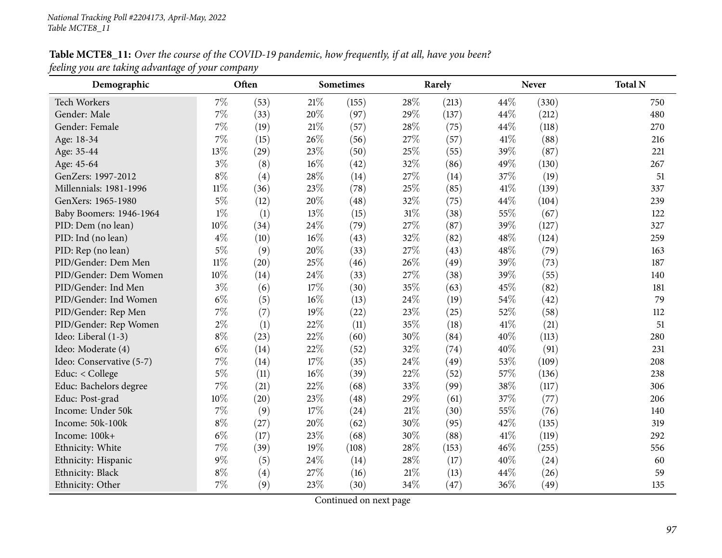## Table MCTE8\_11: Over the course of the COVID-19 pandemic, how frequently, if at all, have you been? *feeling you are taking advantage of your company*

| Demographic              |        | Often |      | <b>Sometimes</b> |        | Rarely |      | <b>Never</b> | <b>Total N</b> |
|--------------------------|--------|-------|------|------------------|--------|--------|------|--------------|----------------|
| <b>Tech Workers</b>      | $7\%$  | (53)  | 21\% | (155)            | 28%    | (213)  | 44%  | (330)        | 750            |
| Gender: Male             | $7\%$  | (33)  | 20%  | (97)             | 29%    | (137)  | 44\% | (212)        | 480            |
| Gender: Female           | 7%     | (19)  | 21\% | (57)             | 28%    | (75)   | 44%  | (118)        | 270            |
| Age: 18-34               | 7%     | (15)  | 26%  | (56)             | 27%    | (57)   | 41\% | (88)         | 216            |
| Age: 35-44               | 13%    | (29)  | 23%  | (50)             | 25%    | (55)   | 39%  | (87)         | 221            |
| Age: 45-64               | $3\%$  | (8)   | 16%  | (42)             | 32%    | (86)   | 49%  | (130)        | 267            |
| GenZers: 1997-2012       | $8\%$  | (4)   | 28%  | (14)             | 27%    | (14)   | 37%  | (19)         | 51             |
| Millennials: 1981-1996   | $11\%$ | (36)  | 23%  | (78)             | 25%    | (85)   | 41\% | (139)        | 337            |
| GenXers: 1965-1980       | $5\%$  | (12)  | 20%  | (48)             | 32%    | (75)   | 44%  | (104)        | 239            |
| Baby Boomers: 1946-1964  | $1\%$  | (1)   | 13%  | (15)             | 31%    | (38)   | 55%  | (67)         | 122            |
| PID: Dem (no lean)       | 10%    | (34)  | 24%  | (79)             | 27%    | (87)   | 39%  | (127)        | 327            |
| PID: Ind (no lean)       | $4\%$  | (10)  | 16%  | (43)             | 32%    | (82)   | 48%  | (124)        | 259            |
| PID: Rep (no lean)       | $5\%$  | (9)   | 20%  | (33)             | 27%    | (43)   | 48%  | (79)         | 163            |
| PID/Gender: Dem Men      | $11\%$ | (20)  | 25%  | (46)             | 26%    | (49)   | 39%  | (73)         | 187            |
| PID/Gender: Dem Women    | 10%    | (14)  | 24%  | (33)             | 27%    | (38)   | 39%  | (55)         | 140            |
| PID/Gender: Ind Men      | $3\%$  | (6)   | 17%  | (30)             | 35%    | (63)   | 45%  | (82)         | 181            |
| PID/Gender: Ind Women    | $6\%$  | (5)   | 16%  | (13)             | 24%    | (19)   | 54%  | (42)         | 79             |
| PID/Gender: Rep Men      | $7\%$  | (7)   | 19%  | (22)             | 23%    | (25)   | 52%  | (58)         | 112            |
| PID/Gender: Rep Women    | $2\%$  | (1)   | 22%  | (11)             | 35%    | (18)   | 41\% | (21)         | 51             |
| Ideo: Liberal (1-3)      | $8\%$  | (23)  | 22%  | (60)             | 30%    | (84)   | 40%  | (113)        | 280            |
| Ideo: Moderate (4)       | $6\%$  | (14)  | 22%  | (52)             | 32%    | (74)   | 40%  | (91)         | 231            |
| Ideo: Conservative (5-7) | $7\%$  | (14)  | 17%  | (35)             | 24%    | (49)   | 53%  | (109)        | 208            |
| Educ: < College          | $5\%$  | (11)  | 16%  | (39)             | 22%    | (52)   | 57%  | (136)        | 238            |
| Educ: Bachelors degree   | 7%     | (21)  | 22%  | (68)             | 33%    | (99)   | 38%  | (117)        | 306            |
| Educ: Post-grad          | 10%    | (20)  | 23%  | (48)             | 29%    | (61)   | 37%  | (77)         | 206            |
| Income: Under 50k        | 7%     | (9)   | 17%  | (24)             | 21%    | (30)   | 55%  | (76)         | 140            |
| Income: 50k-100k         | $8\%$  | (27)  | 20%  | (62)             | 30%    | (95)   | 42%  | (135)        | 319            |
| Income: 100k+            | $6\%$  | (17)  | 23%  | (68)             | 30%    | (88)   | 41%  | (119)        | 292            |
| Ethnicity: White         | $7\%$  | (39)  | 19%  | (108)            | 28%    | (153)  | 46%  | (255)        | 556            |
| Ethnicity: Hispanic      | 9%     | (5)   | 24%  | (14)             | 28%    | (17)   | 40%  | (24)         | 60             |
| Ethnicity: Black         | $8\%$  | (4)   | 27%  | (16)             | $21\%$ | (13)   | 44%  | (26)         | 59             |
| Ethnicity: Other         | 7%     | (9)   | 23%  | (30)             | 34%    | (47)   | 36%  | (49)         | 135            |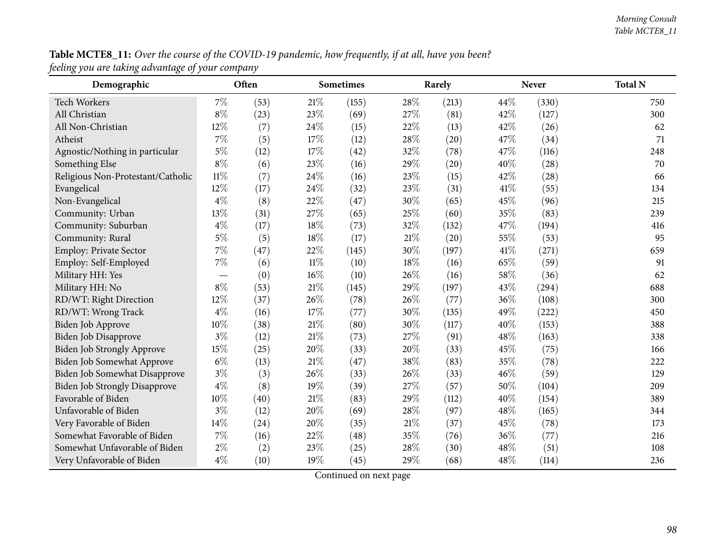## Table MCTE8\_11: Over the course of the COVID-19 pandemic, how frequently, if at all, have you been? *feeling you are taking advantage of your company*

| Demographic                          |        | Often |        | Sometimes |        | Rarely |      | <b>Never</b> | <b>Total N</b> |
|--------------------------------------|--------|-------|--------|-----------|--------|--------|------|--------------|----------------|
| <b>Tech Workers</b>                  | $7\%$  | (53)  | 21%    | (155)     | 28%    | (213)  | 44\% | (330)        | 750            |
| All Christian                        | $8\%$  | (23)  | 23%    | (69)      | 27%    | (81)   | 42%  | (127)        | 300            |
| All Non-Christian                    | 12%    | (7)   | 24%    | (15)      | 22%    | (13)   | 42%  | (26)         | 62             |
| Atheist                              | $7\%$  | (5)   | 17%    | (12)      | 28\%   | (20)   | 47%  | (34)         | 71             |
| Agnostic/Nothing in particular       | $5\%$  | (12)  | 17%    | (42)      | 32%    | (78)   | 47%  | (116)        | 248            |
| Something Else                       | $8\%$  | (6)   | 23%    | (16)      | 29%    | (20)   | 40%  | (28)         | 70             |
| Religious Non-Protestant/Catholic    | $11\%$ | (7)   | 24\%   | (16)      | 23%    | (15)   | 42%  | (28)         | 66             |
| Evangelical                          | 12%    | (17)  | 24%    | (32)      | 23%    | (31)   | 41\% | (55)         | 134            |
| Non-Evangelical                      | $4\%$  | (8)   | 22%    | (47)      | 30%    | (65)   | 45%  | (96)         | 215            |
| Community: Urban                     | 13%    | (31)  | 27%    | (65)      | 25%    | (60)   | 35%  | (83)         | 239            |
| Community: Suburban                  | $4\%$  | (17)  | 18%    | (73)      | 32%    | (132)  | 47%  | (194)        | 416            |
| Community: Rural                     | $5\%$  | (5)   | 18%    | (17)      | $21\%$ | (20)   | 55%  | (53)         | 95             |
| Employ: Private Sector               | $7\%$  | (47)  | 22%    | (145)     | 30%    | (197)  | 41\% | (271)        | 659            |
| Employ: Self-Employed                | 7%     | (6)   | $11\%$ | (10)      | 18%    | (16)   | 65%  | (59)         | 91             |
| Military HH: Yes                     |        | (0)   | 16%    | (10)      | 26%    | (16)   | 58%  | (36)         | 62             |
| Military HH: No                      | $8\%$  | (53)  | 21%    | (145)     | 29%    | (197)  | 43%  | (294)        | 688            |
| RD/WT: Right Direction               | 12%    | (37)  | 26%    | (78)      | 26%    | (77)   | 36%  | (108)        | 300            |
| RD/WT: Wrong Track                   | $4\%$  | (16)  | 17%    | (77)      | 30%    | (135)  | 49%  | (222)        | 450            |
| Biden Job Approve                    | 10%    | (38)  | $21\%$ | (80)      | 30%    | (117)  | 40%  | (153)        | 388            |
| Biden Job Disapprove                 | $3\%$  | (12)  | $21\%$ | (73)      | 27%    | (91)   | 48%  | (163)        | 338            |
| Biden Job Strongly Approve           | 15%    | (25)  | 20%    | (33)      | 20%    | (33)   | 45%  | (75)         | 166            |
| Biden Job Somewhat Approve           | $6\%$  | (13)  | 21%    | (47)      | 38%    | (83)   | 35%  | (78)         | 222            |
| Biden Job Somewhat Disapprove        | $3\%$  | (3)   | 26%    | (33)      | 26%    | (33)   | 46%  | (59)         | 129            |
| <b>Biden Job Strongly Disapprove</b> | $4\%$  | (8)   | 19%    | (39)      | 27%    | (57)   | 50%  | (104)        | 209            |
| Favorable of Biden                   | 10%    | (40)  | 21%    | (83)      | 29%    | (112)  | 40%  | (154)        | 389            |
| Unfavorable of Biden                 | $3\%$  | (12)  | 20%    | (69)      | 28\%   | (97)   | 48%  | (165)        | 344            |
| Very Favorable of Biden              | 14%    | (24)  | 20%    | (35)      | $21\%$ | (37)   | 45%  | (78)         | 173            |
| Somewhat Favorable of Biden          | 7%     | (16)  | 22%    | (48)      | 35%    | (76)   | 36%  | (77)         | 216            |
| Somewhat Unfavorable of Biden        | $2\%$  | (2)   | 23%    | (25)      | 28%    | (30)   | 48%  | (51)         | 108            |
| Very Unfavorable of Biden            | $4\%$  | (10)  | 19%    | (45)      | 29%    | (68)   | 48%  | (114)        | 236            |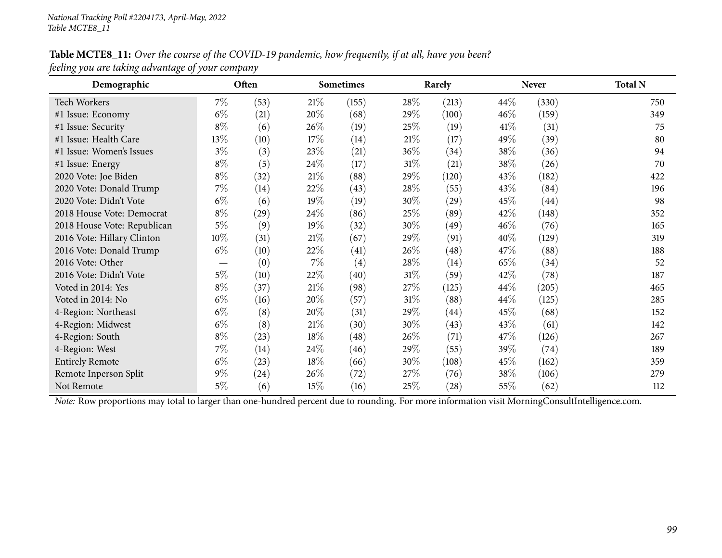#### Table MCTE8\_11: Over the course of the COVID-19 pandemic, how frequently, if at all, have you been? *feeling you are taking advantage of your company*

| Demographic                 |        | Often<br><b>Sometimes</b> |        |                   | Rarely |       | <b>Never</b> | <b>Total N</b> |     |
|-----------------------------|--------|---------------------------|--------|-------------------|--------|-------|--------------|----------------|-----|
| <b>Tech Workers</b>         | $7\%$  | (53)                      | $21\%$ | (155)             | 28\%   | (213) | 44\%         | (330)          | 750 |
| #1 Issue: Economy           | $6\%$  | (21)                      | 20%    | (68)              | 29%    | (100) | 46\%         | (159)          | 349 |
| #1 Issue: Security          | $8\%$  | (6)                       | 26\%   | (19)              | 25\%   | (19)  | 41\%         | (31)           | 75  |
| #1 Issue: Health Care       | 13%    | (10)                      | 17\%   | (14)              | $21\%$ | (17)  | 49%          | (39)           | 80  |
| #1 Issue: Women's Issues    | $3\%$  | (3)                       | 23\%   | (21)              | 36\%   | (34)  | 38%          | (36)           | 94  |
| #1 Issue: Energy            | $8\%$  | (5)                       | 24\%   | (17)              | $31\%$ | (21)  | 38\%         | (26)           | 70  |
| 2020 Vote: Joe Biden        | $8\%$  | (32)                      | 21%    | (88)              | 29%    | (120) | 43\%         | (182)          | 422 |
| 2020 Vote: Donald Trump     | $7\%$  | (14)                      | 22%    | (43)              | 28\%   | (55)  | 43\%         | (84)           | 196 |
| 2020 Vote: Didn't Vote      | $6\%$  | (6)                       | $19\%$ | (19)              | 30\%   | (29)  | 45\%         | (44)           | 98  |
| 2018 House Vote: Democrat   | $8\%$  | (29)                      | 24\%   | (86)              | 25%    | (89)  | 42\%         | (148)          | 352 |
| 2018 House Vote: Republican | $5\%$  | (9)                       | $19\%$ | (32)              | 30\%   | (49)  | 46\%         | (76)           | 165 |
| 2016 Vote: Hillary Clinton  | $10\%$ | (31)                      | 21%    | (67)              | 29%    | (91)  | 40%          | (129)          | 319 |
| 2016 Vote: Donald Trump     | $6\%$  | (10)                      | 22\%   | (41)              | 26\%   | (48)  | 47\%         | (88)           | 188 |
| 2016 Vote: Other            |        | (0)                       | $7\%$  | $\left( 4\right)$ | 28\%   | (14)  | 65\%         | (34)           | 52  |
| 2016 Vote: Didn't Vote      | $5\%$  | (10)                      | 22%    | (40)              | $31\%$ | (59)  | 42\%         | (78)           | 187 |
| Voted in 2014: Yes          | $8\%$  | (37)                      | $21\%$ | (98)              | 27\%   | (125) | 44\%         | (205)          | 465 |
| Voted in 2014: No           | $6\%$  | (16)                      | 20%    | (57)              | $31\%$ | (88)  | 44\%         | (125)          | 285 |
| 4-Region: Northeast         | $6\%$  | (8)                       | 20%    | (31)              | 29%    | (44)  | 45\%         | (68)           | 152 |
| 4-Region: Midwest           | $6\%$  | (8)                       | $21\%$ | (30)              | 30%    | (43)  | 43\%         | (61)           | 142 |
| 4-Region: South             | $8\%$  | (23)                      | 18%    | (48)              | 26\%   | (71)  | 47\%         | (126)          | 267 |
| 4-Region: West              | $7\%$  | (14)                      | 24\%   | (46)              | 29%    | (55)  | 39%          | (74)           | 189 |
| <b>Entirely Remote</b>      | $6\%$  | (23)                      | 18%    | (66)              | 30\%   | (108) | 45%          | (162)          | 359 |
| Remote Inperson Split       | $9\%$  | (24)                      | 26\%   | (72)              | 27\%   | (76)  | 38\%         | (106)          | 279 |
| Not Remote                  | $5\%$  | (6)                       | $15\%$ | (16)              | 25\%   | (28)  | $55\%$       | (62)           | 112 |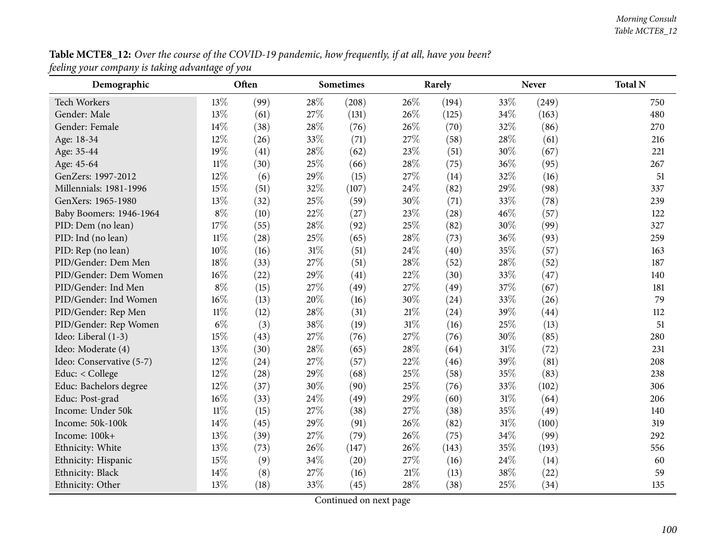| Table MCTE8_12: Over the course of the COVID-19 pandemic, how frequently, if at all, have you been? |  |
|-----------------------------------------------------------------------------------------------------|--|
| feeling your company is taking advantage of you                                                     |  |

| $\delta$ / $\sim$ $\sim$<br>$\ldots$ $\ldots$ $\ldots$ $\ldots$<br>Demographic | $\cdots \cdots \cdots \cdots$<br>ر ب | Often |        | <b>Sometimes</b> |      | Rarely |        | <b>Never</b> | <b>Total N</b> |
|--------------------------------------------------------------------------------|--------------------------------------|-------|--------|------------------|------|--------|--------|--------------|----------------|
| <b>Tech Workers</b>                                                            | 13\%                                 | (99)  | 28%    | (208)            | 26\% | (194)  | 33%    | (249)        | 750            |
| Gender: Male                                                                   | 13%                                  | (61)  | 27%    | (131)            | 26%  | (125)  | 34\%   | (163)        | 480            |
| Gender: Female                                                                 | 14%                                  | (38)  | 28%    | (76)             | 26%  | (70)   | 32%    | (86)         | 270            |
| Age: 18-34                                                                     | 12%                                  | (26)  | 33%    | (71)             | 27%  | (58)   | 28\%   | (61)         | 216            |
| Age: 35-44                                                                     | 19%                                  | (41)  | 28\%   | (62)             | 23%  | (51)   | 30%    | (67)         | 221            |
| Age: 45-64                                                                     | $11\%$                               | (30)  | 25%    | (66)             | 28%  | (75)   | 36%    | (95)         | 267            |
| GenZers: 1997-2012                                                             | 12%                                  | (6)   | 29%    | (15)             | 27%  | (14)   | 32%    | (16)         | 51             |
| Millennials: 1981-1996                                                         | 15%                                  | (51)  | 32%    | (107)            | 24%  | (82)   | 29%    | (98)         | 337            |
| GenXers: 1965-1980                                                             | 13%                                  | (32)  | 25%    | (59)             | 30%  | (71)   | 33%    | (78)         | 239            |
| Baby Boomers: 1946-1964                                                        | $8\%$                                | (10)  | 22%    | (27)             | 23%  | (28)   | 46%    | (57)         | 122            |
| PID: Dem (no lean)                                                             | 17%                                  | (55)  | 28%    | (92)             | 25%  | (82)   | 30%    | (99)         | 327            |
| PID: Ind (no lean)                                                             | $11\%$                               | (28)  | 25%    | (65)             | 28%  | (73)   | 36%    | (93)         | 259            |
| PID: Rep (no lean)                                                             | 10%                                  | (16)  | 31%    | (51)             | 24%  | (40)   | 35%    | (57)         | 163            |
| PID/Gender: Dem Men                                                            | 18%                                  | (33)  | 27%    | (51)             | 28%  | (52)   | $28\%$ | (52)         | 187            |
| PID/Gender: Dem Women                                                          | 16%                                  | (22)  | 29%    | (41)             | 22%  | (30)   | 33%    | (47)         | 140            |
| PID/Gender: Ind Men                                                            | $8\%$                                | (15)  | 27%    | (49)             | 27%  | (49)   | 37%    | (67)         | 181            |
| PID/Gender: Ind Women                                                          | 16%                                  | (13)  | 20%    | (16)             | 30%  | (24)   | 33%    | (26)         | 79             |
| PID/Gender: Rep Men                                                            | $11\%$                               | (12)  | 28%    | (31)             | 21%  | (24)   | 39%    | (44)         | 112            |
| PID/Gender: Rep Women                                                          | $6\%$                                | (3)   | 38%    | (19)             | 31%  | (16)   | 25%    | (13)         | 51             |
| Ideo: Liberal (1-3)                                                            | 15%                                  | (43)  | 27%    | (76)             | 27%  | (76)   | 30%    | (85)         | 280            |
| Ideo: Moderate (4)                                                             | 13%                                  | (30)  | 28%    | (65)             | 28%  | (64)   | $31\%$ | (72)         | 231            |
| Ideo: Conservative (5-7)                                                       | 12%                                  | (24)  | 27%    | (57)             | 22%  | (46)   | 39%    | (81)         | 208            |
| Educ: < College                                                                | 12%                                  | (28)  | 29%    | (68)             | 25%  | (58)   | 35%    | (83)         | 238            |
| Educ: Bachelors degree                                                         | 12%                                  | (37)  | 30%    | (90)             | 25%  | (76)   | 33%    | (102)        | 306            |
| Educ: Post-grad                                                                | 16%                                  | (33)  | 24%    | (49)             | 29%  | (60)   | $31\%$ | (64)         | 206            |
| Income: Under 50k                                                              | $11\%$                               | (15)  | 27%    | (38)             | 27%  | (38)   | 35%    | (49)         | 140            |
| Income: 50k-100k                                                               | 14%                                  | (45)  | 29%    | (91)             | 26\% | (82)   | $31\%$ | (100)        | 319            |
| Income: 100k+                                                                  | 13%                                  | (39)  | 27%    | (79)             | 26%  | (75)   | $34\%$ | (99)         | 292            |
| Ethnicity: White                                                               | 13%                                  | (73)  | 26%    | (147)            | 26%  | (143)  | 35%    | (193)        | 556            |
| Ethnicity: Hispanic                                                            | 15%                                  | (9)   | $34\%$ | (20)             | 27%  | (16)   | 24\%   | (14)         | 60             |
| Ethnicity: Black                                                               | 14%                                  | (8)   | 27%    | (16)             | 21%  | (13)   | 38\%   | (22)         | 59             |
| Ethnicity: Other                                                               | 13%                                  | (18)  | 33%    | (45)             | 28%  | (38)   | 25%    | (34)         | 135            |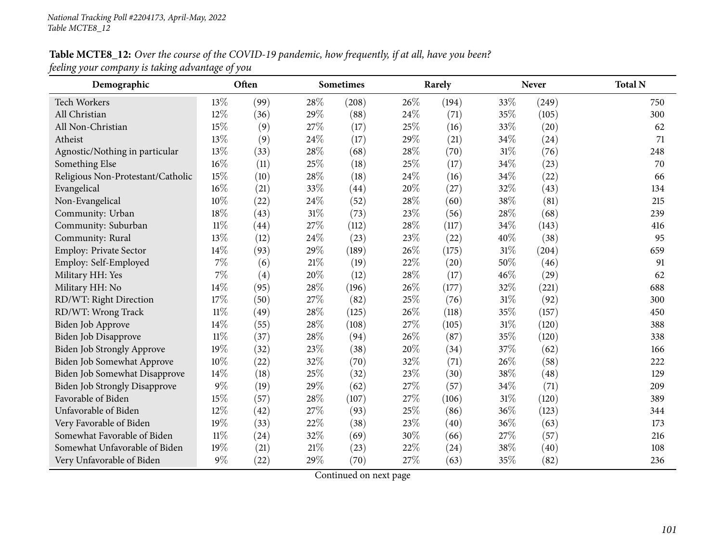## Table MCTE8\_12: Over the course of the COVID-19 pandemic, how frequently, if at all, have you been? *feeling your company is taking advantage of you*

| Demographic                          |        | Often |        | <b>Sometimes</b> |      | Rarely |      | <b>Never</b> | <b>Total N</b> |
|--------------------------------------|--------|-------|--------|------------------|------|--------|------|--------------|----------------|
| Tech Workers                         | 13%    | (99)  | 28%    | (208)            | 26%  | (194)  | 33%  | (249)        | 750            |
| All Christian                        | 12%    | (36)  | 29%    | (88)             | 24%  | (71)   | 35%  | (105)        | 300            |
| All Non-Christian                    | 15%    | (9)   | 27%    | (17)             | 25%  | (16)   | 33%  | (20)         | 62             |
| Atheist                              | 13%    | (9)   | 24%    | (17)             | 29%  | (21)   | 34%  | (24)         | 71             |
| Agnostic/Nothing in particular       | 13%    | (33)  | 28%    | (68)             | 28\% | (70)   | 31%  | (76)         | 248            |
| Something Else                       | 16%    | (11)  | 25%    | (18)             | 25%  | (17)   | 34%  | (23)         | 70             |
| Religious Non-Protestant/Catholic    | 15%    | (10)  | 28%    | (18)             | 24\% | (16)   | 34\% | (22)         | 66             |
| Evangelical                          | 16%    | (21)  | 33%    | (44)             | 20%  | (27)   | 32%  | (43)         | 134            |
| Non-Evangelical                      | 10%    | (22)  | 24%    | (52)             | 28%  | (60)   | 38%  | (81)         | 215            |
| Community: Urban                     | 18%    | (43)  | $31\%$ | (73)             | 23%  | (56)   | 28%  | (68)         | 239            |
| Community: Suburban                  | $11\%$ | (44)  | 27%    | (112)            | 28%  | (117)  | 34%  | (143)        | 416            |
| Community: Rural                     | 13%    | (12)  | 24%    | (23)             | 23%  | (22)   | 40%  | (38)         | 95             |
| Employ: Private Sector               | 14%    | (93)  | 29%    | (189)            | 26%  | (175)  | 31%  | (204)        | 659            |
| Employ: Self-Employed                | 7%     | (6)   | 21%    | (19)             | 22%  | (20)   | 50%  | (46)         | 91             |
| Military HH: Yes                     | 7%     | (4)   | 20%    | (12)             | 28%  | (17)   | 46%  | (29)         | 62             |
| Military HH: No                      | 14%    | (95)  | 28%    | (196)            | 26\% | (177)  | 32%  | (221)        | 688            |
| RD/WT: Right Direction               | 17%    | (50)  | 27%    | (82)             | 25%  | (76)   | 31%  | (92)         | 300            |
| RD/WT: Wrong Track                   | $11\%$ | (49)  | 28%    | (125)            | 26%  | (118)  | 35%  | (157)        | 450            |
| Biden Job Approve                    | 14%    | (55)  | 28%    | (108)            | 27%  | (105)  | 31%  | (120)        | 388            |
| Biden Job Disapprove                 | $11\%$ | (37)  | 28%    | (94)             | 26%  | (87)   | 35%  | (120)        | 338            |
| Biden Job Strongly Approve           | 19%    | (32)  | 23%    | (38)             | 20%  | (34)   | 37%  | (62)         | 166            |
| Biden Job Somewhat Approve           | 10%    | (22)  | 32%    | (70)             | 32%  | (71)   | 26%  | (58)         | 222            |
| Biden Job Somewhat Disapprove        | 14%    | (18)  | 25%    | (32)             | 23%  | (30)   | 38%  | (48)         | 129            |
| <b>Biden Job Strongly Disapprove</b> | 9%     | (19)  | 29%    | (62)             | 27%  | (57)   | 34%  | (71)         | 209            |
| Favorable of Biden                   | 15%    | (57)  | 28%    | (107)            | 27%  | (106)  | 31%  | (120)        | 389            |
| Unfavorable of Biden                 | 12%    | (42)  | 27%    | (93)             | 25%  | (86)   | 36%  | (123)        | 344            |
| Very Favorable of Biden              | 19%    | (33)  | 22%    | (38)             | 23%  | (40)   | 36%  | (63)         | 173            |
| Somewhat Favorable of Biden          | $11\%$ | (24)  | 32%    | (69)             | 30%  | (66)   | 27%  | (57)         | 216            |
| Somewhat Unfavorable of Biden        | 19%    | (21)  | 21\%   | (23)             | 22%  | (24)   | 38%  | (40)         | 108            |
| Very Unfavorable of Biden            | 9%     | (22)  | 29%    | (70)             | 27%  | (63)   | 35%  | (82)         | 236            |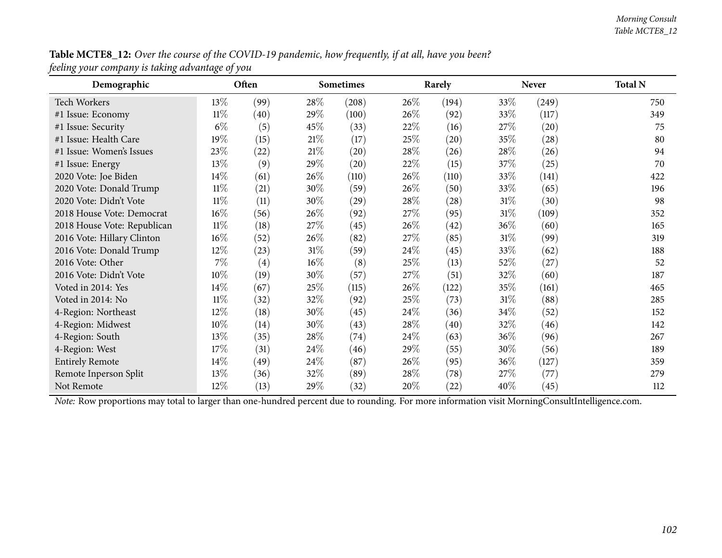| Table MCTE8_12: Over the course of the COVID-19 pandemic, how frequently, if at all, have you been? |  |
|-----------------------------------------------------------------------------------------------------|--|
| feeling your company is taking advantage of you                                                     |  |

| Demographic                 |        | Often |        | <b>Sometimes</b>   |      | Rarely |        | <b>Never</b> | <b>Total N</b> |
|-----------------------------|--------|-------|--------|--------------------|------|--------|--------|--------------|----------------|
| <b>Tech Workers</b>         | $13\%$ | (99)  | 28\%   | (208)              | 26\% | (194)  | 33\%   | (249)        | 750            |
| #1 Issue: Economy           | $11\%$ | (40)  | 29\%   | (100)              | 26\% | (92)   | 33\%   | (117)        | 349            |
| #1 Issue: Security          | $6\%$  | (5)   | 45\%   | (33)               | 22%  | (16)   | 27\%   | (20)         | 75             |
| #1 Issue: Health Care       | 19%    | (15)  | 21%    | (17)               | 25%  | (20)   | 35%    | (28)         | 80             |
| #1 Issue: Women's Issues    | 23%    | (22)  | 21\%   | $\left( 20\right)$ | 28\% | (26)   | 28%    | (26)         | 94             |
| #1 Issue: Energy            | 13%    | (9)   | 29\%   | (20)               | 22%  | (15)   | 37\%   | (25)         | 70             |
| 2020 Vote: Joe Biden        | 14\%   | (61)  | $26\%$ | (110)              | 26\% | (110)  | 33\%   | (141)        | 422            |
| 2020 Vote: Donald Trump     | $11\%$ | (21)  | 30\%   | (59)               | 26\% | (50)   | 33\%   | (65)         | 196            |
| 2020 Vote: Didn't Vote      | $11\%$ | (11)  | 30\%   | (29)               | 28\% | (28)   | $31\%$ | (30)         | 98             |
| 2018 House Vote: Democrat   | 16%    | (56)  | $26\%$ | (92)               | 27\% | (95)   | $31\%$ | (109)        | 352            |
| 2018 House Vote: Republican | $11\%$ | (18)  | 27\%   | (45)               | 26\% | (42)   | 36\%   | (60)         | 165            |
| 2016 Vote: Hillary Clinton  | 16%    | (52)  | $26\%$ | (82)               | 27\% | (85)   | $31\%$ | (99)         | 319            |
| 2016 Vote: Donald Trump     | 12%    | (23)  | $31\%$ | (59)               | 24\% | (45)   | 33\%   | (62)         | 188            |
| 2016 Vote: Other            | 7%     | (4)   | 16%    | (8)                | 25%  | (13)   | 52%    | (27)         | 52             |
| 2016 Vote: Didn't Vote      | 10%    | (19)  | 30\%   | (57)               | 27\% | (51)   | 32%    | (60)         | 187            |
| Voted in 2014: Yes          | $14\%$ | (67)  | 25\%   | (115)              | 26\% | (122)  | 35%    | (161)        | 465            |
| Voted in 2014: No           | $11\%$ | (32)  | 32\%   | (92)               | 25\% | (73)   | 31%    | (88)         | 285            |
| 4-Region: Northeast         | $12\%$ | (18)  | 30\%   | (45)               | 24\% | (36)   | 34%    | (52)         | 152            |
| 4-Region: Midwest           | 10%    | (14)  | 30\%   | (43)               | 28%  | (40)   | 32%    | (46)         | 142            |
| 4-Region: South             | 13%    | (35)  | 28\%   | (74)               | 24\% | (63)   | 36\%   | (96)         | 267            |
| 4-Region: West              | 17%    | (31)  | 24\%   | (46)               | 29%  | (55)   | 30%    | (56)         | 189            |
| <b>Entirely Remote</b>      | 14%    | (49)  | $24\%$ | (87)               | 26%  | (95)   | 36%    | (127)        | 359            |
| Remote Inperson Split       | 13%    | (36)  | 32\%   | (89)               | 28\% | (78)   | 27\%   | (77)         | 279            |
| Not Remote                  | 12%    | (13)  | 29\%   | (32)               | 20%  | (22)   | 40%    | (45)         | 112            |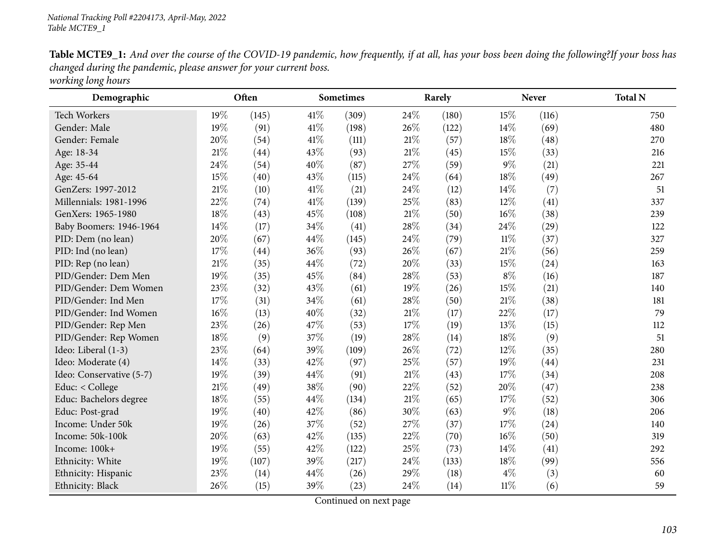Table MCTE9\_1: And over the course of the COVID-19 pandemic, how frequently, if at all, has your boss been doing the following?If your boss has *changed during the pandemic, <sup>p</sup>lease answer for your current boss. working long hours*

| Demographic              |        | Often |      | <b>Sometimes</b> |        | Rarely |        | <b>Never</b> | <b>Total N</b> |
|--------------------------|--------|-------|------|------------------|--------|--------|--------|--------------|----------------|
| <b>Tech Workers</b>      | 19%    | (145) | 41\% | (309)            | 24%    | (180)  | 15%    | (116)        | 750            |
| Gender: Male             | 19%    | (91)  | 41\% | (198)            | 26\%   | (122)  | 14\%   | (69)         | 480            |
| Gender: Female           | 20%    | (54)  | 41\% | (111)            | $21\%$ | (57)   | 18%    | (48)         | 270            |
| Age: 18-34               | 21%    | (44)  | 43%  | (93)             | 21%    | (45)   | 15%    | (33)         | 216            |
| Age: 35-44               | 24%    | (54)  | 40%  | (87)             | 27%    | (59)   | $9\%$  | (21)         | 221            |
| Age: 45-64               | 15%    | (40)  | 43%  | (115)            | 24%    | (64)   | 18%    | (49)         | 267            |
| GenZers: 1997-2012       | 21%    | (10)  | 41%  | (21)             | 24%    | (12)   | 14\%   | (7)          | 51             |
| Millennials: 1981-1996   | 22%    | (74)  | 41\% | (139)            | 25%    | (83)   | 12%    | (41)         | 337            |
| GenXers: 1965-1980       | 18%    | (43)  | 45%  | (108)            | $21\%$ | (50)   | $16\%$ | (38)         | 239            |
| Baby Boomers: 1946-1964  | 14%    | (17)  | 34%  | (41)             | 28%    | (34)   | 24\%   | (29)         | 122            |
| PID: Dem (no lean)       | 20%    | (67)  | 44%  | (145)            | 24%    | (79)   | $11\%$ | (37)         | 327            |
| PID: Ind (no lean)       | 17%    | (44)  | 36%  | (93)             | 26%    | (67)   | 21\%   | (56)         | 259            |
| PID: Rep (no lean)       | 21%    | (35)  | 44%  | (72)             | 20%    | (33)   | 15%    | (24)         | 163            |
| PID/Gender: Dem Men      | 19%    | (35)  | 45%  | (84)             | 28%    | (53)   | $8\%$  | (16)         | 187            |
| PID/Gender: Dem Women    | 23%    | (32)  | 43%  | (61)             | 19%    | (26)   | 15%    | (21)         | 140            |
| PID/Gender: Ind Men      | 17%    | (31)  | 34%  | (61)             | 28%    | (50)   | 21%    | (38)         | 181            |
| PID/Gender: Ind Women    | $16\%$ | (13)  | 40%  | (32)             | $21\%$ | (17)   | 22%    | (17)         | 79             |
| PID/Gender: Rep Men      | 23%    | (26)  | 47%  | (53)             | 17%    | (19)   | 13%    | (15)         | 112            |
| PID/Gender: Rep Women    | 18%    | (9)   | 37%  | (19)             | 28%    | (14)   | 18%    | (9)          | 51             |
| Ideo: Liberal (1-3)      | 23%    | (64)  | 39%  | (109)            | 26%    | (72)   | 12%    | (35)         | 280            |
| Ideo: Moderate (4)       | 14%    | (33)  | 42%  | (97)             | 25%    | (57)   | 19%    | (44)         | 231            |
| Ideo: Conservative (5-7) | 19%    | (39)  | 44%  | (91)             | 21%    | (43)   | 17%    | (34)         | 208            |
| Educ: < College          | $21\%$ | (49)  | 38%  | (90)             | 22%    | (52)   | 20%    | (47)         | 238            |
| Educ: Bachelors degree   | 18%    | (55)  | 44%  | (134)            | $21\%$ | (65)   | 17%    | (52)         | 306            |
| Educ: Post-grad          | 19%    | (40)  | 42%  | (86)             | 30%    | (63)   | $9\%$  | (18)         | 206            |
| Income: Under 50k        | 19%    | (26)  | 37%  | (52)             | 27%    | (37)   | 17%    | (24)         | 140            |
| Income: 50k-100k         | 20%    | (63)  | 42%  | (135)            | 22%    | (70)   | 16%    | (50)         | 319            |
| Income: 100k+            | 19%    | (55)  | 42%  | (122)            | 25%    | (73)   | 14%    | (41)         | 292            |
| Ethnicity: White         | 19%    | (107) | 39%  | (217)            | 24%    | (133)  | 18%    | (99)         | 556            |
| Ethnicity: Hispanic      | 23%    | (14)  | 44%  | (26)             | 29%    | (18)   | $4\%$  | (3)          | 60             |
| Ethnicity: Black         | 26%    | (15)  | 39%  | (23)             | 24%    | (14)   | $11\%$ | (6)          | 59             |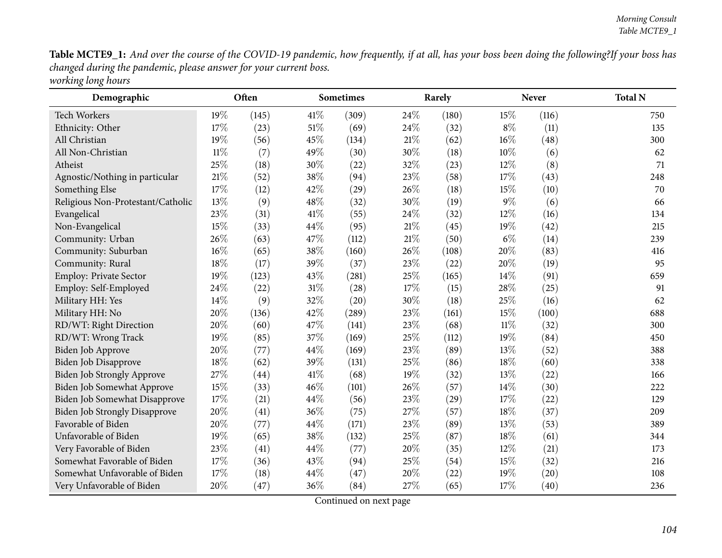Table MCTE9\_1: And over the course of the COVID-19 pandemic, how frequently, if at all, has your boss been doing the following?If your boss has *changed during the pandemic, <sup>p</sup>lease answer for your current boss. working long hours*

| Demographic                          |        | Often |        | <b>Sometimes</b> |     | Rarely |        | Never | <b>Total N</b> |
|--------------------------------------|--------|-------|--------|------------------|-----|--------|--------|-------|----------------|
| <b>Tech Workers</b>                  | 19%    | (145) | $41\%$ | (309)            | 24% | (180)  | 15%    | (116) | 750            |
| Ethnicity: Other                     | 17%    | (23)  | $51\%$ | (69)             | 24% | (32)   | $8\%$  | (11)  | 135            |
| All Christian                        | 19%    | (56)  | 45%    | (134)            | 21% | (62)   | 16%    | (48)  | 300            |
| All Non-Christian                    | $11\%$ | (7)   | 49%    | (30)             | 30% | (18)   | 10%    | (6)   | 62             |
| Atheist                              | 25%    | (18)  | 30%    | (22)             | 32% | (23)   | 12%    | (8)   | 71             |
| Agnostic/Nothing in particular       | 21%    | (52)  | 38%    | (94)             | 23% | (58)   | 17%    | (43)  | 248            |
| Something Else                       | 17%    | (12)  | 42%    | (29)             | 26% | (18)   | 15%    | (10)  | 70             |
| Religious Non-Protestant/Catholic    | 13%    | (9)   | 48%    | (32)             | 30% | (19)   | $9\%$  | (6)   | 66             |
| Evangelical                          | 23%    | (31)  | 41\%   | (55)             | 24% | (32)   | 12%    | (16)  | 134            |
| Non-Evangelical                      | 15%    | (33)  | 44%    | (95)             | 21% | (45)   | 19%    | (42)  | 215            |
| Community: Urban                     | 26%    | (63)  | 47%    | (112)            | 21% | (50)   | $6\%$  | (14)  | 239            |
| Community: Suburban                  | 16%    | (65)  | 38%    | (160)            | 26% | (108)  | 20%    | (83)  | 416            |
| Community: Rural                     | $18\%$ | (17)  | 39%    | (37)             | 23% | (22)   | 20%    | (19)  | 95             |
| Employ: Private Sector               | 19%    | (123) | 43%    | (281)            | 25% | (165)  | 14%    | (91)  | 659            |
| Employ: Self-Employed                | 24%    | (22)  | 31%    | (28)             | 17% | (15)   | 28%    | (25)  | 91             |
| Military HH: Yes                     | 14%    | (9)   | 32%    | (20)             | 30% | (18)   | 25%    | (16)  | 62             |
| Military HH: No                      | 20%    | (136) | 42%    | (289)            | 23% | (161)  | 15%    | (100) | 688            |
| RD/WT: Right Direction               | 20%    | (60)  | 47%    | (141)            | 23% | (68)   | $11\%$ | (32)  | 300            |
| RD/WT: Wrong Track                   | 19%    | (85)  | 37%    | (169)            | 25% | (112)  | 19%    | (84)  | 450            |
| <b>Biden Job Approve</b>             | 20%    | (77)  | 44%    | (169)            | 23% | (89)   | 13%    | (52)  | 388            |
| Biden Job Disapprove                 | 18%    | (62)  | 39%    | (131)            | 25% | (86)   | 18%    | (60)  | 338            |
| <b>Biden Job Strongly Approve</b>    | 27%    | (44)  | 41\%   | (68)             | 19% | (32)   | 13%    | (22)  | 166            |
| Biden Job Somewhat Approve           | 15%    | (33)  | 46%    | (101)            | 26% | (57)   | 14%    | (30)  | 222            |
| Biden Job Somewhat Disapprove        | 17%    | (21)  | 44%    | (56)             | 23% | (29)   | 17%    | (22)  | 129            |
| <b>Biden Job Strongly Disapprove</b> | 20%    | (41)  | 36%    | (75)             | 27% | (57)   | 18%    | (37)  | 209            |
| Favorable of Biden                   | 20%    | (77)  | 44%    | (171)            | 23% | (89)   | 13%    | (53)  | 389            |
| Unfavorable of Biden                 | 19%    | (65)  | 38%    | (132)            | 25% | (87)   | 18%    | (61)  | 344            |
| Very Favorable of Biden              | 23%    | (41)  | 44%    | (77)             | 20% | (35)   | 12%    | (21)  | 173            |
| Somewhat Favorable of Biden          | 17%    | (36)  | 43%    | (94)             | 25% | (54)   | 15%    | (32)  | 216            |
| Somewhat Unfavorable of Biden        | 17%    | (18)  | 44\%   | (47)             | 20% | (22)   | 19%    | (20)  | 108            |
| Very Unfavorable of Biden            | 20%    | (47)  | 36%    | (84)             | 27% | (65)   | 17%    | (40)  | 236            |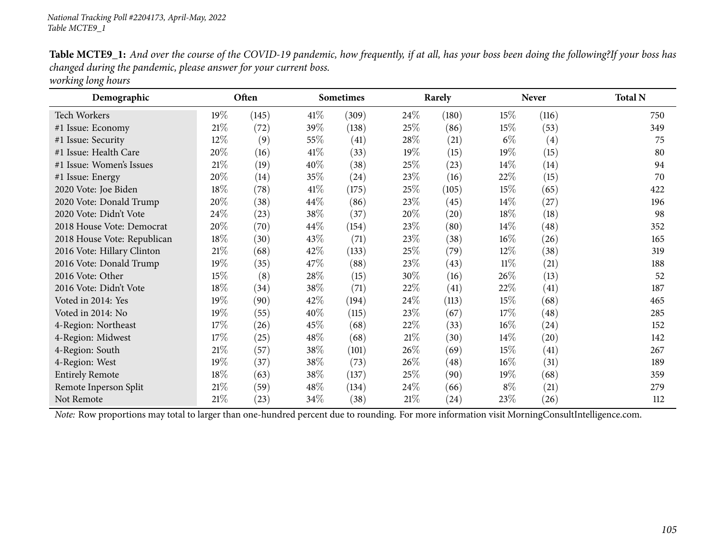Table MCTE9\_1: And over the course of the COVID-19 pandemic, how frequently, if at all, has your boss been doing the following?If your boss has *changed during the pandemic, <sup>p</sup>lease answer for your current boss. working long hours*

| Demographic                 |        | Often |        | <b>Sometimes</b> |        | Rarely |        | <b>Never</b> | <b>Total N</b> |
|-----------------------------|--------|-------|--------|------------------|--------|--------|--------|--------------|----------------|
| Tech Workers                | $19\%$ | (145) | 41%    | (309)            | 24\%   | (180)  | $15\%$ | (116)        | 750            |
| #1 Issue: Economy           | $21\%$ | (72)  | 39\%   | (138)            | $25\%$ | (86)   | 15\%   | (53)         | 349            |
| #1 Issue: Security          | 12%    | (9)   | 55%    | (41)             | 28\%   | (21)   | $6\%$  | (4)          | 75             |
| #1 Issue: Health Care       | 20%    | (16)  | 41\%   | (33)             | 19%    | (15)   | 19%    | (15)         | 80             |
| #1 Issue: Women's Issues    | $21\%$ | (19)  | 40%    | (38)             | 25%    | (23)   | $14\%$ | (14)         | 94             |
| #1 Issue: Energy            | 20%    | (14)  | 35\%   | $^{(24)}$        | 23\%   | (16)   | 22\%   | (15)         | 70             |
| 2020 Vote: Joe Biden        | 18%    | (78)  | 41\%   | (175)            | 25\%   | (105)  | 15\%   | (65)         | 422            |
| 2020 Vote: Donald Trump     | 20%    | (38)  | $44\%$ | (86)             | 23\%   | (45)   | $14\%$ | (27)         | 196            |
| 2020 Vote: Didn't Vote      | 24\%   | (23)  | 38\%   | (37)             | 20%    | (20)   | 18%    | (18)         | 98             |
| 2018 House Vote: Democrat   | 20%    | (70)  | 44\%   | (154)            | 23\%   | (80)   | $14\%$ | (48)         | 352            |
| 2018 House Vote: Republican | 18%    | (30)  | 43%    | (71)             | 23\%   | (38)   | $16\%$ | (26)         | 165            |
| 2016 Vote: Hillary Clinton  | $21\%$ | (68)  | 42\%   | (133)            | 25\%   | (79)   | 12\%   | (38)         | 319            |
| 2016 Vote: Donald Trump     | 19%    | (35)  | 47\%   | (88)             | 23%    | (43)   | $11\%$ | (21)         | 188            |
| 2016 Vote: Other            | 15%    | (8)   | 28\%   | (15)             | 30%    | (16)   | 26%    | (13)         | 52             |
| 2016 Vote: Didn't Vote      | 18%    | (34)  | 38%    | (71)             | 22%    | (41)   | 22\%   | (41)         | 187            |
| Voted in 2014: Yes          | 19%    | (90)  | 42\%   | (194)            | 24\%   | (113)  | 15\%   | (68)         | 465            |
| Voted in 2014: No           | 19%    | (55)  | 40%    | (115)            | 23\%   | (67)   | 17%    | (48)         | 285            |
| 4-Region: Northeast         | 17%    | (26)  | 45\%   | (68)             | 22\%   | (33)   | $16\%$ | (24)         | 152            |
| 4-Region: Midwest           | 17%    | (25)  | 48%    | (68)             | $21\%$ | (30)   | 14\%   | (20)         | 142            |
| 4-Region: South             | $21\%$ | (57)  | 38%    | (101)            | 26%    | (69)   | 15\%   | (41)         | 267            |
| 4-Region: West              | 19%    | (37)  | 38\%   | (73)             | 26\%   | (48)   | $16\%$ | (31)         | 189            |
| <b>Entirely Remote</b>      | 18%    | (63)  | 38%    | (137)            | 25\%   | (90)   | $19\%$ | (68)         | 359            |
| Remote Inperson Split       | $21\%$ | (59)  | 48\%   | (134)            | 24\%   | (66)   | $8\%$  | (21)         | 279            |
| Not Remote                  | 21%    | (23)  | 34\%   | (38)             | 21%    | (24)   | 23\%   | (26)         | 112            |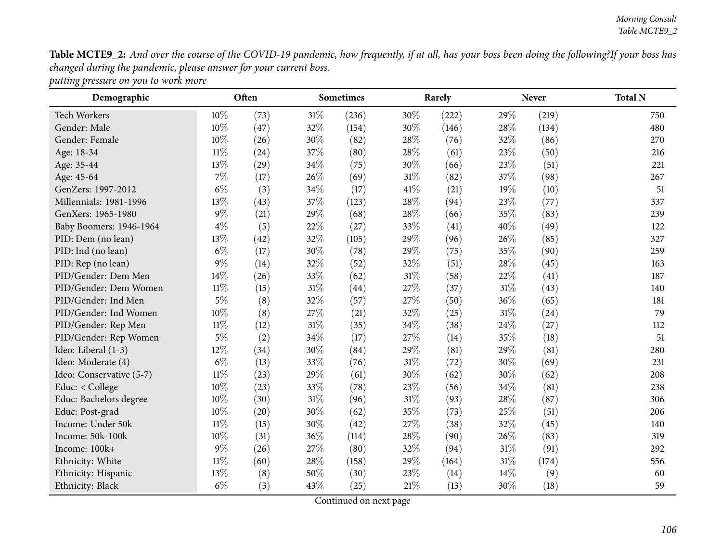Table MCTE9\_2: And over the course of the COVID-19 pandemic, how frequently, if at all, has your boss been doing the following?If your boss has *changed during the pandemic, <sup>p</sup>lease answer for your current boss. putting pressure on you to work more*

| Demographic              |        | Often |        | <b>Sometimes</b> |        | Rarely |        | <b>Never</b> | <b>Total N</b> |
|--------------------------|--------|-------|--------|------------------|--------|--------|--------|--------------|----------------|
| <b>Tech Workers</b>      | 10%    | (73)  | $31\%$ | (236)            | 30%    | (222)  | 29%    | (219)        | 750            |
| Gender: Male             | 10%    | (47)  | 32%    | (154)            | 30%    | (146)  | 28%    | (134)        | 480            |
| Gender: Female           | 10%    | (26)  | 30%    | (82)             | 28\%   | (76)   | 32%    | (86)         | 270            |
| Age: 18-34               | $11\%$ | (24)  | 37%    | (80)             | 28\%   | (61)   | 23%    | (50)         | 216            |
| Age: 35-44               | 13%    | (29)  | 34%    | (75)             | 30%    | (66)   | 23%    | (51)         | 221            |
| Age: 45-64               | $7\%$  | (17)  | 26%    | (69)             | $31\%$ | (82)   | 37%    | (98)         | 267            |
| GenZers: 1997-2012       | $6\%$  | (3)   | 34%    | (17)             | 41%    | (21)   | 19%    | (10)         | 51             |
| Millennials: 1981-1996   | 13%    | (43)  | 37%    | (123)            | 28\%   | (94)   | 23%    | (77)         | 337            |
| GenXers: 1965-1980       | $9\%$  | (21)  | 29%    | (68)             | 28\%   | (66)   | 35%    | (83)         | 239            |
| Baby Boomers: 1946-1964  | $4\%$  | (5)   | 22%    | (27)             | 33%    | (41)   | 40%    | (49)         | 122            |
| PID: Dem (no lean)       | 13%    | (42)  | 32%    | (105)            | 29%    | (96)   | 26\%   | (85)         | 327            |
| PID: Ind (no lean)       | $6\%$  | (17)  | 30%    | (78)             | 29%    | (75)   | 35%    | (90)         | 259            |
| PID: Rep (no lean)       | $9\%$  | (14)  | 32%    | (52)             | 32%    | (51)   | 28%    | (45)         | 163            |
| PID/Gender: Dem Men      | 14%    | (26)  | 33%    | (62)             | $31\%$ | (58)   | 22%    | (41)         | 187            |
| PID/Gender: Dem Women    | $11\%$ | (15)  | $31\%$ | (44)             | 27\%   | (37)   | $31\%$ | (43)         | 140            |
| PID/Gender: Ind Men      | $5\%$  | (8)   | 32%    | (57)             | 27\%   | (50)   | 36%    | (65)         | 181            |
| PID/Gender: Ind Women    | 10%    | (8)   | 27%    | (21)             | 32%    | (25)   | $31\%$ | (24)         | 79             |
| PID/Gender: Rep Men      | $11\%$ | (12)  | 31%    | (35)             | 34\%   | (38)   | 24\%   | (27)         | 112            |
| PID/Gender: Rep Women    | $5\%$  | (2)   | 34%    | (17)             | 27\%   | (14)   | 35%    | (18)         | 51             |
| Ideo: Liberal (1-3)      | 12%    | (34)  | 30%    | (84)             | 29%    | (81)   | 29%    | (81)         | 280            |
| Ideo: Moderate (4)       | $6\%$  | (13)  | 33%    | (76)             | $31\%$ | (72)   | 30%    | (69)         | 231            |
| Ideo: Conservative (5-7) | $11\%$ | (23)  | 29%    | (61)             | 30%    | (62)   | 30%    | (62)         | 208            |
| Educ: < College          | 10%    | (23)  | 33%    | (78)             | 23%    | (56)   | 34\%   | (81)         | 238            |
| Educ: Bachelors degree   | 10%    | (30)  | 31%    | (96)             | $31\%$ | (93)   | 28%    | (87)         | 306            |
| Educ: Post-grad          | 10%    | (20)  | 30%    | (62)             | 35%    | (73)   | 25%    | (51)         | 206            |
| Income: Under 50k        | $11\%$ | (15)  | 30%    | (42)             | 27\%   | (38)   | 32%    | (45)         | 140            |
| Income: 50k-100k         | 10%    | (31)  | 36%    | (114)            | 28\%   | (90)   | 26%    | (83)         | 319            |
| Income: 100k+            | 9%     | (26)  | 27%    | (80)             | 32%    | (94)   | $31\%$ | (91)         | 292            |
| Ethnicity: White         | $11\%$ | (60)  | 28%    | (158)            | 29%    | (164)  | 31%    | (174)        | 556            |
| Ethnicity: Hispanic      | 13%    | (8)   | 50%    | (30)             | 23%    | (14)   | 14%    | (9)          | 60             |
| Ethnicity: Black         | $6\%$  | (3)   | 43%    | (25)             | $21\%$ | (13)   | 30%    | (18)         | 59             |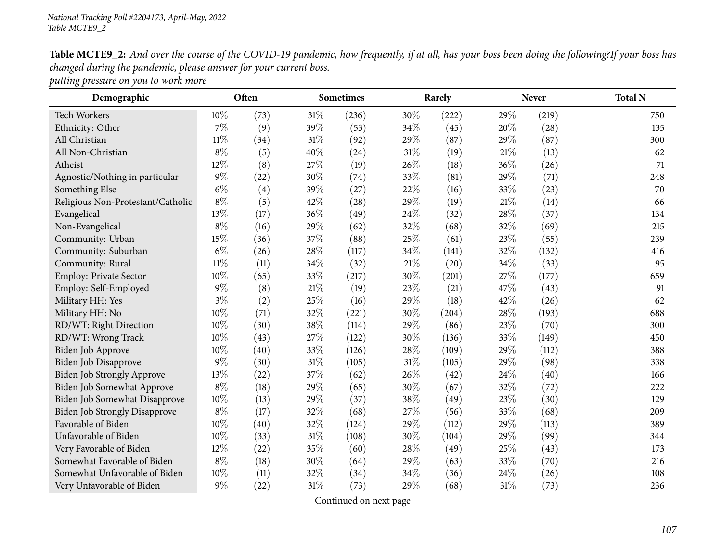Table MCTE9\_2: And over the course of the COVID-19 pandemic, how frequently, if at all, has your boss been doing the following?If your boss has *changed during the pandemic, <sup>p</sup>lease answer for your current boss.*

*putting pressure on you to work more*

| Demographic                          | Often<br>Sometimes |      | Rarely |       |        | Never | <b>Total N</b> |       |     |
|--------------------------------------|--------------------|------|--------|-------|--------|-------|----------------|-------|-----|
| Tech Workers                         | 10%                | (73) | $31\%$ | (236) | 30%    | (222) | 29%            | (219) | 750 |
| Ethnicity: Other                     | $7\%$              | (9)  | 39%    | (53)  | 34%    | (45)  | 20%            | (28)  | 135 |
| All Christian                        | $11\%$             | (34) | $31\%$ | (92)  | 29%    | (87)  | 29%            | (87)  | 300 |
| All Non-Christian                    | $8\%$              | (5)  | 40%    | (24)  | $31\%$ | (19)  | 21\%           | (13)  | 62  |
| Atheist                              | 12%                | (8)  | 27%    | (19)  | 26%    | (18)  | 36%            | (26)  | 71  |
| Agnostic/Nothing in particular       | $9\%$              | (22) | 30%    | (74)  | 33%    | (81)  | 29%            | (71)  | 248 |
| Something Else                       | $6\%$              | (4)  | 39%    | (27)  | 22\%   | (16)  | 33%            | (23)  | 70  |
| Religious Non-Protestant/Catholic    | $8\%$              | (5)  | 42\%   | (28)  | 29%    | (19)  | 21%            | (14)  | 66  |
| Evangelical                          | 13%                | (17) | 36%    | (49)  | 24%    | (32)  | 28\%           | (37)  | 134 |
| Non-Evangelical                      | $8\%$              | (16) | 29%    | (62)  | 32%    | (68)  | 32%            | (69)  | 215 |
| Community: Urban                     | 15%                | (36) | 37%    | (88)  | 25%    | (61)  | 23%            | (55)  | 239 |
| Community: Suburban                  | $6\%$              | (26) | 28%    | (117) | 34%    | (141) | 32%            | (132) | 416 |
| Community: Rural                     | $11\%$             | (11) | 34%    | (32)  | $21\%$ | (20)  | 34\%           | (33)  | 95  |
| Employ: Private Sector               | 10%                | (65) | 33%    | (217) | 30%    | (201) | 27\%           | (177) | 659 |
| Employ: Self-Employed                | $9\%$              | (8)  | 21\%   | (19)  | 23%    | (21)  | 47%            | (43)  | 91  |
| Military HH: Yes                     | $3\%$              | (2)  | 25%    | (16)  | 29%    | (18)  | 42%            | (26)  | 62  |
| Military HH: No                      | 10%                | (71) | 32%    | (221) | 30%    | (204) | 28%            | (193) | 688 |
| RD/WT: Right Direction               | $10\%$             | (30) | 38%    | (114) | 29%    | (86)  | 23\%           | (70)  | 300 |
| RD/WT: Wrong Track                   | 10%                | (43) | 27%    | (122) | 30%    | (136) | 33%            | (149) | 450 |
| Biden Job Approve                    | $10\%$             | (40) | 33%    | (126) | 28\%   | (109) | 29%            | (112) | 388 |
| <b>Biden Job Disapprove</b>          | $9\%$              | (30) | 31\%   | (105) | $31\%$ | (105) | 29%            | (98)  | 338 |
| Biden Job Strongly Approve           | 13%                | (22) | 37%    | (62)  | 26%    | (42)  | 24\%           | (40)  | 166 |
| Biden Job Somewhat Approve           | $8\%$              | (18) | 29%    | (65)  | 30%    | (67)  | 32%            | (72)  | 222 |
| Biden Job Somewhat Disapprove        | $10\%$             | (13) | 29%    | (37)  | 38%    | (49)  | 23%            | (30)  | 129 |
| <b>Biden Job Strongly Disapprove</b> | $8\%$              | (17) | 32%    | (68)  | 27%    | (56)  | 33\%           | (68)  | 209 |
| Favorable of Biden                   | $10\%$             | (40) | 32%    | (124) | 29%    | (112) | 29%            | (113) | 389 |
| Unfavorable of Biden                 | 10%                | (33) | $31\%$ | (108) | 30%    | (104) | 29%            | (99)  | 344 |
| Very Favorable of Biden              | 12%                | (22) | 35%    | (60)  | 28\%   | (49)  | 25%            | (43)  | 173 |
| Somewhat Favorable of Biden          | $8\%$              | (18) | 30%    | (64)  | 29%    | (63)  | 33%            | (70)  | 216 |
| Somewhat Unfavorable of Biden        | 10%                | (11) | 32%    | (34)  | 34%    | (36)  | 24\%           | (26)  | 108 |
| Very Unfavorable of Biden            | $9\%$              | (22) | $31\%$ | (73)  | 29%    | (68)  | $31\%$         | (73)  | 236 |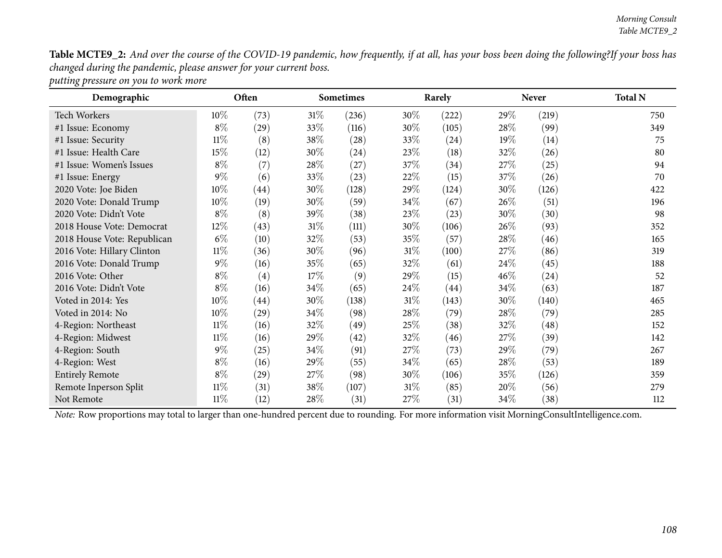Table MCTE9\_2: And over the course of the COVID-19 pandemic, how frequently, if at all, has your boss been doing the following?If your boss has *changed during the pandemic, <sup>p</sup>lease answer for your current boss.*

*putting pressure on you to work more*

| Demographic                 |        | Often |        | <b>Sometimes</b><br>Rarely |        |       | <b>Never</b> | <b>Total N</b> |     |
|-----------------------------|--------|-------|--------|----------------------------|--------|-------|--------------|----------------|-----|
| Tech Workers                | 10\%   | (73)  | $31\%$ | (236)                      | 30\%   | (222) | $29\%$       | (219)          | 750 |
| #1 Issue: Economy           | $8\%$  | (29)  | 33\%   | (116)                      | 30\%   | (105) | 28\%         | (99)           | 349 |
| #1 Issue: Security          | $11\%$ | (8)   | 38\%   | $\left( 28\right)$         | 33\%   | (24)  | $19\%$       | (14)           | 75  |
| #1 Issue: Health Care       | 15%    | (12)  | 30%    | $^{(24)}$                  | 23\%   | (18)  | 32%          | (26)           | 80  |
| #1 Issue: Women's Issues    | $8\%$  | (7)   | 28\%   | (27)                       | 37\%   | (34)  | 27\%         | (25)           | 94  |
| #1 Issue: Energy            | $9\%$  | (6)   | 33\%   | (23)                       | 22\%   | (15)  | 37\%         | (26)           | 70  |
| 2020 Vote: Joe Biden        | 10%    | (44)  | 30%    | (128)                      | 29\%   | (124) | 30\%         | (126)          | 422 |
| 2020 Vote: Donald Trump     | $10\%$ | (19)  | 30\%   | (59)                       | $34\%$ | (67)  | $26\%$       | (51)           | 196 |
| 2020 Vote: Didn't Vote      | $8\%$  | (8)   | 39%    | (38)                       | 23\%   | (23)  | $30\%$       | (30)           | 98  |
| 2018 House Vote: Democrat   | 12%    | (43)  | $31\%$ | (111)                      | 30\%   | (106) | 26\%         | (93)           | 352 |
| 2018 House Vote: Republican | $6\%$  | (10)  | 32\%   | (53)                       | 35\%   | (57)  | 28\%         | (46)           | 165 |
| 2016 Vote: Hillary Clinton  | $11\%$ | (36)  | $30\%$ | (96)                       | $31\%$ | (100) | 27\%         | (86)           | 319 |
| 2016 Vote: Donald Trump     | $9\%$  | (16)  | 35%    | (65)                       | 32\%   | (61)  | 24\%         | (45)           | 188 |
| 2016 Vote: Other            | $8\%$  | (4)   | 17%    | (9)                        | 29\%   | (15)  | $46\%$       | (24)           | 52  |
| 2016 Vote: Didn't Vote      | $8\%$  | (16)  | 34\%   | (65)                       | $24\%$ | (44)  | 34\%         | (63)           | 187 |
| Voted in 2014: Yes          | 10%    | (44)  | 30%    | (138)                      | $31\%$ | (143) | $30\%$       | (140)          | 465 |
| Voted in 2014: No           | 10%    | (29)  | 34\%   | (98)                       | 28\%   | (79)  | 28\%         | (79)           | 285 |
| 4-Region: Northeast         | $11\%$ | (16)  | 32\%   | (49)                       | 25%    | (38)  | 32%          | (48)           | 152 |
| 4-Region: Midwest           | $11\%$ | (16)  | 29\%   | (42)                       | 32\%   | (46)  | 27\%         | (39)           | 142 |
| 4-Region: South             | $9\%$  | (25)  | 34\%   | (91)                       | 27\%   | (73)  | 29%          | (79)           | 267 |
| 4-Region: West              | $8\%$  | (16)  | 29%    | (55)                       | $34\%$ | (65)  | $28\%$       | (53)           | 189 |
| <b>Entirely Remote</b>      | $8\%$  | (29)  | 27\%   | (98)                       | 30\%   | (106) | 35%          | (126)          | 359 |
| Remote Inperson Split       | $11\%$ | (31)  | 38\%   | (107)                      | $31\%$ | (85)  | 20\%         | (56)           | 279 |
| Not Remote                  | $11\%$ | (12)  | 28\%   | (31)                       | 27\%   | (31)  | $34\%$       | (38)           | 112 |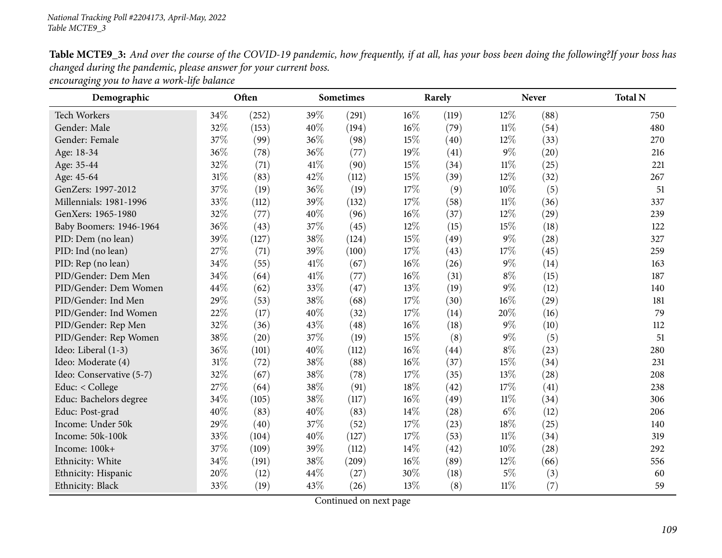Table MCTE9\_3: And over the course of the COVID-19 pandemic, how frequently, if at all, has your boss been doing the following?If your boss has *changed during the pandemic, <sup>p</sup>lease answer for your current boss.*

*encouraging you to have <sup>a</sup> work-life balance*

| Demographic              |        | Often |      | <b>Sometimes</b> |        | Rarely |        | <b>Never</b> | <b>Total N</b> |
|--------------------------|--------|-------|------|------------------|--------|--------|--------|--------------|----------------|
| <b>Tech Workers</b>      | 34\%   | (252) | 39%  | (291)            | 16%    | (119)  | 12%    | (88)         | 750            |
| Gender: Male             | 32%    | (153) | 40%  | (194)            | 16%    | (79)   | $11\%$ | (54)         | 480            |
| Gender: Female           | 37%    | (99)  | 36%  | (98)             | 15%    | (40)   | $12\%$ | (33)         | 270            |
| Age: 18-34               | 36%    | (78)  | 36%  | (77)             | 19%    | (41)   | $9\%$  | (20)         | 216            |
| Age: 35-44               | 32%    | (71)  | 41\% | (90)             | 15%    | (34)   | $11\%$ | (25)         | 221            |
| Age: 45-64               | 31%    | (83)  | 42%  | (112)            | $15\%$ | (39)   | 12%    | (32)         | 267            |
| GenZers: 1997-2012       | 37%    | (19)  | 36%  | (19)             | 17%    | (9)    | 10%    | (5)          | 51             |
| Millennials: 1981-1996   | 33%    | (112) | 39%  | (132)            | 17%    | (58)   | $11\%$ | (36)         | 337            |
| GenXers: 1965-1980       | 32%    | (77)  | 40%  | (96)             | $16\%$ | (37)   | $12\%$ | (29)         | 239            |
| Baby Boomers: 1946-1964  | 36%    | (43)  | 37%  | (45)             | 12%    | (15)   | 15\%   | (18)         | 122            |
| PID: Dem (no lean)       | 39%    | (127) | 38\% | (124)            | 15%    | (49)   | $9\%$  | (28)         | 327            |
| PID: Ind (no lean)       | 27%    | (71)  | 39%  | (100)            | 17%    | (43)   | 17%    | (45)         | 259            |
| PID: Rep (no lean)       | 34%    | (55)  | 41\% | (67)             | $16\%$ | (26)   | $9\%$  | (14)         | 163            |
| PID/Gender: Dem Men      | 34%    | (64)  | 41\% | (77)             | $16\%$ | (31)   | $8\%$  | (15)         | 187            |
| PID/Gender: Dem Women    | 44%    | (62)  | 33%  | (47)             | $13\%$ | (19)   | $9\%$  | (12)         | 140            |
| PID/Gender: Ind Men      | 29%    | (53)  | 38%  | (68)             | 17%    | (30)   | 16%    | (29)         | 181            |
| PID/Gender: Ind Women    | 22%    | (17)  | 40%  | (32)             | $17\%$ | (14)   | 20%    | (16)         | 79             |
| PID/Gender: Rep Men      | 32%    | (36)  | 43%  | (48)             | $16\%$ | (18)   | $9\%$  | (10)         | 112            |
| PID/Gender: Rep Women    | 38%    | (20)  | 37%  | (19)             | 15%    | (8)    | $9\%$  | (5)          | 51             |
| Ideo: Liberal (1-3)      | 36%    | (101) | 40%  | (112)            | $16\%$ | (44)   | $8\%$  | (23)         | 280            |
| Ideo: Moderate (4)       | $31\%$ | (72)  | 38\% | (88)             | $16\%$ | (37)   | 15\%   | (34)         | 231            |
| Ideo: Conservative (5-7) | 32%    | (67)  | 38%  | (78)             | 17%    | (35)   | 13\%   | (28)         | 208            |
| Educ: < College          | 27%    | (64)  | 38%  | (91)             | 18%    | (42)   | 17%    | (41)         | 238            |
| Educ: Bachelors degree   | 34%    | (105) | 38%  | (117)            | $16\%$ | (49)   | $11\%$ | (34)         | 306            |
| Educ: Post-grad          | 40%    | (83)  | 40%  | (83)             | 14\%   | (28)   | $6\%$  | (12)         | 206            |
| Income: Under 50k        | 29%    | (40)  | 37%  | (52)             | 17%    | (23)   | 18%    | (25)         | 140            |
| Income: 50k-100k         | 33%    | (104) | 40%  | (127)            | 17%    | (53)   | $11\%$ | (34)         | 319            |
| Income: 100k+            | 37%    | (109) | 39%  | (112)            | 14\%   | (42)   | $10\%$ | (28)         | 292            |
| Ethnicity: White         | 34%    | (191) | 38%  | (209)            | $16\%$ | (89)   | 12%    | (66)         | 556            |
| Ethnicity: Hispanic      | 20%    | (12)  | 44\% | (27)             | 30%    | (18)   | $5\%$  | (3)          | 60             |
| Ethnicity: Black         | 33%    | (19)  | 43\% | (26)             | 13%    | (8)    | $11\%$ | (7)          | 59             |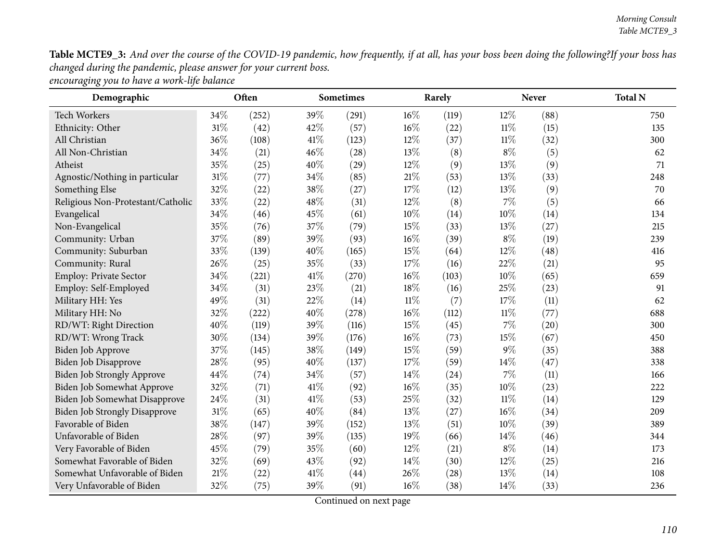Table MCTE9\_3: And over the course of the COVID-19 pandemic, how frequently, if at all, has your boss been doing the following?If your boss has *changed during the pandemic, <sup>p</sup>lease answer for your current boss.*

| Demographic                          |        | Often |      | <b>Sometimes</b> |        | Rarely | <b>Never</b> |      | <b>Total N</b> |
|--------------------------------------|--------|-------|------|------------------|--------|--------|--------------|------|----------------|
| Tech Workers                         | 34%    | (252) | 39%  | (291)            | $16\%$ | (119)  | 12%          | (88) | 750            |
| Ethnicity: Other                     | 31%    | (42)  | 42%  | (57)             | 16%    | (22)   | $11\%$       | (15) | 135            |
| All Christian                        | 36%    | (108) | 41\% | (123)            | 12%    | (37)   | 11%          | (32) | 300            |
| All Non-Christian                    | 34%    | (21)  | 46%  | (28)             | 13%    | (8)    | $8\%$        | (5)  | 62             |
| Atheist                              | 35%    | (25)  | 40%  | (29)             | 12%    | (9)    | 13%          | (9)  | 71             |
| Agnostic/Nothing in particular       | $31\%$ | (77)  | 34%  | (85)             | 21%    | (53)   | 13%          | (33) | 248            |
| Something Else                       | 32%    | (22)  | 38%  | (27)             | 17%    | (12)   | 13%          | (9)  | 70             |
| Religious Non-Protestant/Catholic    | 33%    | (22)  | 48%  | (31)             | 12%    | (8)    | 7%           | (5)  | 66             |
| Evangelical                          | 34%    | (46)  | 45%  | (61)             | 10%    | (14)   | 10%          | (14) | 134            |
| Non-Evangelical                      | 35%    | (76)  | 37%  | (79)             | 15%    | (33)   | 13%          | (27) | 215            |
| Community: Urban                     | 37%    | (89)  | 39%  | (93)             | 16%    | (39)   | $8\%$        | (19) | 239            |
| Community: Suburban                  | 33%    | (139) | 40%  | (165)            | 15%    | (64)   | 12%          | (48) | 416            |
| Community: Rural                     | 26%    | (25)  | 35%  | (33)             | 17%    | (16)   | 22%          | (21) | 95             |
| <b>Employ: Private Sector</b>        | 34%    | (221) | 41\% | (270)            | 16%    | (103)  | 10%          | (65) | 659            |
| Employ: Self-Employed                | 34%    | (31)  | 23%  | (21)             | 18%    | (16)   | 25%          | (23) | 91             |
| Military HH: Yes                     | 49%    | (31)  | 22%  | (14)             | $11\%$ | (7)    | 17%          | (11) | 62             |
| Military HH: No                      | 32%    | (222) | 40%  | (278)            | $16\%$ | (112)  | $11\%$       | (77) | 688            |
| RD/WT: Right Direction               | 40%    | (119) | 39%  | (116)            | 15%    | (45)   | 7%           | (20) | 300            |
| RD/WT: Wrong Track                   | 30%    | (134) | 39%  | (176)            | 16%    | (73)   | 15%          | (67) | 450            |
| Biden Job Approve                    | 37%    | (145) | 38%  | (149)            | 15%    | (59)   | $9\%$        | (35) | 388            |
| Biden Job Disapprove                 | 28%    | (95)  | 40%  | (137)            | 17%    | (59)   | 14\%         | (47) | 338            |
| <b>Biden Job Strongly Approve</b>    | 44%    | (74)  | 34%  | (57)             | 14%    | (24)   | 7%           | (11) | 166            |
| Biden Job Somewhat Approve           | 32%    | (71)  | 41\% | (92)             | 16%    | (35)   | 10%          | (23) | 222            |
| Biden Job Somewhat Disapprove        | $24\%$ | (31)  | 41\% | (53)             | 25%    | (32)   | $11\%$       | (14) | 129            |
| <b>Biden Job Strongly Disapprove</b> | 31%    | (65)  | 40%  | (84)             | 13%    | (27)   | 16%          | (34) | 209            |
| Favorable of Biden                   | 38%    | (147) | 39%  | (152)            | 13%    | (51)   | 10%          | (39) | 389            |
| Unfavorable of Biden                 | 28%    | (97)  | 39%  | (135)            | 19%    | (66)   | 14%          | (46) | 344            |
| Very Favorable of Biden              | 45%    | (79)  | 35%  | (60)             | 12%    | (21)   | $8\%$        | (14) | 173            |
| Somewhat Favorable of Biden          | 32%    | (69)  | 43%  | (92)             | 14%    | (30)   | 12%          | (25) | 216            |
| Somewhat Unfavorable of Biden        | 21%    | (22)  | 41\% | (44)             | 26%    | (28)   | 13%          | (14) | 108            |
| Very Unfavorable of Biden            | 32%    | (75)  | 39%  | (91)             | 16%    | (38)   | 14%          | (33) | 236            |

*encouraging you to have <sup>a</sup> work-life balance*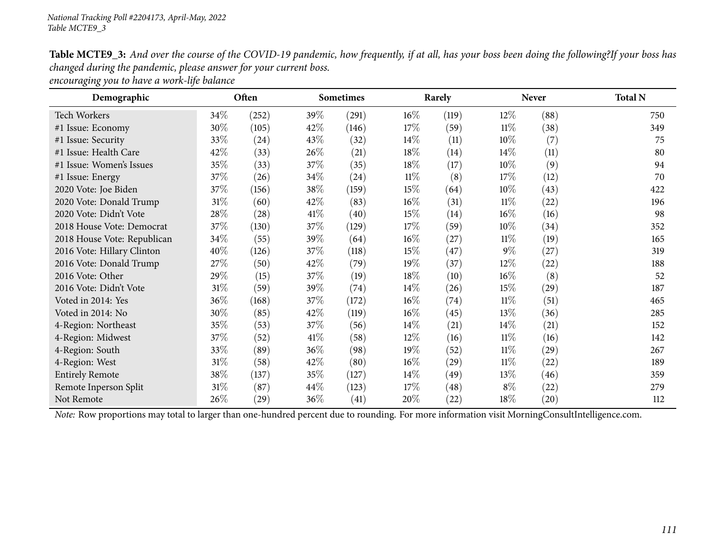Table MCTE9\_3: And over the course of the COVID-19 pandemic, how frequently, if at all, has your boss been doing the following?If your boss has *changed during the pandemic, <sup>p</sup>lease answer for your current boss.*

*encouraging you to have <sup>a</sup> work-life balance*

| Demographic                 |        | Often              |        | Sometimes |        | Rarely |        | <b>Never</b>       | <b>Total N</b> |
|-----------------------------|--------|--------------------|--------|-----------|--------|--------|--------|--------------------|----------------|
| <b>Tech Workers</b>         | $34\%$ | (252)              | 39\%   | (291)     | $16\%$ | (119)  | $12\%$ | (88)               | 750            |
| #1 Issue: Economy           | 30%    | (105)              | 42%    | (146)     | 17\%   | (59)   | $11\%$ | (38)               | 349            |
| #1 Issue: Security          | 33%    | (24)               | 43\%   | (32)      | $14\%$ | (11)   | $10\%$ | (7)                | 75             |
| #1 Issue: Health Care       | 42\%   | (33)               | $26\%$ | (21)      | 18\%   | (14)   | $14\%$ | (11)               | 80             |
| #1 Issue: Women's Issues    | 35%    | (33)               | 37\%   | (35)      | 18\%   | (17)   | $10\%$ | (9)                | 94             |
| #1 Issue: Energy            | 37%    | (26)               | $34\%$ | (24)      | $11\%$ | (8)    | $17\%$ | (12)               | 70             |
| 2020 Vote: Joe Biden        | 37\%   | (156)              | 38\%   | (159)     | $15\%$ | (64)   | $10\%$ | (43)               | 422            |
| 2020 Vote: Donald Trump     | 31\%   | (60)               | 42%    | (83)      | $16\%$ | (31)   | $11\%$ | (22)               | 196            |
| 2020 Vote: Didn't Vote      | 28\%   | $\left( 28\right)$ | 41\%   | (40)      | $15\%$ | (14)   | $16\%$ | (16)               | 98             |
| 2018 House Vote: Democrat   | 37%    | (130)              | 37\%   | (129)     | 17%    | (59)   | $10\%$ | (34)               | 352            |
| 2018 House Vote: Republican | 34\%   | (55)               | 39\%   | (64)      | $16\%$ | (27)   | $11\%$ | (19)               | 165            |
| 2016 Vote: Hillary Clinton  | 40%    | (126)              | 37\%   | (118)     | 15\%   | (47)   | $9\%$  | (27)               | 319            |
| 2016 Vote: Donald Trump     | 27\%   | (50)               | 42%    | (79)      | $19\%$ | (37)   | 12\%   | (22)               | 188            |
| 2016 Vote: Other            | 29%    | (15)               | 37\%   | (19)      | $18\%$ | (10)   | $16\%$ | (8)                | 52             |
| 2016 Vote: Didn't Vote      | $31\%$ | (59)               | $39\%$ | (74)      | $14\%$ | (26)   | $15\%$ | (29)               | 187            |
| Voted in 2014: Yes          | 36%    | (168)              | 37\%   | (172)     | $16\%$ | (74)   | $11\%$ | (51)               | 465            |
| Voted in 2014: No           | 30%    | (85)               | 42%    | (119)     | $16\%$ | (45)   | $13\%$ | (36)               | 285            |
| 4-Region: Northeast         | 35%    | (53)               | 37\%   | (56)      | $14\%$ | (21)   | $14\%$ | (21)               | 152            |
| 4-Region: Midwest           | 37%    | (52)               | 41\%   | (58)      | 12\%   | (16)   | $11\%$ | (16)               | 142            |
| 4-Region: South             | 33%    | (89)               | $36\%$ | (98)      | $19\%$ | (52)   | $11\%$ | $\left( 29\right)$ | 267            |
| 4-Region: West              | $31\%$ | (58)               | 42%    | (80)      | $16\%$ | (29)   | $11\%$ | (22)               | 189            |
| <b>Entirely Remote</b>      | 38\%   | (137)              | 35\%   | (127)     | $14\%$ | (49)   | $13\%$ | (46)               | 359            |
| Remote Inperson Split       | 31\%   | (87)               | $44\%$ | (123)     | 17%    | (48)   | $8\%$  | (22)               | 279            |
| Not Remote                  | $26\%$ | $\left( 29\right)$ | $36\%$ | (41)      | $20\%$ | (22)   | 18\%   | $\left( 20\right)$ | 112            |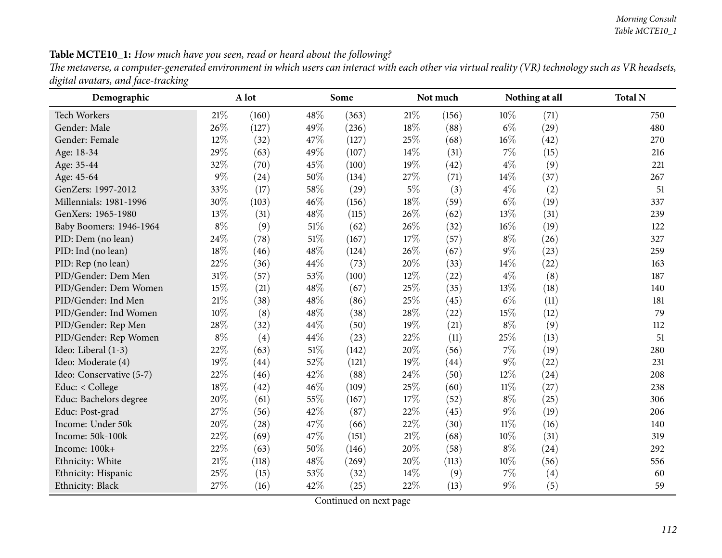### Table MCTE10\_1: How much have you seen, read or heard about the following?

The metaverse, a computer-generated environment in which users can interact with each other via virtual reality (VR) technology such as VR headsets, *digital avatars, and face-tracking*

| Demographic              |        | A lot |        | Some  | Not much |       |        | Nothing at all | <b>Total N</b> |
|--------------------------|--------|-------|--------|-------|----------|-------|--------|----------------|----------------|
| <b>Tech Workers</b>      | $21\%$ | (160) | 48%    | (363) | $21\%$   | (156) | 10%    | (71)           | 750            |
| Gender: Male             | 26%    | (127) | 49%    | (236) | $18\%$   | (88)  | $6\%$  | (29)           | 480            |
| Gender: Female           | $12\%$ | (32)  | 47%    | (127) | 25%      | (68)  | $16\%$ | (42)           | 270            |
| Age: 18-34               | 29%    | (63)  | 49%    | (107) | $14\%$   | (31)  | 7%     | (15)           | 216            |
| Age: 35-44               | 32%    | (70)  | 45%    | (100) | 19%      | (42)  | $4\%$  | (9)            | 221            |
| Age: 45-64               | 9%     | (24)  | 50%    | (134) | 27%      | (71)  | 14%    | (37)           | 267            |
| GenZers: 1997-2012       | 33%    | (17)  | 58%    | (29)  | $5\%$    | (3)   | $4\%$  | (2)            | 51             |
| Millennials: 1981-1996   | 30%    | (103) | 46%    | (156) | 18%      | (59)  | $6\%$  | (19)           | 337            |
| GenXers: 1965-1980       | 13%    | (31)  | 48%    | (115) | 26%      | (62)  | 13%    | (31)           | 239            |
| Baby Boomers: 1946-1964  | $8\%$  | (9)   | 51\%   | (62)  | 26%      | (32)  | $16\%$ | (19)           | 122            |
| PID: Dem (no lean)       | 24%    | (78)  | 51%    | (167) | 17%      | (57)  | $8\%$  | (26)           | 327            |
| PID: Ind (no lean)       | 18%    | (46)  | 48%    | (124) | 26%      | (67)  | $9\%$  | (23)           | 259            |
| PID: Rep (no lean)       | 22%    | (36)  | 44%    | (73)  | 20%      | (33)  | 14%    | (22)           | 163            |
| PID/Gender: Dem Men      | 31%    | (57)  | 53%    | (100) | 12%      | (22)  | $4\%$  | (8)            | 187            |
| PID/Gender: Dem Women    | 15%    | (21)  | $48\%$ | (67)  | 25%      | (35)  | 13%    | (18)           | 140            |
| PID/Gender: Ind Men      | $21\%$ | (38)  | 48%    | (86)  | 25%      | (45)  | $6\%$  | (11)           | 181            |
| PID/Gender: Ind Women    | 10%    | (8)   | 48%    | (38)  | 28%      | (22)  | 15%    | (12)           | 79             |
| PID/Gender: Rep Men      | 28\%   | (32)  | 44%    | (50)  | 19%      | (21)  | $8\%$  | (9)            | 112            |
| PID/Gender: Rep Women    | $8\%$  | (4)   | 44%    | (23)  | 22%      | (11)  | 25%    | (13)           | 51             |
| Ideo: Liberal (1-3)      | 22%    | (63)  | $51\%$ | (142) | 20%      | (56)  | $7\%$  | (19)           | 280            |
| Ideo: Moderate (4)       | 19%    | (44)  | 52%    | (121) | 19%      | (44)  | $9\%$  | (22)           | 231            |
| Ideo: Conservative (5-7) | 22%    | (46)  | 42%    | (88)  | 24\%     | (50)  | 12%    | (24)           | 208            |
| Educ: < College          | 18%    | (42)  | 46%    | (109) | 25%      | (60)  | $11\%$ | (27)           | 238            |
| Educ: Bachelors degree   | 20%    | (61)  | 55%    | (167) | $17\%$   | (52)  | $8\%$  | (25)           | 306            |
| Educ: Post-grad          | 27%    | (56)  | 42%    | (87)  | 22%      | (45)  | $9\%$  | (19)           | 206            |
| Income: Under 50k        | 20%    | (28)  | 47%    | (66)  | 22%      | (30)  | $11\%$ | (16)           | 140            |
| Income: 50k-100k         | 22%    | (69)  | 47%    | (151) | $21\%$   | (68)  | 10%    | (31)           | 319            |
| Income: 100k+            | 22%    | (63)  | 50%    | (146) | 20%      | (58)  | $8\%$  | (24)           | 292            |
| Ethnicity: White         | 21%    | (118) | 48%    | (269) | 20%      | (113) | 10%    | (56)           | 556            |
| Ethnicity: Hispanic      | 25%    | (15)  | 53%    | (32)  | 14\%     | (9)   | 7%     | (4)            | 60             |
| Ethnicity: Black         | 27%    | (16)  | 42\%   | (25)  | 22%      | (13)  | $9\%$  | (5)            | 59             |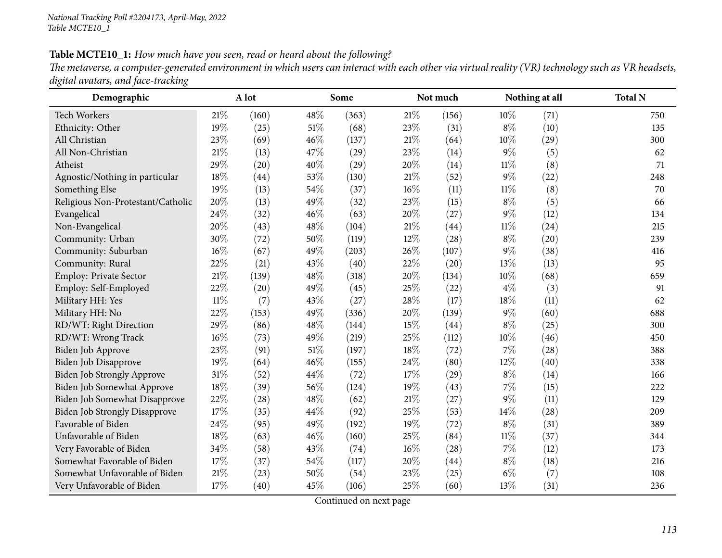#### Table MCTE10\_1: How much have you seen, read or heard about the following?

The metaverse, a computer-generated environment in which users can interact with each other via virtual reality (VR) technology such as VR headsets, *digital avatars, and face-tracking*

| Demographic                          |        | A lot |      | Some  |        | Not much |        | Nothing at all | <b>Total N</b> |
|--------------------------------------|--------|-------|------|-------|--------|----------|--------|----------------|----------------|
| <b>Tech Workers</b>                  | 21%    | (160) | 48%  | (363) | $21\%$ | (156)    | $10\%$ | (71)           | 750            |
| Ethnicity: Other                     | 19%    | (25)  | 51\% | (68)  | 23%    | (31)     | $8\%$  | (10)           | 135            |
| All Christian                        | 23%    | (69)  | 46%  | (137) | $21\%$ | (64)     | $10\%$ | (29)           | 300            |
| All Non-Christian                    | 21%    | (13)  | 47%  | (29)  | 23%    | (14)     | $9\%$  | (5)            | 62             |
| Atheist                              | 29%    | (20)  | 40%  | (29)  | 20%    | (14)     | $11\%$ | (8)            | 71             |
| Agnostic/Nothing in particular       | 18%    | (44)  | 53%  | (130) | $21\%$ | (52)     | $9\%$  | (22)           | 248            |
| Something Else                       | 19%    | (13)  | 54%  | (37)  | $16\%$ | (11)     | $11\%$ | (8)            | 70             |
| Religious Non-Protestant/Catholic    | 20%    | (13)  | 49%  | (32)  | 23%    | (15)     | $8\%$  | (5)            | 66             |
| Evangelical                          | 24%    | (32)  | 46%  | (63)  | 20%    | (27)     | $9\%$  | (12)           | 134            |
| Non-Evangelical                      | 20%    | (43)  | 48%  | (104) | $21\%$ | (44)     | $11\%$ | (24)           | 215            |
| Community: Urban                     | 30%    | (72)  | 50%  | (119) | 12%    | (28)     | $8\%$  | (20)           | 239            |
| Community: Suburban                  | $16\%$ | (67)  | 49%  | (203) | 26%    | (107)    | $9\%$  | (38)           | 416            |
| Community: Rural                     | 22%    | (21)  | 43%  | (40)  | 22%    | (20)     | 13%    | (13)           | 95             |
| Employ: Private Sector               | $21\%$ | (139) | 48%  | (318) | 20%    | (134)    | 10%    | (68)           | 659            |
| Employ: Self-Employed                | 22%    | (20)  | 49%  | (45)  | 25%    | (22)     | $4\%$  | (3)            | 91             |
| Military HH: Yes                     | $11\%$ | (7)   | 43%  | (27)  | 28%    | (17)     | 18%    | (11)           | 62             |
| Military HH: No                      | 22%    | (153) | 49%  | (336) | 20%    | (139)    | $9\%$  | (60)           | 688            |
| RD/WT: Right Direction               | 29%    | (86)  | 48%  | (144) | 15%    | (44)     | $8\%$  | (25)           | 300            |
| RD/WT: Wrong Track                   | $16\%$ | (73)  | 49%  | (219) | 25%    | (112)    | $10\%$ | (46)           | 450            |
| <b>Biden Job Approve</b>             | 23%    | (91)  | 51\% | (197) | 18%    | (72)     | 7%     | (28)           | 388            |
| Biden Job Disapprove                 | 19%    | (64)  | 46%  | (155) | 24\%   | (80)     | 12%    | (40)           | 338            |
| Biden Job Strongly Approve           | $31\%$ | (52)  | 44%  | (72)  | 17%    | (29)     | $8\%$  | (14)           | 166            |
| Biden Job Somewhat Approve           | 18%    | (39)  | 56%  | (124) | 19%    | (43)     | $7\%$  | (15)           | 222            |
| Biden Job Somewhat Disapprove        | 22%    | (28)  | 48\% | (62)  | $21\%$ | (27)     | $9\%$  | (11)           | 129            |
| <b>Biden Job Strongly Disapprove</b> | 17%    | (35)  | 44%  | (92)  | 25%    | (53)     | 14%    | (28)           | 209            |
| Favorable of Biden                   | 24%    | (95)  | 49%  | (192) | 19%    | (72)     | $8\%$  | (31)           | 389            |
| Unfavorable of Biden                 | 18%    | (63)  | 46%  | (160) | 25%    | (84)     | $11\%$ | (37)           | 344            |
| Very Favorable of Biden              | 34%    | (58)  | 43%  | (74)  | $16\%$ | (28)     | $7\%$  | (12)           | 173            |
| Somewhat Favorable of Biden          | 17%    | (37)  | 54\% | (117) | 20%    | (44)     | $8\%$  | (18)           | 216            |
| Somewhat Unfavorable of Biden        | $21\%$ | (23)  | 50%  | (54)  | 23%    | (25)     | $6\%$  | (7)            | 108            |
| Very Unfavorable of Biden            | 17%    | (40)  | 45%  | (106) | 25%    | (60)     | 13%    | (31)           | 236            |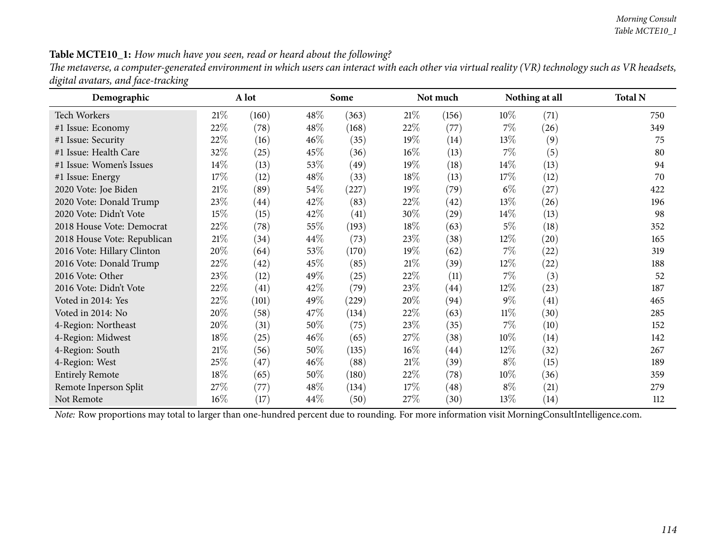#### Table MCTE10\_1: How much have you seen, read or heard about the following?

The metaverse, a computer-generated environment in which users can interact with each other via virtual reality (VR) technology such as VR headsets, *digital avatars, and face-tracking*

| Demographic                 |        | A lot     |        | Some                |        | Not much |        | Nothing at all     | <b>Total N</b> |
|-----------------------------|--------|-----------|--------|---------------------|--------|----------|--------|--------------------|----------------|
| <b>Tech Workers</b>         | 21%    | (160)     | $48\%$ | (363)               | $21\%$ | (156)    | $10\%$ | (71)               | 750            |
| #1 Issue: Economy           | 22%    | (78)      | 48\%   | (168)               | 22\%   | (77)     | $7\%$  | (26)               | 349            |
| #1 Issue: Security          | 22%    | (16)      | $46\%$ | (35)                | 19%    | (14)     | 13\%   | (9)                | 75             |
| #1 Issue: Health Care       | 32%    | (25)      | 45\%   | (36)                | $16\%$ | (13)     | $7\%$  | (5)                | 80             |
| #1 Issue: Women's Issues    | 14%    | (13)      | 53\%   | (49)                | 19%    | (18)     | $14\%$ | (13)               | 94             |
| #1 Issue: Energy            | 17%    | (12)      | $48\%$ | (33)                | 18\%   | (13)     | 17%    | (12)               | 70             |
| 2020 Vote: Joe Biden        | $21\%$ | (89)      | 54\%   | (227)               | $19\%$ | (79)     | $6\%$  | (27)               | 422            |
| 2020 Vote: Donald Trump     | 23\%   | (44)      | 42\%   | (83)                | 22%    | (42)     | $13\%$ | (26)               | 196            |
| 2020 Vote: Didn't Vote      | 15%    | (15)      | 42\%   | (41)                | 30%    | (29)     | $14\%$ | (13)               | 98             |
| 2018 House Vote: Democrat   | 22%    | (78)      | 55\%   | (193)               | 18\%   | (63)     | $5\%$  | (18)               | 352            |
| 2018 House Vote: Republican | $21\%$ | $^{(34)}$ | 44\%   | (73)                | 23%    | (38)     | 12\%   | $\left( 20\right)$ | 165            |
| 2016 Vote: Hillary Clinton  | 20%    | (64)      | 53%    | (170)               | 19%    | (62)     | 7%     | (22)               | 319            |
| 2016 Vote: Donald Trump     | 22%    | (42)      | 45\%   | (85)                | $21\%$ | (39)     | 12\%   | (22)               | 188            |
| 2016 Vote: Other            | 23\%   | (12)      | 49\%   | (25)                | 22\%   | (11)     | $7\%$  | (3)                | 52             |
| 2016 Vote: Didn't Vote      | 22%    | (41)      | 42\%   | (79)                | 23\%   | (44)     | 12\%   | (23)               | 187            |
| Voted in 2014: Yes          | 22%    | (101)     | 49%    | $\left( 229\right)$ | 20%    | (94)     | $9\%$  | (41)               | 465            |
| Voted in 2014: No           | 20%    | (58)      | 47\%   | (134)               | 22\%   | (63)     | $11\%$ | (30)               | 285            |
| 4-Region: Northeast         | 20%    | (31)      | $50\%$ | (75)                | 23\%   | (35)     | $7\%$  | (10)               | 152            |
| 4-Region: Midwest           | 18%    | (25)      | $46\%$ | (65)                | 27%    | (38)     | $10\%$ | (14)               | 142            |
| 4-Region: South             | $21\%$ | (56)      | 50%    | (135)               | $16\%$ | (44)     | 12\%   | (32)               | 267            |
| 4-Region: West              | 25%    | (47)      | $46\%$ | (88)                | $21\%$ | (39)     | $8\%$  | (15)               | 189            |
| <b>Entirely Remote</b>      | 18%    | (65)      | 50%    | (180)               | 22%    | (78)     | $10\%$ | (36)               | 359            |
| Remote Inperson Split       | 27\%   | (77)      | $48\%$ | (134)               | $17\%$ | (48)     | $8\%$  | (21)               | 279            |
| Not Remote                  | $16\%$ | (17)      | $44\%$ | (50)                | 27%    | (30)     | $13\%$ | (14)               | 112            |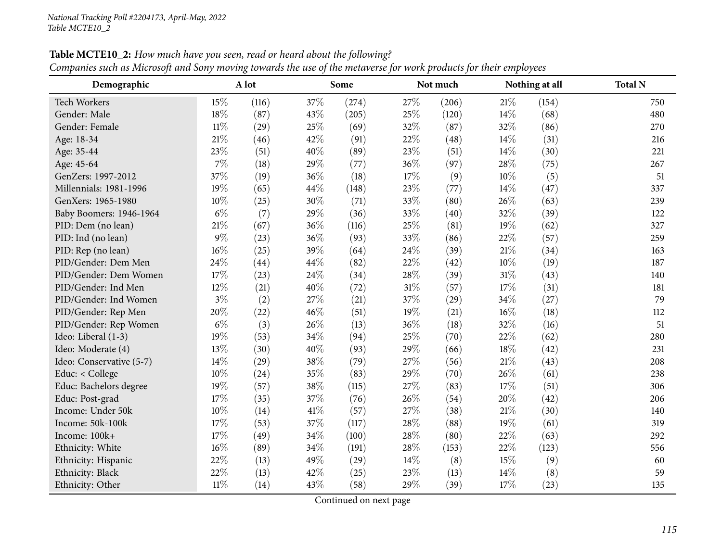| Demographic              |        | A lot |        | Some  |        | Not much |      | Nothing at all | <b>Total N</b> |
|--------------------------|--------|-------|--------|-------|--------|----------|------|----------------|----------------|
| <b>Tech Workers</b>      | 15%    | (116) | 37\%   | (274) | 27%    | (206)    | 21%  | (154)          | 750            |
| Gender: Male             | 18%    | (87)  | 43\%   | (205) | 25%    | (120)    | 14%  | (68)           | 480            |
| Gender: Female           | $11\%$ | (29)  | 25%    | (69)  | 32%    | (87)     | 32%  | (86)           | 270            |
| Age: 18-34               | 21%    | (46)  | 42%    | (91)  | 22%    | (48)     | 14\% | (31)           | 216            |
| Age: 35-44               | 23%    | (51)  | 40%    | (89)  | 23%    | (51)     | 14\% | (30)           | 221            |
| Age: 45-64               | 7%     | (18)  | 29%    | (77)  | 36%    | (97)     | 28%  | (75)           | 267            |
| GenZers: 1997-2012       | 37%    | (19)  | 36%    | (18)  | 17%    | (9)      | 10%  | (5)            | 51             |
| Millennials: 1981-1996   | 19%    | (65)  | 44\%   | (148) | 23%    | (77)     | 14%  | (47)           | 337            |
| GenXers: 1965-1980       | 10%    | (25)  | 30%    | (71)  | 33%    | (80)     | 26%  | (63)           | 239            |
| Baby Boomers: 1946-1964  | $6\%$  | (7)   | 29%    | (36)  | 33%    | (40)     | 32%  | (39)           | 122            |
| PID: Dem (no lean)       | 21%    | (67)  | 36%    | (116) | 25%    | (81)     | 19%  | (62)           | 327            |
| PID: Ind (no lean)       | $9\%$  | (23)  | 36%    | (93)  | 33%    | (86)     | 22%  | (57)           | 259            |
| PID: Rep (no lean)       | 16%    | (25)  | 39%    | (64)  | 24%    | (39)     | 21%  | (34)           | 163            |
| PID/Gender: Dem Men      | 24%    | (44)  | 44\%   | (82)  | 22%    | (42)     | 10%  | (19)           | 187            |
| PID/Gender: Dem Women    | 17%    | (23)  | 24\%   | (34)  | $28\%$ | (39)     | 31%  | (43)           | 140            |
| PID/Gender: Ind Men      | 12%    | (21)  | 40%    | (72)  | $31\%$ | (57)     | 17%  | (31)           | 181            |
| PID/Gender: Ind Women    | $3\%$  | (2)   | 27%    | (21)  | 37%    | (29)     | 34%  | (27)           | 79             |
| PID/Gender: Rep Men      | 20%    | (22)  | 46%    | (51)  | 19%    | (21)     | 16%  | (18)           | 112            |
| PID/Gender: Rep Women    | $6\%$  | (3)   | 26%    | (13)  | 36%    | (18)     | 32%  | (16)           | 51             |
| Ideo: Liberal (1-3)      | 19%    | (53)  | 34\%   | (94)  | 25%    | (70)     | 22%  | (62)           | 280            |
| Ideo: Moderate (4)       | 13%    | (30)  | 40%    | (93)  | 29%    | (66)     | 18%  | (42)           | 231            |
| Ideo: Conservative (5-7) | 14%    | (29)  | $38\%$ | (79)  | 27%    | (56)     | 21%  | (43)           | 208            |
| Educ: < College          | 10%    | (24)  | 35%    | (83)  | 29%    | (70)     | 26%  | (61)           | 238            |
| Educ: Bachelors degree   | 19%    | (57)  | 38%    | (115) | 27%    | (83)     | 17%  | (51)           | 306            |
| Educ: Post-grad          | 17%    | (35)  | 37%    | (76)  | 26%    | (54)     | 20%  | (42)           | 206            |
| Income: Under 50k        | 10%    | (14)  | 41\%   | (57)  | 27%    | (38)     | 21%  | (30)           | 140            |
| Income: 50k-100k         | 17%    | (53)  | 37%    | (117) | 28%    | (88)     | 19%  | (61)           | 319            |
| Income: 100k+            | 17%    | (49)  | $34\%$ | (100) | 28%    | (80)     | 22%  | (63)           | 292            |
| Ethnicity: White         | 16%    | (89)  | 34\%   | (191) | $28\%$ | (153)    | 22%  | (123)          | 556            |
| Ethnicity: Hispanic      | 22%    | (13)  | 49%    | (29)  | 14%    | (8)      | 15%  | (9)            | 60             |
| Ethnicity: Black         | 22%    | (13)  | 42%    | (25)  | 23%    | (13)     | 14%  | (8)            | 59             |
| Ethnicity: Other         | $11\%$ | (14)  | 43%    | (58)  | 29%    | (39)     | 17%  | (23)           | 135            |

Table MCTE10\_2: How much have you seen, read or heard about the following?

Companies such as Microsoft and Sony moving towards the use of the metaverse for work products for their employees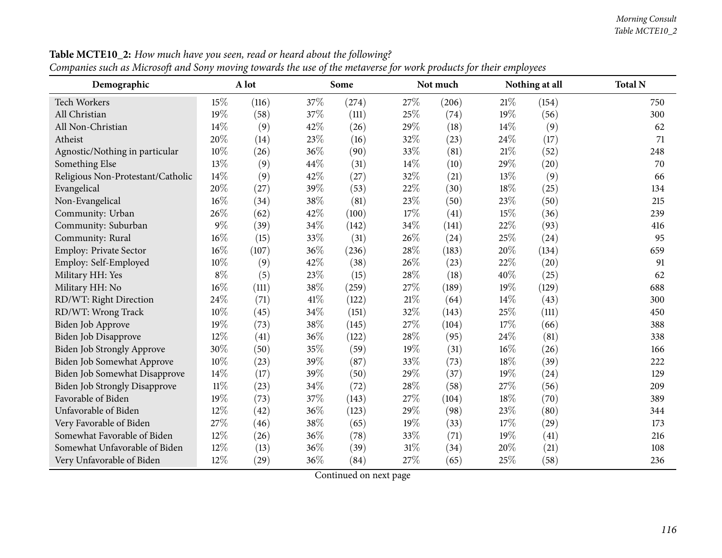| Demographic                          |        | A lot |      | Some                |        | Not much |      | Nothing at all | <b>Total N</b> |
|--------------------------------------|--------|-------|------|---------------------|--------|----------|------|----------------|----------------|
| <b>Tech Workers</b>                  | 15%    | (116) | 37%  | (274)               | 27%    | (206)    | 21\% | (154)          | 750            |
| All Christian                        | 19%    | (58)  | 37%  | (111)               | 25%    | (74)     | 19%  | (56)           | 300            |
| All Non-Christian                    | 14%    | (9)   | 42%  | (26)                | 29%    | (18)     | 14%  | (9)            | 62             |
| Atheist                              | 20%    | (14)  | 23%  | (16)                | 32%    | (23)     | 24%  | (17)           | 71             |
| Agnostic/Nothing in particular       | 10%    | (26)  | 36%  | (90)                | 33%    | (81)     | 21%  | (52)           | 248            |
| Something Else                       | 13%    | (9)   | 44%  | (31)                | 14%    | (10)     | 29%  | (20)           | 70             |
| Religious Non-Protestant/Catholic    | 14%    | (9)   | 42%  | (27)                | 32%    | (21)     | 13%  | (9)            | 66             |
| Evangelical                          | 20%    | (27)  | 39%  | (53)                | 22%    | (30)     | 18%  | (25)           | 134            |
| Non-Evangelical                      | 16%    | (34)  | 38%  | (81)                | 23%    | (50)     | 23%  | (50)           | 215            |
| Community: Urban                     | 26%    | (62)  | 42%  | (100)               | 17%    | (41)     | 15%  | (36)           | 239            |
| Community: Suburban                  | $9\%$  | (39)  | 34%  | (142)               | 34%    | (141)    | 22%  | (93)           | 416            |
| Community: Rural                     | 16%    | (15)  | 33%  | (31)                | 26%    | (24)     | 25%  | (24)           | 95             |
| Employ: Private Sector               | 16%    | (107) | 36%  | (236)               | 28%    | (183)    | 20%  | (134)          | 659            |
| Employ: Self-Employed                | 10%    | (9)   | 42%  | (38)                | 26%    | (23)     | 22%  | (20)           | 91             |
| Military HH: Yes                     | $8\%$  | (5)   | 23%  | (15)                | 28%    | (18)     | 40%  | (25)           | 62             |
| Military HH: No                      | 16%    | (111) | 38%  | $\left( 259\right)$ | 27%    | (189)    | 19%  | (129)          | 688            |
| RD/WT: Right Direction               | 24%    | (71)  | 41\% | (122)               | $21\%$ | (64)     | 14%  | (43)           | 300            |
| RD/WT: Wrong Track                   | 10%    | (45)  | 34%  | (151)               | 32%    | (143)    | 25%  | (111)          | 450            |
| Biden Job Approve                    | 19%    | (73)  | 38%  | (145)               | 27%    | (104)    | 17%  | (66)           | 388            |
| Biden Job Disapprove                 | 12%    | (41)  | 36%  | (122)               | 28%    | (95)     | 24%  | (81)           | 338            |
| Biden Job Strongly Approve           | 30%    | (50)  | 35%  | (59)                | 19%    | (31)     | 16%  | (26)           | 166            |
| Biden Job Somewhat Approve           | 10%    | (23)  | 39%  | (87)                | 33%    | (73)     | 18%  | (39)           | 222            |
| Biden Job Somewhat Disapprove        | 14%    | (17)  | 39%  | (50)                | 29%    | (37)     | 19%  | (24)           | 129            |
| <b>Biden Job Strongly Disapprove</b> | $11\%$ | (23)  | 34%  | (72)                | 28%    | (58)     | 27%  | (56)           | 209            |
| Favorable of Biden                   | 19%    | (73)  | 37%  | (143)               | 27%    | (104)    | 18%  | (70)           | 389            |
| Unfavorable of Biden                 | 12%    | (42)  | 36%  | (123)               | 29%    | (98)     | 23%  | (80)           | 344            |
| Very Favorable of Biden              | 27%    | (46)  | 38%  | (65)                | 19%    | (33)     | 17%  | (29)           | 173            |
| Somewhat Favorable of Biden          | 12%    | (26)  | 36%  | (78)                | 33%    | (71)     | 19%  | (41)           | 216            |
| Somewhat Unfavorable of Biden        | 12%    | (13)  | 36%  | (39)                | 31%    | (34)     | 20%  | (21)           | 108            |
| Very Unfavorable of Biden            | 12%    | (29)  | 36%  | (84)                | 27%    | (65)     | 25%  | (58)           | 236            |

Table MCTE10\_2: How much have you seen, read or heard about the following? Companies such as Microsoft and Sony moving towards the use of the metaverse for work products for their employees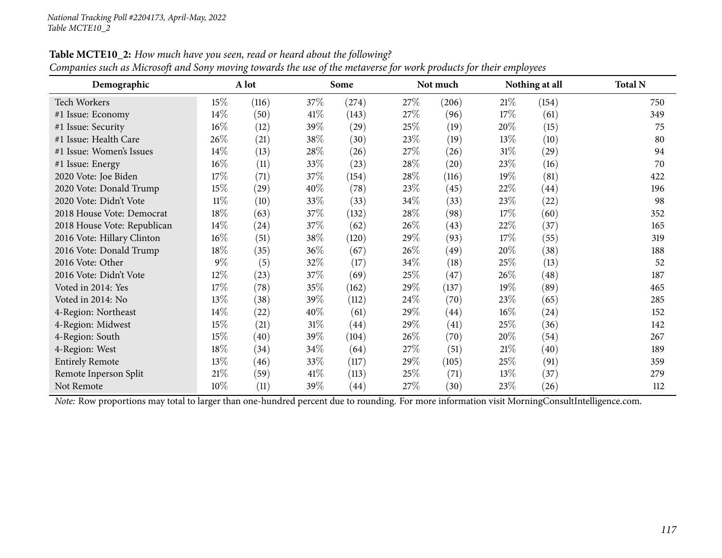| Demographic                 |        | A lot |        | Some  |      | Not much |        | Nothing at all     | <b>Total N</b> |
|-----------------------------|--------|-------|--------|-------|------|----------|--------|--------------------|----------------|
| Tech Workers                | $15\%$ | (116) | 37\%   | (274) | 27\% | (206)    | 21%    | (154)              | 750            |
| #1 Issue: Economy           | 14\%   | (50)  | 41\%   | (143) | 27\% | (96)     | 17\%   | (61)               | 349            |
| #1 Issue: Security          | $16\%$ | (12)  | 39%    | (29)  | 25\% | (19)     | $20\%$ | (15)               | 75             |
| #1 Issue: Health Care       | 26%    | (21)  | 38\%   | (30)  | 23\% | (19)     | 13\%   | (10)               | 80             |
| #1 Issue: Women's Issues    | 14\%   | (13)  | 28\%   | (26)  | 27\% | (26)     | $31\%$ | $\left( 29\right)$ | 94             |
| #1 Issue: Energy            | 16%    | (11)  | 33\%   | (23)  | 28\% | (20)     | 23\%   | (16)               | 70             |
| 2020 Vote: Joe Biden        | $17\%$ | (71)  | 37\%   | (154) | 28\% | (116)    | 19%    | (81)               | 422            |
| 2020 Vote: Donald Trump     | 15%    | (29)  | 40\%   | (78)  | 23\% | (45)     | 22\%   | (44)               | 196            |
| 2020 Vote: Didn't Vote      | $11\%$ | (10)  | 33\%   | (33)  | 34\% | (33)     | 23\%   | (22)               | 98             |
| 2018 House Vote: Democrat   | 18%    | (63)  | 37\%   | (132) | 28\% | (98)     | 17\%   | (60)               | 352            |
| 2018 House Vote: Republican | $14\%$ | (24)  | 37\%   | (62)  | 26\% | (43)     | 22\%   | (37)               | 165            |
| 2016 Vote: Hillary Clinton  | $16\%$ | (51)  | 38\%   | (120) | 29\% | (93)     | 17\%   | (55)               | 319            |
| 2016 Vote: Donald Trump     | $18\%$ | (35)  | 36\%   | (67)  | 26\% | (49)     | 20%    | (38)               | 188            |
| 2016 Vote: Other            | $9\%$  | (5)   | 32%    | (17)  | 34\% | (18)     | 25\%   | (13)               | 52             |
| 2016 Vote: Didn't Vote      | 12%    | (23)  | 37\%   | (69)  | 25\% | (47)     | $26\%$ | (48)               | 187            |
| Voted in 2014: Yes          | 17%    | (78)  | 35\%   | (162) | 29\% | (137)    | $19\%$ | (89)               | 465            |
| Voted in 2014: No           | 13%    | (38)  | 39\%   | (112) | 24\% | (70)     | 23\%   | (65)               | 285            |
| 4-Region: Northeast         | 14\%   | (22)  | $40\%$ | (61)  | 29\% | (44)     | $16\%$ | (24)               | 152            |
| 4-Region: Midwest           | 15%    | (21)  | $31\%$ | (44)  | 29%  | (41)     | 25\%   | (36)               | 142            |
| 4-Region: South             | 15%    | (40)  | 39\%   | (104) | 26\% | (70)     | 20%    | (54)               | 267            |
| 4-Region: West              | 18%    | (34)  | $34\%$ | (64)  | 27\% | (51)     | 21%    | (40)               | 189            |
| <b>Entirely Remote</b>      | 13%    | (46)  | 33\%   | (117) | 29\% | (105)    | 25\%   | (91)               | 359            |
| Remote Inperson Split       | $21\%$ | (59)  | 41\%   | (113) | 25\% | (71)     | $13\%$ | (37)               | 279            |
| Not Remote                  | 10%    | (11)  | 39\%   | (44)  | 27\% | (30)     | 23\%   | (26)               | 112            |

Table MCTE10\_2: How much have you seen, read or heard about the following?

Companies such as Microsoft and Sony moving towards the use of the metaverse for work products for their employees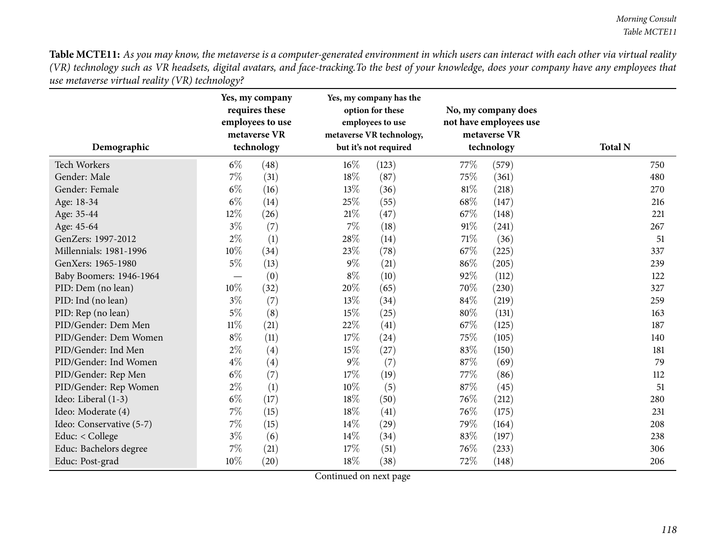| Demographic              |        | Yes, my company<br>requires these<br>employees to use<br>metaverse VR<br>technology |       | Yes, my company has the<br>option for these<br>employees to use<br>metaverse VR technology,<br>but it's not required |        | No, my company does<br>not have employees use<br>metaverse VR<br>technology | <b>Total N</b> |     |
|--------------------------|--------|-------------------------------------------------------------------------------------|-------|----------------------------------------------------------------------------------------------------------------------|--------|-----------------------------------------------------------------------------|----------------|-----|
| <b>Tech Workers</b>      | $6\%$  | (48)                                                                                | 16%   | (123)                                                                                                                | 77%    | (579)                                                                       |                | 750 |
| Gender: Male             | 7%     | (31)                                                                                | 18%   | (87)                                                                                                                 | 75%    | (361)                                                                       |                | 480 |
| Gender: Female           | $6\%$  | (16)                                                                                | 13%   | (36)                                                                                                                 | 81%    | (218)                                                                       |                | 270 |
| Age: 18-34               | $6\%$  | (14)                                                                                | 25%   | (55)                                                                                                                 | 68%    | (147)                                                                       |                | 216 |
| Age: 35-44               | 12%    | (26)                                                                                | 21\%  | (47)                                                                                                                 | 67\%   | (148)                                                                       |                | 221 |
| Age: 45-64               | $3\%$  | (7)                                                                                 | 7%    | (18)                                                                                                                 | 91%    | (241)                                                                       |                | 267 |
| GenZers: 1997-2012       | $2\%$  | (1)                                                                                 | 28%   | (14)                                                                                                                 | 71%    | (36)                                                                        |                | 51  |
| Millennials: 1981-1996   | 10%    | (34)                                                                                | 23%   | (78)                                                                                                                 | 67%    | (225)                                                                       |                | 337 |
| GenXers: 1965-1980       | $5\%$  | (13)                                                                                | $9\%$ | (21)                                                                                                                 | 86%    | (205)                                                                       |                | 239 |
| Baby Boomers: 1946-1964  |        | (0)                                                                                 | $8\%$ | (10)                                                                                                                 | 92%    | (112)                                                                       |                | 122 |
| PID: Dem (no lean)       | 10%    | (32)                                                                                | 20%   | (65)                                                                                                                 | 70%    | (230)                                                                       |                | 327 |
| PID: Ind (no lean)       | $3\%$  | (7)                                                                                 | 13%   | (34)                                                                                                                 | 84%    | (219)                                                                       |                | 259 |
| PID: Rep (no lean)       | $5\%$  | (8)                                                                                 | 15%   | (25)                                                                                                                 | $80\%$ | (131)                                                                       |                | 163 |
| PID/Gender: Dem Men      | $11\%$ | (21)                                                                                | 22%   | (41)                                                                                                                 | 67%    | (125)                                                                       |                | 187 |
| PID/Gender: Dem Women    | $8\%$  | (11)                                                                                | 17%   | (24)                                                                                                                 | 75%    | (105)                                                                       |                | 140 |
| PID/Gender: Ind Men      | $2\%$  | (4)                                                                                 | 15%   | (27)                                                                                                                 | 83%    | (150)                                                                       |                | 181 |
| PID/Gender: Ind Women    | $4\%$  | (4)                                                                                 | $9\%$ | (7)                                                                                                                  | 87%    | (69)                                                                        |                | 79  |
| PID/Gender: Rep Men      | $6\%$  | (7)                                                                                 | 17%   | (19)                                                                                                                 | 77\%   | (86)                                                                        |                | 112 |
| PID/Gender: Rep Women    | $2\%$  | (1)                                                                                 | 10%   | (5)                                                                                                                  | 87%    | (45)                                                                        |                | 51  |
| Ideo: Liberal (1-3)      | $6\%$  | (17)                                                                                | 18%   | (50)                                                                                                                 | 76%    | (212)                                                                       |                | 280 |
| Ideo: Moderate (4)       | 7%     | (15)                                                                                | 18%   | (41)                                                                                                                 | 76%    | (175)                                                                       |                | 231 |
| Ideo: Conservative (5-7) | $7\%$  | (15)                                                                                | 14%   | (29)                                                                                                                 | 79%    | (164)                                                                       |                | 208 |
| Educ: < College          | $3\%$  | (6)                                                                                 | 14%   | (34)                                                                                                                 | 83%    | (197)                                                                       |                | 238 |
| Educ: Bachelors degree   | 7%     | (21)                                                                                | 17%   | (51)                                                                                                                 | 76%    | (233)                                                                       |                | 306 |
| Educ: Post-grad          | 10%    | (20)                                                                                | 18%   | (38)                                                                                                                 | 72%    | (148)                                                                       |                | 206 |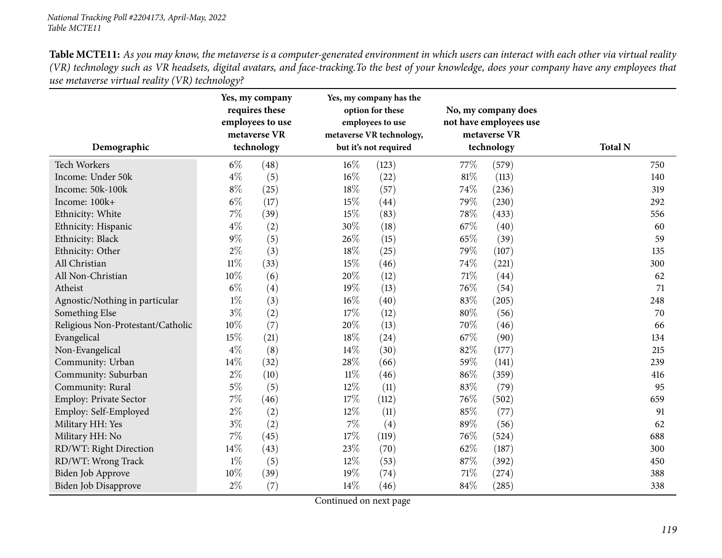|                                   |        | Yes, my company<br>requires these<br>employees to use<br>metaverse VR |        | Yes, my company has the<br>option for these<br>employees to use<br>metaverse VR technology, |        | No, my company does<br>not have employees use<br>metaverse VR | <b>Total N</b> |
|-----------------------------------|--------|-----------------------------------------------------------------------|--------|---------------------------------------------------------------------------------------------|--------|---------------------------------------------------------------|----------------|
| Demographic                       |        | technology                                                            |        | but it's not required                                                                       |        | technology                                                    |                |
| Tech Workers                      | $6\%$  | (48)                                                                  | $16\%$ | (123)                                                                                       | 77%    | (579)                                                         | 750            |
| Income: Under 50k                 | $4\%$  | (5)                                                                   | 16%    | (22)                                                                                        | $81\%$ | (113)                                                         | 140            |
| Income: 50k-100k                  | $8\%$  | (25)                                                                  | 18%    | (57)                                                                                        | 74%    | (236)                                                         | 319            |
| Income: 100k+                     | $6\%$  | (17)                                                                  | 15%    | (44)                                                                                        | 79%    | (230)                                                         | 292            |
| Ethnicity: White                  | 7%     | (39)                                                                  | 15%    | (83)                                                                                        | 78%    | (433)                                                         | 556            |
| Ethnicity: Hispanic               | $4\%$  | (2)                                                                   | 30%    | (18)                                                                                        | 67%    | (40)                                                          | 60             |
| Ethnicity: Black                  | $9\%$  | (5)                                                                   | 26%    | (15)                                                                                        | 65%    | (39)                                                          | 59             |
| Ethnicity: Other                  | $2\%$  | (3)                                                                   | 18%    | (25)                                                                                        | 79%    | (107)                                                         | 135            |
| All Christian                     | $11\%$ | (33)                                                                  | 15%    | (46)                                                                                        | 74%    | (221)                                                         | 300            |
| All Non-Christian                 | 10%    | (6)                                                                   | 20%    | (12)                                                                                        | $71\%$ | (44)                                                          | 62             |
| Atheist                           | $6\%$  | (4)                                                                   | 19%    | (13)                                                                                        | 76%    | (54)                                                          | 71             |
| Agnostic/Nothing in particular    | $1\%$  | (3)                                                                   | $16\%$ | (40)                                                                                        | 83%    | (205)                                                         | 248            |
| Something Else                    | $3\%$  | (2)                                                                   | 17%    | (12)                                                                                        | $80\%$ | (56)                                                          | 70             |
| Religious Non-Protestant/Catholic | 10%    | (7)                                                                   | 20%    | (13)                                                                                        | 70%    | (46)                                                          | 66             |
| Evangelical                       | 15%    | (21)                                                                  | 18%    | (24)                                                                                        | 67%    | (90)                                                          | 134            |
| Non-Evangelical                   | $4\%$  | (8)                                                                   | 14%    | (30)                                                                                        | 82%    | (177)                                                         | 215            |
| Community: Urban                  | 14%    | (32)                                                                  | 28%    | (66)                                                                                        | 59%    | (141)                                                         | 239            |
| Community: Suburban               | $2\%$  | (10)                                                                  | $11\%$ | (46)                                                                                        | 86%    | (359)                                                         | 416            |
| Community: Rural                  | $5\%$  | (5)                                                                   | 12%    | (11)                                                                                        | 83%    | (79)                                                          | 95             |
| <b>Employ: Private Sector</b>     | 7%     | (46)                                                                  | 17%    | (112)                                                                                       | 76%    | (502)                                                         | 659            |
| Employ: Self-Employed             | $2\%$  | (2)                                                                   | 12%    | (11)                                                                                        | 85%    | (77)                                                          | 91             |
| Military HH: Yes                  | $3\%$  | (2)                                                                   | $7\%$  | (4)                                                                                         | 89%    | (56)                                                          | 62             |
| Military HH: No                   | 7%     | (45)                                                                  | 17%    | (119)                                                                                       | 76%    | (524)                                                         | 688            |
| RD/WT: Right Direction            | 14%    | (43)                                                                  | 23%    | (70)                                                                                        | 62%    | (187)                                                         | 300            |
| RD/WT: Wrong Track                | $1\%$  | (5)                                                                   | 12%    | (53)                                                                                        | 87%    | (392)                                                         | 450            |
| Biden Job Approve                 | 10%    | (39)                                                                  | 19%    | (74)                                                                                        | 71%    | (274)                                                         | 388            |
| Biden Job Disapprove              | $2\%$  | (7)                                                                   | 14%    | (46)                                                                                        | 84%    | (285)                                                         | 338            |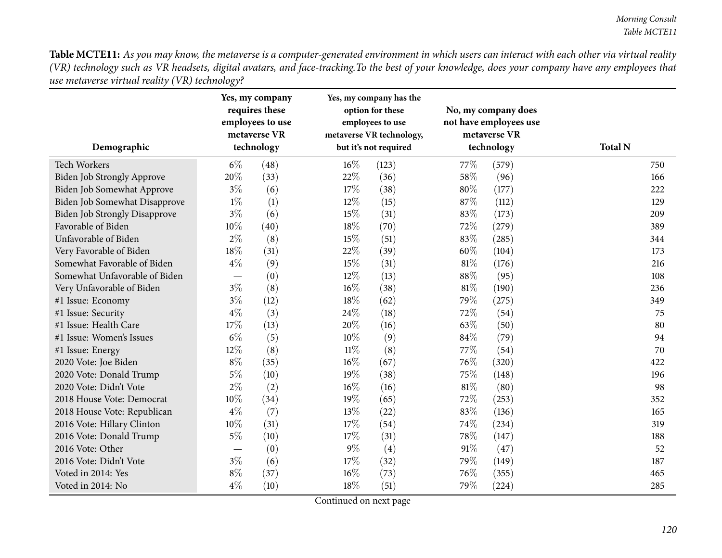| Demographic                          |       | Yes, my company<br>requires these<br>employees to use<br>metaverse VR<br>technology |        | Yes, my company has the<br>option for these<br>employees to use<br>metaverse VR technology,<br>but it's not required |        | No, my company does<br>not have employees use<br>metaverse VR<br>technology | <b>Total N</b> |
|--------------------------------------|-------|-------------------------------------------------------------------------------------|--------|----------------------------------------------------------------------------------------------------------------------|--------|-----------------------------------------------------------------------------|----------------|
| <b>Tech Workers</b>                  | $6\%$ | (48)                                                                                | 16%    | (123)                                                                                                                | 77\%   | (579)                                                                       | 750            |
| <b>Biden Job Strongly Approve</b>    | 20%   | (33)                                                                                | 22%    | (36)                                                                                                                 | 58%    | (96)                                                                        | 166            |
| Biden Job Somewhat Approve           | $3\%$ | (6)                                                                                 | 17%    | (38)                                                                                                                 | 80%    | (177)                                                                       | 222            |
| Biden Job Somewhat Disapprove        | $1\%$ | (1)                                                                                 | 12%    | (15)                                                                                                                 | 87%    | (112)                                                                       | 129            |
| <b>Biden Job Strongly Disapprove</b> | $3\%$ | (6)                                                                                 | 15%    | (31)                                                                                                                 | 83%    | (173)                                                                       | 209            |
| Favorable of Biden                   | 10%   | (40)                                                                                | 18%    | (70)                                                                                                                 | 72%    | (279)                                                                       | 389            |
| Unfavorable of Biden                 | $2\%$ | (8)                                                                                 | 15%    | (51)                                                                                                                 | 83%    | (285)                                                                       | 344            |
| Very Favorable of Biden              | 18%   | (31)                                                                                | 22%    | (39)                                                                                                                 | 60%    | (104)                                                                       | 173            |
| Somewhat Favorable of Biden          | $4\%$ | (9)                                                                                 | 15%    | (31)                                                                                                                 | $81\%$ | (176)                                                                       | 216            |
| Somewhat Unfavorable of Biden        |       | (0)                                                                                 | 12%    | (13)                                                                                                                 | 88%    | (95)                                                                        | 108            |
| Very Unfavorable of Biden            | $3\%$ | (8)                                                                                 | 16%    | (38)                                                                                                                 | 81%    | (190)                                                                       | 236            |
| #1 Issue: Economy                    | $3\%$ | (12)                                                                                | 18%    | (62)                                                                                                                 | 79%    | (275)                                                                       | 349            |
| #1 Issue: Security                   | $4\%$ | (3)                                                                                 | 24%    | (18)                                                                                                                 | 72%    | (54)                                                                        | 75             |
| #1 Issue: Health Care                | 17%   | (13)                                                                                | 20%    | (16)                                                                                                                 | 63%    | (50)                                                                        | 80             |
| #1 Issue: Women's Issues             | $6\%$ | (5)                                                                                 | 10%    | (9)                                                                                                                  | 84%    | (79)                                                                        | 94             |
| #1 Issue: Energy                     | 12%   | (8)                                                                                 | $11\%$ | (8)                                                                                                                  | 77%    | (54)                                                                        | 70             |
| 2020 Vote: Joe Biden                 | $8\%$ | (35)                                                                                | 16%    | (67)                                                                                                                 | 76%    | (320)                                                                       | 422            |
| 2020 Vote: Donald Trump              | 5%    | (10)                                                                                | 19%    | (38)                                                                                                                 | 75%    | (148)                                                                       | 196            |
| 2020 Vote: Didn't Vote               | $2\%$ | (2)                                                                                 | $16\%$ | (16)                                                                                                                 | 81%    | (80)                                                                        | 98             |
| 2018 House Vote: Democrat            | 10%   | (34)                                                                                | 19%    | (65)                                                                                                                 | 72%    | (253)                                                                       | 352            |
| 2018 House Vote: Republican          | $4\%$ | (7)                                                                                 | 13%    | (22)                                                                                                                 | 83%    | (136)                                                                       | 165            |
| 2016 Vote: Hillary Clinton           | 10%   | (31)                                                                                | 17%    | (54)                                                                                                                 | 74%    | (234)                                                                       | 319            |
| 2016 Vote: Donald Trump              | 5%    | (10)                                                                                | 17%    | (31)                                                                                                                 | 78%    | (147)                                                                       | 188            |
| 2016 Vote: Other                     |       | (0)                                                                                 | $9\%$  | (4)                                                                                                                  | 91%    | (47)                                                                        | 52             |
| 2016 Vote: Didn't Vote               | $3\%$ | (6)                                                                                 | 17%    | (32)                                                                                                                 | 79%    | (149)                                                                       | 187            |
| Voted in 2014: Yes                   | $8\%$ | (37)                                                                                | 16%    | (73)                                                                                                                 | 76%    | (355)                                                                       | 465            |
| Voted in 2014: No                    | $4\%$ | (10)                                                                                | 18%    | (51)                                                                                                                 | 79%    | (224)                                                                       | 285            |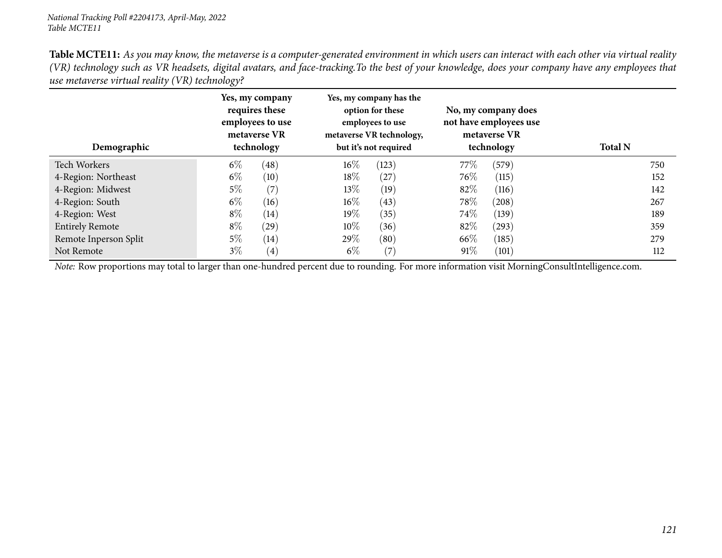| Demographic            | Yes, my company<br>requires these<br>employees to use<br>metaverse VR<br>technology | Yes, my company has the<br>option for these<br>employees to use<br>metaverse VR technology,<br>but it's not required | No, my company does<br>not have employees use<br>metaverse VR<br>technology | <b>Total N</b> |
|------------------------|-------------------------------------------------------------------------------------|----------------------------------------------------------------------------------------------------------------------|-----------------------------------------------------------------------------|----------------|
| Tech Workers           | $6\%$<br>(48)                                                                       | $16\%$<br>(123)                                                                                                      | 77\%<br>(579)                                                               | 750            |
| 4-Region: Northeast    | $6\%$<br>(10)                                                                       | $18\%$<br>(27)                                                                                                       | 76\%<br>(115)                                                               | 152            |
| 4-Region: Midwest      | $5\%$<br>(7)                                                                        | $13\%$<br>(19)                                                                                                       | 82%<br>(116)                                                                | 142            |
| 4-Region: South        | $6\%$<br>(16)                                                                       | $16\%$<br>(43)                                                                                                       | 78\%<br>(208)                                                               | 267            |
| 4-Region: West         | $8\%$<br>(14)                                                                       | $19\%$<br>(35)                                                                                                       | 74\%<br>(139)                                                               | 189            |
| <b>Entirely Remote</b> | $8\%$<br>$\left( 29\right)$                                                         | $10\%$<br>(36)                                                                                                       | 82\%<br>(293)                                                               | 359            |
| Remote Inperson Split  | $5\%$<br>(14)                                                                       | 29%<br>(80)                                                                                                          | 66\%<br>(185)                                                               | 279            |
| Not Remote             | $3\%$<br>$\left( 4\right)$                                                          | $6\%$<br>(7)                                                                                                         | 91\%<br>(101)                                                               | 112            |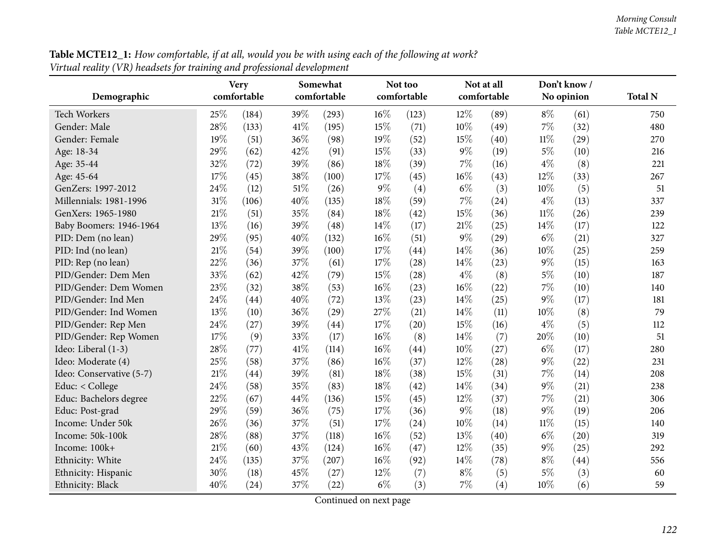| Table MCTE12_1: How comfortable, if at all, would you be with using each of the following at work? |
|----------------------------------------------------------------------------------------------------|
| Virtual reality (VR) headsets for training and professional development                            |

|                          |     | <b>Very</b> |      | Somewhat<br>comfortable |        | Not too     |        | Not at all  | Don't know / |            |                |
|--------------------------|-----|-------------|------|-------------------------|--------|-------------|--------|-------------|--------------|------------|----------------|
| Demographic              |     | comfortable |      |                         |        | comfortable |        | comfortable |              | No opinion | <b>Total N</b> |
| Tech Workers             | 25% | (184)       | 39%  | (293)                   | 16%    | (123)       | 12%    | (89)        | $8\%$        | (61)       | 750            |
| Gender: Male             | 28% | (133)       | 41\% | (195)                   | 15%    | (71)        | 10%    | (49)        | $7\%$        | (32)       | 480            |
| Gender: Female           | 19% | (51)        | 36%  | (98)                    | 19%    | (52)        | 15%    | (40)        | $11\%$       | (29)       | 270            |
| Age: 18-34               | 29% | (62)        | 42%  | (91)                    | 15%    | (33)        | $9\%$  | (19)        | $5\%$        | (10)       | 216            |
| Age: 35-44               | 32% | (72)        | 39%  | (86)                    | 18%    | (39)        | 7%     | (16)        | $4\%$        | (8)        | 221            |
| Age: 45-64               | 17% | (45)        | 38%  | (100)                   | 17%    | (45)        | $16\%$ | (43)        | 12%          | (33)       | 267            |
| GenZers: 1997-2012       | 24% | (12)        | 51%  | (26)                    | $9\%$  | (4)         | $6\%$  | (3)         | 10%          | (5)        | 51             |
| Millennials: 1981-1996   | 31% | (106)       | 40%  | (135)                   | 18%    | (59)        | 7%     | (24)        | $4\%$        | (13)       | 337            |
| GenXers: 1965-1980       | 21% | (51)        | 35%  | (84)                    | 18%    | (42)        | 15%    | (36)        | $11\%$       | (26)       | 239            |
| Baby Boomers: 1946-1964  | 13% | (16)        | 39%  | (48)                    | 14%    | (17)        | $21\%$ | (25)        | 14%          | (17)       | 122            |
| PID: Dem (no lean)       | 29% | (95)        | 40%  | (132)                   | 16%    | (51)        | $9\%$  | (29)        | $6\%$        | (21)       | 327            |
| PID: Ind (no lean)       | 21% | (54)        | 39%  | (100)                   | 17%    | (44)        | 14%    | (36)        | 10%          | (25)       | 259            |
| PID: Rep (no lean)       | 22% | (36)        | 37%  | (61)                    | 17%    | (28)        | 14%    | (23)        | $9\%$        | (15)       | 163            |
| PID/Gender: Dem Men      | 33% | (62)        | 42%  | (79)                    | 15%    | (28)        | $4\%$  | (8)         | $5\%$        | (10)       | 187            |
| PID/Gender: Dem Women    | 23% | (32)        | 38%  | (53)                    | 16%    | (23)        | $16\%$ | (22)        | 7%           | (10)       | 140            |
| PID/Gender: Ind Men      | 24% | (44)        | 40%  | (72)                    | 13%    | (23)        | 14%    | (25)        | $9\%$        | (17)       | 181            |
| PID/Gender: Ind Women    | 13% | (10)        | 36%  | (29)                    | 27%    | (21)        | 14%    | (11)        | 10%          | (8)        | 79             |
| PID/Gender: Rep Men      | 24% | (27)        | 39%  | (44)                    | 17%    | (20)        | 15%    | (16)        | $4\%$        | (5)        | 112            |
| PID/Gender: Rep Women    | 17% | (9)         | 33%  | (17)                    | 16%    | (8)         | 14%    | (7)         | 20%          | (10)       | 51             |
| Ideo: Liberal (1-3)      | 28% | (77)        | 41%  | (114)                   | 16%    | (44)        | 10%    | (27)        | $6\%$        | (17)       | 280            |
| Ideo: Moderate (4)       | 25% | (58)        | 37%  | (86)                    | 16%    | (37)        | 12%    | (28)        | $9\%$        | (22)       | 231            |
| Ideo: Conservative (5-7) | 21% | (44)        | 39%  | (81)                    | 18%    | (38)        | 15%    | (31)        | 7%           | (14)       | 208            |
| Educ: < College          | 24% | (58)        | 35%  | (83)                    | 18%    | (42)        | 14%    | (34)        | $9\%$        | (21)       | 238            |
| Educ: Bachelors degree   | 22% | (67)        | 44%  | (136)                   | 15%    | (45)        | 12%    | (37)        | 7%           | (21)       | 306            |
| Educ: Post-grad          | 29% | (59)        | 36%  | (75)                    | 17%    | (36)        | $9\%$  | (18)        | $9\%$        | (19)       | 206            |
| Income: Under 50k        | 26% | (36)        | 37%  | (51)                    | $17\%$ | (24)        | $10\%$ | (14)        | $11\%$       | (15)       | 140            |
| Income: 50k-100k         | 28% | (88)        | 37%  | (118)                   | 16%    | (52)        | 13%    | (40)        | $6\%$        | (20)       | 319            |
| Income: 100k+            | 21% | (60)        | 43%  | (124)                   | 16%    | (47)        | 12%    | (35)        | $9\%$        | (25)       | 292            |
| Ethnicity: White         | 24% | (135)       | 37%  | (207)                   | 16%    | (92)        | 14%    | (78)        | $8\%$        | (44)       | 556            |
| Ethnicity: Hispanic      | 30% | (18)        | 45%  | (27)                    | 12%    | (7)         | $8\%$  | (5)         | $5\%$        | (3)        | 60             |
| Ethnicity: Black         | 40% | (24)        | 37%  | (22)                    | $6\%$  | (3)         | $7\%$  | (4)         | 10%          | (6)        | 59             |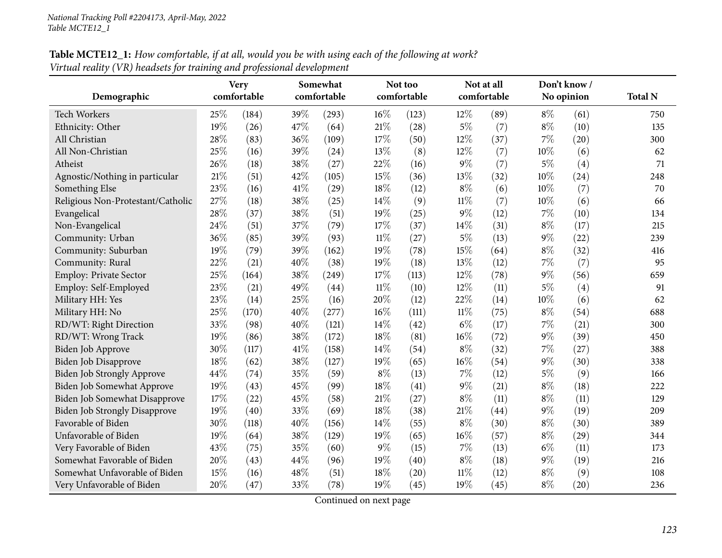| <b>Table MCTE12_1:</b> How comfortable, if at all, would you be with using each of the following at work? |  |
|-----------------------------------------------------------------------------------------------------------|--|
| Virtual reality (VR) headsets for training and professional development                                   |  |

| Demographic                          |     | <b>Very</b> | Somewhat<br>comfortable<br>comfortable |       |        | Not too<br>comfortable |        | Not at all<br>comfortable |       | Don't know/<br>No opinion | <b>Total N</b> |
|--------------------------------------|-----|-------------|----------------------------------------|-------|--------|------------------------|--------|---------------------------|-------|---------------------------|----------------|
|                                      |     |             |                                        |       |        |                        |        |                           |       |                           |                |
| <b>Tech Workers</b>                  | 25% | (184)       | 39%                                    | (293) | 16%    | (123)                  | 12%    | (89)                      | $8\%$ | (61)                      | 750            |
| Ethnicity: Other                     | 19% | (26)        | 47%                                    | (64)  | 21%    | (28)                   | $5\%$  | (7)                       | $8\%$ | (10)                      | 135            |
| All Christian                        | 28% | (83)        | 36%                                    | (109) | 17%    | (50)                   | 12%    | (37)                      | 7%    | (20)                      | 300            |
| All Non-Christian                    | 25% | (16)        | 39%                                    | (24)  | 13%    | (8)                    | 12%    | (7)                       | 10%   | (6)                       | 62             |
| Atheist                              | 26% | (18)        | 38%                                    | (27)  | 22%    | (16)                   | 9%     | (7)                       | $5\%$ | (4)                       | 71             |
| Agnostic/Nothing in particular       | 21% | (51)        | 42%                                    | (105) | 15%    | (36)                   | 13%    | (32)                      | 10%   | (24)                      | 248            |
| Something Else                       | 23% | (16)        | 41%                                    | (29)  | 18%    | (12)                   | $8\%$  | (6)                       | 10%   | (7)                       | 70             |
| Religious Non-Protestant/Catholic    | 27% | (18)        | 38%                                    | (25)  | 14%    | (9)                    | $11\%$ | (7)                       | 10%   | (6)                       | 66             |
| Evangelical                          | 28% | (37)        | 38%                                    | (51)  | 19%    | (25)                   | 9%     | (12)                      | 7%    | (10)                      | 134            |
| Non-Evangelical                      | 24% | (51)        | 37%                                    | (79)  | 17%    | (37)                   | 14%    | (31)                      | $8\%$ | (17)                      | 215            |
| Community: Urban                     | 36% | (85)        | 39%                                    | (93)  | $11\%$ | (27)                   | $5\%$  | (13)                      | 9%    | (22)                      | 239            |
| Community: Suburban                  | 19% | (79)        | 39%                                    | (162) | 19%    | (78)                   | 15%    | (64)                      | $8\%$ | (32)                      | 416            |
| Community: Rural                     | 22% | (21)        | 40%                                    | (38)  | 19%    | (18)                   | 13%    | (12)                      | 7%    | (7)                       | 95             |
| <b>Employ: Private Sector</b>        | 25% | (164)       | 38%                                    | (249) | 17%    | (113)                  | 12%    | (78)                      | 9%    | (56)                      | 659            |
| Employ: Self-Employed                | 23% | (21)        | 49%                                    | (44)  | $11\%$ | (10)                   | 12%    | (11)                      | $5\%$ | (4)                       | 91             |
| Military HH: Yes                     | 23% | (14)        | 25%                                    | (16)  | 20%    | (12)                   | 22%    | (14)                      | 10%   | (6)                       | 62             |
| Military HH: No                      | 25% | (170)       | 40%                                    | (277) | 16%    | (111)                  | $11\%$ | (75)                      | $8\%$ | (54)                      | 688            |
| RD/WT: Right Direction               | 33% | (98)        | 40%                                    | (121) | 14%    | (42)                   | $6\%$  | (17)                      | 7%    | (21)                      | 300            |
| RD/WT: Wrong Track                   | 19% | (86)        | 38%                                    | (172) | 18%    | (81)                   | 16%    | (72)                      | 9%    | (39)                      | 450            |
| Biden Job Approve                    | 30% | (117)       | 41%                                    | (158) | 14\%   | (54)                   | $8\%$  | (32)                      | 7%    | (27)                      | 388            |
| Biden Job Disapprove                 | 18% | (62)        | 38%                                    | (127) | 19%    | (65)                   | 16%    | (54)                      | 9%    | (30)                      | 338            |
| Biden Job Strongly Approve           | 44% | (74)        | 35%                                    | (59)  | $8\%$  | (13)                   | 7%     | (12)                      | $5\%$ | (9)                       | 166            |
| <b>Biden Job Somewhat Approve</b>    | 19% | (43)        | 45%                                    | (99)  | 18%    | (41)                   | $9\%$  | (21)                      | $8\%$ | (18)                      | 222            |
| <b>Biden Job Somewhat Disapprove</b> | 17% | (22)        | 45%                                    | (58)  | 21%    | (27)                   | $8\%$  | (11)                      | $8\%$ | (11)                      | 129            |
| <b>Biden Job Strongly Disapprove</b> | 19% | (40)        | 33%                                    | (69)  | 18%    | (38)                   | 21%    | (44)                      | 9%    | (19)                      | 209            |
| Favorable of Biden                   | 30% | (118)       | 40%                                    | (156) | 14\%   | (55)                   | $8\%$  | (30)                      | $8\%$ | (30)                      | 389            |
| Unfavorable of Biden                 | 19% | (64)        | 38%                                    | (129) | 19%    | (65)                   | 16%    | (57)                      | $8\%$ | (29)                      | 344            |
| Very Favorable of Biden              | 43% | (75)        | 35%                                    | (60)  | $9\%$  | (15)                   | $7\%$  | (13)                      | $6\%$ | (11)                      | 173            |
| Somewhat Favorable of Biden          | 20% | (43)        | 44%                                    | (96)  | 19%    | (40)                   | $8\%$  | (18)                      | 9%    | (19)                      | 216            |
| Somewhat Unfavorable of Biden        | 15% | (16)        | 48%                                    | (51)  | 18%    | (20)                   | $11\%$ | (12)                      | $8\%$ | (9)                       | 108            |
| Very Unfavorable of Biden            | 20% | (47)        | 33%                                    | (78)  | 19%    | (45)                   | 19%    | (45)                      | $8\%$ | (20)                      | 236            |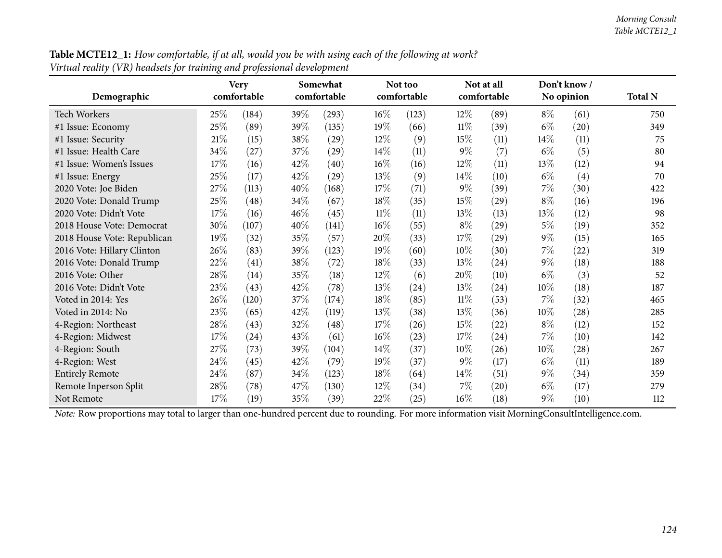| n nam reamy (+1) nemetro for nammy<br>Demographic             |        | <b>Very</b><br>comfortable | <i>ence projection de recepriteire</i> | Somewhat<br>comfortable            |                            | Not too<br>comfortable |                          | Not at all<br>comfortable |                                                              | Don't know /<br>No opinion | <b>Total N</b> |
|---------------------------------------------------------------|--------|----------------------------|----------------------------------------|------------------------------------|----------------------------|------------------------|--------------------------|---------------------------|--------------------------------------------------------------|----------------------------|----------------|
| <b>Tech Workers</b>                                           | 25%    | (184)                      | 39%                                    | (293)                              | $16\%$                     | (123)                  | 12%                      | (89)                      | $8\%$                                                        | (61)                       | 750            |
| #1 Issue: Economy                                             | 25%    | (89)                       | 39%                                    | (135)                              | 19%                        | (66)                   | $11\%$                   | (39)                      | $6\%$                                                        | (20)                       | 349            |
| #1 Issue: Security                                            | $21\%$ | (15)                       | $38\%$                                 | (29)                               | $12\%$                     | (9)                    | 15\%                     | (11)                      | 14\%                                                         | (11)                       | 75             |
| #1 Issue: Health Care                                         | 34\%   | (27)                       | 37\%                                   | (29)                               | $14\%$                     | (11)                   | $9\%$                    | (7)                       | $6\%$                                                        | (5)                        | 80             |
| #1 Issue: Women's Issues                                      | 17%    | (16)                       | 42\%                                   | (40)                               | $16\%$                     | (16)                   | 12\%                     | (11)                      | 13\%                                                         | (12)                       | 94             |
| #1 Issue: Energy                                              | 25%    | (17)                       | 42%                                    | (29)                               | 13%                        | (9)                    | 14\%                     | (10)                      | $6\%$                                                        | (4)                        | 70             |
| 2020 Vote: Joe Biden                                          | 27%    | (113)                      | 40%                                    | (168)                              | 17%                        | (71)                   | $9\%$                    | (39)                      | $7\%$                                                        | (30)                       | 422            |
| 2020 Vote: Donald Trump                                       | $25\%$ | (48)                       | 34\%                                   | (67)                               | 18\%                       | (35)                   | 15\%                     | (29)                      | $8\%$                                                        | (16)                       | 196            |
| 2020 Vote: Didn't Vote                                        | 17%    | (16)                       | 46%                                    | (45)                               | $11\%$                     | (11)                   | 13\%                     | (13)                      | 13\%                                                         | (12)                       | 98             |
| 2018 House Vote: Democrat                                     | 30%    | (107)                      | 40%                                    | (141)                              | $16\%$                     | (55)                   | $8\%$                    | (29)                      | $5\%$                                                        | (19)                       | 352            |
| 2018 House Vote: Republican                                   | 19%    | (32)                       | 35%                                    | (57)                               | 20%                        | (33)                   | 17%                      | (29)                      | $9\%$                                                        | (15)                       | 165            |
| 2016 Vote: Hillary Clinton                                    | 26\%   | (83)                       | 39%                                    | (123)                              | 19%                        | (60)                   | 10%                      | (30)                      | $7\%$                                                        | (22)                       | 319            |
| 2016 Vote: Donald Trump                                       | 22%    | (41)                       | $38\%$                                 | (72)                               | 18%                        | (33)                   | 13\%                     | (24)                      | $9\%$                                                        | (18)                       | 188            |
| 2016 Vote: Other                                              | 28\%   | (14)                       | 35%                                    | (18)                               | $12\%$                     | (6)                    | 20%                      | (10)                      | $6\%$                                                        | (3)                        | 52             |
| 2016 Vote: Didn't Vote                                        | 23%    | (43)                       | 42%                                    | (78)                               | 13%                        | (24)                   | 13%                      | (24)                      | 10%                                                          | (18)                       | 187            |
| Voted in 2014: Yes                                            | 26%    | (120)                      | 37%                                    | (174)                              | 18%                        | (85)                   | $11\%$                   | (53)                      | $7\%$                                                        | (32)                       | 465            |
| Voted in 2014: No                                             | 23%    | (65)                       | 42%                                    | (119)                              | 13%                        | (38)                   | 13%                      | (36)                      | 10%                                                          | (28)                       | 285            |
| 4-Region: Northeast                                           | 28\%   | (43)                       | 32%                                    | (48)                               | 17%                        | (26)                   | 15%                      | (22)                      | $8\%$                                                        | (12)                       | 152            |
| 4-Region: Midwest                                             | 17%    | (24)                       | 43%                                    | (61)                               | $16\%$                     | (23)                   | 17%                      | (24)                      | $7\%$                                                        | (10)                       | 142            |
| 4-Region: South                                               | 27%    | (73)                       | 39%                                    | (104)                              | $14\%$                     | (37)                   | 10%                      | (26)                      | 10%                                                          | (28)                       | 267            |
| 4-Region: West                                                | 24\%   | (45)                       | 42%                                    | (79)                               | 19%                        | (37)                   | $9\%$                    | (17)                      | $6\%$                                                        | (11)                       | 189            |
| <b>Entirely Remote</b>                                        | 24\%   | (87)                       | 34%                                    | (123)                              | 18%                        | (64)                   | 14\%                     | (51)                      | $9\%$                                                        | (34)                       | 359            |
| Remote Inperson Split                                         | 28\%   | (78)                       | 47%                                    | (130)                              | 12%                        | (34)                   | $7\%$                    | (20)                      | $6\%$                                                        | (17)                       | 279            |
| Not Remote<br>Mate: Days nuon ontiona may total to langen the | 17%    | (19)<br>مكسيط ممم          | 35%                                    | (39)<br>يتمعن مهندسة المعموم مسامر | 22\%<br>$\lambda$ dina Fan | (25)                   | $16\%$<br>$in$ formation | (18)                      | $9\%$<br>$\ldots$ is the Magnetic of Cancelet Let all $\sim$ | (10)                       | 112            |

Table MCTE12\_1: How comfortable, if at all, would you be with using each of the following at work? *Virtual reality (VR) headsets for training and professional development*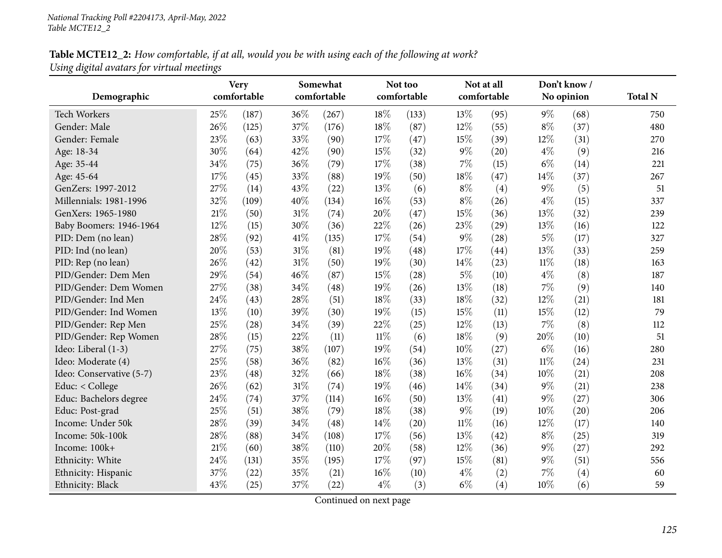### Table MCTE12\_2: How comfortable, if at all, would you be with using each of the following at work? *Using digital avatars for virtual meetings*

|                          |     | <b>Very</b> | Somewhat |             |        | Not too     |        | Not at all  |        | Don't know/ |                |
|--------------------------|-----|-------------|----------|-------------|--------|-------------|--------|-------------|--------|-------------|----------------|
| Demographic              |     | comfortable |          | comfortable |        | comfortable |        | comfortable |        | No opinion  | <b>Total N</b> |
| <b>Tech Workers</b>      | 25% | (187)       | 36%      | (267)       | 18%    | (133)       | 13%    | (95)        | $9\%$  | (68)        | 750            |
| Gender: Male             | 26% | (125)       | 37%      | (176)       | 18%    | (87)        | 12%    | (55)        | $8\%$  | (37)        | 480            |
| Gender: Female           | 23% | (63)        | 33%      | (90)        | 17%    | (47)        | 15%    | (39)        | 12%    | (31)        | 270            |
| Age: 18-34               | 30% | (64)        | 42%      | (90)        | 15%    | (32)        | $9\%$  | (20)        | $4\%$  | (9)         | 216            |
| Age: 35-44               | 34% | (75)        | 36%      | (79)        | 17%    | (38)        | 7%     | (15)        | $6\%$  | (14)        | 221            |
| Age: 45-64               | 17% | (45)        | 33%      | (88)        | 19%    | (50)        | 18%    | (47)        | 14%    | (37)        | 267            |
| GenZers: 1997-2012       | 27% | (14)        | 43%      | (22)        | 13%    | (6)         | $8\%$  | (4)         | $9\%$  | (5)         | 51             |
| Millennials: 1981-1996   | 32% | (109)       | 40%      | (134)       | 16%    | (53)        | $8\%$  | (26)        | $4\%$  | (15)        | 337            |
| GenXers: 1965-1980       | 21% | (50)        | 31%      | (74)        | 20%    | (47)        | 15%    | (36)        | 13%    | (32)        | 239            |
| Baby Boomers: 1946-1964  | 12% | (15)        | 30%      | (36)        | 22%    | (26)        | 23%    | (29)        | 13%    | (16)        | 122            |
| PID: Dem (no lean)       | 28% | (92)        | 41\%     | (135)       | 17%    | (54)        | $9\%$  | (28)        | $5\%$  | (17)        | 327            |
| PID: Ind (no lean)       | 20% | (53)        | 31%      | (81)        | 19%    | (48)        | 17%    | (44)        | 13%    | (33)        | 259            |
| PID: Rep (no lean)       | 26% | (42)        | 31%      | (50)        | 19%    | (30)        | 14%    | (23)        | $11\%$ | (18)        | 163            |
| PID/Gender: Dem Men      | 29% | (54)        | 46%      | (87)        | 15%    | (28)        | $5\%$  | (10)        | $4\%$  | (8)         | 187            |
| PID/Gender: Dem Women    | 27% | (38)        | 34%      | (48)        | 19%    | (26)        | 13%    | (18)        | 7%     | (9)         | 140            |
| PID/Gender: Ind Men      | 24% | (43)        | 28%      | (51)        | 18%    | (33)        | 18%    | (32)        | 12%    | (21)        | 181            |
| PID/Gender: Ind Women    | 13% | (10)        | 39%      | (30)        | 19%    | (15)        | 15%    | (11)        | 15%    | (12)        | 79             |
| PID/Gender: Rep Men      | 25% | (28)        | 34%      | (39)        | 22%    | (25)        | 12%    | (13)        | 7%     | (8)         | 112            |
| PID/Gender: Rep Women    | 28% | (15)        | 22%      | (11)        | $11\%$ | (6)         | 18%    | (9)         | 20%    | (10)        | 51             |
| Ideo: Liberal (1-3)      | 27% | (75)        | 38%      | (107)       | 19%    | (54)        | 10%    | (27)        | $6\%$  | (16)        | 280            |
| Ideo: Moderate (4)       | 25% | (58)        | 36%      | (82)        | 16%    | (36)        | 13%    | (31)        | $11\%$ | (24)        | 231            |
| Ideo: Conservative (5-7) | 23% | (48)        | 32%      | (66)        | 18%    | (38)        | 16%    | (34)        | 10%    | (21)        | 208            |
| Educ: < College          | 26% | (62)        | 31%      | (74)        | 19%    | (46)        | 14%    | (34)        | 9%     | (21)        | 238            |
| Educ: Bachelors degree   | 24% | (74)        | 37%      | (114)       | 16%    | (50)        | 13%    | (41)        | 9%     | (27)        | 306            |
| Educ: Post-grad          | 25% | (51)        | 38%      | (79)        | 18%    | (38)        | $9\%$  | (19)        | 10%    | (20)        | 206            |
| Income: Under 50k        | 28% | (39)        | 34%      | (48)        | 14\%   | (20)        | $11\%$ | (16)        | 12%    | (17)        | 140            |
| Income: 50k-100k         | 28% | (88)        | 34%      | (108)       | 17%    | (56)        | 13%    | (42)        | $8\%$  | (25)        | 319            |
| Income: 100k+            | 21% | (60)        | 38%      | (110)       | 20%    | (58)        | 12%    | (36)        | $9\%$  | (27)        | 292            |
| Ethnicity: White         | 24% | (131)       | 35%      | (195)       | 17%    | (97)        | 15%    | (81)        | 9%     | (51)        | 556            |
| Ethnicity: Hispanic      | 37% | (22)        | 35%      | (21)        | 16%    | (10)        | $4\%$  | (2)         | 7%     | (4)         | 60             |
| Ethnicity: Black         | 43% | (25)        | 37%      | (22)        | $4\%$  | (3)         | $6\%$  | (4)         | 10%    | (6)         | 59             |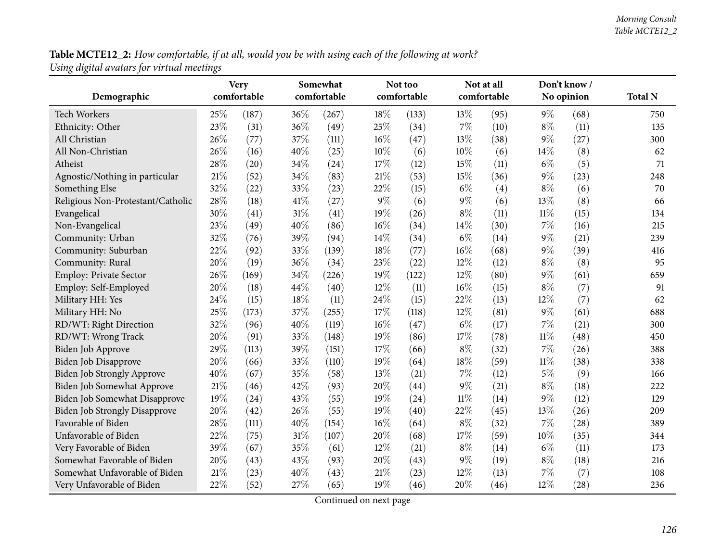**Table MCTE12\_2:** How comfortable, if at all, would you be with using each of the following at work? *Using digital avatars for virtual meetings*

| Demographic                          |     | <b>Very</b><br>comfortable |     | Somewhat<br>comfortable |        | Not too<br>comfortable |        | Not at all<br>comfortable |        | Don't know /<br>No opinion | <b>Total N</b> |
|--------------------------------------|-----|----------------------------|-----|-------------------------|--------|------------------------|--------|---------------------------|--------|----------------------------|----------------|
|                                      |     |                            |     |                         |        |                        |        |                           |        |                            |                |
| Tech Workers                         | 25% | (187)                      | 36% | (267)                   | 18%    | (133)                  | 13%    | (95)                      | $9\%$  | (68)                       | 750            |
| Ethnicity: Other                     | 23% | (31)                       | 36% | (49)                    | 25%    | (34)                   | 7%     | (10)                      | $8\%$  | (11)                       | 135            |
| All Christian                        | 26% | (77)                       | 37% | (111)                   | 16%    | (47)                   | 13%    | (38)                      | 9%     | (27)                       | 300            |
| All Non-Christian                    | 26% | (16)                       | 40% | (25)                    | 10%    | (6)                    | 10%    | (6)                       | 14%    | (8)                        | 62             |
| Atheist                              | 28% | (20)                       | 34% | (24)                    | 17%    | (12)                   | 15%    | (11)                      | $6\%$  | (5)                        | 71             |
| Agnostic/Nothing in particular       | 21% | (52)                       | 34% | (83)                    | 21%    | (53)                   | 15%    | (36)                      | 9%     | (23)                       | 248            |
| Something Else                       | 32% | (22)                       | 33% | (23)                    | 22%    | (15)                   | $6\%$  | (4)                       | $8\%$  | (6)                        | 70             |
| Religious Non-Protestant/Catholic    | 28% | (18)                       | 41% | (27)                    | 9%     | (6)                    | $9\%$  | (6)                       | 13%    | (8)                        | 66             |
| Evangelical                          | 30% | (41)                       | 31% | (41)                    | 19%    | (26)                   | $8\%$  | (11)                      | $11\%$ | (15)                       | 134            |
| Non-Evangelical                      | 23% | (49)                       | 40% | (86)                    | 16%    | (34)                   | 14%    | (30)                      | 7%     | (16)                       | 215            |
| Community: Urban                     | 32% | (76)                       | 39% | (94)                    | 14%    | (34)                   | $6\%$  | (14)                      | 9%     | (21)                       | 239            |
| Community: Suburban                  | 22% | (92)                       | 33% | (139)                   | 18%    | (77)                   | 16%    | (68)                      | 9%     | (39)                       | 416            |
| Community: Rural                     | 20% | (19)                       | 36% | (34)                    | 23%    | (22)                   | 12%    | (12)                      | $8\%$  | (8)                        | 95             |
| Employ: Private Sector               | 26% | (169)                      | 34% | (226)                   | 19%    | (122)                  | 12%    | (80)                      | 9%     | (61)                       | 659            |
| Employ: Self-Employed                | 20% | (18)                       | 44% | (40)                    | 12%    | (11)                   | 16%    | (15)                      | $8\%$  | (7)                        | 91             |
| Military HH: Yes                     | 24% | (15)                       | 18% | (11)                    | 24%    | (15)                   | 22%    | (13)                      | 12%    | (7)                        | 62             |
| Military HH: No                      | 25% | (173)                      | 37% | (255)                   | 17%    | (118)                  | 12%    | (81)                      | 9%     | (61)                       | 688            |
| RD/WT: Right Direction               | 32% | (96)                       | 40% | (119)                   | 16%    | (47)                   | $6\%$  | (17)                      | 7%     | (21)                       | 300            |
| RD/WT: Wrong Track                   | 20% | (91)                       | 33% | (148)                   | 19%    | (86)                   | 17%    | (78)                      | $11\%$ | (48)                       | 450            |
| Biden Job Approve                    | 29% | (113)                      | 39% | (151)                   | 17%    | (66)                   | $8\%$  | (32)                      | 7%     | (26)                       | 388            |
| Biden Job Disapprove                 | 20% | (66)                       | 33% | (110)                   | 19%    | (64)                   | 18%    | (59)                      | $11\%$ | (38)                       | 338            |
| Biden Job Strongly Approve           | 40% | (67)                       | 35% | (58)                    | 13%    | (21)                   | 7%     | (12)                      | $5\%$  | (9)                        | 166            |
| Biden Job Somewhat Approve           | 21% | (46)                       | 42% | (93)                    | 20%    | (44)                   | $9\%$  | (21)                      | $8\%$  | (18)                       | 222            |
| Biden Job Somewhat Disapprove        | 19% | (24)                       | 43% | (55)                    | 19%    | (24)                   | $11\%$ | (14)                      | 9%     | (12)                       | 129            |
| <b>Biden Job Strongly Disapprove</b> | 20% | (42)                       | 26% | (55)                    | 19%    | (40)                   | 22%    | (45)                      | 13%    | (26)                       | 209            |
| Favorable of Biden                   | 28% | (111)                      | 40% | (154)                   | 16%    | (64)                   | $8\%$  | (32)                      | 7%     | (28)                       | 389            |
| Unfavorable of Biden                 | 22% | (75)                       | 31% | (107)                   | 20%    | (68)                   | 17%    | (59)                      | 10%    | (35)                       | 344            |
| Very Favorable of Biden              | 39% | (67)                       | 35% | (61)                    | 12%    | (21)                   | $8\%$  | (14)                      | $6\%$  | (11)                       | 173            |
| Somewhat Favorable of Biden          | 20% | (43)                       | 43% | (93)                    | 20%    | (43)                   | $9\%$  | (19)                      | $8\%$  | (18)                       | 216            |
| Somewhat Unfavorable of Biden        | 21% | (23)                       | 40% | (43)                    | $21\%$ | (23)                   | 12%    | (13)                      | 7%     | (7)                        | 108            |
| Very Unfavorable of Biden            | 22% | (52)                       | 27% | (65)                    | 19%    | (46)                   | 20%    | (46)                      | 12%    | (28)                       | 236            |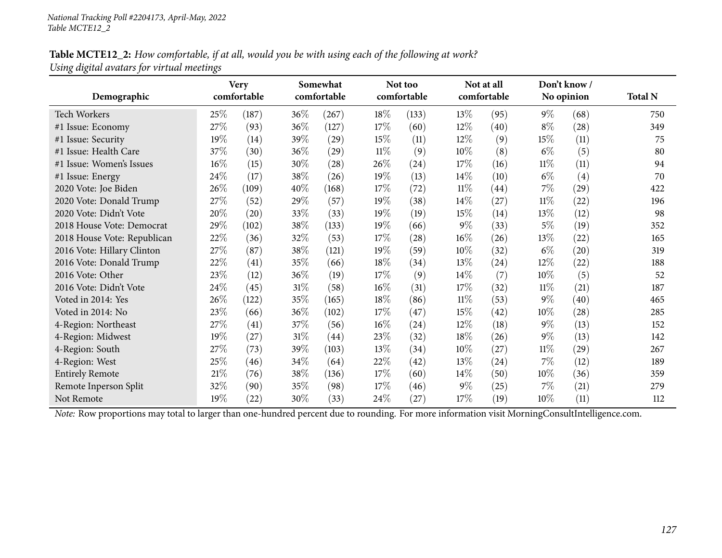### Table MCTE12\_2: How comfortable, if at all, would you be with using each of the following at work? *Using digital avatars for virtual meetings*

|                             |        | <b>Very</b> |        | Somewhat    |        | Not too     |        | Not at all  |        | Don't know/        |                |
|-----------------------------|--------|-------------|--------|-------------|--------|-------------|--------|-------------|--------|--------------------|----------------|
| Demographic                 |        | comfortable |        | comfortable |        | comfortable |        | comfortable |        | No opinion         | <b>Total N</b> |
| Tech Workers                | 25\%   | (187)       | 36%    | (267)       | 18\%   | (133)       | 13\%   | (95)        | $9\%$  | (68)               | 750            |
| #1 Issue: Economy           | 27%    | (93)        | 36%    | (127)       | 17%    | (60)        | 12%    | (40)        | $8\%$  | (28)               | 349            |
| #1 Issue: Security          | 19%    | (14)        | 39%    | (29)        | 15%    | (11)        | 12%    | (9)         | 15%    | (11)               | 75             |
| #1 Issue: Health Care       | 37%    | (30)        | 36%    | (29)        | $11\%$ | (9)         | $10\%$ | (8)         | $6\%$  | (5)                | 80             |
| #1 Issue: Women's Issues    | 16%    | (15)        | 30%    | (28)        | 26\%   | (24)        | 17\%   | (16)        | $11\%$ | (11)               | 94             |
| #1 Issue: Energy            | 24%    | (17)        | 38%    | (26)        | 19%    | (13)        | 14%    | (10)        | $6\%$  | (4)                | 70             |
| 2020 Vote: Joe Biden        | 26\%   | (109)       | 40%    | (168)       | 17%    | (72)        | $11\%$ | (44)        | $7\%$  | (29)               | 422            |
| 2020 Vote: Donald Trump     | 27%    | (52)        | 29%    | (57)        | 19%    | (38)        | 14\%   | (27)        | $11\%$ | (22)               | 196            |
| 2020 Vote: Didn't Vote      | 20%    | (20)        | 33%    | (33)        | 19%    | (19)        | 15\%   | (14)        | 13\%   | (12)               | 98             |
| 2018 House Vote: Democrat   | 29%    | (102)       | 38%    | (133)       | $19\%$ | (66)        | $9\%$  | (33)        | 5%     | (19)               | 352            |
| 2018 House Vote: Republican | 22%    | (36)        | 32%    | (53)        | 17%    | (28)        | $16\%$ | (26)        | 13\%   | (22)               | 165            |
| 2016 Vote: Hillary Clinton  | 27%    | (87)        | 38%    | (121)       | 19%    | (59)        | $10\%$ | (32)        | $6\%$  | (20)               | 319            |
| 2016 Vote: Donald Trump     | 22%    | (41)        | 35%    | (66)        | 18%    | (34)        | 13\%   | (24)        | $12\%$ | (22)               | 188            |
| 2016 Vote: Other            | 23%    | (12)        | 36%    | (19)        | 17%    | (9)         | 14\%   | (7)         | $10\%$ | (5)                | 52             |
| 2016 Vote: Didn't Vote      | 24\%   | (45)        | 31%    | (58)        | $16\%$ | (31)        | 17%    | (32)        | $11\%$ | (21)               | 187            |
| Voted in 2014: Yes          | 26%    | (122)       | 35%    | (165)       | 18%    | (86)        | $11\%$ | (53)        | $9\%$  | (40)               | 465            |
| Voted in 2014: No           | 23%    | (66)        | 36%    | (102)       | 17%    | (47)        | 15\%   | (42)        | $10\%$ | (28)               | 285            |
| 4-Region: Northeast         | 27%    | (41)        | 37%    | (56)        | 16%    | (24)        | 12%    | (18)        | $9\%$  | (13)               | 152            |
| 4-Region: Midwest           | 19%    | (27)        | $31\%$ | (44)        | 23\%   | (32)        | 18\%   | (26)        | $9\%$  | (13)               | 142            |
| 4-Region: South             | 27%    | (73)        | 39%    | (103)       | 13\%   | (34)        | $10\%$ | (27)        | $11\%$ | $\left( 29\right)$ | 267            |
| 4-Region: West              | 25%    | (46)        | 34%    | (64)        | 22%    | (42)        | 13%    | (24)        | $7\%$  | (12)               | 189            |
| <b>Entirely Remote</b>      | $21\%$ | (76)        | 38%    | (136)       | 17%    | (60)        | $14\%$ | (50)        | $10\%$ | (36)               | 359            |
| Remote Inperson Split       | 32%    | (90)        | 35%    | (98)        | 17%    | (46)        | $9\%$  | (25)        | $7\%$  | (21)               | 279            |
| Not Remote                  | 19%    | (22)        | 30%    | (33)        | 24\%   | (27)        | 17\%   | (19)        | $10\%$ | (11)               | 112            |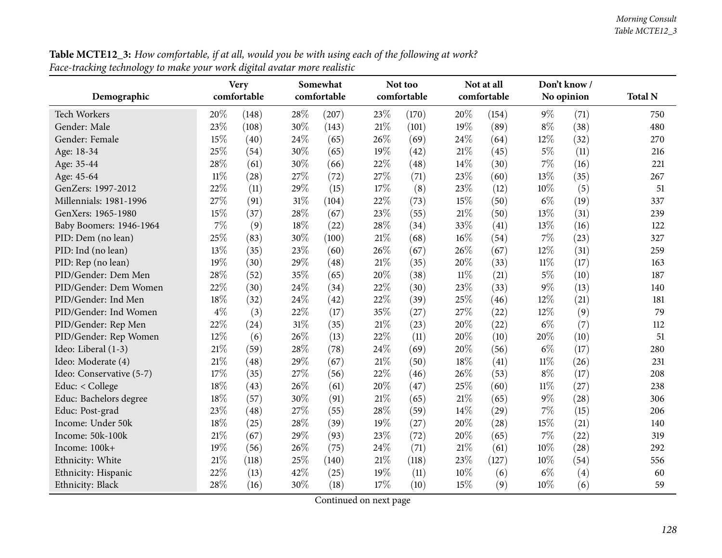| <b>Table MCTE12_3:</b> How comfortable, if at all, would you be with using each of the following at work? |  |
|-----------------------------------------------------------------------------------------------------------|--|
| Face-tracking technology to make your work digital avatar more realistic                                  |  |

| o<br>0/<br>Demographic   | <b>Very</b><br>comfortable |       |     | Somewhat<br>comfortable |        | Not too<br>comfortable |        | Not at all<br>comfortable |        | Don't know /<br>No opinion | <b>Total N</b> |
|--------------------------|----------------------------|-------|-----|-------------------------|--------|------------------------|--------|---------------------------|--------|----------------------------|----------------|
|                          |                            |       |     |                         |        |                        |        |                           |        |                            |                |
| <b>Tech Workers</b>      | 20%                        | (148) | 28% | (207)                   | 23\%   | (170)                  | 20%    | (154)                     | $9\%$  | (71)                       | 750            |
| Gender: Male             | 23%                        | (108) | 30% | (143)                   | 21\%   | (101)                  | 19%    | (89)                      | $8\%$  | (38)                       | 480            |
| Gender: Female           | 15%                        | (40)  | 24% | (65)                    | 26%    | (69)                   | 24%    | (64)                      | $12\%$ | (32)                       | 270            |
| Age: 18-34               | 25%                        | (54)  | 30% | (65)                    | 19%    | (42)                   | 21%    | (45)                      | $5\%$  | (11)                       | 216            |
| Age: 35-44               | 28%                        | (61)  | 30% | (66)                    | 22%    | (48)                   | 14%    | (30)                      | $7\%$  | (16)                       | 221            |
| Age: 45-64               | $11\%$                     | (28)  | 27% | (72)                    | 27%    | (71)                   | 23%    | (60)                      | 13%    | (35)                       | 267            |
| GenZers: 1997-2012       | 22%                        | (11)  | 29% | (15)                    | 17%    | (8)                    | 23%    | (12)                      | 10%    | (5)                        | 51             |
| Millennials: 1981-1996   | 27%                        | (91)  | 31% | (104)                   | 22%    | (73)                   | 15%    | (50)                      | $6\%$  | (19)                       | 337            |
| GenXers: 1965-1980       | 15%                        | (37)  | 28% | (67)                    | 23%    | (55)                   | 21%    | (50)                      | 13%    | (31)                       | 239            |
| Baby Boomers: 1946-1964  | 7%                         | (9)   | 18% | (22)                    | 28%    | (34)                   | 33%    | (41)                      | 13%    | (16)                       | 122            |
| PID: Dem (no lean)       | 25%                        | (83)  | 30% | (100)                   | 21\%   | (68)                   | 16%    | (54)                      | $7\%$  | (23)                       | 327            |
| PID: Ind (no lean)       | 13%                        | (35)  | 23% | (60)                    | 26%    | (67)                   | 26%    | (67)                      | $12\%$ | (31)                       | 259            |
| PID: Rep (no lean)       | 19%                        | (30)  | 29% | (48)                    | 21\%   | (35)                   | 20%    | (33)                      | $11\%$ | (17)                       | 163            |
| PID/Gender: Dem Men      | 28%                        | (52)  | 35% | (65)                    | 20%    | (38)                   | $11\%$ | (21)                      | $5\%$  | (10)                       | 187            |
| PID/Gender: Dem Women    | 22%                        | (30)  | 24% | (34)                    | 22%    | (30)                   | 23%    | (33)                      | $9\%$  | (13)                       | 140            |
| PID/Gender: Ind Men      | 18%                        | (32)  | 24% | (42)                    | 22%    | (39)                   | 25%    | (46)                      | 12%    | (21)                       | 181            |
| PID/Gender: Ind Women    | $4\%$                      | (3)   | 22% | (17)                    | 35%    | (27)                   | 27%    | (22)                      | $12\%$ | (9)                        | 79             |
| PID/Gender: Rep Men      | 22%                        | (24)  | 31% | (35)                    | 21\%   | (23)                   | 20%    | (22)                      | $6\%$  | (7)                        | 112            |
| PID/Gender: Rep Women    | 12%                        | (6)   | 26% | (13)                    | 22%    | (11)                   | 20%    | (10)                      | 20%    | (10)                       | 51             |
| Ideo: Liberal (1-3)      | 21%                        | (59)  | 28% | (78)                    | 24%    | (69)                   | 20%    | (56)                      | $6\%$  | (17)                       | 280            |
| Ideo: Moderate (4)       | 21%                        | (48)  | 29% | (67)                    | $21\%$ | (50)                   | 18%    | (41)                      | $11\%$ | (26)                       | 231            |
| Ideo: Conservative (5-7) | 17%                        | (35)  | 27% | (56)                    | 22%    | (46)                   | 26%    | (53)                      | $8\%$  | (17)                       | 208            |
| Educ: < College          | 18%                        | (43)  | 26% | (61)                    | 20%    | (47)                   | 25%    | (60)                      | $11\%$ | (27)                       | 238            |
| Educ: Bachelors degree   | 18%                        | (57)  | 30% | (91)                    | 21\%   | (65)                   | $21\%$ | (65)                      | $9\%$  | (28)                       | 306            |
| Educ: Post-grad          | 23%                        | (48)  | 27% | (55)                    | 28%    | (59)                   | 14%    | (29)                      | 7%     | (15)                       | 206            |
| Income: Under 50k        | 18%                        | (25)  | 28% | (39)                    | 19%    | (27)                   | 20%    | (28)                      | 15%    | (21)                       | 140            |
| Income: 50k-100k         | 21%                        | (67)  | 29% | (93)                    | 23%    | (72)                   | 20%    | (65)                      | $7\%$  | (22)                       | 319            |
| Income: 100k+            | 19%                        | (56)  | 26% | (75)                    | 24%    | (71)                   | $21\%$ | (61)                      | 10%    | (28)                       | 292            |
| Ethnicity: White         | 21%                        | (118) | 25% | (140)                   | 21%    | (118)                  | 23%    | (127)                     | 10%    | (54)                       | 556            |
| Ethnicity: Hispanic      | 22%                        | (13)  | 42% | (25)                    | 19%    | (11)                   | 10%    | (6)                       | $6\%$  | (4)                        | 60             |
| Ethnicity: Black         | 28%                        | (16)  | 30% | (18)                    | 17%    | (10)                   | 15%    | (9)                       | $10\%$ | (6)                        | 59             |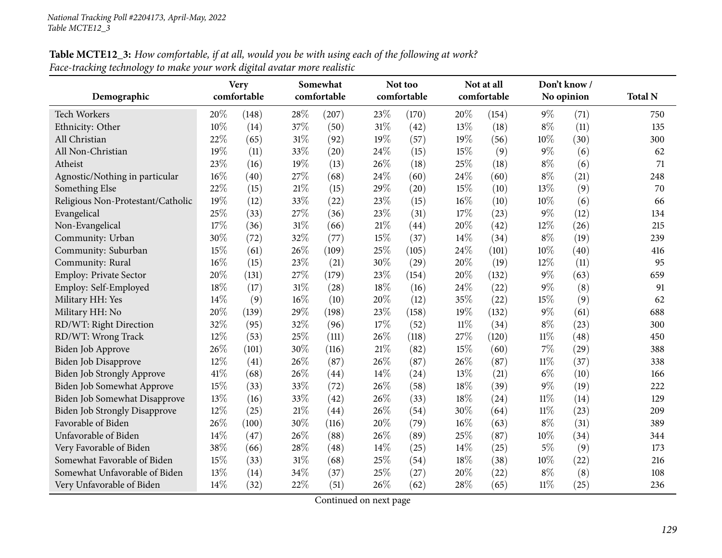# **Table MCTE12\_3:** How comfortable, if at all, would you be with using each of the following at work? *Face-tracking technology to make your work digital avatar more realistic*

|                                      |     | <b>Very</b> | Somewhat |             |        | Not too     |        | Not at all  |        | Don't know/ |                |
|--------------------------------------|-----|-------------|----------|-------------|--------|-------------|--------|-------------|--------|-------------|----------------|
| Demographic                          |     | comfortable |          | comfortable |        | comfortable |        | comfortable |        | No opinion  | <b>Total N</b> |
| Tech Workers                         | 20% | (148)       | 28%      | (207)       | 23%    | (170)       | 20%    | (154)       | $9\%$  | (71)        | 750            |
| Ethnicity: Other                     | 10% | (14)        | 37%      | (50)        | 31%    | (42)        | 13%    | (18)        | $8\%$  | (11)        | 135            |
| All Christian                        | 22% | (65)        | $31\%$   | (92)        | 19%    | (57)        | 19%    | (56)        | 10%    | (30)        | 300            |
| All Non-Christian                    | 19% | (11)        | 33%      | (20)        | 24%    | (15)        | 15%    | (9)         | 9%     | (6)         | 62             |
| Atheist                              | 23% | (16)        | 19%      | (13)        | 26%    | (18)        | 25%    | (18)        | $8\%$  | (6)         | 71             |
| Agnostic/Nothing in particular       | 16% | (40)        | 27%      | (68)        | 24%    | (60)        | 24%    | (60)        | $8\%$  | (21)        | 248            |
| Something Else                       | 22% | (15)        | 21%      | (15)        | 29%    | (20)        | 15%    | (10)        | 13%    | (9)         | 70             |
| Religious Non-Protestant/Catholic    | 19% | (12)        | 33%      | (22)        | 23%    | (15)        | 16%    | (10)        | 10%    | (6)         | 66             |
| Evangelical                          | 25% | (33)        | 27%      | (36)        | 23%    | (31)        | 17%    | (23)        | 9%     | (12)        | 134            |
| Non-Evangelical                      | 17% | (36)        | $31\%$   | (66)        | $21\%$ | (44)        | 20%    | (42)        | 12%    | (26)        | 215            |
| Community: Urban                     | 30% | (72)        | 32%      | (77)        | 15%    | (37)        | 14%    | (34)        | $8\%$  | (19)        | 239            |
| Community: Suburban                  | 15% | (61)        | 26%      | (109)       | 25%    | (105)       | 24%    | (101)       | $10\%$ | (40)        | 416            |
| Community: Rural                     | 16% | (15)        | 23%      | (21)        | 30%    | (29)        | 20%    | (19)        | 12%    | (11)        | 95             |
| Employ: Private Sector               | 20% | (131)       | 27%      | (179)       | 23%    | (154)       | 20%    | (132)       | $9\%$  | (63)        | 659            |
| Employ: Self-Employed                | 18% | (17)        | 31%      | (28)        | 18%    | (16)        | 24%    | (22)        | 9%     | (8)         | 91             |
| Military HH: Yes                     | 14% | (9)         | 16%      | (10)        | 20%    | (12)        | 35%    | (22)        | 15%    | (9)         | 62             |
| Military HH: No                      | 20% | (139)       | 29%      | (198)       | 23%    | (158)       | 19%    | (132)       | $9\%$  | (61)        | 688            |
| RD/WT: Right Direction               | 32% | (95)        | 32%      | (96)        | 17%    | (52)        | $11\%$ | (34)        | $8\%$  | (23)        | 300            |
| RD/WT: Wrong Track                   | 12% | (53)        | 25%      | (111)       | 26%    | (118)       | 27%    | (120)       | $11\%$ | (48)        | 450            |
| Biden Job Approve                    | 26% | (101)       | 30%      | (116)       | 21%    | (82)        | 15%    | (60)        | 7%     | (29)        | 388            |
| Biden Job Disapprove                 | 12% | (41)        | 26%      | (87)        | 26%    | (87)        | 26%    | (87)        | 11%    | (37)        | 338            |
| Biden Job Strongly Approve           | 41% | (68)        | 26%      | (44)        | 14%    | (24)        | 13%    | (21)        | $6\%$  | (10)        | 166            |
| Biden Job Somewhat Approve           | 15% | (33)        | 33%      | (72)        | 26%    | (58)        | 18%    | (39)        | $9\%$  | (19)        | 222            |
| Biden Job Somewhat Disapprove        | 13% | (16)        | 33%      | (42)        | 26%    | (33)        | 18%    | (24)        | 11%    | (14)        | 129            |
| <b>Biden Job Strongly Disapprove</b> | 12% | (25)        | 21%      | (44)        | 26%    | (54)        | 30%    | (64)        | $11\%$ | (23)        | 209            |
| Favorable of Biden                   | 26% | (100)       | 30%      | (116)       | 20%    | (79)        | 16%    | (63)        | $8\%$  | (31)        | 389            |
| Unfavorable of Biden                 | 14% | (47)        | 26%      | (88)        | 26%    | (89)        | 25%    | (87)        | 10%    | (34)        | 344            |
| Very Favorable of Biden              | 38% | (66)        | 28%      | (48)        | 14%    | (25)        | 14%    | (25)        | $5\%$  | (9)         | 173            |
| Somewhat Favorable of Biden          | 15% | (33)        | $31\%$   | (68)        | 25%    | (54)        | 18%    | (38)        | 10%    | (22)        | 216            |
| Somewhat Unfavorable of Biden        | 13% | (14)        | 34%      | (37)        | 25%    | (27)        | 20%    | (22)        | $8\%$  | (8)         | 108            |
| Very Unfavorable of Biden            | 14% | (32)        | 22%      | (51)        | 26%    | (62)        | 28%    | (65)        | $11\%$ | (25)        | 236            |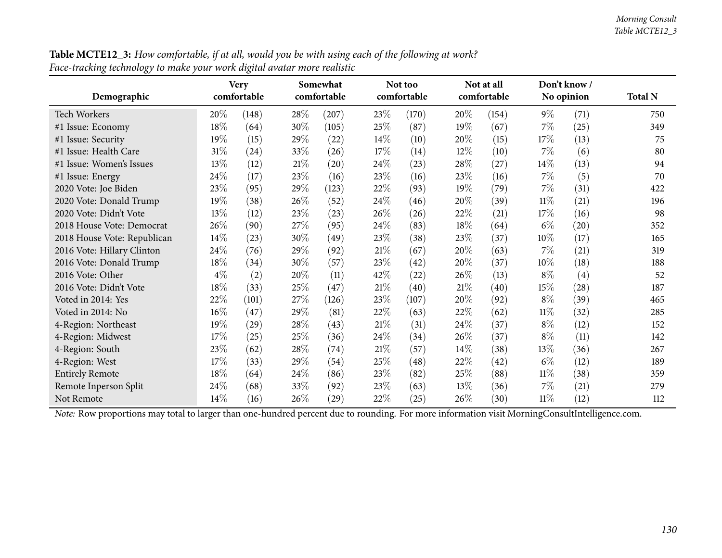| Table MCTE12_3: How comfortable, if at all, would you be with using each of the following at work? |  |
|----------------------------------------------------------------------------------------------------|--|
| Face-tracking technology to make your work digital avatar more realistic                           |  |

| Demographic                 |        | <b>Very</b><br>comfortable | Somewhat<br>comfortable |                    |        | Not too<br>comfortable |        | Not at all<br>comfortable |        | Don't know /<br>No opinion | <b>Total N</b> |
|-----------------------------|--------|----------------------------|-------------------------|--------------------|--------|------------------------|--------|---------------------------|--------|----------------------------|----------------|
| <b>Tech Workers</b>         | $20\%$ | (148)                      | 28%                     | (207)              | 23\%   | (170)                  | 20%    | (154)                     | $9\%$  | (71)                       | 750            |
| #1 Issue: Economy           | $18\%$ | (64)                       | 30%                     | (105)              | 25%    | (87)                   | 19%    | (67)                      | $7\%$  | (25)                       | 349            |
| #1 Issue: Security          | 19%    | (15)                       | 29%                     | $\left( 22\right)$ | $14\%$ | (10)                   | 20%    | (15)                      | 17%    | (13)                       | 75             |
| #1 Issue: Health Care       | $31\%$ | (24)                       | 33%                     | (26)               | 17%    | (14)                   | 12\%   | (10)                      | $7\%$  | (6)                        | 80             |
| #1 Issue: Women's Issues    | 13%    | (12)                       | 21\%                    | $\left( 20\right)$ | 24\%   | (23)                   | 28\%   | (27)                      | 14\%   | (13)                       | 94             |
| #1 Issue: Energy            | 24\%   | (17)                       | 23%                     | (16)               | 23\%   | (16)                   | 23\%   | (16)                      | $7\%$  | (5)                        | 70             |
| 2020 Vote: Joe Biden        | 23%    | (95)                       | 29%                     | (123)              | 22\%   | (93)                   | 19%    | (79)                      | $7\%$  | (31)                       | 422            |
| 2020 Vote: Donald Trump     | 19%    | (38)                       | 26%                     | (52)               | 24\%   | (46)                   | 20%    | (39)                      | $11\%$ | (21)                       | 196            |
| 2020 Vote: Didn't Vote      | 13%    | (12)                       | 23%                     | (23)               | 26%    | (26)                   | 22\%   | (21)                      | 17%    | (16)                       | 98             |
| 2018 House Vote: Democrat   | 26%    | (90)                       | 27%                     | (95)               | 24\%   | (83)                   | 18%    | (64)                      | $6\%$  | (20)                       | 352            |
| 2018 House Vote: Republican | 14%    | (23)                       | 30%                     | (49)               | 23\%   | (38)                   | 23\%   | (37)                      | $10\%$ | (17)                       | 165            |
| 2016 Vote: Hillary Clinton  | 24\%   | (76)                       | 29%                     | (92)               | 21%    | (67)                   | 20%    | (63)                      | $7\%$  | (21)                       | 319            |
| 2016 Vote: Donald Trump     | 18%    | (34)                       | 30%                     | (57)               | 23\%   | (42)                   | 20%    | (37)                      | 10%    | (18)                       | 188            |
| 2016 Vote: Other            | $4\%$  | (2)                        | 20%                     | (11)               | 42\%   | (22)                   | 26\%   | (13)                      | $8\%$  | (4)                        | 52             |
| 2016 Vote: Didn't Vote      | 18%    | (33)                       | 25%                     | (47)               | 21\%   | (40)                   | $21\%$ | (40)                      | 15%    | (28)                       | 187            |
| Voted in 2014: Yes          | 22%    | (101)                      | 27%                     | (126)              | 23\%   | (107)                  | 20%    | (92)                      | $8\%$  | (39)                       | 465            |
| Voted in 2014: No           | $16\%$ | (47)                       | 29%                     | (81)               | 22%    | (63)                   | 22%    | (62)                      | $11\%$ | (32)                       | 285            |
| 4-Region: Northeast         | 19%    | (29)                       | 28%                     | (43)               | $21\%$ | (31)                   | 24\%   | (37)                      | $8\%$  | (12)                       | 152            |
| 4-Region: Midwest           | 17%    | (25)                       | 25%                     | (36)               | 24\%   | (34)                   | 26\%   | (37)                      | $8\%$  | (11)                       | 142            |
| 4-Region: South             | 23%    | (62)                       | 28%                     | (74)               | 21%    | (57)                   | $14\%$ | (38)                      | 13\%   | (36)                       | 267            |
| 4-Region: West              | 17%    | (33)                       | 29%                     | (54)               | 25%    | (48)                   | 22%    | (42)                      | $6\%$  | (12)                       | 189            |
| <b>Entirely Remote</b>      | 18%    | (64)                       | 24\%                    | (86)               | 23\%   | (82)                   | 25\%   | (88)                      | $11\%$ | (38)                       | 359            |
| Remote Inperson Split       | 24%    | (68)                       | 33%                     | (92)               | 23\%   | (63)                   | 13\%   | (36)                      | $7\%$  | (21)                       | 279            |
| Not Remote                  | 14\%   | (16)                       | 26\%                    | $\left( 29\right)$ | 22\%   | (25)                   | 26\%   | (30)                      | $11\%$ | (12)                       | 112            |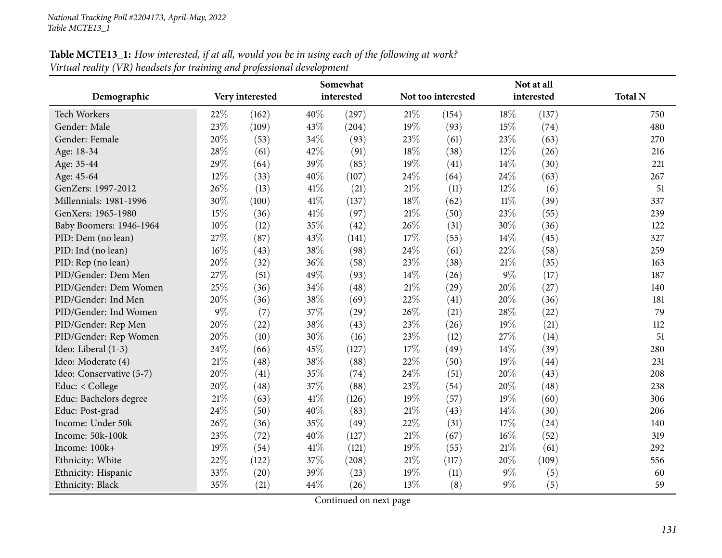Educ: Post-grad

Income: Under 50k

Income: 50k-100k

Income: 100k+<br>Ethnicity: White

Ethnicity: Black

|                         |        |                 |        | Somewhat           |                    |       |            | Not at all |                |
|-------------------------|--------|-----------------|--------|--------------------|--------------------|-------|------------|------------|----------------|
| Demographic             |        | Very interested |        | interested         | Not too interested |       | interested |            | <b>Total N</b> |
| Tech Workers            | 22\%   | (162)           | $40\%$ | (297)              | 21%                | (154) | 18\%       | (137)      | 750            |
| Gender: Male            | 23\%   | (109)           | 43\%   | (204)              | $19\%$             | (93)  | 15\%       | (74)       | 480            |
| Gender: Female          | 20%    | (53)            | $34\%$ | (93)               | 23\%               | (61)  | 23\%       | (63)       | 270            |
| Age: 18-34              | 28\%   | (61)            | 42\%   | (91)               | 18%                | (38)  | 12\%       | (26)       | 216            |
| Age: 35-44              | 29\%   | (64)            | 39\%   | (85)               | $19\%$             | (41)  | $14\%$     | (30)       | 221            |
| Age: 45-64              | $12\%$ | (33)            | 40\%   | (107)              | 24\%               | (64)  | 24\%       | (63)       | 267            |
| GenZers: 1997-2012      | 26\%   | (13)            | 41\%   | (21)               | $21\%$             | (11)  | 12\%       | (6)        | 51             |
| Millennials: 1981-1996  | 30%    | (100)           | 41\%   | (137)              | 18%                | (62)  | $11\%$     | (39)       | 337            |
| GenXers: 1965-1980      | 15%    | (36)            | 41\%   | (97)               | 21%                | (50)  | 23\%       | (55)       | 239            |
| Baby Boomers: 1946-1964 | 10%    | (12)            | 35%    | (42)               | 26%                | (31)  | $30\%$     | (36)       | 122            |
| PID: Dem (no lean)      | 27%    | (87)            | 43\%   | (141)              | 17%                | (55)  | $14\%$     | (45)       | 327            |
| PID: Ind (no lean)      | $16\%$ | (43)            | 38\%   | (98)               | 24\%               | (61)  | 22\%       | (58)       | 259            |
| PID: Rep (no lean)      | 20%    | (32)            | $36\%$ | (58)               | 23%                | (38)  | 21%        | (35)       | 163            |
| PID/Gender: Dem Men     | 27%    | (51)            | 49%    | (93)               | 14\%               | (26)  | $9\%$      | (17)       | 187            |
| PID/Gender: Dem Women   | 25%    | (36)            | 34\%   | (48)               | $21\%$             | (29)  | 20%        | $^{(27)}$  | 140            |
| PID/Gender: Ind Men     | 20%    | (36)            | 38\%   | (69)               | 22%                | (41)  | 20%        | (36)       | 181            |
| PID/Gender: Ind Women   | $9\%$  | (7)             | 37\%   | $\left( 29\right)$ | 26%                | (21)  | 28%        | (22)       | 79             |
| PID/Gender: Rep Men     | 20%    | (22)            | 38\%   | (43)               | 23%                | (26)  | 19%        | (21)       | 112            |
| PID/Gender: Rep Women   | 20%    | (10)            | $30\%$ | (16)               | 23%                | (12)  | 27\%       | (14)       | 51             |
| Ideo: Liberal (1-3)     | 24\%   | (66)            | 45\%   | (127)              | 17%                | (49)  | $14\%$     | (39)       | 280            |
| Ideo: Moderate (4)      | 21%    | (48)            | 38\%   | (88)               | $22\%$             | (50)  | 19%        | (44)       | 231            |
|                         |        |                 |        |                    |                    |       |            |            |                |

Table MCTE13\_1: How interested, if at all, would you be in using each of the following at work?

Continued on next page

Ethnicity: White 22% (122)  $37\%$  (208)  $21\%$  (117)  $20\%$  (109) 556

Ethnicity: Hispanic  $33\%$  (20)  $39\%$  (23)  $19\%$  (11)  $9\%$ <br>Ethnicity: Black  $35\%$  (21)  $44\%$  (26)  $13\%$  (8)  $9\%$ 

k  $(21)$   $44\%$   $(26)$   $13\%$ 

1deo: Conservative (5-7) 20% (41) 35% (74) 24% (51) 20% (43) 208<br>
Educ: < College 20% (48) 37% (88) 23% (54) 20% (48) 238 Educ: < College 20% (48)  $37\%$  (88)  $23\%$  (54)  $20\%$  (48)  $238$ Educ: Bachelors degree 21% (63)  $41\%$  (126)  $19\%$  (57)  $19\%$  (60) 306<br>Educ: Post-grad 24% (50)  $40\%$  (83)  $21\%$  (43)  $14\%$  (30) 206

d  $24\%$  (50)  $40\%$  (83)  $21\%$  (43)  $14\%$  (30) 206

k 26% (36) 35% (49) 22% (31) 17% (24) 140

k 23% (72)  $40\%$  (127)  $21\%$  (67)  $16\%$  (52) 319

 $+$  19% (54)  $41\%$  (121)  $19\%$  (55)  $21\%$  (61) 292

480

270

216

221

122

163

231

206

60

 $\frac{\%}{\%}$  (5) 60

 $\frac{\%}{\%}$  (8) 9\% (5) 59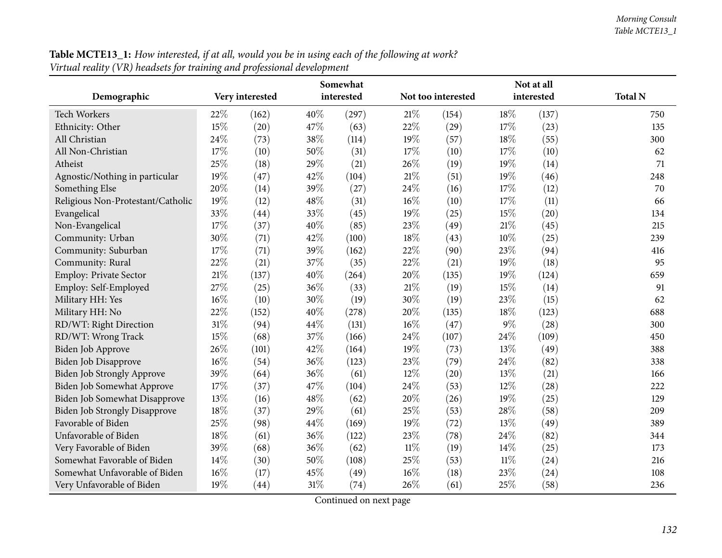| renaa reaaly (+1x) neaasels jor channix and projessional development |        |                 |        |            | Not at all |                    |        |            |                |
|----------------------------------------------------------------------|--------|-----------------|--------|------------|------------|--------------------|--------|------------|----------------|
| Demographic                                                          |        | Very interested |        | interested |            | Not too interested |        | interested | <b>Total N</b> |
| <b>Tech Workers</b>                                                  | 22%    | (162)           | 40%    | (297)      | $21\%$     | (154)              | 18%    | (137)      | 750            |
| Ethnicity: Other                                                     | 15%    | (20)            | 47%    | (63)       | 22%        | (29)               | 17%    | (23)       | 135            |
| All Christian                                                        | 24%    | (73)            | 38%    | (114)      | 19%        | (57)               | 18%    | (55)       | 300            |
| All Non-Christian                                                    | 17%    | (10)            | 50%    | (31)       | 17%        | (10)               | 17%    | (10)       | 62             |
| Atheist                                                              | 25%    | (18)            | 29%    | (21)       | 26%        | (19)               | 19%    | (14)       | 71             |
| Agnostic/Nothing in particular                                       | 19%    | (47)            | 42%    | (104)      | $21\%$     | (51)               | 19%    | (46)       | 248            |
| Something Else                                                       | 20%    | (14)            | 39%    | (27)       | 24\%       | (16)               | 17%    | (12)       | 70             |
| Religious Non-Protestant/Catholic                                    | 19%    | (12)            | 48\%   | (31)       | $16\%$     | (10)               | 17%    | (11)       | 66             |
| Evangelical                                                          | 33%    | (44)            | 33%    | (45)       | 19%        | (25)               | 15%    | (20)       | 134            |
| Non-Evangelical                                                      | 17%    | (37)            | 40%    | (85)       | 23%        | (49)               | $21\%$ | (45)       | 215            |
| Community: Urban                                                     | 30%    | (71)            | 42%    | (100)      | 18%        | (43)               | 10%    | (25)       | 239            |
| Community: Suburban                                                  | 17%    | (71)            | 39%    | (162)      | $22\%$     | (90)               | 23%    | (94)       | 416            |
| Community: Rural                                                     | 22%    | (21)            | 37%    | (35)       | 22%        | (21)               | 19%    | (18)       | 95             |
| Employ: Private Sector                                               | $21\%$ | (137)           | 40%    | (264)      | 20%        | (135)              | 19%    | (124)      | 659            |
| Employ: Self-Employed                                                | 27%    | (25)            | 36%    | (33)       | $21\%$     | (19)               | 15%    | (14)       | 91             |
| Military HH: Yes                                                     | 16%    | (10)            | 30%    | (19)       | 30%        | (19)               | 23%    | (15)       | 62             |
| Military HH: No                                                      | 22%    | (152)           | 40%    | (278)      | 20%        | (135)              | 18%    | (123)      | 688            |
| RD/WT: Right Direction                                               | 31%    | (94)            | 44%    | (131)      | $16\%$     | (47)               | $9\%$  | (28)       | 300            |
| RD/WT: Wrong Track                                                   | 15%    | (68)            | 37%    | (166)      | 24\%       | (107)              | 24\%   | (109)      | 450            |
| <b>Biden Job Approve</b>                                             | 26%    | (101)           | 42%    | (164)      | 19%        | (73)               | 13%    | (49)       | 388            |
| Biden Job Disapprove                                                 | 16%    | (54)            | 36%    | (123)      | 23%        | (79)               | 24%    | (82)       | 338            |
| <b>Biden Job Strongly Approve</b>                                    | 39%    | (64)            | 36%    | (61)       | 12%        | (20)               | 13%    | (21)       | 166            |
| Biden Job Somewhat Approve                                           | 17%    | (37)            | 47%    | (104)      | 24\%       | (53)               | $12\%$ | (28)       | 222            |
| Biden Job Somewhat Disapprove                                        | 13%    | (16)            | 48%    | (62)       | 20%        | (26)               | 19%    | (25)       | 129            |
| <b>Biden Job Strongly Disapprove</b>                                 | 18%    | (37)            | 29%    | (61)       | 25%        | (53)               | 28%    | (58)       | 209            |
| Favorable of Biden                                                   | 25%    | (98)            | 44%    | (169)      | 19%        | (72)               | 13%    | (49)       | 389            |
| Unfavorable of Biden                                                 | $18\%$ | (61)            | 36%    | (122)      | $23\%$     | (78)               | 24\%   | (82)       | 344            |
| Very Favorable of Biden                                              | 39%    | (68)            | 36%    | (62)       | $11\%$     | (19)               | 14%    | (25)       | 173            |
| Somewhat Favorable of Biden                                          | 14%    | (30)            | 50%    | (108)      | $25\%$     | (53)               | $11\%$ | (24)       | 216            |
| Somewhat Unfavorable of Biden                                        | 16%    | (17)            | 45%    | (49)       | $16\%$     | (18)               | 23%    | (24)       | 108            |
| Very Unfavorable of Biden                                            | 19%    | (44)            | $31\%$ | (74)       | 26%        | (61)               | 25%    | (58)       | 236            |

Table MCTE13\_1: How interested, if at all, would you be in using each of the following at work? *Virtual reality (VR) headsets for training and professional development*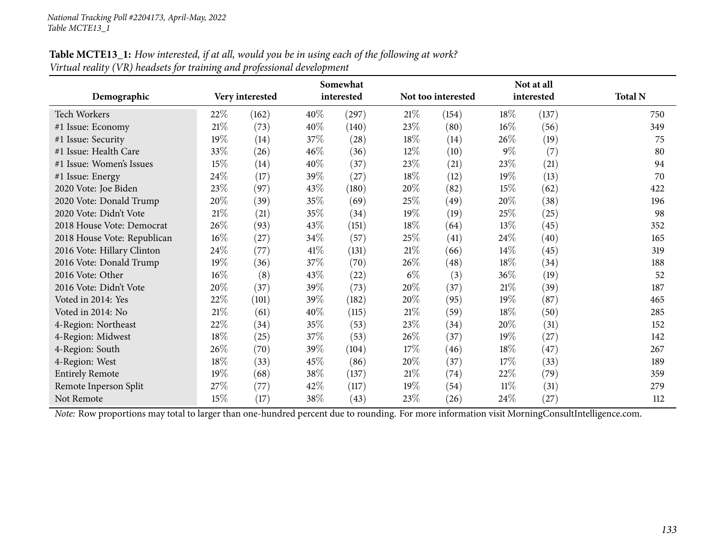| $\sim$                      |        | Not at all         |        |            |        |                    |        |            |                |
|-----------------------------|--------|--------------------|--------|------------|--------|--------------------|--------|------------|----------------|
| Demographic                 |        | Very interested    |        | interested |        | Not too interested |        | interested | <b>Total N</b> |
| <b>Tech Workers</b>         | $22\%$ | (162)              | $40\%$ | (297)      | 21%    | (154)              | 18\%   | (137)      | 750            |
| #1 Issue: Economy           | 21%    | (73)               | 40\%   | (140)      | 23\%   | (80)               | 16%    | (56)       | 349            |
| #1 Issue: Security          | 19%    | (14)               | 37%    | (28)       | 18\%   | (14)               | 26\%   | (19)       | 75             |
| #1 Issue: Health Care       | 33%    | (26)               | 46%    | (36)       | $12\%$ | (10)               | $9\%$  | (7)        | 80             |
| #1 Issue: Women's Issues    | 15%    | (14)               | 40\%   | (37)       | 23\%   | (21)               | 23%    | (21)       | 94             |
| #1 Issue: Energy            | 24\%   | (17)               | $39\%$ | (27)       | $18\%$ | (12)               | 19%    | (13)       | 70             |
| 2020 Vote: Joe Biden        | 23%    | (97)               | 43\%   | (180)      | 20%    | (82)               | 15%    | (62)       | 422            |
| 2020 Vote: Donald Trump     | 20%    | (39)               | 35%    | (69)       | 25%    | (49)               | 20%    | (38)       | 196            |
| 2020 Vote: Didn't Vote      | 21%    | (21)               | 35%    | (34)       | 19%    | (19)               | 25%    | (25)       | 98             |
| 2018 House Vote: Democrat   | 26%    | (93)               | 43\%   | (151)      | $18\%$ | (64)               | 13%    | (45)       | 352            |
| 2018 House Vote: Republican | $16\%$ | (27)               | 34\%   | (57)       | 25\%   | (41)               | 24\%   | (40)       | 165            |
| 2016 Vote: Hillary Clinton  | 24\%   | $\left( 77\right)$ | 41\%   | (131)      | $21\%$ | (66)               | 14%    | (45)       | 319            |
| 2016 Vote: Donald Trump     | 19%    | (36)               | 37\%   | (70)       | 26\%   | (48)               | 18%    | (34)       | 188            |
| 2016 Vote: Other            | $16\%$ | (8)                | 43\%   | $^{(22)}$  | $6\%$  | (3)                | 36\%   | (19)       | 52             |
| 2016 Vote: Didn't Vote      | 20%    | (37)               | 39%    | (73)       | 20%    | (37)               | 21%    | (39)       | 187            |
| Voted in 2014: Yes          | 22\%   | (101)              | 39\%   | (182)      | 20%    | (95)               | 19%    | (87)       | 465            |
| Voted in 2014: No           | 21%    | (61)               | 40\%   | (115)      | 21%    | (59)               | 18%    | (50)       | 285            |
| 4-Region: Northeast         | 22%    | (34)               | 35\%   | (53)       | 23\%   | (34)               | 20%    | (31)       | 152            |
| 4-Region: Midwest           | 18%    | (25)               | 37\%   | (53)       | 26\%   | (37)               | 19%    | (27)       | 142            |
| 4-Region: South             | 26\%   | (70)               | 39%    | (104)      | 17%    | (46)               | 18%    | (47)       | 267            |
| 4-Region: West              | 18%    | (33)               | 45\%   | (86)       | 20%    | (37)               | 17%    | (33)       | 189            |
| <b>Entirely Remote</b>      | 19%    | (68)               | 38\%   | (137)      | 21%    | (74)               | 22\%   | (79)       | 359            |
| Remote Inperson Split       | 27%    | (77)               | 42\%   | (117)      | 19%    | (54)               | $11\%$ | (31)       | 279            |
| Not Remote                  | 15%    | (17)               | 38\%   | (43)       | 23\%   | (26)               | 24\%   | (27)       | 112            |

Table MCTE13\_1: How interested, if at all, would you be in using each of the following at work? *Virtual reality (VR) headsets for training and professional development*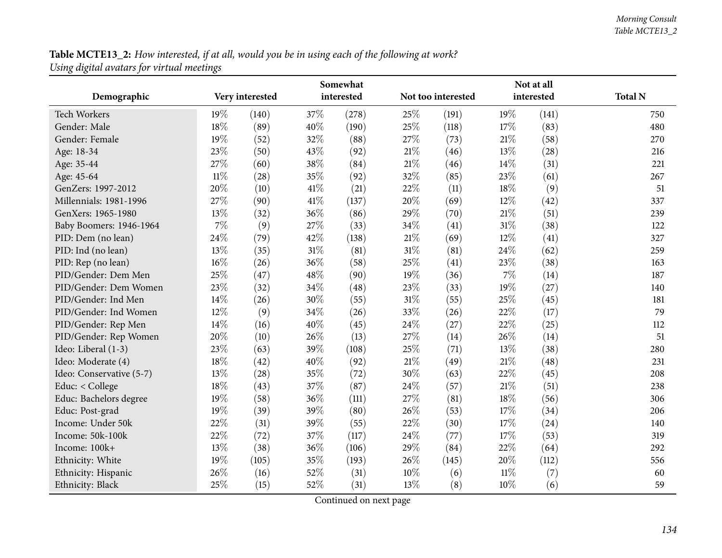## Table MCTE13\_2: How interested, if at all, would you be in using each of the following at work? *Using digital avatars for virtual meetings*

|                          | Somewhat |                 |        |            |        |                    | Not at all |            |                |  |  |  |
|--------------------------|----------|-----------------|--------|------------|--------|--------------------|------------|------------|----------------|--|--|--|
| Demographic              |          | Very interested |        | interested |        | Not too interested |            | interested | <b>Total N</b> |  |  |  |
| Tech Workers             | $19\%$   | (140)           | 37%    | (278)      | 25%    | (191)              | 19%        | (141)      | 750            |  |  |  |
| Gender: Male             | 18%      | (89)            | 40%    | (190)      | 25%    | (118)              | 17%        | (83)       | 480            |  |  |  |
| Gender: Female           | 19%      | (52)            | 32%    | (88)       | 27%    | (73)               | 21%        | (58)       | 270            |  |  |  |
| Age: 18-34               | 23%      | (50)            | 43%    | (92)       | 21%    | (46)               | 13%        | (28)       | 216            |  |  |  |
| Age: 35-44               | 27%      | (60)            | 38%    | (84)       | 21%    | (46)               | 14\%       | (31)       | 221            |  |  |  |
| Age: 45-64               | $11\%$   | (28)            | 35%    | (92)       | 32%    | (85)               | 23%        | (61)       | 267            |  |  |  |
| GenZers: 1997-2012       | 20%      | (10)            | $41\%$ | (21)       | 22%    | (11)               | 18%        | (9)        | 51             |  |  |  |
| Millennials: 1981-1996   | 27%      | (90)            | 41\%   | (137)      | 20%    | (69)               | 12%        | (42)       | 337            |  |  |  |
| GenXers: 1965-1980       | 13%      | (32)            | 36%    | (86)       | 29%    | (70)               | 21%        | (51)       | 239            |  |  |  |
| Baby Boomers: 1946-1964  | $7\%$    | (9)             | 27%    | (33)       | 34%    | (41)               | 31%        | (38)       | 122            |  |  |  |
| PID: Dem (no lean)       | 24\%     | (79)            | 42%    | (138)      | $21\%$ | (69)               | 12%        | (41)       | 327            |  |  |  |
| PID: Ind (no lean)       | 13%      | (35)            | $31\%$ | (81)       | 31%    | (81)               | 24%        | (62)       | 259            |  |  |  |
| PID: Rep (no lean)       | $16\%$   | (26)            | 36%    | (58)       | 25%    | (41)               | 23%        | (38)       | 163            |  |  |  |
| PID/Gender: Dem Men      | 25%      | (47)            | 48%    | (90)       | 19%    | (36)               | 7%         | (14)       | 187            |  |  |  |
| PID/Gender: Dem Women    | 23%      | (32)            | 34%    | (48)       | 23%    | (33)               | 19%        | (27)       | 140            |  |  |  |
| PID/Gender: Ind Men      | 14%      | (26)            | 30%    | (55)       | $31\%$ | (55)               | 25%        | (45)       | 181            |  |  |  |
| PID/Gender: Ind Women    | 12%      | (9)             | 34%    | (26)       | 33%    | (26)               | 22%        | (17)       | 79             |  |  |  |
| PID/Gender: Rep Men      | 14%      | (16)            | 40%    | (45)       | 24%    | (27)               | 22%        | (25)       | 112            |  |  |  |
| PID/Gender: Rep Women    | 20%      | (10)            | 26%    | (13)       | 27%    | (14)               | 26\%       | (14)       | 51             |  |  |  |
| Ideo: Liberal (1-3)      | 23%      | (63)            | 39%    | (108)      | 25%    | (71)               | 13%        | (38)       | 280            |  |  |  |
| Ideo: Moderate (4)       | 18%      | (42)            | 40%    | (92)       | 21%    | (49)               | 21%        | (48)       | 231            |  |  |  |
| Ideo: Conservative (5-7) | 13\%     | (28)            | 35%    | (72)       | 30%    | (63)               | 22%        | (45)       | 208            |  |  |  |
| Educ: < College          | 18%      | (43)            | 37%    | (87)       | 24%    | (57)               | 21%        | (51)       | 238            |  |  |  |
| Educ: Bachelors degree   | 19%      | (58)            | 36%    | (111)      | 27%    | (81)               | 18%        | (56)       | 306            |  |  |  |
| Educ: Post-grad          | 19%      | (39)            | 39%    | (80)       | 26%    | (53)               | 17%        | (34)       | 206            |  |  |  |
| Income: Under 50k        | 22%      | (31)            | 39%    | (55)       | 22%    | (30)               | 17%        | (24)       | 140            |  |  |  |
| Income: 50k-100k         | 22%      | (72)            | 37%    | (117)      | 24%    | (77)               | 17%        | (53)       | 319            |  |  |  |
| Income: 100k+            | 13%      | (38)            | 36%    | (106)      | 29%    | (84)               | 22%        | (64)       | 292            |  |  |  |
| Ethnicity: White         | 19%      | (105)           | 35%    | (193)      | 26%    | (145)              | 20%        | (112)      | 556            |  |  |  |
| Ethnicity: Hispanic      | 26%      | (16)            | 52%    | (31)       | 10%    | (6)                | $11\%$     | (7)        | 60             |  |  |  |
| Ethnicity: Black         | 25%      | (15)            | 52%    | (31)       | 13%    | (8)                | 10%        | (6)        | 59             |  |  |  |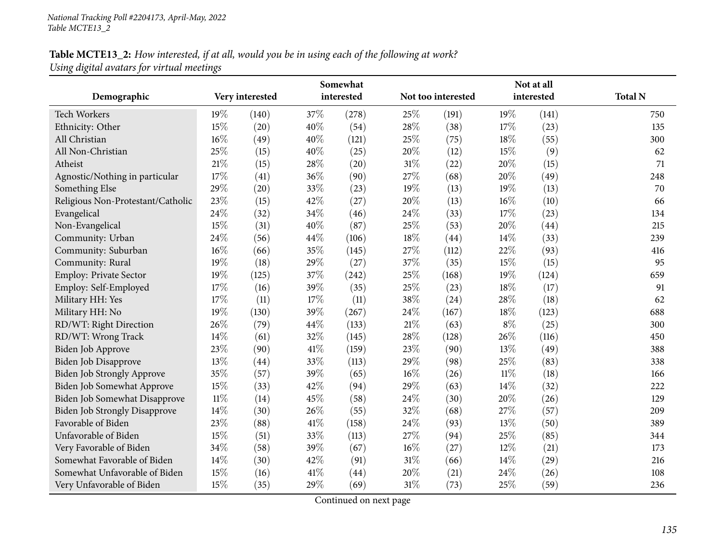### Table MCTE13\_2: How interested, if at all, would you be in using each of the following at work? *Using digital avatars for virtual meetings*

|                                      | Somewhat |                 |      |            |        | Not at all         |        |            |                |  |
|--------------------------------------|----------|-----------------|------|------------|--------|--------------------|--------|------------|----------------|--|
| Demographic                          |          | Very interested |      | interested |        | Not too interested |        | interested | <b>Total N</b> |  |
| <b>Tech Workers</b>                  | 19%      | (140)           | 37\% | (278)      | 25%    | (191)              | 19%    | (141)      | 750            |  |
| Ethnicity: Other                     | 15%      | (20)            | 40%  | (54)       | 28%    | (38)               | 17%    | (23)       | 135            |  |
| All Christian                        | 16%      | (49)            | 40%  | (121)      | 25%    | (75)               | 18%    | (55)       | 300            |  |
| All Non-Christian                    | 25%      | (15)            | 40%  | (25)       | 20%    | (12)               | 15%    | (9)        | 62             |  |
| Atheist                              | 21%      | (15)            | 28%  | (20)       | 31%    | (22)               | 20%    | (15)       | 71             |  |
| Agnostic/Nothing in particular       | 17%      | (41)            | 36%  | (90)       | 27%    | (68)               | 20%    | (49)       | 248            |  |
| Something Else                       | 29%      | (20)            | 33%  | (23)       | 19%    | (13)               | 19%    | (13)       | 70             |  |
| Religious Non-Protestant/Catholic    | 23%      | (15)            | 42%  | (27)       | 20%    | (13)               | 16%    | (10)       | 66             |  |
| Evangelical                          | 24%      | (32)            | 34%  | (46)       | 24%    | (33)               | 17%    | (23)       | 134            |  |
| Non-Evangelical                      | 15%      | (31)            | 40%  | (87)       | 25%    | (53)               | 20%    | (44)       | 215            |  |
| Community: Urban                     | 24%      | (56)            | 44%  | (106)      | 18%    | (44)               | 14%    | (33)       | 239            |  |
| Community: Suburban                  | 16%      | (66)            | 35%  | (145)      | 27%    | (112)              | 22%    | (93)       | 416            |  |
| Community: Rural                     | 19%      | (18)            | 29%  | (27)       | 37%    | (35)               | 15%    | (15)       | 95             |  |
| Employ: Private Sector               | 19%      | (125)           | 37%  | (242)      | 25%    | (168)              | 19%    | (124)      | 659            |  |
| Employ: Self-Employed                | 17%      | (16)            | 39%  | (35)       | 25%    | (23)               | 18%    | (17)       | 91             |  |
| Military HH: Yes                     | 17%      | (11)            | 17%  | (11)       | 38%    | (24)               | 28%    | (18)       | 62             |  |
| Military HH: No                      | 19%      | (130)           | 39%  | (267)      | 24%    | (167)              | 18%    | (123)      | 688            |  |
| RD/WT: Right Direction               | 26%      | (79)            | 44%  | (133)      | $21\%$ | (63)               | $8\%$  | (25)       | 300            |  |
| RD/WT: Wrong Track                   | 14%      | (61)            | 32%  | (145)      | 28%    | (128)              | 26%    | (116)      | 450            |  |
| Biden Job Approve                    | 23%      | (90)            | 41\% | (159)      | 23%    | (90)               | 13%    | (49)       | 388            |  |
| Biden Job Disapprove                 | 13%      | (44)            | 33%  | (113)      | 29%    | (98)               | 25%    | (83)       | 338            |  |
| Biden Job Strongly Approve           | 35%      | (57)            | 39%  | (65)       | 16%    | (26)               | $11\%$ | (18)       | 166            |  |
| Biden Job Somewhat Approve           | 15%      | (33)            | 42%  | (94)       | 29%    | (63)               | 14%    | (32)       | 222            |  |
| Biden Job Somewhat Disapprove        | $11\%$   | (14)            | 45%  | (58)       | 24%    | (30)               | 20%    | (26)       | 129            |  |
| <b>Biden Job Strongly Disapprove</b> | 14%      | (30)            | 26%  | (55)       | 32%    | (68)               | 27%    | (57)       | 209            |  |
| Favorable of Biden                   | 23%      | (88)            | 41\% | (158)      | 24%    | (93)               | 13%    | (50)       | 389            |  |
| Unfavorable of Biden                 | 15%      | (51)            | 33%  | (113)      | 27%    | (94)               | 25%    | (85)       | 344            |  |
| Very Favorable of Biden              | 34%      | (58)            | 39%  | (67)       | 16%    | (27)               | 12%    | (21)       | 173            |  |
| Somewhat Favorable of Biden          | 14%      | (30)            | 42%  | (91)       | 31%    | (66)               | 14%    | (29)       | 216            |  |
| Somewhat Unfavorable of Biden        | 15%      | (16)            | 41\% | (44)       | 20%    | (21)               | 24%    | (26)       | 108            |  |
| Very Unfavorable of Biden            | 15%      | (35)            | 29%  | (69)       | 31%    | (73)               | 25%    | (59)       | 236            |  |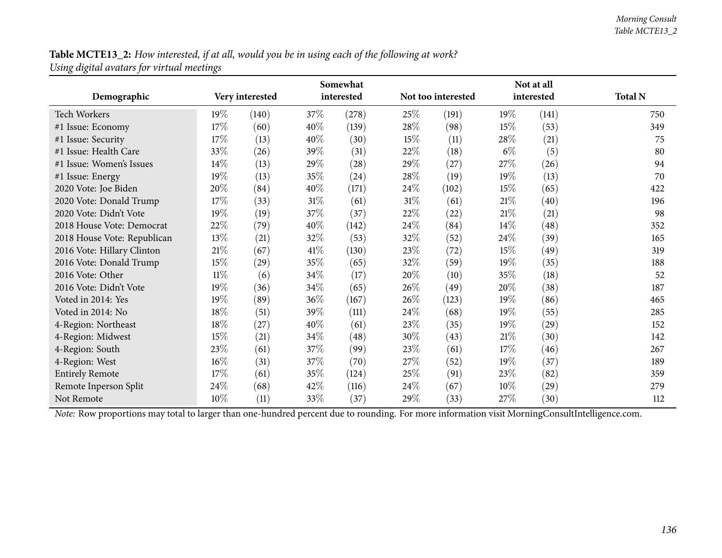Table MCTE13\_2: How interested, if at all, would you be in using each of the following at work? *Using digital avatars for virtual meetings*

|                             | Somewhat |                 |        |            |        | Not at all         |        |            |                |  |
|-----------------------------|----------|-----------------|--------|------------|--------|--------------------|--------|------------|----------------|--|
| Demographic                 |          | Very interested |        | interested |        | Not too interested |        | interested | <b>Total N</b> |  |
| <b>Tech Workers</b>         | $19\%$   | (140)           | 37\%   | (278)      | 25%    | (191)              | 19%    | (141)      | 750            |  |
| #1 Issue: Economy           | 17\%     | (60)            | $40\%$ | (139)      | 28\%   | (98)               | 15\%   | (53)       | 349            |  |
| #1 Issue: Security          | 17%      | (13)            | 40%    | (30)       | 15%    | (11)               | 28\%   | (21)       | 75             |  |
| #1 Issue: Health Care       | 33%      | (26)            | 39\%   | (31)       | 22\%   | (18)               | $6\%$  | (5)        | 80             |  |
| #1 Issue: Women's Issues    | 14%      | (13)            | 29\%   | (28)       | 29\%   | (27)               | 27\%   | (26)       | 94             |  |
| #1 Issue: Energy            | 19%      | (13)            | 35%    | (24)       | 28\%   | (19)               | 19%    | (13)       | 70             |  |
| 2020 Vote: Joe Biden        | 20%      | (84)            | 40%    | (171)      | $24\%$ | (102)              | 15\%   | (65)       | 422            |  |
| 2020 Vote: Donald Trump     | $17\%$   | (33)            | $31\%$ | (61)       | 31\%   | (61)               | 21%    | (40)       | 196            |  |
| 2020 Vote: Didn't Vote      | 19%      | (19)            | 37%    | (37)       | 22\%   | (22)               | 21%    | (21)       | 98             |  |
| 2018 House Vote: Democrat   | 22%      | (79)            | 40%    | (142)      | 24\%   | (84)               | 14\%   | (48)       | 352            |  |
| 2018 House Vote: Republican | 13\%     | (21)            | 32%    | (53)       | 32%    | (52)               | 24\%   | (39)       | 165            |  |
| 2016 Vote: Hillary Clinton  | 21%      | (67)            | 41\%   | (130)      | 23\%   | (72)               | 15\%   | (49)       | 319            |  |
| 2016 Vote: Donald Trump     | 15%      | (29)            | 35%    | (65)       | 32%    | (59)               | 19%    | (35)       | 188            |  |
| 2016 Vote: Other            | $11\%$   | (6)             | 34\%   | (17)       | 20%    | (10)               | 35%    | (18)       | 52             |  |
| 2016 Vote: Didn't Vote      | 19%      | (36)            | 34%    | (65)       | 26\%   | (49)               | 20%    | (38)       | 187            |  |
| Voted in 2014: Yes          | 19%      | (89)            | 36%    | (167)      | $26\%$ | (123)              | $19\%$ | (86)       | 465            |  |
| Voted in 2014: No           | 18%      | (51)            | 39%    | (111)      | $24\%$ | (68)               | $19\%$ | (55)       | 285            |  |
| 4-Region: Northeast         | 18%      | (27)            | 40%    | (61)       | 23\%   | (35)               | 19%    | (29)       | 152            |  |
| 4-Region: Midwest           | 15%      | (21)            | 34%    | (48)       | 30%    | (43)               | 21\%   | (30)       | 142            |  |
| 4-Region: South             | 23\%     | (61)            | 37\%   | (99)       | 23\%   | (61)               | 17\%   | (46)       | 267            |  |
| 4-Region: West              | $16\%$   | (31)            | 37\%   | (70)       | 27\%   | (52)               | 19%    | (37)       | 189            |  |
| <b>Entirely Remote</b>      | 17%      | (61)            | 35%    | (124)      | 25\%   | (91)               | 23\%   | (82)       | 359            |  |
| Remote Inperson Split       | 24\%     | (68)            | 42\%   | (116)      | 24\%   | (67)               | 10%    | (29)       | 279            |  |
| Not Remote                  | $10\%$   | (11)            | 33\%   | (37)       | 29%    | (33)               | 27\%   | (30)       | 112            |  |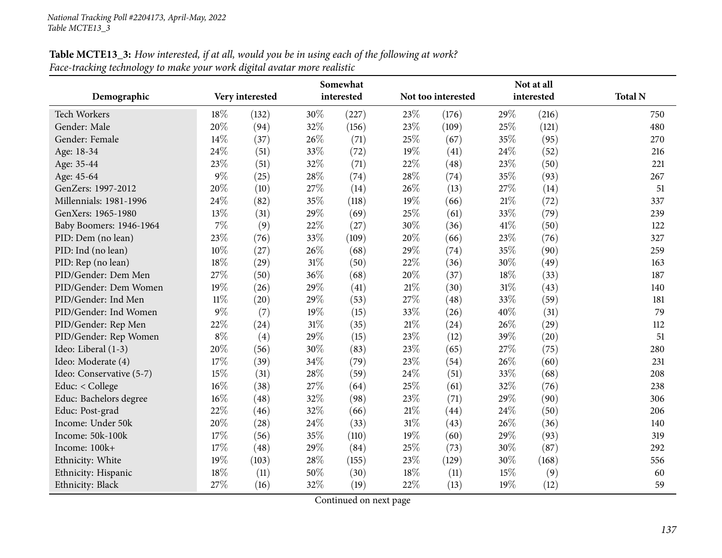# **Table MCTE13\_3:** How interested, if at all, would you be in using each of the following at work? *Face-tracking technology to make your work digital avatar more realistic*

|                          | Somewhat |                 |        |            | Not at all |                    |      |            |                |
|--------------------------|----------|-----------------|--------|------------|------------|--------------------|------|------------|----------------|
| Demographic              |          | Very interested |        | interested |            | Not too interested |      | interested | <b>Total N</b> |
| Tech Workers             | 18%      | (132)           | 30%    | (227)      | 23%        | (176)              | 29%  | (216)      | 750            |
| Gender: Male             | 20%      | (94)            | 32%    | (156)      | 23%        | (109)              | 25%  | (121)      | 480            |
| Gender: Female           | 14%      | (37)            | 26%    | (71)       | 25%        | (67)               | 35%  | (95)       | 270            |
| Age: 18-34               | 24%      | (51)            | 33%    | (72)       | 19%        | (41)               | 24%  | (52)       | 216            |
| Age: 35-44               | 23%      | (51)            | 32%    | (71)       | 22%        | (48)               | 23%  | (50)       | 221            |
| Age: 45-64               | $9\%$    | (25)            | 28\%   | (74)       | 28\%       | (74)               | 35%  | (93)       | 267            |
| GenZers: 1997-2012       | 20%      | (10)            | 27%    | (14)       | 26%        | (13)               | 27%  | (14)       | 51             |
| Millennials: 1981-1996   | 24%      | (82)            | 35%    | (118)      | 19%        | (66)               | 21\% | (72)       | 337            |
| GenXers: 1965-1980       | 13%      | (31)            | 29%    | (69)       | 25%        | (61)               | 33%  | (79)       | 239            |
| Baby Boomers: 1946-1964  | $7\%$    | (9)             | 22%    | (27)       | 30%        | (36)               | 41\% | (50)       | 122            |
| PID: Dem (no lean)       | 23%      | (76)            | 33%    | (109)      | 20%        | (66)               | 23%  | (76)       | 327            |
| PID: Ind (no lean)       | 10%      | (27)            | 26%    | (68)       | 29%        | (74)               | 35%  | (90)       | 259            |
| PID: Rep (no lean)       | 18%      | (29)            | $31\%$ | (50)       | 22%        | (36)               | 30%  | (49)       | 163            |
| PID/Gender: Dem Men      | 27%      | (50)            | 36%    | (68)       | 20%        | (37)               | 18%  | (33)       | 187            |
| PID/Gender: Dem Women    | 19%      | (26)            | 29%    | (41)       | 21\%       | (30)               | 31%  | (43)       | 140            |
| PID/Gender: Ind Men      | $11\%$   | (20)            | 29%    | (53)       | 27%        | (48)               | 33%  | (59)       | 181            |
| PID/Gender: Ind Women    | $9\%$    | (7)             | 19%    | (15)       | 33%        | (26)               | 40%  | (31)       | 79             |
| PID/Gender: Rep Men      | 22%      | (24)            | 31\%   | (35)       | $21\%$     | (24)               | 26%  | (29)       | 112            |
| PID/Gender: Rep Women    | $8\%$    | (4)             | 29%    | (15)       | 23%        | (12)               | 39%  | (20)       | 51             |
| Ideo: Liberal (1-3)      | 20%      | (56)            | 30%    | (83)       | 23%        | (65)               | 27\% | (75)       | 280            |
| Ideo: Moderate (4)       | 17%      | (39)            | 34\%   | (79)       | 23%        | (54)               | 26%  | (60)       | 231            |
| Ideo: Conservative (5-7) | 15%      | (31)            | 28%    | (59)       | 24%        | (51)               | 33%  | (68)       | 208            |
| Educ: < College          | 16%      | (38)            | 27%    | (64)       | 25%        | (61)               | 32%  | (76)       | 238            |
| Educ: Bachelors degree   | 16%      | (48)            | 32%    | (98)       | 23%        | (71)               | 29%  | (90)       | 306            |
| Educ: Post-grad          | 22%      | (46)            | 32%    | (66)       | $21\%$     | (44)               | 24\% | (50)       | 206            |
| Income: Under 50k        | 20%      | (28)            | 24%    | (33)       | $31\%$     | (43)               | 26%  | (36)       | 140            |
| Income: 50k-100k         | 17%      | (56)            | 35%    | (110)      | 19%        | (60)               | 29%  | (93)       | 319            |
| Income: 100k+            | 17%      | (48)            | 29%    | (84)       | 25%        | (73)               | 30%  | (87)       | 292            |
| Ethnicity: White         | 19%      | (103)           | 28%    | (155)      | 23%        | (129)              | 30%  | (168)      | 556            |
| Ethnicity: Hispanic      | 18%      | (11)            | 50%    | (30)       | $18\%$     | (11)               | 15%  | (9)        | 60             |
| Ethnicity: Black         | 27%      | (16)            | 32%    | (19)       | 22%        | (13)               | 19%  | (12)       | 59             |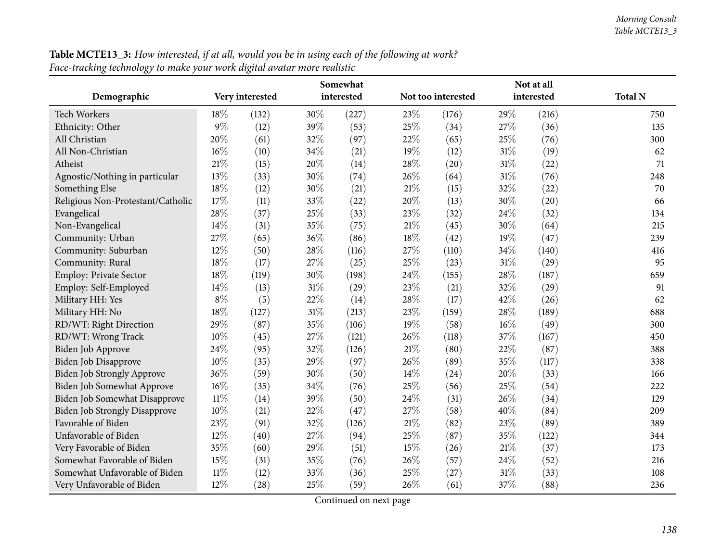| ace-macking technology to make your work aigual availar more realistic |        |                 |        |            |        |                    |        |            |                |
|------------------------------------------------------------------------|--------|-----------------|--------|------------|--------|--------------------|--------|------------|----------------|
|                                                                        |        |                 |        | Somewhat   |        |                    |        | Not at all |                |
| Demographic                                                            |        | Very interested |        | interested |        | Not too interested |        | interested | <b>Total N</b> |
| Tech Workers                                                           | 18%    | (132)           | $30\%$ | (227)      | 23\%   | (176)              | 29%    | (216)      | 750            |
| Ethnicity: Other                                                       | $9\%$  | (12)            | 39%    | (53)       | 25%    | (34)               | 27%    | (36)       | 135            |
| All Christian                                                          | 20%    | (61)            | 32\%   | (97)       | 22\%   | (65)               | 25%    | (76)       | 300            |
| All Non-Christian                                                      | 16%    | (10)            | 34\%   | (21)       | $19\%$ | (12)               | 31%    | (19)       | 62             |
| Atheist                                                                | 21%    | (15)            | 20%    | (14)       | 28\%   | (20)               | $31\%$ | (22)       | 71             |
| Agnostic/Nothing in particular                                         | 13%    | (33)            | 30\%   | (74)       | 26\%   | (64)               | $31\%$ | (76)       | 248            |
| Something Else                                                         | 18%    | (12)            | 30%    | (21)       | $21\%$ | (15)               | 32%    | (22)       | 70             |
| Religious Non-Protestant/Catholic                                      | 17%    | (11)            | 33%    | (22)       | 20%    | (13)               | 30%    | (20)       | 66             |
| Evangelical                                                            | 28%    | (37)            | 25%    | (33)       | 23\%   | (32)               | 24\%   | (32)       | 134            |
| Non-Evangelical                                                        | 14%    | (31)            | 35%    | (75)       | $21\%$ | (45)               | 30%    | (64)       | 215            |
| Community: Urban                                                       | 27%    | (65)            | 36%    | (86)       | $18\%$ | (42)               | 19%    | (47)       | 239            |
| Community: Suburban                                                    | 12%    | (50)            | 28\%   | (116)      | $27\%$ | (110)              | 34%    | (140)      | 416            |
| Community: Rural                                                       | 18%    | (17)            | 27\%   | (25)       | $25\%$ | (23)               | 31%    | (29)       | 95             |
| <b>Employ: Private Sector</b>                                          | 18%    | (119)           | 30%    | (198)      | 24\%   | (155)              | 28%    | (187)      | 659            |
| Employ: Self-Employed                                                  | 14%    | (13)            | 31%    | (29)       | $23\%$ | (21)               | 32%    | (29)       | 91             |
| Military HH: Yes                                                       | $8\%$  | (5)             | 22\%   | (14)       | $28\%$ | (17)               | 42%    | (26)       | 62             |
| Military HH: No                                                        | 18%    | (127)           | $31\%$ | (213)      | $23\%$ | (159)              | 28%    | (189)      | 688            |
| RD/WT: Right Direction                                                 | 29%    | (87)            | 35%    | (106)      | 19%    | (58)               | 16%    | (49)       | 300            |
| RD/WT: Wrong Track                                                     | 10%    | (45)            | 27\%   | (121)      | 26\%   | (118)              | 37%    | (167)      | 450            |
| Biden Job Approve                                                      | 24%    | (95)            | 32%    | (126)      | $21\%$ | (80)               | 22%    | (87)       | 388            |
| <b>Biden Job Disapprove</b>                                            | 10%    | (35)            | 29%    | (97)       | 26%    | (89)               | 35%    | (117)      | 338            |
| <b>Biden Job Strongly Approve</b>                                      | 36%    | (59)            | 30%    | (50)       | $14\%$ | (24)               | 20%    | (33)       | 166            |
| <b>Biden Job Somewhat Approve</b>                                      | 16%    | (35)            | 34\%   | (76)       | 25%    | (56)               | 25%    | (54)       | 222            |
| Biden Job Somewhat Disapprove                                          | $11\%$ | (14)            | 39%    | (50)       | 24\%   | (31)               | 26\%   | (34)       | 129            |
| <b>Biden Job Strongly Disapprove</b>                                   | 10%    | (21)            | 22%    | (47)       | 27%    | (58)               | 40%    | (84)       | 209            |
| Favorable of Biden                                                     | 23%    | (91)            | 32%    | (126)      | $21\%$ | (82)               | 23%    | (89)       | 389            |
| Unfavorable of Biden                                                   | 12%    | (40)            | $27\%$ | (94)       | 25\%   | (87)               | 35%    | (122)      | 344            |
| Very Favorable of Biden                                                | 35%    | (60)            | 29%    | (51)       | $15\%$ | (26)               | $21\%$ | (37)       | 173            |
| Somewhat Favorable of Biden                                            | 15%    | (31)            | 35%    | (76)       | 26%    | (57)               | 24\%   | (52)       | 216            |
| Somewhat Unfavorable of Biden                                          | $11\%$ | (12)            | 33%    | (36)       | $25\%$ | (27)               | 31%    | (33)       | 108            |
| Very Unfavorable of Biden                                              | 12%    | (28)            | 25%    | (59)       | 26%    | (61)               | 37%    | (88)       | 236            |
|                                                                        |        |                 |        |            |        |                    |        |            |                |

Table MCTE13\_3: How interested, if at all, would you be in using each of the following at work? *Face-tracking technology to make your work digital avatar more realistic*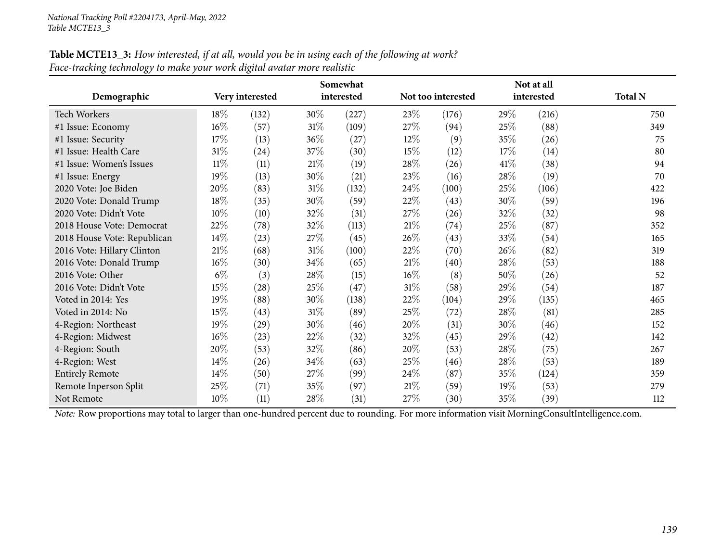| Table MCTE13_3: How interested, if at all, would you be in using each of the following at work? |  |
|-------------------------------------------------------------------------------------------------|--|
| Face-tracking technology to make your work digital avatar more realistic                        |  |

|                             | Somewhat |                    |        |            |        | Not at all         |        |            |                |  |
|-----------------------------|----------|--------------------|--------|------------|--------|--------------------|--------|------------|----------------|--|
| Demographic                 |          | Very interested    |        | interested |        | Not too interested |        | interested | <b>Total N</b> |  |
| <b>Tech Workers</b>         | 18%      | (132)              | 30\%   | (227)      | 23\%   | (176)              | 29\%   | (216)      | 750            |  |
| #1 Issue: Economy           | 16%      | (57)               | $31\%$ | (109)      | 27%    | (94)               | 25%    | (88)       | 349            |  |
| #1 Issue: Security          | 17%      | (13)               | 36%    | (27)       | $12\%$ | (9)                | 35%    | (26)       | 75             |  |
| #1 Issue: Health Care       | $31\%$   | (24)               | 37\%   | (30)       | 15%    | (12)               | 17%    | (14)       | 80             |  |
| #1 Issue: Women's Issues    | $11\%$   | (11)               | 21%    | (19)       | 28\%   | (26)               | 41%    | (38)       | 94             |  |
| #1 Issue: Energy            | 19%      | (13)               | 30%    | (21)       | 23%    | (16)               | $28\%$ | (19)       | 70             |  |
| 2020 Vote: Joe Biden        | 20%      | (83)               | $31\%$ | (132)      | 24\%   | (100)              | $25\%$ | (106)      | 422            |  |
| 2020 Vote: Donald Trump     | 18%      | (35)               | 30\%   | (59)       | 22%    | (43)               | 30%    | (59)       | 196            |  |
| 2020 Vote: Didn't Vote      | 10%      | (10)               | 32%    | (31)       | 27\%   | (26)               | 32\%   | (32)       | 98             |  |
| 2018 House Vote: Democrat   | 22%      | (78)               | 32%    | (113)      | 21%    | (74)               | 25\%   | (87)       | 352            |  |
| 2018 House Vote: Republican | 14\%     | (23)               | 27\%   | (45)       | 26\%   | (43)               | 33\%   | (54)       | 165            |  |
| 2016 Vote: Hillary Clinton  | $21\%$   | (68)               | 31%    | (100)      | 22%    | (70)               | 26\%   | (82)       | 319            |  |
| 2016 Vote: Donald Trump     | $16\%$   | (30)               | 34\%   | (65)       | 21%    | (40)               | 28\%   | (53)       | 188            |  |
| 2016 Vote: Other            | $6\%$    | (3)                | 28\%   | (15)       | $16\%$ | (8)                | 50%    | (26)       | 52             |  |
| 2016 Vote: Didn't Vote      | 15%      | $\left( 28\right)$ | 25%    | (47)       | $31\%$ | (58)               | 29%    | (54)       | 187            |  |
| Voted in 2014: Yes          | 19%      | (88)               | 30%    | (138)      | 22%    | (104)              | 29%    | (135)      | 465            |  |
| Voted in 2014: No           | 15%      | (43)               | $31\%$ | (89)       | 25%    | (72)               | 28\%   | (81)       | 285            |  |
| 4-Region: Northeast         | 19%      | (29)               | 30%    | (46)       | 20%    | (31)               | 30%    | (46)       | 152            |  |
| 4-Region: Midwest           | 16%      | (23)               | 22%    | (32)       | 32%    | (45)               | 29%    | (42)       | 142            |  |
| 4-Region: South             | 20%      | (53)               | 32%    | (86)       | 20%    | (53)               | 28\%   | (75)       | 267            |  |
| 4-Region: West              | $14\%$   | (26)               | 34\%   | (63)       | 25%    | (46)               | 28\%   | (53)       | 189            |  |
| <b>Entirely Remote</b>      | 14%      | (50)               | 27\%   | (99)       | 24\%   | (87)               | 35%    | (124)      | 359            |  |
| Remote Inperson Split       | 25%      | (71)               | 35\%   | (97)       | 21%    | (59)               | 19%    | (53)       | 279            |  |
| Not Remote                  | 10%      | (11)               | 28\%   | (31)       | 27\%   | (30)               | 35%    | (39)       | 112            |  |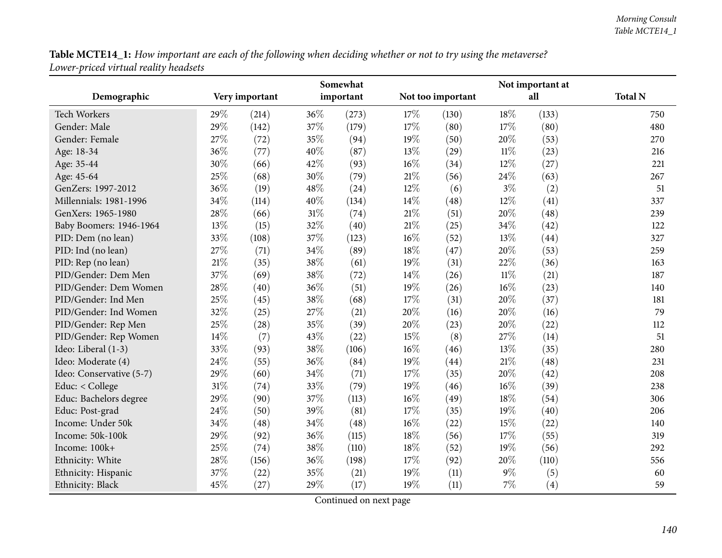Table MCTE14\_1: How important are each of the following when deciding whether or not to try using the metaverse? *Lower-priced virtual reality headsets*

|                          |        | Somewhat       |      |           | Not important at |                   |        |       |                |
|--------------------------|--------|----------------|------|-----------|------------------|-------------------|--------|-------|----------------|
| Demographic              |        | Very important |      | important |                  | Not too important |        | all   | <b>Total N</b> |
| <b>Tech Workers</b>      | 29%    | (214)          | 36%  | (273)     | 17%              | (130)             | 18%    | (133) | 750            |
| Gender: Male             | 29%    | (142)          | 37%  | (179)     | 17%              | (80)              | 17\%   | (80)  | 480            |
| Gender: Female           | 27%    | (72)           | 35%  | (94)      | 19%              | (50)              | 20%    | (53)  | 270            |
| Age: 18-34               | 36%    | (77)           | 40%  | (87)      | 13%              | (29)              | $11\%$ | (23)  | 216            |
| Age: 35-44               | 30%    | (66)           | 42%  | (93)      | $16\%$           | (34)              | 12%    | (27)  | 221            |
| Age: 45-64               | 25%    | (68)           | 30%  | (79)      | $21\%$           | (56)              | 24%    | (63)  | 267            |
| GenZers: 1997-2012       | 36%    | (19)           | 48%  | (24)      | 12%              | (6)               | $3\%$  | (2)   | 51             |
| Millennials: 1981-1996   | 34%    | (114)          | 40%  | (134)     | 14\%             | (48)              | 12%    | (41)  | 337            |
| GenXers: 1965-1980       | 28%    | (66)           | 31%  | (74)      | $21\%$           | (51)              | 20%    | (48)  | 239            |
| Baby Boomers: 1946-1964  | 13%    | (15)           | 32%  | (40)      | $21\%$           | (25)              | 34%    | (42)  | 122            |
| PID: Dem (no lean)       | 33%    | (108)          | 37%  | (123)     | $16\%$           | (52)              | 13%    | (44)  | 327            |
| PID: Ind (no lean)       | 27%    | (71)           | 34%  | (89)      | 18%              | (47)              | 20%    | (53)  | 259            |
| PID: Rep (no lean)       | $21\%$ | (35)           | 38%  | (61)      | 19%              | (31)              | 22%    | (36)  | 163            |
| PID/Gender: Dem Men      | 37%    | (69)           | 38%  | (72)      | 14\%             | (26)              | $11\%$ | (21)  | 187            |
| PID/Gender: Dem Women    | 28%    | (40)           | 36%  | (51)      | 19%              | (26)              | 16%    | (23)  | 140            |
| PID/Gender: Ind Men      | 25%    | (45)           | 38%  | (68)      | 17%              | (31)              | 20%    | (37)  | 181            |
| PID/Gender: Ind Women    | 32%    | (25)           | 27%  | (21)      | 20%              | (16)              | 20%    | (16)  | 79             |
| PID/Gender: Rep Men      | 25%    | (28)           | 35%  | (39)      | 20%              | (23)              | 20%    | (22)  | 112            |
| PID/Gender: Rep Women    | 14%    | (7)            | 43%  | (22)      | 15%              | (8)               | 27%    | (14)  | 51             |
| Ideo: Liberal (1-3)      | 33%    | (93)           | 38%  | (106)     | $16\%$           | (46)              | 13%    | (35)  | 280            |
| Ideo: Moderate (4)       | 24%    | (55)           | 36%  | (84)      | 19%              | (44)              | 21%    | (48)  | 231            |
| Ideo: Conservative (5-7) | 29%    | (60)           | 34\% | (71)      | 17%              | (35)              | 20%    | (42)  | 208            |
| Educ: < College          | 31%    | (74)           | 33%  | (79)      | 19%              | (46)              | 16%    | (39)  | 238            |
| Educ: Bachelors degree   | 29%    | (90)           | 37%  | (113)     | $16\%$           | (49)              | 18%    | (54)  | 306            |
| Educ: Post-grad          | 24%    | (50)           | 39%  | (81)      | $17\%$           | (35)              | 19%    | (40)  | 206            |
| Income: Under 50k        | 34%    | (48)           | 34%  | (48)      | $16\%$           | (22)              | 15%    | (22)  | 140            |
| Income: 50k-100k         | 29%    | (92)           | 36%  | (115)     | $18\%$           | (56)              | 17%    | (55)  | 319            |
| Income: 100k+            | 25%    | (74)           | 38%  | (110)     | 18%              | (52)              | 19%    | (56)  | 292            |
| Ethnicity: White         | 28%    | (156)          | 36%  | (198)     | 17%              | (92)              | 20%    | (110) | 556            |
| Ethnicity: Hispanic      | 37%    | (22)           | 35%  | (21)      | 19%              | (11)              | $9\%$  | (5)   | 60             |
| Ethnicity: Black         | 45%    | (27)           | 29%  | (17)      | 19%              | (11)              | 7%     | (4)   | 59             |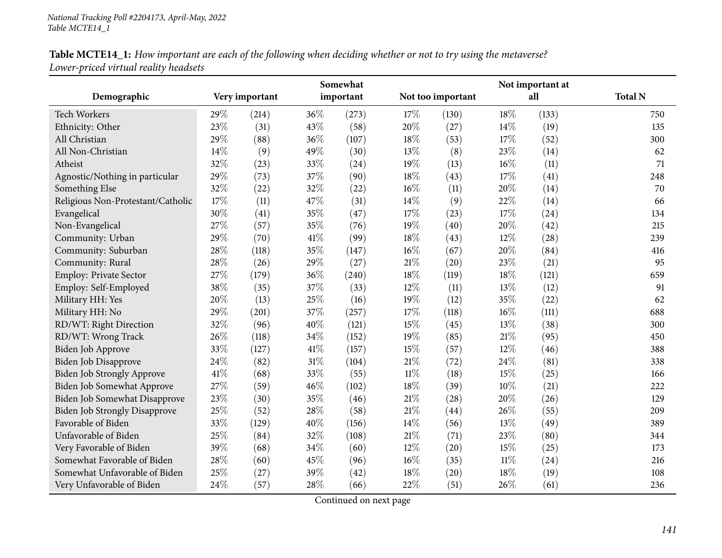| Table MCTE14_1: How important are each of the following when deciding whether or not to try using the metaverse? |  |
|------------------------------------------------------------------------------------------------------------------|--|
| Lower-priced virtual reality headsets                                                                            |  |

|                                      |      | Somewhat       |      |           |        |                   | Not important at |       |                |  |
|--------------------------------------|------|----------------|------|-----------|--------|-------------------|------------------|-------|----------------|--|
| Demographic                          |      | Very important |      | important |        | Not too important |                  | all   | <b>Total N</b> |  |
| <b>Tech Workers</b>                  | 29%  | (214)          | 36%  | (273)     | 17%    | (130)             | 18%              | (133) | 750            |  |
| Ethnicity: Other                     | 23%  | (31)           | 43%  | (58)      | 20%    | (27)              | 14%              | (19)  | 135            |  |
| All Christian                        | 29%  | (88)           | 36%  | (107)     | 18%    | (53)              | 17%              | (52)  | 300            |  |
| All Non-Christian                    | 14%  | (9)            | 49%  | (30)      | 13%    | (8)               | 23%              | (14)  | 62             |  |
| Atheist                              | 32%  | (23)           | 33%  | (24)      | 19%    | (13)              | $16\%$           | (11)  | 71             |  |
| Agnostic/Nothing in particular       | 29%  | (73)           | 37%  | (90)      | 18%    | (43)              | 17%              | (41)  | 248            |  |
| Something Else                       | 32%  | (22)           | 32%  | (22)      | 16%    | (11)              | 20%              | (14)  | 70             |  |
| Religious Non-Protestant/Catholic    | 17%  | (11)           | 47%  | (31)      | 14%    | (9)               | 22%              | (14)  | 66             |  |
| Evangelical                          | 30%  | (41)           | 35%  | (47)      | 17%    | (23)              | 17%              | (24)  | 134            |  |
| Non-Evangelical                      | 27%  | (57)           | 35%  | (76)      | 19%    | (40)              | 20%              | (42)  | 215            |  |
| Community: Urban                     | 29%  | (70)           | 41\% | (99)      | 18%    | (43)              | 12%              | (28)  | 239            |  |
| Community: Suburban                  | 28%  | (118)          | 35%  | (147)     | 16%    | (67)              | 20%              | (84)  | 416            |  |
| Community: Rural                     | 28%  | (26)           | 29%  | (27)      | $21\%$ | (20)              | 23%              | (21)  | 95             |  |
| Employ: Private Sector               | 27%  | (179)          | 36%  | (240)     | 18%    | (119)             | 18%              | (121) | 659            |  |
| Employ: Self-Employed                | 38%  | (35)           | 37%  | (33)      | 12%    | (11)              | 13%              | (12)  | 91             |  |
| Military HH: Yes                     | 20%  | (13)           | 25%  | (16)      | 19%    | (12)              | 35%              | (22)  | 62             |  |
| Military HH: No                      | 29%  | (201)          | 37%  | (257)     | 17%    | (118)             | $16\%$           | (111) | 688            |  |
| RD/WT: Right Direction               | 32%  | (96)           | 40%  | (121)     | 15%    | (45)              | 13%              | (38)  | 300            |  |
| RD/WT: Wrong Track                   | 26%  | (118)          | 34%  | (152)     | 19%    | (85)              | $21\%$           | (95)  | 450            |  |
| Biden Job Approve                    | 33%  | (127)          | 41\% | (157)     | 15%    | (57)              | 12%              | (46)  | 388            |  |
| Biden Job Disapprove                 | 24%  | (82)           | 31%  | (104)     | 21%    | (72)              | 24%              | (81)  | 338            |  |
| Biden Job Strongly Approve           | 41\% | (68)           | 33%  | (55)      | $11\%$ | (18)              | 15%              | (25)  | 166            |  |
| Biden Job Somewhat Approve           | 27%  | (59)           | 46%  | (102)     | 18%    | (39)              | $10\%$           | (21)  | 222            |  |
| Biden Job Somewhat Disapprove        | 23%  | (30)           | 35%  | (46)      | 21%    | (28)              | $20\%$           | (26)  | 129            |  |
| <b>Biden Job Strongly Disapprove</b> | 25%  | (52)           | 28%  | (58)      | 21%    | (44)              | 26%              | (55)  | 209            |  |
| Favorable of Biden                   | 33%  | (129)          | 40%  | (156)     | 14%    | (56)              | 13%              | (49)  | 389            |  |
| Unfavorable of Biden                 | 25%  | (84)           | 32%  | (108)     | $21\%$ | (71)              | 23\%             | (80)  | 344            |  |
| Very Favorable of Biden              | 39%  | (68)           | 34%  | (60)      | 12%    | (20)              | 15%              | (25)  | 173            |  |
| Somewhat Favorable of Biden          | 28%  | (60)           | 45%  | (96)      | 16%    | (35)              | $11\%$           | (24)  | 216            |  |
| Somewhat Unfavorable of Biden        | 25%  | (27)           | 39%  | (42)      | 18%    | (20)              | 18%              | (19)  | 108            |  |
| Very Unfavorable of Biden            | 24%  | (57)           | 28%  | (66)      | 22%    | (51)              | 26%              | (61)  | 236            |  |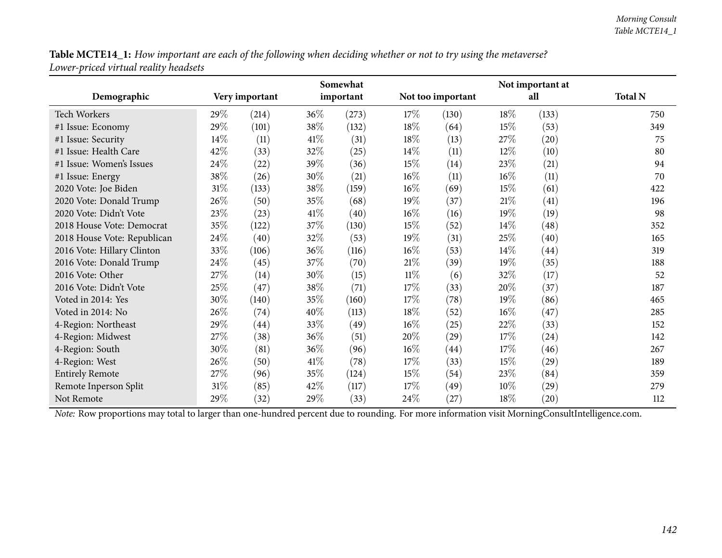Table MCTE14\_1: How important are each of the following when deciding whether or not to try using the metaverse? *Lower-priced virtual reality headsets*

|                             |        | Somewhat           |        |           |        |                   | Not important at |                    |                |  |  |
|-----------------------------|--------|--------------------|--------|-----------|--------|-------------------|------------------|--------------------|----------------|--|--|
| Demographic                 |        | Very important     |        | important |        | Not too important |                  | all                | <b>Total N</b> |  |  |
| <b>Tech Workers</b>         | 29\%   | (214)              | $36\%$ | (273)     | 17%    | (130)             | 18\%             | (133)              | 750            |  |  |
| #1 Issue: Economy           | 29%    | (101)              | 38\%   | (132)     | 18\%   | (64)              | 15\%             | (53)               | 349            |  |  |
| #1 Issue: Security          | 14\%   | (11)               | 41\%   | (31)      | 18%    | (13)              | 27\%             | (20)               | 75             |  |  |
| #1 Issue: Health Care       | 42%    | (33)               | 32%    | (25)      | $14\%$ | (11)              | 12\%             | (10)               | 80             |  |  |
| #1 Issue: Women's Issues    | 24\%   | (22)               | 39%    | (36)      | 15%    | (14)              | 23\%             | (21)               | 94             |  |  |
| #1 Issue: Energy            | 38\%   | (26)               | 30%    | (21)      | $16\%$ | (11)              | $16\%$           | (11)               | 70             |  |  |
| 2020 Vote: Joe Biden        | $31\%$ | (133)              | 38\%   | (159)     | $16\%$ | (69)              | 15\%             | (61)               | 422            |  |  |
| 2020 Vote: Donald Trump     | 26%    | (50)               | $35\%$ | (68)      | 19%    | (37)              | 21%              | (41)               | 196            |  |  |
| 2020 Vote: Didn't Vote      | 23\%   | (23)               | 41\%   | (40)      | $16\%$ | (16)              | 19%              | (19)               | 98             |  |  |
| 2018 House Vote: Democrat   | 35%    | (122)              | 37%    | (130)     | 15%    | (52)              | $14\%$           | (48)               | 352            |  |  |
| 2018 House Vote: Republican | 24\%   | (40)               | 32\%   | (53)      | 19%    | (31)              | 25%              | (40)               | 165            |  |  |
| 2016 Vote: Hillary Clinton  | 33%    | (106)              | 36\%   | (116)     | $16\%$ | (53)              | $14\%$           | (44)               | 319            |  |  |
| 2016 Vote: Donald Trump     | 24\%   | (45)               | 37%    | (70)      | $21\%$ | (39)              | 19%              | (35)               | 188            |  |  |
| 2016 Vote: Other            | 27%    | (14)               | 30%    | (15)      | $11\%$ | (6)               | 32%              | (17)               | 52             |  |  |
| 2016 Vote: Didn't Vote      | 25\%   | (47)               | 38%    | (71)      | 17%    | (33)              | 20%              | (37)               | 187            |  |  |
| Voted in 2014: Yes          | 30%    | (140)              | 35\%   | (160)     | 17%    | (78)              | 19%              | (86)               | 465            |  |  |
| Voted in 2014: No           | 26%    | (74)               | 40%    | (113)     | 18%    | (52)              | 16%              | (47)               | 285            |  |  |
| 4-Region: Northeast         | 29%    | $\left( 44\right)$ | 33\%   | (49)      | $16\%$ | (25)              | 22\%             | (33)               | 152            |  |  |
| 4-Region: Midwest           | 27\%   | (38)               | 36%    | (51)      | 20%    | (29)              | 17%              | (24)               | 142            |  |  |
| 4-Region: South             | 30%    | (81)               | 36\%   | (96)      | $16\%$ | (44)              | 17\%             | (46)               | 267            |  |  |
| 4-Region: West              | 26%    | (50)               | 41\%   | (78)      | 17%    | (33)              | 15\%             | (29)               | 189            |  |  |
| <b>Entirely Remote</b>      | 27\%   | (96)               | 35%    | (124)     | 15%    | (54)              | 23\%             | (84)               | 359            |  |  |
| Remote Inperson Split       | $31\%$ | (85)               | 42\%   | (117)     | 17%    | (49)              | 10%              | (29)               | 279            |  |  |
| Not Remote                  | 29%    | (32)               | 29%    | (33)      | 24%    | (27)              | 18%              | $\left( 20\right)$ | 112            |  |  |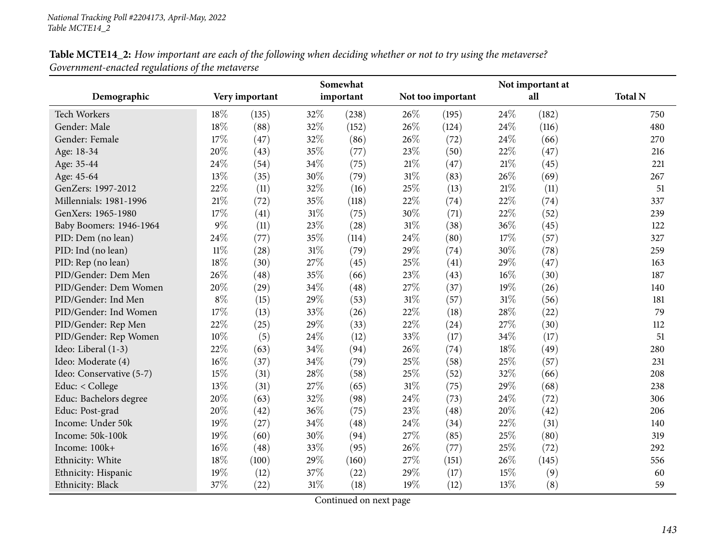| Table MCTE14_2: How important are each of the following when deciding whether or not to try using the metaverse? |  |
|------------------------------------------------------------------------------------------------------------------|--|
| Government-enacted regulations of the metaverse                                                                  |  |

|                          |        |                | Somewhat |           |        |                   | Not important at |       |                |  |
|--------------------------|--------|----------------|----------|-----------|--------|-------------------|------------------|-------|----------------|--|
| Demographic              |        | Very important |          | important |        | Not too important |                  | all   | <b>Total N</b> |  |
| <b>Tech Workers</b>      | 18%    | (135)          | 32%      | (238)     | 26%    | (195)             | 24%              | (182) | 750            |  |
| Gender: Male             | 18%    | (88)           | 32%      | (152)     | 26%    | (124)             | 24\%             | (116) | 480            |  |
| Gender: Female           | 17%    | (47)           | 32%      | (86)      | 26%    | (72)              | 24\%             | (66)  | 270            |  |
| Age: 18-34               | 20%    | (43)           | 35%      | (77)      | 23%    | (50)              | 22%              | (47)  | 216            |  |
| Age: 35-44               | 24%    | (54)           | 34%      | (75)      | 21%    | (47)              | 21%              | (45)  | 221            |  |
| Age: 45-64               | 13%    | (35)           | 30%      | (79)      | 31%    | (83)              | 26%              | (69)  | 267            |  |
| GenZers: 1997-2012       | 22%    | (11)           | 32%      | (16)      | 25%    | (13)              | $21\%$           | (11)  | 51             |  |
| Millennials: 1981-1996   | $21\%$ | (72)           | 35%      | (118)     | 22%    | (74)              | 22%              | (74)  | 337            |  |
| GenXers: 1965-1980       | 17%    | (41)           | $31\%$   | (75)      | 30%    | (71)              | 22\%             | (52)  | 239            |  |
| Baby Boomers: 1946-1964  | 9%     | (11)           | 23%      | (28)      | 31%    | (38)              | 36%              | (45)  | 122            |  |
| PID: Dem (no lean)       | 24%    | (77)           | 35%      | (114)     | 24%    | (80)              | 17%              | (57)  | 327            |  |
| PID: Ind (no lean)       | $11\%$ | (28)           | 31%      | (79)      | 29%    | (74)              | 30%              | (78)  | 259            |  |
| PID: Rep (no lean)       | 18%    | (30)           | 27%      | (45)      | 25%    | (41)              | 29%              | (47)  | 163            |  |
| PID/Gender: Dem Men      | 26%    | (48)           | 35%      | (66)      | 23%    | (43)              | $16\%$           | (30)  | 187            |  |
| PID/Gender: Dem Women    | 20%    | (29)           | 34%      | (48)      | 27%    | (37)              | 19%              | (26)  | 140            |  |
| PID/Gender: Ind Men      | $8\%$  | (15)           | 29%      | (53)      | 31%    | (57)              | $31\%$           | (56)  | 181            |  |
| PID/Gender: Ind Women    | 17%    | (13)           | 33%      | (26)      | 22%    | (18)              | 28\%             | (22)  | 79             |  |
| PID/Gender: Rep Men      | 22%    | (25)           | 29%      | (33)      | 22%    | (24)              | 27%              | (30)  | 112            |  |
| PID/Gender: Rep Women    | 10%    | (5)            | 24%      | (12)      | 33%    | (17)              | 34%              | (17)  | 51             |  |
| Ideo: Liberal (1-3)      | 22%    | (63)           | 34%      | (94)      | 26%    | (74)              | 18%              | (49)  | 280            |  |
| Ideo: Moderate (4)       | 16%    | (37)           | 34%      | (79)      | 25%    | (58)              | 25\%             | (57)  | 231            |  |
| Ideo: Conservative (5-7) | 15%    | (31)           | 28%      | (58)      | 25%    | (52)              | 32%              | (66)  | 208            |  |
| Educ: < College          | 13%    | (31)           | 27%      | (65)      | $31\%$ | (75)              | 29%              | (68)  | 238            |  |
| Educ: Bachelors degree   | 20%    | (63)           | 32%      | (98)      | 24\%   | (73)              | 24\%             | (72)  | 306            |  |
| Educ: Post-grad          | 20%    | (42)           | 36%      | (75)      | 23%    | (48)              | 20%              | (42)  | 206            |  |
| Income: Under 50k        | 19%    | (27)           | 34%      | (48)      | 24%    | (34)              | 22%              | (31)  | 140            |  |
| Income: 50k-100k         | 19%    | (60)           | 30%      | (94)      | 27%    | (85)              | 25%              | (80)  | 319            |  |
| Income: 100k+            | 16%    | (48)           | 33%      | (95)      | 26%    | (77)              | 25%              | (72)  | 292            |  |
| Ethnicity: White         | 18%    | (100)          | $29\%$   | (160)     | 27%    | (151)             | 26%              | (145) | 556            |  |
| Ethnicity: Hispanic      | 19%    | (12)           | 37%      | (22)      | 29%    | (17)              | 15%              | (9)   | 60             |  |
| Ethnicity: Black         | 37%    | (22)           | 31%      | (18)      | 19%    | (12)              | 13%              | (8)   | 59             |  |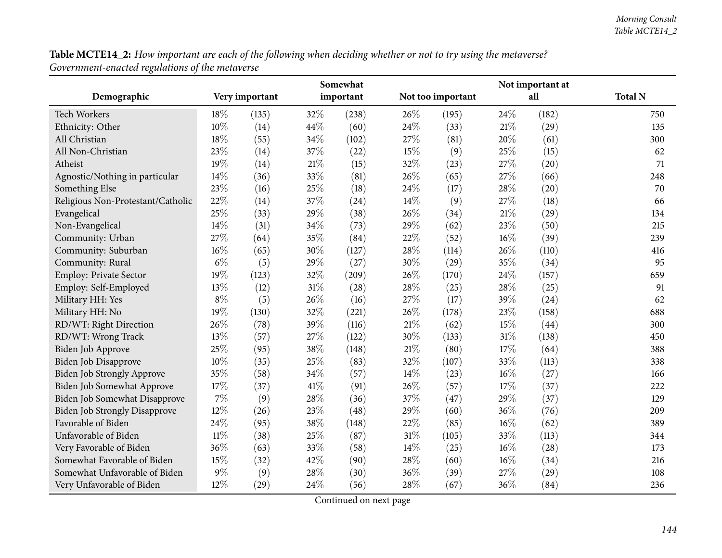| Table MCTE14_2: How important are each of the following when deciding whether or not to try using the metaverse? |  |
|------------------------------------------------------------------------------------------------------------------|--|
| Government-enacted regulations of the metaverse                                                                  |  |

|                                      |        |                | Somewhat |           |        | Not important at  |      |       |                |  |
|--------------------------------------|--------|----------------|----------|-----------|--------|-------------------|------|-------|----------------|--|
| Demographic                          |        | Very important |          | important |        | Not too important |      | all   | <b>Total N</b> |  |
| <b>Tech Workers</b>                  | 18%    | (135)          | 32%      | (238)     | 26%    | (195)             | 24\% | (182) | 750            |  |
| Ethnicity: Other                     | 10%    | (14)           | 44%      | (60)      | 24%    | (33)              | 21%  | (29)  | 135            |  |
| All Christian                        | 18%    | (55)           | 34%      | (102)     | 27\%   | (81)              | 20%  | (61)  | 300            |  |
| All Non-Christian                    | 23%    | (14)           | 37%      | (22)      | 15%    | (9)               | 25\% | (15)  | 62             |  |
| Atheist                              | 19%    | (14)           | $21\%$   | (15)      | 32%    | (23)              | 27%  | (20)  | 71             |  |
| Agnostic/Nothing in particular       | 14%    | (36)           | 33%      | (81)      | 26%    | (65)              | 27%  | (66)  | 248            |  |
| Something Else                       | 23%    | (16)           | 25%      | (18)      | 24%    | (17)              | 28%  | (20)  | 70             |  |
| Religious Non-Protestant/Catholic    | 22%    | (14)           | 37%      | (24)      | 14%    | (9)               | 27%  | (18)  | 66             |  |
| Evangelical                          | 25%    | (33)           | 29%      | (38)      | 26%    | (34)              | 21%  | (29)  | 134            |  |
| Non-Evangelical                      | 14%    | (31)           | 34%      | (73)      | 29%    | (62)              | 23%  | (50)  | 215            |  |
| Community: Urban                     | 27%    | (64)           | 35%      | (84)      | 22%    | (52)              | 16%  | (39)  | 239            |  |
| Community: Suburban                  | 16%    | (65)           | 30%      | (127)     | 28%    | (114)             | 26%  | (110) | 416            |  |
| Community: Rural                     | $6\%$  | (5)            | 29%      | (27)      | 30%    | (29)              | 35%  | (34)  | 95             |  |
| Employ: Private Sector               | 19%    | (123)          | 32%      | (209)     | 26%    | (170)             | 24%  | (157) | 659            |  |
| Employ: Self-Employed                | 13%    | (12)           | $31\%$   | (28)      | 28%    | (25)              | 28%  | (25)  | 91             |  |
| Military HH: Yes                     | $8\%$  | (5)            | 26%      | (16)      | 27%    | (17)              | 39%  | (24)  | 62             |  |
| Military HH: No                      | 19%    | (130)          | 32%      | (221)     | 26%    | (178)             | 23%  | (158) | 688            |  |
| RD/WT: Right Direction               | 26%    | (78)           | 39%      | (116)     | 21%    | (62)              | 15%  | (44)  | 300            |  |
| RD/WT: Wrong Track                   | 13%    | (57)           | 27%      | (122)     | 30%    | (133)             | 31%  | (138) | 450            |  |
| Biden Job Approve                    | 25%    | (95)           | 38%      | (148)     | $21\%$ | (80)              | 17%  | (64)  | 388            |  |
| Biden Job Disapprove                 | 10%    | (35)           | 25%      | (83)      | 32%    | (107)             | 33%  | (113) | 338            |  |
| Biden Job Strongly Approve           | 35%    | (58)           | 34%      | (57)      | 14%    | (23)              | 16%  | (27)  | 166            |  |
| <b>Biden Job Somewhat Approve</b>    | 17%    | (37)           | $41\%$   | (91)      | 26%    | (57)              | 17%  | (37)  | 222            |  |
| Biden Job Somewhat Disapprove        | 7%     | (9)            | 28%      | (36)      | 37%    | (47)              | 29%  | (37)  | 129            |  |
| <b>Biden Job Strongly Disapprove</b> | 12%    | (26)           | 23%      | (48)      | 29%    | (60)              | 36%  | (76)  | 209            |  |
| Favorable of Biden                   | 24%    | (95)           | 38%      | (148)     | $22\%$ | (85)              | 16%  | (62)  | 389            |  |
| Unfavorable of Biden                 | $11\%$ | (38)           | 25%      | (87)      | 31%    | (105)             | 33%  | (113) | 344            |  |
| Very Favorable of Biden              | 36%    | (63)           | 33%      | (58)      | 14%    | (25)              | 16%  | (28)  | 173            |  |
| Somewhat Favorable of Biden          | 15%    | (32)           | 42%      | (90)      | 28%    | (60)              | 16%  | (34)  | 216            |  |
| Somewhat Unfavorable of Biden        | 9%     | (9)            | 28%      | (30)      | 36%    | (39)              | 27%  | (29)  | 108            |  |
| Very Unfavorable of Biden            | 12%    | (29)           | 24%      | (56)      | 28%    | (67)              | 36%  | (84)  | 236            |  |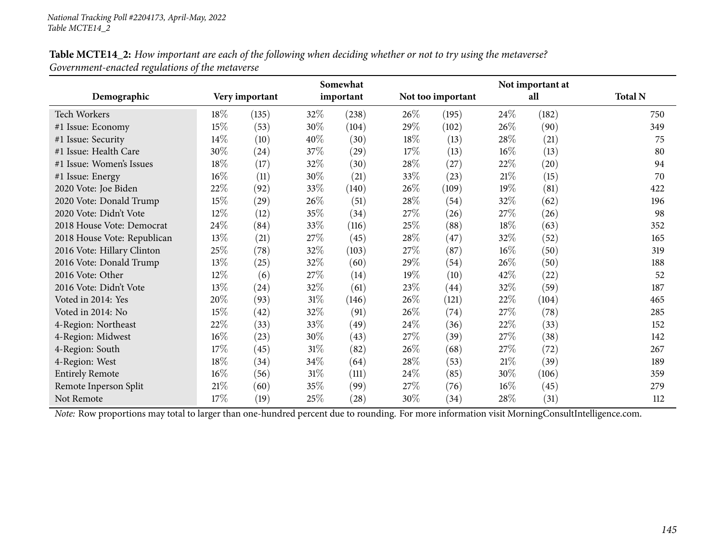| Table MCTE14_2: How important are each of the following when deciding whether or not to try using the metaverse? |  |
|------------------------------------------------------------------------------------------------------------------|--|
| Government-enacted regulations of the metaverse                                                                  |  |

|                             |        |                |        | Somewhat           |        |                   |        | Not important at |                |
|-----------------------------|--------|----------------|--------|--------------------|--------|-------------------|--------|------------------|----------------|
| Demographic                 |        | Very important |        | important          |        | Not too important |        | all              | <b>Total N</b> |
| <b>Tech Workers</b>         | 18\%   | (135)          | 32\%   | (238)              | 26\%   | (195)             | 24\%   | (182)            | 750            |
| #1 Issue: Economy           | 15%    | (53)           | 30%    | (104)              | 29%    | (102)             | 26\%   | (90)             | 349            |
| #1 Issue: Security          | 14\%   | (10)           | 40%    | (30)               | 18%    | (13)              | 28\%   | (21)             | 75             |
| #1 Issue: Health Care       | 30%    | (24)           | 37%    | (29)               | $17\%$ | (13)              | 16%    | (13)             | 80             |
| #1 Issue: Women's Issues    | 18%    | (17)           | 32%    | (30)               | 28\%   | (27)              | 22\%   | (20)             | 94             |
| #1 Issue: Energy            | 16%    | (11)           | 30%    | (21)               | 33\%   | (23)              | 21%    | (15)             | 70             |
| 2020 Vote: Joe Biden        | 22%    | (92)           | 33\%   | (140)              | $26\%$ | (109)             | 19%    | (81)             | 422            |
| 2020 Vote: Donald Trump     | 15%    | (29)           | 26%    | (51)               | 28\%   | (54)              | 32%    | (62)             | 196            |
| 2020 Vote: Didn't Vote      | 12%    | (12)           | 35%    | (34)               | 27\%   | (26)              | 27%    | (26)             | 98             |
| 2018 House Vote: Democrat   | 24\%   | (84)           | 33\%   | (116)              | 25\%   | (88)              | 18%    | (63)             | 352            |
| 2018 House Vote: Republican | 13%    | (21)           | 27\%   | (45)               | 28\%   | (47)              | 32\%   | (52)             | 165            |
| 2016 Vote: Hillary Clinton  | 25%    | (78)           | 32\%   | (103)              | 27%    | (87)              | 16%    | (50)             | 319            |
| 2016 Vote: Donald Trump     | 13%    | (25)           | 32%    | (60)               | 29%    | (54)              | 26\%   | (50)             | 188            |
| 2016 Vote: Other            | 12%    | (6)            | 27\%   | (14)               | 19%    | (10)              | 42\%   | (22)             | 52             |
| 2016 Vote: Didn't Vote      | 13%    | (24)           | 32%    | (61)               | 23%    | (44)              | 32\%   | (59)             | 187            |
| Voted in 2014: Yes          | 20%    | (93)           | $31\%$ | (146)              | 26%    | (121)             | 22\%   | (104)            | 465            |
| Voted in 2014: No           | 15%    | (42)           | 32\%   | (91)               | 26%    | (74)              | 27\%   | (78)             | 285            |
| 4-Region: Northeast         | 22%    | (33)           | 33%    | (49)               | 24\%   | (36)              | 22\%   | (33)             | 152            |
| 4-Region: Midwest           | $16\%$ | (23)           | 30%    | (43)               | 27\%   | (39)              | 27%    | (38)             | 142            |
| 4-Region: South             | 17\%   | (45)           | $31\%$ | (82)               | 26%    | (68)              | 27\%   | (72)             | 267            |
| 4-Region: West              | 18%    | (34)           | 34\%   | (64)               | 28\%   | (53)              | 21%    | (39)             | 189            |
| <b>Entirely Remote</b>      | 16%    | (56)           | $31\%$ | (111)              | 24\%   | (85)              | $30\%$ | (106)            | 359            |
| Remote Inperson Split       | 21%    | (60)           | 35\%   | (99)               | 27\%   | (76)              | 16%    | (45)             | 279            |
| Not Remote                  | 17%    | (19)           | 25%    | $\left( 28\right)$ | 30%    | (34)              | $28\%$ | (31)             | 112            |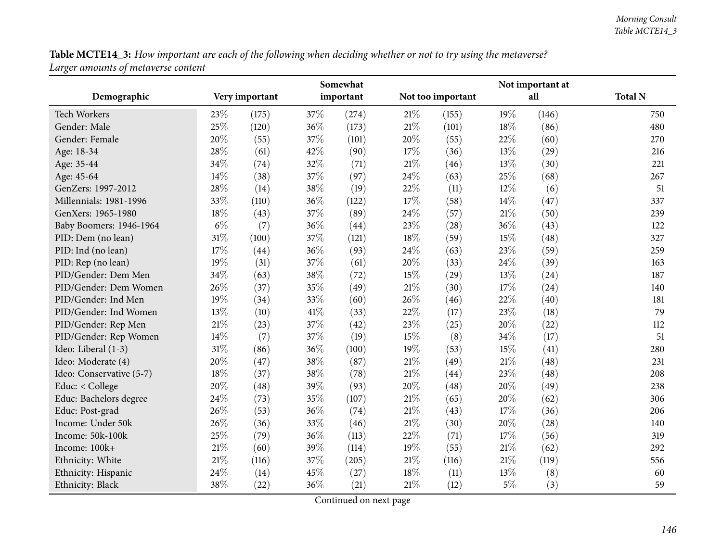Table MCTE14\_3: How important are each of the following when deciding whether or not to try using the metaverse? *Larger amounts of metaverse content*

|                          |        |                |      | Somewhat  |        |                   |        | Not important at |                |
|--------------------------|--------|----------------|------|-----------|--------|-------------------|--------|------------------|----------------|
| Demographic              |        | Very important |      | important |        | Not too important |        | all              | <b>Total N</b> |
| <b>Tech Workers</b>      | 23%    | (175)          | 37%  | (274)     | $21\%$ | (155)             | 19%    | (146)            | 750            |
| Gender: Male             | 25%    | (120)          | 36%  | (173)     | 21%    | (101)             | 18%    | (86)             | 480            |
| Gender: Female           | 20%    | (55)           | 37%  | (101)     | 20%    | (55)              | 22%    | (60)             | 270            |
| Age: 18-34               | 28%    | (61)           | 42%  | (90)      | 17%    | (36)              | 13%    | (29)             | 216            |
| Age: 35-44               | 34%    | (74)           | 32%  | (71)      | 21%    | (46)              | 13%    | (30)             | 221            |
| Age: 45-64               | 14%    | (38)           | 37%  | (97)      | 24%    | (63)              | 25%    | (68)             | 267            |
| GenZers: 1997-2012       | 28%    | (14)           | 38%  | (19)      | 22%    | (11)              | 12%    | (6)              | 51             |
| Millennials: 1981-1996   | 33%    | (110)          | 36%  | (122)     | 17%    | (58)              | 14%    | (47)             | 337            |
| GenXers: 1965-1980       | 18%    | (43)           | 37%  | (89)      | 24%    | (57)              | 21%    | (50)             | 239            |
| Baby Boomers: 1946-1964  | $6\%$  | (7)            | 36%  | (44)      | 23%    | (28)              | 36%    | (43)             | 122            |
| PID: Dem (no lean)       | 31%    | (100)          | 37%  | (121)     | 18%    | (59)              | 15%    | (48)             | 327            |
| PID: Ind (no lean)       | 17%    | (44)           | 36%  | (93)      | 24%    | (63)              | 23%    | (59)             | 259            |
| PID: Rep (no lean)       | 19%    | (31)           | 37%  | (61)      | 20%    | (33)              | 24%    | (39)             | 163            |
| PID/Gender: Dem Men      | 34%    | (63)           | 38%  | (72)      | 15%    | (29)              | 13%    | (24)             | 187            |
| PID/Gender: Dem Women    | 26%    | (37)           | 35%  | (49)      | 21%    | (30)              | 17%    | (24)             | 140            |
| PID/Gender: Ind Men      | 19%    | (34)           | 33%  | (60)      | 26%    | (46)              | 22%    | (40)             | 181            |
| PID/Gender: Ind Women    | 13%    | (10)           | 41\% | (33)      | 22%    | (17)              | 23%    | (18)             | 79             |
| PID/Gender: Rep Men      | 21%    | (23)           | 37%  | (42)      | 23%    | (25)              | 20%    | (22)             | 112            |
| PID/Gender: Rep Women    | 14%    | (7)            | 37%  | (19)      | 15%    | (8)               | 34%    | (17)             | 51             |
| Ideo: Liberal (1-3)      | 31%    | (86)           | 36%  | (100)     | 19%    | (53)              | 15%    | (41)             | 280            |
| Ideo: Moderate (4)       | 20%    | (47)           | 38%  | (87)      | $21\%$ | (49)              | $21\%$ | (48)             | 231            |
| Ideo: Conservative (5-7) | 18%    | (37)           | 38%  | (78)      | 21%    | (44)              | 23%    | (48)             | 208            |
| Educ: < College          | 20%    | (48)           | 39%  | (93)      | 20%    | (48)              | 20%    | (49)             | 238            |
| Educ: Bachelors degree   | 24%    | (73)           | 35%  | (107)     | 21%    | (65)              | 20%    | (62)             | 306            |
| Educ: Post-grad          | 26%    | (53)           | 36%  | (74)      | 21%    | (43)              | 17%    | (36)             | 206            |
| Income: Under 50k        | 26%    | (36)           | 33%  | (46)      | 21%    | (30)              | 20%    | (28)             | 140            |
| Income: 50k-100k         | 25%    | (79)           | 36%  | (113)     | 22%    | (71)              | 17%    | (56)             | 319            |
| Income: 100k+            | 21\%   | (60)           | 39%  | (114)     | 19%    | (55)              | 21%    | (62)             | 292            |
| Ethnicity: White         | $21\%$ | (116)          | 37%  | (205)     | 21%    | (116)             | 21%    | (119)            | 556            |
| Ethnicity: Hispanic      | 24%    | (14)           | 45%  | (27)      | 18%    | (11)              | 13%    | (8)              | 60             |
| Ethnicity: Black         | 38%    | (22)           | 36%  | (21)      | 21%    | (12)              | $5\%$  | (3)              | 59             |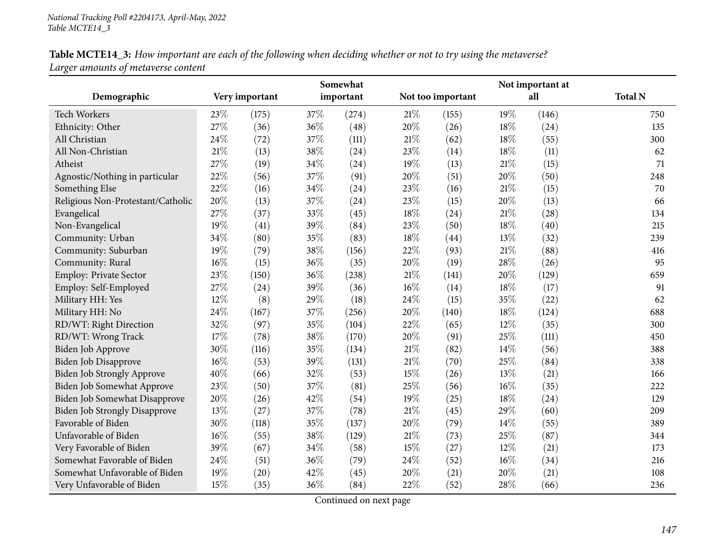| Table MCTE14_3: How important are each of the following when deciding whether or not to try using the metaverse? |  |
|------------------------------------------------------------------------------------------------------------------|--|
| Larger amounts of metaverse content                                                                              |  |

|                                      |      |                |      | Somewhat  |        |                   |        | Not important at |                |
|--------------------------------------|------|----------------|------|-----------|--------|-------------------|--------|------------------|----------------|
| Demographic                          |      | Very important |      | important |        | Not too important |        | all              | <b>Total N</b> |
| <b>Tech Workers</b>                  | 23\% | (175)          | 37\% | (274)     | $21\%$ | (155)             | 19%    | (146)            | 750            |
| Ethnicity: Other                     | 27%  | (36)           | 36%  | (48)      | 20%    | (26)              | 18%    | (24)             | 135            |
| All Christian                        | 24%  | (72)           | 37%  | (111)     | $21\%$ | (62)              | 18%    | (55)             | 300            |
| All Non-Christian                    | 21%  | (13)           | 38%  | (24)      | 23%    | (14)              | 18%    | (11)             | 62             |
| Atheist                              | 27%  | (19)           | 34%  | (24)      | 19%    | (13)              | 21\%   | (15)             | 71             |
| Agnostic/Nothing in particular       | 22%  | (56)           | 37%  | (91)      | 20%    | (51)              | 20%    | (50)             | 248            |
| Something Else                       | 22%  | (16)           | 34%  | (24)      | 23%    | (16)              | 21%    | (15)             | 70             |
| Religious Non-Protestant/Catholic    | 20%  | (13)           | 37%  | (24)      | 23%    | (15)              | 20%    | (13)             | 66             |
| Evangelical                          | 27%  | (37)           | 33%  | (45)      | 18%    | (24)              | $21\%$ | (28)             | 134            |
| Non-Evangelical                      | 19%  | (41)           | 39%  | (84)      | 23%    | (50)              | 18%    | (40)             | 215            |
| Community: Urban                     | 34%  | (80)           | 35%  | (83)      | 18%    | (44)              | 13%    | (32)             | 239            |
| Community: Suburban                  | 19%  | (79)           | 38%  | (156)     | 22%    | (93)              | 21%    | (88)             | 416            |
| Community: Rural                     | 16%  | (15)           | 36%  | (35)      | 20%    | (19)              | 28%    | (26)             | 95             |
| Employ: Private Sector               | 23%  | (150)          | 36%  | (238)     | $21\%$ | (141)             | 20%    | (129)            | 659            |
| Employ: Self-Employed                | 27%  | (24)           | 39%  | (36)      | $16\%$ | (14)              | 18%    | (17)             | 91             |
| Military HH: Yes                     | 12%  | (8)            | 29%  | (18)      | 24\%   | (15)              | 35%    | (22)             | 62             |
| Military HH: No                      | 24%  | (167)          | 37%  | (256)     | 20%    | (140)             | 18%    | (124)            | 688            |
| RD/WT: Right Direction               | 32%  | (97)           | 35%  | (104)     | 22%    | (65)              | $12\%$ | (35)             | 300            |
| RD/WT: Wrong Track                   | 17%  | (78)           | 38%  | (170)     | 20%    | (91)              | 25%    | (111)            | 450            |
| Biden Job Approve                    | 30%  | (116)          | 35%  | (134)     | $21\%$ | (82)              | 14%    | (56)             | 388            |
| Biden Job Disapprove                 | 16%  | (53)           | 39%  | (131)     | $21\%$ | (70)              | 25%    | (84)             | 338            |
| Biden Job Strongly Approve           | 40%  | (66)           | 32%  | (53)      | 15%    | (26)              | 13%    | (21)             | 166            |
| Biden Job Somewhat Approve           | 23%  | (50)           | 37%  | (81)      | 25%    | (56)              | $16\%$ | (35)             | 222            |
| Biden Job Somewhat Disapprove        | 20%  | (26)           | 42%  | (54)      | 19%    | (25)              | 18%    | (24)             | 129            |
| <b>Biden Job Strongly Disapprove</b> | 13%  | (27)           | 37%  | (78)      | $21\%$ | (45)              | 29%    | (60)             | 209            |
| Favorable of Biden                   | 30%  | (118)          | 35%  | (137)     | 20%    | (79)              | 14%    | (55)             | 389            |
| Unfavorable of Biden                 | 16%  | (55)           | 38%  | (129)     | $21\%$ | (73)              | 25%    | (87)             | 344            |
| Very Favorable of Biden              | 39%  | (67)           | 34%  | (58)      | 15%    | (27)              | 12%    | (21)             | 173            |
| Somewhat Favorable of Biden          | 24%  | (51)           | 36%  | (79)      | 24\%   | (52)              | 16%    | (34)             | 216            |
| Somewhat Unfavorable of Biden        | 19%  | (20)           | 42%  | (45)      | 20%    | (21)              | 20%    | (21)             | 108            |
| Very Unfavorable of Biden            | 15%  | (35)           | 36%  | (84)      | 22%    | (52)              | 28%    | (66)             | 236            |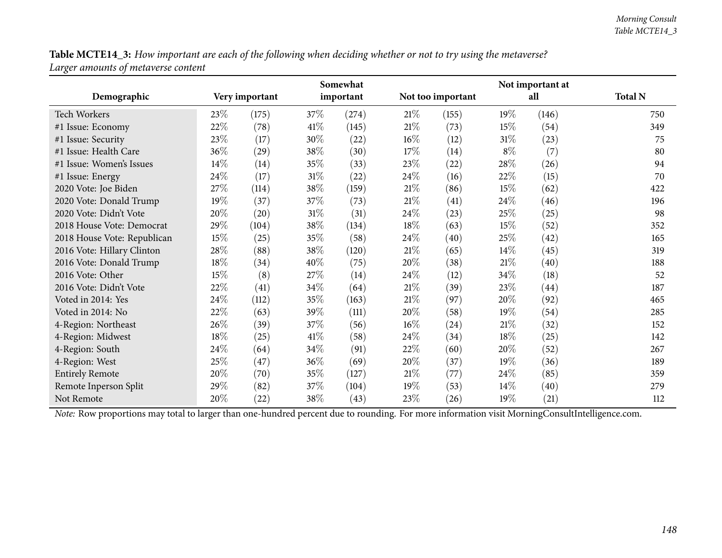Table MCTE14\_3: How important are each of the following when deciding whether or not to try using the metaverse? *Larger amounts of metaverse content*

|                             |      |                |        | Somewhat  |        |                   |        | Not important at |                |
|-----------------------------|------|----------------|--------|-----------|--------|-------------------|--------|------------------|----------------|
| Demographic                 |      | Very important |        | important |        | Not too important |        | all              | <b>Total N</b> |
| <b>Tech Workers</b>         | 23\% | (175)          | 37\%   | (274)     | 21%    | (155)             | 19%    | (146)            | 750            |
| #1 Issue: Economy           | 22%  | (78)           | 41\%   | (145)     | 21%    | (73)              | $15\%$ | (54)             | 349            |
| #1 Issue: Security          | 23\% | (17)           | 30%    | (22)      | $16\%$ | (12)              | $31\%$ | (23)             | 75             |
| #1 Issue: Health Care       | 36%  | (29)           | 38\%   | (30)      | 17%    | (14)              | $8\%$  | (7)              | 80             |
| #1 Issue: Women's Issues    | 14\% | (14)           | 35%    | (33)      | 23\%   | (22)              | 28\%   | (26)             | 94             |
| #1 Issue: Energy            | 24\% | (17)           | $31\%$ | (22)      | 24\%   | (16)              | 22\%   | (15)             | 70             |
| 2020 Vote: Joe Biden        | 27\% | (114)          | 38\%   | (159)     | 21%    | (86)              | 15\%   | (62)             | 422            |
| 2020 Vote: Donald Trump     | 19%  | (37)           | 37\%   | (73)      | $21\%$ | (41)              | 24%    | (46)             | 196            |
| 2020 Vote: Didn't Vote      | 20%  | (20)           | $31\%$ | (31)      | 24\%   | (23)              | 25%    | (25)             | 98             |
| 2018 House Vote: Democrat   | 29%  | (104)          | 38\%   | (134)     | 18%    | (63)              | 15\%   | (52)             | 352            |
| 2018 House Vote: Republican | 15%  | (25)           | 35%    | (58)      | 24\%   | (40)              | 25%    | (42)             | 165            |
| 2016 Vote: Hillary Clinton  | 28\% | (88)           | 38%    | (120)     | 21%    | (65)              | $14\%$ | (45)             | 319            |
| 2016 Vote: Donald Trump     | 18%  | (34)           | 40%    | (75)      | 20%    | (38)              | 21%    | (40)             | 188            |
| 2016 Vote: Other            | 15%  | (8)            | 27\%   | (14)      | 24\%   | (12)              | 34\%   | (18)             | 52             |
| 2016 Vote: Didn't Vote      | 22\% | (41)           | 34\%   | (64)      | 21%    | (39)              | 23\%   | (44)             | 187            |
| Voted in 2014: Yes          | 24\% | (112)          | 35\%   | (163)     | $21\%$ | (97)              | 20%    | (92)             | 465            |
| Voted in 2014: No           | 22%  | (63)           | 39%    | (111)     | 20%    | (58)              | 19%    | (54)             | 285            |
| 4-Region: Northeast         | 26\% | (39)           | 37\%   | (56)      | $16\%$ | (24)              | 21%    | (32)             | 152            |
| 4-Region: Midwest           | 18%  | (25)           | 41\%   | (58)      | 24\%   | (34)              | 18%    | (25)             | 142            |
| 4-Region: South             | 24\% | (64)           | 34\%   | (91)      | 22\%   | (60)              | 20%    | (52)             | 267            |
| 4-Region: West              | 25%  | (47)           | $36\%$ | (69)      | 20%    | (37)              | 19%    | (36)             | 189            |
| <b>Entirely Remote</b>      | 20%  | (70)           | 35\%   | (127)     | 21%    | (77)              | 24\%   | (85)             | 359            |
| Remote Inperson Split       | 29%  | (82)           | 37\%   | (104)     | 19%    | (53)              | 14%    | (40)             | 279            |
| Not Remote                  | 20%  | (22)           | 38\%   | (43)      | 23\%   | (26)              | 19%    | (21)             | 112            |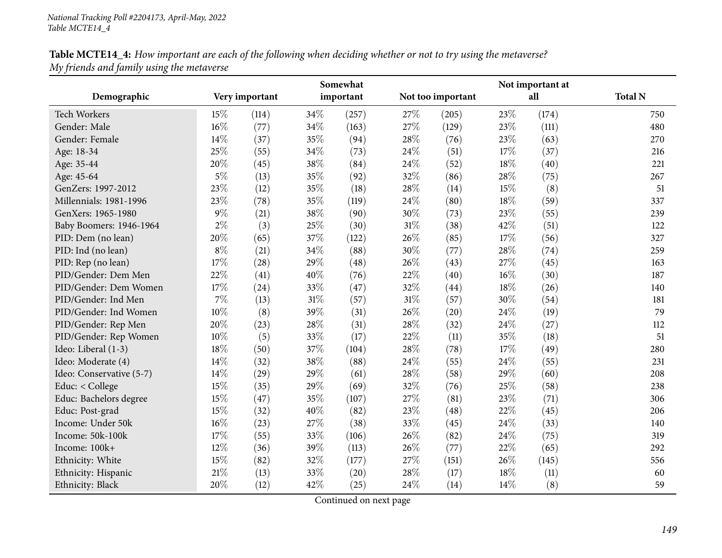| Table MCTE14_4: How important are each of the following when deciding whether or not to try using the metaverse? |  |
|------------------------------------------------------------------------------------------------------------------|--|
| My friends and family using the metaverse                                                                        |  |

|                          |       |                |      | Somewhat  |        |                   |        | Not important at |                |
|--------------------------|-------|----------------|------|-----------|--------|-------------------|--------|------------------|----------------|
| Demographic              |       | Very important |      | important |        | Not too important |        | all              | <b>Total N</b> |
| Tech Workers             | 15%   | (114)          | 34\% | (257)     | 27\%   | (205)             | 23%    | (174)            | 750            |
| Gender: Male             | 16%   | (77)           | 34%  | (163)     | 27%    | (129)             | 23%    | (111)            | 480            |
| Gender: Female           | 14%   | (37)           | 35%  | (94)      | 28\%   | (76)              | 23%    | (63)             | 270            |
| Age: 18-34               | 25%   | (55)           | 34%  | (73)      | 24%    | (51)              | 17%    | (37)             | 216            |
| Age: 35-44               | 20%   | (45)           | 38%  | (84)      | 24\%   | (52)              | 18%    | (40)             | 221            |
| Age: 45-64               | $5\%$ | (13)           | 35%  | (92)      | 32%    | (86)              | 28%    | (75)             | 267            |
| GenZers: 1997-2012       | 23%   | (12)           | 35%  | (18)      | 28%    | (14)              | 15%    | (8)              | 51             |
| Millennials: 1981-1996   | 23%   | (78)           | 35%  | (119)     | 24%    | (80)              | 18%    | (59)             | 337            |
| GenXers: 1965-1980       | 9%    | (21)           | 38%  | (90)      | 30%    | (73)              | 23%    | (55)             | 239            |
| Baby Boomers: 1946-1964  | $2\%$ | (3)            | 25%  | (30)      | $31\%$ | (38)              | 42%    | (51)             | 122            |
| PID: Dem (no lean)       | 20%   | (65)           | 37%  | (122)     | 26%    | (85)              | 17%    | (56)             | 327            |
| PID: Ind (no lean)       | $8\%$ | (21)           | 34%  | (88)      | 30%    | (77)              | 28%    | (74)             | 259            |
| PID: Rep (no lean)       | 17%   | (28)           | 29%  | (48)      | 26%    | (43)              | 27%    | (45)             | 163            |
| PID/Gender: Dem Men      | 22%   | (41)           | 40%  | (76)      | 22%    | (40)              | $16\%$ | (30)             | 187            |
| PID/Gender: Dem Women    | 17%   | (24)           | 33%  | (47)      | 32%    | (44)              | 18%    | (26)             | 140            |
| PID/Gender: Ind Men      | 7%    | (13)           | 31%  | (57)      | $31\%$ | (57)              | 30%    | (54)             | 181            |
| PID/Gender: Ind Women    | 10%   | (8)            | 39%  | (31)      | 26%    | (20)              | 24%    | (19)             | 79             |
| PID/Gender: Rep Men      | 20%   | (23)           | 28%  | (31)      | 28%    | (32)              | 24\%   | (27)             | 112            |
| PID/Gender: Rep Women    | 10%   | (5)            | 33%  | (17)      | 22%    | (11)              | 35%    | (18)             | 51             |
| Ideo: Liberal (1-3)      | 18%   | (50)           | 37%  | (104)     | 28%    | (78)              | 17%    | (49)             | 280            |
| Ideo: Moderate (4)       | 14%   | (32)           | 38%  | (88)      | 24%    | (55)              | 24\%   | (55)             | 231            |
| Ideo: Conservative (5-7) | 14%   | (29)           | 29%  | (61)      | 28%    | (58)              | 29%    | (60)             | 208            |
| Educ: < College          | 15%   | (35)           | 29%  | (69)      | 32%    | (76)              | 25%    | (58)             | 238            |
| Educ: Bachelors degree   | 15%   | (47)           | 35%  | (107)     | 27%    | (81)              | 23%    | (71)             | 306            |
| Educ: Post-grad          | 15%   | (32)           | 40%  | (82)      | 23%    | (48)              | 22%    | (45)             | 206            |
| Income: Under 50k        | 16%   | (23)           | 27%  | (38)      | 33%    | (45)              | 24%    | (33)             | 140            |
| Income: 50k-100k         | 17%   | (55)           | 33%  | (106)     | 26%    | (82)              | 24%    | (75)             | 319            |
| Income: 100k+            | 12%   | (36)           | 39%  | (113)     | 26%    | (77)              | 22%    | (65)             | 292            |
| Ethnicity: White         | 15%   | (82)           | 32%  | (177)     | 27\%   | (151)             | 26%    | (145)            | 556            |
| Ethnicity: Hispanic      | 21%   | (13)           | 33%  | (20)      | 28%    | (17)              | 18%    | (11)             | 60             |
| Ethnicity: Black         | 20%   | (12)           | 42%  | (25)      | 24\%   | (14)              | 14%    | (8)              | 59             |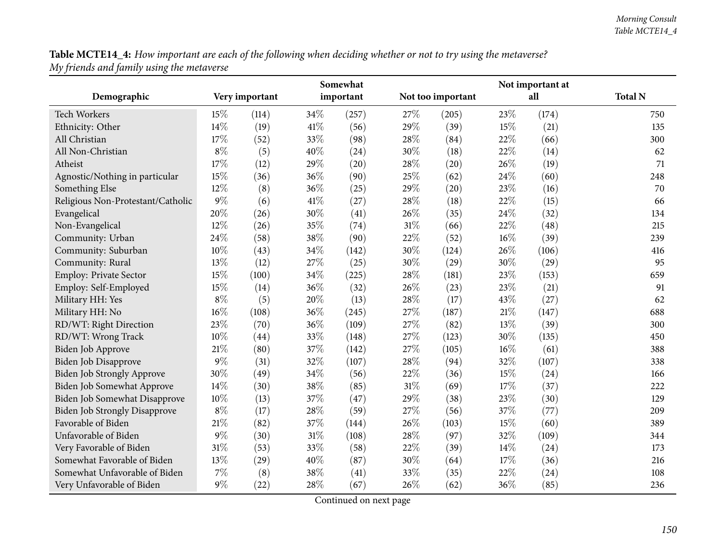| Table MCTE14_4: How important are each of the following when deciding whether or not to try using the metaverse? |  |
|------------------------------------------------------------------------------------------------------------------|--|
| My friends and family using the metaverse                                                                        |  |

|                                   |       | Somewhat       |     |           |        |                   |        | Not important at |                |  |  |  |
|-----------------------------------|-------|----------------|-----|-----------|--------|-------------------|--------|------------------|----------------|--|--|--|
| Demographic                       |       | Very important |     | important |        | Not too important |        | all              | <b>Total N</b> |  |  |  |
| <b>Tech Workers</b>               | 15%   | (114)          | 34% | (257)     | 27%    | (205)             | 23%    | (174)            | 750            |  |  |  |
| Ethnicity: Other                  | 14%   | (19)           | 41% | (56)      | 29%    | (39)              | 15%    | (21)             | 135            |  |  |  |
| All Christian                     | 17%   | (52)           | 33% | (98)      | 28%    | (84)              | 22%    | (66)             | 300            |  |  |  |
| All Non-Christian                 | $8\%$ | (5)            | 40% | (24)      | 30%    | (18)              | 22%    | (14)             | 62             |  |  |  |
| Atheist                           | 17%   | (12)           | 29% | (20)      | 28\%   | (20)              | 26%    | (19)             | 71             |  |  |  |
| Agnostic/Nothing in particular    | 15%   | (36)           | 36% | (90)      | 25%    | (62)              | 24%    | (60)             | 248            |  |  |  |
| Something Else                    | 12%   | (8)            | 36% | (25)      | 29%    | (20)              | 23%    | (16)             | 70             |  |  |  |
| Religious Non-Protestant/Catholic | $9\%$ | (6)            | 41% | (27)      | 28%    | (18)              | 22%    | (15)             | 66             |  |  |  |
| Evangelical                       | 20%   | (26)           | 30% | (41)      | 26%    | (35)              | 24%    | (32)             | 134            |  |  |  |
| Non-Evangelical                   | 12%   | (26)           | 35% | (74)      | $31\%$ | (66)              | 22%    | (48)             | 215            |  |  |  |
| Community: Urban                  | 24%   | (58)           | 38% | (90)      | 22%    | (52)              | 16%    | (39)             | 239            |  |  |  |
| Community: Suburban               | 10%   | (43)           | 34% | (142)     | 30%    | (124)             | 26%    | (106)            | 416            |  |  |  |
| Community: Rural                  | 13%   | (12)           | 27% | (25)      | 30%    | (29)              | 30%    | (29)             | 95             |  |  |  |
| Employ: Private Sector            | 15%   | (100)          | 34% | (225)     | 28%    | (181)             | 23\%   | (153)            | 659            |  |  |  |
| Employ: Self-Employed             | 15%   | (14)           | 36% | (32)      | 26%    | (23)              | 23%    | (21)             | 91             |  |  |  |
| Military HH: Yes                  | $8\%$ | (5)            | 20% | (13)      | 28%    | (17)              | 43%    | (27)             | 62             |  |  |  |
| Military HH: No                   | 16%   | (108)          | 36% | (245)     | 27%    | (187)             | 21%    | (147)            | 688            |  |  |  |
| RD/WT: Right Direction            | 23%   | (70)           | 36% | (109)     | 27%    | (82)              | 13%    | (39)             | 300            |  |  |  |
| RD/WT: Wrong Track                | 10%   | (44)           | 33% | (148)     | 27%    | (123)             | 30%    | (135)            | 450            |  |  |  |
| Biden Job Approve                 | 21%   | (80)           | 37% | (142)     | 27%    | (105)             | $16\%$ | (61)             | 388            |  |  |  |
| Biden Job Disapprove              | 9%    | (31)           | 32% | (107)     | 28%    | (94)              | 32%    | (107)            | 338            |  |  |  |
| Biden Job Strongly Approve        | 30%   | (49)           | 34% | (56)      | 22%    | (36)              | 15%    | (24)             | 166            |  |  |  |
| Biden Job Somewhat Approve        | 14%   | (30)           | 38% | (85)      | 31%    | (69)              | 17%    | (37)             | 222            |  |  |  |
| Biden Job Somewhat Disapprove     | 10%   | (13)           | 37% | (47)      | 29%    | (38)              | 23%    | (30)             | 129            |  |  |  |
| Biden Job Strongly Disapprove     | $8\%$ | (17)           | 28% | (59)      | 27%    | (56)              | 37%    | (77)             | 209            |  |  |  |
| Favorable of Biden                | 21%   | (82)           | 37% | (144)     | 26%    | (103)             | 15%    | (60)             | 389            |  |  |  |
| Unfavorable of Biden              | $9\%$ | (30)           | 31% | (108)     | 28%    | (97)              | 32%    | (109)            | 344            |  |  |  |
| Very Favorable of Biden           | 31%   | (53)           | 33% | (58)      | 22%    | (39)              | 14\%   | (24)             | 173            |  |  |  |
| Somewhat Favorable of Biden       | 13%   | (29)           | 40% | (87)      | 30%    | (64)              | 17\%   | (36)             | 216            |  |  |  |
| Somewhat Unfavorable of Biden     | 7%    | (8)            | 38% | (41)      | 33%    | (35)              | 22%    | (24)             | 108            |  |  |  |
| Very Unfavorable of Biden         | $9\%$ | (22)           | 28% | (67)      | 26%    | (62)              | 36%    | (85)             | 236            |  |  |  |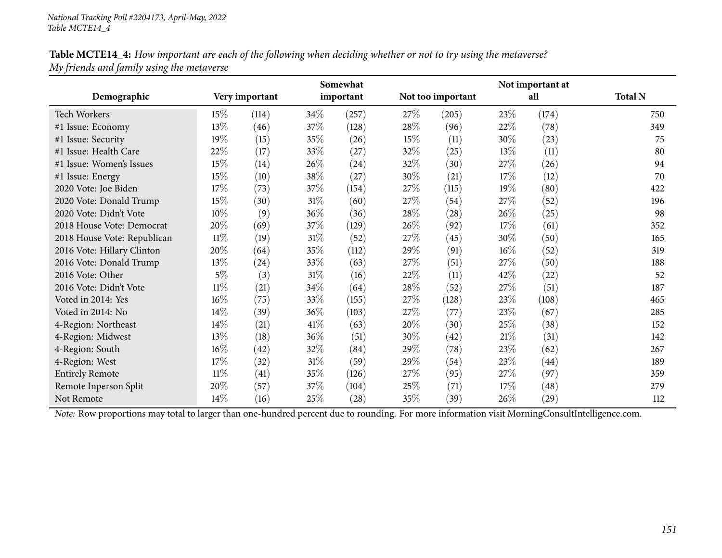| Table MCTE14_4: How important are each of the following when deciding whether or not to try using the metaverse? |  |
|------------------------------------------------------------------------------------------------------------------|--|
| My friends and family using the metaverse                                                                        |  |

|                             |        |                |        | Somewhat  |        |                   |        | Not important at   |                |
|-----------------------------|--------|----------------|--------|-----------|--------|-------------------|--------|--------------------|----------------|
| Demographic                 |        | Very important |        | important |        | Not too important |        | all                | <b>Total N</b> |
| <b>Tech Workers</b>         | $15\%$ | (114)          | $34\%$ | (257)     | 27\%   | (205)             | 23\%   | (174)              | 750            |
| #1 Issue: Economy           | 13%    | (46)           | 37\%   | (128)     | 28\%   | (96)              | 22\%   | (78)               | 349            |
| #1 Issue: Security          | 19%    | (15)           | 35%    | (26)      | $15\%$ | (11)              | 30%    | (23)               | 75             |
| #1 Issue: Health Care       | 22%    | (17)           | 33%    | (27)      | $32\%$ | (25)              | $13\%$ | (11)               | 80             |
| #1 Issue: Women's Issues    | 15%    | (14)           | $26\%$ | (24)      | 32%    | (30)              | 27\%   | (26)               | 94             |
| #1 Issue: Energy            | 15%    | (10)           | 38\%   | (27)      | 30\%   | (21)              | 17%    | (12)               | 70             |
| 2020 Vote: Joe Biden        | 17%    | (73)           | 37\%   | (154)     | 27\%   | (115)             | 19%    | (80)               | 422            |
| 2020 Vote: Donald Trump     | 15%    | (30)           | $31\%$ | (60)      | 27\%   | (54)              | 27\%   | (52)               | 196            |
| 2020 Vote: Didn't Vote      | 10%    | (9)            | $36\%$ | (36)      | 28\%   | (28)              | 26\%   | (25)               | 98             |
| 2018 House Vote: Democrat   | 20%    | (69)           | 37\%   | (129)     | $26\%$ | (92)              | 17%    | (61)               | 352            |
| 2018 House Vote: Republican | $11\%$ | (19)           | $31\%$ | (52)      | 27\%   | (45)              | $30\%$ | (50)               | 165            |
| 2016 Vote: Hillary Clinton  | 20%    | (64)           | 35\%   | (112)     | 29\%   | (91)              | $16\%$ | (52)               | 319            |
| 2016 Vote: Donald Trump     | 13%    | (24)           | 33%    | (63)      | 27%    | (51)              | 27\%   | (50)               | 188            |
| 2016 Vote: Other            | $5\%$  | (3)            | $31\%$ | (16)      | 22%    | (11)              | 42\%   | (22)               | 52             |
| 2016 Vote: Didn't Vote      | $11\%$ | (21)           | $34\%$ | (64)      | 28\%   | (52)              | 27\%   | (51)               | 187            |
| Voted in 2014: Yes          | $16\%$ | (75)           | 33\%   | (155)     | 27\%   | (128)             | 23\%   | (108)              | 465            |
| Voted in 2014: No           | 14\%   | (39)           | $36\%$ | (103)     | 27%    | (77)              | 23\%   | (67)               | 285            |
| 4-Region: Northeast         | 14\%   | (21)           | $41\%$ | (63)      | 20%    | (30)              | 25\%   | (38)               | 152            |
| 4-Region: Midwest           | 13%    | (18)           | $36\%$ | (51)      | 30\%   | (42)              | 21%    | (31)               | 142            |
| 4-Region: South             | 16%    | (42)           | $32\%$ | (84)      | 29\%   | (78)              | 23\%   | (62)               | 267            |
| 4-Region: West              | 17%    | (32)           | $31\%$ | (59)      | 29\%   | (54)              | 23\%   | (44)               | 189            |
| <b>Entirely Remote</b>      | $11\%$ | (41)           | 35\%   | (126)     | 27\%   | (95)              | 27\%   | (97)               | 359            |
| Remote Inperson Split       | 20%    | (57)           | 37\%   | (104)     | 25\%   | (71)              | 17%    | (48)               | 279            |
| Not Remote                  | 14\%   | (16)           | 25\%   | (28)      | 35\%   | (39)              | 26%    | $\left( 29\right)$ | 112            |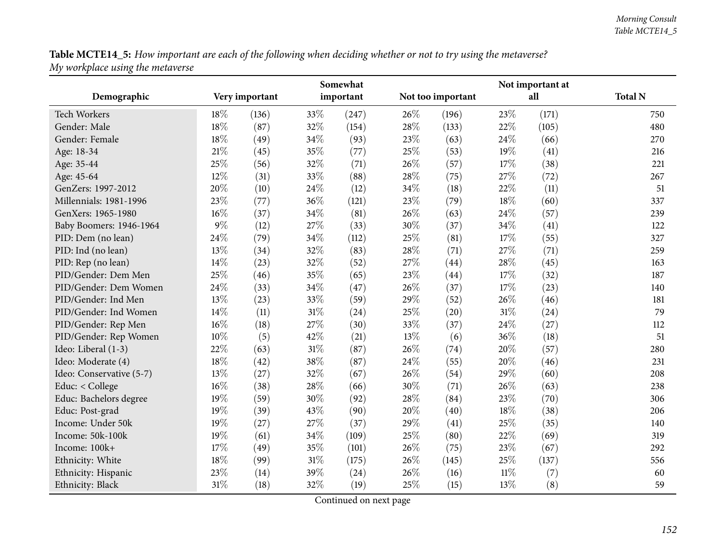Table MCTE14\_5: How important are each of the following when deciding whether or not to try using the metaverse? *My workplace using the metaverse*

|                          |        |                |        | Somewhat  |      |                   |        | Not important at |                |
|--------------------------|--------|----------------|--------|-----------|------|-------------------|--------|------------------|----------------|
| Demographic              |        | Very important |        | important |      | Not too important |        | all              | <b>Total N</b> |
| <b>Tech Workers</b>      | 18%    | (136)          | 33%    | (247)     | 26%  | (196)             | 23%    | (171)            | 750            |
| Gender: Male             | $18\%$ | (87)           | 32%    | (154)     | 28\% | (133)             | 22%    | (105)            | 480            |
| Gender: Female           | $18\%$ | (49)           | 34\%   | (93)      | 23%  | (63)              | 24\%   | (66)             | 270            |
| Age: 18-34               | $21\%$ | (45)           | 35%    | (77)      | 25%  | (53)              | 19%    | (41)             | 216            |
| Age: 35-44               | 25%    | (56)           | 32%    | (71)      | 26%  | (57)              | 17%    | (38)             | 221            |
| Age: 45-64               | 12%    | (31)           | 33%    | (88)      | 28%  | (75)              | 27%    | (72)             | 267            |
| GenZers: 1997-2012       | 20%    | (10)           | 24%    | (12)      | 34%  | (18)              | 22%    | (11)             | 51             |
| Millennials: 1981-1996   | 23%    | (77)           | 36%    | (121)     | 23%  | (79)              | 18%    | (60)             | 337            |
| GenXers: 1965-1980       | 16%    | (37)           | 34%    | (81)      | 26%  | (63)              | 24%    | (57)             | 239            |
| Baby Boomers: 1946-1964  | $9\%$  | (12)           | 27%    | (33)      | 30%  | (37)              | 34%    | (41)             | 122            |
| PID: Dem (no lean)       | 24%    | (79)           | 34%    | (112)     | 25%  | (81)              | 17%    | (55)             | 327            |
| PID: Ind (no lean)       | 13%    | (34)           | 32%    | (83)      | 28%  | (71)              | 27%    | (71)             | 259            |
| PID: Rep (no lean)       | 14%    | (23)           | $32\%$ | (52)      | 27%  | (44)              | 28%    | (45)             | 163            |
| PID/Gender: Dem Men      | 25%    | (46)           | 35%    | (65)      | 23%  | (44)              | 17%    | (32)             | 187            |
| PID/Gender: Dem Women    | 24%    | (33)           | 34%    | (47)      | 26%  | (37)              | 17%    | (23)             | 140            |
| PID/Gender: Ind Men      | 13%    | (23)           | 33%    | (59)      | 29%  | (52)              | 26%    | (46)             | 181            |
| PID/Gender: Ind Women    | 14%    | (11)           | $31\%$ | (24)      | 25%  | (20)              | $31\%$ | (24)             | 79             |
| PID/Gender: Rep Men      | 16%    | (18)           | 27%    | (30)      | 33%  | (37)              | 24%    | (27)             | 112            |
| PID/Gender: Rep Women    | 10%    | (5)            | 42%    | (21)      | 13%  | (6)               | 36%    | (18)             | 51             |
| Ideo: Liberal (1-3)      | 22%    | (63)           | 31%    | (87)      | 26%  | (74)              | 20%    | (57)             | 280            |
| Ideo: Moderate (4)       | 18%    | (42)           | 38%    | (87)      | 24\% | (55)              | 20%    | (46)             | 231            |
| Ideo: Conservative (5-7) | 13%    | (27)           | 32%    | (67)      | 26%  | (54)              | 29%    | (60)             | 208            |
| Educ: < College          | 16%    | (38)           | 28%    | (66)      | 30%  | (71)              | 26%    | (63)             | 238            |
| Educ: Bachelors degree   | 19%    | (59)           | 30%    | (92)      | 28%  | (84)              | 23%    | (70)             | 306            |
| Educ: Post-grad          | 19%    | (39)           | 43%    | (90)      | 20%  | (40)              | 18%    | (38)             | 206            |
| Income: Under 50k        | 19%    | (27)           | 27%    | (37)      | 29%  | (41)              | 25%    | (35)             | 140            |
| Income: 50k-100k         | 19%    | (61)           | 34%    | (109)     | 25%  | (80)              | 22%    | (69)             | 319            |
| Income: 100k+            | 17%    | (49)           | 35%    | (101)     | 26%  | (75)              | 23%    | (67)             | 292            |
| Ethnicity: White         | 18%    | (99)           | 31%    | (175)     | 26%  | (145)             | 25%    | (137)            | 556            |
| Ethnicity: Hispanic      | 23%    | (14)           | 39%    | (24)      | 26%  | (16)              | $11\%$ | (7)              | 60             |
| Ethnicity: Black         | 31%    | (18)           | 32%    | (19)      | 25%  | (15)              | 13%    | (8)              | 59             |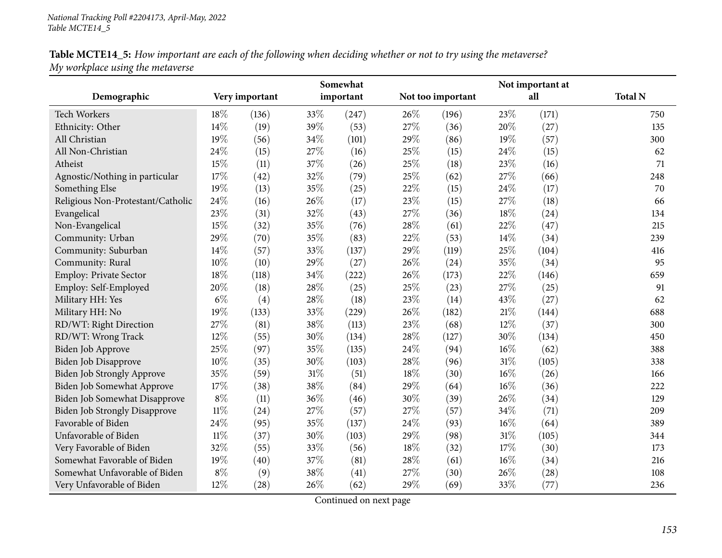| Table MCTE14_5: How important are each of the following when deciding whether or not to try using the metaverse? |  |
|------------------------------------------------------------------------------------------------------------------|--|
| My workplace using the metaverse                                                                                 |  |

|                                      |        |                |     | Somewhat  |      |                   |        | Not important at |                |
|--------------------------------------|--------|----------------|-----|-----------|------|-------------------|--------|------------------|----------------|
| Demographic                          |        | Very important |     | important |      | Not too important |        | all              | <b>Total N</b> |
| <b>Tech Workers</b>                  | 18%    | (136)          | 33% | (247)     | 26\% | (196)             | 23\%   | (171)            | 750            |
| Ethnicity: Other                     | 14%    | (19)           | 39% | (53)      | 27%  | (36)              | 20%    | (27)             | 135            |
| All Christian                        | 19%    | (56)           | 34% | (101)     | 29%  | (86)              | 19%    | (57)             | 300            |
| All Non-Christian                    | 24%    | (15)           | 27% | (16)      | 25%  | (15)              | 24%    | (15)             | 62             |
| Atheist                              | 15%    | (11)           | 37% | (26)      | 25%  | (18)              | 23%    | (16)             | 71             |
| Agnostic/Nothing in particular       | 17%    | (42)           | 32% | (79)      | 25%  | (62)              | 27%    | (66)             | 248            |
| Something Else                       | 19%    | (13)           | 35% | (25)      | 22%  | (15)              | 24\%   | (17)             | 70             |
| Religious Non-Protestant/Catholic    | 24%    | (16)           | 26% | (17)      | 23%  | (15)              | 27%    | (18)             | 66             |
| Evangelical                          | 23%    | (31)           | 32% | (43)      | 27%  | (36)              | 18%    | (24)             | 134            |
| Non-Evangelical                      | 15%    | (32)           | 35% | (76)      | 28%  | (61)              | 22%    | (47)             | 215            |
| Community: Urban                     | 29%    | (70)           | 35% | (83)      | 22%  | (53)              | 14%    | (34)             | 239            |
| Community: Suburban                  | 14%    | (57)           | 33% | (137)     | 29%  | (119)             | 25%    | (104)            | 416            |
| Community: Rural                     | 10%    | (10)           | 29% | (27)      | 26%  | (24)              | 35%    | (34)             | 95             |
| Employ: Private Sector               | 18%    | (118)          | 34% | (222)     | 26%  | (173)             | 22%    | (146)            | 659            |
| Employ: Self-Employed                | 20%    | (18)           | 28% | (25)      | 25%  | (23)              | 27%    | (25)             | 91             |
| Military HH: Yes                     | $6\%$  | (4)            | 28% | (18)      | 23%  | (14)              | 43%    | (27)             | 62             |
| Military HH: No                      | 19%    | (133)          | 33% | (229)     | 26%  | (182)             | 21%    | (144)            | 688            |
| RD/WT: Right Direction               | 27%    | (81)           | 38% | (113)     | 23%  | (68)              | 12%    | (37)             | 300            |
| RD/WT: Wrong Track                   | 12%    | (55)           | 30% | (134)     | 28%  | (127)             | 30%    | (134)            | 450            |
| Biden Job Approve                    | 25%    | (97)           | 35% | (135)     | 24%  | (94)              | $16\%$ | (62)             | 388            |
| <b>Biden Job Disapprove</b>          | 10%    | (35)           | 30% | (103)     | 28%  | (96)              | $31\%$ | (105)            | 338            |
| Biden Job Strongly Approve           | 35%    | (59)           | 31% | (51)      | 18%  | (30)              | $16\%$ | (26)             | 166            |
| Biden Job Somewhat Approve           | 17%    | (38)           | 38% | (84)      | 29%  | (64)              | $16\%$ | (36)             | 222            |
| Biden Job Somewhat Disapprove        | $8\%$  | (11)           | 36% | (46)      | 30%  | (39)              | 26%    | (34)             | 129            |
| <b>Biden Job Strongly Disapprove</b> | $11\%$ | (24)           | 27% | (57)      | 27%  | (57)              | 34%    | (71)             | 209            |
| Favorable of Biden                   | 24%    | (95)           | 35% | (137)     | 24%  | (93)              | 16%    | (64)             | 389            |
| Unfavorable of Biden                 | $11\%$ | (37)           | 30% | (103)     | 29%  | (98)              | $31\%$ | (105)            | 344            |
| Very Favorable of Biden              | 32%    | (55)           | 33% | (56)      | 18%  | (32)              | 17%    | (30)             | 173            |
| Somewhat Favorable of Biden          | 19%    | (40)           | 37% | (81)      | 28%  | (61)              | $16\%$ | (34)             | 216            |
| Somewhat Unfavorable of Biden        | $8\%$  | (9)            | 38% | (41)      | 27%  | (30)              | 26\%   | (28)             | 108            |
| Very Unfavorable of Biden            | 12%    | (28)           | 26% | (62)      | 29%  | (69)              | 33%    | (77)             | 236            |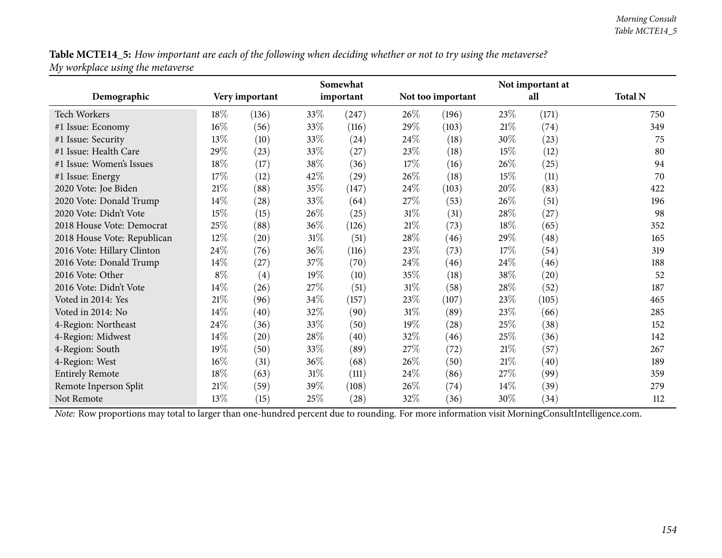Table MCTE14\_5: How important are each of the following when deciding whether or not to try using the metaverse? *My workplace using the metaverse*

|                             |        |                    |        | Somewhat  |        |                   |      | Not important at |                |
|-----------------------------|--------|--------------------|--------|-----------|--------|-------------------|------|------------------|----------------|
| Demographic                 |        | Very important     |        | important |        | Not too important |      | all              | <b>Total N</b> |
| <b>Tech Workers</b>         | 18\%   | (136)              | 33%    | (247)     | 26\%   | (196)             | 23\% | (171)            | 750            |
| #1 Issue: Economy           | $16\%$ | (56)               | 33\%   | (116)     | 29%    | (103)             | 21\% | (74)             | 349            |
| #1 Issue: Security          | $13\%$ | (10)               | 33\%   | (24)      | 24\%   | (18)              | 30%  | (23)             | 75             |
| #1 Issue: Health Care       | 29%    | (23)               | 33\%   | (27)      | 23\%   | (18)              | 15%  | (12)             | 80             |
| #1 Issue: Women's Issues    | 18%    | (17)               | 38%    | (36)      | 17\%   | (16)              | 26%  | (25)             | 94             |
| #1 Issue: Energy            | 17\%   | (12)               | 42\%   | (29)      | 26\%   | (18)              | 15\% | (11)             | 70             |
| 2020 Vote: Joe Biden        | 21%    | (88)               | 35\%   | (147)     | 24\%   | (103)             | 20%  | (83)             | 422            |
| 2020 Vote: Donald Trump     | 14\%   | (28)               | 33%    | (64)      | 27\%   | (53)              | 26\% | (51)             | 196            |
| 2020 Vote: Didn't Vote      | $15\%$ | (15)               | 26%    | (25)      | $31\%$ | (31)              | 28\% | (27)             | 98             |
| 2018 House Vote: Democrat   | 25%    | (88)               | $36\%$ | (126)     | $21\%$ | (73)              | 18%  | (65)             | 352            |
| 2018 House Vote: Republican | $12\%$ | $\left( 20\right)$ | $31\%$ | (51)      | 28\%   | (46)              | 29%  | (48)             | 165            |
| 2016 Vote: Hillary Clinton  | 24\%   | (76)               | 36\%   | (116)     | 23\%   | (73)              | 17%  | (54)             | 319            |
| 2016 Vote: Donald Trump     | 14\%   | (27)               | 37\%   | (70)      | 24\%   | (46)              | 24\% | (46)             | 188            |
| 2016 Vote: Other            | $8\%$  | (4)                | $19\%$ | (10)      | 35%    | (18)              | 38%  | (20)             | 52             |
| 2016 Vote: Didn't Vote      | 14\%   | (26)               | 27\%   | (51)      | $31\%$ | (58)              | 28\% | (52)             | 187            |
| Voted in 2014: Yes          | $21\%$ | (96)               | 34\%   | (157)     | 23\%   | (107)             | 23%  | (105)            | 465            |
| Voted in 2014: No           | 14\%   | (40)               | 32\%   | (90)      | 31\%   | (89)              | 23\% | (66)             | 285            |
| 4-Region: Northeast         | 24\%   | (36)               | 33%    | (50)      | 19%    | (28)              | 25%  | (38)             | 152            |
| 4-Region: Midwest           | 14\%   | (20)               | 28\%   | (40)      | 32%    | (46)              | 25\% | (36)             | 142            |
| 4-Region: South             | 19%    | (50)               | 33\%   | (89)      | 27\%   | (72)              | 21%  | (57)             | 267            |
| 4-Region: West              | $16\%$ | (31)               | $36\%$ | (68)      | $26\%$ | (50)              | 21%  | (40)             | 189            |
| <b>Entirely Remote</b>      | 18%    | (63)               | $31\%$ | (111)     | 24\%   | (86)              | 27%  | (99)             | 359            |
| Remote Inperson Split       | $21\%$ | (59)               | 39%    | (108)     | 26\%   | (74)              | 14%  | (39)             | 279            |
| Not Remote                  | $13\%$ | (15)               | 25\%   | (28)      | 32%    | (36)              | 30%  | (34)             | 112            |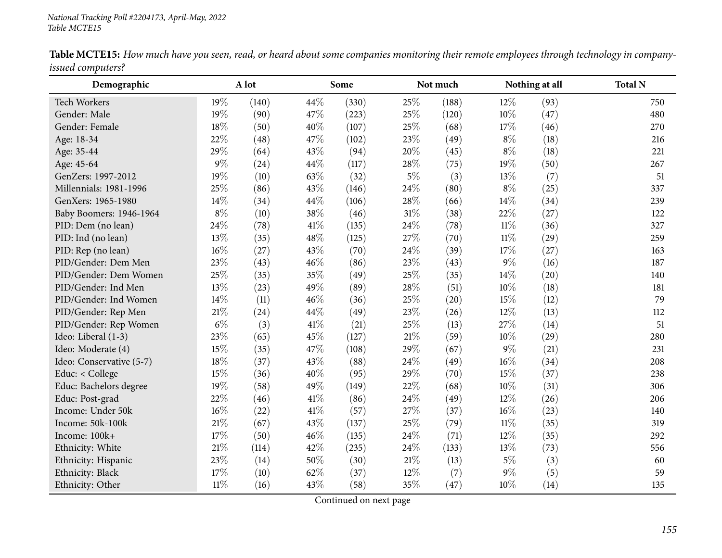| Demographic              |        | A lot |      | Some  |       | Not much |        | Nothing at all | <b>Total N</b> |
|--------------------------|--------|-------|------|-------|-------|----------|--------|----------------|----------------|
| <b>Tech Workers</b>      | 19%    | (140) | 44%  | (330) | 25%   | (188)    | 12%    | (93)           | 750            |
| Gender: Male             | 19%    | (90)  | 47%  | (223) | 25%   | (120)    | $10\%$ | (47)           | 480            |
| Gender: Female           | $18\%$ | (50)  | 40%  | (107) | 25%   | (68)     | 17%    | (46)           | 270            |
| Age: 18-34               | 22%    | (48)  | 47%  | (102) | 23%   | (49)     | $8\%$  | (18)           | 216            |
| Age: 35-44               | 29%    | (64)  | 43%  | (94)  | 20%   | (45)     | $8\%$  | (18)           | 221            |
| Age: 45-64               | $9\%$  | (24)  | 44%  | (117) | 28%   | (75)     | 19%    | (50)           | 267            |
| GenZers: 1997-2012       | $19\%$ | (10)  | 63%  | (32)  | $5\%$ | (3)      | 13%    | (7)            | 51             |
| Millennials: 1981-1996   | 25%    | (86)  | 43%  | (146) | 24%   | (80)     | $8\%$  | (25)           | 337            |
| GenXers: 1965-1980       | 14%    | (34)  | 44%  | (106) | 28%   | (66)     | 14%    | (34)           | 239            |
| Baby Boomers: 1946-1964  | $8\%$  | (10)  | 38%  | (46)  | 31%   | (38)     | 22%    | (27)           | 122            |
| PID: Dem (no lean)       | 24%    | (78)  | 41\% | (135) | 24%   | (78)     | $11\%$ | (36)           | 327            |
| PID: Ind (no lean)       | 13%    | (35)  | 48%  | (125) | 27%   | (70)     | $11\%$ | (29)           | 259            |
| PID: Rep (no lean)       | $16\%$ | (27)  | 43%  | (70)  | 24\%  | (39)     | 17%    | (27)           | 163            |
| PID/Gender: Dem Men      | 23%    | (43)  | 46%  | (86)  | 23%   | (43)     | $9\%$  | (16)           | 187            |
| PID/Gender: Dem Women    | 25%    | (35)  | 35%  | (49)  | 25%   | (35)     | 14%    | (20)           | 140            |
| PID/Gender: Ind Men      | 13%    | (23)  | 49%  | (89)  | 28%   | (51)     | 10%    | (18)           | 181            |
| PID/Gender: Ind Women    | 14%    | (11)  | 46%  | (36)  | 25%   | (20)     | 15%    | (12)           | 79             |
| PID/Gender: Rep Men      | 21\%   | (24)  | 44%  | (49)  | 23%   | (26)     | 12%    | (13)           | 112            |
| PID/Gender: Rep Women    | $6\%$  | (3)   | 41\% | (21)  | 25%   | (13)     | 27\%   | (14)           | 51             |
| Ideo: Liberal (1-3)      | 23%    | (65)  | 45%  | (127) | 21%   | (59)     | 10%    | (29)           | 280            |
| Ideo: Moderate (4)       | 15%    | (35)  | 47%  | (108) | 29%   | (67)     | $9\%$  | (21)           | 231            |
| Ideo: Conservative (5-7) | 18%    | (37)  | 43%  | (88)  | 24%   | (49)     | $16\%$ | (34)           | 208            |
| Educ: < College          | 15%    | (36)  | 40%  | (95)  | 29%   | (70)     | 15%    | (37)           | 238            |
| Educ: Bachelors degree   | 19%    | (58)  | 49%  | (149) | 22%   | (68)     | 10%    | (31)           | 306            |
| Educ: Post-grad          | 22%    | (46)  | 41\% | (86)  | 24%   | (49)     | 12%    | (26)           | 206            |
| Income: Under 50k        | $16\%$ | (22)  | 41\% | (57)  | 27%   | (37)     | 16%    | (23)           | 140            |
| Income: 50k-100k         | 21\%   | (67)  | 43%  | (137) | 25%   | (79)     | $11\%$ | (35)           | 319            |
| Income: 100k+            | $17\%$ | (50)  | 46%  | (135) | 24%   | (71)     | $12\%$ | (35)           | 292            |
| Ethnicity: White         | $21\%$ | (114) | 42%  | (235) | 24%   | (133)    | 13%    | (73)           | 556            |
| Ethnicity: Hispanic      | 23%    | (14)  | 50%  | (30)  | 21%   | (13)     | $5\%$  | (3)            | 60             |
| Ethnicity: Black         | 17%    | (10)  | 62%  | (37)  | 12%   | (7)      | 9%     | (5)            | 59             |
| Ethnicity: Other         | $11\%$ | (16)  | 43%  | (58)  | 35%   | (47)     | 10%    | (14)           | 135            |

Table MCTE15: How much have you seen, read, or heard about some companies monitoring their remote employees through technology in company*issued computers?*  $\overline{\phantom{0}}$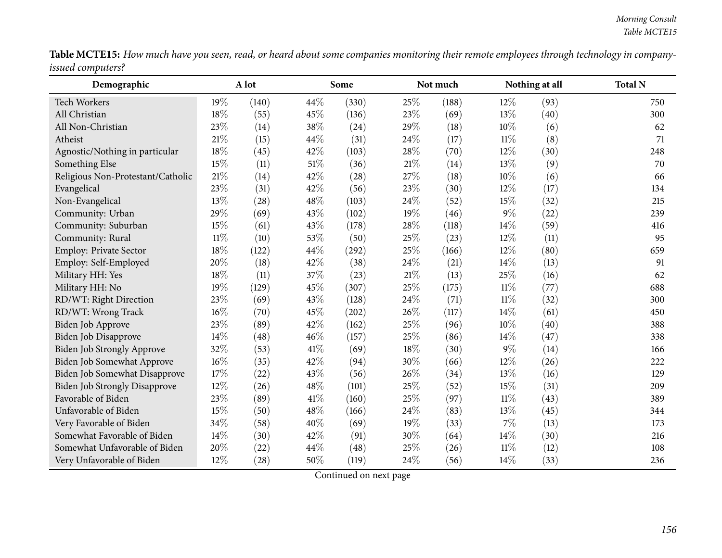| <b>Table MCTE15:</b> How much have you seen, read, or heard about some companies monitoring their remote employees through technology in company- |  |  |
|---------------------------------------------------------------------------------------------------------------------------------------------------|--|--|
| <i>issued computers?</i>                                                                                                                          |  |  |

| Demographic                          |        | A lot              |        | Some  |        | Not much |        | Nothing at all | <b>Total N</b> |
|--------------------------------------|--------|--------------------|--------|-------|--------|----------|--------|----------------|----------------|
| Tech Workers                         | 19%    | (140)              | 44%    | (330) | 25%    | (188)    | $12\%$ | (93)           | 750            |
| All Christian                        | 18%    | (55)               | 45%    | (136) | 23%    | (69)     | 13%    | (40)           | 300            |
| All Non-Christian                    | 23%    | (14)               | 38%    | (24)  | 29%    | (18)     | 10%    | (6)            | 62             |
| Atheist                              | 21%    | (15)               | 44%    | (31)  | 24\%   | (17)     | $11\%$ | (8)            | 71             |
| Agnostic/Nothing in particular       | 18%    | (45)               | 42%    | (103) | 28%    | (70)     | 12%    | (30)           | 248            |
| Something Else                       | 15%    | (11)               | $51\%$ | (36)  | $21\%$ | (14)     | 13%    | (9)            | 70             |
| Religious Non-Protestant/Catholic    | 21%    | (14)               | 42%    | (28)  | 27%    | (18)     | 10%    | (6)            | 66             |
| Evangelical                          | 23%    | (31)               | 42%    | (56)  | 23%    | (30)     | 12%    | (17)           | 134            |
| Non-Evangelical                      | 13%    | (28)               | 48%    | (103) | 24%    | (52)     | 15%    | (32)           | 215            |
| Community: Urban                     | 29%    | (69)               | 43%    | (102) | 19%    | (46)     | $9\%$  | (22)           | 239            |
| Community: Suburban                  | 15%    | (61)               | 43%    | (178) | 28%    | (118)    | 14%    | (59)           | 416            |
| Community: Rural                     | $11\%$ | (10)               | 53%    | (50)  | 25%    | (23)     | 12%    | (11)           | 95             |
| Employ: Private Sector               | 18%    | (122)              | 44%    | (292) | 25\%   | (166)    | 12%    | (80)           | 659            |
| Employ: Self-Employed                | 20%    | (18)               | 42%    | (38)  | 24\%   | (21)     | 14%    | (13)           | 91             |
| Military HH: Yes                     | 18%    | (11)               | 37%    | (23)  | 21%    | (13)     | 25%    | (16)           | 62             |
| Military HH: No                      | 19%    | (129)              | 45%    | (307) | 25%    | (175)    | $11\%$ | (77)           | 688            |
| RD/WT: Right Direction               | 23%    | (69)               | 43%    | (128) | 24\%   | (71)     | $11\%$ | (32)           | 300            |
| RD/WT: Wrong Track                   | 16%    | (70)               | 45%    | (202) | 26%    | (117)    | 14%    | (61)           | 450            |
| Biden Job Approve                    | 23%    | (89)               | 42%    | (162) | 25%    | (96)     | 10%    | (40)           | 388            |
| Biden Job Disapprove                 | 14%    | (48)               | 46%    | (157) | 25%    | (86)     | 14%    | (47)           | 338            |
| Biden Job Strongly Approve           | 32%    | (53)               | 41\%   | (69)  | 18%    | (30)     | $9\%$  | (14)           | 166            |
| Biden Job Somewhat Approve           | 16%    | (35)               | 42%    | (94)  | 30%    | (66)     | 12%    | (26)           | 222            |
| Biden Job Somewhat Disapprove        | 17%    | (22)               | 43%    | (56)  | 26\%   | (34)     | 13%    | (16)           | 129            |
| <b>Biden Job Strongly Disapprove</b> | 12%    | (26)               | 48%    | (101) | 25%    | (52)     | 15%    | (31)           | 209            |
| Favorable of Biden                   | 23%    | (89)               | 41\%   | (160) | 25%    | (97)     | $11\%$ | (43)           | 389            |
| Unfavorable of Biden                 | 15%    | (50)               | 48%    | (166) | 24\%   | (83)     | 13%    | (45)           | 344            |
| Very Favorable of Biden              | 34%    | (58)               | 40%    | (69)  | 19%    | (33)     | 7%     | (13)           | 173            |
| Somewhat Favorable of Biden          | 14%    | (30)               | 42%    | (91)  | 30%    | (64)     | 14%    | (30)           | 216            |
| Somewhat Unfavorable of Biden        | 20%    | (22)               | 44%    | (48)  | 25%    | (26)     | $11\%$ | (12)           | 108            |
| Very Unfavorable of Biden            | 12%    | $\left( 28\right)$ | 50%    | (119) | 24\%   | (56)     | 14%    | (33)           | 236            |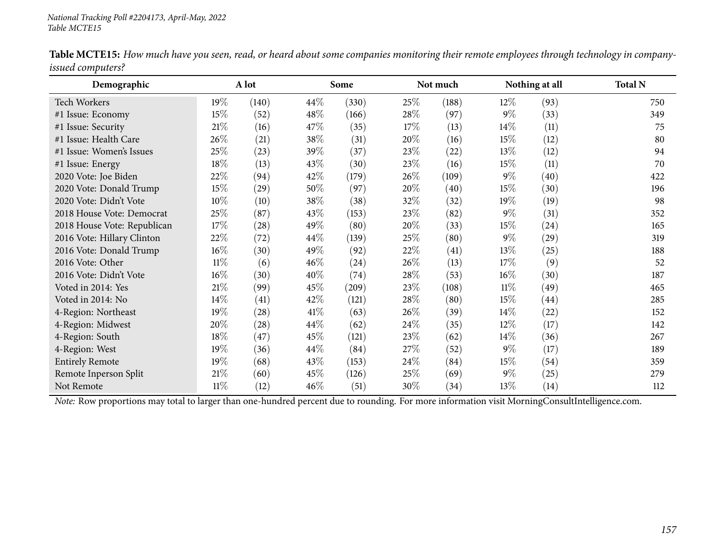| Demographic                 |        | A lot              |        | Some  |        | Not much           |        | Nothing at all | <b>Total N</b> |
|-----------------------------|--------|--------------------|--------|-------|--------|--------------------|--------|----------------|----------------|
| <b>Tech Workers</b>         | 19%    | (140)              | 44\%   | (330) | 25%    | (188)              | $12\%$ | (93)           | 750            |
| #1 Issue: Economy           | 15%    | (52)               | 48\%   | (166) | 28\%   | (97)               | $9\%$  | (33)           | 349            |
| #1 Issue: Security          | $21\%$ | (16)               | 47\%   | (35)  | $17\%$ | (13)               | 14%    | (11)           | 75             |
| #1 Issue: Health Care       | 26\%   | (21)               | 38\%   | (31)  | 20%    | (16)               | 15%    | (12)           | 80             |
| #1 Issue: Women's Issues    | 25%    | (23)               | 39%    | (37)  | 23%    | $^{(22)}$          | 13%    | (12)           | 94             |
| #1 Issue: Energy            | 18%    | (13)               | 43\%   | (30)  | 23\%   | (16)               | 15%    | (11)           | 70             |
| 2020 Vote: Joe Biden        | 22\%   | (94)               | 42\%   | (179) | 26\%   | (109)              | $9\%$  | (40)           | 422            |
| 2020 Vote: Donald Trump     | $15\%$ | $\left( 29\right)$ | 50%    | (97)  | 20%    | (40)               | 15%    | (30)           | 196            |
| 2020 Vote: Didn't Vote      | $10\%$ | (10)               | 38\%   | (38)  | 32\%   | (32)               | 19%    | (19)           | 98             |
| 2018 House Vote: Democrat   | 25%    | (87)               | 43\%   | (153) | 23\%   | (82)               | $9\%$  | (31)           | 352            |
| 2018 House Vote: Republican | 17%    | (28)               | 49\%   | (80)  | 20%    | (33)               | 15%    | (24)           | 165            |
| 2016 Vote: Hillary Clinton  | 22%    | (72)               | 44\%   | (139) | 25%    | (80)               | $9\%$  | (29)           | 319            |
| 2016 Vote: Donald Trump     | $16\%$ | (30)               | 49\%   | (92)  | 22\%   | $\left( 41\right)$ | 13%    | (25)           | 188            |
| 2016 Vote: Other            | $11\%$ | (6)                | $46\%$ | (24)  | 26\%   | (13)               | 17%    | (9)            | 52             |
| 2016 Vote: Didn't Vote      | $16\%$ | (30)               | 40%    | (74)  | 28\%   | (53)               | $16\%$ | (30)           | 187            |
| Voted in 2014: Yes          | 21\%   | (99)               | 45\%   | (209) | 23\%   | (108)              | 11%    | (49)           | 465            |
| Voted in 2014: No           | 14%    | (41)               | 42\%   | (121) | 28\%   | (80)               | 15%    | (44)           | 285            |
| 4-Region: Northeast         | 19%    | (28)               | 41\%   | (63)  | $26\%$ | (39)               | 14%    | (22)           | 152            |
| 4-Region: Midwest           | 20%    | (28)               | 44\%   | (62)  | 24\%   | (35)               | $12\%$ | (17)           | 142            |
| 4-Region: South             | 18%    | (47)               | 45%    | (121) | 23\%   | (62)               | 14%    | (36)           | 267            |
| 4-Region: West              | 19%    | (36)               | 44\%   | (84)  | 27%    | (52)               | $9\%$  | (17)           | 189            |
| <b>Entirely Remote</b>      | 19%    | (68)               | 43\%   | (153) | 24\%   | (84)               | 15%    | (54)           | 359            |
| Remote Inperson Split       | $21\%$ | (60)               | 45\%   | (126) | 25%    | (69)               | $9\%$  | (25)           | 279            |
| Not Remote                  | $11\%$ | (12)               | $46\%$ | (51)  | 30%    | (34)               | 13%    | (14)           | 112            |

Table MCTE15: How much have you seen, read, or heard about some companies monitoring their remote employees through technology in company*issued computers?*  $\overline{\phantom{0}}$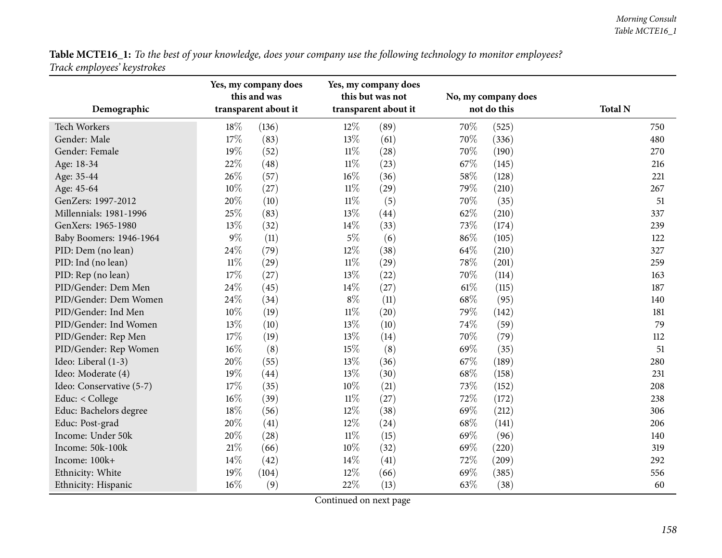Table MCTE16\_1: To the best of your knowledge, does your company use the following technology to monitor employees? *Track employees' keystrokes*

| Demographic              |        | Yes, my company does<br>this and was<br>transparent about it |        | Yes, my company does<br>this but was not<br>transparent about it |      | No, my company does<br>not do this | <b>Total N</b> |
|--------------------------|--------|--------------------------------------------------------------|--------|------------------------------------------------------------------|------|------------------------------------|----------------|
| Tech Workers             | 18%    | (136)                                                        | 12%    | (89)                                                             | 70%  | (525)                              | 750            |
| Gender: Male             | 17%    | (83)                                                         | 13%    | (61)                                                             | 70%  | (336)                              | 480            |
| Gender: Female           | 19%    | (52)                                                         | $11\%$ | (28)                                                             | 70%  | (190)                              | 270            |
| Age: 18-34               | 22%    | (48)                                                         | $11\%$ | (23)                                                             | 67\% | (145)                              | 216            |
| Age: 35-44               | 26%    | (57)                                                         | 16%    | (36)                                                             | 58%  | (128)                              | 221            |
| Age: 45-64               | 10%    | (27)                                                         | $11\%$ | (29)                                                             | 79%  | (210)                              | 267            |
| GenZers: 1997-2012       | 20%    | (10)                                                         | $11\%$ | (5)                                                              | 70%  | (35)                               | 51             |
| Millennials: 1981-1996   | 25%    | (83)                                                         | 13%    | (44)                                                             | 62%  | (210)                              | 337            |
| GenXers: 1965-1980       | 13%    | (32)                                                         | 14%    | (33)                                                             | 73%  | (174)                              | 239            |
| Baby Boomers: 1946-1964  | 9%     | (11)                                                         | $5\%$  | (6)                                                              | 86%  | (105)                              | 122            |
| PID: Dem (no lean)       | 24%    | (79)                                                         | 12%    | (38)                                                             | 64%  | (210)                              | 327            |
| PID: Ind (no lean)       | $11\%$ | (29)                                                         | $11\%$ | (29)                                                             | 78%  | (201)                              | 259            |
| PID: Rep (no lean)       | 17%    | (27)                                                         | 13%    | (22)                                                             | 70%  | (114)                              | 163            |
| PID/Gender: Dem Men      | 24%    | (45)                                                         | 14%    | (27)                                                             | 61\% | (115)                              | 187            |
| PID/Gender: Dem Women    | 24%    | (34)                                                         | $8\%$  | (11)                                                             | 68%  | (95)                               | 140            |
| PID/Gender: Ind Men      | 10%    | (19)                                                         | $11\%$ | (20)                                                             | 79%  | (142)                              | 181            |
| PID/Gender: Ind Women    | 13%    | (10)                                                         | 13%    | (10)                                                             | 74%  | (59)                               | 79             |
| PID/Gender: Rep Men      | 17%    | (19)                                                         | 13%    | (14)                                                             | 70%  | (79)                               | 112            |
| PID/Gender: Rep Women    | 16%    | (8)                                                          | 15%    | (8)                                                              | 69%  | (35)                               | 51             |
| Ideo: Liberal (1-3)      | 20%    | (55)                                                         | 13%    | (36)                                                             | 67%  | (189)                              | 280            |
| Ideo: Moderate (4)       | 19%    | (44)                                                         | 13%    | (30)                                                             | 68%  | (158)                              | 231            |
| Ideo: Conservative (5-7) | 17%    | (35)                                                         | 10%    | (21)                                                             | 73%  | (152)                              | 208            |
| Educ: < College          | 16%    | (39)                                                         | $11\%$ | (27)                                                             | 72%  | (172)                              | 238            |
| Educ: Bachelors degree   | 18%    | (56)                                                         | 12%    | (38)                                                             | 69%  | (212)                              | 306            |
| Educ: Post-grad          | 20%    | (41)                                                         | 12%    | (24)                                                             | 68%  | (141)                              | 206            |
| Income: Under 50k        | 20%    | (28)                                                         | $11\%$ | (15)                                                             | 69%  | (96)                               | 140            |
| Income: 50k-100k         | 21%    | (66)                                                         | 10%    | (32)                                                             | 69%  | (220)                              | 319            |
| Income: 100k+            | 14%    | (42)                                                         | 14%    | (41)                                                             | 72%  | (209)                              | 292            |
| Ethnicity: White         | 19%    | (104)                                                        | 12%    | (66)                                                             | 69%  | (385)                              | 556            |
| Ethnicity: Hispanic      | 16%    | (9)                                                          | 22%    | (13)                                                             | 63%  | (38)                               | 60             |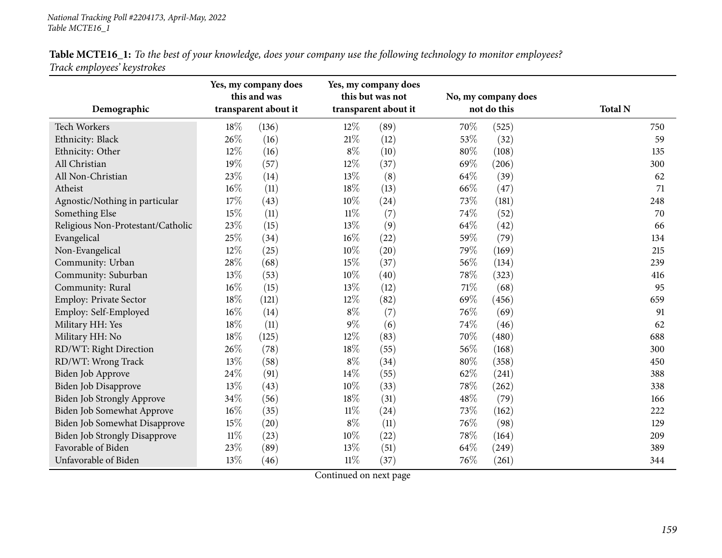Table MCTE16\_1: To the best of your knowledge, does your company use the following technology to monitor employees? *Track employees' keystrokes*

|                                      |        | Yes, my company does<br>this and was |        | Yes, my company does<br>this but was not |      | No, my company does |                |
|--------------------------------------|--------|--------------------------------------|--------|------------------------------------------|------|---------------------|----------------|
| Demographic                          |        | transparent about it                 |        | transparent about it                     |      | not do this         | <b>Total N</b> |
| Tech Workers                         | 18%    | (136)                                | 12%    | (89)                                     | 70%  | (525)               | 750            |
| Ethnicity: Black                     | 26%    | (16)                                 | $21\%$ | (12)                                     | 53%  | (32)                | 59             |
| Ethnicity: Other                     | 12%    | (16)                                 | $8\%$  | (10)                                     | 80%  | (108)               | 135            |
| All Christian                        | 19%    | (57)                                 | 12%    | (37)                                     | 69%  | (206)               | 300            |
| All Non-Christian                    | 23%    | (14)                                 | 13%    | (8)                                      | 64\% | (39)                | 62             |
| Atheist                              | 16%    | (11)                                 | 18%    | (13)                                     | 66%  | (47)                | 71             |
| Agnostic/Nothing in particular       | 17%    | (43)                                 | 10%    | (24)                                     | 73%  | (181)               | 248            |
| Something Else                       | 15%    | (11)                                 | $11\%$ | (7)                                      | 74%  | (52)                | 70             |
| Religious Non-Protestant/Catholic    | 23%    | (15)                                 | 13%    | (9)                                      | 64%  | (42)                | 66             |
| Evangelical                          | 25%    | (34)                                 | $16\%$ | (22)                                     | 59%  | (79)                | 134            |
| Non-Evangelical                      | 12%    | (25)                                 | 10%    | (20)                                     | 79%  | (169)               | 215            |
| Community: Urban                     | 28%    | (68)                                 | 15%    | (37)                                     | 56%  | (134)               | 239            |
| Community: Suburban                  | 13%    | (53)                                 | 10%    | (40)                                     | 78%  | (323)               | 416            |
| Community: Rural                     | 16%    | (15)                                 | 13%    | (12)                                     | 71%  | (68)                | 95             |
| Employ: Private Sector               | 18%    | (121)                                | 12%    | (82)                                     | 69%  | (456)               | 659            |
| Employ: Self-Employed                | 16%    | (14)                                 | $8\%$  | (7)                                      | 76%  | (69)                | 91             |
| Military HH: Yes                     | 18%    | (11)                                 | $9\%$  | (6)                                      | 74%  | (46)                | 62             |
| Military HH: No                      | 18%    | (125)                                | 12%    | (83)                                     | 70%  | (480)               | 688            |
| RD/WT: Right Direction               | 26%    | (78)                                 | 18%    | (55)                                     | 56%  | (168)               | 300            |
| RD/WT: Wrong Track                   | 13%    | (58)                                 | $8\%$  | (34)                                     | 80%  | (358)               | 450            |
| Biden Job Approve                    | 24%    | (91)                                 | 14%    | (55)                                     | 62%  | (241)               | 388            |
| Biden Job Disapprove                 | 13%    | (43)                                 | 10%    | (33)                                     | 78%  | (262)               | 338            |
| Biden Job Strongly Approve           | 34%    | (56)                                 | 18%    | (31)                                     | 48%  | (79)                | 166            |
| Biden Job Somewhat Approve           | 16%    | (35)                                 | $11\%$ | (24)                                     | 73%  | (162)               | 222            |
| Biden Job Somewhat Disapprove        | 15%    | (20)                                 | $8\%$  | (11)                                     | 76%  | (98)                | 129            |
| <b>Biden Job Strongly Disapprove</b> | $11\%$ | (23)                                 | 10%    | (22)                                     | 78%  | (164)               | 209            |
| Favorable of Biden                   | 23%    | (89)                                 | 13%    | (51)                                     | 64%  | (249)               | 389            |
| Unfavorable of Biden                 | 13%    | (46)                                 | $11\%$ | (37)                                     | 76%  | (261)               | 344            |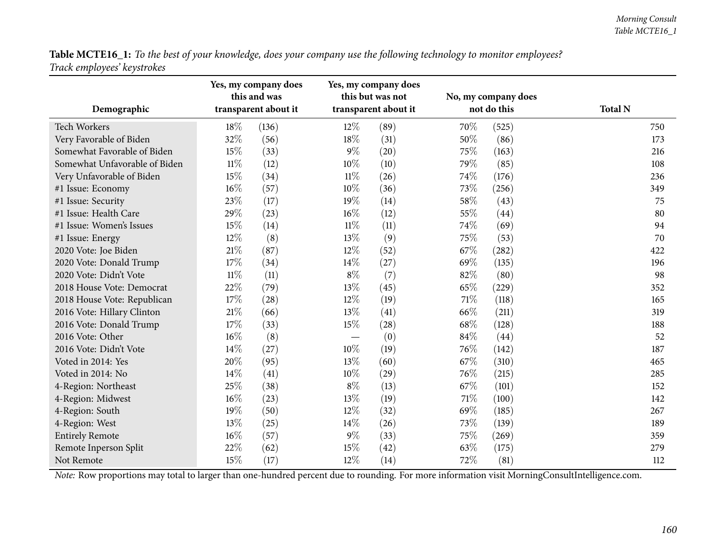Table MCTE16\_1: To the best of your knowledge, does your company use the following technology to monitor employees? *Track employees' keystrokes*

|                               |        | Yes, my company does<br>this and was |        | Yes, my company does<br>this but was not |      | No, my company does |                |
|-------------------------------|--------|--------------------------------------|--------|------------------------------------------|------|---------------------|----------------|
| Demographic                   |        | transparent about it                 |        | transparent about it                     |      | not do this         | <b>Total N</b> |
| Tech Workers                  | 18%    | (136)                                | $12\%$ | (89)                                     | 70%  | (525)               | 750            |
| Very Favorable of Biden       | 32%    | (56)                                 | 18%    | (31)                                     | 50%  | (86)                | 173            |
| Somewhat Favorable of Biden   | 15%    | (33)                                 | $9\%$  | (20)                                     | 75%  | (163)               | 216            |
| Somewhat Unfavorable of Biden | $11\%$ | (12)                                 | 10%    | (10)                                     | 79%  | (85)                | 108            |
| Very Unfavorable of Biden     | 15%    | (34)                                 | $11\%$ | (26)                                     | 74%  | (176)               | 236            |
| #1 Issue: Economy             | 16%    | (57)                                 | 10%    | (36)                                     | 73%  | (256)               | 349            |
| #1 Issue: Security            | 23%    | (17)                                 | 19%    | (14)                                     | 58%  | (43)                | 75             |
| #1 Issue: Health Care         | 29%    | (23)                                 | 16%    | (12)                                     | 55%  | (44)                | 80             |
| #1 Issue: Women's Issues      | 15%    | (14)                                 | 11%    | (11)                                     | 74%  | (69)                | 94             |
| #1 Issue: Energy              | 12%    | (8)                                  | 13%    | (9)                                      | 75%  | (53)                | 70             |
| 2020 Vote: Joe Biden          | 21%    | (87)                                 | 12%    | (52)                                     | 67%  | (282)               | 422            |
| 2020 Vote: Donald Trump       | 17%    | (34)                                 | 14%    | (27)                                     | 69%  | (135)               | 196            |
| 2020 Vote: Didn't Vote        | $11\%$ | (11)                                 | $8\%$  | (7)                                      | 82%  | (80)                | 98             |
| 2018 House Vote: Democrat     | 22%    | (79)                                 | 13%    | (45)                                     | 65%  | (229)               | 352            |
| 2018 House Vote: Republican   | 17%    | (28)                                 | 12%    | (19)                                     | 71\% | (118)               | 165            |
| 2016 Vote: Hillary Clinton    | 21%    | (66)                                 | 13%    | (41)                                     | 66\% | (211)               | 319            |
| 2016 Vote: Donald Trump       | 17%    | (33)                                 | 15%    | (28)                                     | 68%  | (128)               | 188            |
| 2016 Vote: Other              | 16%    | (8)                                  |        | (0)                                      | 84%  | (44)                | 52             |
| 2016 Vote: Didn't Vote        | 14%    | (27)                                 | 10%    | (19)                                     | 76%  | (142)               | 187            |
| Voted in 2014: Yes            | 20%    | (95)                                 | 13%    | (60)                                     | 67%  | (310)               | 465            |
| Voted in 2014: No             | 14%    | (41)                                 | 10%    | (29)                                     | 76%  | (215)               | 285            |
| 4-Region: Northeast           | 25%    | (38)                                 | $8\%$  | (13)                                     | 67\% | (101)               | 152            |
| 4-Region: Midwest             | 16%    | (23)                                 | 13%    | (19)                                     | 71%  | (100)               | 142            |
| 4-Region: South               | 19%    | (50)                                 | 12%    | (32)                                     | 69%  | (185)               | 267            |
| 4-Region: West                | 13%    | (25)                                 | 14\%   | (26)                                     | 73%  | (139)               | 189            |
| <b>Entirely Remote</b>        | 16%    | (57)                                 | $9\%$  | (33)                                     | 75%  | (269)               | 359            |
| Remote Inperson Split         | 22%    | (62)                                 | 15%    | (42)                                     | 63%  | (175)               | 279            |
| Not Remote                    | 15%    | (17)                                 | 12%    | (14)                                     | 72%  | (81)                | 112            |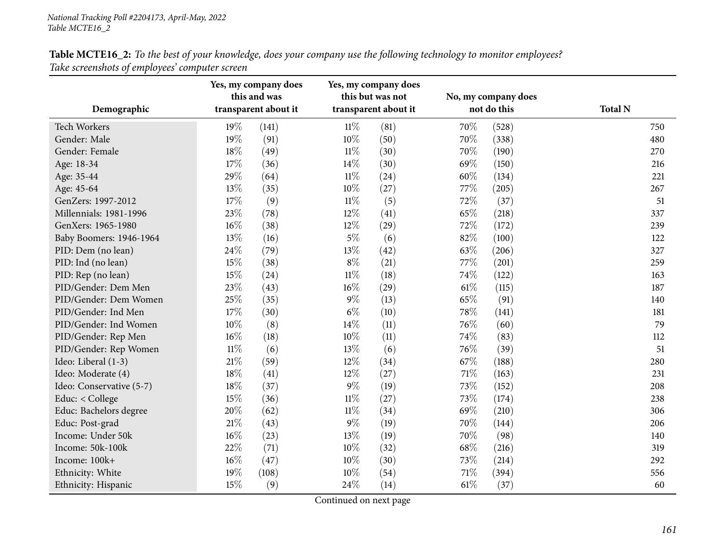| Table MCTE16_2: To the best of your knowledge, does your company use the following technology to monitor employees? |  |
|---------------------------------------------------------------------------------------------------------------------|--|
| Take screenshots of employees' computer screen                                                                      |  |

| Demographic              |        | Yes, my company does<br>this and was<br>transparent about it | Yes, my company does<br>this but was not<br>transparent about it |      | No, my company does<br>not do this |       | <b>Total N</b> |
|--------------------------|--------|--------------------------------------------------------------|------------------------------------------------------------------|------|------------------------------------|-------|----------------|
| Tech Workers             | 19%    | (141)                                                        | $11\%$                                                           | (81) | 70%                                | (528) | 750            |
| Gender: Male             | 19%    | (91)                                                         | 10%                                                              | (50) | 70%                                | (338) | 480            |
| Gender: Female           | 18%    | (49)                                                         | $11\%$                                                           | (30) | 70%                                | (190) | 270            |
| Age: 18-34               | 17%    | (36)                                                         | 14\%                                                             | (30) | 69%                                | (150) | 216            |
| Age: 35-44               | 29%    | (64)                                                         | $11\%$                                                           | (24) | 60%                                | (134) | 221            |
| Age: 45-64               | 13%    | (35)                                                         | 10%                                                              | (27) | 77%                                | (205) | 267            |
| GenZers: 1997-2012       | 17%    | (9)                                                          | $11\%$                                                           | (5)  | 72%                                | (37)  | 51             |
| Millennials: 1981-1996   | 23%    | (78)                                                         | 12%                                                              | (41) | 65%                                | (218) | 337            |
| GenXers: 1965-1980       | 16%    | (38)                                                         | 12%                                                              | (29) | 72%                                | (172) | 239            |
| Baby Boomers: 1946-1964  | 13%    | (16)                                                         | $5\%$                                                            | (6)  | 82%                                | (100) | 122            |
| PID: Dem (no lean)       | 24%    | (79)                                                         | 13%                                                              | (42) | 63%                                | (206) | 327            |
| PID: Ind (no lean)       | 15%    | (38)                                                         | $8\%$                                                            | (21) | 77%                                | (201) | 259            |
| PID: Rep (no lean)       | 15%    | (24)                                                         | $11\%$                                                           | (18) | 74%                                | (122) | 163            |
| PID/Gender: Dem Men      | 23%    | (43)                                                         | 16%                                                              | (29) | $61\%$                             | (115) | 187            |
| PID/Gender: Dem Women    | 25%    | (35)                                                         | $9\%$                                                            | (13) | 65%                                | (91)  | 140            |
| PID/Gender: Ind Men      | 17%    | (30)                                                         | $6\%$                                                            | (10) | 78%                                | (141) | 181            |
| PID/Gender: Ind Women    | 10%    | (8)                                                          | 14\%                                                             | (11) | 76%                                | (60)  | 79             |
| PID/Gender: Rep Men      | 16%    | (18)                                                         | $10\%$                                                           | (11) | 74%                                | (83)  | 112            |
| PID/Gender: Rep Women    | $11\%$ | (6)                                                          | 13%                                                              | (6)  | 76%                                | (39)  | 51             |
| Ideo: Liberal (1-3)      | 21\%   | (59)                                                         | 12%                                                              | (34) | 67%                                | (188) | 280            |
| Ideo: Moderate (4)       | 18%    | (41)                                                         | 12%                                                              | (27) | 71%                                | (163) | 231            |
| Ideo: Conservative (5-7) | 18%    | (37)                                                         | $9\%$                                                            | (19) | 73%                                | (152) | 208            |
| Educ: < College          | 15%    | (36)                                                         | $11\%$                                                           | (27) | 73%                                | (174) | 238            |
| Educ: Bachelors degree   | 20%    | (62)                                                         | $11\%$                                                           | (34) | 69%                                | (210) | 306            |
| Educ: Post-grad          | 21%    | (43)                                                         | $9\%$                                                            | (19) | 70%                                | (144) | 206            |
| Income: Under 50k        | 16%    | (23)                                                         | $13\%$                                                           | (19) | 70%                                | (98)  | 140            |
| Income: 50k-100k         | 22%    | (71)                                                         | $10\%$                                                           | (32) | 68%                                | (216) | 319            |
| Income: 100k+            | 16%    | (47)                                                         | 10%                                                              | (30) | 73%                                | (214) | 292            |
| Ethnicity: White         | 19%    | (108)                                                        | 10%                                                              | (54) | 71%                                | (394) | 556            |
| Ethnicity: Hispanic      | 15%    | (9)                                                          | 24%                                                              | (14) | 61\%                               | (37)  | 60             |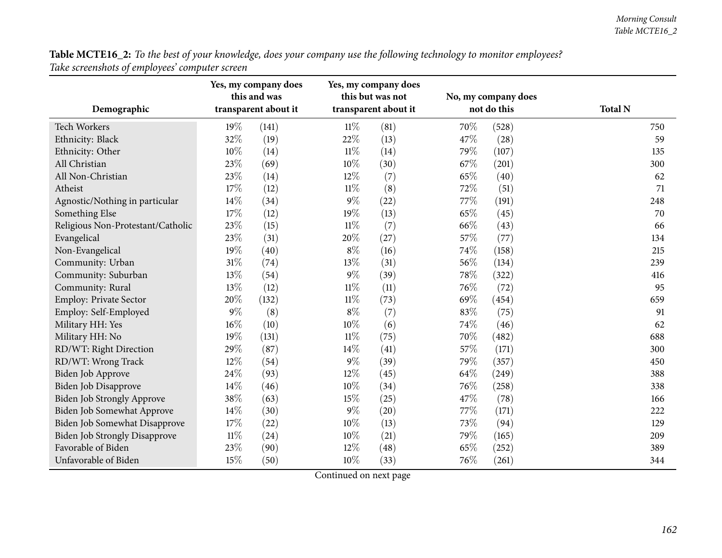| Table MCTE16_2: To the best of your knowledge, does your company use the following technology to monitor employees? |  |
|---------------------------------------------------------------------------------------------------------------------|--|
| Take screenshots of employees' computer screen                                                                      |  |

|                                      |        | Yes, my company does<br>this and was |        | Yes, my company does<br>this but was not |             | No, my company does |                |
|--------------------------------------|--------|--------------------------------------|--------|------------------------------------------|-------------|---------------------|----------------|
| Demographic                          |        | transparent about it                 |        | transparent about it                     | not do this |                     | <b>Total N</b> |
| Tech Workers                         | $19\%$ | (141)                                | $11\%$ | (81)                                     | 70\%        | (528)               | 750            |
| Ethnicity: Black                     | 32%    | (19)                                 | 22%    | (13)                                     | 47%         | (28)                | 59             |
| Ethnicity: Other                     | 10%    | (14)                                 | $11\%$ | (14)                                     | 79%         | (107)               | 135            |
| All Christian                        | 23%    | (69)                                 | 10%    | (30)                                     | 67%         | (201)               | 300            |
| All Non-Christian                    | 23%    | (14)                                 | 12%    | (7)                                      | 65%         | (40)                | 62             |
| Atheist                              | 17%    | (12)                                 | $11\%$ | (8)                                      | 72%         | (51)                | 71             |
| Agnostic/Nothing in particular       | 14%    | (34)                                 | $9\%$  | (22)                                     | 77%         | (191)               | 248            |
| Something Else                       | 17%    | (12)                                 | 19%    | (13)                                     | 65%         | (45)                | 70             |
| Religious Non-Protestant/Catholic    | 23%    | (15)                                 | $11\%$ | (7)                                      | 66%         | (43)                | 66             |
| Evangelical                          | 23%    | (31)                                 | 20%    | (27)                                     | 57%         | (77)                | 134            |
| Non-Evangelical                      | 19%    | (40)                                 | $8\%$  | (16)                                     | 74%         | (158)               | 215            |
| Community: Urban                     | $31\%$ | (74)                                 | 13%    | (31)                                     | 56%         | (134)               | 239            |
| Community: Suburban                  | 13%    | (54)                                 | $9\%$  | (39)                                     | 78%         | (322)               | 416            |
| Community: Rural                     | 13%    | (12)                                 | $11\%$ | (11)                                     | 76%         | (72)                | 95             |
| Employ: Private Sector               | 20%    | (132)                                | $11\%$ | (73)                                     | 69%         | (454)               | 659            |
| Employ: Self-Employed                | $9\%$  | (8)                                  | $8\%$  | (7)                                      | 83%         | (75)                | 91             |
| Military HH: Yes                     | 16%    | (10)                                 | 10%    | (6)                                      | 74%         | (46)                | 62             |
| Military HH: No                      | 19%    | (131)                                | $11\%$ | (75)                                     | 70%         | (482)               | 688            |
| RD/WT: Right Direction               | 29%    | (87)                                 | 14\%   | (41)                                     | 57%         | (171)               | 300            |
| RD/WT: Wrong Track                   | 12%    | (54)                                 | $9\%$  | (39)                                     | 79%         | (357)               | 450            |
| Biden Job Approve                    | 24%    | (93)                                 | 12%    | (45)                                     | 64%         | (249)               | 388            |
| Biden Job Disapprove                 | 14%    | (46)                                 | 10%    | (34)                                     | 76%         | (258)               | 338            |
| <b>Biden Job Strongly Approve</b>    | 38%    | (63)                                 | 15%    | (25)                                     | 47%         | (78)                | 166            |
| Biden Job Somewhat Approve           | 14%    | (30)                                 | $9\%$  | (20)                                     | 77%         | (171)               | 222            |
| Biden Job Somewhat Disapprove        | 17%    | (22)                                 | 10%    | (13)                                     | 73%         | (94)                | 129            |
| <b>Biden Job Strongly Disapprove</b> | $11\%$ | (24)                                 | $10\%$ | (21)                                     | 79%         | (165)               | 209            |
| Favorable of Biden                   | 23%    | (90)                                 | 12%    | (48)                                     | 65%         | (252)               | 389            |
| Unfavorable of Biden                 | 15%    | (50)                                 | 10%    | (33)                                     | 76%         | (261)               | 344            |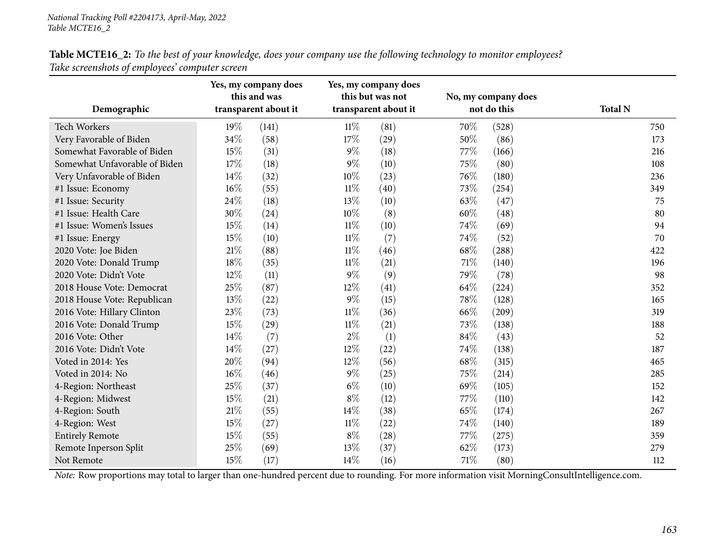| Demographic                   |      | Yes, my company does<br>this and was<br>transparent about it |        | Yes, my company does<br>this but was not<br>transparent about it |      | No, my company does<br>not do this | <b>Total N</b> |  |
|-------------------------------|------|--------------------------------------------------------------|--------|------------------------------------------------------------------|------|------------------------------------|----------------|--|
| <b>Tech Workers</b>           | 19%  | (141)                                                        | $11\%$ | (81)                                                             | 70%  | (528)                              | 750            |  |
| Very Favorable of Biden       | 34%  | (58)                                                         | 17%    | (29)                                                             | 50%  | (86)                               | 173            |  |
| Somewhat Favorable of Biden   | 15%  | (31)                                                         | $9\%$  | (18)                                                             | 77%  | (166)                              | 216            |  |
| Somewhat Unfavorable of Biden | 17%  | (18)                                                         | $9\%$  | (10)                                                             | 75%  | (80)                               | 108            |  |
| Very Unfavorable of Biden     | 14\% | (32)                                                         | 10%    | (23)                                                             | 76%  | (180)                              | 236            |  |
| #1 Issue: Economy             | 16%  | (55)                                                         | $11\%$ | (40)                                                             | 73\% | (254)                              | 349            |  |
| #1 Issue: Security            | 24%  | (18)                                                         | 13%    | (10)                                                             | 63%  | (47)                               | 75             |  |
| #1 Issue: Health Care         | 30%  | (24)                                                         | 10%    | (8)                                                              | 60%  | (48)                               | 80             |  |
| #1 Issue: Women's Issues      | 15%  | (14)                                                         | $11\%$ | (10)                                                             | 74%  | (69)                               | 94             |  |
| #1 Issue: Energy              | 15%  | (10)                                                         | $11\%$ | (7)                                                              | 74%  | (52)                               | 70             |  |
| 2020 Vote: Joe Biden          | 21%  | (88)                                                         | $11\%$ | (46)                                                             | 68%  | (288)                              | 422            |  |
| 2020 Vote: Donald Trump       | 18%  | (35)                                                         | $11\%$ | (21)                                                             | 71%  | (140)                              | 196            |  |
| 2020 Vote: Didn't Vote        | 12%  | (11)                                                         | $9\%$  | (9)                                                              | 79\% | (78)                               | 98             |  |
| 2018 House Vote: Democrat     | 25%  | (87)                                                         | 12%    | (41)                                                             | 64\% | (224)                              | 352            |  |
| 2018 House Vote: Republican   | 13%  | (22)                                                         | $9\%$  | (15)                                                             | 78%  | (128)                              | 165            |  |
| 2016 Vote: Hillary Clinton    | 23%  | (73)                                                         | $11\%$ | (36)                                                             | 66\% | (209)                              | 319            |  |
| 2016 Vote: Donald Trump       | 15%  | (29)                                                         | $11\%$ | (21)                                                             | 73%  | (138)                              | 188            |  |
| 2016 Vote: Other              | 14%  | (7)                                                          | $2\%$  | (1)                                                              | 84%  | (43)                               | 52             |  |
| 2016 Vote: Didn't Vote        | 14%  | (27)                                                         | 12%    | (22)                                                             | 74%  | (138)                              | 187            |  |
| Voted in 2014: Yes            | 20%  | (94)                                                         | 12%    | (56)                                                             | 68%  | (315)                              | 465            |  |
| Voted in 2014: No             | 16%  | (46)                                                         | $9\%$  | (25)                                                             | 75%  | (214)                              | 285            |  |
| 4-Region: Northeast           | 25%  | (37)                                                         | $6\%$  | (10)                                                             | 69%  | (105)                              | 152            |  |
| 4-Region: Midwest             | 15%  | (21)                                                         | $8\%$  | (12)                                                             | 77%  | (110)                              | 142            |  |
| 4-Region: South               | 21%  | (55)                                                         | 14%    | (38)                                                             | 65%  | (174)                              | 267            |  |
| 4-Region: West                | 15%  | (27)                                                         | $11\%$ | (22)                                                             | 74%  | (140)                              | 189            |  |
| <b>Entirely Remote</b>        | 15%  | (55)                                                         | $8\%$  | (28)                                                             | 77%  | (275)                              | 359            |  |
| Remote Inperson Split         | 25%  | (69)                                                         | 13%    | (37)                                                             | 62%  | (173)                              | 279            |  |
| Not Remote                    | 15%  | (17)                                                         | 14%    | (16)                                                             | 71%  | (80)                               | 112            |  |

Table MCTE16\_2: To the best of your knowledge, does your company use the following technology to monitor employees? *Take screenshots of employees' computer screen*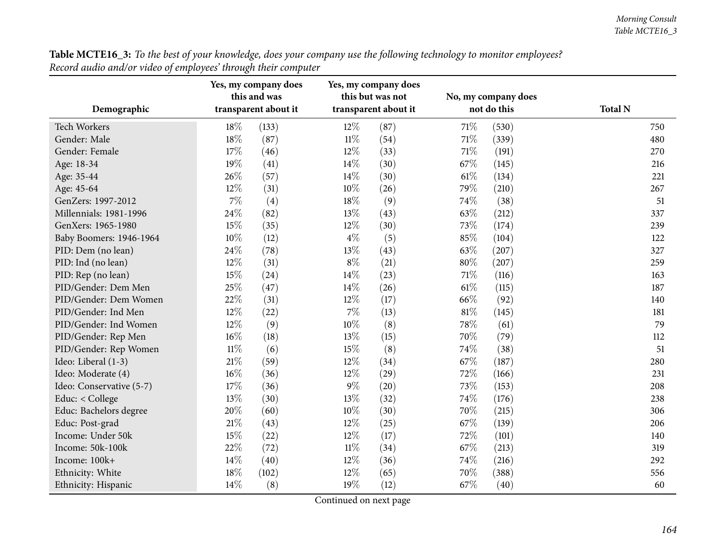| Table MCTE16_3: To the best of your knowledge, does your company use the following technology to monitor employees? |  |
|---------------------------------------------------------------------------------------------------------------------|--|
| Record audio and/or video of employees' through their computer                                                      |  |

| Demographic              |        | Yes, my company does<br>this and was<br>transparent about it |        | Yes, my company does<br>this but was not<br>transparent about it | No, my company does<br>not do this |       | <b>Total N</b> |
|--------------------------|--------|--------------------------------------------------------------|--------|------------------------------------------------------------------|------------------------------------|-------|----------------|
| Tech Workers             | 18%    | (133)                                                        | 12%    | (87)                                                             | 71%                                | (530) | 750            |
| Gender: Male             | 18%    | (87)                                                         | $11\%$ | (54)                                                             | $71\%$                             | (339) | 480            |
| Gender: Female           | 17%    | (46)                                                         | 12%    | (33)                                                             | $71\%$                             | (191) | 270            |
| Age: 18-34               | 19%    | (41)                                                         | 14%    | (30)                                                             | 67%                                | (145) | 216            |
| Age: 35-44               | 26%    | (57)                                                         | 14%    | (30)                                                             | $61\%$                             | (134) | 221            |
| Age: 45-64               | 12%    | (31)                                                         | 10%    | (26)                                                             | 79%                                | (210) | 267            |
| GenZers: 1997-2012       | 7%     | (4)                                                          | 18%    | (9)                                                              | 74%                                | (38)  | 51             |
| Millennials: 1981-1996   | 24%    | (82)                                                         | 13%    | (43)                                                             | 63%                                | (212) | 337            |
| GenXers: 1965-1980       | 15%    | (35)                                                         | 12%    | (30)                                                             | 73%                                | (174) | 239            |
| Baby Boomers: 1946-1964  | 10%    | (12)                                                         | $4\%$  | (5)                                                              | 85%                                | (104) | 122            |
| PID: Dem (no lean)       | 24%    | (78)                                                         | 13%    | (43)                                                             | 63%                                | (207) | 327            |
| PID: Ind (no lean)       | 12%    | (31)                                                         | $8\%$  | (21)                                                             | $80\%$                             | (207) | 259            |
| PID: Rep (no lean)       | 15%    | (24)                                                         | 14\%   | (23)                                                             | $71\%$                             | (116) | 163            |
| PID/Gender: Dem Men      | 25%    | (47)                                                         | 14\%   | (26)                                                             | 61\%                               | (115) | 187            |
| PID/Gender: Dem Women    | 22%    | (31)                                                         | 12%    | (17)                                                             | 66%                                | (92)  | 140            |
| PID/Gender: Ind Men      | 12%    | (22)                                                         | $7\%$  | (13)                                                             | $81\%$                             | (145) | 181            |
| PID/Gender: Ind Women    | 12%    | (9)                                                          | 10%    | (8)                                                              | 78%                                | (61)  | 79             |
| PID/Gender: Rep Men      | 16%    | (18)                                                         | 13%    | (15)                                                             | 70%                                | (79)  | 112            |
| PID/Gender: Rep Women    | $11\%$ | (6)                                                          | 15%    | (8)                                                              | 74%                                | (38)  | 51             |
| Ideo: Liberal (1-3)      | 21%    | (59)                                                         | 12%    | (34)                                                             | 67\%                               | (187) | 280            |
| Ideo: Moderate (4)       | 16%    | (36)                                                         | 12%    | (29)                                                             | 72%                                | (166) | 231            |
| Ideo: Conservative (5-7) | 17%    | (36)                                                         | $9\%$  | (20)                                                             | 73%                                | (153) | 208            |
| Educ: < College          | 13%    | (30)                                                         | 13%    | (32)                                                             | 74%                                | (176) | 238            |
| Educ: Bachelors degree   | 20%    | (60)                                                         | 10%    | (30)                                                             | 70%                                | (215) | 306            |
| Educ: Post-grad          | 21%    | (43)                                                         | 12%    | (25)                                                             | 67%                                | (139) | 206            |
| Income: Under 50k        | 15%    | (22)                                                         | 12%    | (17)                                                             | 72%                                | (101) | 140            |
| Income: 50k-100k         | 22%    | (72)                                                         | $11\%$ | (34)                                                             | 67%                                | (213) | 319            |
| Income: 100k+            | 14%    | (40)                                                         | 12%    | (36)                                                             | 74%                                | (216) | 292            |
| Ethnicity: White         | 18%    | (102)                                                        | 12%    | (65)                                                             | 70%                                | (388) | 556            |
| Ethnicity: Hispanic      | 14%    | (8)                                                          | 19%    | (12)                                                             | 67%                                | (40)  | 60             |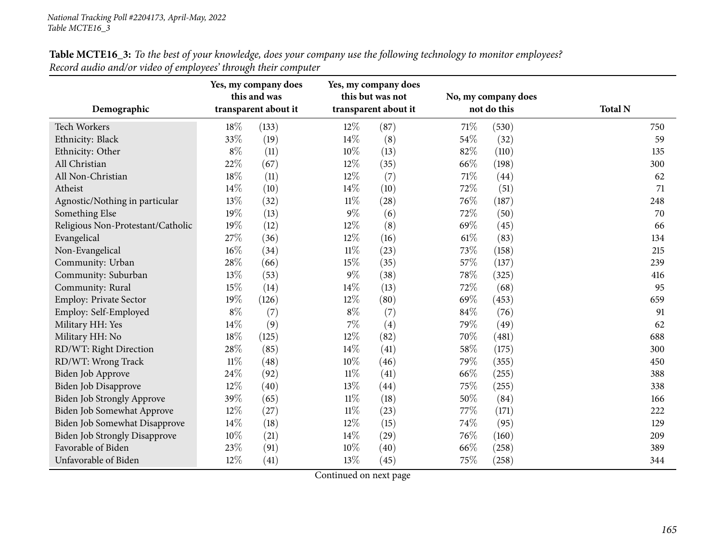| Demographic                          |        | Yes, my company does<br>this and was<br>transparent about it |        | Yes, my company does<br>this but was not<br>transparent about it |      | No, my company does<br>not do this | <b>Total N</b> |
|--------------------------------------|--------|--------------------------------------------------------------|--------|------------------------------------------------------------------|------|------------------------------------|----------------|
| <b>Tech Workers</b>                  | 18%    | (133)                                                        | $12\%$ | (87)                                                             | 71\% | (530)                              | 750            |
| Ethnicity: Black                     | 33%    | (19)                                                         | 14%    | (8)                                                              | 54%  | (32)                               | 59             |
| Ethnicity: Other                     | $8\%$  | (11)                                                         | 10%    | (13)                                                             | 82%  | (110)                              | 135            |
| All Christian                        | 22%    | (67)                                                         | 12%    | (35)                                                             | 66%  | (198)                              | 300            |
| All Non-Christian                    | 18%    | (11)                                                         | 12%    | (7)                                                              | 71%  | (44)                               | 62             |
| Atheist                              | 14%    | (10)                                                         | 14%    | (10)                                                             | 72%  | (51)                               | 71             |
| Agnostic/Nothing in particular       | 13%    | (32)                                                         | $11\%$ | (28)                                                             | 76%  | (187)                              | 248            |
| Something Else                       | 19%    | (13)                                                         | 9%     | (6)                                                              | 72%  | (50)                               | 70             |
| Religious Non-Protestant/Catholic    | 19%    | (12)                                                         | 12%    | (8)                                                              | 69%  | (45)                               | 66             |
| Evangelical                          | 27%    | (36)                                                         | 12%    | (16)                                                             | 61\% | (83)                               | 134            |
| Non-Evangelical                      | 16%    | (34)                                                         | $11\%$ | (23)                                                             | 73%  | (158)                              | 215            |
| Community: Urban                     | 28%    | (66)                                                         | 15%    | (35)                                                             | 57%  | (137)                              | 239            |
| Community: Suburban                  | 13%    | (53)                                                         | $9\%$  | (38)                                                             | 78%  | (325)                              | 416            |
| Community: Rural                     | 15%    | (14)                                                         | 14%    | (13)                                                             | 72%  | (68)                               | 95             |
| <b>Employ: Private Sector</b>        | 19%    | (126)                                                        | 12%    | (80)                                                             | 69%  | (453)                              | 659            |
| Employ: Self-Employed                | $8\%$  | (7)                                                          | $8\%$  | (7)                                                              | 84%  | (76)                               | 91             |
| Military HH: Yes                     | 14%    | (9)                                                          | 7%     | (4)                                                              | 79%  | (49)                               | 62             |
| Military HH: No                      | 18%    | (125)                                                        | 12%    | (82)                                                             | 70%  | (481)                              | 688            |
| RD/WT: Right Direction               | 28%    | (85)                                                         | 14%    | (41)                                                             | 58%  | (175)                              | 300            |
| RD/WT: Wrong Track                   | $11\%$ | (48)                                                         | 10%    | (46)                                                             | 79%  | (355)                              | 450            |
| Biden Job Approve                    | 24%    | (92)                                                         | $11\%$ | (41)                                                             | 66%  | (255)                              | 388            |
| <b>Biden Job Disapprove</b>          | 12%    | (40)                                                         | 13%    | (44)                                                             | 75%  | (255)                              | 338            |
| Biden Job Strongly Approve           | 39%    | (65)                                                         | $11\%$ | (18)                                                             | 50%  | (84)                               | 166            |
| Biden Job Somewhat Approve           | 12%    | (27)                                                         | $11\%$ | (23)                                                             | 77%  | (171)                              | 222            |
| Biden Job Somewhat Disapprove        | 14%    | (18)                                                         | 12%    | (15)                                                             | 74%  | (95)                               | 129            |
| <b>Biden Job Strongly Disapprove</b> | 10%    | (21)                                                         | 14%    | (29)                                                             | 76%  | (160)                              | 209            |
| Favorable of Biden                   | 23%    | (91)                                                         | 10%    | (40)                                                             | 66%  | (258)                              | 389            |
| Unfavorable of Biden                 | 12%    | (41)                                                         | 13%    | (45)                                                             | 75%  | (258)                              | 344            |

Table MCTE16\_3: To the best of your knowledge, does your company use the following technology to monitor employees? *Record audio and/or video of employees' through their computer*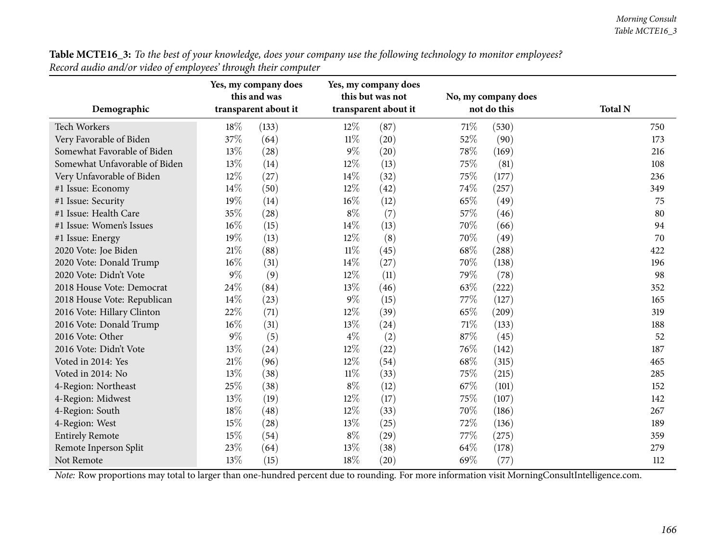|                               |       | Yes, my company does<br>this and was |                      | Yes, my company does<br>this but was not |      | No, my company does |                |
|-------------------------------|-------|--------------------------------------|----------------------|------------------------------------------|------|---------------------|----------------|
| Demographic                   |       | transparent about it                 | transparent about it |                                          |      | not do this         | <b>Total N</b> |
| <b>Tech Workers</b>           | 18%   | (133)                                | 12%                  | (87)                                     | 71\% | (530)               | 750            |
| Very Favorable of Biden       | 37%   | (64)                                 | $11\%$               | (20)                                     | 52%  | (90)                | 173            |
| Somewhat Favorable of Biden   | 13%   | (28)                                 | $9\%$                | (20)                                     | 78%  | (169)               | 216            |
| Somewhat Unfavorable of Biden | 13%   | (14)                                 | 12%                  | (13)                                     | 75%  | (81)                | 108            |
| Very Unfavorable of Biden     | 12%   | (27)                                 | 14%                  | (32)                                     | 75%  | (177)               | 236            |
| #1 Issue: Economy             | 14%   | (50)                                 | 12%                  | (42)                                     | 74%  | (257)               | 349            |
| #1 Issue: Security            | 19%   | (14)                                 | 16%                  | (12)                                     | 65%  | (49)                | 75             |
| #1 Issue: Health Care         | 35%   | (28)                                 | $8\%$                | (7)                                      | 57%  | (46)                | 80             |
| #1 Issue: Women's Issues      | 16%   | (15)                                 | 14%                  | (13)                                     | 70%  | (66)                | 94             |
| #1 Issue: Energy              | 19%   | (13)                                 | 12%                  | (8)                                      | 70%  | (49)                | 70             |
| 2020 Vote: Joe Biden          | 21%   | (88)                                 | $11\%$               | (45)                                     | 68%  | (288)               | 422            |
| 2020 Vote: Donald Trump       | 16%   | (31)                                 | 14%                  | (27)                                     | 70%  | (138)               | 196            |
| 2020 Vote: Didn't Vote        | $9\%$ | (9)                                  | 12%                  | (11)                                     | 79%  | (78)                | 98             |
| 2018 House Vote: Democrat     | 24%   | (84)                                 | 13%                  | (46)                                     | 63%  | (222)               | 352            |
| 2018 House Vote: Republican   | 14%   | (23)                                 | 9%                   | (15)                                     | 77%  | (127)               | 165            |
| 2016 Vote: Hillary Clinton    | 22%   | (71)                                 | 12%                  | (39)                                     | 65%  | (209)               | 319            |
| 2016 Vote: Donald Trump       | 16%   | (31)                                 | 13%                  | (24)                                     | 71\% | (133)               | 188            |
| 2016 Vote: Other              | 9%    | (5)                                  | $4\%$                | (2)                                      | 87%  | (45)                | 52             |
| 2016 Vote: Didn't Vote        | 13%   | (24)                                 | 12%                  | (22)                                     | 76%  | (142)               | 187            |
| Voted in 2014: Yes            | 21%   | (96)                                 | 12%                  | (54)                                     | 68%  | (315)               | 465            |
| Voted in 2014: No             | 13%   | (38)                                 | $11\%$               | (33)                                     | 75%  | (215)               | 285            |
| 4-Region: Northeast           | 25%   | (38)                                 | $8\%$                | (12)                                     | 67%  | (101)               | 152            |
| 4-Region: Midwest             | 13%   | (19)                                 | 12%                  | (17)                                     | 75%  | (107)               | 142            |
| 4-Region: South               | 18%   | (48)                                 | 12%                  | (33)                                     | 70%  | (186)               | 267            |
| 4-Region: West                | 15%   | (28)                                 | 13%                  | (25)                                     | 72%  | (136)               | 189            |
| <b>Entirely Remote</b>        | 15%   | (54)                                 | $8\%$                | (29)                                     | 77%  | (275)               | 359            |
| Remote Inperson Split         | 23%   | (64)                                 | 13%                  | (38)                                     | 64%  | (178)               | 279            |
| Not Remote                    | 13%   | (15)                                 | 18%                  | (20)                                     | 69%  | (77)                | 112            |

Table MCTE16\_3: To the best of your knowledge, does your company use the following technology to monitor employees? *Record audio and/or video of employees' through their computer*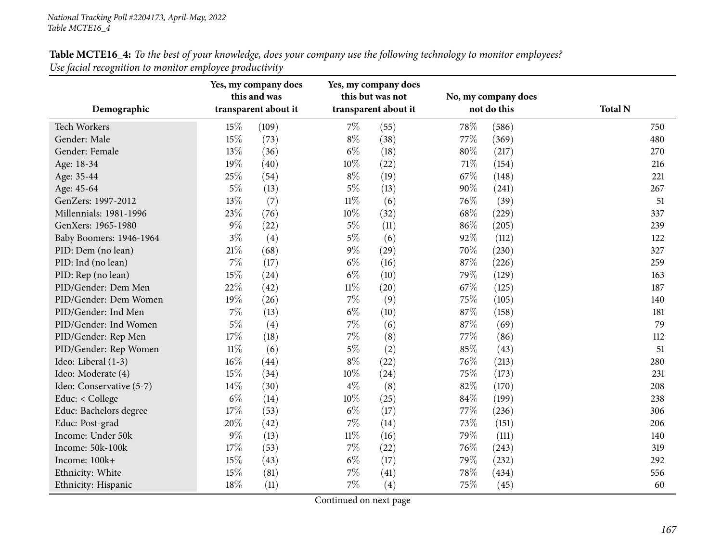| Table MCTE16_4: To the best of your knowledge, does your company use the following technology to monitor employees? |  |
|---------------------------------------------------------------------------------------------------------------------|--|
| Use facial recognition to monitor employee productivity                                                             |  |

|                          |        | Yes, my company does<br>this and was |        | Yes, my company does<br>this but was not |     | No, my company does |                |
|--------------------------|--------|--------------------------------------|--------|------------------------------------------|-----|---------------------|----------------|
| Demographic              |        | transparent about it                 |        | transparent about it                     |     | not do this         | <b>Total N</b> |
| <b>Tech Workers</b>      | 15%    | (109)                                | 7%     | (55)                                     | 78% | (586)               | 750            |
| Gender: Male             | 15%    | (73)                                 | $8\%$  | (38)                                     | 77% | (369)               | 480            |
| Gender: Female           | 13%    | (36)                                 | $6\%$  | (18)                                     | 80% | (217)               | 270            |
| Age: 18-34               | 19%    | (40)                                 | 10%    | (22)                                     | 71% | (154)               | 216            |
| Age: 35-44               | 25%    | (54)                                 | $8\%$  | (19)                                     | 67% | (148)               | 221            |
| Age: 45-64               | $5\%$  | (13)                                 | $5\%$  | (13)                                     | 90% | (241)               | 267            |
| GenZers: 1997-2012       | 13%    | (7)                                  | $11\%$ | (6)                                      | 76% | (39)                | 51             |
| Millennials: 1981-1996   | 23%    | (76)                                 | 10%    | (32)                                     | 68% | (229)               | 337            |
| GenXers: 1965-1980       | 9%     | (22)                                 | $5\%$  | (11)                                     | 86% | (205)               | 239            |
| Baby Boomers: 1946-1964  | $3\%$  | (4)                                  | $5\%$  | (6)                                      | 92% | (112)               | 122            |
| PID: Dem (no lean)       | 21%    | (68)                                 | $9\%$  | (29)                                     | 70% | (230)               | 327            |
| PID: Ind (no lean)       | 7%     | (17)                                 | $6\%$  | (16)                                     | 87% | (226)               | 259            |
| PID: Rep (no lean)       | 15%    | (24)                                 | $6\%$  | (10)                                     | 79% | (129)               | 163            |
| PID/Gender: Dem Men      | 22%    | (42)                                 | $11\%$ | (20)                                     | 67% | (125)               | 187            |
| PID/Gender: Dem Women    | 19%    | (26)                                 | $7\%$  | (9)                                      | 75% | (105)               | 140            |
| PID/Gender: Ind Men      | 7%     | (13)                                 | $6\%$  | (10)                                     | 87% | (158)               | 181            |
| PID/Gender: Ind Women    | $5\%$  | (4)                                  | 7%     | (6)                                      | 87% | (69)                | 79             |
| PID/Gender: Rep Men      | 17%    | (18)                                 | 7%     | (8)                                      | 77% | (86)                | 112            |
| PID/Gender: Rep Women    | $11\%$ | (6)                                  | $5\%$  | (2)                                      | 85% | (43)                | 51             |
| Ideo: Liberal (1-3)      | 16%    | (44)                                 | $8\%$  | (22)                                     | 76% | (213)               | 280            |
| Ideo: Moderate (4)       | 15%    | (34)                                 | 10%    | (24)                                     | 75% | (173)               | 231            |
| Ideo: Conservative (5-7) | 14%    | (30)                                 | $4\%$  | (8)                                      | 82% | (170)               | 208            |
| Educ: < College          | $6\%$  | (14)                                 | 10%    | (25)                                     | 84% | (199)               | 238            |
| Educ: Bachelors degree   | 17%    | (53)                                 | $6\%$  | (17)                                     | 77% | (236)               | 306            |
| Educ: Post-grad          | 20%    | (42)                                 | 7%     | (14)                                     | 73% | (151)               | 206            |
| Income: Under 50k        | 9%     | (13)                                 | $11\%$ | (16)                                     | 79% | (111)               | 140            |
| Income: 50k-100k         | 17%    | (53)                                 | $7\%$  | (22)                                     | 76% | (243)               | 319            |
| Income: 100k+            | 15%    | (43)                                 | $6\%$  | (17)                                     | 79% | (232)               | 292            |
| Ethnicity: White         | 15%    | (81)                                 | 7%     | (41)                                     | 78% | (434)               | 556            |
| Ethnicity: Hispanic      | 18%    | (11)                                 | $7\%$  | (4)                                      | 75% | (45)                | 60             |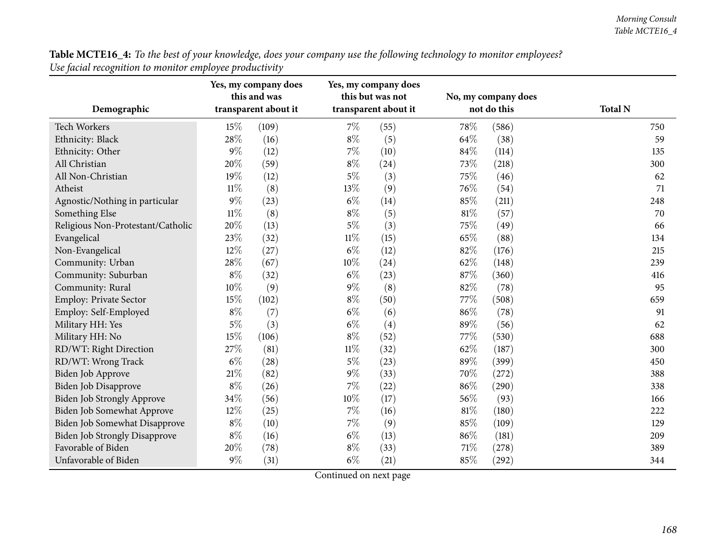Table MCTE16\_4: To the best of your knowledge, does your company use the following technology to monitor employees? *Use facial recognition to monitor employee productivity*

|                                      |        | Yes, my company does<br>this and was |        | Yes, my company does<br>this but was not |        | No, my company does |                |
|--------------------------------------|--------|--------------------------------------|--------|------------------------------------------|--------|---------------------|----------------|
| Demographic                          |        | transparent about it                 |        | transparent about it                     |        | not do this         | <b>Total N</b> |
| Tech Workers                         | 15%    | (109)                                | $7\%$  | (55)                                     | 78%    | (586)               | 750            |
| Ethnicity: Black                     | 28%    | (16)                                 | $8\%$  | (5)                                      | 64%    | (38)                | 59             |
| Ethnicity: Other                     | 9%     | (12)                                 | $7\%$  | (10)                                     | 84%    | (114)               | 135            |
| All Christian                        | 20%    | (59)                                 | $8\%$  | (24)                                     | 73%    | (218)               | 300            |
| All Non-Christian                    | 19%    | (12)                                 | $5\%$  | (3)                                      | 75%    | (46)                | 62             |
| Atheist                              | $11\%$ | (8)                                  | 13%    | (9)                                      | 76%    | (54)                | 71             |
| Agnostic/Nothing in particular       | 9%     | (23)                                 | $6\%$  | (14)                                     | 85%    | (211)               | 248            |
| Something Else                       | $11\%$ | (8)                                  | $8\%$  | (5)                                      | 81%    | (57)                | 70             |
| Religious Non-Protestant/Catholic    | 20%    | (13)                                 | $5\%$  | (3)                                      | 75%    | (49)                | 66             |
| Evangelical                          | 23%    | (32)                                 | $11\%$ | (15)                                     | 65%    | (88)                | 134            |
| Non-Evangelical                      | 12%    | (27)                                 | $6\%$  | (12)                                     | 82%    | (176)               | 215            |
| Community: Urban                     | 28%    | (67)                                 | 10%    | (24)                                     | 62%    | (148)               | 239            |
| Community: Suburban                  | $8\%$  | (32)                                 | $6\%$  | (23)                                     | 87%    | (360)               | 416            |
| Community: Rural                     | 10%    | (9)                                  | $9\%$  | (8)                                      | 82%    | (78)                | 95             |
| Employ: Private Sector               | 15%    | (102)                                | $8\%$  | (50)                                     | 77%    | (508)               | 659            |
| Employ: Self-Employed                | $8\%$  | (7)                                  | $6\%$  | (6)                                      | 86%    | (78)                | 91             |
| Military HH: Yes                     | $5\%$  | (3)                                  | $6\%$  | (4)                                      | 89%    | (56)                | 62             |
| Military HH: No                      | 15%    | (106)                                | $8\%$  | (52)                                     | 77%    | (530)               | 688            |
| RD/WT: Right Direction               | 27%    | (81)                                 | $11\%$ | (32)                                     | 62%    | (187)               | 300            |
| RD/WT: Wrong Track                   | $6\%$  | (28)                                 | $5\%$  | (23)                                     | 89%    | (399)               | 450            |
| Biden Job Approve                    | 21\%   | (82)                                 | $9\%$  | (33)                                     | 70%    | (272)               | 388            |
| Biden Job Disapprove                 | $8\%$  | (26)                                 | 7%     | (22)                                     | 86%    | (290)               | 338            |
| Biden Job Strongly Approve           | 34%    | (56)                                 | 10%    | (17)                                     | 56%    | (93)                | 166            |
| Biden Job Somewhat Approve           | 12%    | (25)                                 | 7%     | (16)                                     | $81\%$ | (180)               | 222            |
| Biden Job Somewhat Disapprove        | $8\%$  | (10)                                 | $7\%$  | (9)                                      | 85%    | (109)               | 129            |
| <b>Biden Job Strongly Disapprove</b> | $8\%$  | (16)                                 | $6\%$  | (13)                                     | 86%    | (181)               | 209            |
| Favorable of Biden                   | 20%    | (78)                                 | $8\%$  | (33)                                     | 71%    | (278)               | 389            |
| Unfavorable of Biden                 | $9\%$  | (31)                                 | $6\%$  | (21)                                     | 85%    | (292)               | 344            |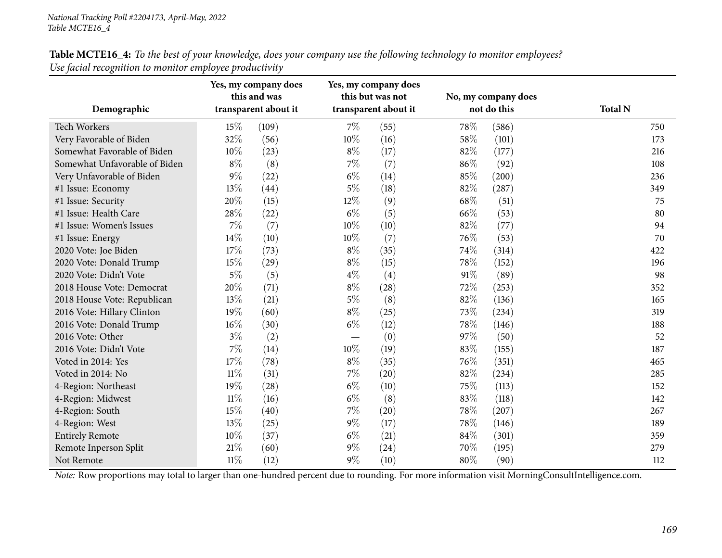| Demographic                   |        | Yes, my company does<br>this and was<br>transparent about it |       | Yes, my company does<br>this but was not<br>transparent about it | No, my company does<br>not do this |       | <b>Total N</b> |
|-------------------------------|--------|--------------------------------------------------------------|-------|------------------------------------------------------------------|------------------------------------|-------|----------------|
| <b>Tech Workers</b>           | 15%    | (109)                                                        | $7\%$ | (55)                                                             | 78%                                | (586) | 750            |
| Very Favorable of Biden       | 32%    | (56)                                                         | 10%   | (16)                                                             | 58%                                | (101) | 173            |
| Somewhat Favorable of Biden   | 10%    | (23)                                                         | $8\%$ | (17)                                                             | 82%                                | (177) | 216            |
| Somewhat Unfavorable of Biden | $8\%$  | (8)                                                          | $7\%$ | (7)                                                              | 86%                                | (92)  | 108            |
| Very Unfavorable of Biden     | $9\%$  | (22)                                                         | $6\%$ | (14)                                                             | 85%                                | (200) | 236            |
| #1 Issue: Economy             | 13%    | (44)                                                         | $5\%$ | (18)                                                             | 82%                                | (287) | 349            |
| #1 Issue: Security            | 20%    | (15)                                                         | 12%   | (9)                                                              | 68%                                | (51)  | 75             |
| #1 Issue: Health Care         | 28%    | (22)                                                         | $6\%$ | (5)                                                              | 66%                                | (53)  | 80             |
| #1 Issue: Women's Issues      | 7%     | (7)                                                          | 10%   | (10)                                                             | 82%                                | (77)  | 94             |
| #1 Issue: Energy              | 14\%   | (10)                                                         | 10%   | (7)                                                              | 76%                                | (53)  | 70             |
| 2020 Vote: Joe Biden          | 17%    | (73)                                                         | $8\%$ | (35)                                                             | 74%                                | (314) | 422            |
| 2020 Vote: Donald Trump       | 15%    | (29)                                                         | $8\%$ | (15)                                                             | 78%                                | (152) | 196            |
| 2020 Vote: Didn't Vote        | $5\%$  | (5)                                                          | $4\%$ | (4)                                                              | 91%                                | (89)  | 98             |
| 2018 House Vote: Democrat     | 20%    | (71)                                                         | $8\%$ | (28)                                                             | 72%                                | (253) | 352            |
| 2018 House Vote: Republican   | 13%    | (21)                                                         | $5\%$ | (8)                                                              | 82%                                | (136) | 165            |
| 2016 Vote: Hillary Clinton    | 19%    | (60)                                                         | $8\%$ | (25)                                                             | 73%                                | (234) | 319            |
| 2016 Vote: Donald Trump       | 16%    | (30)                                                         | $6\%$ | (12)                                                             | 78%                                | (146) | 188            |
| 2016 Vote: Other              | $3\%$  | (2)                                                          | —     | (0)                                                              | 97%                                | (50)  | 52             |
| 2016 Vote: Didn't Vote        | 7%     | (14)                                                         | 10%   | (19)                                                             | 83%                                | (155) | 187            |
| Voted in 2014: Yes            | 17%    | (78)                                                         | $8\%$ | (35)                                                             | 76%                                | (351) | 465            |
| Voted in 2014: No             | $11\%$ | (31)                                                         | 7%    | (20)                                                             | 82%                                | (234) | 285            |
| 4-Region: Northeast           | 19%    | (28)                                                         | $6\%$ | (10)                                                             | 75%                                | (113) | 152            |
| 4-Region: Midwest             | $11\%$ | (16)                                                         | $6\%$ | (8)                                                              | 83%                                | (118) | 142            |
| 4-Region: South               | 15%    | (40)                                                         | $7\%$ | (20)                                                             | 78%                                | (207) | 267            |
| 4-Region: West                | 13%    | (25)                                                         | $9\%$ | (17)                                                             | 78%                                | (146) | 189            |
| <b>Entirely Remote</b>        | 10%    | (37)                                                         | $6\%$ | (21)                                                             | 84%                                | (301) | 359            |
| Remote Inperson Split         | 21%    | (60)                                                         | $9\%$ | (24)                                                             | 70%                                | (195) | 279            |
| Not Remote                    | $11\%$ | (12)                                                         | $9\%$ | (10)                                                             | 80%                                | (90)  | 112            |

Table MCTE16\_4: To the best of your knowledge, does your company use the following technology to monitor employees? *Use facial recognition to monitor employee productivity*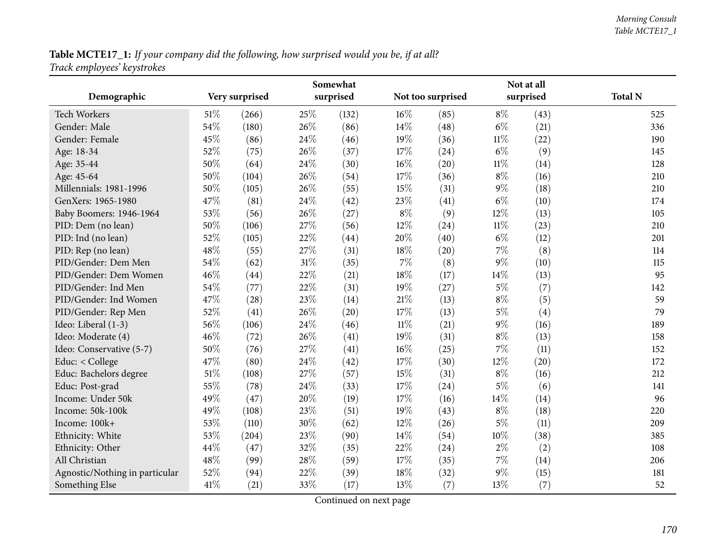**Table MCTE17\_1:** If your company did the following, how surprised would you be, if at all? *Track employees' keystrokes*

|                                | Somewhat |                |     |           |        |                   | Not at all |           |                |  |
|--------------------------------|----------|----------------|-----|-----------|--------|-------------------|------------|-----------|----------------|--|
| Demographic                    |          | Very surprised |     | surprised |        | Not too surprised |            | surprised | <b>Total N</b> |  |
| <b>Tech Workers</b>            | 51\%     | (266)          | 25% | (132)     | 16%    | (85)              | $8\%$      | (43)      | 525            |  |
| Gender: Male                   | 54%      | (180)          | 26% | (86)      | 14%    | (48)              | $6\%$      | (21)      | 336            |  |
| Gender: Female                 | 45%      | (86)           | 24% | (46)      | 19%    | (36)              | $11\%$     | (22)      | 190            |  |
| Age: 18-34                     | 52%      | (75)           | 26% | (37)      | 17%    | (24)              | $6\%$      | (9)       | 145            |  |
| Age: 35-44                     | 50%      | (64)           | 24% | (30)      | 16%    | (20)              | $11\%$     | (14)      | 128            |  |
| Age: 45-64                     | 50%      | (104)          | 26% | (54)      | 17%    | (36)              | $8\%$      | (16)      | 210            |  |
| Millennials: 1981-1996         | 50%      | (105)          | 26% | (55)      | 15%    | (31)              | 9%         | (18)      | 210            |  |
| GenXers: 1965-1980             | 47%      | (81)           | 24% | (42)      | 23%    | (41)              | $6\%$      | (10)      | 174            |  |
| Baby Boomers: 1946-1964        | 53%      | (56)           | 26% | (27)      | $8\%$  | (9)               | 12%        | (13)      | 105            |  |
| PID: Dem (no lean)             | 50%      | (106)          | 27% | (56)      | 12%    | (24)              | $11\%$     | (23)      | 210            |  |
| PID: Ind (no lean)             | 52%      | (105)          | 22% | (44)      | 20%    | (40)              | $6\%$      | (12)      | 201            |  |
| PID: Rep (no lean)             | 48%      | (55)           | 27% | (31)      | 18%    | (20)              | 7%         | (8)       | 114            |  |
| PID/Gender: Dem Men            | 54%      | (62)           | 31% | (35)      | $7\%$  | (8)               | 9%         | (10)      | 115            |  |
| PID/Gender: Dem Women          | 46%      | (44)           | 22% | (21)      | 18%    | (17)              | 14%        | (13)      | 95             |  |
| PID/Gender: Ind Men            | 54%      | (77)           | 22% | (31)      | 19%    | (27)              | $5\%$      | (7)       | 142            |  |
| PID/Gender: Ind Women          | 47%      | (28)           | 23% | (14)      | 21%    | (13)              | $8\%$      | (5)       | 59             |  |
| PID/Gender: Rep Men            | 52%      | (41)           | 26% | (20)      | 17%    | (13)              | $5\%$      | (4)       | 79             |  |
| Ideo: Liberal (1-3)            | 56%      | (106)          | 24% | (46)      | $11\%$ | (21)              | 9%         | (16)      | 189            |  |
| Ideo: Moderate (4)             | 46%      | (72)           | 26% | (41)      | 19%    | (31)              | $8\%$      | (13)      | 158            |  |
| Ideo: Conservative (5-7)       | 50%      | (76)           | 27% | (41)      | 16%    | (25)              | 7%         | (11)      | 152            |  |
| Educ: < College                | 47%      | (80)           | 24% | (42)      | 17%    | (30)              | 12%        | (20)      | 172            |  |
| Educ: Bachelors degree         | 51\%     | (108)          | 27% | (57)      | 15%    | (31)              | $8\%$      | (16)      | 212            |  |
| Educ: Post-grad                | 55%      | (78)           | 24% | (33)      | 17%    | (24)              | $5\%$      | (6)       | 141            |  |
| Income: Under 50k              | 49%      | (47)           | 20% | (19)      | 17%    | (16)              | 14%        | (14)      | 96             |  |
| Income: 50k-100k               | 49%      | (108)          | 23% | (51)      | 19%    | (43)              | $8\%$      | (18)      | 220            |  |
| Income: 100k+                  | 53%      | (110)          | 30% | (62)      | 12%    | (26)              | $5\%$      | (11)      | 209            |  |
| Ethnicity: White               | 53%      | (204)          | 23% | (90)      | 14%    | (54)              | 10%        | (38)      | 385            |  |
| Ethnicity: Other               | 44%      | (47)           | 32% | (35)      | 22%    | (24)              | $2\%$      | (2)       | 108            |  |
| All Christian                  | 48%      | (99)           | 28% | (59)      | 17%    | (35)              | 7%         | (14)      | 206            |  |
| Agnostic/Nothing in particular | 52%      | (94)           | 22% | (39)      | 18%    | (32)              | 9%         | (15)      | 181            |  |
| Something Else                 | 41\%     | (21)           | 33% | (17)      | 13%    | (7)               | 13%        | (7)       | 52             |  |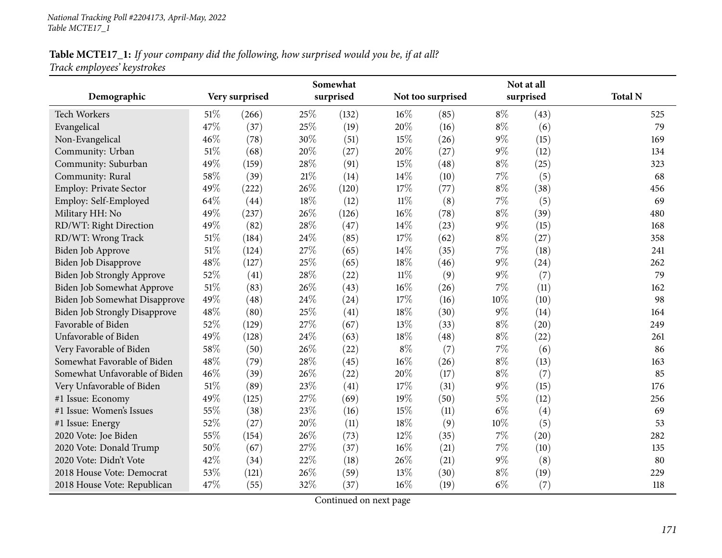# **Table MCTE17\_1:** If your company did the following, how surprised would you be, if at all? *Track employees' keystrokes*

|                                      | Somewhat |                |        |           |        |                   | Not at all |           |                |  |
|--------------------------------------|----------|----------------|--------|-----------|--------|-------------------|------------|-----------|----------------|--|
| Demographic                          |          | Very surprised |        | surprised |        | Not too surprised |            | surprised | <b>Total N</b> |  |
| <b>Tech Workers</b>                  | 51%      | (266)          | 25%    | (132)     | $16\%$ | (85)              | $8\%$      | (43)      | 525            |  |
| Evangelical                          | 47%      | (37)           | 25%    | (19)      | 20%    | (16)              | $8\%$      | (6)       | 79             |  |
| Non-Evangelical                      | 46%      | (78)           | 30%    | (51)      | 15%    | (26)              | $9\%$      | (15)      | 169            |  |
| Community: Urban                     | 51%      | (68)           | 20%    | (27)      | 20%    | (27)              | $9\%$      | (12)      | 134            |  |
| Community: Suburban                  | 49%      | (159)          | 28\%   | (91)      | 15%    | (48)              | $8\%$      | (25)      | 323            |  |
| Community: Rural                     | 58%      | (39)           | $21\%$ | (14)      | 14%    | (10)              | $7\%$      | (5)       | 68             |  |
| Employ: Private Sector               | 49%      | (222)          | 26%    | (120)     | $17\%$ | (77)              | $8\%$      | (38)      | 456            |  |
| Employ: Self-Employed                | 64%      | (44)           | $18\%$ | (12)      | $11\%$ | (8)               | $7\%$      | (5)       | 69             |  |
| Military HH: No                      | 49%      | (237)          | 26%    | (126)     | $16\%$ | (78)              | $8\%$      | (39)      | 480            |  |
| RD/WT: Right Direction               | 49%      | (82)           | 28\%   | (47)      | 14%    | (23)              | $9\%$      | (15)      | 168            |  |
| RD/WT: Wrong Track                   | 51%      | (184)          | 24%    | (85)      | $17\%$ | (62)              | $8\%$      | (27)      | 358            |  |
| Biden Job Approve                    | $51\%$   | (124)          | 27%    | (65)      | 14%    | (35)              | 7%         | (18)      | 241            |  |
| Biden Job Disapprove                 | 48%      | (127)          | 25%    | (65)      | $18\%$ | (46)              | $9\%$      | (24)      | 262            |  |
| Biden Job Strongly Approve           | 52%      | (41)           | 28%    | (22)      | $11\%$ | (9)               | $9\%$      | (7)       | 79             |  |
| Biden Job Somewhat Approve           | $51\%$   | (83)           | 26%    | (43)      | $16\%$ | (26)              | 7%         | (11)      | 162            |  |
| Biden Job Somewhat Disapprove        | 49%      | (48)           | 24\%   | (24)      | $17\%$ | (16)              | 10%        | (10)      | 98             |  |
| <b>Biden Job Strongly Disapprove</b> | 48%      | (80)           | 25%    | (41)      | 18%    | (30)              | $9\%$      | (14)      | 164            |  |
| Favorable of Biden                   | 52%      | (129)          | 27%    | (67)      | 13%    | (33)              | $8\%$      | (20)      | 249            |  |
| Unfavorable of Biden                 | 49%      | (128)          | 24%    | (63)      | 18%    | (48)              | $8\%$      | (22)      | 261            |  |
| Very Favorable of Biden              | 58%      | (50)           | 26%    | (22)      | $8\%$  | (7)               | 7%         | (6)       | 86             |  |
| Somewhat Favorable of Biden          | 48%      | (79)           | 28%    | (45)      | $16\%$ | (26)              | $8\%$      | (13)      | 163            |  |
| Somewhat Unfavorable of Biden        | 46%      | (39)           | 26%    | (22)      | 20%    | (17)              | $8\%$      | (7)       | 85             |  |
| Very Unfavorable of Biden            | $51\%$   | (89)           | 23%    | (41)      | $17\%$ | (31)              | $9\%$      | (15)      | 176            |  |
| #1 Issue: Economy                    | 49%      | (125)          | 27%    | (69)      | 19%    | (50)              | $5\%$      | (12)      | 256            |  |
| #1 Issue: Women's Issues             | 55%      | (38)           | 23%    | (16)      | 15%    | (11)              | $6\%$      | (4)       | 69             |  |
| #1 Issue: Energy                     | 52%      | (27)           | 20%    | (11)      | $18\%$ | (9)               | 10%        | (5)       | 53             |  |
| 2020 Vote: Joe Biden                 | 55%      | (154)          | 26%    | (73)      | 12%    | (35)              | $7\%$      | (20)      | 282            |  |
| 2020 Vote: Donald Trump              | 50%      | (67)           | 27%    | (37)      | $16\%$ | (21)              | $7\%$      | (10)      | 135            |  |
| 2020 Vote: Didn't Vote               | 42%      | (34)           | 22%    | (18)      | 26%    | (21)              | $9\%$      | (8)       | 80             |  |
| 2018 House Vote: Democrat            | 53%      | (121)          | 26%    | (59)      | 13%    | (30)              | $8\%$      | (19)      | 229            |  |
| 2018 House Vote: Republican          | 47%      | (55)           | 32%    | (37)      | $16\%$ | (19)              | $6\%$      | (7)       | 118            |  |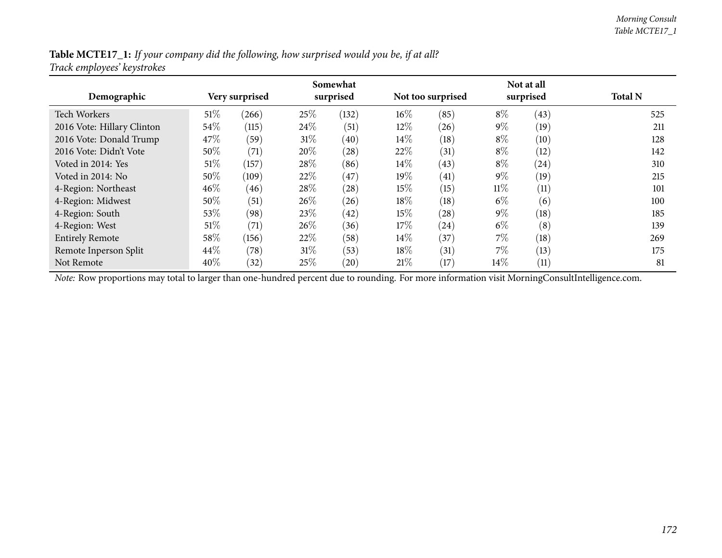#### Table MCTE17\_1: If your company did the following, how surprised would you be, if at all? *Track employees' keystrokes*

| Demographic                | Very surprised |       | Somewhat<br>surprised |                    |        | Not too surprised |        | Not at all<br>surprised | <b>Total N</b> |
|----------------------------|----------------|-------|-----------------------|--------------------|--------|-------------------|--------|-------------------------|----------------|
| <b>Tech Workers</b>        | 51%            | (266) | 25%                   | (132)              | $16\%$ | (85)              | $8\%$  | (43)                    | 525            |
| 2016 Vote: Hillary Clinton | $54\%$         | (115) | 24\%                  | (51)               | 12\%   | (26)              | $9\%$  | (19)                    | 211            |
| 2016 Vote: Donald Trump    | 47\%           | (59)  | $31\%$                | (40)               | $14\%$ | (18)              | $8\%$  | (10)                    | 128            |
| 2016 Vote: Didn't Vote     | $50\%$         | (71)  | 20%                   | $\left( 28\right)$ | 22\%   | (31)              | $8\%$  | (12)                    | 142            |
| Voted in 2014: Yes         | 51%            | (157) | 28\%                  | (86)               | $14\%$ | (43)              | $8\%$  | (24)                    | 310            |
| Voted in 2014: No          | $50\%$         | (109) | 22\%                  | (47)               | 19%    | (41)              | $9\%$  | (19)                    | 215            |
| 4-Region: Northeast        | 46%            | (46)  | 28\%                  | $\left( 28\right)$ | 15\%   | (15)              | $11\%$ | (11)                    | 101            |
| 4-Region: Midwest          | $50\%$         | (51)  | 26\%                  | (26)               | 18%    | (18)              | $6\%$  | (6)                     | 100            |
| 4-Region: South            | 53%            | (98)  | 23\%                  | (42)               | 15\%   | (28)              | $9\%$  | (18)                    | 185            |
| 4-Region: West             | $51\%$         | (71)  | 26\%                  | (36)               | 17\%   | (24)              | $6\%$  | (8)                     | 139            |
| <b>Entirely Remote</b>     | 58%            | (156) | $22\%$                | (58)               | $14\%$ | 37                | $7\%$  | (18)                    | 269            |
| Remote Inperson Split      | 44\%           | (78)  | $31\%$                | (53)               | 18%    | (31)              | $7\%$  | (13)                    | 175            |
| Not Remote                 | 40%            | (32)  | 25%                   | (20)               | 21%    | (17)              | $14\%$ | (11)                    | 81             |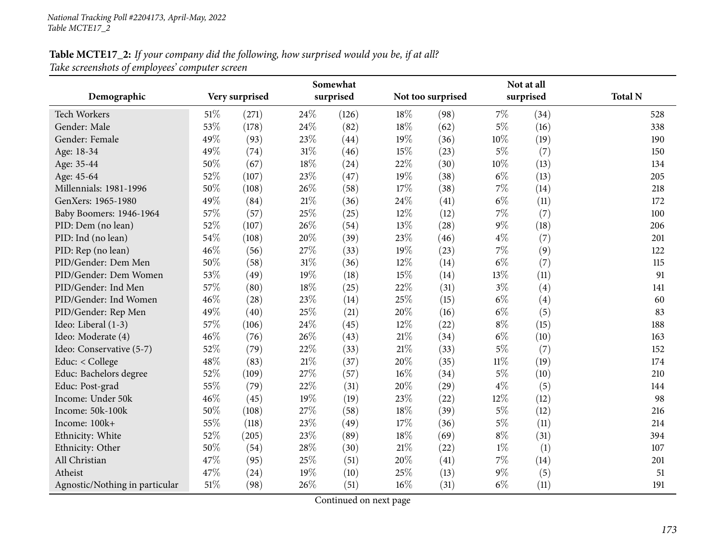# **Table MCTE17\_2:** If your company did the following, how surprised would you be, if at all? *Take screenshots of employees' computer screen*

|                                | Somewhat |                |     |           |        |                   | Not at all |           |                |  |
|--------------------------------|----------|----------------|-----|-----------|--------|-------------------|------------|-----------|----------------|--|
| Demographic                    |          | Very surprised |     | surprised |        | Not too surprised |            | surprised | <b>Total N</b> |  |
| Tech Workers                   | 51%      | (271)          | 24% | (126)     | 18%    | (98)              | 7%         | (34)      | 528            |  |
| Gender: Male                   | 53%      | (178)          | 24% | (82)      | 18%    | (62)              | 5%         | (16)      | 338            |  |
| Gender: Female                 | 49%      | (93)           | 23% | (44)      | 19%    | (36)              | 10%        | (19)      | 190            |  |
| Age: 18-34                     | 49%      | (74)           | 31% | (46)      | 15%    | (23)              | 5%         | (7)       | 150            |  |
| Age: 35-44                     | 50%      | (67)           | 18% | (24)      | 22%    | (30)              | 10%        | (13)      | 134            |  |
| Age: 45-64                     | 52%      | (107)          | 23% | (47)      | 19%    | (38)              | $6\%$      | (13)      | 205            |  |
| Millennials: 1981-1996         | 50%      | (108)          | 26% | (58)      | 17%    | (38)              | 7%         | (14)      | 218            |  |
| GenXers: 1965-1980             | 49%      | (84)           | 21% | (36)      | 24%    | (41)              | $6\%$      | (11)      | 172            |  |
| Baby Boomers: 1946-1964        | 57%      | (57)           | 25% | (25)      | 12%    | (12)              | 7%         | (7)       | 100            |  |
| PID: Dem (no lean)             | 52%      | (107)          | 26% | (54)      | 13%    | (28)              | 9%         | (18)      | 206            |  |
| PID: Ind (no lean)             | 54%      | (108)          | 20% | (39)      | 23%    | (46)              | $4\%$      | (7)       | 201            |  |
| PID: Rep (no lean)             | 46%      | (56)           | 27% | (33)      | 19%    | (23)              | 7%         | (9)       | 122            |  |
| PID/Gender: Dem Men            | 50%      | (58)           | 31% | (36)      | 12%    | (14)              | $6\%$      | (7)       | 115            |  |
| PID/Gender: Dem Women          | 53%      | (49)           | 19% | (18)      | 15%    | (14)              | 13%        | (11)      | 91             |  |
| PID/Gender: Ind Men            | 57%      | (80)           | 18% | (25)      | 22%    | (31)              | $3\%$      | (4)       | 141            |  |
| PID/Gender: Ind Women          | 46%      | (28)           | 23% | (14)      | 25%    | (15)              | $6\%$      | (4)       | 60             |  |
| PID/Gender: Rep Men            | 49%      | (40)           | 25% | (21)      | 20%    | (16)              | $6\%$      | (5)       | 83             |  |
| Ideo: Liberal (1-3)            | 57%      | (106)          | 24% | (45)      | 12%    | (22)              | $8\%$      | (15)      | 188            |  |
| Ideo: Moderate (4)             | 46%      | (76)           | 26% | (43)      | 21%    | (34)              | $6\%$      | (10)      | 163            |  |
| Ideo: Conservative (5-7)       | 52%      | (79)           | 22% | (33)      | 21%    | (33)              | $5\%$      | (7)       | 152            |  |
| Educ: < College                | 48%      | (83)           | 21% | (37)      | 20%    | (35)              | $11\%$     | (19)      | 174            |  |
| Educ: Bachelors degree         | 52%      | (109)          | 27% | (57)      | 16%    | (34)              | $5\%$      | (10)      | 210            |  |
| Educ: Post-grad                | 55%      | (79)           | 22% | (31)      | 20%    | (29)              | $4\%$      | (5)       | 144            |  |
| Income: Under 50k              | 46%      | (45)           | 19% | (19)      | 23%    | (22)              | 12%        | (12)      | 98             |  |
| Income: 50k-100k               | 50%      | (108)          | 27% | (58)      | 18%    | (39)              | $5\%$      | (12)      | 216            |  |
| Income: 100k+                  | 55%      | (118)          | 23% | (49)      | $17\%$ | (36)              | $5\%$      | (11)      | 214            |  |
| Ethnicity: White               | 52%      | (205)          | 23% | (89)      | 18%    | (69)              | $8\%$      | (31)      | 394            |  |
| Ethnicity: Other               | 50%      | (54)           | 28% | (30)      | 21%    | (22)              | $1\%$      | (1)       | 107            |  |
| All Christian                  | 47%      | (95)           | 25% | (51)      | 20%    | (41)              | 7%         | (14)      | 201            |  |
| Atheist                        | 47%      | (24)           | 19% | (10)      | 25%    | (13)              | $9\%$      | (5)       | 51             |  |
| Agnostic/Nothing in particular | 51%      | (98)           | 26% | (51)      | 16%    | (31)              | $6\%$      | (11)      | 191            |  |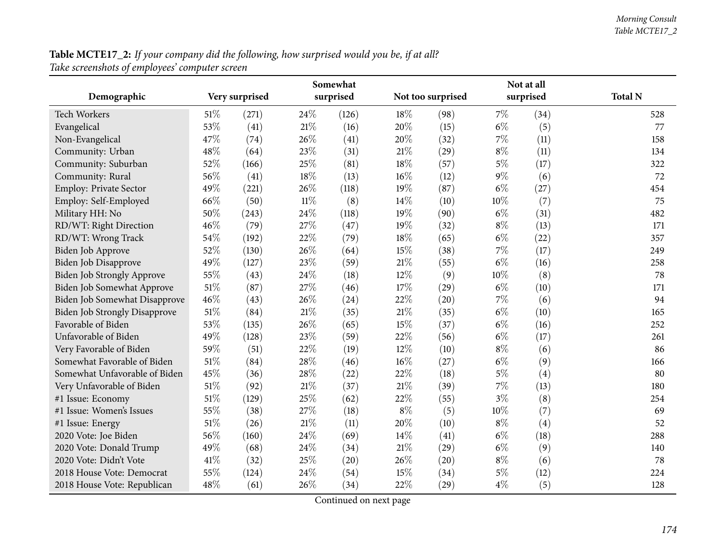| Table MCTE17_2: If your company did the following, how surprised would you be, if at all? |  |  |
|-------------------------------------------------------------------------------------------|--|--|
| Take screenshots of employees' computer screen                                            |  |  |

|                                      | Somewhat |                |        |           |        |                   | Not at all |           |                |  |  |
|--------------------------------------|----------|----------------|--------|-----------|--------|-------------------|------------|-----------|----------------|--|--|
| Demographic                          |          | Very surprised |        | surprised |        | Not too surprised |            | surprised | <b>Total N</b> |  |  |
| Tech Workers                         | 51%      | (271)          | 24\%   | (126)     | 18\%   | (98)              | $7\%$      | (34)      | 528            |  |  |
| Evangelical                          | 53%      | (41)           | 21%    | (16)      | 20%    | (15)              | $6\%$      | (5)       | 77             |  |  |
| Non-Evangelical                      | 47%      | (74)           | 26\%   | (41)      | 20%    | (32)              | $7\%$      | (11)      | 158            |  |  |
| Community: Urban                     | 48%      | (64)           | 23%    | (31)      | $21\%$ | (29)              | $8\%$      | (11)      | 134            |  |  |
| Community: Suburban                  | 52%      | (166)          | 25%    | (81)      | 18%    | (57)              | $5\%$      | (17)      | 322            |  |  |
| Community: Rural                     | 56%      | (41)           | 18%    | (13)      | $16\%$ | (12)              | $9\%$      | (6)       | 72             |  |  |
| Employ: Private Sector               | 49%      | (221)          | 26%    | (118)     | 19%    | (87)              | $6\%$      | (27)      | 454            |  |  |
| Employ: Self-Employed                | 66%      | (50)           | $11\%$ | (8)       | 14%    | (10)              | 10%        | (7)       | 75             |  |  |
| Military HH: No                      | 50%      | (243)          | 24%    | (118)     | 19%    | (90)              | $6\%$      | (31)      | 482            |  |  |
| RD/WT: Right Direction               | 46%      | (79)           | 27%    | (47)      | 19%    | (32)              | $8\%$      | (13)      | 171            |  |  |
| RD/WT: Wrong Track                   | 54%      | (192)          | 22%    | (79)      | 18%    | (65)              | $6\%$      | (22)      | 357            |  |  |
| <b>Biden Job Approve</b>             | 52%      | (130)          | 26%    | (64)      | 15%    | (38)              | 7%         | (17)      | 249            |  |  |
| Biden Job Disapprove                 | 49%      | (127)          | 23%    | (59)      | 21\%   | (55)              | $6\%$      | (16)      | 258            |  |  |
| Biden Job Strongly Approve           | 55%      | (43)           | 24%    | (18)      | 12%    | (9)               | 10%        | (8)       | 78             |  |  |
| Biden Job Somewhat Approve           | 51%      | (87)           | 27%    | (46)      | 17%    | (29)              | $6\%$      | (10)      | 171            |  |  |
| Biden Job Somewhat Disapprove        | 46%      | (43)           | 26%    | (24)      | 22%    | (20)              | $7\%$      | (6)       | 94             |  |  |
| <b>Biden Job Strongly Disapprove</b> | 51%      | (84)           | $21\%$ | (35)      | $21\%$ | (35)              | $6\%$      | (10)      | 165            |  |  |
| Favorable of Biden                   | 53%      | (135)          | 26%    | (65)      | $15\%$ | (37)              | $6\%$      | (16)      | 252            |  |  |
| Unfavorable of Biden                 | 49%      | (128)          | 23%    | (59)      | 22%    | (56)              | $6\%$      | (17)      | 261            |  |  |
| Very Favorable of Biden              | 59%      | (51)           | 22%    | (19)      | 12%    | (10)              | $8\%$      | (6)       | 86             |  |  |
| Somewhat Favorable of Biden          | 51%      | (84)           | 28%    | (46)      | $16\%$ | (27)              | $6\%$      | (9)       | 166            |  |  |
| Somewhat Unfavorable of Biden        | 45%      | (36)           | 28%    | (22)      | 22%    | (18)              | $5\%$      | (4)       | 80             |  |  |
| Very Unfavorable of Biden            | 51%      | (92)           | 21%    | (37)      | 21\%   | (39)              | 7%         | (13)      | 180            |  |  |
| #1 Issue: Economy                    | 51\%     | (129)          | 25%    | (62)      | 22%    | (55)              | $3\%$      | (8)       | 254            |  |  |
| #1 Issue: Women's Issues             | 55%      | (38)           | 27%    | (18)      | $8\%$  | (5)               | 10%        | (7)       | 69             |  |  |
| #1 Issue: Energy                     | 51\%     | (26)           | 21%    | (11)      | 20%    | (10)              | $8\%$      | (4)       | 52             |  |  |
| 2020 Vote: Joe Biden                 | 56%      | (160)          | 24%    | (69)      | 14%    | (41)              | $6\%$      | (18)      | 288            |  |  |
| 2020 Vote: Donald Trump              | 49%      | (68)           | 24%    | (34)      | $21\%$ | (29)              | $6\%$      | (9)       | 140            |  |  |
| 2020 Vote: Didn't Vote               | 41\%     | (32)           | 25%    | (20)      | 26%    | (20)              | $8\%$      | (6)       | 78             |  |  |
| 2018 House Vote: Democrat            | 55%      | (124)          | 24%    | (54)      | 15%    | (34)              | $5\%$      | (12)      | 224            |  |  |
| 2018 House Vote: Republican          | 48%      | (61)           | 26%    | (34)      | 22%    | (29)              | $4\%$      | (5)       | 128            |  |  |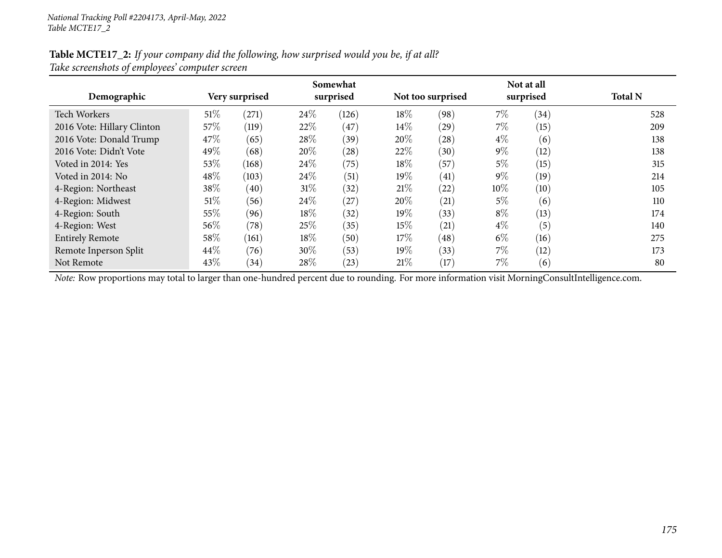#### Table MCTE17\_2: If your company did the following, how surprised would you be, if at all? *Take screenshots of employees' computer screen*

| Demographic                | Very surprised |       | Somewhat<br>surprised |       |        | Not too surprised | Not at all<br>surprised | <b>Total N</b>    |     |
|----------------------------|----------------|-------|-----------------------|-------|--------|-------------------|-------------------------|-------------------|-----|
| <b>Tech Workers</b>        | $51\%$         | (271) | 24\%                  | (126) | 18%    | (98)              | 7%                      | (34)              | 528 |
| 2016 Vote: Hillary Clinton | 57\%           | (119) | 22%                   | (47)  | 14\%   | (29)              | $7\%$                   | (15)              | 209 |
| 2016 Vote: Donald Trump    | 47\%           | (65)  | 28\%                  | (39)  | 20%    | (28)              | $4\%$                   | (6)               | 138 |
| 2016 Vote: Didn't Vote     | 49%            | (68)  | 20%                   | (28)  | 22%    | (30)              | $9\%$                   | $\left(12\right)$ | 138 |
| Voted in 2014: Yes         | 53%            | (168) | 24\%                  | (75)  | 18%    | (57)              | 5%                      | (15)              | 315 |
| Voted in 2014: No          | 48%            | (103) | 24\%                  | (51)  | 19%    | (41)              | $9\%$                   | (19)              | 214 |
| 4-Region: Northeast        | 38\%           | (40)  | $31\%$                | (32)  | 21%    | (22)              | 10%                     | (10)              | 105 |
| 4-Region: Midwest          | $51\%$         | (56)  | 24\%                  | (27)  | $20\%$ | (21)              | 5%                      | (6)               | 110 |
| 4-Region: South            | 55%            | (96)  | 18\%                  | (32)  | 19%    | (33)              | $8\%$                   | (13)              | 174 |
| 4-Region: West             | $56\%$         | (78)  | 25\%                  | (35)  | 15%    | (21)              | $4\%$                   | $\left(5\right)$  | 140 |
| <b>Entirely Remote</b>     | 58%            | (161) | 18\%                  | (50)  | $17\%$ | (48)              | $6\%$                   | (16)              | 275 |
| Remote Inperson Split      | 44\%           | (76)  | 30%                   | (53)  | 19%    | (33)              | $7\%$                   | (12)              | 173 |
| Not Remote                 | 43\%           | (34)  | 28\%                  | (23)  | 21%    | (17)              | 7%                      | (6)               | 80  |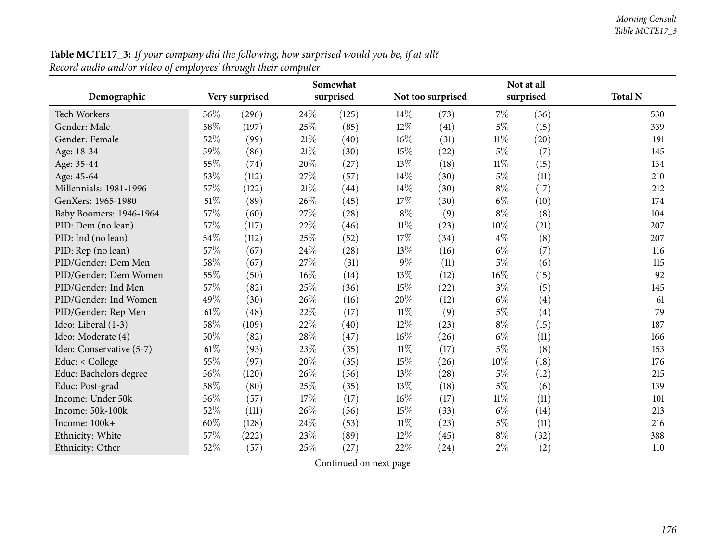| ecora auaio ana/or viaeo of employees  inrougn ineir computer |        |                |     |           |        |                   |        |           |                |
|---------------------------------------------------------------|--------|----------------|-----|-----------|--------|-------------------|--------|-----------|----------------|
|                                                               |        |                |     | Somewhat  |        |                   |        |           |                |
| Demographic                                                   |        | Very surprised |     | surprised |        | Not too surprised |        | surprised | <b>Total N</b> |
| <b>Tech Workers</b>                                           | 56\%   | (296)          | 24% | (125)     | $14\%$ | (73)              | $7\%$  | (36)      | 530            |
| Gender: Male                                                  | 58%    | (197)          | 25% | (85)      | 12%    | (41)              | $5\%$  | (15)      | 339            |
| Gender: Female                                                | 52%    | (99)           | 21% | (40)      | $16\%$ | (31)              | $11\%$ | (20)      | 191            |
| Age: 18-34                                                    | 59%    | (86)           | 21% | (30)      | 15%    | (22)              | $5\%$  | (7)       | 145            |
| Age: 35-44                                                    | 55%    | (74)           | 20% | (27)      | 13\%   | (18)              | $11\%$ | (15)      | 134            |
| Age: 45-64                                                    | 53%    | (112)          | 27% | (57)      | 14%    | (30)              | $5\%$  | (11)      | 210            |
| Millennials: 1981-1996                                        | 57\%   | (122)          | 21% | (44)      | $14\%$ | (30)              | $8\%$  | (17)      | 212            |
| GenXers: 1965-1980                                            | 51\%   | (89)           | 26% | (45)      | 17%    | (30)              | $6\%$  | (10)      | 174            |
| Baby Boomers: 1946-1964                                       | 57%    | (60)           | 27% | (28)      | $8\%$  | (9)               | $8\%$  | (8)       | 104            |
| PID: Dem (no lean)                                            | 57%    | (117)          | 22% | (46)      | $11\%$ | (23)              | $10\%$ | (21)      | 207            |
| PID: Ind (no lean)                                            | 54%    | (112)          | 25% | (52)      | 17%    | (34)              | $4\%$  | (8)       | 207            |
| PID: Rep (no lean)                                            | 57%    | (67)           | 24% | (28)      | 13\%   | (16)              | $6\%$  | (7)       | 116            |
| PID/Gender: Dem Men                                           | 58\%   | (67)           | 27% | (31)      | $9\%$  | (11)              | $5\%$  | (6)       | 115            |
| PID/Gender: Dem Women                                         | 55%    | (50)           | 16% | (14)      | 13\%   | (12)              | 16%    | (15)      | 92             |
| PID/Gender: Ind Men                                           | 57%    | (82)           | 25% | (36)      | 15%    | (22)              | $3\%$  | (5)       | 145            |
| PID/Gender: Ind Women                                         | 49%    | (30)           | 26% | (16)      | 20%    | (12)              | $6\%$  | (4)       | 61             |
| PID/Gender: Rep Men                                           | $61\%$ | (48)           | 22% | (17)      | $11\%$ | (9)               | $5\%$  | (4)       | 79             |
| Ideo: Liberal (1-3)                                           | 58%    | (109)          | 22% | (40)      | 12%    | (23)              | $8\%$  | (15)      | 187            |
| Ideo: Moderate (4)                                            | 50%    | (82)           | 28% | (47)      | $16\%$ | (26)              | $6\%$  | (11)      | 166            |
| Ideo: Conservative (5-7)                                      | $61\%$ | (93)           | 23% | (35)      | $11\%$ | (17)              | $5\%$  | (8)       | 153            |
| Educ: $<$ College                                             | 55%    | (97)           | 20% | (35)      | 15%    | (26)              | $10\%$ | (18)      | 176            |
| Educ: Bachelors degree                                        | 56%    | (120)          | 26% | (56)      | 13\%   | (28)              | $5\%$  | (12)      | 215            |
| Educ: Post-grad                                               | 58%    | (80)           | 25% | (35)      | 13%    | (18)              | $5\%$  | (6)       | 139            |
| Income: Under 50k                                             | 56%    | (57)           | 17% | (17)      | $16\%$ | (17)              | $11\%$ | (11)      | 101            |
| Income: 50k-100k                                              | 52%    | (111)          | 26% | (56)      | 15%    | (33)              | $6\%$  | (14)      | 213            |
| Income: 100k+                                                 | 60%    | (128)          | 24% | (53)      | $11\%$ | (23)              | $5\%$  | (11)      | 216            |
| Ethnicity: White                                              | 57%    | (222)          | 23% | (89)      | $12\%$ | (45)              | $8\%$  | (32)      | 388            |
| Ethnicity: Other                                              | 52%    | (57)           | 25% | (27)      | 22%    | (24)              | $2\%$  | (2)       | 110            |
|                                                               |        |                |     |           |        |                   |        |           |                |

**Table MCTE17\_3:** If your company did the following, how surprised would you be, if at all? *Record audio and/or video of employees' through their computer*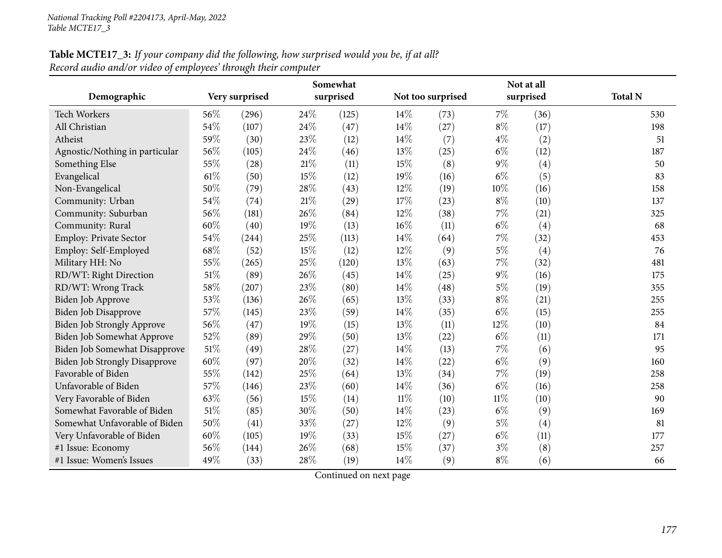# **Table MCTE17\_3:** If your company did the following, how surprised would you be, if at all? *Record audio and/or video of employees' through their computer*

|                                      | Somewhat |                |      |           |        |                   | Not at all |           |                |  |  |
|--------------------------------------|----------|----------------|------|-----------|--------|-------------------|------------|-----------|----------------|--|--|
| Demographic                          |          | Very surprised |      | surprised |        | Not too surprised |            | surprised | <b>Total N</b> |  |  |
| Tech Workers                         | 56%      | (296)          | 24\% | (125)     | 14%    | (73)              | 7%         | (36)      | 530            |  |  |
| All Christian                        | 54%      | (107)          | 24\% | (47)      | 14%    | (27)              | $8\%$      | (17)      | 198            |  |  |
| Atheist                              | 59%      | (30)           | 23%  | (12)      | 14%    | (7)               | $4\%$      | (2)       | 51             |  |  |
| Agnostic/Nothing in particular       | 56%      | (105)          | 24%  | (46)      | 13%    | (25)              | $6\%$      | (12)      | 187            |  |  |
| Something Else                       | 55%      | (28)           | 21%  | (11)      | 15%    | (8)               | $9\%$      | (4)       | 50             |  |  |
| Evangelical                          | $61\%$   | (50)           | 15%  | (12)      | 19%    | (16)              | $6\%$      | (5)       | 83             |  |  |
| Non-Evangelical                      | 50%      | (79)           | 28%  | (43)      | 12%    | (19)              | 10%        | (16)      | 158            |  |  |
| Community: Urban                     | 54\%     | (74)           | 21%  | (29)      | 17%    | (23)              | $8\%$      | (10)      | 137            |  |  |
| Community: Suburban                  | 56%      | (181)          | 26%  | (84)      | 12%    | (38)              | 7%         | (21)      | 325            |  |  |
| Community: Rural                     | 60%      | (40)           | 19%  | (13)      | 16%    | (11)              | $6\%$      | (4)       | 68             |  |  |
| Employ: Private Sector               | 54%      | (244)          | 25%  | (113)     | 14%    | (64)              | 7%         | (32)      | 453            |  |  |
| Employ: Self-Employed                | 68%      | (52)           | 15%  | (12)      | 12%    | (9)               | $5\%$      | (4)       | 76             |  |  |
| Military HH: No                      | 55%      | (265)          | 25%  | (120)     | 13%    | (63)              | 7%         | (32)      | 481            |  |  |
| RD/WT: Right Direction               | 51%      | (89)           | 26%  | (45)      | 14%    | (25)              | $9\%$      | (16)      | 175            |  |  |
| RD/WT: Wrong Track                   | 58\%     | (207)          | 23%  | (80)      | 14%    | (48)              | $5\%$      | (19)      | 355            |  |  |
| Biden Job Approve                    | 53%      | (136)          | 26%  | (65)      | 13%    | (33)              | $8\%$      | (21)      | 255            |  |  |
| Biden Job Disapprove                 | 57%      | (145)          | 23%  | (59)      | 14%    | (35)              | $6\%$      | (15)      | 255            |  |  |
| Biden Job Strongly Approve           | 56%      | (47)           | 19%  | (15)      | 13%    | (11)              | 12%        | (10)      | 84             |  |  |
| Biden Job Somewhat Approve           | 52%      | (89)           | 29%  | (50)      | 13%    | (22)              | $6\%$      | (11)      | 171            |  |  |
| Biden Job Somewhat Disapprove        | $51\%$   | (49)           | 28%  | (27)      | 14%    | (13)              | $7\%$      | (6)       | 95             |  |  |
| <b>Biden Job Strongly Disapprove</b> | 60%      | (97)           | 20%  | (32)      | 14%    | (22)              | $6\%$      | (9)       | 160            |  |  |
| Favorable of Biden                   | 55%      | (142)          | 25%  | (64)      | 13%    | (34)              | 7%         | (19)      | 258            |  |  |
| Unfavorable of Biden                 | 57%      | (146)          | 23%  | (60)      | 14%    | (36)              | $6\%$      | (16)      | 258            |  |  |
| Very Favorable of Biden              | 63%      | (56)           | 15%  | (14)      | $11\%$ | (10)              | $11\%$     | (10)      | 90             |  |  |
| Somewhat Favorable of Biden          | 51\%     | (85)           | 30%  | (50)      | 14%    | (23)              | $6\%$      | (9)       | 169            |  |  |
| Somewhat Unfavorable of Biden        | 50%      | (41)           | 33%  | (27)      | 12%    | (9)               | $5\%$      | (4)       | 81             |  |  |
| Very Unfavorable of Biden            | 60%      | (105)          | 19%  | (33)      | 15%    | (27)              | $6\%$      | (11)      | 177            |  |  |
| #1 Issue: Economy                    | 56%      | (144)          | 26%  | (68)      | 15%    | (37)              | $3\%$      | (8)       | 257            |  |  |
| #1 Issue: Women's Issues             | 49%      | (33)           | 28%  | (19)      | 14%    | (9)               | $8\%$      | (6)       | 66             |  |  |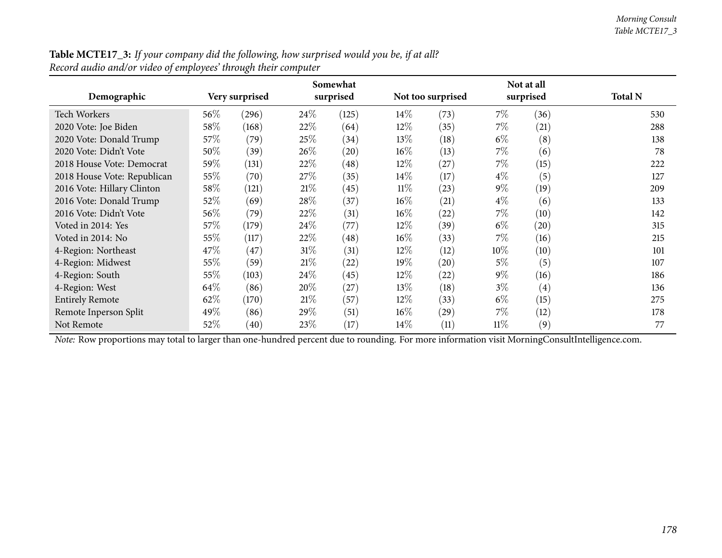| <b>Table MCTE17_3:</b> If your company did the following, how surprised would you be, if at all? |  |
|--------------------------------------------------------------------------------------------------|--|
| Record audio and/or video of employees' through their computer                                   |  |

| Demographic                                                                                                                                    |      | Very surprised | Somewhat<br>surprised |       |        | Not at all<br>surprised<br>Not too surprised |        |                   | <b>Total N</b> |
|------------------------------------------------------------------------------------------------------------------------------------------------|------|----------------|-----------------------|-------|--------|----------------------------------------------|--------|-------------------|----------------|
|                                                                                                                                                |      |                |                       |       |        |                                              |        |                   |                |
| Tech Workers                                                                                                                                   | 56\% | (296)          | 24\%                  | (125) | 14\%   | (73)                                         | $7\%$  | (36)              | 530            |
| 2020 Vote: Joe Biden                                                                                                                           | 58\% | (168)          | 22\%                  | (64)  | 12\%   | (35)                                         | $7\%$  | (21)              | 288            |
| 2020 Vote: Donald Trump                                                                                                                        | 57\% | (79)           | 25\%                  | (34)  | 13\%   | (18)                                         | $6\%$  | (8)               | 138            |
| 2020 Vote: Didn't Vote                                                                                                                         | 50%  | (39)           | $26\%$                | (20)  | $16\%$ | (13)                                         | $7\%$  | (6)               | 78             |
| 2018 House Vote: Democrat                                                                                                                      | 59%  | (131)          | 22\%                  | (48)  | 12\%   | (27)                                         | $7\%$  | (15)              | 222            |
| 2018 House Vote: Republican                                                                                                                    | 55%  | (70)           | 27\%                  | (35)  | 14\%   | (17)                                         | $4\%$  | (5)               | 127            |
| 2016 Vote: Hillary Clinton                                                                                                                     | 58\% | (121)          | 21%                   | (45)  | $11\%$ | (23)                                         | $9\%$  | (19)              | 209            |
| 2016 Vote: Donald Trump                                                                                                                        | 52%  | (69)           | 28\%                  | (37)  | $16\%$ | (21)                                         | $4\%$  | (6)               | 133            |
| 2016 Vote: Didn't Vote                                                                                                                         | 56\% | (79)           | 22\%                  | (31)  | $16\%$ | (22)                                         | $7\%$  | (10)              | 142            |
| Voted in 2014: Yes                                                                                                                             | 57\% | (179)          | 24\%                  | (77)  | 12\%   | (39)                                         | $6\%$  | (20)              | 315            |
| Voted in 2014: No                                                                                                                              | 55%  | (117)          | 22\%                  | (48)  | $16\%$ | (33)                                         | 7%     | (16)              | 215            |
| 4-Region: Northeast                                                                                                                            | 47\% | (47)           | $31\%$                | (31)  | 12\%   | (12)                                         | $10\%$ | (10)              | 101            |
| 4-Region: Midwest                                                                                                                              | 55\% | (59)           | 21%                   | (22)  | 19%    | (20)                                         | $5\%$  | (5)               | 107            |
| 4-Region: South                                                                                                                                | 55%  | (103)          | $24\%$                | (45)  | 12\%   | $^{(22)}$                                    | $9\%$  | (16)              | 186            |
| 4-Region: West                                                                                                                                 | 64\% | (86)           | 20%                   | (27)  | $13\%$ | (18)                                         | $3\%$  | $\left( 4\right)$ | 136            |
| <b>Entirely Remote</b>                                                                                                                         | 62%  | (170)          | 21%                   | (57)  | 12\%   | (33)                                         | $6\%$  | (15)              | 275            |
| Remote Inperson Split                                                                                                                          | 49%  | (86)           | 29%                   | (51)  | $16\%$ | (29)                                         | $7\%$  | (12)              | 178            |
| Not Remote                                                                                                                                     | 52\% | (40)           | 23\%                  | (17)  | 14\%   | (11)                                         | $11\%$ | (9)               | 77             |
| Note: Row proportions may total to larger than one-hundred percent due to rounding. For more information visit MorningConsultIntelligence.com. |      |                |                       |       |        |                                              |        |                   |                |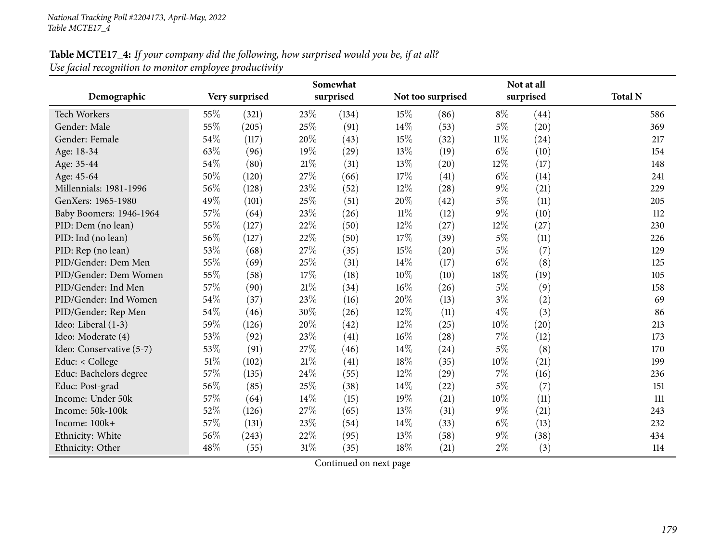# **Table MCTE17\_4:** If your company did the following, how surprised would you be, if at all? *Use facial recognition to monitor employee productivity*

|                          | Somewhat |                |        |           |        |                   | Not at all |           |                |  |  |
|--------------------------|----------|----------------|--------|-----------|--------|-------------------|------------|-----------|----------------|--|--|
| Demographic              |          | Very surprised |        | surprised |        | Not too surprised |            | surprised | <b>Total N</b> |  |  |
| <b>Tech Workers</b>      | 55%      | (321)          | 23%    | (134)     | 15%    | (86)              | $8\%$      | (44)      | 586            |  |  |
| Gender: Male             | 55%      | (205)          | 25%    | (91)      | 14\%   | (53)              | $5\%$      | (20)      | 369            |  |  |
| Gender: Female           | 54%      | (117)          | 20%    | (43)      | 15%    | (32)              | $11\%$     | (24)      | 217            |  |  |
| Age: 18-34               | 63%      | (96)           | 19%    | (29)      | 13%    | (19)              | $6\%$      | (10)      | 154            |  |  |
| Age: 35-44               | 54%      | (80)           | 21\%   | (31)      | 13%    | (20)              | 12%        | (17)      | 148            |  |  |
| Age: 45-64               | 50%      | (120)          | 27%    | (66)      | 17%    | (41)              | $6\%$      | (14)      | 241            |  |  |
| Millennials: 1981-1996   | 56%      | (128)          | 23%    | (52)      | 12%    | (28)              | $9\%$      | (21)      | 229            |  |  |
| GenXers: 1965-1980       | 49%      | (101)          | 25%    | (51)      | 20%    | (42)              | $5\%$      | (11)      | 205            |  |  |
| Baby Boomers: 1946-1964  | 57%      | (64)           | 23%    | (26)      | $11\%$ | (12)              | $9\%$      | (10)      | 112            |  |  |
| PID: Dem (no lean)       | 55%      | (127)          | 22%    | (50)      | 12%    | (27)              | 12%        | (27)      | 230            |  |  |
| PID: Ind (no lean)       | 56%      | (127)          | 22%    | (50)      | 17%    | (39)              | $5\%$      | (11)      | 226            |  |  |
| PID: Rep (no lean)       | 53%      | (68)           | 27%    | (35)      | 15%    | (20)              | $5\%$      | (7)       | 129            |  |  |
| PID/Gender: Dem Men      | 55%      | (69)           | 25%    | (31)      | 14%    | (17)              | $6\%$      | (8)       | 125            |  |  |
| PID/Gender: Dem Women    | 55%      | (58)           | 17%    | (18)      | 10%    | (10)              | 18%        | (19)      | 105            |  |  |
| PID/Gender: Ind Men      | 57%      | (90)           | 21\%   | (34)      | 16\%   | (26)              | $5\%$      | (9)       | 158            |  |  |
| PID/Gender: Ind Women    | 54%      | (37)           | 23%    | (16)      | 20%    | (13)              | $3\%$      | (2)       | 69             |  |  |
| PID/Gender: Rep Men      | 54%      | (46)           | 30%    | (26)      | 12%    | (11)              | $4\%$      | (3)       | 86             |  |  |
| Ideo: Liberal (1-3)      | 59%      | (126)          | 20%    | (42)      | 12%    | (25)              | 10%        | (20)      | 213            |  |  |
| Ideo: Moderate (4)       | 53%      | (92)           | 23%    | (41)      | 16\%   | (28)              | $7\%$      | (12)      | 173            |  |  |
| Ideo: Conservative (5-7) | 53%      | (91)           | 27%    | (46)      | 14\%   | (24)              | $5\%$      | (8)       | 170            |  |  |
| Educ: < College          | 51%      | (102)          | $21\%$ | (41)      | 18%    | (35)              | 10%        | (21)      | 199            |  |  |
| Educ: Bachelors degree   | 57%      | (135)          | 24%    | (55)      | 12%    | (29)              | 7%         | (16)      | 236            |  |  |
| Educ: Post-grad          | 56%      | (85)           | 25\%   | (38)      | 14\%   | (22)              | $5\%$      | (7)       | 151            |  |  |
| Income: Under 50k        | 57%      | (64)           | 14%    | (15)      | 19%    | (21)              | 10%        | (11)      | 111            |  |  |
| Income: 50k-100k         | 52%      | (126)          | 27%    | (65)      | 13%    | (31)              | $9\%$      | (21)      | 243            |  |  |
| Income: 100k+            | 57%      | (131)          | 23%    | (54)      | 14%    | (33)              | $6\%$      | (13)      | 232            |  |  |
| Ethnicity: White         | 56%      | (243)          | 22%    | (95)      | 13%    | (58)              | $9\%$      | (38)      | 434            |  |  |
| Ethnicity: Other         | 48%      | (55)           | 31%    | (35)      | 18%    | (21)              | $2\%$      | (3)       | 114            |  |  |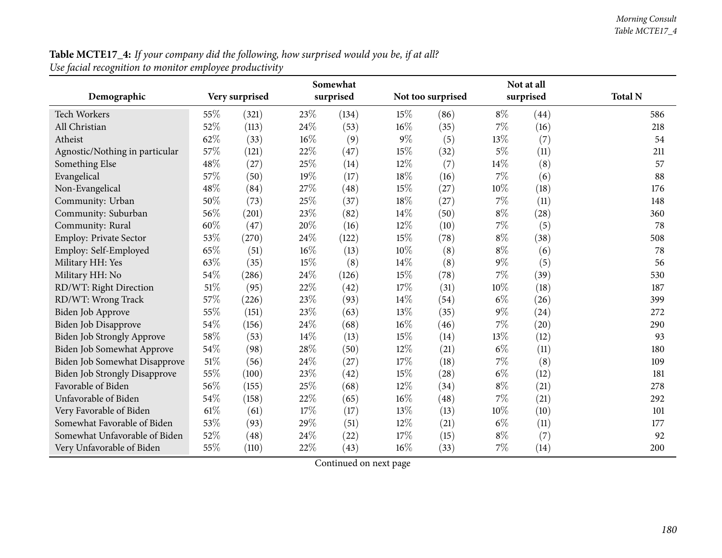| Table MCTE17_4: If your company did the following, how surprised would you be, if at all? |  |
|-------------------------------------------------------------------------------------------|--|
| Use facial recognition to monitor employee productivity                                   |  |

|                                      |        | Somewhat       |     |           |        |                   | Not at all |           |                |
|--------------------------------------|--------|----------------|-----|-----------|--------|-------------------|------------|-----------|----------------|
| Demographic                          |        | Very surprised |     | surprised |        | Not too surprised |            | surprised | <b>Total N</b> |
| <b>Tech Workers</b>                  | 55%    | (321)          | 23% | (134)     | 15%    | (86)              | $8\%$      | (44)      | 586            |
| All Christian                        | 52%    | (113)          | 24% | (53)      | $16\%$ | (35)              | 7%         | (16)      | 218            |
| Atheist                              | 62%    | (33)           | 16% | (9)       | $9\%$  | (5)               | 13%        | (7)       | 54             |
| Agnostic/Nothing in particular       | 57%    | (121)          | 22% | (47)      | 15%    | (32)              | $5\%$      | (11)      | 211            |
| Something Else                       | 48%    | (27)           | 25% | (14)      | 12%    | (7)               | 14%        | (8)       | 57             |
| Evangelical                          | 57%    | (50)           | 19% | (17)      | 18%    | (16)              | 7%         | (6)       | 88             |
| Non-Evangelical                      | 48%    | (84)           | 27% | (48)      | 15%    | (27)              | 10%        | (18)      | 176            |
| Community: Urban                     | 50%    | (73)           | 25% | (37)      | 18%    | (27)              | 7%         | (11)      | 148            |
| Community: Suburban                  | 56%    | (201)          | 23% | (82)      | 14\%   | (50)              | $8\%$      | (28)      | 360            |
| Community: Rural                     | 60%    | (47)           | 20% | (16)      | 12%    | (10)              | 7%         | (5)       | 78             |
| Employ: Private Sector               | 53%    | (270)          | 24% | (122)     | 15%    | (78)              | $8\%$      | (38)      | 508            |
| Employ: Self-Employed                | 65%    | (51)           | 16% | (13)      | 10%    | (8)               | $8\%$      | (6)       | 78             |
| Military HH: Yes                     | 63%    | (35)           | 15% | (8)       | 14%    | (8)               | $9\%$      | (5)       | 56             |
| Military HH: No                      | 54%    | (286)          | 24% | (126)     | 15%    | (78)              | 7%         | (39)      | 530            |
| RD/WT: Right Direction               | 51%    | (95)           | 22% | (42)      | 17%    | (31)              | 10%        | (18)      | 187            |
| RD/WT: Wrong Track                   | 57%    | (226)          | 23% | (93)      | 14%    | (54)              | $6\%$      | (26)      | 399            |
| <b>Biden Job Approve</b>             | 55%    | (151)          | 23% | (63)      | 13%    | (35)              | $9\%$      | (24)      | 272            |
| Biden Job Disapprove                 | 54%    | (156)          | 24% | (68)      | 16%    | (46)              | 7%         | (20)      | 290            |
| Biden Job Strongly Approve           | 58%    | (53)           | 14% | (13)      | 15%    | (14)              | 13%        | (12)      | 93             |
| Biden Job Somewhat Approve           | 54%    | (98)           | 28% | (50)      | 12%    | (21)              | $6\%$      | (11)      | 180            |
| <b>Biden Job Somewhat Disapprove</b> | $51\%$ | (56)           | 24% | (27)      | 17%    | (18)              | 7%         | (8)       | 109            |
| <b>Biden Job Strongly Disapprove</b> | 55%    | (100)          | 23% | (42)      | 15%    | (28)              | $6\%$      | (12)      | 181            |
| Favorable of Biden                   | 56%    | (155)          | 25% | (68)      | 12%    | (34)              | $8\%$      | (21)      | 278            |
| Unfavorable of Biden                 | 54%    | (158)          | 22% | (65)      | 16%    | (48)              | 7%         | (21)      | 292            |
| Very Favorable of Biden              | 61%    | (61)           | 17% | (17)      | 13%    | (13)              | 10%        | (10)      | 101            |
| Somewhat Favorable of Biden          | 53%    | (93)           | 29% | (51)      | 12%    | (21)              | $6\%$      | (11)      | 177            |
| Somewhat Unfavorable of Biden        | 52%    | (48)           | 24% | $^{(22)}$ | 17%    | (15)              | $8\%$      | (7)       | 92             |
| Very Unfavorable of Biden            | 55%    | (110)          | 22% | (43)      | $16\%$ | (33)              | 7%         | (14)      | 200            |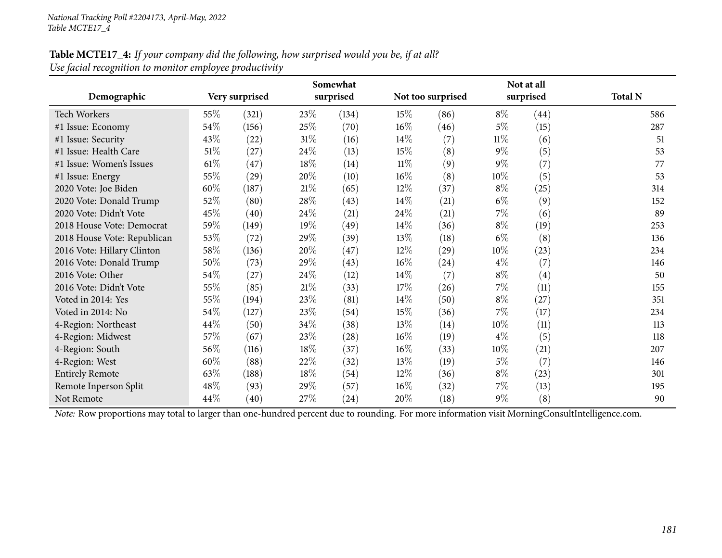#### Table MCTE17\_4: If your company did the following, how surprised would you be, if at all? *Use facial recognition to monitor employee productivity*

|                                                                                                                                                |        |                |        | Somewhat  |        |                    |        | Not at all |                |
|------------------------------------------------------------------------------------------------------------------------------------------------|--------|----------------|--------|-----------|--------|--------------------|--------|------------|----------------|
| Demographic                                                                                                                                    |        | Very surprised |        | surprised |        | Not too surprised  |        | surprised  | <b>Total N</b> |
| <b>Tech Workers</b>                                                                                                                            | 55%    | (321)          | 23\%   | (134)     | 15%    | (86)               | $8\%$  | (44)       | 586            |
| #1 Issue: Economy                                                                                                                              | 54\%   | (156)          | 25\%   | (70)      | $16\%$ | (46)               | 5%     | (15)       | 287            |
| #1 Issue: Security                                                                                                                             | 43\%   | (22)           | $31\%$ | (16)      | $14\%$ | (7)                | $11\%$ | (6)        | 51             |
| #1 Issue: Health Care                                                                                                                          | $51\%$ | (27)           | 24\%   | (13)      | 15\%   | (8)                | $9\%$  | (5)        | 53             |
| #1 Issue: Women's Issues                                                                                                                       | $61\%$ | (47)           | 18%    | (14)      | $11\%$ | (9)                | $9\%$  | (7)        | 77             |
| #1 Issue: Energy                                                                                                                               | 55\%   | (29)           | 20%    | (10)      | $16\%$ | (8)                | $10\%$ | (5)        | 53             |
| 2020 Vote: Joe Biden                                                                                                                           | $60\%$ | (187)          | $21\%$ | (65)      | $12\%$ | (37)               | $8\%$  | (25)       | 314            |
| 2020 Vote: Donald Trump                                                                                                                        | 52%    | (80)           | 28%    | (43)      | $14\%$ | (21)               | $6\%$  | (9)        | 152            |
| 2020 Vote: Didn't Vote                                                                                                                         | 45%    | (40)           | 24%    | (21)      | 24\%   | (21)               | $7\%$  | (6)        | 89             |
| 2018 House Vote: Democrat                                                                                                                      | 59%    | (149)          | 19%    | (49)      | $14\%$ | (36)               | $8\%$  | (19)       | 253            |
| 2018 House Vote: Republican                                                                                                                    | 53\%   | (72)           | 29%    | (39)      | 13\%   | (18)               | $6\%$  | (8)        | 136            |
| 2016 Vote: Hillary Clinton                                                                                                                     | 58\%   | (136)          | 20%    | (47)      | $12\%$ | $\left( 29\right)$ | 10%    | (23)       | 234            |
| 2016 Vote: Donald Trump                                                                                                                        | 50%    | (73)           | 29%    | (43)      | $16\%$ | (24)               | $4\%$  | (7)        | 146            |
| 2016 Vote: Other                                                                                                                               | 54\%   | (27)           | 24\%   | (12)      | $14\%$ | (7)                | $8\%$  | (4)        | 50             |
| 2016 Vote: Didn't Vote                                                                                                                         | 55%    | (85)           | $21\%$ | (33)      | 17%    | (26)               | $7\%$  | (11)       | 155            |
| Voted in 2014: Yes                                                                                                                             | 55%    | (194)          | 23\%   | (81)      | $14\%$ | (50)               | $8\%$  | (27)       | 351            |
| Voted in 2014: No                                                                                                                              | 54\%   | (127)          | 23%    | (54)      | 15\%   | (36)               | $7\%$  | (17)       | 234            |
| 4-Region: Northeast                                                                                                                            | 44\%   | (50)           | 34%    | (38)      | 13%    | (14)               | 10%    | (11)       | 113            |
| 4-Region: Midwest                                                                                                                              | 57\%   | (67)           | 23%    | (28)      | $16\%$ | (19)               | $4\%$  | (5)        | 118            |
| 4-Region: South                                                                                                                                | 56\%   | (116)          | 18%    | (37)      | $16\%$ | (33)               | $10\%$ | (21)       | 207            |
| 4-Region: West                                                                                                                                 | 60%    | (88)           | 22%    | (32)      | 13%    | (19)               | $5\%$  | (7)        | 146            |
| <b>Entirely Remote</b>                                                                                                                         | 63%    | (188)          | 18%    | (54)      | 12%    | (36)               | $8\%$  | (23)       | 301            |
| Remote Inperson Split                                                                                                                          | 48%    | (93)           | 29%    | (57)      | $16\%$ | (32)               | $7\%$  | (13)       | 195            |
| Not Remote                                                                                                                                     | 44\%   | (40)           | 27\%   | (24)      | 20%    | (18)               | $9\%$  | (8)        | 90             |
| Note: Row proportions may total to larger than one-hundred percent due to rounding. For more information visit MorningConsultIntelligence.com. |        |                |        |           |        |                    |        |            |                |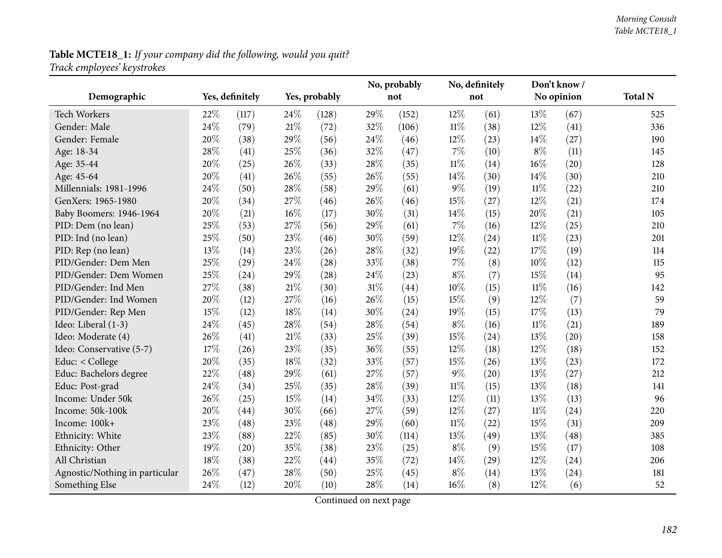# **Table MCTE18\_1:** *If your company did the following, would you quit? Track employees' keystrokes*

|                                |      |                 |     |               |     | No, probably |        | No, definitely |            | Don't know / |                |
|--------------------------------|------|-----------------|-----|---------------|-----|--------------|--------|----------------|------------|--------------|----------------|
| Demographic                    |      | Yes, definitely |     | Yes, probably |     | not          |        | not            | No opinion |              | <b>Total N</b> |
| <b>Tech Workers</b>            | 22%  | (117)           | 24% | (128)         | 29% | (152)        | 12%    | (61)           | 13%        | (67)         | 525            |
| Gender: Male                   | 24%  | (79)            | 21% | (72)          | 32% | (106)        | $11\%$ | (38)           | 12%        | (41)         | 336            |
| Gender: Female                 | 20%  | (38)            | 29% | (56)          | 24% | (46)         | 12%    | (23)           | $14\%$     | (27)         | 190            |
| Age: 18-34                     | 28%  | (41)            | 25% | (36)          | 32% | (47)         | $7\%$  | (10)           | $8\%$      | (11)         | 145            |
| Age: 35-44                     | 20%  | (25)            | 26% | (33)          | 28% | (35)         | $11\%$ | (14)           | 16%        | (20)         | 128            |
| Age: 45-64                     | 20%  | (41)            | 26% | (55)          | 26% | (55)         | 14%    | (30)           | 14\%       | (30)         | 210            |
| Millennials: 1981-1996         | 24\% | (50)            | 28% | (58)          | 29% | (61)         | $9\%$  | (19)           | $11\%$     | (22)         | 210            |
| GenXers: 1965-1980             | 20%  | (34)            | 27% | (46)          | 26% | (46)         | 15%    | (27)           | 12%        | (21)         | 174            |
| Baby Boomers: 1946-1964        | 20%  | (21)            | 16% | (17)          | 30% | (31)         | 14%    | (15)           | 20%        | (21)         | 105            |
| PID: Dem (no lean)             | 25%  | (53)            | 27% | (56)          | 29% | (61)         | 7%     | (16)           | 12%        | (25)         | 210            |
| PID: Ind (no lean)             | 25%  | (50)            | 23% | (46)          | 30% | (59)         | 12%    | (24)           | $11\%$     | (23)         | 201            |
| PID: Rep (no lean)             | 13%  | (14)            | 23% | (26)          | 28% | (32)         | 19%    | (22)           | 17%        | (19)         | 114            |
| PID/Gender: Dem Men            | 25%  | (29)            | 24% | (28)          | 33% | (38)         | $7\%$  | (8)            | 10%        | (12)         | 115            |
| PID/Gender: Dem Women          | 25%  | (24)            | 29% | (28)          | 24% | (23)         | $8\%$  | (7)            | 15%        | (14)         | 95             |
| PID/Gender: Ind Men            | 27%  | (38)            | 21% | (30)          | 31% | (44)         | 10%    | (15)           | $11\%$     | (16)         | 142            |
| PID/Gender: Ind Women          | 20%  | (12)            | 27% | (16)          | 26% | (15)         | 15%    | (9)            | 12%        | (7)          | 59             |
| PID/Gender: Rep Men            | 15%  | (12)            | 18% | (14)          | 30% | (24)         | 19%    | (15)           | 17%        | (13)         | 79             |
| Ideo: Liberal (1-3)            | 24\% | (45)            | 28% | (54)          | 28% | (54)         | $8\%$  | (16)           | $11\%$     | (21)         | 189            |
| Ideo: Moderate (4)             | 26%  | (41)            | 21% | (33)          | 25% | (39)         | 15%    | (24)           | 13%        | (20)         | 158            |
| Ideo: Conservative (5-7)       | 17%  | (26)            | 23% | (35)          | 36% | (55)         | 12%    | (18)           | 12%        | (18)         | 152            |
| Educ: < College                | 20%  | (35)            | 18% | (32)          | 33% | (57)         | 15%    | (26)           | 13%        | (23)         | 172            |
| Educ: Bachelors degree         | 22%  | (48)            | 29% | (61)          | 27% | (57)         | $9\%$  | (20)           | 13%        | (27)         | 212            |
| Educ: Post-grad                | 24\% | (34)            | 25% | (35)          | 28% | (39)         | $11\%$ | (15)           | 13\%       | (18)         | 141            |
| Income: Under 50k              | 26%  | (25)            | 15% | (14)          | 34% | (33)         | 12%    | (11)           | 13\%       | (13)         | 96             |
| Income: 50k-100k               | 20%  | (44)            | 30% | (66)          | 27% | (59)         | 12%    | (27)           | $11\%$     | (24)         | 220            |
| Income: 100k+                  | 23%  | (48)            | 23% | (48)          | 29% | (60)         | $11\%$ | (22)           | 15%        | (31)         | 209            |
| Ethnicity: White               | 23%  | (88)            | 22% | (85)          | 30% | (114)        | 13%    | (49)           | 13%        | (48)         | 385            |
| Ethnicity: Other               | 19%  | (20)            | 35% | (38)          | 23% | (25)         | $8\%$  | (9)            | 15%        | (17)         | 108            |
| All Christian                  | 18%  | (38)            | 22% | (44)          | 35% | (72)         | 14%    | (29)           | 12%        | (24)         | 206            |
| Agnostic/Nothing in particular | 26%  | (47)            | 28% | (50)          | 25% | (45)         | $8\%$  | (14)           | 13%        | (24)         | 181            |
| Something Else                 | 24%  | (12)            | 20% | (10)          | 28% | (14)         | 16%    | (8)            | 12%        | (6)          | 52             |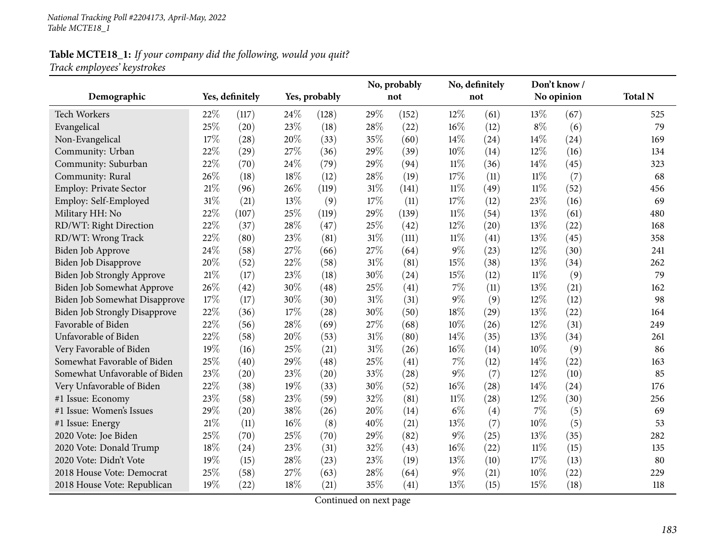# **Table MCTE18\_1:** *If your company did the following, would you quit? Track employees' keystrokes*

|                                      |        |                 |     | No, probably  |     |       | No, definitely |      | Don't know / |            |                |
|--------------------------------------|--------|-----------------|-----|---------------|-----|-------|----------------|------|--------------|------------|----------------|
| Demographic                          |        | Yes, definitely |     | Yes, probably |     | not   |                | not  |              | No opinion | <b>Total N</b> |
| Tech Workers                         | 22%    | (117)           | 24% | (128)         | 29% | (152) | 12%            | (61) | 13%          | (67)       | 525            |
| Evangelical                          | 25%    | (20)            | 23% | (18)          | 28% | (22)  | $16\%$         | (12) | $8\%$        | (6)        | 79             |
| Non-Evangelical                      | 17%    | (28)            | 20% | (33)          | 35% | (60)  | 14%            | (24) | 14%          | (24)       | 169            |
| Community: Urban                     | 22%    | (29)            | 27% | (36)          | 29% | (39)  | 10%            | (14) | 12%          | (16)       | 134            |
| Community: Suburban                  | 22%    | (70)            | 24% | (79)          | 29% | (94)  | $11\%$         | (36) | 14%          | (45)       | 323            |
| Community: Rural                     | 26%    | (18)            | 18% | (12)          | 28% | (19)  | 17%            | (11) | $11\%$       | (7)        | 68             |
| Employ: Private Sector               | $21\%$ | (96)            | 26% | (119)         | 31% | (141) | $11\%$         | (49) | $11\%$       | (52)       | 456            |
| Employ: Self-Employed                | 31%    | (21)            | 13% | (9)           | 17% | (11)  | 17%            | (12) | 23%          | (16)       | 69             |
| Military HH: No                      | 22%    | (107)           | 25% | (119)         | 29% | (139) | $11\%$         | (54) | 13%          | (61)       | 480            |
| RD/WT: Right Direction               | 22%    | (37)            | 28% | (47)          | 25% | (42)  | 12%            | (20) | 13%          | (22)       | 168            |
| RD/WT: Wrong Track                   | 22%    | (80)            | 23% | (81)          | 31% | (111) | $11\%$         | (41) | 13%          | (45)       | 358            |
| Biden Job Approve                    | 24%    | (58)            | 27% | (66)          | 27% | (64)  | $9\%$          | (23) | 12%          | (30)       | 241            |
| Biden Job Disapprove                 | 20%    | (52)            | 22% | (58)          | 31% | (81)  | 15%            | (38) | 13%          | (34)       | 262            |
| Biden Job Strongly Approve           | $21\%$ | (17)            | 23% | (18)          | 30% | (24)  | 15%            | (12) | $11\%$       | (9)        | 79             |
| Biden Job Somewhat Approve           | 26%    | (42)            | 30% | (48)          | 25% | (41)  | 7%             | (11) | 13%          | (21)       | 162            |
| Biden Job Somewhat Disapprove        | 17%    | (17)            | 30% | (30)          | 31% | (31)  | $9\%$          | (9)  | 12%          | (12)       | 98             |
| <b>Biden Job Strongly Disapprove</b> | 22%    | (36)            | 17% | (28)          | 30% | (50)  | 18%            | (29) | 13%          | (22)       | 164            |
| Favorable of Biden                   | 22%    | (56)            | 28% | (69)          | 27% | (68)  | 10%            | (26) | 12%          | (31)       | 249            |
| Unfavorable of Biden                 | 22%    | (58)            | 20% | (53)          | 31% | (80)  | 14\%           | (35) | 13%          | (34)       | 261            |
| Very Favorable of Biden              | 19%    | (16)            | 25% | (21)          | 31% | (26)  | 16%            | (14) | 10%          | (9)        | 86             |
| Somewhat Favorable of Biden          | 25%    | (40)            | 29% | (48)          | 25% | (41)  | $7\%$          | (12) | 14%          | (22)       | 163            |
| Somewhat Unfavorable of Biden        | 23%    | (20)            | 23% | (20)          | 33% | (28)  | $9\%$          | (7)  | 12%          | (10)       | 85             |
| Very Unfavorable of Biden            | 22%    | (38)            | 19% | (33)          | 30% | (52)  | 16%            | (28) | 14\%         | (24)       | 176            |
| #1 Issue: Economy                    | 23%    | (58)            | 23% | (59)          | 32% | (81)  | $11\%$         | (28) | 12%          | (30)       | 256            |
| #1 Issue: Women's Issues             | 29%    | (20)            | 38% | (26)          | 20% | (14)  | $6\%$          | (4)  | 7%           | (5)        | 69             |
| #1 Issue: Energy                     | 21%    | (11)            | 16% | (8)           | 40% | (21)  | 13%            | (7)  | 10%          | (5)        | 53             |
| 2020 Vote: Joe Biden                 | 25%    | (70)            | 25% | (70)          | 29% | (82)  | $9\%$          | (25) | 13%          | (35)       | 282            |
| 2020 Vote: Donald Trump              | 18%    | (24)            | 23% | (31)          | 32% | (43)  | 16%            | (22) | $11\%$       | (15)       | 135            |
| 2020 Vote: Didn't Vote               | 19%    | (15)            | 28% | (23)          | 23% | (19)  | 13%            | (10) | 17%          | (13)       | 80             |
| 2018 House Vote: Democrat            | 25%    | (58)            | 27% | (63)          | 28% | (64)  | $9\%$          | (21) | 10%          | (22)       | 229            |
| 2018 House Vote: Republican          | 19%    | (22)            | 18% | (21)          | 35% | (41)  | 13%            | (15) | 15%          | (18)       | 118            |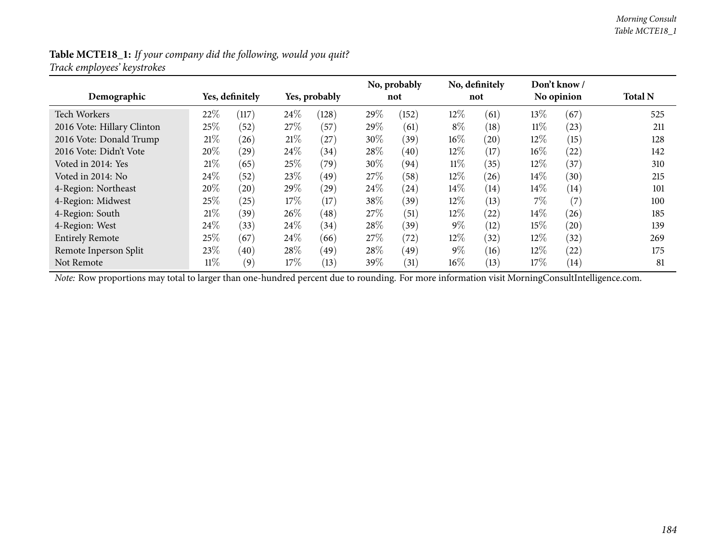### **Table MCTE18\_1:** *If your company did the following, would you quit? Track employees' keystrokes*

| Demographic                |        | Yes, definitely |      | Yes, probably      |        | No, probably<br>not |        | No, definitely<br>not |        | Don't know/<br>No opinion | <b>Total N</b> |
|----------------------------|--------|-----------------|------|--------------------|--------|---------------------|--------|-----------------------|--------|---------------------------|----------------|
| <b>Tech Workers</b>        | 22\%   | (117)           | 24\% | (128)              | 29%    | (152)               | $12\%$ | (61)                  | $13\%$ | (67)                      | 525            |
| 2016 Vote: Hillary Clinton | 25\%   | (52)            | 27%  | (57)               | 29%    | (61)                | $8\%$  | (18)                  | $11\%$ | (23)                      | 211            |
| 2016 Vote: Donald Trump    | 21%    | (26)            | 21%  | (27)               | $30\%$ | (39)                | $16\%$ | (20)                  | $12\%$ | (15)                      | 128            |
| 2016 Vote: Didn't Vote     | 20%    | $^{'}29$        | 24\% | (34)               | 28%    | (40)                | $12\%$ | (17)                  | $16\%$ | (22)                      | 142            |
| Voted in 2014: Yes         | 21%    | (65)            | 25%  | (79)               | $30\%$ | (94)                | $11\%$ | (35)                  | $12\%$ | (37)                      | 310            |
| Voted in 2014: No          | 24\%   | (52)            | 23\% | (49)               | 27%    | (58)                | $12\%$ | (26)                  | $14\%$ | (30)                      | 215            |
| 4-Region: Northeast        | 20%    | (20)            | 29%  | $\left( 29\right)$ | $24\%$ | (24)                | $14\%$ | (14)                  | $14\%$ | (14)                      | 101            |
| 4-Region: Midwest          | 25%    | (25)            | 17%  | (17)               | 38%    | (39)                | $12\%$ | (13)                  | $7\%$  | (7)                       | 100            |
| 4-Region: South            | 21%    | (39)            | 26\% | (48)               | 27%    | (51)                | $12\%$ | (22)                  | $14\%$ | (26)                      | 185            |
| 4-Region: West             | 24\%   | (33)            | 24\% | (34)               | $28\%$ | (39)                | $9\%$  | (12)                  | $15\%$ | (20)                      | 139            |
| <b>Entirely Remote</b>     | 25\%   | (67)            | 24\% | (66)               | 27\%   | (72)                | $12\%$ | (32)                  | $12\%$ | (32)                      | 269            |
| Remote Inperson Split      | 23\%   | (40)            | 28%  | (49)               | 28%    | (49)                | $9\%$  | (16)                  | $12\%$ | (22)                      | 175            |
| Not Remote                 | $11\%$ | (9)             | 17%  | (13)               | 39%    | (31)                | $16\%$ | (13)                  | $17\%$ | (14)                      | 81             |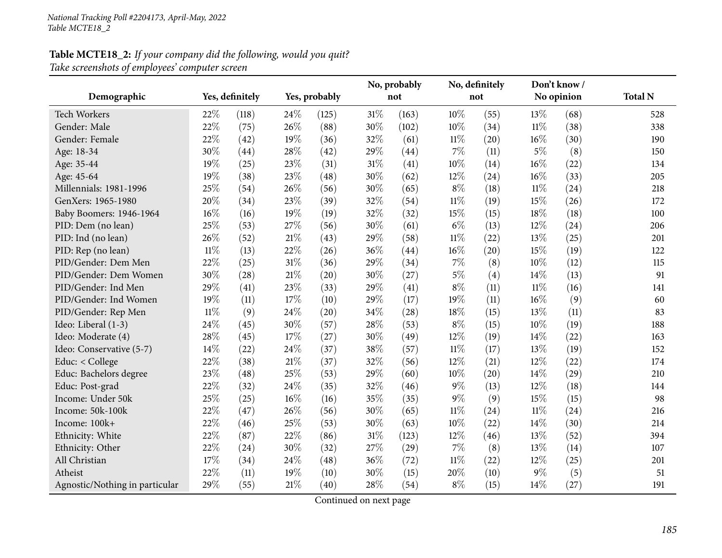# **Table MCTE18\_2:** *If your company did the following, would you quit? Take screenshots of employees' computer screen*

|                                |        | Yes, definitely |        |               |     | No, probably |        | No, definitely |        | Don't know / | <b>Total N</b> |
|--------------------------------|--------|-----------------|--------|---------------|-----|--------------|--------|----------------|--------|--------------|----------------|
| Demographic                    |        |                 |        | Yes, probably |     | not          |        | not            |        | No opinion   |                |
| <b>Tech Workers</b>            | 22%    | (118)           | 24%    | (125)         | 31% | (163)        | 10%    | (55)           | 13%    | (68)         | 528            |
| Gender: Male                   | 22%    | (75)            | 26%    | (88)          | 30% | (102)        | 10%    | (34)           | $11\%$ | (38)         | 338            |
| Gender: Female                 | 22%    | (42)            | 19%    | (36)          | 32% | (61)         | $11\%$ | (20)           | 16%    | (30)         | 190            |
| Age: 18-34                     | 30%    | (44)            | 28%    | (42)          | 29% | (44)         | $7\%$  | (11)           | $5\%$  | (8)          | 150            |
| Age: 35-44                     | 19%    | (25)            | 23%    | (31)          | 31% | (41)         | 10%    | (14)           | 16%    | (22)         | 134            |
| Age: 45-64                     | 19%    | (38)            | 23%    | (48)          | 30% | (62)         | 12%    | (24)           | 16%    | (33)         | 205            |
| Millennials: 1981-1996         | 25%    | (54)            | 26%    | (56)          | 30% | (65)         | $8\%$  | (18)           | $11\%$ | (24)         | 218            |
| GenXers: 1965-1980             | 20%    | (34)            | 23%    | (39)          | 32% | (54)         | $11\%$ | (19)           | 15%    | (26)         | 172            |
| Baby Boomers: 1946-1964        | 16%    | (16)            | 19%    | (19)          | 32% | (32)         | 15%    | (15)           | 18%    | (18)         | 100            |
| PID: Dem (no lean)             | 25%    | (53)            | 27%    | (56)          | 30% | (61)         | $6\%$  | (13)           | 12%    | (24)         | 206            |
| PID: Ind (no lean)             | 26%    | (52)            | $21\%$ | (43)          | 29% | (58)         | $11\%$ | (22)           | 13%    | (25)         | 201            |
| PID: Rep (no lean)             | $11\%$ | (13)            | 22%    | (26)          | 36% | (44)         | $16\%$ | (20)           | 15%    | (19)         | 122            |
| PID/Gender: Dem Men            | 22%    | (25)            | 31%    | (36)          | 29% | (34)         | $7\%$  | (8)            | 10%    | (12)         | 115            |
| PID/Gender: Dem Women          | 30%    | (28)            | 21%    | (20)          | 30% | (27)         | $5\%$  | (4)            | 14\%   | (13)         | 91             |
| PID/Gender: Ind Men            | 29%    | (41)            | 23%    | (33)          | 29% | (41)         | $8\%$  | (11)           | $11\%$ | (16)         | 141            |
| PID/Gender: Ind Women          | 19%    | (11)            | 17%    | (10)          | 29% | (17)         | $19\%$ | (11)           | 16%    | (9)          | 60             |
| PID/Gender: Rep Men            | $11\%$ | (9)             | 24%    | (20)          | 34% | (28)         | 18%    | (15)           | 13%    | (11)         | 83             |
| Ideo: Liberal (1-3)            | 24%    | (45)            | 30%    | (57)          | 28% | (53)         | $8\%$  | (15)           | 10%    | (19)         | 188            |
| Ideo: Moderate (4)             | 28%    | (45)            | 17%    | (27)          | 30% | (49)         | 12%    | (19)           | 14%    | (22)         | 163            |
| Ideo: Conservative (5-7)       | 14\%   | (22)            | 24%    | (37)          | 38% | (57)         | $11\%$ | (17)           | 13%    | (19)         | 152            |
| Educ: < College                | 22%    | (38)            | 21\%   | (37)          | 32% | (56)         | 12%    | (21)           | 12%    | (22)         | 174            |
| Educ: Bachelors degree         | 23%    | (48)            | 25%    | (53)          | 29% | (60)         | 10%    | (20)           | 14%    | (29)         | 210            |
| Educ: Post-grad                | 22%    | (32)            | 24%    | (35)          | 32% | (46)         | $9\%$  | (13)           | 12%    | (18)         | 144            |
| Income: Under 50k              | 25%    | (25)            | 16%    | (16)          | 35% | (35)         | $9\%$  | (9)            | 15%    | (15)         | 98             |
| Income: 50k-100k               | 22%    | (47)            | 26%    | (56)          | 30% | (65)         | $11\%$ | (24)           | $11\%$ | (24)         | 216            |
| Income: 100k+                  | 22%    | (46)            | 25%    | (53)          | 30% | (63)         | 10%    | (22)           | 14%    | (30)         | 214            |
| Ethnicity: White               | 22%    | (87)            | 22%    | (86)          | 31% | (123)        | $12\%$ | (46)           | 13%    | (52)         | 394            |
| Ethnicity: Other               | 22%    | (24)            | 30%    | (32)          | 27% | (29)         | $7\%$  | (8)            | 13%    | (14)         | 107            |
| All Christian                  | 17%    | (34)            | 24%    | (48)          | 36% | (72)         | $11\%$ | (22)           | 12%    | (25)         | 201            |
| Atheist                        | 22%    | (11)            | 19%    | (10)          | 30% | (15)         | 20%    | (10)           | $9\%$  | (5)          | 51             |
| Agnostic/Nothing in particular | 29%    | (55)            | 21%    | (40)          | 28% | (54)         | $8\%$  | (15)           | 14%    | (27)         | 191            |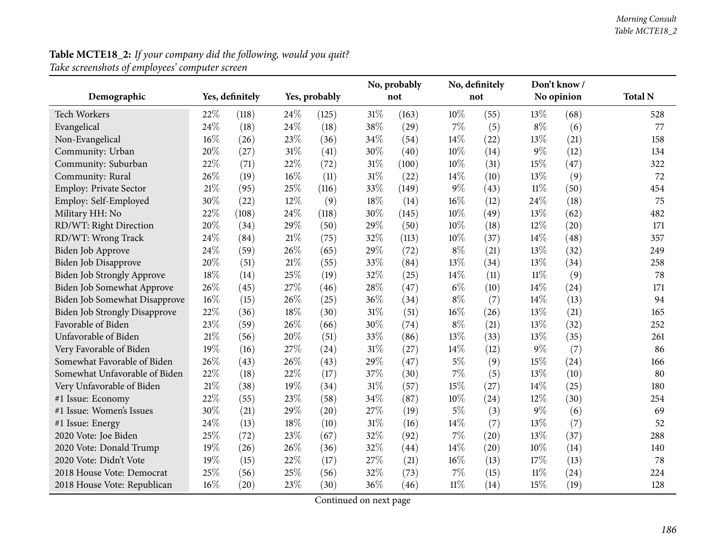| <b>Table MCTE18_2:</b> If your company did the following, would you quit? |  |
|---------------------------------------------------------------------------|--|
| Take screenshots of employees' computer screen                            |  |

| Demographic                          |        | Yes, definitely | Yes, probably |       | No, probably<br>not |       |        | No, definitely<br>not |        | Don't know /<br>No opinion | <b>Total N</b> |
|--------------------------------------|--------|-----------------|---------------|-------|---------------------|-------|--------|-----------------------|--------|----------------------------|----------------|
|                                      |        |                 |               |       |                     |       |        |                       |        |                            |                |
| Tech Workers                         | 22%    | (118)           | 24\%          | (125) | $31\%$              | (163) | 10%    | (55)                  | 13%    | (68)                       | 528            |
| Evangelical                          | 24\%   | (18)            | 24\%          | (18)  | 38%                 | (29)  | $7\%$  | (5)                   | $8\%$  | (6)                        | 77             |
| Non-Evangelical                      | $16\%$ | (26)            | 23%           | (36)  | 34\%                | (54)  | 14%    | (22)                  | 13%    | (21)                       | 158            |
| Community: Urban                     | 20%    | (27)            | $31\%$        | (41)  | 30%                 | (40)  | 10%    | (14)                  | $9\%$  | (12)                       | 134            |
| Community: Suburban                  | 22%    | (71)            | 22%           | (72)  | 31%                 | (100) | 10%    | (31)                  | 15%    | (47)                       | 322            |
| Community: Rural                     | 26%    | (19)            | 16%           | (11)  | $31\%$              | (22)  | 14\%   | (10)                  | 13%    | (9)                        | 72             |
| Employ: Private Sector               | 21%    | (95)            | 25%           | (116) | 33\%                | (149) | $9\%$  | (43)                  | $11\%$ | (50)                       | 454            |
| Employ: Self-Employed                | 30%    | (22)            | 12%           | (9)   | 18%                 | (14)  | 16%    | (12)                  | 24%    | (18)                       | 75             |
| Military HH: No                      | 22%    | (108)           | 24%           | (118) | 30%                 | (145) | 10%    | (49)                  | 13%    | (62)                       | 482            |
| RD/WT: Right Direction               | 20%    | (34)            | 29%           | (50)  | 29%                 | (50)  | 10%    | (18)                  | 12%    | (20)                       | 171            |
| RD/WT: Wrong Track                   | 24%    | (84)            | 21%           | (75)  | 32%                 | (113) | 10%    | (37)                  | 14%    | (48)                       | 357            |
| Biden Job Approve                    | 24%    | (59)            | 26%           | (65)  | 29%                 | (72)  | $8\%$  | (21)                  | 13%    | (32)                       | 249            |
| Biden Job Disapprove                 | 20%    | (51)            | $21\%$        | (55)  | 33%                 | (84)  | 13%    | (34)                  | 13%    | (34)                       | 258            |
| Biden Job Strongly Approve           | $18\%$ | (14)            | 25%           | (19)  | 32%                 | (25)  | 14%    | (11)                  | $11\%$ | (9)                        | 78             |
| Biden Job Somewhat Approve           | 26%    | (45)            | 27%           | (46)  | 28%                 | (47)  | $6\%$  | (10)                  | 14%    | (24)                       | 171            |
| Biden Job Somewhat Disapprove        | 16%    | (15)            | 26%           | (25)  | 36%                 | (34)  | $8\%$  | (7)                   | 14%    | (13)                       | 94             |
| <b>Biden Job Strongly Disapprove</b> | 22%    | (36)            | 18%           | (30)  | $31\%$              | (51)  | 16%    | (26)                  | 13%    | (21)                       | 165            |
| Favorable of Biden                   | 23%    | (59)            | 26%           | (66)  | 30%                 | (74)  | $8\%$  | (21)                  | 13%    | (32)                       | 252            |
| Unfavorable of Biden                 | $21\%$ | (56)            | 20%           | (51)  | 33%                 | (86)  | 13%    | (33)                  | 13%    | (35)                       | 261            |
| Very Favorable of Biden              | 19%    | (16)            | 27%           | (24)  | 31%                 | (27)  | 14%    | (12)                  | $9\%$  | (7)                        | 86             |
| Somewhat Favorable of Biden          | 26%    | (43)            | 26%           | (43)  | 29%                 | (47)  | $5\%$  | (9)                   | 15%    | (24)                       | 166            |
| Somewhat Unfavorable of Biden        | 22%    | (18)            | 22%           | (17)  | 37%                 | (30)  | $7\%$  | (5)                   | 13%    | (10)                       | 80             |
| Very Unfavorable of Biden            | $21\%$ | (38)            | 19%           | (34)  | $31\%$              | (57)  | 15%    | (27)                  | 14%    | (25)                       | 180            |
| #1 Issue: Economy                    | 22%    | (55)            | 23%           | (58)  | 34\%                | (87)  | 10%    | (24)                  | 12%    | (30)                       | 254            |
| #1 Issue: Women's Issues             | 30%    | (21)            | 29%           | (20)  | 27%                 | (19)  | $5\%$  | (3)                   | $9\%$  | (6)                        | 69             |
| #1 Issue: Energy                     | 24\%   | (13)            | 18%           | (10)  | 31%                 | (16)  | 14%    | (7)                   | 13%    | (7)                        | 52             |
| 2020 Vote: Joe Biden                 | 25%    | (72)            | 23%           | (67)  | 32%                 | (92)  | $7\%$  | (20)                  | 13%    | (37)                       | 288            |
| 2020 Vote: Donald Trump              | 19%    | (26)            | 26%           | (36)  | 32%                 | (44)  | 14%    | (20)                  | $10\%$ | (14)                       | 140            |
| 2020 Vote: Didn't Vote               | 19%    | (15)            | 22%           | (17)  | 27%                 | (21)  | 16%    | (13)                  | 17%    | (13)                       | 78             |
| 2018 House Vote: Democrat            | 25%    | (56)            | 25%           | (56)  | 32%                 | (73)  | 7%     | (15)                  | $11\%$ | (24)                       | 224            |
| 2018 House Vote: Republican          | $16\%$ | (20)            | 23%           | (30)  | 36%                 | (46)  | $11\%$ | (14)                  | 15%    | (19)                       | 128            |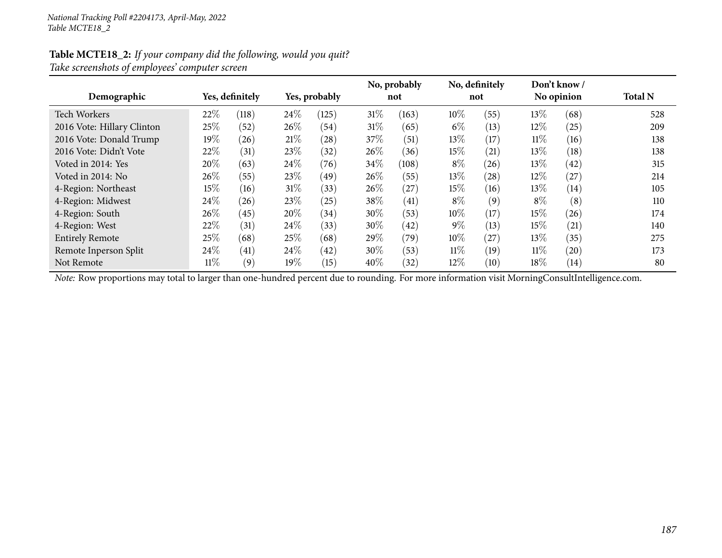### **Table MCTE18\_2:** *If your company did the following, would you quit? Take screenshots of employees' computer screen*

| Demographic                |        | Yes, definitely |        | Yes, probably |        | No, probably<br>not |        | No, definitely<br>not |        | Don't know/<br>No opinion | <b>Total N</b> |
|----------------------------|--------|-----------------|--------|---------------|--------|---------------------|--------|-----------------------|--------|---------------------------|----------------|
| Tech Workers               | 22%    | (118)           | 24\%   | (125)         | $31\%$ | (163)               | $10\%$ | (55)                  | 13\%   | (68)                      | 528            |
| 2016 Vote: Hillary Clinton | 25%    | (52)            | $26\%$ | (54)          | 31%    | (65)                | $6\%$  | (13)                  | $12\%$ | (25)                      | 209            |
| 2016 Vote: Donald Trump    | $19\%$ | (26)            | 21%    | (28)          | 37%    | (51)                | $13\%$ | (17)                  | 11%    | (16)                      | 138            |
| 2016 Vote: Didn't Vote     | 22%    | (31)            | 23%    | (32)          | 26%    | (36)                | 15%    | (21)                  | $13\%$ | (18)                      | 138            |
| Voted in 2014: Yes         | 20%    | (63)            | 24\%   | (76)          | 34\%   | (108)               | $8\%$  | (26)                  | $13\%$ | (42)                      | 315            |
| Voted in 2014: No          | $26\%$ | (55)            | 23\%   | (49)          | 26%    | (55)                | $13\%$ | (28)                  | $12\%$ | (27)                      | 214            |
| 4-Region: Northeast        | $15\%$ | (16)            | 31%    | (33)          | 26\%   | (27)                | $15\%$ | (16)                  | 13\%   | (14)                      | 105            |
| 4-Region: Midwest          | 24\%   | (26)            | 23%    | (25)          | 38%    | (41)                | $8\%$  | (9)                   | $8\%$  | (8)                       | 110            |
| 4-Region: South            | $26\%$ | (45)            | 20%    | (34)          | 30%    | (53)                | $10\%$ | (17)                  | 15%    | (26)                      | 174            |
| 4-Region: West             | 22\%   | (31)            | 24\%   | (33)          | 30\%   | (42)                | $9\%$  | (13)                  | 15%    | (21)                      | 140            |
| <b>Entirely Remote</b>     | 25\%   | (68)            | 25%    | (68)          | 29%    | (79)                | $10\%$ | (27)                  | 13\%   | (35)                      | 275            |
| Remote Inperson Split      | 24%    | (41)            | 24%    | (42)          | 30%    | (53)                | $11\%$ | (19)                  | $11\%$ | (20)                      | 173            |
| Not Remote                 | $11\%$ | (9)             | 19%    | (15)          | $40\%$ | (32)                | $12\%$ | (10)                  | 18%    | (14)                      | 80             |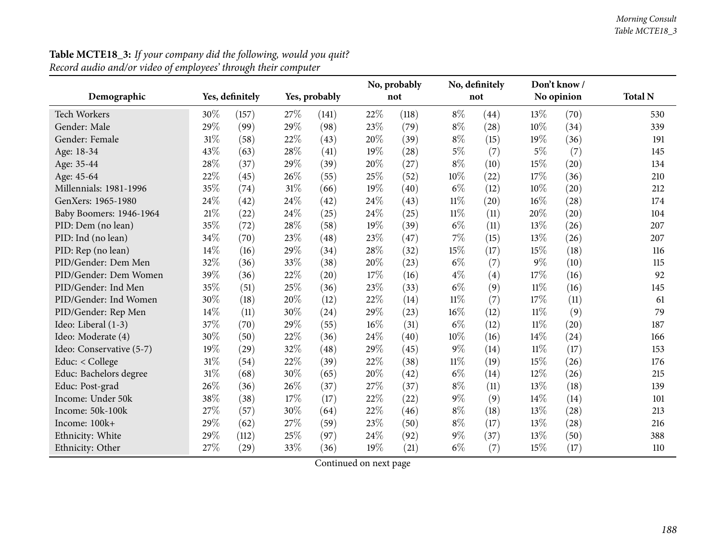|                          |        |                 |     |               |     | No, probably |        | No, definitely |        | Don't know/ | <b>Total N</b> |
|--------------------------|--------|-----------------|-----|---------------|-----|--------------|--------|----------------|--------|-------------|----------------|
| Demographic              |        | Yes, definitely |     | Yes, probably |     | not          |        | not            |        | No opinion  |                |
| <b>Tech Workers</b>      | 30%    | (157)           | 27% | (141)         | 22% | (118)        | $8\%$  | (44)           | 13\%   | (70)        | 530            |
| Gender: Male             | 29%    | (99)            | 29% | (98)          | 23% | (79)         | $8\%$  | (28)           | 10%    | (34)        | 339            |
| Gender: Female           | 31%    | (58)            | 22% | (43)          | 20% | (39)         | $8\%$  | (15)           | 19%    | (36)        | 191            |
| Age: 18-34               | 43%    | (63)            | 28% | (41)          | 19% | (28)         | $5\%$  | (7)            | $5\%$  | (7)         | 145            |
| Age: 35-44               | 28%    | (37)            | 29% | (39)          | 20% | (27)         | $8\%$  | (10)           | 15%    | (20)        | 134            |
| Age: 45-64               | 22%    | (45)            | 26% | (55)          | 25% | (52)         | 10%    | (22)           | 17%    | (36)        | 210            |
| Millennials: 1981-1996   | 35%    | (74)            | 31% | (66)          | 19% | (40)         | $6\%$  | (12)           | $10\%$ | (20)        | 212            |
| GenXers: 1965-1980       | 24\%   | (42)            | 24% | (42)          | 24% | (43)         | $11\%$ | (20)           | 16%    | (28)        | 174            |
| Baby Boomers: 1946-1964  | $21\%$ | (22)            | 24% | (25)          | 24% | (25)         | $11\%$ | (11)           | 20%    | (20)        | 104            |
| PID: Dem (no lean)       | 35%    | (72)            | 28% | (58)          | 19% | (39)         | $6\%$  | (11)           | 13\%   | (26)        | 207            |
| PID: Ind (no lean)       | 34%    | (70)            | 23% | (48)          | 23% | (47)         | 7%     | (15)           | 13%    | (26)        | 207            |
| PID: Rep (no lean)       | 14%    | (16)            | 29% | (34)          | 28% | (32)         | 15%    | (17)           | 15%    | (18)        | 116            |
| PID/Gender: Dem Men      | 32%    | (36)            | 33% | (38)          | 20% | (23)         | $6\%$  | (7)            | $9\%$  | (10)        | 115            |
| PID/Gender: Dem Women    | 39%    | (36)            | 22% | (20)          | 17% | (16)         | $4\%$  | (4)            | 17\%   | (16)        | 92             |
| PID/Gender: Ind Men      | 35%    | (51)            | 25% | (36)          | 23% | (33)         | $6\%$  | (9)            | 11%    | (16)        | 145            |
| PID/Gender: Ind Women    | 30%    | (18)            | 20% | (12)          | 22% | (14)         | $11\%$ | (7)            | 17\%   | (11)        | 61             |
| PID/Gender: Rep Men      | 14\%   | (11)            | 30% | (24)          | 29% | (23)         | 16%    | (12)           | $11\%$ | (9)         | 79             |
| Ideo: Liberal (1-3)      | 37%    | (70)            | 29% | (55)          | 16% | (31)         | $6\%$  | (12)           | $11\%$ | (20)        | 187            |
| Ideo: Moderate (4)       | 30%    | (50)            | 22% | (36)          | 24% | (40)         | 10%    | (16)           | $14\%$ | (24)        | 166            |
| Ideo: Conservative (5-7) | 19%    | (29)            | 32% | (48)          | 29% | (45)         | $9\%$  | (14)           | $11\%$ | (17)        | 153            |
| Educ: $<$ College        | $31\%$ | (54)            | 22% | (39)          | 22% | (38)         | $11\%$ | (19)           | 15%    | (26)        | 176            |
| Educ: Bachelors degree   | $31\%$ | (68)            | 30% | (65)          | 20% | (42)         | $6\%$  | (14)           | 12%    | (26)        | 215            |
| Educ: Post-grad          | 26%    | (36)            | 26% | (37)          | 27% | (37)         | $8\%$  | (11)           | 13%    | (18)        | 139            |
| Income: Under 50k        | 38%    | (38)            | 17% | (17)          | 22% | (22)         | $9\%$  | (9)            | $14\%$ | (14)        | 101            |
| Income: 50k-100k         | 27%    | (57)            | 30% | (64)          | 22% | (46)         | $8\%$  | (18)           | 13%    | (28)        | 213            |
| Income: 100k+            | 29%    | (62)            | 27% | (59)          | 23% | (50)         | $8\%$  | (17)           | 13%    | (28)        | 216            |
| Ethnicity: White         | 29%    | (112)           | 25% | (97)          | 24% | (92)         | $9\%$  | (37)           | 13%    | (50)        | 388            |
| Ethnicity: Other         | 27\%   | (29)            | 33% | (36)          | 19% | (21)         | $6\%$  | (7)            | 15%    | (17)        | 110            |

## **Table MCTE18\_3:** *If your company did the following, would you quit? Record audio and/or video of employees' through their computer*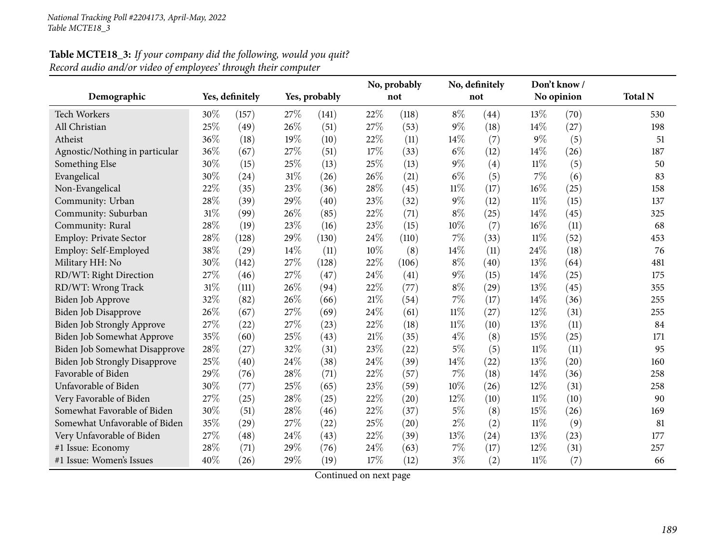| Demographic                          |     | Yes, definitely |     | Yes, probably |     | No, probably<br>not |        | No, definitely<br>not |        | Don't know/<br>No opinion | <b>Total N</b> |
|--------------------------------------|-----|-----------------|-----|---------------|-----|---------------------|--------|-----------------------|--------|---------------------------|----------------|
| <b>Tech Workers</b>                  | 30% | (157)           | 27% | (141)         | 22% | (118)               | $8\%$  | (44)                  | 13%    | (70)                      | 530            |
| All Christian                        | 25% | (49)            | 26% | (51)          | 27% | (53)                | $9\%$  | (18)                  | 14%    | (27)                      | 198            |
| Atheist                              | 36% | (18)            | 19% | (10)          | 22% | (11)                | 14\%   | (7)                   | $9\%$  | (5)                       | 51             |
| Agnostic/Nothing in particular       | 36% | (67)            | 27% | (51)          | 17% | (33)                | $6\%$  | (12)                  | 14%    | (26)                      | 187            |
| Something Else                       | 30% | (15)            | 25% | (13)          | 25% | (13)                | $9\%$  | (4)                   | $11\%$ | (5)                       | 50             |
| Evangelical                          | 30% | (24)            | 31% | (26)          | 26% | (21)                | $6\%$  | (5)                   | 7%     | (6)                       | 83             |
| Non-Evangelical                      | 22% | (35)            | 23% | (36)          | 28% | (45)                | $11\%$ | (17)                  | 16%    | (25)                      | 158            |
| Community: Urban                     | 28% | (39)            | 29% | (40)          | 23% | (32)                | $9\%$  | (12)                  | 11%    | (15)                      | 137            |
| Community: Suburban                  | 31% | (99)            | 26% | (85)          | 22% | (71)                | $8\%$  | (25)                  | 14%    | (45)                      | 325            |
| Community: Rural                     | 28% | (19)            | 23% | (16)          | 23% | (15)                | 10%    | (7)                   | 16%    | (11)                      | 68             |
| <b>Employ: Private Sector</b>        | 28% | (128)           | 29% | (130)         | 24% | (110)               | $7\%$  | (33)                  | 11%    | (52)                      | 453            |
| Employ: Self-Employed                | 38% | (29)            | 14% | (11)          | 10% | (8)                 | 14%    | (11)                  | 24%    | (18)                      | 76             |
| Military HH: No                      | 30% | (142)           | 27% | (128)         | 22% | (106)               | $8\%$  | (40)                  | 13%    | (64)                      | 481            |
| RD/WT: Right Direction               | 27% | (46)            | 27% | (47)          | 24% | (41)                | $9\%$  | (15)                  | 14%    | (25)                      | 175            |
| RD/WT: Wrong Track                   | 31% | (111)           | 26% | (94)          | 22% | (77)                | $8\%$  | (29)                  | 13%    | (45)                      | 355            |
| Biden Job Approve                    | 32% | (82)            | 26% | (66)          | 21% | (54)                | 7%     | (17)                  | 14%    | (36)                      | 255            |
| Biden Job Disapprove                 | 26% | (67)            | 27% | (69)          | 24% | (61)                | $11\%$ | (27)                  | 12%    | (31)                      | 255            |
| Biden Job Strongly Approve           | 27% | (22)            | 27% | (23)          | 22% | (18)                | $11\%$ | (10)                  | $13\%$ | (11)                      | 84             |
| Biden Job Somewhat Approve           | 35% | (60)            | 25% | (43)          | 21% | (35)                | $4\%$  | (8)                   | 15%    | (25)                      | 171            |
| Biden Job Somewhat Disapprove        | 28% | (27)            | 32% | (31)          | 23% | (22)                | $5\%$  | (5)                   | 11%    | (11)                      | 95             |
| <b>Biden Job Strongly Disapprove</b> | 25% | (40)            | 24% | (38)          | 24% | (39)                | 14%    | (22)                  | 13%    | (20)                      | 160            |
| Favorable of Biden                   | 29% | (76)            | 28% | (71)          | 22% | (57)                | $7\%$  | (18)                  | 14%    | (36)                      | 258            |
| Unfavorable of Biden                 | 30% | (77)            | 25% | (65)          | 23% | (59)                | 10%    | (26)                  | 12%    | (31)                      | 258            |
| Very Favorable of Biden              | 27% | (25)            | 28% | (25)          | 22% | (20)                | $12\%$ | (10)                  | 11%    | (10)                      | 90             |
| Somewhat Favorable of Biden          | 30% | (51)            | 28% | (46)          | 22% | (37)                | $5\%$  | (8)                   | 15%    | (26)                      | 169            |
| Somewhat Unfavorable of Biden        | 35% | (29)            | 27% | (22)          | 25% | (20)                | $2\%$  | (2)                   | 11%    | (9)                       | 81             |
| Very Unfavorable of Biden            | 27% | (48)            | 24% | (43)          | 22% | (39)                | 13%    | (24)                  | 13%    | (23)                      | 177            |
| #1 Issue: Economy                    | 28% | (71)            | 29% | (76)          | 24% | (63)                | $7\%$  | (17)                  | 12%    | (31)                      | 257            |
| #1 Issue: Women's Issues             | 40% | (26)            | 29% | (19)          | 17% | (12)                | $3\%$  | (2)                   | $11\%$ | (7)                       | 66             |

# **Table MCTE18\_3:** *If your company did the following, would you quit? Record audio and/or video of employees' through their computer*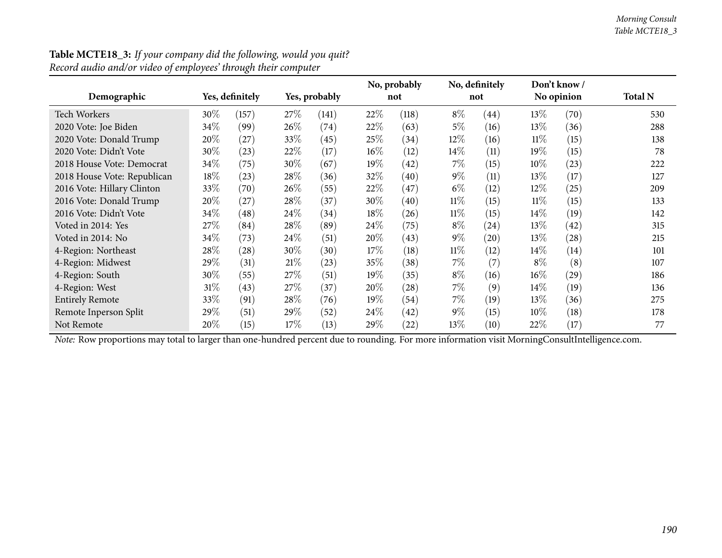|                             |        |                 |      |               |        | No, probably       |        | No, definitely |        | Don't know / |                |
|-----------------------------|--------|-----------------|------|---------------|--------|--------------------|--------|----------------|--------|--------------|----------------|
| Demographic                 |        | Yes, definitely |      | Yes, probably |        | not                |        | not            |        | No opinion   | <b>Total N</b> |
| Tech Workers                | 30%    | (157)           | 27\% | (141)         | 22%    | (118)              | $8\%$  | (44)           | $13\%$ | (70)         | 530            |
| 2020 Vote: Joe Biden        | 34\%   | (99)            | 26\% | (74)          | $22\%$ | (63)               | $5\%$  | (16)           | 13\%   | (36)         | 288            |
| 2020 Vote: Donald Trump     | 20%    | (27)            | 33%  | (45)          | $25\%$ | (34)               | $12\%$ | (16)           | $11\%$ | (15)         | 138            |
| 2020 Vote: Didn't Vote      | $30\%$ | (23)            | 22%  | (17)          | $16\%$ | (12)               | $14\%$ | (11)           | $19\%$ | (15)         | 78             |
| 2018 House Vote: Democrat   | 34\%   | (75)            | 30%  | (67)          | 19%    | (42)               | $7\%$  | (15)           | $10\%$ | (23)         | 222            |
| 2018 House Vote: Republican | 18%    | (23)            | 28\% | (36)          | 32\%   | $\left( 40\right)$ | $9\%$  | (11)           | $13\%$ | (17)         | 127            |
| 2016 Vote: Hillary Clinton  | 33\%   | (70)            | 26\% | (55)          | 22%    | (47)               | $6\%$  | (12)           | 12%    | (25)         | 209            |
| 2016 Vote: Donald Trump     | 20%    | (27)            | 28%  | (37)          | 30\%   | (40)               | $11\%$ | (15)           | $11\%$ | (15)         | 133            |
| 2016 Vote: Didn't Vote      | 34\%   | (48)            | 24\% | (34)          | $18\%$ | (26)               | 11%    | (15)           | $14\%$ | (19)         | 142            |
| Voted in 2014: Yes          | 27%    | (84)            | 28\% | (89)          | 24%    | (75)               | $8\%$  | (24)           | $13\%$ | (42)         | 315            |
| Voted in 2014: No           | 34\%   | (73)            | 24\% | (51)          | 20%    | (43)               | $9\%$  | (20)           | 13\%   | (28)         | 215            |
| 4-Region: Northeast         | 28\%   | $^{'}28$        | 30%  | (30)          | 17%    | $\left(18\right)$  | $11\%$ | (12)           | $14\%$ | (14)         | 101            |
| 4-Region: Midwest           | 29%    | (31)            | 21%  | (23)          | 35%    | (38)               | $7\%$  | (7)            | $8\%$  | (8)          | 107            |
| 4-Region: South             | $30\%$ | (55)            | 27%  | (51)          | 19%    | (35)               | $8\%$  | (16)           | $16\%$ | (29)         | 186            |
| 4-Region: West              | $31\%$ | (43)            | 27\% | (37)          | 20%    | (28)               | $7\%$  | (9)            | $14\%$ | (19)         | 136            |
| <b>Entirely Remote</b>      | 33\%   | (91)            | 28\% | (76)          | 19%    | (54)               | $7\%$  | (19)           | $13\%$ | (36)         | 275            |
| Remote Inperson Split       | 29\%   | (51)            | 29\% | (52)          | 24%    | (42)               | $9\%$  | (15)           | $10\%$ | (18)         | 178            |
| Not Remote                  | 20%    | (15)            | 17%  | (13)          | 29%    | 22                 | 13%    | (10)           | 22%    | (17)         | 77             |

### **Table MCTE18\_3:** *If your company did the following, would you quit? Record audio and/or video of employees' through their computer*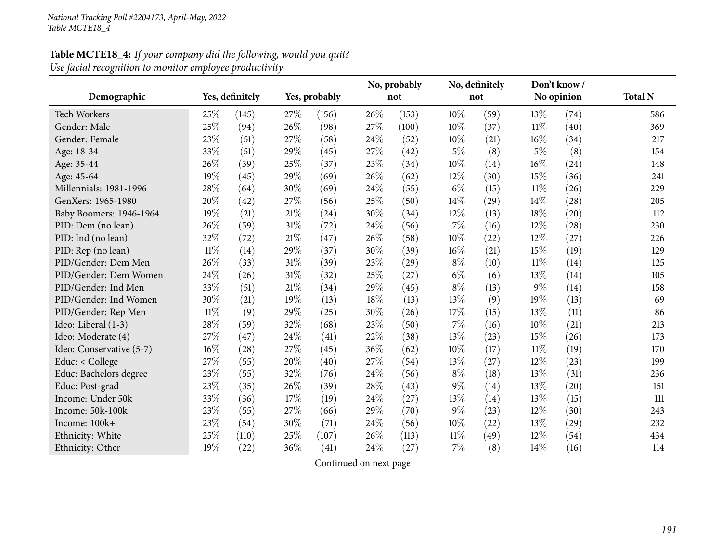| Table MCTE18_4: If your company did the following, would you quit? |  |
|--------------------------------------------------------------------|--|
| Use facial recognition to monitor employee productivity            |  |

| Demographic                               | Yes, definitely<br>Yes, probably |       |     |       | No, probably<br>not |       | No, definitely<br>not |      |        | Don't know /<br>No opinion | <b>Total N</b> |
|-------------------------------------------|----------------------------------|-------|-----|-------|---------------------|-------|-----------------------|------|--------|----------------------------|----------------|
| <b>Tech Workers</b>                       | 25\%                             | (145) | 27% | (156) | 26%                 | (153) | 10\%                  | (59) | 13%    | (74)                       | 586            |
| Gender: Male                              | 25%                              | (94)  | 26% | (98)  | 27%                 | (100) | 10%                   | (37) | $11\%$ | (40)                       | 369            |
| Gender: Female                            | 23%                              | (51)  | 27% | (58)  | 24\%                | (52)  | 10%                   | (21) | 16%    | (34)                       | 217            |
| Age: 18-34                                | 33%                              | (51)  | 29% | (45)  | 27%                 | (42)  | $5\%$                 | (8)  | $5\%$  | (8)                        | 154            |
| Age: 35-44                                | 26%                              | (39)  | 25% | (37)  | 23%                 | (34)  | 10%                   | (14) | 16%    | (24)                       | 148            |
| Age: 45-64                                | 19%                              | (45)  | 29% | (69)  | 26%                 | (62)  | 12%                   | (30) | 15%    | (36)                       | 241            |
| Millennials: 1981-1996                    | 28%                              | (64)  | 30% | (69)  | 24%                 | (55)  | $6\%$                 | (15) | $11\%$ | (26)                       | 229            |
| GenXers: 1965-1980                        | 20%                              | (42)  | 27% | (56)  | 25%                 | (50)  | 14%                   | (29) | 14%    | (28)                       | 205            |
| Baby Boomers: 1946-1964                   | 19%                              | (21)  | 21% | (24)  | 30%                 | (34)  | 12%                   | (13) | 18%    | (20)                       | 112            |
| PID: Dem (no lean)                        | 26%                              | (59)  | 31% | (72)  | 24\%                | (56)  | 7%                    | (16) | 12%    | (28)                       | 230            |
| PID: Ind (no lean)                        | 32%                              | (72)  | 21% | (47)  | 26%                 | (58)  | 10%                   | (22) | 12%    |                            | 226            |
|                                           | $11\%$                           |       | 29% | (37)  | 30%                 | (39)  | 16%                   |      | 15%    | (27)<br>(19)               |                |
| PID: Rep (no lean)<br>PID/Gender: Dem Men | 26%                              | (14)  | 31% |       | 23%                 |       | $8\%$                 | (21) | $11\%$ |                            | 129<br>125     |
|                                           |                                  | (33)  | 31% | (39)  |                     | (29)  |                       | (10) |        | (14)                       |                |
| PID/Gender: Dem Women                     | 24\%                             | (26)  |     | (32)  | 25%                 | (27)  | $6\%$                 | (6)  | 13%    | (14)                       | 105            |
| PID/Gender: Ind Men                       | 33%                              | (51)  | 21% | (34)  | 29%                 | (45)  | $8\%$                 | (13) | $9\%$  | (14)                       | 158            |
| PID/Gender: Ind Women                     | 30%                              | (21)  | 19% | (13)  | 18%                 | (13)  | 13%                   | (9)  | 19%    | (13)                       | 69             |
| PID/Gender: Rep Men                       | $11\%$                           | (9)   | 29% | (25)  | 30%                 | (26)  | 17%                   | (15) | 13%    | (11)                       | 86             |
| Ideo: Liberal (1-3)                       | 28%                              | (59)  | 32% | (68)  | 23%                 | (50)  | 7%                    | (16) | 10%    | (21)                       | 213            |
| Ideo: Moderate (4)                        | 27%                              | (47)  | 24% | (41)  | 22%                 | (38)  | 13%                   | (23) | 15%    | (26)                       | 173            |
| Ideo: Conservative (5-7)                  | 16%                              | (28)  | 27% | (45)  | 36%                 | (62)  | 10%                   | (17) | $11\%$ | (19)                       | 170            |
| Educ: < College                           | 27%                              | (55)  | 20% | (40)  | 27%                 | (54)  | 13%                   | (27) | 12%    | (23)                       | 199            |
| Educ: Bachelors degree                    | 23%                              | (55)  | 32% | (76)  | 24%                 | (56)  | $8\%$                 | (18) | 13%    | (31)                       | 236            |
| Educ: Post-grad                           | 23%                              | (35)  | 26% | (39)  | 28%                 | (43)  | $9\%$                 | (14) | 13%    | (20)                       | 151            |
| Income: Under 50k                         | 33\%                             | (36)  | 17% | (19)  | 24%                 | (27)  | 13%                   | (14) | 13%    | (15)                       | 111            |
| Income: 50k-100k                          | 23%                              | (55)  | 27% | (66)  | 29%                 | (70)  | $9\%$                 | (23) | 12%    | (30)                       | 243            |
| Income: 100k+                             | 23%                              | (54)  | 30% | (71)  | 24\%                | (56)  | 10%                   | (22) | 13%    | (29)                       | 232            |
| Ethnicity: White                          | 25%                              | (110) | 25% | (107) | 26%                 | (113) | $11\%$                | (49) | 12%    | (54)                       | 434            |
| Ethnicity: Other                          | 19%                              | (22)  | 36% | (41)  | 24%                 | (27)  | 7%                    | (8)  | 14%    | (16)                       | 114            |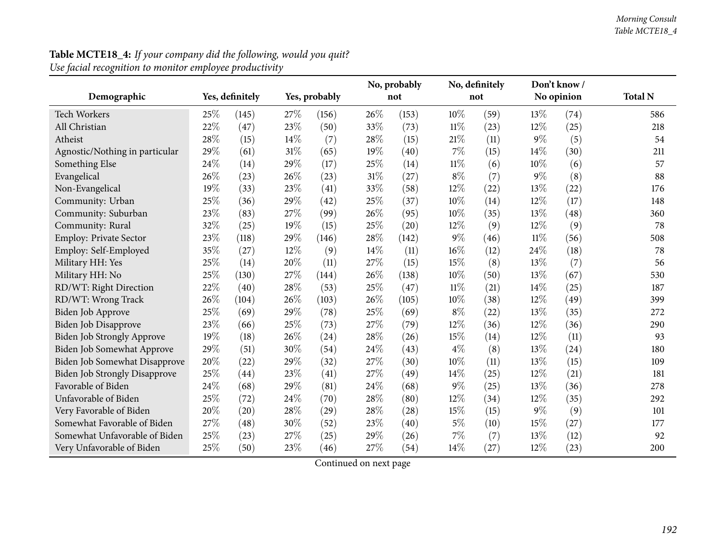| Demographic                    | Yes, definitely<br>Yes, probably |       |        |       |      | No, probably<br>not |        | No, definitely<br>not | Don't know/<br>No opinion |      | <b>Total N</b> |
|--------------------------------|----------------------------------|-------|--------|-------|------|---------------------|--------|-----------------------|---------------------------|------|----------------|
|                                |                                  |       |        |       |      |                     |        |                       |                           |      |                |
| <b>Tech Workers</b>            | 25%                              | (145) | 27%    | (156) | 26%  | (153)               | 10%    | (59)                  | 13\%                      | (74) | 586            |
| All Christian                  | 22%                              | (47)  | 23%    | (50)  | 33%  | (73)                | $11\%$ | (23)                  | 12%                       | (25) | 218            |
| Atheist                        | 28%                              | (15)  | 14%    | (7)   | 28%  | (15)                | 21%    | (11)                  | $9\%$                     | (5)  | 54             |
| Agnostic/Nothing in particular | 29%                              | (61)  | 31%    | (65)  | 19%  | (40)                | 7%     | (15)                  | 14%                       | (30) | 211            |
| Something Else                 | 24\%                             | (14)  | 29%    | (17)  | 25%  | (14)                | $11\%$ | (6)                   | 10%                       | (6)  | 57             |
| Evangelical                    | 26%                              | (23)  | 26%    | (23)  | 31%  | (27)                | $8\%$  | (7)                   | $9\%$                     | (8)  | 88             |
| Non-Evangelical                | 19%                              | (33)  | 23%    | (41)  | 33%  | (58)                | 12%    | (22)                  | 13%                       | (22) | 176            |
| Community: Urban               | 25%                              | (36)  | 29%    | (42)  | 25%  | (37)                | 10%    | (14)                  | 12%                       | (17) | 148            |
| Community: Suburban            | 23%                              | (83)  | 27%    | (99)  | 26%  | (95)                | 10%    | (35)                  | 13%                       | (48) | 360            |
| Community: Rural               | 32%                              | (25)  | 19%    | (15)  | 25%  | (20)                | $12\%$ | (9)                   | 12%                       | (9)  | 78             |
| <b>Employ: Private Sector</b>  | 23%                              | (118) | 29%    | (146) | 28%  | (142)               | 9%     | (46)                  | $11\%$                    | (56) | 508            |
| Employ: Self-Employed          | 35%                              | (27)  | $12\%$ | (9)   | 14%  | (11)                | 16%    | (12)                  | 24\%                      | (18) | 78             |
| Military HH: Yes               | 25%                              | (14)  | 20%    | (11)  | 27%  | (15)                | 15%    | (8)                   | 13%                       | (7)  | 56             |
| Military HH: No                | 25%                              | (130) | 27%    | (144) | 26%  | (138)               | 10%    | (50)                  | 13%                       | (67) | 530            |
| RD/WT: Right Direction         | 22%                              | (40)  | 28%    | (53)  | 25%  | (47)                | $11\%$ | (21)                  | 14%                       | (25) | 187            |
| RD/WT: Wrong Track             | 26%                              | (104) | 26%    | (103) | 26%  | (105)               | $10\%$ | (38)                  | 12%                       | (49) | 399            |
| <b>Biden Job Approve</b>       | 25%                              | (69)  | 29%    | (78)  | 25%  | (69)                | $8\%$  | (22)                  | 13%                       | (35) | 272            |
| Biden Job Disapprove           | 23%                              | (66)  | 25%    | (73)  | 27%  | (79)                | 12%    | (36)                  | 12%                       | (36) | 290            |
| Biden Job Strongly Approve     | 19%                              | (18)  | 26%    | (24)  | 28%  | (26)                | 15%    | (14)                  | $12\%$                    | (11) | 93             |
| Biden Job Somewhat Approve     | 29%                              | (51)  | 30%    | (54)  | 24\% | (43)                | $4\%$  | (8)                   | 13%                       | (24) | 180            |
| Biden Job Somewhat Disapprove  | 20%                              | (22)  | 29%    | (32)  | 27%  | (30)                | 10%    | (11)                  | 13%                       | (15) | 109            |
| Biden Job Strongly Disapprove  | 25%                              | (44)  | 23%    | (41)  | 27%  | (49)                | 14%    | (25)                  | $12\%$                    | (21) | 181            |
| Favorable of Biden             | 24%                              | (68)  | 29%    | (81)  | 24%  | (68)                | $9\%$  | (25)                  | 13%                       | (36) | 278            |
| Unfavorable of Biden           | 25%                              | (72)  | 24\%   | (70)  | 28%  | (80)                | 12%    | (34)                  | 12%                       | (35) | 292            |
| Very Favorable of Biden        | 20%                              | (20)  | 28%    | (29)  | 28%  | (28)                | 15%    | (15)                  | $9\%$                     | (9)  | 101            |
| Somewhat Favorable of Biden    | 27%                              | (48)  | 30%    | (52)  | 23%  | (40)                | $5\%$  | (10)                  | 15%                       | (27) | 177            |
| Somewhat Unfavorable of Biden  | 25%                              | (23)  | 27%    | (25)  | 29%  | (26)                | 7%     | (7)                   | 13%                       | (12) | 92             |
| Very Unfavorable of Biden      | 25%                              | (50)  | 23%    | (46)  | 27%  | (54)                | 14%    | (27)                  | 12%                       | (23) | 200            |

# **Table MCTE18\_4:** *If your company did the following, would you quit? Use facial recognition to monitor employee productivity*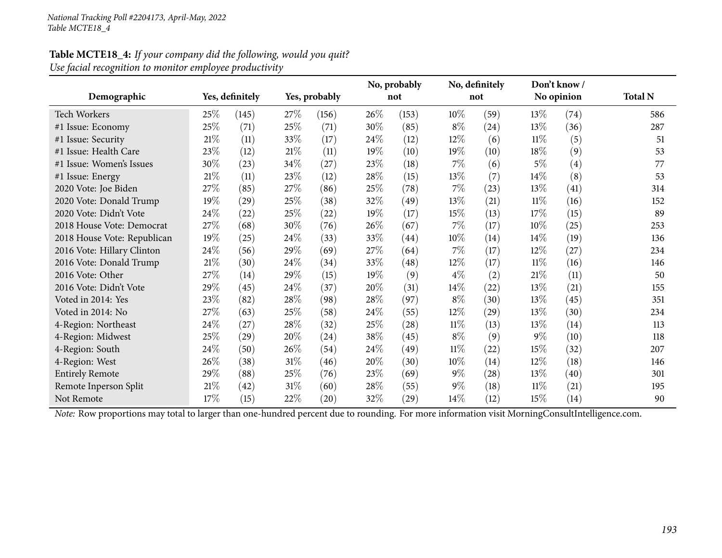|                             |        |                 |      |               |        | No, probably       |        | No, definitely     |        | Don't know/ |                |
|-----------------------------|--------|-----------------|------|---------------|--------|--------------------|--------|--------------------|--------|-------------|----------------|
| Demographic                 |        | Yes, definitely |      | Yes, probably |        | not                |        | not                |        | No opinion  | <b>Total N</b> |
| <b>Tech Workers</b>         | 25\%   | (145)           | 27\% | (156)         | 26\%   | (153)              | 10\%   | (59)               | 13\%   | (74)        | 586            |
| #1 Issue: Economy           | 25%    | (71)            | 25%  | (71)          | 30\%   | (85)               | $8\%$  | $\left( 24\right)$ | 13%    | (36)        | 287            |
| #1 Issue: Security          | $21\%$ | (11)            | 33%  | (17)          | 24\%   | (12)               | $12\%$ | (6)                | $11\%$ | (5)         | 51             |
| #1 Issue: Health Care       | 23%    | (12)            | 21\% | (11)          | 19%    | (10)               | $19\%$ | (10)               | 18%    | (9)         | 53             |
| #1 Issue: Women's Issues    | 30%    | (23)            | 34\% | (27)          | 23%    | (18)               | $7\%$  | (6)                | 5%     | (4)         | 77             |
| #1 Issue: Energy            | 21%    | (11)            | 23\% | (12)          | 28\%   | (15)               | 13\%   | (7)                | $14\%$ | (8)         | 53             |
| 2020 Vote: Joe Biden        | 27\%   | (85)            | 27\% | (86)          | 25\%   | (78)               | $7\%$  | (23)               | 13%    | (41)        | 314            |
| 2020 Vote: Donald Trump     | 19%    | (29)            | 25%  | (38)          | 32\%   | (49)               | 13\%   | (21)               | $11\%$ | (16)        | 152            |
| 2020 Vote: Didn't Vote      | 24\%   | (22)            | 25\% | (22)          | 19%    | (17)               | 15%    | (13)               | 17%    | (15)        | 89             |
| 2018 House Vote: Democrat   | 27\%   | (68)            | 30%  | (76)          | 26\%   | (67)               | $7\%$  | (17)               | 10%    | (25)        | 253            |
| 2018 House Vote: Republican | 19%    | (25)            | 24\% | (33)          | 33\%   | $\left( 44\right)$ | $10\%$ | (14)               | $14\%$ | (19)        | 136            |
| 2016 Vote: Hillary Clinton  | 24\%   | (56)            | 29%  | (69)          | 27%    | (64)               | $7\%$  | (17)               | $12\%$ | (27)        | 234            |
| 2016 Vote: Donald Trump     | $21\%$ | (30)            | 24\% | (34)          | 33%    | (48)               | $12\%$ | (17)               | $11\%$ | (16)        | 146            |
| 2016 Vote: Other            | 27\%   | (14)            | 29%  | (15)          | 19%    | (9)                | $4\%$  | (2)                | 21%    | (11)        | 50             |
| 2016 Vote: Didn't Vote      | 29%    | (45)            | 24\% | (37)          | 20%    | (31)               | $14\%$ | (22)               | 13\%   | (21)        | 155            |
| Voted in 2014: Yes          | 23%    | (82)            | 28\% | (98)          | 28\%   | (97)               | $8\%$  | (30)               | 13%    | (45)        | 351            |
| Voted in 2014: No           | 27\%   | (63)            | 25\% | (58)          | $24\%$ | (55)               | $12\%$ | (29)               | 13\%   | (30)        | 234            |
| 4-Region: Northeast         | 24%    | (27)            | 28\% | (32)          | 25%    | $\left( 28\right)$ | $11\%$ | (13)               | 13\%   | (14)        | 113            |
| 4-Region: Midwest           | 25%    | (29)            | 20%  | (24)          | 38%    | (45)               | $8\%$  | (9)                | $9\%$  | (10)        | 118            |
| 4-Region: South             | 24\%   | (50)            | 26\% | (54)          | 24\%   | (49)               | 11%    | $^{(22)}$          | 15\%   | (32)        | 207            |
| 4-Region: West              | $26\%$ | (38)            | 31\% | (46)          | 20%    | (30)               | $10\%$ | (14)               | 12\%   | (18)        | 146            |
| <b>Entirely Remote</b>      | 29%    | (88)            | 25%  | (76)          | 23\%   | (69)               | $9\%$  | $\left( 28\right)$ | 13\%   | (40)        | 301            |
| Remote Inperson Split       | 21%    | (42)            | 31\% | (60)          | 28\%   | (55)               | $9\%$  | (18)               | 11%    | (21)        | 195            |
| Not Remote                  | 17%    | (15)            | 22\% | (20)          | 32%    | $\left( 29\right)$ | $14\%$ | (12)               | 15\%   | (14)        | 90             |

# **Table MCTE18\_4:** *If your company did the following, would you quit? Use facial recognition to monitor employee productivity*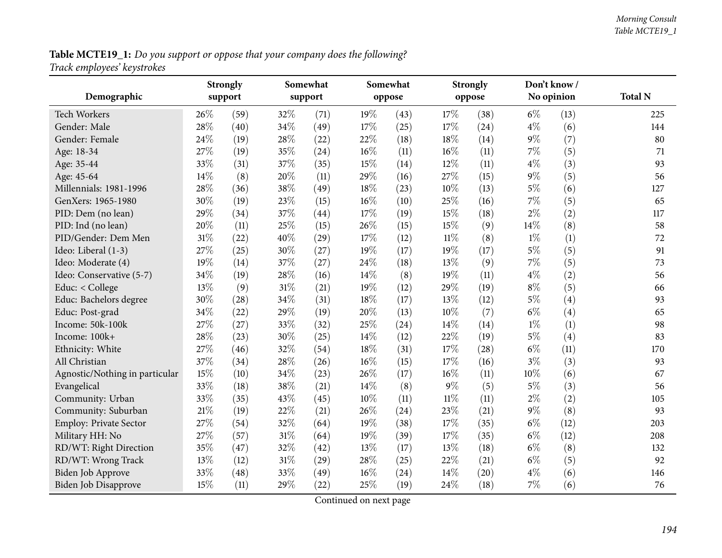**Table MCTE19\_1:** Do you support or oppose that your company does the following?  $\,$ *Track employees' keystrokes*

|                                | Somewhat<br><b>Strongly</b> |         |     | Somewhat |     |        | <b>Strongly</b> |        | Don't know/ |            |                |
|--------------------------------|-----------------------------|---------|-----|----------|-----|--------|-----------------|--------|-------------|------------|----------------|
| Demographic                    |                             | support |     | support  |     | oppose |                 | oppose |             | No opinion | <b>Total N</b> |
| Tech Workers                   | 26%                         | (59)    | 32% | (71)     | 19% | (43)   | 17%             | (38)   | $6\%$       | (13)       | 225            |
| Gender: Male                   | 28%                         | (40)    | 34% | (49)     | 17% | (25)   | 17%             | (24)   | $4\%$       | (6)        | 144            |
| Gender: Female                 | 24%                         | (19)    | 28% | (22)     | 22% | (18)   | 18%             | (14)   | $9\%$       | (7)        | 80             |
| Age: 18-34                     | 27%                         | (19)    | 35% | (24)     | 16% | (11)   | $16\%$          | (11)   | 7%          | (5)        | 71             |
| Age: 35-44                     | 33%                         | (31)    | 37% | (35)     | 15% | (14)   | 12%             | (11)   | $4\%$       | (3)        | 93             |
| Age: 45-64                     | 14%                         | (8)     | 20% | (11)     | 29% | (16)   | 27%             | (15)   | $9\%$       | (5)        | 56             |
| Millennials: 1981-1996         | 28%                         | (36)    | 38% | (49)     | 18% | (23)   | 10%             | (13)   | $5\%$       | (6)        | 127            |
| GenXers: 1965-1980             | 30%                         | (19)    | 23% | (15)     | 16% | (10)   | 25%             | (16)   | 7%          | (5)        | 65             |
| PID: Dem (no lean)             | 29%                         | (34)    | 37% | (44)     | 17% | (19)   | 15%             | (18)   | $2\%$       | (2)        | 117            |
| PID: Ind (no lean)             | 20%                         | (11)    | 25% | (15)     | 26% | (15)   | 15%             | (9)    | 14%         | (8)        | 58             |
| PID/Gender: Dem Men            | 31%                         | (22)    | 40% | (29)     | 17% | (12)   | $11\%$          | (8)    | $1\%$       | (1)        | 72             |
| Ideo: Liberal (1-3)            | 27%                         | (25)    | 30% | (27)     | 19% | (17)   | 19%             | (17)   | $5\%$       | (5)        | 91             |
| Ideo: Moderate (4)             | 19%                         | (14)    | 37% | (27)     | 24% | (18)   | 13%             | (9)    | 7%          | (5)        | 73             |
| Ideo: Conservative (5-7)       | 34%                         | (19)    | 28% | (16)     | 14% | (8)    | 19%             | (11)   | $4\%$       | (2)        | 56             |
| Educ: < College                | 13%                         | (9)     | 31% | (21)     | 19% | (12)   | 29%             | (19)   | $8\%$       | (5)        | 66             |
| Educ: Bachelors degree         | 30%                         | (28)    | 34% | (31)     | 18% | (17)   | 13%             | (12)   | $5\%$       | (4)        | 93             |
| Educ: Post-grad                | 34%                         | (22)    | 29% | (19)     | 20% | (13)   | 10%             | (7)    | $6\%$       | (4)        | 65             |
| Income: 50k-100k               | 27%                         | (27)    | 33% | (32)     | 25% | (24)   | 14%             | (14)   | $1\%$       | (1)        | 98             |
| Income: 100k+                  | 28%                         | (23)    | 30% | (25)     | 14% | (12)   | 22%             | (19)   | $5\%$       | (4)        | 83             |
| Ethnicity: White               | 27%                         | (46)    | 32% | (54)     | 18% | (31)   | 17%             | (28)   | $6\%$       | (11)       | 170            |
| All Christian                  | 37%                         | (34)    | 28% | (26)     | 16% | (15)   | 17%             | (16)   | $3\%$       | (3)        | 93             |
| Agnostic/Nothing in particular | 15%                         | (10)    | 34% | (23)     | 26% | (17)   | 16%             | (11)   | 10%         | (6)        | 67             |
| Evangelical                    | 33%                         | (18)    | 38% | (21)     | 14% | (8)    | $9\%$           | (5)    | $5\%$       | (3)        | 56             |
| Community: Urban               | 33%                         | (35)    | 43% | (45)     | 10% | (11)   | $11\%$          | (11)   | $2\%$       | (2)        | 105            |
| Community: Suburban            | $21\%$                      | (19)    | 22% | (21)     | 26% | (24)   | 23%             | (21)   | 9%          | (8)        | 93             |
| Employ: Private Sector         | 27%                         | (54)    | 32% | (64)     | 19% | (38)   | 17%             | (35)   | $6\%$       | (12)       | 203            |
| Military HH: No                | 27%                         | (57)    | 31% | (64)     | 19% | (39)   | 17%             | (35)   | $6\%$       | (12)       | 208            |
| RD/WT: Right Direction         | 35%                         | (47)    | 32% | (42)     | 13% | (17)   | 13%             | (18)   | $6\%$       | (8)        | 132            |
| RD/WT: Wrong Track             | 13%                         | (12)    | 31% | (29)     | 28% | (25)   | 22%             | (21)   | $6\%$       | (5)        | 92             |
| Biden Job Approve              | 33%                         | (48)    | 33% | (49)     | 16% | (24)   | 14%             | (20)   | $4\%$       | (6)        | 146            |
| Biden Job Disapprove           | 15%                         | (11)    | 29% | (22)     | 25% | (19)   | 24%             | (18)   | 7%          | (6)        | 76             |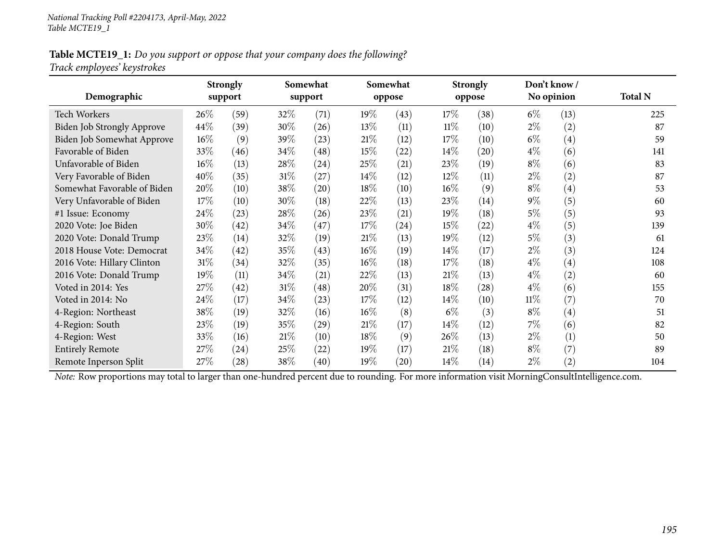### Table MCTE19\_1: Do you support or oppose that your company does the following? *Track employees' keystrokes*

|                                   | <b>Strongly</b> |                    |        | Somewhat           |        | Somewhat           |        | <b>Strongly</b> |        | Don't know/       |                |
|-----------------------------------|-----------------|--------------------|--------|--------------------|--------|--------------------|--------|-----------------|--------|-------------------|----------------|
| Demographic                       |                 | support            |        | support            |        | oppose             |        | oppose          |        | No opinion        | <b>Total N</b> |
| Tech Workers                      | $26\%$          | (59)               | 32\%   | (71)               | 19%    | (43)               | 17%    | (38)            | $6\%$  | (13)              | 225            |
| <b>Biden Job Strongly Approve</b> | 44%             | (39)               | 30%    | (26)               | 13%    | (11)               | $11\%$ | (10)            | $2\%$  | (2)               | 87             |
| Biden Job Somewhat Approve        | $16\%$          | (9)                | 39%    | (23)               | 21%    | (12)               | 17%    | (10)            | $6\%$  | (4)               | 59             |
| Favorable of Biden                | 33%             | (46)               | 34\%   | (48)               | 15%    | (22)               | $14\%$ | (20)            | $4\%$  | (6)               | 141            |
| Unfavorable of Biden              | $16\%$          | (13)               | $28\%$ | (24)               | 25%    | (21)               | 23\%   | (19)            | $8\%$  | (6)               | 83             |
| Very Favorable of Biden           | 40%             | (35)               | $31\%$ | (27)               | $14\%$ | (12)               | 12\%   | (11)            | $2\%$  | (2)               | 87             |
| Somewhat Favorable of Biden       | 20%             | (10)               | 38\%   | $\left( 20\right)$ | 18%    | (10)               | $16\%$ | (9)             | $8\%$  | $\left( 4\right)$ | 53             |
| Very Unfavorable of Biden         | 17%             | (10)               | 30%    | (18)               | 22%    | (13)               | 23\%   | (14)            | $9\%$  | (5)               | 60             |
| #1 Issue: Economy                 | 24\%            | (23)               | 28\%   | (26)               | 23\%   | (21)               | 19%    | (18)            | $5\%$  | (5)               | 93             |
| 2020 Vote: Joe Biden              | 30%             | (42)               | 34\%   | (47)               | 17%    | (24)               | 15\%   | (22)            | $4\%$  | (5)               | 139            |
| 2020 Vote: Donald Trump           | 23\%            | (14)               | 32\%   | (19)               | 21%    | (13)               | 19%    | (12)            | $5\%$  | (3)               | 61             |
| 2018 House Vote: Democrat         | 34\%            | (42)               | 35%    | (43)               | $16\%$ | (19)               | $14\%$ | (17)            | $2\%$  | (3)               | 124            |
| 2016 Vote: Hillary Clinton        | $31\%$          | (34)               | 32%    | (35)               | $16\%$ | (18)               | 17%    | (18)            | $4\%$  | $\left( 4\right)$ | 108            |
| 2016 Vote: Donald Trump           | $19\%$          | (11)               | 34\%   | (21)               | 22\%   | (13)               | 21%    | (13)            | $4\%$  | (2)               | 60             |
| Voted in 2014: Yes                | 27\%            | (42)               | $31\%$ | (48)               | 20%    | (31)               | 18%    | (28)            | $4\%$  | (6)               | 155            |
| Voted in 2014: No                 | 24\%            | (17)               | 34\%   | (23)               | 17%    | (12)               | $14\%$ | (10)            | $11\%$ | (7)               | 70             |
| 4-Region: Northeast               | 38%             | (19)               | 32%    | (16)               | $16\%$ | (8)                | $6\%$  | (3)             | $8\%$  | $\left( 4\right)$ | 51             |
| 4-Region: South                   | 23\%            | (19)               | 35\%   | (29)               | 21%    | (17)               | $14\%$ | (12)            | $7\%$  | (6)               | 82             |
| 4-Region: West                    | 33%             | (16)               | 21%    | (10)               | 18%    | (9)                | 26\%   | (13)            | $2\%$  | (1)               | 50             |
| <b>Entirely Remote</b>            | 27\%            | $\left( 24\right)$ | 25\%   | (22)               | 19%    | (17)               | 21%    | (18)            | $8\%$  | (7)               | 89             |
| Remote Inperson Split             | 27%             | (28)               | 38\%   | (40)               | 19%    | $\left( 20\right)$ | 14\%   | (14)            | $2\%$  | (2)               | 104            |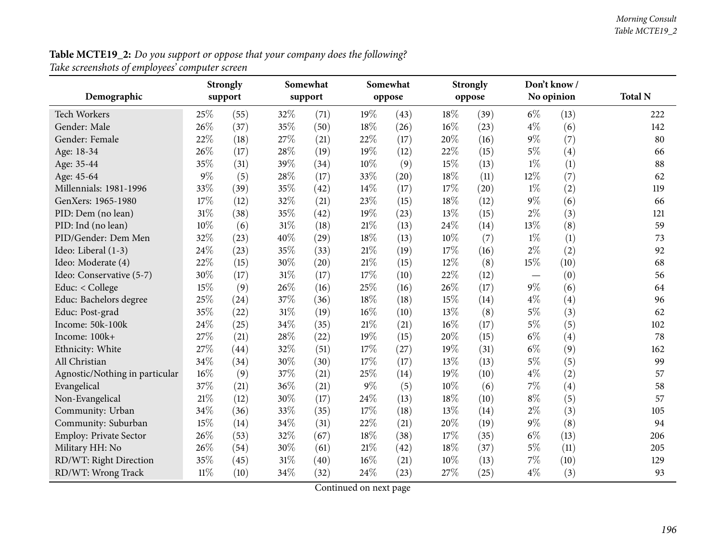**Table MCTE19\_2:** Do you support or oppose that your company does the following?  $\,$ *Take screenshots of employees' computer screen*

|                                | <b>Strongly</b> |         | Somewhat |         |        | Somewhat |      | <b>Strongly</b> |       | Don't know / |                |
|--------------------------------|-----------------|---------|----------|---------|--------|----------|------|-----------------|-------|--------------|----------------|
| Demographic                    |                 | support |          | support |        | oppose   |      | oppose          |       | No opinion   | <b>Total N</b> |
| <b>Tech Workers</b>            | 25\%            | (55)    | 32%      | (71)    | 19%    | (43)     | 18%  | (39)            | $6\%$ | (13)         | 222            |
| Gender: Male                   | 26%             | (37)    | 35%      | (50)    | 18%    | (26)     | 16%  | (23)            | $4\%$ | (6)          | 142            |
| Gender: Female                 | 22%             | (18)    | 27%      | (21)    | 22%    | (17)     | 20%  | (16)            | $9\%$ | (7)          | 80             |
| Age: 18-34                     | 26%             | (17)    | 28%      | (19)    | 19%    | (12)     | 22%  | (15)            | $5\%$ | (4)          | 66             |
| Age: 35-44                     | 35%             | (31)    | 39%      | (34)    | 10%    | (9)      | 15%  | (13)            | $1\%$ | (1)          | 88             |
| Age: 45-64                     | 9%              | (5)     | 28%      | (17)    | 33%    | (20)     | 18%  | (11)            | 12%   | (7)          | 62             |
| Millennials: 1981-1996         | 33%             | (39)    | 35%      | (42)    | 14%    | (17)     | 17%  | (20)            | $1\%$ | (2)          | 119            |
| GenXers: 1965-1980             | 17%             | (12)    | 32%      | (21)    | 23%    | (15)     | 18%  | (12)            | $9\%$ | (6)          | 66             |
| PID: Dem (no lean)             | 31%             | (38)    | 35%      | (42)    | 19%    | (23)     | 13%  | (15)            | $2\%$ | (3)          | 121            |
| PID: Ind (no lean)             | 10%             | (6)     | $31\%$   | (18)    | 21%    | (13)     | 24%  | (14)            | 13%   | (8)          | 59             |
| PID/Gender: Dem Men            | 32%             | (23)    | 40%      | (29)    | 18%    | (13)     | 10%  | (7)             | $1\%$ | (1)          | 73             |
| Ideo: Liberal (1-3)            | 24%             | (23)    | 35%      | (33)    | 21%    | (19)     | 17%  | (16)            | $2\%$ | (2)          | 92             |
| Ideo: Moderate (4)             | 22%             | (15)    | 30%      | (20)    | 21%    | (15)     | 12%  | (8)             | 15%   | (10)         | 68             |
| Ideo: Conservative (5-7)       | 30%             | (17)    | $31\%$   | (17)    | 17%    | (10)     | 22%  | (12)            |       | (0)          | 56             |
| Educ: < College                | 15%             | (9)     | 26%      | (16)    | 25%    | (16)     | 26%  | (17)            | $9\%$ | (6)          | 64             |
| Educ: Bachelors degree         | 25%             | (24)    | 37%      | (36)    | 18%    | (18)     | 15%  | (14)            | $4\%$ | (4)          | 96             |
| Educ: Post-grad                | 35%             | (22)    | 31%      | (19)    | 16%    | (10)     | 13%  | (8)             | $5\%$ | (3)          | 62             |
| Income: 50k-100k               | 24%             | (25)    | 34%      | (35)    | $21\%$ | (21)     | 16%  | (17)            | $5\%$ | (5)          | 102            |
| Income: 100k+                  | 27%             | (21)    | 28%      | (22)    | 19%    | (15)     | 20%  | (15)            | $6\%$ | (4)          | 78             |
| Ethnicity: White               | 27%             | (44)    | 32%      | (51)    | 17%    | (27)     | 19%  | (31)            | $6\%$ | (9)          | 162            |
| All Christian                  | 34%             | (34)    | 30%      | (30)    | 17%    | (17)     | 13%  | (13)            | $5\%$ | (5)          | 99             |
| Agnostic/Nothing in particular | 16%             | (9)     | 37%      | (21)    | 25%    | (14)     | 19%  | (10)            | $4\%$ | (2)          | 57             |
| Evangelical                    | 37%             | (21)    | 36%      | (21)    | $9\%$  | (5)      | 10%  | (6)             | $7\%$ | (4)          | 58             |
| Non-Evangelical                | 21%             | (12)    | 30%      | (17)    | 24%    | (13)     | 18%  | (10)            | $8\%$ | (5)          | 57             |
| Community: Urban               | 34%             | (36)    | 33%      | (35)    | 17%    | (18)     | 13%  | (14)            | $2\%$ | (3)          | 105            |
| Community: Suburban            | 15%             | (14)    | 34%      | (31)    | 22%    | (21)     | 20%  | (19)            | $9\%$ | (8)          | 94             |
| Employ: Private Sector         | 26%             | (53)    | 32%      | (67)    | 18%    | (38)     | 17%  | (35)            | $6\%$ | (13)         | 206            |
| Military HH: No                | 26%             | (54)    | 30%      | (61)    | 21%    | (42)     | 18%  | (37)            | $5\%$ | (11)         | 205            |
| RD/WT: Right Direction         | 35%             | (45)    | $31\%$   | (40)    | 16%    | (21)     | 10%  | (13)            | 7%    | (10)         | 129            |
| RD/WT: Wrong Track             | 11%             | (10)    | 34%      | (32)    | 24%    | (23)     | 27\% | (25)            | $4\%$ | (3)          | 93             |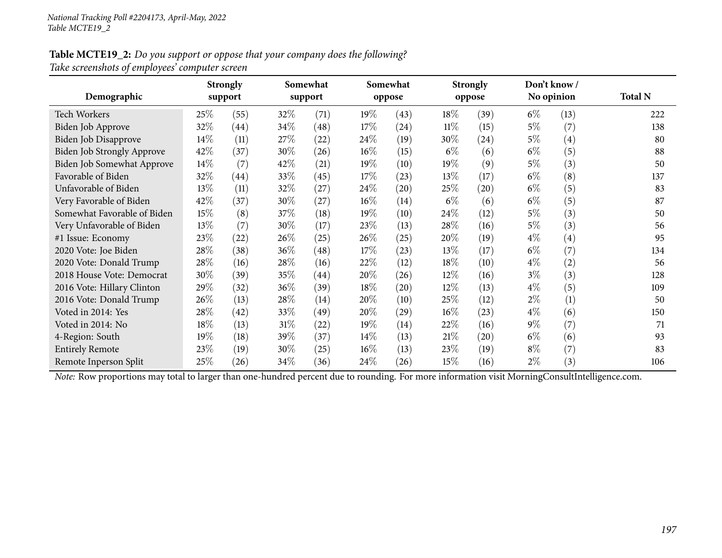#### Table MCTE19\_2: Do you support or oppose that your company does the following? *Take screenshots of employees' computer screen*

| Demographic                 |      | <b>Strongly</b><br>support |        | Somewhat<br>support |        | Somewhat<br>oppose |        | <b>Strongly</b><br>oppose |       | Don't know /<br>No opinion | <b>Total N</b> |
|-----------------------------|------|----------------------------|--------|---------------------|--------|--------------------|--------|---------------------------|-------|----------------------------|----------------|
| Tech Workers                | 25%  | (55)                       | 32\%   | (71)                | $19\%$ | (43)               | 18%    | (39)                      | $6\%$ | (13)                       | 222            |
| Biden Job Approve           | 32%  | (44)                       | 34\%   | (48)                | 17%    | (24)               | $11\%$ | (15)                      | $5\%$ | (7)                        | 138            |
| Biden Job Disapprove        | 14\% | (11)                       | 27%    | (22)                | $24\%$ | (19)               | 30\%   | (24)                      | $5\%$ | $\left( 4\right)$          | 80             |
| Biden Job Strongly Approve  | 42\% | (37)                       | 30%    | (26)                | $16\%$ | (15)               | $6\%$  | (6)                       | $6\%$ | (5)                        | 88             |
| Biden Job Somewhat Approve  | 14\% | (7)                        | 42\%   | (21)                | 19%    | (10)               | 19%    | (9)                       | $5\%$ | (3)                        | 50             |
| Favorable of Biden          | 32%  | (44)                       | 33\%   | (45)                | 17\%   | (23)               | 13%    | (17)                      | $6\%$ | (8)                        | 137            |
| Unfavorable of Biden        | 13%  | (11)                       | 32\%   | (27)                | 24\%   | (20)               | 25%    | (20)                      | $6\%$ | (5)                        | 83             |
| Very Favorable of Biden     | 42%  | (37)                       | 30%    | (27)                | $16\%$ | (14)               | $6\%$  | (6)                       | $6\%$ | (5)                        | 87             |
| Somewhat Favorable of Biden | 15\% | (8)                        | 37\%   | (18)                | $19\%$ | (10)               | 24\%   | (12)                      | $5\%$ | (3)                        | 50             |
| Very Unfavorable of Biden   | 13%  | (7)                        | 30\%   | (17)                | 23\%   | (13)               | 28%    | (16)                      | $5\%$ | (3)                        | 56             |
| #1 Issue: Economy           | 23%  | (22)                       | 26\%   | (25)                | 26%    | (25)               | 20%    | (19)                      | $4\%$ | $\left( 4\right)$          | 95             |
| 2020 Vote: Joe Biden        | 28\% | (38)                       | $36\%$ | (48)                | 17%    | (23)               | 13%    | (17)                      | $6\%$ | (7)                        | 134            |
| 2020 Vote: Donald Trump     | 28\% | (16)                       | 28\%   | (16)                | 22%    | (12)               | 18%    | (10)                      | $4\%$ | (2)                        | 56             |
| 2018 House Vote: Democrat   | 30%  | (39)                       | 35\%   | $\left( 44\right)$  | 20%    | (26)               | 12%    | (16)                      | $3\%$ | (3)                        | 128            |
| 2016 Vote: Hillary Clinton  | 29%  | (32)                       | 36\%   | (39)                | 18%    | (20)               | 12%    | (13)                      | $4\%$ | (5)                        | 109            |
| 2016 Vote: Donald Trump     | 26\% | (13)                       | 28\%   | (14)                | 20%    | (10)               | 25\%   | (12)                      | $2\%$ | (1)                        | 50             |
| Voted in 2014: Yes          | 28\% | (42)                       | 33\%   | (49)                | 20%    | (29)               | $16\%$ | (23)                      | $4\%$ | (6)                        | 150            |
| Voted in 2014: No           | 18\% | (13)                       | $31\%$ | (22)                | $19\%$ | (14)               | 22\%   | (16)                      | $9\%$ | (7)                        | 71             |
| 4-Region: South             | 19%  | (18)                       | 39%    | (37)                | $14\%$ | (13)               | 21%    | (20)                      | $6\%$ | (6)                        | 93             |
| <b>Entirely Remote</b>      | 23\% | (19)                       | 30\%   | (25)                | $16\%$ | (13)               | 23\%   | (19)                      | $8\%$ | (7)                        | 83             |
| Remote Inperson Split       | 25%  | (26)                       | 34\%   | (36)                | 24\%   | (26)               | 15%    | (16)                      | $2\%$ | (3)                        | 106            |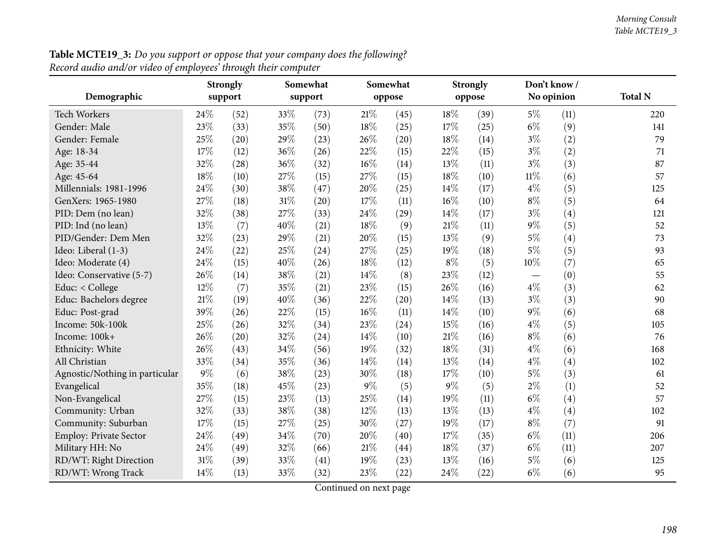|                                | <b>Strongly</b> |         |        | Somewhat |       | Somewhat |       | <b>Strongly</b> |            | Don't know/ |                |
|--------------------------------|-----------------|---------|--------|----------|-------|----------|-------|-----------------|------------|-------------|----------------|
| Demographic                    |                 | support |        | support  |       | oppose   |       | oppose          | No opinion |             | <b>Total N</b> |
| <b>Tech Workers</b>            | 24%             | (52)    | 33%    | (73)     | 21\%  | (45)     | 18%   | (39)            | $5\%$      | (11)        | 220            |
| Gender: Male                   | 23%             | (33)    | 35%    | (50)     | 18%   | (25)     | 17%   | (25)            | $6\%$      | (9)         | 141            |
| Gender: Female                 | 25%             | (20)    | 29%    | (23)     | 26%   | (20)     | 18%   | (14)            | $3\%$      | (2)         | 79             |
| Age: 18-34                     | 17%             | (12)    | 36%    | (26)     | 22%   | (15)     | 22%   | (15)            | $3\%$      | (2)         | 71             |
| Age: 35-44                     | 32%             | (28)    | 36%    | (32)     | 16%   | (14)     | 13%   | (11)            | $3\%$      | (3)         | 87             |
| Age: 45-64                     | 18%             | (10)    | 27%    | (15)     | 27%   | (15)     | 18%   | (10)            | $11\%$     | (6)         | 57             |
| Millennials: 1981-1996         | 24%             | (30)    | 38%    | (47)     | 20%   | (25)     | 14%   | (17)            | $4\%$      | (5)         | 125            |
| GenXers: 1965-1980             | 27%             | (18)    | $31\%$ | (20)     | 17%   | (11)     | 16%   | (10)            | $8\%$      | (5)         | 64             |
| PID: Dem (no lean)             | 32%             | (38)    | 27%    | (33)     | 24%   | (29)     | 14%   | (17)            | $3\%$      | (4)         | 121            |
| PID: Ind (no lean)             | 13%             | (7)     | 40%    | (21)     | 18%   | (9)      | 21%   | (11)            | 9%         | (5)         | 52             |
| PID/Gender: Dem Men            | 32%             | (23)    | 29%    | (21)     | 20%   | (15)     | 13%   | (9)             | $5\%$      | (4)         | 73             |
| Ideo: Liberal (1-3)            | 24%             | (22)    | 25%    | (24)     | 27%   | (25)     | 19%   | (18)            | 5%         | (5)         | 93             |
| Ideo: Moderate (4)             | 24%             | (15)    | 40%    | (26)     | 18%   | (12)     | $8\%$ | (5)             | 10%        | (7)         | 65             |
| Ideo: Conservative (5-7)       | 26%             | (14)    | 38%    | (21)     | 14%   | (8)      | 23%   | (12)            |            | (0)         | 55             |
| Educ: < College                | 12%             | (7)     | 35%    | (21)     | 23%   | (15)     | 26%   | (16)            | $4\%$      | (3)         | 62             |
| Educ: Bachelors degree         | 21%             | (19)    | 40%    | (36)     | 22%   | (20)     | 14%   | (13)            | $3\%$      | (3)         | 90             |
| Educ: Post-grad                | 39%             | (26)    | 22%    | (15)     | 16%   | (11)     | 14%   | (10)            | 9%         | (6)         | 68             |
| Income: 50k-100k               | 25%             | (26)    | 32%    | (34)     | 23%   | (24)     | 15%   | (16)            | $4\%$      | (5)         | 105            |
| Income: 100k+                  | 26%             | (20)    | 32%    | (24)     | 14\%  | (10)     | 21%   | (16)            | $8\%$      | (6)         | 76             |
| Ethnicity: White               | 26%             | (43)    | 34%    | (56)     | 19%   | (32)     | 18%   | (31)            | $4\%$      | (6)         | 168            |
| All Christian                  | 33%             | (34)    | 35%    | (36)     | 14%   | (14)     | 13%   | (14)            | $4\%$      | (4)         | 102            |
| Agnostic/Nothing in particular | 9%              | (6)     | 38%    | (23)     | 30%   | (18)     | 17%   | (10)            | 5%         | (3)         | 61             |
| Evangelical                    | 35%             | (18)    | 45%    | (23)     | $9\%$ | (5)      | $9\%$ | (5)             | $2\%$      | (1)         | 52             |
| Non-Evangelical                | 27%             | (15)    | 23%    | (13)     | 25%   | (14)     | 19%   | (11)            | $6\%$      | (4)         | 57             |
| Community: Urban               | 32%             | (33)    | 38%    | (38)     | 12%   | (13)     | 13%   | (13)            | $4\%$      | (4)         | 102            |
| Community: Suburban            | 17%             | (15)    | 27%    | (25)     | 30%   | (27)     | 19%   | (17)            | $8\%$      | (7)         | 91             |
| <b>Employ: Private Sector</b>  | 24%             | (49)    | 34%    | (70)     | 20%   | (40)     | 17%   | (35)            | $6\%$      | (11)        | 206            |
| Military HH: No                | 24%             | (49)    | 32%    | (66)     | 21%   | (44)     | 18%   | (37)            | $6\%$      | (11)        | 207            |
| RD/WT: Right Direction         | 31%             | (39)    | 33%    | (41)     | 19%   | (23)     | 13%   | (16)            | $5\%$      | (6)         | 125            |
| RD/WT: Wrong Track             | 14%             | (13)    | 33%    | (32)     | 23%   | (22)     | 24%   | (22)            | $6\%$      | (6)         | 95             |

**Table MCTE19\_3:** Do you support or oppose that your company does the following?  $\,$ *Record audio and/or video of employees' through their computer*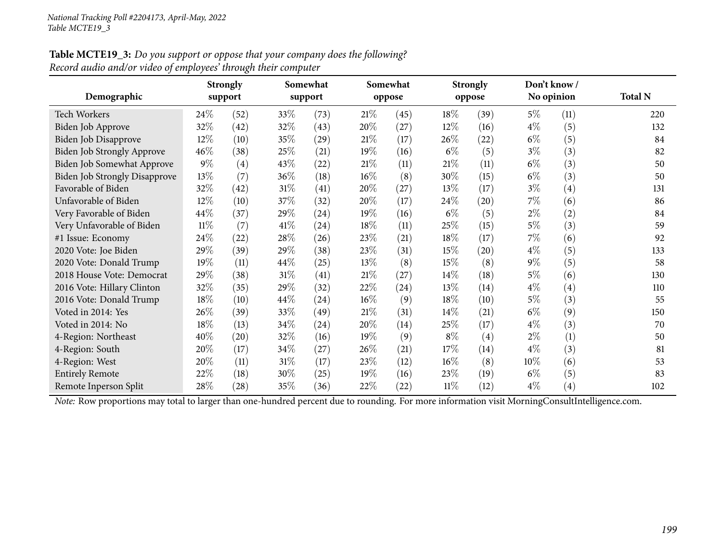#### Table MCTE19\_3: Do you support or oppose that your company does the following? *Record audio and/or video of employees' through their computer*

| Demographic                          | ິ<br><b>Strongly</b><br>support |                    |        | Somewhat<br>support |        | Somewhat<br>oppose |        | <b>Strongly</b><br>oppose |        | Don't know/<br>No opinion | <b>Total N</b> |
|--------------------------------------|---------------------------------|--------------------|--------|---------------------|--------|--------------------|--------|---------------------------|--------|---------------------------|----------------|
| <b>Tech Workers</b>                  | 24\%                            | (52)               | 33\%   | (73)                | 21%    | (45)               | 18%    | (39)                      | $5\%$  | (11)                      | 220            |
| Biden Job Approve                    | 32%                             | (42)               | 32\%   | (43)                | 20%    | (27)               | 12%    | (16)                      | $4\%$  | (5)                       | 132            |
| Biden Job Disapprove                 | 12%                             | (10)               | 35\%   | (29)                | 21%    | (17)               | 26\%   | (22)                      | $6\%$  | (5)                       | 84             |
| Biden Job Strongly Approve           | 46%                             | (38)               | 25%    | (21)                | 19%    | (16)               | $6\%$  | (5)                       | $3\%$  | (3)                       | 82             |
| Biden Job Somewhat Approve           | $9\%$                           | (4)                | 43\%   | (22)                | $21\%$ | (11)               | 21%    | (11)                      | $6\%$  | (3)                       | 50             |
| <b>Biden Job Strongly Disapprove</b> | 13%                             | (7)                | 36\%   | (18)                | $16\%$ | (8)                | 30%    | (15)                      | $6\%$  | (3)                       | 50             |
| Favorable of Biden                   | 32%                             | (42)               | $31\%$ | (41)                | 20%    | (27)               | 13%    | (17)                      | $3\%$  | $\left( 4\right)$         | 131            |
| Unfavorable of Biden                 | 12%                             | (10)               | 37\%   | (32)                | 20%    | (17)               | 24\%   | $\left( 20\right)$        | $7\%$  | (6)                       | 86             |
| Very Favorable of Biden              | 44%                             | (37)               | 29\%   | (24)                | 19%    | (16)               | $6\%$  | (5)                       | $2\%$  | (2)                       | 84             |
| Very Unfavorable of Biden            | 11%                             | (7)                | 41%    | $\left( 24\right)$  | 18%    | (11)               | 25\%   | (15)                      | $5\%$  | (3)                       | 59             |
| #1 Issue: Economy                    | 24\%                            | (22)               | 28\%   | (26)                | 23\%   | (21)               | 18%    | (17)                      | $7\%$  | (6)                       | 92             |
| 2020 Vote: Joe Biden                 | 29%                             | (39)               | 29\%   | (38)                | 23\%   | (31)               | 15%    | (20)                      | $4\%$  | (5)                       | 133            |
| 2020 Vote: Donald Trump              | 19%                             | (11)               | 44\%   | (25)                | 13\%   | (8)                | 15%    | (8)                       | $9\%$  | (5)                       | 58             |
| 2018 House Vote: Democrat            | 29%                             | (38)               | $31\%$ | (41)                | $21\%$ | (27)               | 14%    | (18)                      | $5\%$  | (6)                       | 130            |
| 2016 Vote: Hillary Clinton           | 32\%                            | (35)               | 29%    | (32)                | 22\%   | (24)               | 13%    | (14)                      | $4\%$  | $\left( 4\right)$         | 110            |
| 2016 Vote: Donald Trump              | 18%                             | (10)               | 44\%   | (24)                | $16\%$ | (9)                | 18%    | (10)                      | $5\%$  | (3)                       | 55             |
| Voted in 2014: Yes                   | 26\%                            | (39)               | 33\%   | (49)                | 21%    | (31)               | 14%    | (21)                      | $6\%$  | (9)                       | 150            |
| Voted in 2014: No                    | 18%                             | (13)               | 34\%   | (24)                | 20%    | (14)               | 25%    | (17)                      | $4\%$  | (3)                       | 70             |
| 4-Region: Northeast                  | 40%                             | $\left( 20\right)$ | 32\%   | (16)                | 19%    | (9)                | $8\%$  | (4)                       | $2\%$  | (1)                       | 50             |
| 4-Region: South                      | 20%                             | (17)               | 34\%   | (27)                | 26%    | (21)               | $17\%$ | (14)                      | $4\%$  | (3)                       | 81             |
| 4-Region: West                       | 20%                             | (11)               | $31\%$ | (17)                | 23\%   | (12)               | 16%    | (8)                       | $10\%$ | (6)                       | 53             |
| <b>Entirely Remote</b>               | 22%                             | (18)               | 30\%   | (25)                | 19%    | (16)               | 23%    | (19)                      | $6\%$  | (5)                       | 83             |
| Remote Inperson Split                | 28%                             | $\left( 28\right)$ | 35%    | (36)                | 22%    | (22)               | $11\%$ | (12)                      | $4\%$  | $\left( 4\right)$         | 102            |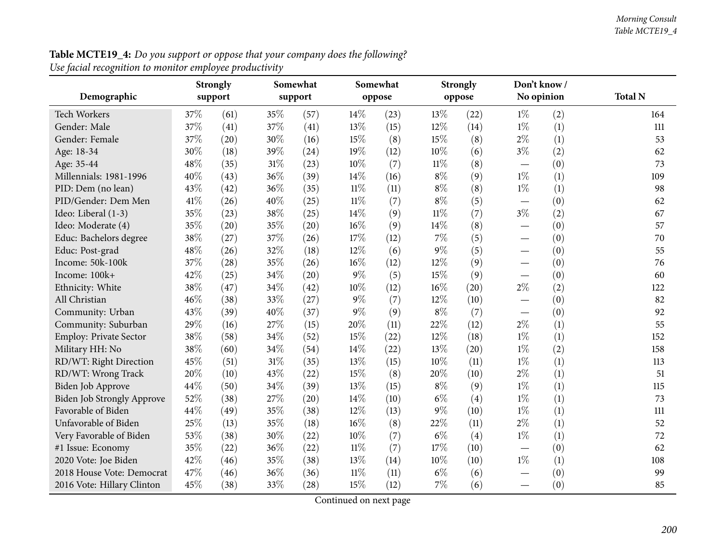| <b>Table MCTE19_4:</b> Do you support or oppose that your company does the following? |
|---------------------------------------------------------------------------------------|
| Use facial recognition to monitor employee productivity                               |

| Demographic                       | <b>Strongly</b><br>support |      | Somewhat<br>support |      | Somewhat<br>oppose |      | Strongly<br>oppose |      | Don't know /<br>No opinion     |     | <b>Total N</b> |
|-----------------------------------|----------------------------|------|---------------------|------|--------------------|------|--------------------|------|--------------------------------|-----|----------------|
|                                   |                            |      |                     |      |                    |      |                    |      |                                |     |                |
| Tech Workers                      | 37%                        | (61) | 35%                 | (57) | 14%                | (23) | 13%                | (22) | $1\%$                          | (2) | 164            |
| Gender: Male                      | 37%                        | (41) | 37%                 | (41) | 13%                | (15) | 12%                | (14) | $1\%$                          | (1) | 111            |
| Gender: Female                    | 37%                        | (20) | 30%                 | (16) | 15%                | (8)  | 15%                | (8)  | $2\%$                          | (1) | 53             |
| Age: 18-34                        | 30%                        | (18) | 39%                 | (24) | 19%                | (12) | 10%                | (6)  | $3\%$                          | (2) | 62             |
| Age: 35-44                        | 48%                        | (35) | 31%                 | (23) | 10%                | (7)  | $11\%$             | (8)  | $\qquad \qquad \longleftarrow$ | (0) | 73             |
| Millennials: 1981-1996            | 40%                        | (43) | 36%                 | (39) | 14\%               | (16) | $8\%$              | (9)  | $1\%$                          | (1) | 109            |
| PID: Dem (no lean)                | 43%                        | (42) | 36%                 | (35) | $11\%$             | (11) | $8\%$              | (8)  | $1\%$                          | (1) | 98             |
| PID/Gender: Dem Men               | 41\%                       | (26) | 40%                 | (25) | $11\%$             | (7)  | $8\%$              | (5)  |                                | (0) | 62             |
| Ideo: Liberal (1-3)               | 35%                        | (23) | 38%                 | (25) | 14%                | (9)  | $11\%$             | (7)  | $3\%$                          | (2) | 67             |
| Ideo: Moderate (4)                | 35%                        | (20) | 35%                 | (20) | 16%                | (9)  | 14\%               | (8)  |                                | (0) | 57             |
| Educ: Bachelors degree            | 38%                        | (27) | 37%                 | (26) | 17%                | (12) | $7\%$              | (5)  |                                | (0) | 70             |
| Educ: Post-grad                   | 48%                        | (26) | 32%                 | (18) | 12%                | (6)  | $9\%$              | (5)  | —                              | (0) | 55             |
| Income: 50k-100k                  | 37%                        | (28) | 35%                 | (26) | 16%                | (12) | 12%                | (9)  | $\qquad \qquad$                | (0) | 76             |
| Income: 100k+                     | 42%                        | (25) | 34%                 | (20) | 9%                 | (5)  | 15%                | (9)  | $\overline{\phantom{0}}$       | (0) | 60             |
| Ethnicity: White                  | 38%                        | (47) | 34%                 | (42) | 10%                | (12) | $16\%$             | (20) | $2\%$                          | (2) | 122            |
| All Christian                     | 46%                        | (38) | 33%                 | (27) | $9\%$              | (7)  | 12%                | (10) |                                | (0) | 82             |
| Community: Urban                  | 43%                        | (39) | 40%                 | (37) | $9\%$              | (9)  | $8\%$              | (7)  |                                | (0) | 92             |
| Community: Suburban               | 29%                        | (16) | 27%                 | (15) | 20%                | (11) | 22%                | (12) | $2\%$                          | (1) | 55             |
| Employ: Private Sector            | 38%                        | (58) | 34%                 | (52) | 15%                | (22) | 12%                | (18) | $1\%$                          | (1) | 152            |
| Military HH: No                   | 38%                        | (60) | 34%                 | (54) | 14%                | (22) | 13%                | (20) | $1\%$                          | (2) | 158            |
| RD/WT: Right Direction            | 45%                        | (51) | 31%                 | (35) | 13%                | (15) | 10%                | (11) | $1\%$                          | (1) | 113            |
| RD/WT: Wrong Track                | 20%                        | (10) | 43%                 | (22) | 15%                | (8)  | 20%                | (10) | $2\%$                          | (1) | 51             |
| Biden Job Approve                 | 44%                        | (50) | 34%                 | (39) | 13%                | (15) | $8\%$              | (9)  | $1\%$                          | (1) | 115            |
| <b>Biden Job Strongly Approve</b> | 52%                        | (38) | 27\%                | (20) | 14\%               | (10) | $6\%$              | (4)  | $1\%$                          | (1) | 73             |
| Favorable of Biden                | 44%                        | (49) | 35%                 | (38) | 12%                | (13) | $9\%$              | (10) | $1\%$                          | (1) | 111            |
| Unfavorable of Biden              | 25%                        | (13) | 35%                 | (18) | 16%                | (8)  | 22%                | (11) | $2\%$                          | (1) | 52             |
| Very Favorable of Biden           | 53%                        | (38) | 30%                 | (22) | 10%                | (7)  | $6\%$              | (4)  | $1\%$                          | (1) | 72             |
| #1 Issue: Economy                 | 35%                        | (22) | 36%                 | (22) | $11\%$             | (7)  | 17%                | (10) |                                | (0) | 62             |
| 2020 Vote: Joe Biden              | 42%                        | (46) | 35%                 | (38) | 13%                | (14) | 10%                | (10) | $1\%$                          | (1) | 108            |
| 2018 House Vote: Democrat         | 47%                        | (46) | 36%                 | (36) | $11\%$             | (11) | $6\%$              | (6)  |                                | (0) | 99             |
| 2016 Vote: Hillary Clinton        | 45%                        | (38) | 33%                 | (28) | 15%                | (12) | $7\%$              | (6)  |                                | (0) | 85             |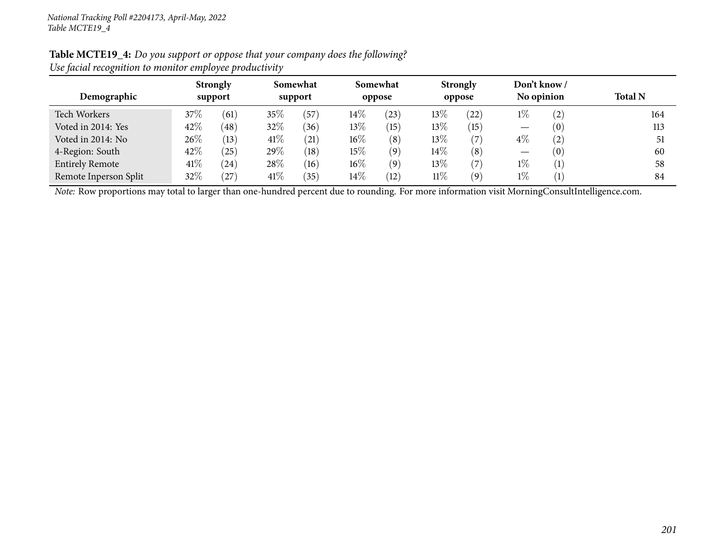| Table MCTE19_4: Do you support or oppose that your company does the following? |
|--------------------------------------------------------------------------------|
| Use facial recognition to monitor employee productivity                        |

| $\cdot$                |                            |           |                     |              |        |                    |        |                           |       |                            |                |
|------------------------|----------------------------|-----------|---------------------|--------------|--------|--------------------|--------|---------------------------|-------|----------------------------|----------------|
| Demographic            | <b>Strongly</b><br>support |           | Somewhat<br>support |              |        | Somewhat<br>oppose |        | <b>Strongly</b><br>oppose |       | Don't know /<br>No opinion | <b>Total N</b> |
| Tech Workers           | 37\%                       | (61)      | 35%                 | $^{'}57$     | $14\%$ | (23)               | 13\%   | (22)                      | $1\%$ | $\left( 2\right)$          | 164            |
| Voted in 2014: Yes     | 42%                        | (48)      | 32%                 | (36)         | $13\%$ | 15                 | 13%    | (15)                      |       | 0)                         | 113            |
| Voted in 2014: No      | 26\%                       | (13)      | 41%                 | (21)         | $16\%$ | (8)                | 13%    | (7)                       | $4\%$ | $\left( 2\right)$          | 51             |
| 4-Region: South        | 42%                        | $^{'}25)$ | 29\%                | (18)         | $15\%$ | (9)                | $14\%$ | $\left(8\right)$          |       | 0)                         | 60             |
| <b>Entirely Remote</b> | 41\%                       | (24)      | 28%                 | (16)         | $16\%$ | (9)                | 13%    | 7                         | $1\%$ |                            | 58             |
| Remote Inperson Split  | 32%                        | 27        | 41\%                | $35^{\circ}$ | $14\%$ | (12)               | $11\%$ | (9)                       | $1\%$ |                            | 84             |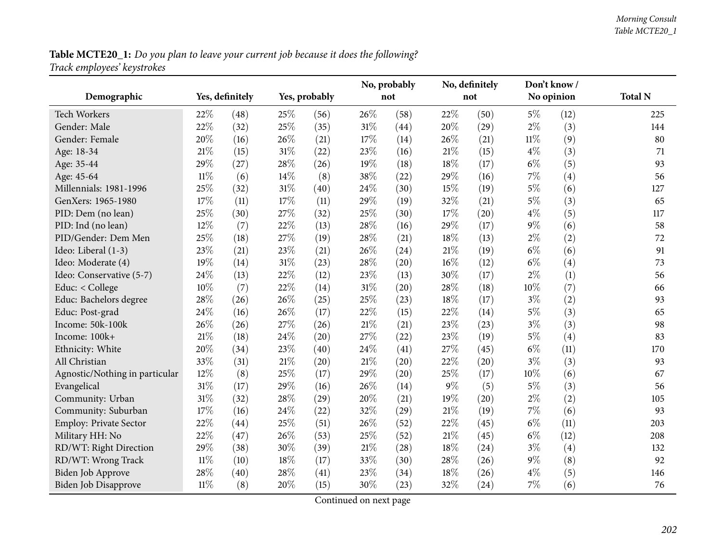Table MCTE20\_1: Do you plan to leave your current job because it does the following? *Track employees' keystrokes*

|                                |        |                 |        |               |        | No, probably |     | No, definitely | Don't know/ |      |                |
|--------------------------------|--------|-----------------|--------|---------------|--------|--------------|-----|----------------|-------------|------|----------------|
| Demographic                    |        | Yes, definitely |        | Yes, probably |        | not          |     | not            | No opinion  |      | <b>Total N</b> |
| <b>Tech Workers</b>            | 22%    | (48)            | 25%    | (56)          | 26%    | (58)         | 22% | (50)           | $5\%$       | (12) | 225            |
| Gender: Male                   | 22%    | (32)            | 25%    | (35)          | $31\%$ | (44)         | 20% | (29)           | $2\%$       | (3)  | 144            |
| Gender: Female                 | 20%    | (16)            | 26%    | (21)          | 17%    | (14)         | 26% | (21)           | $11\%$      | (9)  | 80             |
| Age: 18-34                     | 21%    | (15)            | $31\%$ | (22)          | 23%    | (16)         | 21% | (15)           | $4\%$       | (3)  | 71             |
| Age: 35-44                     | 29%    | (27)            | 28%    | (26)          | 19%    | (18)         | 18% | (17)           | $6\%$       | (5)  | 93             |
| Age: 45-64                     | $11\%$ | (6)             | 14%    | (8)           | 38%    | (22)         | 29% | (16)           | $7\%$       | (4)  | 56             |
| Millennials: 1981-1996         | 25%    | (32)            | $31\%$ | (40)          | 24%    | (30)         | 15% | (19)           | $5\%$       | (6)  | 127            |
| GenXers: 1965-1980             | 17%    | (11)            | 17%    | (11)          | 29%    | (19)         | 32% | (21)           | $5\%$       | (3)  | 65             |
| PID: Dem (no lean)             | 25%    | (30)            | 27%    | (32)          | 25%    | (30)         | 17% | (20)           | $4\%$       | (5)  | 117            |
| PID: Ind (no lean)             | 12%    | (7)             | 22%    | (13)          | 28%    | (16)         | 29% | (17)           | $9\%$       | (6)  | 58             |
| PID/Gender: Dem Men            | 25%    | (18)            | 27%    | (19)          | 28%    | (21)         | 18% | (13)           | $2\%$       | (2)  | 72             |
| Ideo: Liberal (1-3)            | 23%    | (21)            | 23%    | (21)          | 26%    | (24)         | 21% | (19)           | $6\%$       | (6)  | 91             |
| Ideo: Moderate (4)             | 19%    | (14)            | $31\%$ | (23)          | 28%    | (20)         | 16% | (12)           | $6\%$       | (4)  | 73             |
| Ideo: Conservative (5-7)       | 24\%   | (13)            | 22%    | (12)          | 23%    | (13)         | 30% | (17)           | $2\%$       | (1)  | 56             |
| Educ: < College                | 10%    | (7)             | 22%    | (14)          | 31%    | (20)         | 28% | (18)           | 10%         | (7)  | 66             |
| Educ: Bachelors degree         | 28%    | (26)            | 26%    | (25)          | 25%    | (23)         | 18% | (17)           | $3\%$       | (2)  | 93             |
| Educ: Post-grad                | 24%    | (16)            | 26%    | (17)          | 22%    | (15)         | 22% | (14)           | $5\%$       | (3)  | 65             |
| Income: 50k-100k               | 26%    | (26)            | 27%    | (26)          | $21\%$ | (21)         | 23% | (23)           | $3\%$       | (3)  | 98             |
| Income: 100k+                  | 21%    | (18)            | 24%    | (20)          | 27%    | (22)         | 23% | (19)           | $5\%$       | (4)  | 83             |
| Ethnicity: White               | 20%    | (34)            | 23%    | (40)          | 24%    | (41)         | 27% | (45)           | $6\%$       | (11) | 170            |
| All Christian                  | 33%    | (31)            | $21\%$ | (20)          | $21\%$ | (20)         | 22% | (20)           | $3\%$       | (3)  | 93             |
| Agnostic/Nothing in particular | $12\%$ | (8)             | 25%    | (17)          | 29%    | (20)         | 25% | (17)           | 10%         | (6)  | 67             |
| Evangelical                    | 31%    | (17)            | 29%    | (16)          | 26%    | (14)         | 9%  | (5)            | $5\%$       | (3)  | 56             |
| Community: Urban               | 31%    | (32)            | 28%    | (29)          | 20%    | (21)         | 19% | (20)           | $2\%$       | (2)  | 105            |
| Community: Suburban            | 17%    | (16)            | 24%    | (22)          | 32%    | (29)         | 21% | (19)           | $7\%$       | (6)  | 93             |
| Employ: Private Sector         | 22%    | (44)            | 25%    | (51)          | 26%    | (52)         | 22% | (45)           | $6\%$       | (11) | 203            |
| Military HH: No                | 22%    | (47)            | 26%    | (53)          | 25%    | (52)         | 21% | (45)           | $6\%$       | (12) | 208            |
| RD/WT: Right Direction         | 29%    | (38)            | 30%    | (39)          | $21\%$ | (28)         | 18% | (24)           | $3\%$       | (4)  | 132            |
| RD/WT: Wrong Track             | $11\%$ | (10)            | $18\%$ | (17)          | 33%    | (30)         | 28% | (26)           | $9\%$       | (8)  | 92             |
| Biden Job Approve              | 28%    | (40)            | 28%    | (41)          | 23%    | (34)         | 18% | (26)           | $4\%$       | (5)  | 146            |
| Biden Job Disapprove           | $11\%$ | (8)             | 20%    | (15)          | 30%    | (23)         | 32% | (24)           | 7%          | (6)  | 76             |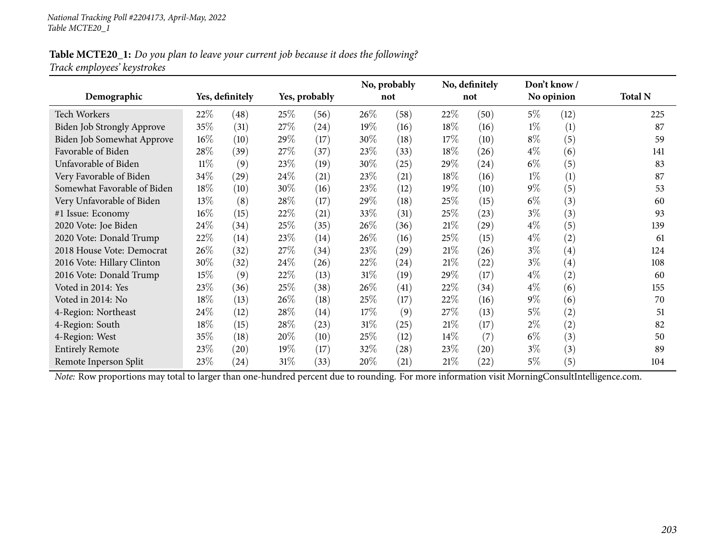### Table MCTE20\_1: Do you plan to leave your current job because it does the following? *Track employees' keystrokes*

|                                   |        |                    |        |               |        | No, probably |        | No, definitely | Don't know / |            |                |
|-----------------------------------|--------|--------------------|--------|---------------|--------|--------------|--------|----------------|--------------|------------|----------------|
| Demographic                       |        | Yes, definitely    |        | Yes, probably |        | not          |        | not            |              | No opinion | <b>Total N</b> |
| Tech Workers                      | 22\%   | (48)               | 25\%   | (56)          | 26\%   | (58)         | 22%    | (50)           | $5\%$        | (12)       | 225            |
| <b>Biden Job Strongly Approve</b> | 35\%   | (31)               | 27%    | (24)          | 19%    | (16)         | 18%    | (16)           | $1\%$        | (1)        | 87             |
| Biden Job Somewhat Approve        | 16%    | (10)               | 29%    | (17)          | 30%    | (18)         | 17%    | (10)           | $8\%$        | (5)        | 59             |
| Favorable of Biden                | 28%    | (39)               | 27\%   | (37)          | 23\%   | (33)         | 18%    | (26)           | $4\%$        | (6)        | 141            |
| Unfavorable of Biden              | $11\%$ | (9)                | 23\%   | (19)          | 30\%   | (25)         | 29%    | (24)           | $6\%$        | (5)        | 83             |
| Very Favorable of Biden           | 34\%   | (29)               | 24\%   | (21)          | 23\%   | (21)         | 18%    | (16)           | $1\%$        | (1)        | 87             |
| Somewhat Favorable of Biden       | 18%    | (10)               | 30%    | (16)          | 23\%   | (12)         | 19%    | (10)           | $9\%$        | (5)        | 53             |
| Very Unfavorable of Biden         | $13\%$ | (8)                | 28\%   | (17)          | 29%    | (18)         | 25\%   | (15)           | $6\%$        | (3)        | 60             |
| #1 Issue: Economy                 | $16\%$ | (15)               | 22%    | (21)          | 33\%   | (31)         | 25\%   | (23)           | $3\%$        | (3)        | 93             |
| 2020 Vote: Joe Biden              | 24\%   | (34)               | 25%    | (35)          | 26\%   | (36)         | 21%    | (29)           | $4\%$        | (5)        | 139            |
| 2020 Vote: Donald Trump           | 22%    | (14)               | 23\%   | (14)          | 26\%   | (16)         | 25\%   | (15)           | $4\%$        | (2)        | 61             |
| 2018 House Vote: Democrat         | 26%    | (32)               | 27\%   | (34)          | 23%    | (29)         | 21%    | (26)           | $3\%$        | (4)        | 124            |
| 2016 Vote: Hillary Clinton        | 30\%   | (32)               | 24\%   | (26)          | 22%    | (24)         | 21%    | (22)           | $3\%$        | (4)        | 108            |
| 2016 Vote: Donald Trump           | 15%    | (9)                | 22%    | (13)          | $31\%$ | (19)         | 29\%   | (17)           | $4\%$        | (2)        | 60             |
| Voted in 2014: Yes                | 23%    | (36)               | 25\%   | (38)          | 26%    | (41)         | 22\%   | (34)           | $4\%$        | (6)        | 155            |
| Voted in 2014: No                 | 18%    | (13)               | 26\%   | (18)          | 25%    | (17)         | 22\%   | (16)           | $9\%$        | (6)        | 70             |
| 4-Region: Northeast               | 24\%   | (12)               | 28\%   | (14)          | 17%    | (9)          | 27\%   | (13)           | $5\%$        | (2)        | 51             |
| 4-Region: South                   | 18%    | (15)               | 28\%   | (23)          | $31\%$ | (25)         | 21%    | (17)           | $2\%$        | (2)        | 82             |
| 4-Region: West                    | 35%    | (18)               | 20%    | (10)          | 25\%   | (12)         | $14\%$ | (7)            | $6\%$        | (3)        | 50             |
| <b>Entirely Remote</b>            | 23\%   | (20)               | 19%    | (17)          | 32\%   | (28)         | 23\%   | (20)           | $3\%$        | (3)        | 89             |
| Remote Inperson Split             | 23%    | $\left( 24\right)$ | $31\%$ | (33)          | 20%    | (21)         | 21%    | (22)           | 5%           | (5)        | 104            |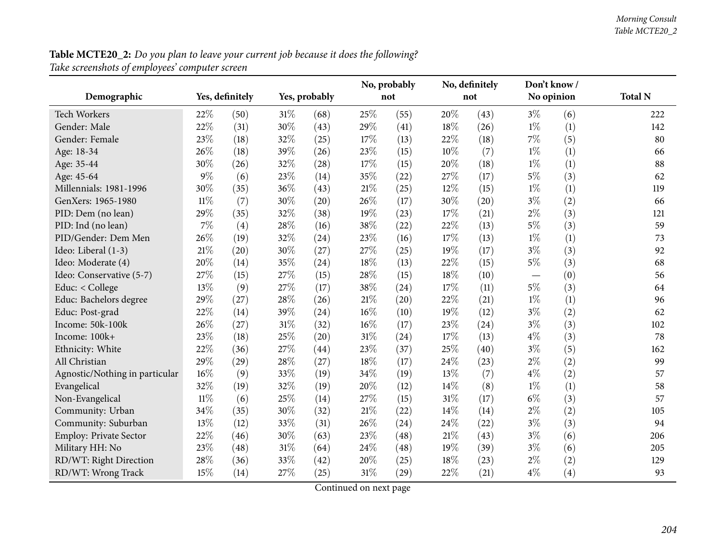**Table MCTE20\_2:** Do you plan to leave your current job because it does the following? *Take screenshots of employees' computer screen*

|                                |        |                 |        |               |     | No, probably |        | No, definitely | Don't know/              |     |                |
|--------------------------------|--------|-----------------|--------|---------------|-----|--------------|--------|----------------|--------------------------|-----|----------------|
| Demographic                    |        | Yes, definitely |        | Yes, probably |     | not          |        | not            | No opinion               |     | <b>Total N</b> |
| <b>Tech Workers</b>            | 22%    | (50)            | 31%    | (68)          | 25% | (55)         | 20%    | (43)           | $3\%$                    | (6) | 222            |
| Gender: Male                   | 22%    | (31)            | 30%    | (43)          | 29% | (41)         | 18%    | (26)           | $1\%$                    | (1) | 142            |
| Gender: Female                 | 23%    | (18)            | 32%    | (25)          | 17% | (13)         | 22%    | (18)           | $7\%$                    | (5) | 80             |
| Age: 18-34                     | 26%    | (18)            | 39%    | (26)          | 23% | (15)         | 10%    | (7)            | $1\%$                    | (1) | 66             |
| Age: 35-44                     | 30%    | (26)            | 32%    | (28)          | 17% | (15)         | 20%    | (18)           | $1\%$                    | (1) | 88             |
| Age: 45-64                     | 9%     | (6)             | 23%    | (14)          | 35% | (22)         | 27%    | (17)           | $5\%$                    | (3) | 62             |
| Millennials: 1981-1996         | 30%    | (35)            | 36%    | (43)          | 21% | (25)         | 12%    | (15)           | $1\%$                    | (1) | 119            |
| GenXers: 1965-1980             | $11\%$ | (7)             | 30%    | (20)          | 26% | (17)         | 30%    | (20)           | $3\%$                    | (2) | 66             |
| PID: Dem (no lean)             | 29%    | (35)            | 32%    | (38)          | 19% | (23)         | 17%    | (21)           | $2\%$                    | (3) | 121            |
| PID: Ind (no lean)             | 7%     | (4)             | 28%    | (16)          | 38% | (22)         | 22%    | (13)           | $5\%$                    | (3) | 59             |
| PID/Gender: Dem Men            | 26%    | (19)            | 32%    | (24)          | 23% | (16)         | 17%    | (13)           | $1\%$                    | (1) | 73             |
| Ideo: Liberal (1-3)            | $21\%$ | (20)            | 30%    | (27)          | 27% | (25)         | 19%    | (17)           | $3\%$                    | (3) | 92             |
| Ideo: Moderate (4)             | 20%    | (14)            | 35%    | (24)          | 18% | (13)         | 22%    | (15)           | $5\%$                    | (3) | 68             |
| Ideo: Conservative (5-7)       | 27%    | (15)            | 27%    | (15)          | 28% | (15)         | 18%    | (10)           | $\overline{\phantom{m}}$ | (0) | 56             |
| Educ: < College                | 13%    | (9)             | 27%    | (17)          | 38% | (24)         | 17%    | (11)           | $5\%$                    | (3) | 64             |
| Educ: Bachelors degree         | 29%    | (27)            | 28%    | (26)          | 21% | (20)         | 22%    | (21)           | $1\%$                    | (1) | 96             |
| Educ: Post-grad                | 22%    | (14)            | 39%    | (24)          | 16% | (10)         | 19%    | (12)           | $3\%$                    | (2) | 62             |
| Income: 50k-100k               | 26%    | (27)            | $31\%$ | (32)          | 16% | (17)         | 23%    | (24)           | $3\%$                    | (3) | 102            |
| Income: 100k+                  | 23%    | (18)            | 25%    | (20)          | 31% | (24)         | 17%    | (13)           | $4\%$                    | (3) | 78             |
| Ethnicity: White               | 22%    | (36)            | 27%    | (44)          | 23% | (37)         | 25%    | (40)           | $3\%$                    | (5) | 162            |
| All Christian                  | 29%    | (29)            | 28%    | (27)          | 18% | (17)         | 24%    | (23)           | $2\%$                    | (2) | 99             |
| Agnostic/Nothing in particular | 16%    | (9)             | 33%    | (19)          | 34% | (19)         | 13%    | (7)            | $4\%$                    | (2) | 57             |
| Evangelical                    | 32%    | (19)            | 32%    | (19)          | 20% | (12)         | 14%    | (8)            | $1\%$                    | (1) | 58             |
| Non-Evangelical                | $11\%$ | (6)             | 25%    | (14)          | 27% | (15)         | $31\%$ | (17)           | $6\%$                    | (3) | 57             |
| Community: Urban               | 34%    | (35)            | 30%    | (32)          | 21% | (22)         | 14%    | (14)           | $2\%$                    | (2) | 105            |
| Community: Suburban            | 13%    | (12)            | 33%    | (31)          | 26% | (24)         | 24%    | (22)           | $3\%$                    | (3) | 94             |
| Employ: Private Sector         | 22%    | (46)            | 30%    | (63)          | 23% | (48)         | $21\%$ | (43)           | $3\%$                    | (6) | 206            |
| Military HH: No                | $23\%$ | (48)            | $31\%$ | (64)          | 24% | (48)         | 19%    | (39)           | $3\%$                    | (6) | 205            |
| RD/WT: Right Direction         | 28%    | (36)            | 33%    | (42)          | 20% | (25)         | 18%    | (23)           | $2\%$                    | (2) | 129            |
| RD/WT: Wrong Track             | 15%    | (14)            | 27%    | (25)          | 31% | (29)         | 22%    | (21)           | $4\%$                    | (4) | 93             |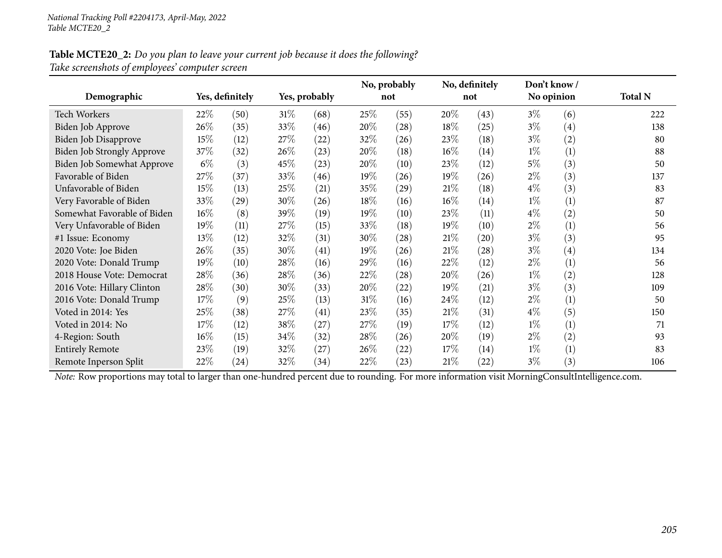#### Table MCTE20\_2: Do you plan to leave your current job because it does the following? *Take screenshots of employees' computer screen*

|                                   |        |                 |        |               |        | No, probably |        | No, definitely | Don't know / |                   |                |
|-----------------------------------|--------|-----------------|--------|---------------|--------|--------------|--------|----------------|--------------|-------------------|----------------|
| Demographic                       |        | Yes, definitely |        | Yes, probably |        | not          |        | not            | No opinion   |                   | <b>Total N</b> |
| <b>Tech Workers</b>               | 22%    | (50)            | $31\%$ | (68)          | 25\%   | (55)         | 20%    | (43)           | $3\%$        | (6)               | 222            |
| Biden Job Approve                 | 26%    | (35)            | 33%    | (46)          | 20%    | (28)         | 18%    | (25)           | $3\%$        | $\left( 4\right)$ | 138            |
| Biden Job Disapprove              | 15%    | (12)            | 27\%   | (22)          | 32\%   | (26)         | 23%    | (18)           | $3\%$        | (2)               | 80             |
| <b>Biden Job Strongly Approve</b> | 37\%   | (32)            | 26\%   | (23)          | 20%    | (18)         | $16\%$ | (14)           | $1\%$        | (1)               | 88             |
| Biden Job Somewhat Approve        | $6\%$  | (3)             | 45\%   | (23)          | 20%    | (10)         | 23%    | (12)           | $5\%$        | (3)               | 50             |
| Favorable of Biden                | 27\%   | (37)            | 33\%   | (46)          | $19\%$ | (26)         | 19%    | (26)           | $2\%$        | (3)               | 137            |
| Unfavorable of Biden              | 15%    | (13)            | 25\%   | (21)          | 35\%   | (29)         | 21%    | (18)           | $4\%$        | (3)               | 83             |
| Very Favorable of Biden           | 33%    | (29)            | 30%    | (26)          | 18%    | (16)         | $16\%$ | (14)           | $1\%$        | (1)               | 87             |
| Somewhat Favorable of Biden       | 16%    | (8)             | 39%    | (19)          | $19\%$ | (10)         | 23%    | (11)           | $4\%$        | (2)               | 50             |
| Very Unfavorable of Biden         | 19%    | (11)            | 27\%   | (15)          | 33\%   | (18)         | 19%    | (10)           | $2\%$        | (1)               | 56             |
| #1 Issue: Economy                 | 13%    | (12)            | 32\%   | (31)          | 30%    | (28)         | 21%    | (20)           | $3\%$        | (3)               | 95             |
| 2020 Vote: Joe Biden              | 26%    | (35)            | 30\%   | (41)          | $19\%$ | (26)         | 21%    | (28)           | $3\%$        | (4)               | 134            |
| 2020 Vote: Donald Trump           | 19%    | (10)            | 28\%   | (16)          | 29%    | (16)         | 22%    | (12)           | $2\%$        | (1)               | 56             |
| 2018 House Vote: Democrat         | 28%    | (36)            | 28\%   | (36)          | 22\%   | (28)         | 20%    | (26)           | $1\%$        | (2)               | 128            |
| 2016 Vote: Hillary Clinton        | 28%    | (30)            | 30%    | (33)          | 20%    | (22)         | 19%    | (21)           | $3\%$        | (3)               | 109            |
| 2016 Vote: Donald Trump           | 17%    | (9)             | 25\%   | (13)          | $31\%$ | (16)         | 24\%   | (12)           | $2\%$        | (1)               | 50             |
| Voted in 2014: Yes                | 25%    | (38)            | 27\%   | (41)          | 23\%   | (35)         | $21\%$ | (31)           | $4\%$        | (5)               | 150            |
| Voted in 2014: No                 | $17\%$ | (12)            | 38\%   | (27)          | 27\%   | (19)         | 17%    | (12)           | $1\%$        | (1)               | 71             |
| 4-Region: South                   | 16%    | (15)            | 34\%   | (32)          | 28\%   | (26)         | 20%    | (19)           | $2\%$        | (2)               | 93             |
| <b>Entirely Remote</b>            | 23\%   | (19)            | 32\%   | (27)          | 26\%   | (22)         | 17\%   | (14)           | $1\%$        | (1)               | 83             |
| Remote Inperson Split             | 22%    | (24)            | 32\%   | (34)          | 22%    | (23)         | 21\%   | (22)           | $3\%$        | (3)               | 106            |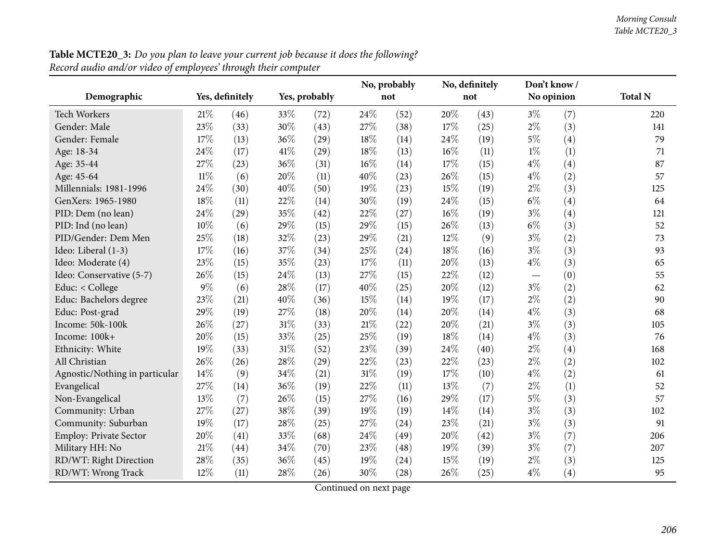|                                |        |                 |        |               |      | No, probably |     | No, definitely | Don't know/ |     |                |
|--------------------------------|--------|-----------------|--------|---------------|------|--------------|-----|----------------|-------------|-----|----------------|
| Demographic                    |        | Yes, definitely |        | Yes, probably |      | not          |     | not            | No opinion  |     | <b>Total N</b> |
| Tech Workers                   | 21%    | (46)            | 33%    | (72)          | 24\% | (52)         | 20% | (43)           | $3\%$       | (7) | 220            |
| Gender: Male                   | 23%    | (33)            | 30%    | (43)          | 27%  | (38)         | 17% | (25)           | $2\%$       | (3) | 141            |
| Gender: Female                 | 17%    | (13)            | 36%    | (29)          | 18%  | (14)         | 24% | (19)           | $5\%$       | (4) | 79             |
| Age: 18-34                     | 24%    | (17)            | 41\%   | (29)          | 18%  | (13)         | 16% | (11)           | $1\%$       | (1) | 71             |
| Age: 35-44                     | 27%    | (23)            | 36%    | (31)          | 16%  | (14)         | 17% | (15)           | $4\%$       | (4) | 87             |
| Age: 45-64                     | $11\%$ | (6)             | 20%    | (11)          | 40%  | (23)         | 26% | (15)           | $4\%$       | (2) | 57             |
| Millennials: 1981-1996         | 24%    | (30)            | 40%    | (50)          | 19%  | (23)         | 15% | (19)           | $2\%$       | (3) | 125            |
| GenXers: 1965-1980             | 18%    | (11)            | 22%    | (14)          | 30%  | (19)         | 24% | (15)           | $6\%$       | (4) | 64             |
| PID: Dem (no lean)             | 24%    | (29)            | 35%    | (42)          | 22%  | (27)         | 16% | (19)           | $3\%$       | (4) | 121            |
| PID: Ind (no lean)             | 10%    | (6)             | 29%    | (15)          | 29%  | (15)         | 26% | (13)           | $6\%$       | (3) | 52             |
| PID/Gender: Dem Men            | 25%    | (18)            | 32%    | (23)          | 29%  | (21)         | 12% | (9)            | $3\%$       | (2) | 73             |
| Ideo: Liberal (1-3)            | 17%    | (16)            | 37%    | (34)          | 25%  | (24)         | 18% | (16)           | $3\%$       | (3) | 93             |
| Ideo: Moderate (4)             | 23%    | (15)            | 35%    | (23)          | 17%  | (11)         | 20% | (13)           | $4\%$       | (3) | 65             |
| Ideo: Conservative (5-7)       | 26%    | (15)            | 24%    | (13)          | 27%  | (15)         | 22% | (12)           |             | (0) | 55             |
| Educ: < College                | $9\%$  | (6)             | 28%    | (17)          | 40%  | (25)         | 20% | (12)           | $3\%$       | (2) | 62             |
| Educ: Bachelors degree         | 23%    | (21)            | 40%    | (36)          | 15%  | (14)         | 19% | (17)           | $2\%$       | (2) | 90             |
| Educ: Post-grad                | 29%    | (19)            | 27%    | (18)          | 20%  | (14)         | 20% | (14)           | $4\%$       | (3) | 68             |
| Income: 50k-100k               | 26%    | (27)            | 31%    | (33)          | 21%  | (22)         | 20% | (21)           | $3\%$       | (3) | 105            |
| Income: 100k+                  | 20%    | (15)            | 33%    | (25)          | 25%  | (19)         | 18% | (14)           | $4\%$       | (3) | 76             |
| Ethnicity: White               | 19%    | (33)            | $31\%$ | (52)          | 23%  | (39)         | 24% | (40)           | $2\%$       | (4) | 168            |
| All Christian                  | 26%    | (26)            | 28%    | (29)          | 22%  | (23)         | 22% | (23)           | $2\%$       | (2) | 102            |
| Agnostic/Nothing in particular | 14%    | (9)             | 34%    | (21)          | 31%  | (19)         | 17% | (10)           | $4\%$       | (2) | 61             |
| Evangelical                    | 27%    | (14)            | 36%    | (19)          | 22%  | (11)         | 13% | (7)            | $2\%$       | (1) | 52             |
| Non-Evangelical                | 13%    | (7)             | 26%    | (15)          | 27%  | (16)         | 29% | (17)           | 5%          | (3) | 57             |
| Community: Urban               | 27%    | (27)            | 38%    | (39)          | 19%  | (19)         | 14% | (14)           | $3\%$       | (3) | 102            |
| Community: Suburban            | 19%    | (17)            | 28%    | (25)          | 27%  | (24)         | 23% | (21)           | $3\%$       | (3) | 91             |
| Employ: Private Sector         | 20%    | (41)            | 33%    | (68)          | 24%  | (49)         | 20% | (42)           | $3\%$       | (7) | 206            |
| Military HH: No                | $21\%$ | (44)            | 34%    | (70)          | 23%  | (48)         | 19% | (39)           | $3\%$       | (7) | 207            |
| RD/WT: Right Direction         | 28%    | (35)            | 36%    | (45)          | 19%  | (24)         | 15% | (19)           | $2\%$       | (3) | 125            |
| RD/WT: Wrong Track             | 12%    | (11)            | 28%    | (26)          | 30%  | (28)         | 26% | (25)           | $4\%$       | (4) | 95             |

**Table MCTE20\_3:** Do you plan to leave your current job because it does the following? *Record audio and/or video of employees' through their computer*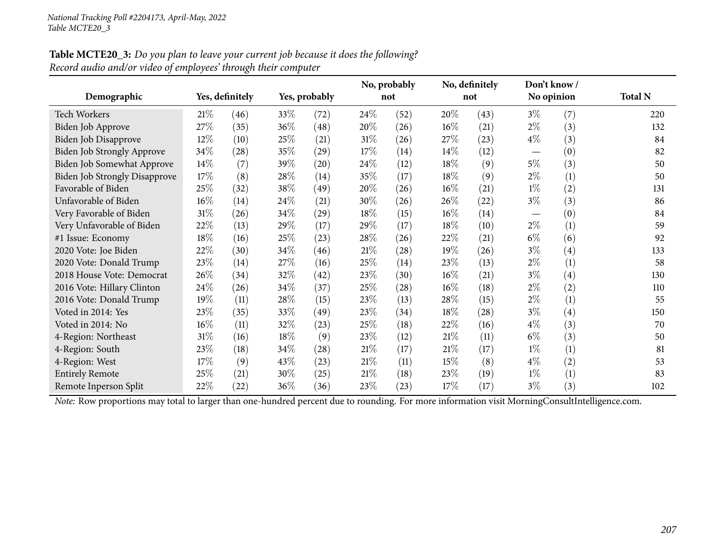| <b>Table MCTE20_3:</b> Do you plan to leave your current job because it does the following? |  |
|---------------------------------------------------------------------------------------------|--|
| Record audio and/or video of employees' through their computer                              |  |

|                                      |        |                 |      |                    |        | No, probably |        | No, definitely | Don't know /      |                   |                |
|--------------------------------------|--------|-----------------|------|--------------------|--------|--------------|--------|----------------|-------------------|-------------------|----------------|
| Demographic                          |        | Yes, definitely |      | Yes, probably      |        | not          |        | not            | No opinion        |                   | <b>Total N</b> |
| <b>Tech Workers</b>                  | 21%    | (46)            | 33\% | (72)               | 24\%   | (52)         | 20%    | (43)           | $3\%$             | (7)               | 220            |
| <b>Biden Job Approve</b>             | 27\%   | (35)            | 36\% | (48)               | 20%    | (26)         | 16%    | (21)           | $2\%$             | (3)               | 132            |
| Biden Job Disapprove                 | 12%    | (10)            | 25%  | (21)               | $31\%$ | (26)         | 27%    | (23)           | $4\%$             | (3)               | 84             |
| Biden Job Strongly Approve           | 34%    | (28)            | 35%  | (29)               | 17%    | (14)         | 14%    | (12)           |                   | (0)               | 82             |
| Biden Job Somewhat Approve           | 14%    | (7)             | 39%  | $\left( 20\right)$ | 24\%   | (12)         | 18%    | (9)            | $5\%$             | (3)               | 50             |
| <b>Biden Job Strongly Disapprove</b> | 17%    | (8)             | 28\% | (14)               | 35%    | (17)         | 18%    | (9)            | $2\%$             | (1)               | 50             |
| Favorable of Biden                   | 25%    | (32)            | 38%  | (49)               | 20%    | (26)         | 16%    | (21)           | $1\%$             | (2)               | 131            |
| Unfavorable of Biden                 | 16%    | (14)            | 24\% | (21)               | 30%    | (26)         | 26%    | (22)           | $3\%$             | (3)               | 86             |
| Very Favorable of Biden              | $31\%$ | (26)            | 34\% | (29)               | 18%    | (15)         | $16\%$ | (14)           | $\hspace{0.05cm}$ | (0)               | 84             |
| Very Unfavorable of Biden            | 22%    | (13)            | 29%  | (17)               | 29%    | (17)         | 18%    | (10)           | $2\%$             | (1)               | 59             |
| #1 Issue: Economy                    | 18%    | (16)            | 25%  | (23)               | 28\%   | (26)         | 22%    | (21)           | $6\%$             | (6)               | 92             |
| 2020 Vote: Joe Biden                 | 22%    | (30)            | 34\% | (46)               | 21%    | (28)         | 19%    | (26)           | $3\%$             | $\left( 4\right)$ | 133            |
| 2020 Vote: Donald Trump              | 23%    | (14)            | 27\% | (16)               | 25%    | (14)         | 23%    | (13)           | $2\%$             | (1)               | 58             |
| 2018 House Vote: Democrat            | 26%    | (34)            | 32%  | (42)               | 23\%   | (30)         | 16%    | (21)           | $3\%$             | $\left( 4\right)$ | 130            |
| 2016 Vote: Hillary Clinton           | 24\%   | (26)            | 34\% | (37)               | 25\%   | (28)         | $16\%$ | (18)           | $2\%$             | (2)               | 110            |
| 2016 Vote: Donald Trump              | 19%    | (11)            | 28\% | (15)               | 23%    | (13)         | 28%    | (15)           | $2\%$             | (1)               | 55             |
| Voted in 2014: Yes                   | 23\%   | (35)            | 33%  | (49)               | 23%    | (34)         | 18%    | (28)           | $3\%$             | (4)               | 150            |
| Voted in 2014: No                    | $16\%$ | (11)            | 32\% | (23)               | 25%    | (18)         | 22%    | (16)           | $4\%$             | (3)               | 70             |
| 4-Region: Northeast                  | 31%    | (16)            | 18%  | (9)                | 23%    | (12)         | 21%    | (11)           | $6\%$             | (3)               | 50             |
| 4-Region: South                      | 23%    | (18)            | 34\% | (28)               | 21%    | (17)         | $21\%$ | (17)           | $1\%$             | (1)               | 81             |
| 4-Region: West                       | 17%    | (9)             | 43\% | (23)               | 21%    | (11)         | 15%    | (8)            | $4\%$             | (2)               | 53             |
| <b>Entirely Remote</b>               | 25%    | (21)            | 30\% | (25)               | 21%    | (18)         | 23%    | (19)           | $1\%$             | (1)               | 83             |
| Remote Inperson Split                | 22%    | (22)            | 36\% | (36)               | 23%    | (23)         | 17%    | (17)           | $3\%$             | (3)               | 102            |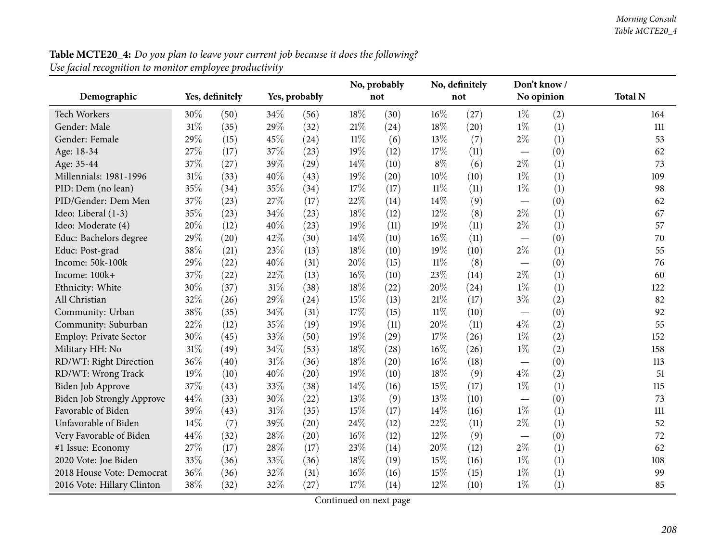| <b>Table MCTE20_4:</b> Do you plan to leave your current job because it does the following? |  |
|---------------------------------------------------------------------------------------------|--|
| Use facial recognition to monitor employee productivity                                     |  |

|                            |        |                 |     |               | No, probably |      | No, definitely | Don't know/ |                                   |     |                |
|----------------------------|--------|-----------------|-----|---------------|--------------|------|----------------|-------------|-----------------------------------|-----|----------------|
| Demographic                |        | Yes, definitely |     | Yes, probably |              | not  |                | not         | No opinion                        |     | <b>Total N</b> |
| Tech Workers               | 30%    | (50)            | 34% | (56)          | 18%          | (30) | $16\%$         | (27)        | $1\%$                             | (2) | 164            |
| Gender: Male               | $31\%$ | (35)            | 29% | (32)          | $21\%$       | (24) | 18%            | (20)        | $1\%$                             | (1) | 111            |
| Gender: Female             | 29%    | (15)            | 45% | (24)          | $11\%$       | (6)  | 13%            | (7)         | $2\%$                             | (1) | 53             |
| Age: 18-34                 | 27%    | (17)            | 37% | (23)          | 19%          | (12) | 17%            | (11)        |                                   | (0) | 62             |
| Age: 35-44                 | 37%    | (27)            | 39% | (29)          | 14\%         | (10) | $8\%$          | (6)         | $2\%$                             | (1) | 73             |
| Millennials: 1981-1996     | 31%    | (33)            | 40% | (43)          | 19%          | (20) | $10\%$         | (10)        | $1\%$                             | (1) | 109            |
| PID: Dem (no lean)         | 35%    | (34)            | 35% | (34)          | 17%          | (17) | $11\%$         | (11)        | $1\%$                             | (1) | 98             |
| PID/Gender: Dem Men        | 37%    | (23)            | 27% | (17)          | 22%          | (14) | 14\%           | (9)         | $\overbrace{\phantom{123221111}}$ | (0) | 62             |
| Ideo: Liberal (1-3)        | 35%    | (23)            | 34% | (23)          | 18%          | (12) | 12%            | (8)         | $2\%$                             | (1) | 67             |
| Ideo: Moderate (4)         | 20%    | (12)            | 40% | (23)          | 19%          | (11) | 19%            | (11)        | $2\%$                             | (1) | 57             |
| Educ: Bachelors degree     | 29%    | (20)            | 42% | (30)          | 14\%         | (10) | $16\%$         | (11)        |                                   | (0) | 70             |
| Educ: Post-grad            | 38%    | (21)            | 23% | (13)          | 18%          | (10) | 19%            | (10)        | $2\%$                             | (1) | 55             |
| Income: 50k-100k           | 29%    | (22)            | 40% | (31)          | 20%          | (15) | $11\%$         | (8)         |                                   | (0) | 76             |
| Income: 100k+              | 37%    | (22)            | 22% | (13)          | 16%          | (10) | 23%            | (14)        | $2\%$                             | (1) | 60             |
| Ethnicity: White           | 30%    | (37)            | 31% | (38)          | 18%          | (22) | 20%            | (24)        | $1\%$                             | (1) | 122            |
| All Christian              | 32%    | (26)            | 29% | (24)          | 15%          | (13) | 21\%           | (17)        | $3\%$                             | (2) | 82             |
| Community: Urban           | 38%    | (35)            | 34% | (31)          | 17%          | (15) | $11\%$         | (10)        |                                   | (0) | 92             |
| Community: Suburban        | 22%    | (12)            | 35% | (19)          | $19\%$       | (11) | 20%            | (11)        | $4\%$                             | (2) | 55             |
| Employ: Private Sector     | 30%    | (45)            | 33% | (50)          | 19%          | (29) | 17%            | (26)        | $1\%$                             | (2) | 152            |
| Military HH: No            | 31%    | (49)            | 34% | (53)          | 18%          | (28) | 16%            | (26)        | $1\%$                             | (2) | 158            |
| RD/WT: Right Direction     | 36%    | (40)            | 31% | (36)          | 18%          | (20) | $16\%$         | (18)        | $\overline{\phantom{0}}$          | (0) | 113            |
| RD/WT: Wrong Track         | 19%    | (10)            | 40% | (20)          | 19%          | (10) | 18%            | (9)         | $4\%$                             | (2) | 51             |
| Biden Job Approve          | 37%    | (43)            | 33% | (38)          | $14\%$       | (16) | 15\%           | (17)        | $1\%$                             | (1) | 115            |
| Biden Job Strongly Approve | 44%    | (33)            | 30% | (22)          | 13%          | (9)  | 13%            | (10)        |                                   | (0) | 73             |
| Favorable of Biden         | 39%    | (43)            | 31% | (35)          | 15%          | (17) | 14\%           | (16)        | $1\%$                             | (1) | 111            |
| Unfavorable of Biden       | 14%    | (7)             | 39% | (20)          | 24\%         | (12) | 22%            | (11)        | $2\%$                             | (1) | 52             |
| Very Favorable of Biden    | 44%    | (32)            | 28% | (20)          | 16%          | (12) | 12%            | (9)         |                                   | (0) | 72             |
| #1 Issue: Economy          | 27%    | (17)            | 28% | (17)          | 23%          | (14) | 20%            | (12)        | $2\%$                             | (1) | 62             |
| 2020 Vote: Joe Biden       | 33%    | (36)            | 33% | (36)          | 18%          | (19) | 15%            | (16)        | $1\%$                             | (1) | 108            |
| 2018 House Vote: Democrat  | 36%    | (36)            | 32% | (31)          | 16%          | (16) | 15%            | (15)        | $1\%$                             | (1) | 99             |
| 2016 Vote: Hillary Clinton | 38%    | (32)            | 32% | (27)          | 17%          | (14) | 12%            | (10)        | $1\%$                             | (1) | 85             |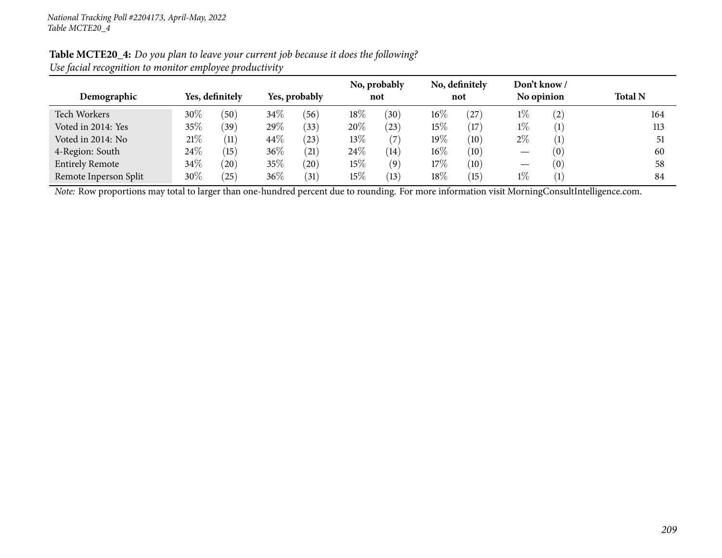| Ose jučini recognition to montior employee proudelivity |        |                 |               |                   |                     |           |                       |      |                            |                   |                |
|---------------------------------------------------------|--------|-----------------|---------------|-------------------|---------------------|-----------|-----------------------|------|----------------------------|-------------------|----------------|
| Demographic                                             |        | Yes, definitely | Yes, probably |                   | No, probably<br>not |           | No, definitely<br>not |      | Don't know /<br>No opinion |                   | <b>Total N</b> |
| Tech Workers                                            | 30\%   | (50)            | 34\%          | 56                | $18\%$              | (30)      | $16\%$                | (27) | $1\%$                      | $\left( 2\right)$ | 164            |
| Voted in 2014: Yes                                      | 35%    | 39 <sup>°</sup> | $29\%$        | (33)              | $20\%$              | $^{(23)}$ | $15\%$                | (17  | $1\%$                      |                   | 113            |
| Voted in 2014: No                                       | 21%    | (11)            | 44\%          | $^{(23)}$         | 13%                 | (7)       | 19%                   | (10) | $2\%$                      |                   |                |
| 4-Region: South                                         | 24%    | (15)            | $36\%$        | (21)              | 24\%                | (14)      | $16\%$                | (10) |                            | (0)               | 60             |
| <b>Entirely Remote</b>                                  | $34\%$ | $^{'}20$        | 35\%          | $^{'}20)$         | $15\%$              | (9)       | 17\%                  | (10) |                            | (0)               | 58             |
| Remote Inperson Split                                   | 30\%   | $^{'}25)$       | $36\%$        | $\left(31\right)$ | 15%                 | (13)      | 18\%                  | (15) | $1\%$                      |                   | 84             |

#### Table MCTE20\_4: Do you plan to leave your current job because it does the following? *Use facial recognition to monitor employee productivity*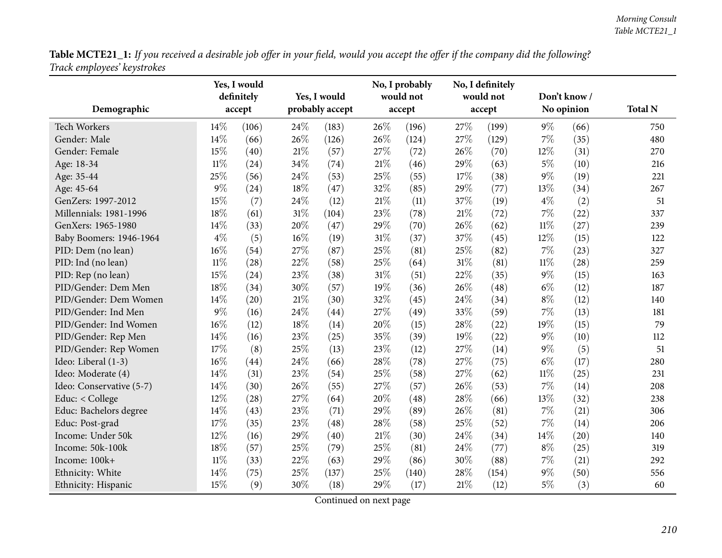Table MCTE21\_1: If you received a desirable job offer in your field, would you accept the offer if the company did the following? *Track employees' keystrokes*

|                          |        | Yes, I would<br>definitely |      | Yes, I would    |     | No, I probably<br>would not |     | No, I definitely<br>would not |        | Don't know / |                |
|--------------------------|--------|----------------------------|------|-----------------|-----|-----------------------------|-----|-------------------------------|--------|--------------|----------------|
| Demographic              |        | accept                     |      | probably accept |     | accept                      |     | accept                        |        | No opinion   | <b>Total N</b> |
| <b>Tech Workers</b>      | 14%    | (106)                      | 24%  | (183)           | 26% | (196)                       | 27% | (199)                         | $9\%$  | (66)         | 750            |
| Gender: Male             | 14%    | (66)                       | 26%  | (126)           | 26% | (124)                       | 27% | (129)                         | 7%     | (35)         | 480            |
| Gender: Female           | 15%    | (40)                       | 21\% | (57)            | 27% | (72)                        | 26% | (70)                          | 12%    | (31)         | 270            |
| Age: 18-34               | $11\%$ | (24)                       | 34%  | (74)            | 21% | (46)                        | 29% | (63)                          | $5\%$  | (10)         | 216            |
| Age: 35-44               | 25%    | (56)                       | 24%  | (53)            | 25% | (55)                        | 17% | (38)                          | $9\%$  | (19)         | 221            |
| Age: 45-64               | 9%     | (24)                       | 18%  | (47)            | 32% | (85)                        | 29% | (77)                          | 13%    | (34)         | 267            |
| GenZers: 1997-2012       | 15%    | (7)                        | 24%  | (12)            | 21% | (11)                        | 37% | (19)                          | $4\%$  | (2)          | 51             |
| Millennials: 1981-1996   | 18%    | (61)                       | 31%  | (104)           | 23% | (78)                        | 21% | (72)                          | 7%     | (22)         | 337            |
| GenXers: 1965-1980       | 14%    | (33)                       | 20%  | (47)            | 29% | (70)                        | 26% | (62)                          | $11\%$ | (27)         | 239            |
| Baby Boomers: 1946-1964  | $4\%$  | (5)                        | 16%  | (19)            | 31% | (37)                        | 37% | (45)                          | 12%    | (15)         | 122            |
| PID: Dem (no lean)       | 16%    | (54)                       | 27%  | (87)            | 25% | (81)                        | 25% | (82)                          | 7%     | (23)         | 327            |
| PID: Ind (no lean)       | $11\%$ | (28)                       | 22%  | (58)            | 25% | (64)                        | 31% | (81)                          | $11\%$ | (28)         | 259            |
| PID: Rep (no lean)       | 15%    | (24)                       | 23%  | (38)            | 31% | (51)                        | 22% | (35)                          | $9\%$  | (15)         | 163            |
| PID/Gender: Dem Men      | 18%    | (34)                       | 30%  | (57)            | 19% | (36)                        | 26% | (48)                          | $6\%$  | (12)         | 187            |
| PID/Gender: Dem Women    | 14%    | (20)                       | 21\% | (30)            | 32% | (45)                        | 24% | (34)                          | $8\%$  | (12)         | 140            |
| PID/Gender: Ind Men      | 9%     | (16)                       | 24%  | (44)            | 27% | (49)                        | 33% | (59)                          | 7%     | (13)         | 181            |
| PID/Gender: Ind Women    | 16%    | (12)                       | 18%  | (14)            | 20% | (15)                        | 28% | (22)                          | 19%    | (15)         | 79             |
| PID/Gender: Rep Men      | 14%    | (16)                       | 23%  | (25)            | 35% | (39)                        | 19% | (22)                          | $9\%$  | (10)         | 112            |
| PID/Gender: Rep Women    | 17%    | (8)                        | 25%  | (13)            | 23% | (12)                        | 27% | (14)                          | $9\%$  | (5)          | 51             |
| Ideo: Liberal (1-3)      | 16%    | (44)                       | 24%  | (66)            | 28% | (78)                        | 27% | (75)                          | $6\%$  | (17)         | 280            |
| Ideo: Moderate (4)       | 14%    | (31)                       | 23%  | (54)            | 25% | (58)                        | 27% | (62)                          | $11\%$ | (25)         | 231            |
| Ideo: Conservative (5-7) | 14%    | (30)                       | 26%  | (55)            | 27% | (57)                        | 26% | (53)                          | 7%     | (14)         | 208            |
| Educ: < College          | 12%    | (28)                       | 27%  | (64)            | 20% | (48)                        | 28% | (66)                          | 13%    | (32)         | 238            |
| Educ: Bachelors degree   | 14%    | (43)                       | 23%  | (71)            | 29% | (89)                        | 26% | (81)                          | 7%     | (21)         | 306            |
| Educ: Post-grad          | 17%    | (35)                       | 23%  | (48)            | 28% | (58)                        | 25% | (52)                          | 7%     | (14)         | 206            |
| Income: Under 50k        | 12%    | (16)                       | 29%  | (40)            | 21% | (30)                        | 24% | (34)                          | 14%    | (20)         | 140            |
| Income: 50k-100k         | 18%    | (57)                       | 25%  | (79)            | 25% | (81)                        | 24% | (77)                          | $8\%$  | (25)         | 319            |
| Income: 100k+            | $11\%$ | (33)                       | 22%  | (63)            | 29% | (86)                        | 30% | (88)                          | 7%     | (21)         | 292            |
| Ethnicity: White         | 14%    | (75)                       | 25%  | (137)           | 25% | (140)                       | 28% | (154)                         | $9\%$  | (50)         | 556            |
| Ethnicity: Hispanic      | 15%    | (9)                        | 30%  | (18)            | 29% | (17)                        | 21% | (12)                          | $5\%$  | (3)          | 60             |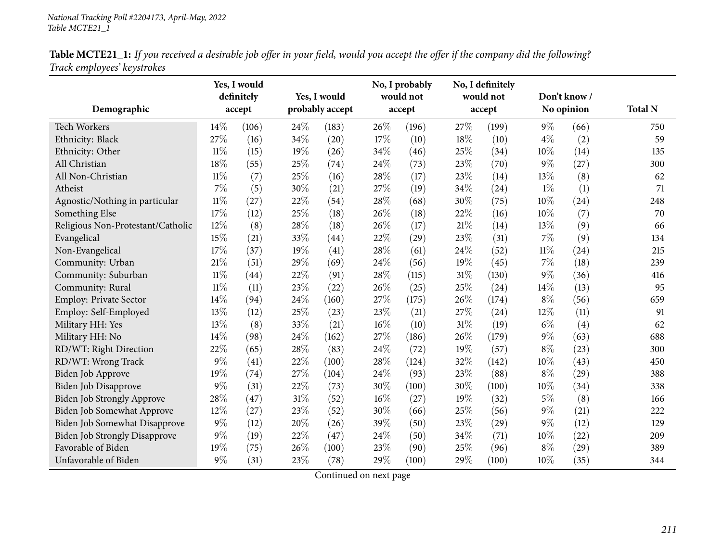Table MCTE21\_1: If you received a desirable job offer in your field, would you accept the offer if the company did the following? *Track employees' keystrokes*

|                                      |        | Yes, I would |     |                 |     | No, I probably |        | No, I definitely |        |              |                |
|--------------------------------------|--------|--------------|-----|-----------------|-----|----------------|--------|------------------|--------|--------------|----------------|
|                                      |        | definitely   |     | Yes, I would    |     | would not      |        | would not        |        | Don't know / |                |
| Demographic                          |        | accept       |     | probably accept |     | accept         |        | accept           |        | No opinion   | <b>Total N</b> |
| Tech Workers                         | 14%    | (106)        | 24% | (183)           | 26% | (196)          | 27%    | (199)            | $9\%$  | (66)         | 750            |
| Ethnicity: Black                     | 27%    | (16)         | 34% | (20)            | 17% | (10)           | 18%    | (10)             | $4\%$  | (2)          | 59             |
| Ethnicity: Other                     | $11\%$ | (15)         | 19% | (26)            | 34% | (46)           | 25%    | (34)             | 10%    | (14)         | 135            |
| All Christian                        | 18%    | (55)         | 25% | (74)            | 24% | (73)           | 23\%   | (70)             | $9\%$  | (27)         | 300            |
| All Non-Christian                    | $11\%$ | (7)          | 25% | (16)            | 28% | (17)           | 23%    | (14)             | 13%    | (8)          | 62             |
| Atheist                              | $7\%$  | (5)          | 30% | (21)            | 27% | (19)           | 34%    | (24)             | $1\%$  | (1)          | 71             |
| Agnostic/Nothing in particular       | $11\%$ | (27)         | 22% | (54)            | 28% | (68)           | 30%    | (75)             | $10\%$ | (24)         | 248            |
| Something Else                       | 17%    | (12)         | 25% | (18)            | 26% | (18)           | 22%    | (16)             | 10%    | (7)          | 70             |
| Religious Non-Protestant/Catholic    | 12%    | (8)          | 28% | (18)            | 26% | (17)           | 21%    | (14)             | 13%    | (9)          | 66             |
| Evangelical                          | 15%    | (21)         | 33% | (44)            | 22% | (29)           | 23%    | (31)             | $7\%$  | (9)          | 134            |
| Non-Evangelical                      | 17%    | (37)         | 19% | (41)            | 28% | (61)           | 24%    | (52)             | $11\%$ | (24)         | 215            |
| Community: Urban                     | 21\%   | (51)         | 29% | (69)            | 24% | (56)           | 19%    | (45)             | $7\%$  | (18)         | 239            |
| Community: Suburban                  | $11\%$ | (44)         | 22% | (91)            | 28% | (115)          | $31\%$ | (130)            | $9\%$  | (36)         | 416            |
| Community: Rural                     | $11\%$ | (11)         | 23% | (22)            | 26% | (25)           | 25%    | (24)             | 14\%   | (13)         | 95             |
| Employ: Private Sector               | 14%    | (94)         | 24% | (160)           | 27% | (175)          | 26%    | (174)            | $8\%$  | (56)         | 659            |
| Employ: Self-Employed                | 13%    | (12)         | 25% | (23)            | 23% | (21)           | 27%    | (24)             | $12\%$ | (11)         | 91             |
| Military HH: Yes                     | 13%    | (8)          | 33% | (21)            | 16% | (10)           | $31\%$ | (19)             | $6\%$  | (4)          | 62             |
| Military HH: No                      | 14%    | (98)         | 24% | (162)           | 27% | (186)          | 26%    | (179)            | $9\%$  | (63)         | 688            |
| RD/WT: Right Direction               | 22%    | (65)         | 28% | (83)            | 24% | (72)           | 19%    | (57)             | $8\%$  | (23)         | 300            |
| RD/WT: Wrong Track                   | $9\%$  | (41)         | 22% | (100)           | 28% | (124)          | 32%    | (142)            | $10\%$ | (43)         | 450            |
| Biden Job Approve                    | 19%    | (74)         | 27% | (104)           | 24% | (93)           | 23%    | (88)             | $8\%$  | (29)         | 388            |
| <b>Biden Job Disapprove</b>          | $9\%$  | (31)         | 22% | (73)            | 30% | (100)          | 30%    | (100)            | 10%    | (34)         | 338            |
| Biden Job Strongly Approve           | 28%    | (47)         | 31% | (52)            | 16% | (27)           | 19%    | (32)             | $5\%$  | (8)          | 166            |
| Biden Job Somewhat Approve           | 12%    | (27)         | 23% | (52)            | 30% | (66)           | 25%    | (56)             | $9\%$  | (21)         | 222            |
| Biden Job Somewhat Disapprove        | $9\%$  | (12)         | 20% | (26)            | 39% | (50)           | 23%    | (29)             | $9\%$  | (12)         | 129            |
| <b>Biden Job Strongly Disapprove</b> | $9\%$  | (19)         | 22% | (47)            | 24% | (50)           | 34%    | (71)             | $10\%$ | (22)         | 209            |
| Favorable of Biden                   | 19%    | (75)         | 26% | (100)           | 23% | (90)           | 25%    | (96)             | $8\%$  | (29)         | 389            |
| Unfavorable of Biden                 | $9\%$  | (31)         | 23% | (78)            | 29% | (100)          | 29%    | (100)            | $10\%$ | (35)         | 344            |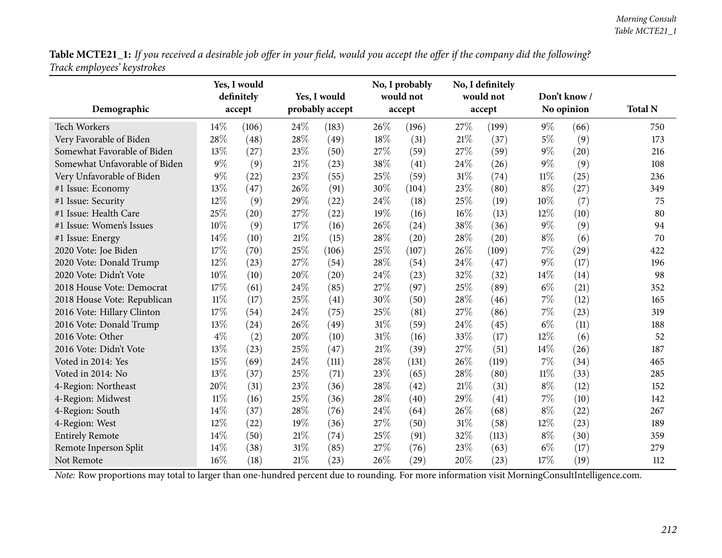Table MCTE21\_1: If you received a desirable job offer in your field, would you accept the offer if the company did the following? *Track employees' keystrokes*

| Demographic                   | Yes, I would<br>definitely<br>Yes, I would<br>probably accept<br>accept |       |     | No, I probably<br>would not<br>accept |        | No, I definitely<br>would not<br>accept |        | Don't know /<br>No opinion | <b>Total N</b> |      |     |
|-------------------------------|-------------------------------------------------------------------------|-------|-----|---------------------------------------|--------|-----------------------------------------|--------|----------------------------|----------------|------|-----|
|                               |                                                                         |       |     |                                       |        |                                         |        |                            |                |      |     |
| <b>Tech Workers</b>           | 14%                                                                     | (106) | 24% | (183)                                 | 26%    | (196)                                   | 27\%   | (199)                      | $9\%$          | (66) | 750 |
| Very Favorable of Biden       | 28%                                                                     | (48)  | 28% | (49)                                  | 18%    | (31)                                    | 21%    | (37)                       | $5\%$          | (9)  | 173 |
| Somewhat Favorable of Biden   | 13%                                                                     | (27)  | 23% | (50)                                  | 27%    | (59)                                    | 27%    | (59)                       | $9\%$          | (20) | 216 |
| Somewhat Unfavorable of Biden | 9%                                                                      | (9)   | 21% | (23)                                  | 38%    | (41)                                    | 24%    | (26)                       | $9\%$          | (9)  | 108 |
| Very Unfavorable of Biden     | $9\%$                                                                   | (22)  | 23% | (55)                                  | 25%    | (59)                                    | 31\%   | (74)                       | 11%            | (25) | 236 |
| #1 Issue: Economy             | 13%                                                                     | (47)  | 26% | (91)                                  | 30%    | (104)                                   | 23%    | (80)                       | $8\%$          | (27) | 349 |
| #1 Issue: Security            | 12%                                                                     | (9)   | 29% | (22)                                  | 24%    | (18)                                    | 25%    | (19)                       | 10%            | (7)  | 75  |
| #1 Issue: Health Care         | 25%                                                                     | (20)  | 27% | (22)                                  | 19%    | (16)                                    | $16\%$ | (13)                       | 12%            | (10) | 80  |
| #1 Issue: Women's Issues      | 10%                                                                     | (9)   | 17% | (16)                                  | 26%    | (24)                                    | 38%    | (36)                       | $9\%$          | (9)  | 94  |
| #1 Issue: Energy              | 14%                                                                     | (10)  | 21% | (15)                                  | 28%    | (20)                                    | 28%    | (20)                       | $8\%$          | (6)  | 70  |
| 2020 Vote: Joe Biden          | 17%                                                                     | (70)  | 25% | (106)                                 | 25%    | (107)                                   | 26%    | (109)                      | 7%             | (29) | 422 |
| 2020 Vote: Donald Trump       | 12%                                                                     | (23)  | 27% | (54)                                  | 28%    | (54)                                    | 24%    | (47)                       | $9\%$          | (17) | 196 |
| 2020 Vote: Didn't Vote        | 10%                                                                     | (10)  | 20% | (20)                                  | 24\%   | (23)                                    | 32%    | (32)                       | 14%            | (14) | 98  |
| 2018 House Vote: Democrat     | 17%                                                                     | (61)  | 24% | (85)                                  | 27%    | (97)                                    | 25%    | (89)                       | $6\%$          | (21) | 352 |
| 2018 House Vote: Republican   | $11\%$                                                                  | (17)  | 25% | (41)                                  | 30%    | (50)                                    | 28%    | (46)                       | $7\%$          | (12) | 165 |
| 2016 Vote: Hillary Clinton    | 17%                                                                     | (54)  | 24% | (75)                                  | 25%    | (81)                                    | 27%    | (86)                       | 7%             | (23) | 319 |
| 2016 Vote: Donald Trump       | 13%                                                                     | (24)  | 26% | (49)                                  | 31%    | (59)                                    | 24%    | (45)                       | $6\%$          | (11) | 188 |
| 2016 Vote: Other              | $4\%$                                                                   | (2)   | 20% | (10)                                  | $31\%$ | (16)                                    | 33%    | (17)                       | $12\%$         | (6)  | 52  |
| 2016 Vote: Didn't Vote        | 13%                                                                     | (23)  | 25% | (47)                                  | 21%    | (39)                                    | 27%    | (51)                       | 14%            | (26) | 187 |
| Voted in 2014: Yes            | 15%                                                                     | (69)  | 24% | (111)                                 | 28%    | (131)                                   | 26%    | (119)                      | $7\%$          | (34) | 465 |
| Voted in 2014: No             | 13%                                                                     | (37)  | 25% | (71)                                  | 23%    | (65)                                    | 28%    | (80)                       | $11\%$         | (33) | 285 |
| 4-Region: Northeast           | 20%                                                                     | (31)  | 23% | (36)                                  | 28%    | (42)                                    | 21%    | (31)                       | $8\%$          | (12) | 152 |
| 4-Region: Midwest             | $11\%$                                                                  | (16)  | 25% | (36)                                  | 28%    | (40)                                    | 29%    | (41)                       | $7\%$          | (10) | 142 |
| 4-Region: South               | 14%                                                                     | (37)  | 28% | (76)                                  | 24%    | (64)                                    | 26%    | (68)                       | $8\%$          | (22) | 267 |
| 4-Region: West                | 12%                                                                     | (22)  | 19% | (36)                                  | 27%    | (50)                                    | 31%    | (58)                       | 12%            | (23) | 189 |
| <b>Entirely Remote</b>        | 14%                                                                     | (50)  | 21% | (74)                                  | 25%    | (91)                                    | 32%    | (113)                      | $8\%$          | (30) | 359 |
| Remote Inperson Split         | 14%                                                                     | (38)  | 31% | (85)                                  | 27%    | (76)                                    | 23%    | (63)                       | $6\%$          | (17) | 279 |
| Not Remote                    | 16%                                                                     | (18)  | 21% | (23)                                  | 26%    | (29)                                    | 20%    | (23)                       | 17%            | (19) | 112 |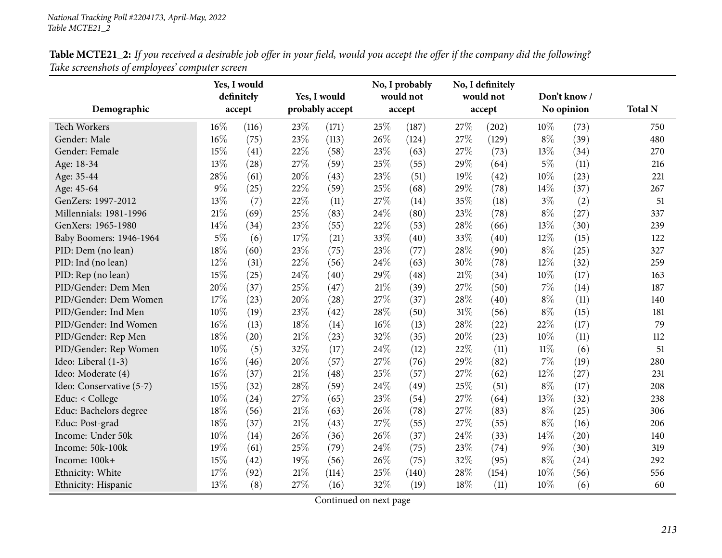| Table MCTE21_2: If you received a desirable job offer in your field, would you accept the offer if the company did the following? |  |
|-----------------------------------------------------------------------------------------------------------------------------------|--|
| Take screenshots of employees' computer screen                                                                                    |  |

|                          |       | Yes, I would<br>definitely | Yes, I would<br>probably accept |       | No, I probably<br>would not |        | No, I definitely<br>would not |        | Don't know /<br>No opinion |      | <b>Total N</b> |
|--------------------------|-------|----------------------------|---------------------------------|-------|-----------------------------|--------|-------------------------------|--------|----------------------------|------|----------------|
| Demographic              |       | accept                     |                                 |       |                             | accept |                               | accept |                            |      |                |
| <b>Tech Workers</b>      | 16%   | (116)                      | 23%                             | (171) | 25%                         | (187)  | 27%                           | (202)  | 10%                        | (73) | 750            |
| Gender: Male             | 16%   | (75)                       | 23%                             | (113) | 26%                         | (124)  | 27%                           | (129)  | $8\%$                      | (39) | 480            |
| Gender: Female           | 15%   | (41)                       | 22%                             | (58)  | 23%                         | (63)   | 27%                           | (73)   | 13%                        | (34) | 270            |
| Age: 18-34               | 13%   | (28)                       | 27%                             | (59)  | 25%                         | (55)   | 29%                           | (64)   | $5\%$                      | (11) | 216            |
| Age: 35-44               | 28%   | (61)                       | 20%                             | (43)  | 23%                         | (51)   | 19%                           | (42)   | 10%                        | (23) | 221            |
| Age: 45-64               | 9%    | (25)                       | 22%                             | (59)  | 25%                         | (68)   | 29%                           | (78)   | 14%                        | (37) | 267            |
| GenZers: 1997-2012       | 13%   | (7)                        | 22%                             | (11)  | 27%                         | (14)   | 35%                           | (18)   | $3\%$                      | (2)  | 51             |
| Millennials: 1981-1996   | 21%   | (69)                       | 25%                             | (83)  | 24%                         | (80)   | 23%                           | (78)   | $8\%$                      | (27) | 337            |
| GenXers: 1965-1980       | 14%   | (34)                       | 23%                             | (55)  | 22%                         | (53)   | 28%                           | (66)   | 13%                        | (30) | 239            |
| Baby Boomers: 1946-1964  | $5\%$ | (6)                        | 17%                             | (21)  | 33%                         | (40)   | 33%                           | (40)   | 12%                        | (15) | 122            |
| PID: Dem (no lean)       | 18%   | (60)                       | 23%                             | (75)  | 23%                         | (77)   | 28%                           | (90)   | $8\%$                      | (25) | 327            |
| PID: Ind (no lean)       | 12%   | (31)                       | 22%                             | (56)  | 24%                         | (63)   | 30%                           | (78)   | 12%                        | (32) | 259            |
| PID: Rep (no lean)       | 15%   | (25)                       | 24%                             | (40)  | 29%                         | (48)   | 21%                           | (34)   | 10%                        | (17) | 163            |
| PID/Gender: Dem Men      | 20%   | (37)                       | 25%                             | (47)  | 21%                         | (39)   | 27%                           | (50)   | $7\%$                      | (14) | 187            |
| PID/Gender: Dem Women    | 17%   | (23)                       | 20%                             | (28)  | 27%                         | (37)   | 28%                           | (40)   | $8\%$                      | (11) | 140            |
| PID/Gender: Ind Men      | 10%   | (19)                       | 23%                             | (42)  | 28%                         | (50)   | 31%                           | (56)   | $8\%$                      | (15) | 181            |
| PID/Gender: Ind Women    | 16%   | (13)                       | 18%                             | (14)  | 16%                         | (13)   | 28%                           | (22)   | 22%                        | (17) | 79             |
| PID/Gender: Rep Men      | 18%   | (20)                       | 21%                             | (23)  | 32%                         | (35)   | 20%                           | (23)   | 10%                        | (11) | 112            |
| PID/Gender: Rep Women    | 10%   | (5)                        | 32%                             | (17)  | 24%                         | (12)   | 22%                           | (11)   | $11\%$                     | (6)  | 51             |
| Ideo: Liberal (1-3)      | 16%   | (46)                       | 20%                             | (57)  | 27%                         | (76)   | 29%                           | (82)   | 7%                         | (19) | 280            |
| Ideo: Moderate (4)       | 16%   | (37)                       | 21%                             | (48)  | 25%                         | (57)   | 27%                           | (62)   | 12%                        | (27) | 231            |
| Ideo: Conservative (5-7) | 15%   | (32)                       | 28%                             | (59)  | 24%                         | (49)   | 25%                           | (51)   | $8\%$                      | (17) | 208            |
| Educ: < College          | 10%   | (24)                       | 27%                             | (65)  | 23%                         | (54)   | 27%                           | (64)   | 13%                        | (32) | 238            |
| Educ: Bachelors degree   | 18%   | (56)                       | 21%                             | (63)  | 26%                         | (78)   | 27%                           | (83)   | $8\%$                      | (25) | 306            |
| Educ: Post-grad          | 18%   | (37)                       | 21%                             | (43)  | 27%                         | (55)   | 27%                           | (55)   | $8\%$                      | (16) | 206            |
| Income: Under 50k        | 10%   | (14)                       | 26%                             | (36)  | 26%                         | (37)   | 24%                           | (33)   | 14%                        | (20) | 140            |
| Income: 50k-100k         | 19%   | (61)                       | 25%                             | (79)  | 24%                         | (75)   | 23%                           | (74)   | $9\%$                      | (30) | 319            |
| Income: 100k+            | 15%   | (42)                       | 19%                             | (56)  | 26%                         | (75)   | 32%                           | (95)   | $8\%$                      | (24) | 292            |
| Ethnicity: White         | 17%   | (92)                       | 21%                             | (114) | 25%                         | (140)  | 28%                           | (154)  | 10%                        | (56) | 556            |
| Ethnicity: Hispanic      | 13%   | (8)                        | 27%                             | (16)  | 32%                         | (19)   | 18%                           | (11)   | 10%                        | (6)  | 60             |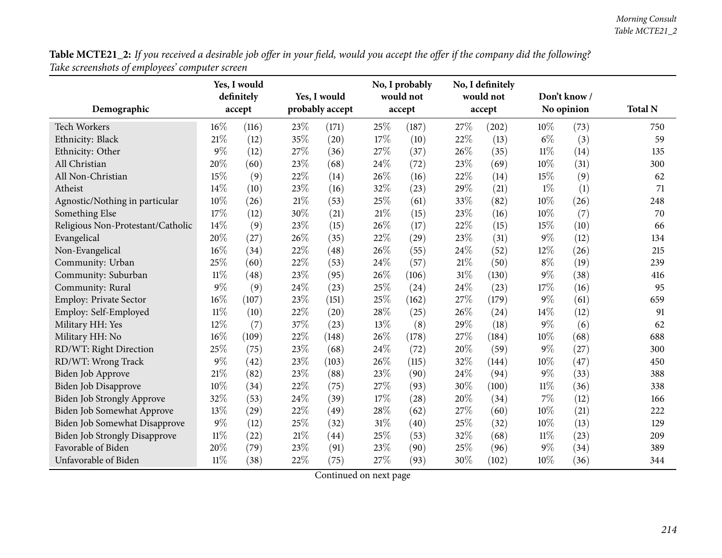| Table MCTE21_2: If you received a desirable job offer in your field, would you accept the offer if the company did the following? |  |  |
|-----------------------------------------------------------------------------------------------------------------------------------|--|--|
| Take screenshots of employees' computer screen                                                                                    |  |  |

|                                      | Yes, I would<br>definitely<br>Yes, I would |        |     |                 | No, I probably<br>would not | No, I definitely<br>would not |        |       | Don't know / |      |                |
|--------------------------------------|--------------------------------------------|--------|-----|-----------------|-----------------------------|-------------------------------|--------|-------|--------------|------|----------------|
| Demographic                          |                                            | accept |     | probably accept |                             | accept                        | accept |       | No opinion   |      | <b>Total N</b> |
| <b>Tech Workers</b>                  | $16\%$                                     | (116)  | 23% | (171)           | 25%                         | (187)                         | 27%    | (202) | 10%          | (73) | 750            |
| Ethnicity: Black                     | 21%                                        | (12)   | 35% | (20)            | 17%                         | (10)                          | 22%    | (13)  | $6\%$        | (3)  | 59             |
| Ethnicity: Other                     | 9%                                         | (12)   | 27% | (36)            | 27%                         | (37)                          | 26%    | (35)  | $11\%$       | (14) | 135            |
| All Christian                        | 20%                                        | (60)   | 23% | (68)            | 24%                         | (72)                          | 23%    | (69)  | $10\%$       | (31) | 300            |
| All Non-Christian                    | 15%                                        | (9)    | 22% | (14)            | 26%                         | (16)                          | 22%    | (14)  | 15%          | (9)  | 62             |
| Atheist                              | 14%                                        | (10)   | 23% | (16)            | 32%                         | (23)                          | 29%    | (21)  | $1\%$        | (1)  | 71             |
| Agnostic/Nothing in particular       | 10%                                        | (26)   | 21% | (53)            | 25%                         | (61)                          | 33%    | (82)  | 10%          | (26) | 248            |
| Something Else                       | 17%                                        | (12)   | 30% | (21)            | 21%                         | (15)                          | 23%    | (16)  | 10%          | (7)  | 70             |
| Religious Non-Protestant/Catholic    | 14%                                        | (9)    | 23% | (15)            | 26%                         | (17)                          | 22%    | (15)  | 15%          | (10) | 66             |
| Evangelical                          | 20%                                        | (27)   | 26% | (35)            | 22%                         | (29)                          | 23%    | (31)  | $9\%$        | (12) | 134            |
| Non-Evangelical                      | 16%                                        | (34)   | 22% | (48)            | 26%                         | (55)                          | 24%    | (52)  | 12%          | (26) | 215            |
| Community: Urban                     | 25%                                        | (60)   | 22% | (53)            | 24%                         | (57)                          | 21%    | (50)  | $8\%$        | (19) | 239            |
| Community: Suburban                  | $11\%$                                     | (48)   | 23% | (95)            | 26%                         | (106)                         | 31%    | (130) | $9\%$        | (38) | 416            |
| Community: Rural                     | 9%                                         | (9)    | 24% | (23)            | 25%                         | (24)                          | 24\%   | (23)  | 17\%         | (16) | 95             |
| Employ: Private Sector               | 16%                                        | (107)  | 23% | (151)           | 25%                         | (162)                         | 27%    | (179) | $9\%$        | (61) | 659            |
| Employ: Self-Employed                | $11\%$                                     | (10)   | 22% | (20)            | 28%                         | (25)                          | 26%    | (24)  | 14\%         | (12) | 91             |
| Military HH: Yes                     | 12%                                        | (7)    | 37% | (23)            | 13%                         | (8)                           | 29%    | (18)  | $9\%$        | (6)  | 62             |
| Military HH: No                      | 16%                                        | (109)  | 22% | (148)           | 26%                         | (178)                         | 27%    | (184) | 10%          | (68) | 688            |
| RD/WT: Right Direction               | 25%                                        | (75)   | 23% | (68)            | 24%                         | (72)                          | 20%    | (59)  | $9\%$        | (27) | 300            |
| RD/WT: Wrong Track                   | 9%                                         | (42)   | 23% | (103)           | 26%                         | (115)                         | 32%    | (144) | 10%          | (47) | 450            |
| Biden Job Approve                    | 21%                                        | (82)   | 23% | (88)            | 23%                         | (90)                          | 24%    | (94)  | $9\%$        | (33) | 388            |
| Biden Job Disapprove                 | 10%                                        | (34)   | 22% | (75)            | 27%                         | (93)                          | 30%    | (100) | $11\%$       | (36) | 338            |
| Biden Job Strongly Approve           | 32%                                        | (53)   | 24% | (39)            | 17%                         | (28)                          | 20%    | (34)  | 7%           | (12) | 166            |
| Biden Job Somewhat Approve           | 13%                                        | (29)   | 22% | (49)            | 28%                         | (62)                          | 27%    | (60)  | $10\%$       | (21) | 222            |
| <b>Biden Job Somewhat Disapprove</b> | 9%                                         | (12)   | 25% | (32)            | 31%                         | (40)                          | 25%    | (32)  | 10%          | (13) | 129            |
| Biden Job Strongly Disapprove        | $11\%$                                     | (22)   | 21% | (44)            | 25%                         | (53)                          | 32%    | (68)  | $11\%$       | (23) | 209            |
| Favorable of Biden                   | 20%                                        | (79)   | 23% | (91)            | 23%                         | (90)                          | 25%    | (96)  | $9\%$        | (34) | 389            |
| Unfavorable of Biden                 | $11\%$                                     | (38)   | 22% | (75)            | 27%                         | (93)                          | 30%    | (102) | $10\%$       | (36) | 344            |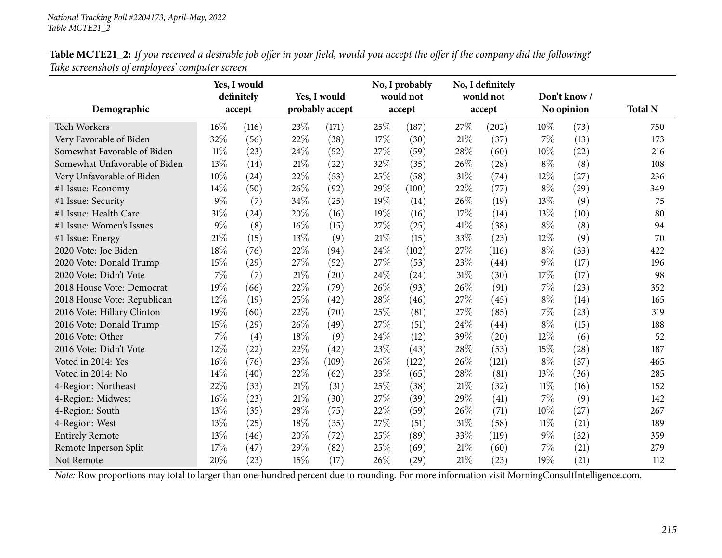|                               |        | Yes, I would         |     |                                 |        | No, I probably<br>would not |      | No, I definitely<br>would not |            | Don't know / |                |
|-------------------------------|--------|----------------------|-----|---------------------------------|--------|-----------------------------|------|-------------------------------|------------|--------------|----------------|
| Demographic                   |        | definitely<br>accept |     | Yes, I would<br>probably accept |        | accept                      |      | accept                        | No opinion |              | <b>Total N</b> |
|                               |        |                      |     |                                 |        |                             |      |                               |            |              |                |
| <b>Tech Workers</b>           | 16%    | (116)                | 23% | (171)                           | 25%    | (187)                       | 27\% | (202)                         | 10%        | (73)         | 750            |
| Very Favorable of Biden       | 32%    | (56)                 | 22% | (38)                            | 17%    | (30)                        | 21%  | (37)                          | 7%         | (13)         | 173            |
| Somewhat Favorable of Biden   | $11\%$ | (23)                 | 24% | (52)                            | 27%    | (59)                        | 28%  | (60)                          | 10%        | (22)         | 216            |
| Somewhat Unfavorable of Biden | 13%    | (14)                 | 21% | (22)                            | 32%    | (35)                        | 26%  | (28)                          | $8\%$      | (8)          | 108            |
| Very Unfavorable of Biden     | 10%    | (24)                 | 22% | (53)                            | 25%    | (58)                        | 31%  | (74)                          | 12%        | (27)         | 236            |
| #1 Issue: Economy             | 14%    | (50)                 | 26% | (92)                            | 29%    | (100)                       | 22%  | (77)                          | $8\%$      | (29)         | 349            |
| #1 Issue: Security            | 9%     | (7)                  | 34% | (25)                            | 19%    | (14)                        | 26%  | (19)                          | 13%        | (9)          | 75             |
| #1 Issue: Health Care         | 31%    | (24)                 | 20% | (16)                            | 19%    | (16)                        | 17%  | (14)                          | 13%        | (10)         | 80             |
| #1 Issue: Women's Issues      | 9%     | (8)                  | 16% | (15)                            | 27%    | (25)                        | 41\% | (38)                          | $8\%$      | (8)          | 94             |
| #1 Issue: Energy              | 21%    | (15)                 | 13% | (9)                             | 21%    | (15)                        | 33%  | (23)                          | 12%        | (9)          | 70             |
| 2020 Vote: Joe Biden          | 18%    | (76)                 | 22% | (94)                            | 24%    | (102)                       | 27%  | (116)                         | $8\%$      | (33)         | 422            |
| 2020 Vote: Donald Trump       | 15%    | (29)                 | 27% | (52)                            | 27%    | (53)                        | 23%  | (44)                          | $9\%$      | (17)         | 196            |
| 2020 Vote: Didn't Vote        | 7%     | (7)                  | 21% | (20)                            | 24%    | (24)                        | 31%  | (30)                          | 17%        | (17)         | 98             |
| 2018 House Vote: Democrat     | 19%    | (66)                 | 22% | (79)                            | 26%    | (93)                        | 26%  | (91)                          | 7%         | (23)         | 352            |
| 2018 House Vote: Republican   | 12%    | (19)                 | 25% | (42)                            | 28%    | (46)                        | 27%  | (45)                          | $8\%$      | (14)         | 165            |
| 2016 Vote: Hillary Clinton    | 19%    | (60)                 | 22% | (70)                            | 25%    | (81)                        | 27%  | (85)                          | $7\%$      | (23)         | 319            |
| 2016 Vote: Donald Trump       | 15%    | (29)                 | 26% | (49)                            | 27%    | (51)                        | 24%  | (44)                          | $8\%$      | (15)         | 188            |
| 2016 Vote: Other              | 7%     | (4)                  | 18% | (9)                             | 24%    | (12)                        | 39%  | (20)                          | $12\%$     | (6)          | 52             |
| 2016 Vote: Didn't Vote        | 12%    | (22)                 | 22% | (42)                            | 23%    | (43)                        | 28%  | (53)                          | 15%        | (28)         | 187            |
| Voted in 2014: Yes            | 16%    | (76)                 | 23% | (109)                           | 26%    | (122)                       | 26%  | (121)                         | $8\%$      | (37)         | 465            |
| Voted in 2014: No             | 14%    | (40)                 | 22% | (62)                            | 23%    | (65)                        | 28%  | (81)                          | 13\%       | (36)         | 285            |
| 4-Region: Northeast           | 22%    | (33)                 | 21% | (31)                            | $25\%$ | (38)                        | 21%  | (32)                          | 11%        | (16)         | 152            |
| 4-Region: Midwest             | 16%    | (23)                 | 21% | (30)                            | 27%    | (39)                        | 29%  | (41)                          | 7%         | (9)          | 142            |
| 4-Region: South               | 13%    | (35)                 | 28% | (75)                            | 22%    | (59)                        | 26%  | (71)                          | 10%        | (27)         | 267            |
| 4-Region: West                | 13%    | (25)                 | 18% | (35)                            | 27%    | (51)                        | 31%  | (58)                          | $11\%$     | (21)         | 189            |
| <b>Entirely Remote</b>        | 13%    | (46)                 | 20% | (72)                            | 25%    | (89)                        | 33%  | (119)                         | $9\%$      | (32)         | 359            |
| Remote Inperson Split         | 17%    | (47)                 | 29% | (82)                            | 25%    | (69)                        | 21%  | (60)                          | 7%         | (21)         | 279            |
| Not Remote                    | 20%    | (23)                 | 15% | (17)                            | 26%    | (29)                        | 21%  | (23)                          | 19%        | (21)         | 112            |

Table MCTE21\_2: If you received a desirable job offer in your field, would you accept the offer if the company did the following? *Take screenshots of employees' computer screen*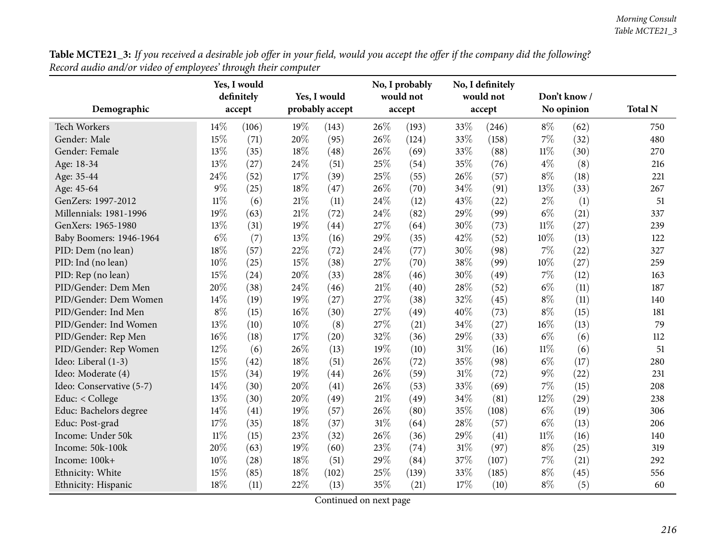| Table MCTE21_3: If you received a desirable job offer in your field, would you accept the offer if the company did the following? |  |
|-----------------------------------------------------------------------------------------------------------------------------------|--|
| Record audio and/or video of employees' through their computer                                                                    |  |

|                          |        | Yes, I would<br>definitely |      | Yes, I would    |     | No, I probably<br>would not |        | No, I definitely<br>would not | Don't know / |      |                |
|--------------------------|--------|----------------------------|------|-----------------|-----|-----------------------------|--------|-------------------------------|--------------|------|----------------|
| Demographic              |        | accept                     |      | probably accept |     | accept                      | accept |                               | No opinion   |      | <b>Total N</b> |
| Tech Workers             | 14%    | (106)                      | 19%  | (143)           | 26% | (193)                       | 33%    | (246)                         | $8\%$        | (62) | 750            |
| Gender: Male             | 15%    | (71)                       | 20%  | (95)            | 26% | (124)                       | 33%    | (158)                         | $7\%$        | (32) | 480            |
| Gender: Female           | 13%    | (35)                       | 18%  | (48)            | 26% | (69)                        | 33%    | (88)                          | $11\%$       | (30) | 270            |
| Age: 18-34               | 13%    | (27)                       | 24%  | (51)            | 25% | (54)                        | 35%    | (76)                          | $4\%$        | (8)  | 216            |
| Age: 35-44               | 24%    | (52)                       | 17%  | (39)            | 25% | (55)                        | 26%    | (57)                          | $8\%$        | (18) | 221            |
| Age: 45-64               | $9\%$  | (25)                       | 18%  | (47)            | 26% | (70)                        | 34%    | (91)                          | 13%          | (33) | 267            |
| GenZers: 1997-2012       | $11\%$ | (6)                        | 21%  | (11)            | 24% | (12)                        | 43%    | (22)                          | $2\%$        | (1)  | 51             |
| Millennials: 1981-1996   | 19%    | (63)                       | 21\% | (72)            | 24% | (82)                        | 29%    | (99)                          | $6\%$        | (21) | 337            |
| GenXers: 1965-1980       | 13%    | (31)                       | 19%  | (44)            | 27% | (64)                        | 30%    | (73)                          | $11\%$       | (27) | 239            |
| Baby Boomers: 1946-1964  | $6\%$  | (7)                        | 13%  | (16)            | 29% | (35)                        | 42%    | (52)                          | 10%          | (13) | 122            |
| PID: Dem (no lean)       | 18%    | (57)                       | 22%  | (72)            | 24% | (77)                        | 30%    | (98)                          | 7%           | (22) | 327            |
| PID: Ind (no lean)       | 10%    | (25)                       | 15%  | (38)            | 27% | (70)                        | 38%    | (99)                          | 10%          | (27) | 259            |
| PID: Rep (no lean)       | 15%    | (24)                       | 20%  | (33)            | 28% | (46)                        | 30%    | (49)                          | 7%           | (12) | 163            |
| PID/Gender: Dem Men      | 20%    | (38)                       | 24%  | (46)            | 21% | (40)                        | 28%    | (52)                          | $6\%$        | (11) | 187            |
| PID/Gender: Dem Women    | 14%    | (19)                       | 19%  | (27)            | 27% | (38)                        | 32%    | (45)                          | $8\%$        | (11) | 140            |
| PID/Gender: Ind Men      | $8\%$  | (15)                       | 16%  | (30)            | 27% | (49)                        | 40%    | (73)                          | $8\%$        | (15) | 181            |
| PID/Gender: Ind Women    | 13%    | (10)                       | 10%  | (8)             | 27% | (21)                        | 34%    | (27)                          | 16%          | (13) | 79             |
| PID/Gender: Rep Men      | 16%    | (18)                       | 17%  | (20)            | 32% | (36)                        | 29%    | (33)                          | $6\%$        | (6)  | 112            |
| PID/Gender: Rep Women    | 12%    | (6)                        | 26%  | (13)            | 19% | (10)                        | $31\%$ | (16)                          | $11\%$       | (6)  | 51             |
| Ideo: Liberal (1-3)      | 15%    | (42)                       | 18%  | (51)            | 26% | (72)                        | 35%    | (98)                          | $6\%$        | (17) | 280            |
| Ideo: Moderate (4)       | 15%    | (34)                       | 19%  | (44)            | 26% | (59)                        | 31%    | (72)                          | $9\%$        | (22) | 231            |
| Ideo: Conservative (5-7) | 14%    | (30)                       | 20%  | (41)            | 26% | (53)                        | 33%    | (69)                          | $7\%$        | (15) | 208            |
| Educ: < College          | 13%    | (30)                       | 20%  | (49)            | 21% | (49)                        | 34%    | (81)                          | 12%          | (29) | 238            |
| Educ: Bachelors degree   | 14%    | (41)                       | 19%  | (57)            | 26% | (80)                        | 35%    | (108)                         | $6\%$        | (19) | 306            |
| Educ: Post-grad          | 17%    | (35)                       | 18%  | (37)            | 31% | (64)                        | 28%    | (57)                          | $6\%$        | (13) | 206            |
| Income: Under 50k        | $11\%$ | (15)                       | 23%  | (32)            | 26% | (36)                        | 29%    | (41)                          | $11\%$       | (16) | 140            |
| Income: 50k-100k         | 20%    | (63)                       | 19%  | (60)            | 23% | (74)                        | 31%    | (97)                          | $8\%$        | (25) | 319            |
| Income: 100k+            | 10%    | (28)                       | 18%  | (51)            | 29% | (84)                        | 37%    | (107)                         | 7%           | (21) | 292            |
| Ethnicity: White         | 15%    | (85)                       | 18%  | (102)           | 25% | (139)                       | 33%    | (185)                         | $8\%$        | (45) | 556            |
| Ethnicity: Hispanic      | 18%    | (11)                       | 22%  | (13)            | 35% | (21)                        | 17%    | (10)                          | $8\%$        | (5)  | 60             |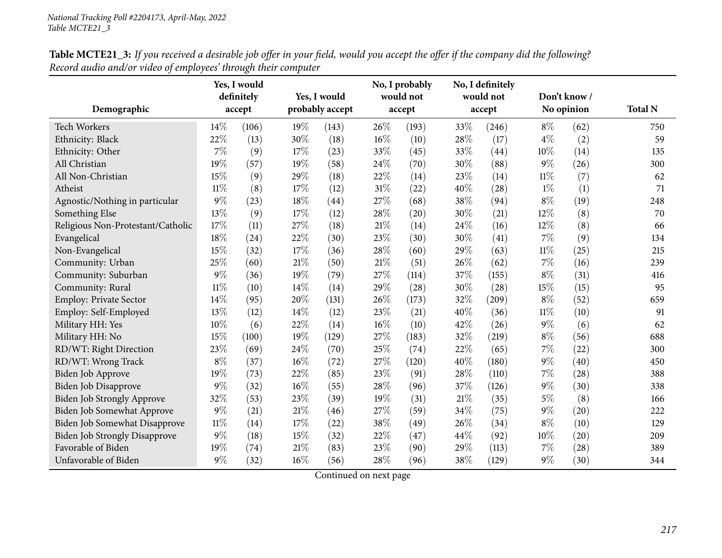|                                      |        | Yes, I would |      |                 |      | No, I probably |      | No, I definitely |              |                    |                |
|--------------------------------------|--------|--------------|------|-----------------|------|----------------|------|------------------|--------------|--------------------|----------------|
|                                      |        | definitely   |      | Yes, I would    |      | would not      |      | would not        | Don't know / |                    |                |
| Demographic                          |        | accept       |      | probably accept |      | accept         |      | accept           |              | No opinion         | <b>Total N</b> |
| <b>Tech Workers</b>                  | 14%    | (106)        | 19%  | (143)           | 26\% | (193)          | 33%  | (246)            | $8\%$        | (62)               | 750            |
| Ethnicity: Black                     | 22%    | (13)         | 30%  | (18)            | 16%  | (10)           | 28%  | (17)             | $4\%$        | (2)                | 59             |
| Ethnicity: Other                     | 7%     | (9)          | 17%  | (23)            | 33%  | (45)           | 33%  | (44)             | 10%          | (14)               | 135            |
| All Christian                        | 19%    | (57)         | 19%  | (58)            | 24%  | (70)           | 30%  | (88)             | $9\%$        | (26)               | 300            |
| All Non-Christian                    | 15%    | (9)          | 29%  | (18)            | 22%  | (14)           | 23%  | (14)             | 11%          | (7)                | 62             |
| Atheist                              | $11\%$ | (8)          | 17%  | (12)            | 31%  | (22)           | 40%  | (28)             | $1\%$        | (1)                | 71             |
| Agnostic/Nothing in particular       | 9%     | (23)         | 18%  | (44)            | 27%  | (68)           | 38%  | (94)             | $8\%$        | (19)               | 248            |
| Something Else                       | 13%    | (9)          | 17%  | (12)            | 28%  | (20)           | 30%  | (21)             | 12%          | (8)                | 70             |
| Religious Non-Protestant/Catholic    | 17%    | (11)         | 27%  | (18)            | 21\% | (14)           | 24\% | (16)             | $12\%$       | (8)                | 66             |
| Evangelical                          | 18%    | (24)         | 22%  | (30)            | 23%  | (30)           | 30%  | (41)             | 7%           | (9)                | 134            |
| Non-Evangelical                      | 15%    | (32)         | 17%  | (36)            | 28%  | (60)           | 29%  | (63)             | 11%          | (25)               | 215            |
| Community: Urban                     | 25%    | (60)         | 21%  | (50)            | 21\% | (51)           | 26%  | (62)             | $7\%$        | (16)               | 239            |
| Community: Suburban                  | 9%     | (36)         | 19%  | (79)            | 27%  | (114)          | 37%  | (155)            | $8\%$        | (31)               | 416            |
| Community: Rural                     | $11\%$ | (10)         | 14%  | (14)            | 29%  | (28)           | 30%  | (28)             | 15%          | (15)               | 95             |
| <b>Employ: Private Sector</b>        | 14%    | (95)         | 20%  | (131)           | 26%  | (173)          | 32%  | (209)            | $8\%$        | (52)               | 659            |
| Employ: Self-Employed                | 13%    | (12)         | 14%  | (12)            | 23%  | (21)           | 40%  | (36)             | $11\%$       | (10)               | 91             |
| Military HH: Yes                     | 10%    | (6)          | 22%  | (14)            | 16%  | (10)           | 42%  | (26)             | $9\%$        | (6)                | 62             |
| Military HH: No                      | 15%    | (100)        | 19%  | (129)           | 27%  | (183)          | 32%  | (219)            | $8\%$        | (56)               | 688            |
| RD/WT: Right Direction               | 23%    | (69)         | 24%  | (70)            | 25%  | (74)           | 22%  | (65)             | $7\%$        | (22)               | 300            |
| RD/WT: Wrong Track                   | $8\%$  | (37)         | 16%  | (72)            | 27%  | (120)          | 40%  | (180)            | $9\%$        | (40)               | 450            |
| Biden Job Approve                    | 19%    | (73)         | 22%  | (85)            | 23%  | (91)           | 28%  | (110)            | $7\%$        | (28)               | 388            |
| <b>Biden Job Disapprove</b>          | 9%     | (32)         | 16%  | (55)            | 28%  | (96)           | 37%  | (126)            | $9\%$        | (30)               | 338            |
| Biden Job Strongly Approve           | 32%    | (53)         | 23%  | (39)            | 19%  | (31)           | 21%  | (35)             | $5\%$        | (8)                | 166            |
| Biden Job Somewhat Approve           | 9%     | (21)         | 21%  | (46)            | 27%  | (59)           | 34%  | (75)             | $9\%$        | (20)               | 222            |
| Biden Job Somewhat Disapprove        | $11\%$ | (14)         | 17%  | (22)            | 38%  | (49)           | 26%  | (34)             | $8\%$        | (10)               | 129            |
| <b>Biden Job Strongly Disapprove</b> | 9%     | (18)         | 15%  | (32)            | 22%  | (47)           | 44%  | (92)             | 10%          | (20)               | 209            |
| Favorable of Biden                   | 19%    | (74)         | 21\% | (83)            | 23%  | (90)           | 29%  | (113)            | $7\%$        | $\left( 28\right)$ | 389            |
| Unfavorable of Biden                 | 9%     | (32)         | 16%  | (56)            | 28%  | (96)           | 38%  | (129)            | $9\%$        | (30)               | 344            |

**Table MCTE21\_3:** If you received a desirable job offer in your field, would you accept the offer if the company did the following? *Record audio and/or video of employees' through their computer*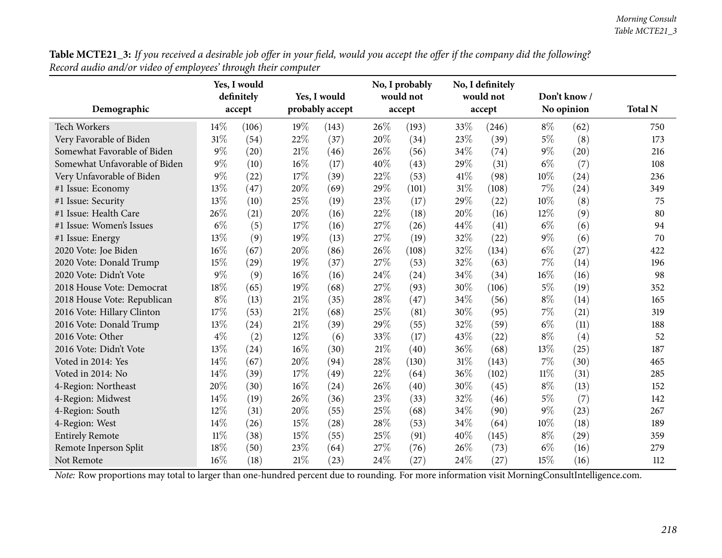| Table MCTE21_3: If you received a desirable job offer in your field, would you accept the offer if the company did the following? |  |
|-----------------------------------------------------------------------------------------------------------------------------------|--|
| Record audio and/or video of employees' through their computer                                                                    |  |

|                               |        | Yes, I would<br>definitely |     | Yes, I would    |        | No, I probably<br>would not |      | No, I definitely<br>would not |        | Don't know / |                |
|-------------------------------|--------|----------------------------|-----|-----------------|--------|-----------------------------|------|-------------------------------|--------|--------------|----------------|
| Demographic                   |        | accept                     |     | probably accept |        | accept                      |      | accept                        |        | No opinion   | <b>Total N</b> |
| <b>Tech Workers</b>           | 14\%   | (106)                      | 19% | (143)           | 26%    | (193)                       | 33%  | (246)                         | $8\%$  | (62)         | 750            |
| Very Favorable of Biden       | 31%    | (54)                       | 22% | (37)            | 20%    | (34)                        | 23%  | (39)                          | $5\%$  | (8)          | 173            |
| Somewhat Favorable of Biden   | $9\%$  | (20)                       | 21% | (46)            | 26%    | (56)                        | 34%  | (74)                          | $9\%$  | (20)         | 216            |
| Somewhat Unfavorable of Biden | $9\%$  | (10)                       | 16% | (17)            | 40%    | (43)                        | 29%  | (31)                          | $6\%$  | (7)          | 108            |
| Very Unfavorable of Biden     | $9\%$  | (22)                       | 17% | (39)            | 22%    | (53)                        | 41\% | (98)                          | $10\%$ | (24)         | 236            |
| #1 Issue: Economy             | 13%    | (47)                       | 20% | (69)            | 29%    | (101)                       | 31%  | (108)                         | $7\%$  | (24)         | 349            |
| #1 Issue: Security            | 13%    | (10)                       | 25% | (19)            | 23%    | (17)                        | 29%  | (22)                          | $10\%$ | (8)          | 75             |
| #1 Issue: Health Care         | 26%    | (21)                       | 20% | (16)            | $22\%$ | (18)                        | 20%  | (16)                          | 12%    | (9)          | 80             |
| #1 Issue: Women's Issues      | $6\%$  | (5)                        | 17% | (16)            | 27%    | (26)                        | 44%  | (41)                          | $6\%$  | (6)          | 94             |
| #1 Issue: Energy              | 13%    | (9)                        | 19% | (13)            | 27%    | (19)                        | 32%  | (22)                          | $9\%$  | (6)          | 70             |
| 2020 Vote: Joe Biden          | 16%    | (67)                       | 20% | (86)            | 26%    | (108)                       | 32%  | (134)                         | $6\%$  | (27)         | 422            |
| 2020 Vote: Donald Trump       | 15%    | (29)                       | 19% | (37)            | 27%    | (53)                        | 32%  | (63)                          | $7\%$  | (14)         | 196            |
| 2020 Vote: Didn't Vote        | $9\%$  | (9)                        | 16% | (16)            | 24%    | (24)                        | 34%  | (34)                          | 16%    | (16)         | 98             |
| 2018 House Vote: Democrat     | 18%    | (65)                       | 19% | (68)            | 27%    | (93)                        | 30%  | (106)                         | $5\%$  | (19)         | 352            |
| 2018 House Vote: Republican   | $8\%$  | (13)                       | 21% | (35)            | 28%    | (47)                        | 34%  | (56)                          | $8\%$  | (14)         | 165            |
| 2016 Vote: Hillary Clinton    | 17%    | (53)                       | 21% | (68)            | 25%    | (81)                        | 30%  | (95)                          | $7\%$  | (21)         | 319            |
| 2016 Vote: Donald Trump       | 13%    | (24)                       | 21% | (39)            | 29%    | (55)                        | 32%  | (59)                          | $6\%$  | (11)         | 188            |
| 2016 Vote: Other              | $4\%$  | (2)                        | 12% | (6)             | 33%    | (17)                        | 43%  | (22)                          | $8\%$  | (4)          | 52             |
| 2016 Vote: Didn't Vote        | 13%    | (24)                       | 16% | (30)            | 21%    | (40)                        | 36%  | (68)                          | 13%    | (25)         | 187            |
| Voted in 2014: Yes            | 14%    | (67)                       | 20% | (94)            | 28%    | (130)                       | 31%  | (143)                         | $7\%$  | (30)         | 465            |
| Voted in 2014: No             | 14%    | (39)                       | 17% | (49)            | 22%    | (64)                        | 36%  | (102)                         | $11\%$ | (31)         | 285            |
| 4-Region: Northeast           | 20%    | (30)                       | 16% | (24)            | 26%    | (40)                        | 30%  | (45)                          | $8\%$  | (13)         | 152            |
| 4-Region: Midwest             | 14%    | (19)                       | 26% | (36)            | 23%    | (33)                        | 32%  | (46)                          | $5\%$  | (7)          | 142            |
| 4-Region: South               | 12%    | (31)                       | 20% | (55)            | 25%    | (68)                        | 34%  | (90)                          | $9\%$  | (23)         | 267            |
| 4-Region: West                | 14%    | (26)                       | 15% | (28)            | 28%    | (53)                        | 34%  | (64)                          | 10%    | (18)         | 189            |
| <b>Entirely Remote</b>        | $11\%$ | (38)                       | 15% | (55)            | 25%    | (91)                        | 40%  | (145)                         | $8\%$  | (29)         | 359            |
| Remote Inperson Split         | 18%    | (50)                       | 23% | (64)            | 27%    | (76)                        | 26%  | (73)                          | $6\%$  | (16)         | 279            |
| Not Remote                    | 16%    | (18)                       | 21% | (23)            | 24%    | (27)                        | 24%  | (27)                          | 15%    | (16)         | 112            |

*Note:* Row proportions may total to larger than one-hundred percen<sup>t</sup> due to rounding. For more information visit [MorningConsultIntelligence.com](https://morningconsultintelligence.com).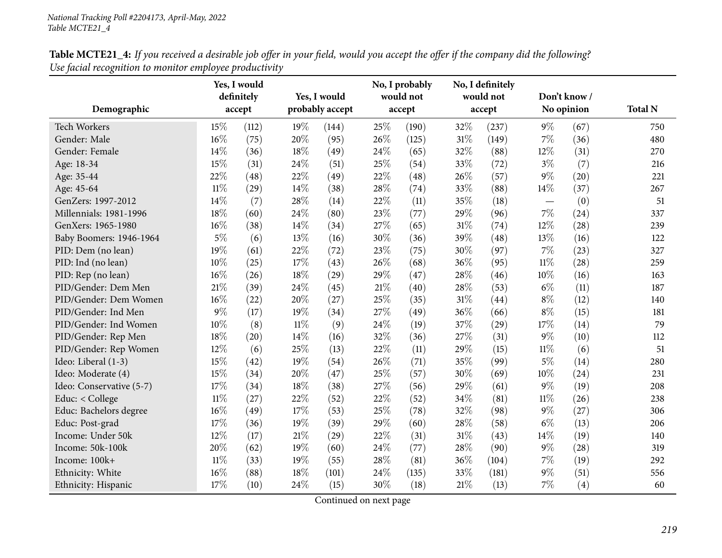| Table MCTE21_4: If you received a desirable job offer in your field, would you accept the offer if the company did the following? |  |
|-----------------------------------------------------------------------------------------------------------------------------------|--|
| Use facial recognition to monitor employee productivity                                                                           |  |

| Demographic              |        | Yes, I would<br>definitely<br>accept |        | Yes, I would<br>probably accept |     | No, I probably<br>would not<br>accept |        | No, I definitely<br>would not<br>accept |        | Don't know /<br>No opinion | <b>Total N</b> |
|--------------------------|--------|--------------------------------------|--------|---------------------------------|-----|---------------------------------------|--------|-----------------------------------------|--------|----------------------------|----------------|
| <b>Tech Workers</b>      | 15%    | (112)                                | 19%    | (144)                           | 25% | (190)                                 | 32%    | (237)                                   | $9\%$  | (67)                       | 750            |
| Gender: Male             | 16%    | (75)                                 | 20%    | (95)                            | 26% | (125)                                 | $31\%$ | (149)                                   | $7\%$  | (36)                       | 480            |
| Gender: Female           | 14%    | (36)                                 | 18%    | (49)                            | 24% | (65)                                  | 32%    | (88)                                    | 12%    | (31)                       | 270            |
| Age: 18-34               | 15%    | (31)                                 | 24%    | (51)                            | 25% | (54)                                  | 33%    | (72)                                    | $3\%$  | (7)                        | 216            |
| Age: 35-44               | 22%    | (48)                                 | 22%    | (49)                            | 22% | (48)                                  | 26%    | (57)                                    | $9\%$  | (20)                       | 221            |
| Age: 45-64               | $11\%$ | (29)                                 | 14%    | (38)                            | 28% | (74)                                  | 33%    | (88)                                    | $14\%$ | (37)                       | 267            |
| GenZers: 1997-2012       | 14%    | (7)                                  | 28%    | (14)                            | 22% | (11)                                  | 35%    | (18)                                    |        | (0)                        | 51             |
| Millennials: 1981-1996   | 18%    | (60)                                 | 24%    | (80)                            | 23% | (77)                                  | 29%    | (96)                                    | $7\%$  | (24)                       | 337            |
| GenXers: 1965-1980       | 16%    | (38)                                 | 14%    | (34)                            | 27% | (65)                                  | 31%    | (74)                                    | 12%    | (28)                       | 239            |
| Baby Boomers: 1946-1964  | $5\%$  | (6)                                  | 13%    | (16)                            | 30% | (36)                                  | 39%    | (48)                                    | 13%    | (16)                       | 122            |
| PID: Dem (no lean)       | 19%    | (61)                                 | 22%    | (72)                            | 23% | (75)                                  | 30%    | (97)                                    | 7%     | (23)                       | 327            |
| PID: Ind (no lean)       | 10%    | (25)                                 | 17%    | (43)                            | 26% | (68)                                  | 36%    | (95)                                    | $11\%$ | (28)                       | 259            |
| PID: Rep (no lean)       | 16%    | (26)                                 | 18%    | (29)                            | 29% | (47)                                  | 28%    | (46)                                    | 10%    | (16)                       | 163            |
| PID/Gender: Dem Men      | 21%    | (39)                                 | 24%    | (45)                            | 21% | (40)                                  | 28%    | (53)                                    | $6\%$  | (11)                       | 187            |
| PID/Gender: Dem Women    | 16%    | (22)                                 | 20%    | (27)                            | 25% | (35)                                  | 31%    | (44)                                    | $8\%$  | (12)                       | 140            |
| PID/Gender: Ind Men      | $9\%$  | (17)                                 | 19%    | (34)                            | 27% | (49)                                  | 36%    | (66)                                    | $8\%$  | (15)                       | 181            |
| PID/Gender: Ind Women    | 10%    | (8)                                  | $11\%$ | (9)                             | 24% | (19)                                  | 37%    | (29)                                    | 17%    | (14)                       | 79             |
| PID/Gender: Rep Men      | 18%    | (20)                                 | 14%    | (16)                            | 32% | (36)                                  | 27%    | (31)                                    | $9\%$  | (10)                       | 112            |
| PID/Gender: Rep Women    | 12%    | (6)                                  | 25%    | (13)                            | 22% | (11)                                  | 29%    | (15)                                    | $11\%$ | (6)                        | 51             |
| Ideo: Liberal (1-3)      | 15%    | (42)                                 | 19%    | (54)                            | 26% | (71)                                  | 35%    | (99)                                    | $5\%$  | (14)                       | 280            |
| Ideo: Moderate (4)       | 15%    | (34)                                 | 20%    | (47)                            | 25% | (57)                                  | 30%    | (69)                                    | $10\%$ | (24)                       | 231            |
| Ideo: Conservative (5-7) | 17%    | (34)                                 | 18%    | (38)                            | 27% | (56)                                  | 29%    | (61)                                    | $9\%$  | (19)                       | 208            |
| Educ: < College          | $11\%$ | (27)                                 | 22%    | (52)                            | 22% | (52)                                  | 34%    | (81)                                    | $11\%$ | (26)                       | 238            |
| Educ: Bachelors degree   | 16%    | (49)                                 | 17%    | (53)                            | 25% | (78)                                  | 32%    | (98)                                    | $9\%$  | (27)                       | 306            |
| Educ: Post-grad          | 17%    | (36)                                 | 19%    | (39)                            | 29% | (60)                                  | 28%    | (58)                                    | $6\%$  | (13)                       | 206            |
| Income: Under 50k        | 12%    | (17)                                 | 21%    | (29)                            | 22% | (31)                                  | $31\%$ | (43)                                    | $14\%$ | (19)                       | 140            |
| Income: 50k-100k         | 20%    | (62)                                 | 19%    | (60)                            | 24% | (77)                                  | 28%    | (90)                                    | $9\%$  | (28)                       | 319            |
| Income: 100k+            | $11\%$ | (33)                                 | 19%    | (55)                            | 28% | (81)                                  | 36%    | (104)                                   | 7%     | (19)                       | 292            |
| Ethnicity: White         | 16%    | (88)                                 | 18%    | (101)                           | 24% | (135)                                 | 33%    | (181)                                   | $9\%$  | (51)                       | 556            |
| Ethnicity: Hispanic      | 17%    | (10)                                 | 24%    | (15)                            | 30% | (18)                                  | 21%    | (13)                                    | 7%     | (4)                        | 60             |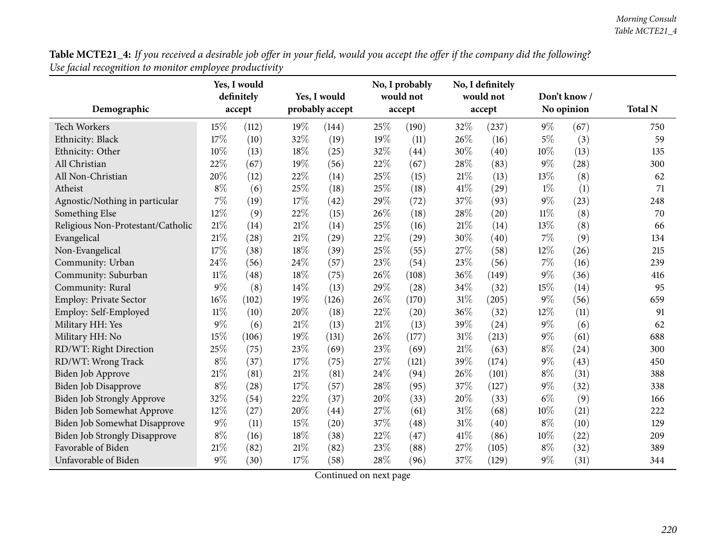| Table MCTE21_4: If you received a desirable job offer in your field, would you accept the offer if the company did the following? |  |
|-----------------------------------------------------------------------------------------------------------------------------------|--|
| Use facial recognition to monitor employee productivity                                                                           |  |

|                                      |        | Yes, I would<br>definitely |     | Yes, I would    |     | No, I probably<br>would not |        | No, I definitely<br>would not |        | Don't know / |                |
|--------------------------------------|--------|----------------------------|-----|-----------------|-----|-----------------------------|--------|-------------------------------|--------|--------------|----------------|
| Demographic                          |        | accept                     |     | probably accept |     | accept                      |        | accept                        |        | No opinion   | <b>Total N</b> |
| Tech Workers                         | 15%    | (112)                      | 19% | (144)           | 25% | (190)                       | 32%    | (237)                         | $9\%$  | (67)         | 750            |
| Ethnicity: Black                     | 17%    | (10)                       | 32% | (19)            | 19% | (11)                        | 26%    | (16)                          | $5\%$  | (3)          | 59             |
| Ethnicity: Other                     | 10%    | (13)                       | 18% | (25)            | 32% | (44)                        | 30%    | (40)                          | 10%    | (13)         | 135            |
| All Christian                        | 22%    | (67)                       | 19% | (56)            | 22% | (67)                        | 28%    | (83)                          | $9\%$  | (28)         | 300            |
| All Non-Christian                    | 20%    | (12)                       | 22% | (14)            | 25% | (15)                        | 21%    | (13)                          | 13%    | (8)          | 62             |
| Atheist                              | $8\%$  | (6)                        | 25% | (18)            | 25% | (18)                        | 41%    | (29)                          | $1\%$  | (1)          | 71             |
| Agnostic/Nothing in particular       | 7%     | (19)                       | 17% | (42)            | 29% | (72)                        | 37%    | (93)                          | $9\%$  | (23)         | 248            |
| Something Else                       | 12%    | (9)                        | 22% | (15)            | 26% | (18)                        | 28%    | (20)                          | $11\%$ | (8)          | 70             |
| Religious Non-Protestant/Catholic    | 21%    | (14)                       | 21% | (14)            | 25% | (16)                        | 21%    | (14)                          | 13%    | (8)          | 66             |
| Evangelical                          | 21%    | (28)                       | 21% | (29)            | 22% | (29)                        | 30%    | (40)                          | $7\%$  | (9)          | 134            |
| Non-Evangelical                      | 17%    | (38)                       | 18% | (39)            | 25% | (55)                        | 27%    | (58)                          | 12%    | (26)         | 215            |
| Community: Urban                     | 24%    | (56)                       | 24% | (57)            | 23% | (54)                        | 23%    | (56)                          | 7%     | (16)         | 239            |
| Community: Suburban                  | $11\%$ | (48)                       | 18% | (75)            | 26% | (108)                       | 36%    | (149)                         | $9\%$  | (36)         | 416            |
| Community: Rural                     | 9%     | (8)                        | 14% | (13)            | 29% | (28)                        | 34%    | (32)                          | 15%    | (14)         | 95             |
| Employ: Private Sector               | 16%    | (102)                      | 19% | (126)           | 26% | (170)                       | 31%    | (205)                         | $9\%$  | (56)         | 659            |
| Employ: Self-Employed                | $11\%$ | (10)                       | 20% | (18)            | 22% | (20)                        | 36%    | (32)                          | 12%    | (11)         | 91             |
| Military HH: Yes                     | $9\%$  | (6)                        | 21% | (13)            | 21% | (13)                        | 39%    | (24)                          | $9\%$  | (6)          | 62             |
| Military HH: No                      | 15%    | (106)                      | 19% | (131)           | 26% | (177)                       | $31\%$ | (213)                         | $9\%$  | (61)         | 688            |
| RD/WT: Right Direction               | 25%    | (75)                       | 23% | (69)            | 23% | (69)                        | 21%    | (63)                          | $8\%$  | (24)         | 300            |
| RD/WT: Wrong Track                   | $8\%$  | (37)                       | 17% | (75)            | 27% | (121)                       | 39%    | (174)                         | $9\%$  | (43)         | 450            |
| Biden Job Approve                    | 21%    | (81)                       | 21% | (81)            | 24% | (94)                        | 26\%   | (101)                         | $8\%$  | (31)         | 388            |
| Biden Job Disapprove                 | $8\%$  | (28)                       | 17% | (57)            | 28% | (95)                        | 37%    | (127)                         | $9\%$  | (32)         | 338            |
| Biden Job Strongly Approve           | 32%    | (54)                       | 22% | (37)            | 20% | (33)                        | 20%    | (33)                          | $6\%$  | (9)          | 166            |
| Biden Job Somewhat Approve           | 12%    | (27)                       | 20% | (44)            | 27% | (61)                        | 31%    | (68)                          | 10%    | (21)         | 222            |
| Biden Job Somewhat Disapprove        | $9\%$  | (11)                       | 15% | (20)            | 37% | (48)                        | $31\%$ | (40)                          | $8\%$  | (10)         | 129            |
| <b>Biden Job Strongly Disapprove</b> | $8\%$  | (16)                       | 18% | (38)            | 22% | (47)                        | 41\%   | (86)                          | 10%    | (22)         | 209            |
| Favorable of Biden                   | 21%    | (82)                       | 21% | (82)            | 23% | (88)                        | 27%    | (105)                         | $8\%$  | (32)         | 389            |
| Unfavorable of Biden                 | $9\%$  | (30)                       | 17% | (58)            | 28% | (96)                        | 37%    | (129)                         | $9\%$  | (31)         | 344            |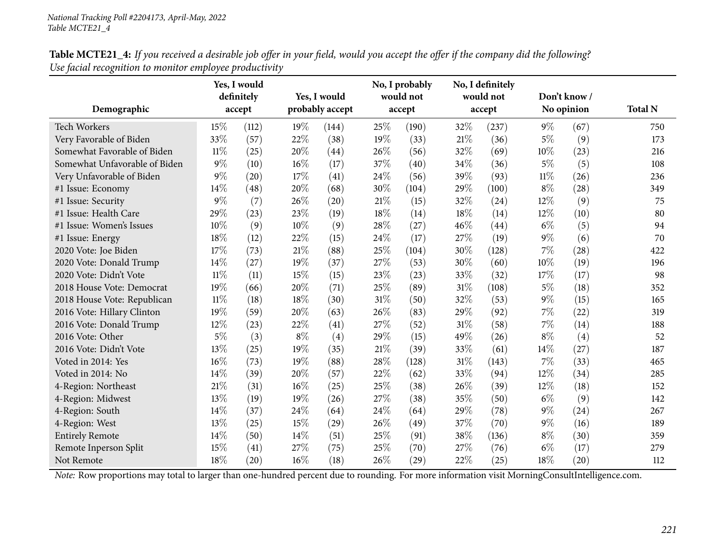| <b>Table MCTE21_4:</b> If you received a desirable job offer in your field, would you accept the offer if the company did the following? |  |
|------------------------------------------------------------------------------------------------------------------------------------------|--|
| Use facial recognition to monitor employee productivity                                                                                  |  |
|                                                                                                                                          |  |

|                               |        | Yes, I would |       |                 |        | No, I probably |      | No, I definitely |        |                    |                |
|-------------------------------|--------|--------------|-------|-----------------|--------|----------------|------|------------------|--------|--------------------|----------------|
|                               |        | definitely   |       | Yes, I would    |        | would not      |      | would not        |        | Don't know /       |                |
| Demographic                   |        | accept       |       | probably accept |        | accept         |      | accept           |        | No opinion         | <b>Total N</b> |
| <b>Tech Workers</b>           | 15%    | (112)        | 19%   | (144)           | 25%    | (190)          | 32\% | (237)            | $9\%$  | (67)               | 750            |
| Very Favorable of Biden       | 33%    | (57)         | 22%   | (38)            | $19\%$ | (33)           | 21%  | (36)             | $5\%$  | (9)                | 173            |
| Somewhat Favorable of Biden   | $11\%$ | (25)         | 20%   | (44)            | 26\%   | (56)           | 32%  | (69)             | 10%    | (23)               | 216            |
| Somewhat Unfavorable of Biden | $9\%$  | (10)         | 16%   | (17)            | 37%    | (40)           | 34%  | (36)             | $5\%$  | (5)                | 108            |
| Very Unfavorable of Biden     | $9\%$  | (20)         | 17%   | (41)            | 24\%   | (56)           | 39%  | (93)             | $11\%$ | (26)               | 236            |
| #1 Issue: Economy             | 14%    | (48)         | 20%   | (68)            | 30%    | (104)          | 29%  | (100)            | $8\%$  | (28)               | 349            |
| #1 Issue: Security            | $9\%$  | (7)          | 26%   | (20)            | 21%    | (15)           | 32%  | (24)             | 12%    | (9)                | 75             |
| #1 Issue: Health Care         | 29%    | (23)         | 23%   | (19)            | $18\%$ | (14)           | 18%  | (14)             | 12%    | (10)               | 80             |
| #1 Issue: Women's Issues      | 10%    | (9)          | 10%   | (9)             | 28\%   | (27)           | 46%  | (44)             | $6\%$  | (5)                | 94             |
| #1 Issue: Energy              | 18%    | (12)         | 22%   | (15)            | 24%    | (17)           | 27%  | (19)             | $9\%$  | (6)                | 70             |
| 2020 Vote: Joe Biden          | 17%    | (73)         | 21%   | (88)            | 25%    | (104)          | 30%  | (128)            | $7\%$  | $\left( 28\right)$ | 422            |
| 2020 Vote: Donald Trump       | 14%    | (27)         | 19%   | (37)            | 27%    | (53)           | 30%  | (60)             | 10%    | (19)               | 196            |
| 2020 Vote: Didn't Vote        | $11\%$ | (11)         | 15%   | (15)            | 23%    | (23)           | 33%  | (32)             | 17%    | (17)               | 98             |
| 2018 House Vote: Democrat     | 19%    | (66)         | 20%   | (71)            | 25%    | (89)           | 31%  | (108)            | $5\%$  | (18)               | 352            |
| 2018 House Vote: Republican   | $11\%$ | (18)         | 18%   | (30)            | 31\%   | (50)           | 32%  | (53)             | $9\%$  | (15)               | 165            |
| 2016 Vote: Hillary Clinton    | 19%    | (59)         | 20%   | (63)            | 26\%   | (83)           | 29%  | (92)             | $7\%$  | (22)               | 319            |
| 2016 Vote: Donald Trump       | 12%    | (23)         | 22%   | (41)            | 27\%   | (52)           | 31%  | (58)             | $7\%$  | (14)               | 188            |
| 2016 Vote: Other              | 5%     | (3)          | $8\%$ | (4)             | 29%    | (15)           | 49%  | (26)             | $8\%$  | (4)                | 52             |
| 2016 Vote: Didn't Vote        | 13%    | (25)         | 19%   | (35)            | $21\%$ | (39)           | 33%  | (61)             | 14%    | (27)               | 187            |
| Voted in 2014: Yes            | 16%    | (73)         | 19%   | (88)            | 28%    | (128)          | 31%  | (143)            | $7\%$  | (33)               | 465            |
| Voted in 2014: No             | 14%    | (39)         | 20%   | (57)            | 22%    | (62)           | 33%  | (94)             | 12%    | (34)               | 285            |
| 4-Region: Northeast           | 21%    | (31)         | 16%   | (25)            | 25%    | (38)           | 26\% | (39)             | 12%    | (18)               | 152            |
| 4-Region: Midwest             | 13%    | (19)         | 19%   | (26)            | 27%    | (38)           | 35%  | (50)             | $6\%$  | (9)                | 142            |
| 4-Region: South               | 14%    | (37)         | 24%   | (64)            | 24\%   | (64)           | 29%  | (78)             | $9\%$  | (24)               | 267            |
| 4-Region: West                | 13%    | (25)         | 15%   | (29)            | 26%    | (49)           | 37%  | (70)             | $9\%$  | (16)               | 189            |
| <b>Entirely Remote</b>        | 14%    | (50)         | 14%   | (51)            | 25%    | (91)           | 38%  | (136)            | $8\%$  | (30)               | 359            |
| Remote Inperson Split         | 15%    | (41)         | 27\%  | (75)            | 25%    | (70)           | 27%  | (76)             | $6\%$  | (17)               | 279            |
| Not Remote                    | 18%    | (20)         | 16%   | (18)            | 26%    | (29)           | 22%  | (25)             | 18%    | $\left( 20\right)$ | 112            |

*Note:* Row proportions may total to larger than one-hundred percen<sup>t</sup> due to rounding. For more information visit [MorningConsultIntelligence.com](https://morningconsultintelligence.com).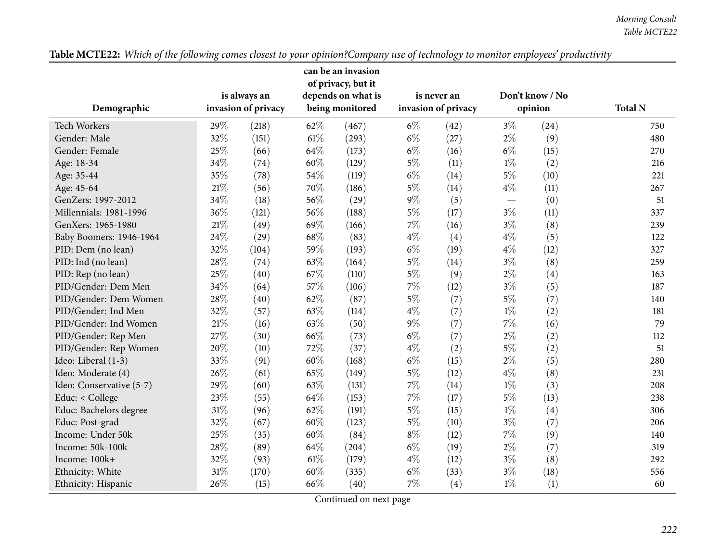|                          |        |                     |      | can be an invasion<br>of privacy, but it |       |                     |       |                 |                |
|--------------------------|--------|---------------------|------|------------------------------------------|-------|---------------------|-------|-----------------|----------------|
|                          |        | is always an        |      | depends on what is                       |       | is never an         |       | Don't know / No |                |
| Demographic              |        | invasion of privacy |      | being monitored                          |       | invasion of privacy |       | opinion         | <b>Total N</b> |
| <b>Tech Workers</b>      | 29%    | (218)               | 62\% | (467)                                    | $6\%$ | (42)                | $3\%$ | (24)            | 750            |
| Gender: Male             | 32%    | (151)               | 61%  | (293)                                    | $6\%$ | (27)                | $2\%$ | (9)             | 480            |
| Gender: Female           | 25%    | (66)                | 64%  | (173)                                    | $6\%$ | (16)                | $6\%$ | (15)            | 270            |
| Age: 18-34               | 34%    | (74)                | 60%  | (129)                                    | $5\%$ | (11)                | $1\%$ | (2)             | 216            |
| Age: 35-44               | 35%    | (78)                | 54%  | (119)                                    | $6\%$ | (14)                | $5\%$ | (10)            | 221            |
| Age: 45-64               | $21\%$ | (56)                | 70%  | (186)                                    | $5\%$ | (14)                | $4\%$ | (11)            | 267            |
| GenZers: 1997-2012       | 34%    | (18)                | 56%  | (29)                                     | $9\%$ | (5)                 |       | (0)             | 51             |
| Millennials: 1981-1996   | 36%    | (121)               | 56%  | (188)                                    | $5\%$ | (17)                | $3\%$ | (11)            | 337            |
| GenXers: 1965-1980       | 21%    | (49)                | 69%  | (166)                                    | $7\%$ | (16)                | $3\%$ | (8)             | 239            |
| Baby Boomers: 1946-1964  | 24%    | (29)                | 68%  | (83)                                     | $4\%$ | (4)                 | $4\%$ | (5)             | 122            |
| PID: Dem (no lean)       | 32%    | (104)               | 59%  | (193)                                    | $6\%$ | (19)                | $4\%$ | (12)            | 327            |
| PID: Ind (no lean)       | 28%    | (74)                | 63%  | (164)                                    | $5\%$ | (14)                | $3\%$ | (8)             | 259            |
| PID: Rep (no lean)       | 25%    | (40)                | 67%  | (110)                                    | $5\%$ | (9)                 | $2\%$ | (4)             | 163            |
| PID/Gender: Dem Men      | 34%    | (64)                | 57%  | (106)                                    | $7\%$ | (12)                | $3\%$ | (5)             | 187            |
| PID/Gender: Dem Women    | 28%    | (40)                | 62%  | (87)                                     | $5\%$ | (7)                 | $5\%$ | (7)             | 140            |
| PID/Gender: Ind Men      | 32%    | (57)                | 63%  | (114)                                    | $4\%$ | (7)                 | $1\%$ | (2)             | 181            |
| PID/Gender: Ind Women    | 21%    | (16)                | 63%  | (50)                                     | $9\%$ | (7)                 | $7\%$ | (6)             | 79             |
| PID/Gender: Rep Men      | 27%    | (30)                | 66%  | (73)                                     | $6\%$ | (7)                 | $2\%$ | (2)             | 112            |
| PID/Gender: Rep Women    | 20%    | (10)                | 72%  | (37)                                     | $4\%$ | (2)                 | $5\%$ | (2)             | 51             |
| Ideo: Liberal (1-3)      | 33%    | (91)                | 60%  | (168)                                    | $6\%$ | (15)                | $2\%$ | (5)             | 280            |
| Ideo: Moderate (4)       | 26%    | (61)                | 65%  | (149)                                    | $5\%$ | (12)                | $4\%$ | (8)             | 231            |
| Ideo: Conservative (5-7) | 29%    | (60)                | 63%  | (131)                                    | $7\%$ | (14)                | $1\%$ | (3)             | 208            |
| Educ: < College          | 23%    | (55)                | 64%  | (153)                                    | 7%    | (17)                | $5\%$ | (13)            | 238            |
| Educ: Bachelors degree   | $31\%$ | (96)                | 62%  | (191)                                    | $5\%$ | (15)                | $1\%$ | (4)             | 306            |
| Educ: Post-grad          | 32%    | (67)                | 60%  | (123)                                    | $5\%$ | (10)                | $3\%$ | (7)             | 206            |
| Income: Under 50k        | 25%    | (35)                | 60%  | (84)                                     | $8\%$ | (12)                | $7\%$ | (9)             | 140            |
| Income: 50k-100k         | 28%    | (89)                | 64%  | (204)                                    | $6\%$ | (19)                | $2\%$ | (7)             | 319            |
| Income: 100k+            | 32%    | (93)                | 61%  | (179)                                    | $4\%$ | (12)                | $3\%$ | (8)             | 292            |
| Ethnicity: White         | $31\%$ | (170)               | 60%  | (335)                                    | $6\%$ | (33)                | $3\%$ | (18)            | 556            |
| Ethnicity: Hispanic      | 26%    | (15)                | 66%  | (40)                                     | $7\%$ | (4)                 | $1\%$ | (1)             | 60             |

Table MCTE22: Which of the following comes closest to your opinion?Company use of technology to monitor employees' productivity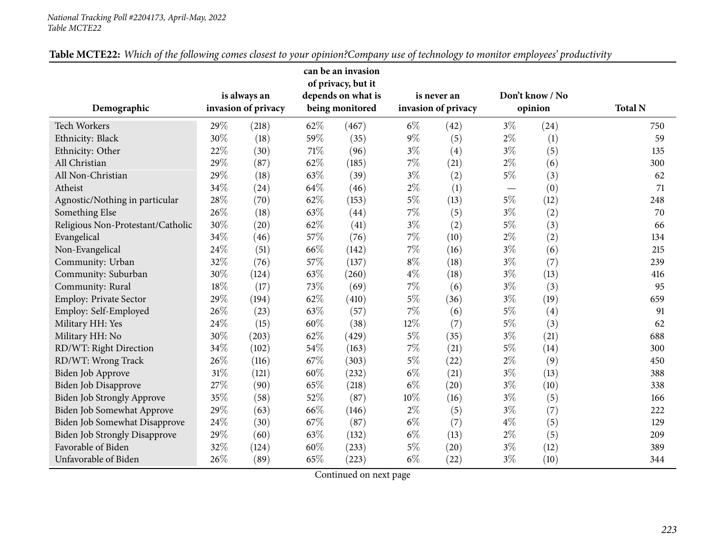#### *National Tracking Poll #2204173, April-May, <sup>2022</sup> Table MCTE22*

|                                      |     |                     |      | can be an invasion<br>of privacy, but it |       |                     |                                 |                 |                |
|--------------------------------------|-----|---------------------|------|------------------------------------------|-------|---------------------|---------------------------------|-----------------|----------------|
|                                      |     | is always an        |      | depends on what is                       |       | is never an         |                                 | Don't know / No |                |
| Demographic                          |     | invasion of privacy |      | being monitored                          |       | invasion of privacy |                                 | opinion         | <b>Total N</b> |
| Tech Workers                         | 29% | (218)               | 62%  | (467)                                    | $6\%$ | (42)                | $3\%$                           | (24)            | 750            |
| Ethnicity: Black                     | 30% | (18)                | 59%  | (35)                                     | $9\%$ | (5)                 | $2\%$                           | (1)             | 59             |
| Ethnicity: Other                     | 22% | (30)                | 71\% | (96)                                     | $3\%$ | (4)                 | $3\%$                           | (5)             | 135            |
| All Christian                        | 29% | (87)                | 62%  | (185)                                    | $7\%$ | (21)                | $2\%$                           | (6)             | 300            |
| All Non-Christian                    | 29% | (18)                | 63%  | (39)                                     | $3\%$ | (2)                 | $5\%$                           | (3)             | 62             |
| Atheist                              | 34% | (24)                | 64%  | (46)                                     | $2\%$ | (1)                 | $\hspace{0.1mm}-\hspace{0.1mm}$ | (0)             | 71             |
| Agnostic/Nothing in particular       | 28% | (70)                | 62%  | (153)                                    | $5\%$ | (13)                | $5\%$                           | (12)            | 248            |
| Something Else                       | 26% | (18)                | 63%  | (44)                                     | $7\%$ | (5)                 | $3\%$                           | (2)             | 70             |
| Religious Non-Protestant/Catholic    | 30% | (20)                | 62%  | (41)                                     | $3\%$ | (2)                 | $5\%$                           | (3)             | 66             |
| Evangelical                          | 34% | (46)                | 57%  | (76)                                     | $7\%$ | (10)                | $2\%$                           | (2)             | 134            |
| Non-Evangelical                      | 24% | (51)                | 66%  | (142)                                    | $7\%$ | (16)                | $3\%$                           | (6)             | 215            |
| Community: Urban                     | 32% | (76)                | 57%  | (137)                                    | $8\%$ | (18)                | $3\%$                           | (7)             | 239            |
| Community: Suburban                  | 30% | (124)               | 63%  | (260)                                    | $4\%$ | (18)                | $3\%$                           | (13)            | 416            |
| Community: Rural                     | 18% | (17)                | 73%  | (69)                                     | $7\%$ | (6)                 | $3\%$                           | (3)             | 95             |
| Employ: Private Sector               | 29% | (194)               | 62%  | (410)                                    | $5\%$ | (36)                | $3\%$                           | (19)            | 659            |
| Employ: Self-Employed                | 26% | (23)                | 63%  | (57)                                     | $7\%$ | (6)                 | $5\%$                           | (4)             | 91             |
| Military HH: Yes                     | 24% | (15)                | 60%  | (38)                                     | 12%   | (7)                 | $5\%$                           | (3)             | 62             |
| Military HH: No                      | 30% | (203)               | 62%  | (429)                                    | $5\%$ | (35)                | $3\%$                           | (21)            | 688            |
| RD/WT: Right Direction               | 34% | (102)               | 54%  | (163)                                    | $7\%$ | (21)                | $5\%$                           | (14)            | 300            |
| RD/WT: Wrong Track                   | 26% | (116)               | 67%  | (303)                                    | $5\%$ | (22)                | $2\%$                           | (9)             | 450            |
| Biden Job Approve                    | 31% | (121)               | 60%  | (232)                                    | $6\%$ | (21)                | $3\%$                           | (13)            | 388            |
| Biden Job Disapprove                 | 27% | (90)                | 65%  | (218)                                    | $6\%$ | (20)                | $3\%$                           | (10)            | 338            |
| Biden Job Strongly Approve           | 35% | (58)                | 52%  | (87)                                     | 10%   | (16)                | $3\%$                           | (5)             | 166            |
| Biden Job Somewhat Approve           | 29% | (63)                | 66%  | (146)                                    | $2\%$ | (5)                 | $3\%$                           | (7)             | 222            |
| Biden Job Somewhat Disapprove        | 24% | (30)                | 67%  | (87)                                     | $6\%$ | (7)                 | $4\%$                           | (5)             | 129            |
| <b>Biden Job Strongly Disapprove</b> | 29% | (60)                | 63%  | (132)                                    | $6\%$ | (13)                | $2\%$                           | (5)             | 209            |
| Favorable of Biden                   | 32% | (124)               | 60%  | (233)                                    | $5\%$ | (20)                | $3\%$                           | (12)            | 389            |
| Unfavorable of Biden                 | 26% | (89)                | 65%  | (223)                                    | $6\%$ | (22)                | $3\%$                           | (10)            | 344            |

| Table MCTE22: Which of the following comes closest to your opinion?Company use of technology to monitor employees' productivity |
|---------------------------------------------------------------------------------------------------------------------------------|
|---------------------------------------------------------------------------------------------------------------------------------|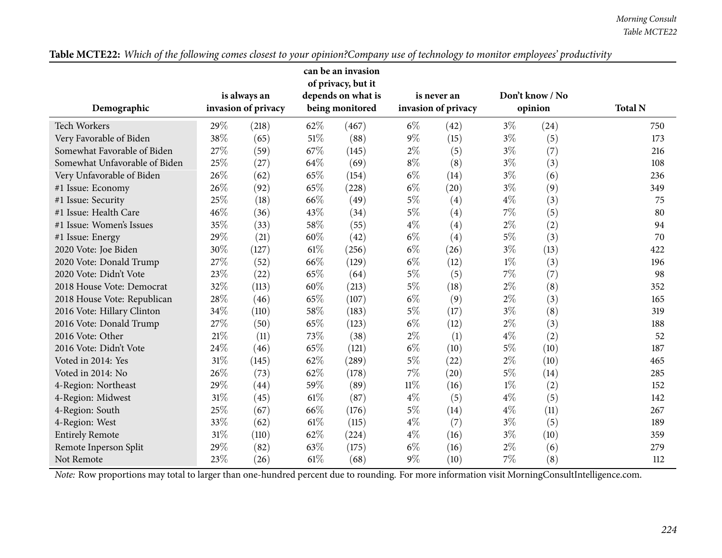|                                                                                                                                                |                     |              |                 | can be an invasion<br>of privacy, but it |        |                     |         |                 |                |
|------------------------------------------------------------------------------------------------------------------------------------------------|---------------------|--------------|-----------------|------------------------------------------|--------|---------------------|---------|-----------------|----------------|
|                                                                                                                                                |                     | is always an |                 | depends on what is                       |        | is never an         |         | Don't know / No |                |
| Demographic                                                                                                                                    | invasion of privacy |              | being monitored |                                          |        | invasion of privacy | opinion |                 | <b>Total N</b> |
| <b>Tech Workers</b>                                                                                                                            | 29%                 | (218)        | 62%             | (467)                                    | $6\%$  | (42)                | $3\%$   | (24)            | 750            |
| Very Favorable of Biden                                                                                                                        | 38%                 | (65)         | 51\%            | (88)                                     | $9\%$  | (15)                | $3\%$   | (5)             | 173            |
| Somewhat Favorable of Biden                                                                                                                    | 27%                 | (59)         | 67%             | (145)                                    | $2\%$  | (5)                 | $3\%$   | (7)             | 216            |
| Somewhat Unfavorable of Biden                                                                                                                  | 25%                 | (27)         | 64\%            | (69)                                     | $8\%$  | (8)                 | $3\%$   | (3)             | 108            |
| Very Unfavorable of Biden                                                                                                                      | 26%                 | (62)         | 65%             | (154)                                    | $6\%$  | (14)                | $3\%$   | (6)             | 236            |
| #1 Issue: Economy                                                                                                                              | 26%                 | (92)         | 65%             | (228)                                    | $6\%$  | (20)                | $3\%$   | (9)             | 349            |
| #1 Issue: Security                                                                                                                             | 25%                 | (18)         | 66%             | (49)                                     | $5\%$  | (4)                 | $4\%$   | (3)             | 75             |
| #1 Issue: Health Care                                                                                                                          | 46%                 | (36)         | 43%             | (34)                                     | $5\%$  | (4)                 | $7\%$   | (5)             | 80             |
| #1 Issue: Women's Issues                                                                                                                       | 35%                 | (33)         | 58%             | (55)                                     | $4\%$  | (4)                 | $2\%$   | (2)             | 94             |
| #1 Issue: Energy                                                                                                                               | 29%                 | (21)         | 60%             | (42)                                     | $6\%$  | (4)                 | $5\%$   | (3)             | 70             |
| 2020 Vote: Joe Biden                                                                                                                           | 30%                 | (127)        | 61\%            | (256)                                    | $6\%$  | (26)                | $3\%$   | (13)            | 422            |
| 2020 Vote: Donald Trump                                                                                                                        | 27%                 | (52)         | 66%             | (129)                                    | $6\%$  | (12)                | $1\%$   | (3)             | 196            |
| 2020 Vote: Didn't Vote                                                                                                                         | 23%                 | (22)         | 65%             | (64)                                     | $5\%$  | (5)                 | 7%      | (7)             | 98             |
| 2018 House Vote: Democrat                                                                                                                      | 32%                 | (113)        | 60%             | (213)                                    | $5\%$  | (18)                | $2\%$   | (8)             | 352            |
| 2018 House Vote: Republican                                                                                                                    | 28%                 | (46)         | 65%             | (107)                                    | $6\%$  | (9)                 | $2\%$   | (3)             | 165            |
| 2016 Vote: Hillary Clinton                                                                                                                     | 34%                 | (110)        | 58%             | (183)                                    | $5\%$  | (17)                | $3\%$   | (8)             | 319            |
| 2016 Vote: Donald Trump                                                                                                                        | 27%                 | (50)         | 65%             | (123)                                    | $6\%$  | (12)                | $2\%$   | (3)             | 188            |
| 2016 Vote: Other                                                                                                                               | 21%                 | (11)         | 73%             | (38)                                     | $2\%$  | (1)                 | $4\%$   | (2)             | 52             |
| 2016 Vote: Didn't Vote                                                                                                                         | 24%                 | (46)         | 65%             | (121)                                    | $6\%$  | (10)                | $5\%$   | (10)            | 187            |
| Voted in 2014: Yes                                                                                                                             | 31%                 | (145)        | 62%             | (289)                                    | $5\%$  | (22)                | $2\%$   | (10)            | 465            |
| Voted in 2014: No                                                                                                                              | 26%                 | (73)         | 62%             | (178)                                    | $7\%$  | (20)                | $5\%$   | (14)            | 285            |
| 4-Region: Northeast                                                                                                                            | 29%                 | (44)         | 59%             | (89)                                     | $11\%$ | (16)                | $1\%$   | (2)             | 152            |
| 4-Region: Midwest                                                                                                                              | 31%                 | (45)         | 61\%            | (87)                                     | $4\%$  | (5)                 | $4\%$   | (5)             | 142            |
| 4-Region: South                                                                                                                                | 25%                 | (67)         | 66%             | (176)                                    | $5\%$  | (14)                | $4\%$   | (11)            | 267            |
| 4-Region: West                                                                                                                                 | 33%                 | (62)         | $61\%$          | (115)                                    | $4\%$  | (7)                 | $3\%$   | (5)             | 189            |
| <b>Entirely Remote</b>                                                                                                                         | 31%                 | (110)        | 62%             | (224)                                    | $4\%$  | (16)                | $3\%$   | (10)            | 359            |
| Remote Inperson Split                                                                                                                          | 29%                 | (82)         | 63\%            | (175)                                    | $6\%$  | (16)                | $2\%$   | (6)             | 279            |
| Not Remote                                                                                                                                     | 23%                 | (26)         | $61\%$          | (68)                                     | $9\%$  | (10)                | $7\%$   | (8)             | 112            |
| Note: Row proportions may total to larger than one-hundred percent due to rounding. For more information visit MorningConsultIntelligence.com. |                     |              |                 |                                          |        |                     |         |                 |                |

Table MCTE22: Which of the following comes closest to your opinion?Company use of technology to monitor employees' productivity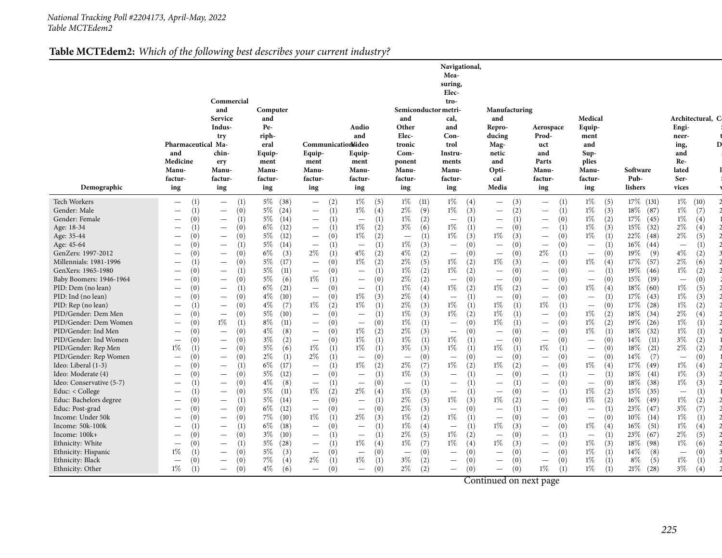#### **Table MCTEdem2:** *Which of the following best describes your current industry?*

|                                              |                                                             |                                                             |                               |                                                                    |                                                 |                                        | Navigational,                                |                                                 |                                              |                                                 |                            |                                 |
|----------------------------------------------|-------------------------------------------------------------|-------------------------------------------------------------|-------------------------------|--------------------------------------------------------------------|-------------------------------------------------|----------------------------------------|----------------------------------------------|-------------------------------------------------|----------------------------------------------|-------------------------------------------------|----------------------------|---------------------------------|
|                                              |                                                             |                                                             |                               |                                                                    |                                                 |                                        | Mea-<br>suring,                              |                                                 |                                              |                                                 |                            |                                 |
|                                              |                                                             |                                                             |                               |                                                                    |                                                 |                                        | Elec-                                        |                                                 |                                              |                                                 |                            |                                 |
|                                              |                                                             | Commercial                                                  |                               |                                                                    |                                                 |                                        | tro-                                         |                                                 |                                              |                                                 |                            |                                 |
|                                              |                                                             | and                                                         | Computer                      |                                                                    |                                                 | Semiconductor metri-                   |                                              | Manufacturing                                   |                                              |                                                 |                            |                                 |
|                                              |                                                             | Service                                                     | and                           |                                                                    |                                                 | and                                    | cal,                                         | and                                             |                                              | Medical                                         |                            | Architectural, C                |
|                                              |                                                             | Indus-                                                      | Pe-                           |                                                                    | Audio                                           | Other                                  | and                                          | Repro-                                          | Aerospace                                    | Equip-                                          |                            | Engi-                           |
|                                              | Pharmaceutical Ma-                                          | try                                                         | riph-<br>eral                 | Communicationideo                                                  | and                                             | Elec-<br>tronic                        | Con-<br>trol                                 | ducing<br>Mag-                                  | Prod-<br>uct                                 | ment<br>and                                     |                            | neer-<br>ing,                   |
|                                              | and                                                         | chin-                                                       | Equip-                        | Equip-                                                             | Equip-                                          | Com-                                   | Instru-                                      | netic                                           | and                                          | Sup-                                            |                            | and                             |
|                                              | Medicine                                                    | ery                                                         | ment                          | ment                                                               | ment                                            | ponent                                 | ments                                        | and                                             | Parts                                        | plies                                           |                            | Re-                             |
|                                              | Manu-                                                       | <b>Manu-</b>                                                | <b>Manu-</b>                  | <b>Manu-</b>                                                       | <b>Manu-</b>                                    | Manu-                                  | Manu-                                        | Opti-                                           | Manu-                                        | Manu-                                           | Software                   | lated                           |
|                                              | factur-                                                     | factur-                                                     | factur-                       | factur-                                                            | factur-                                         | factur-                                | factur-                                      | cal                                             | factur-                                      | factur-                                         | Pub-                       | Ser-                            |
| Demographic                                  | ing                                                         | ing                                                         | ing                           | ing                                                                | ing                                             | ing                                    | ing                                          | Media                                           | ing                                          | ing                                             | lishers                    | vices                           |
| Tech Workers                                 | (1)<br>$\overline{\phantom{0}}$                             | (1)<br>$\overline{\phantom{m}}$                             | $5\%$<br>(38)                 | (2)<br>$\overline{\phantom{0}}$                                    | $1\%$<br>(5)                                    | $1\%$ (11)                             | $1\%$ (4)                                    | (3)<br>$\overline{\phantom{0}}$                 | (1)                                          | $1\%$<br>(5)                                    | $17\%$ (131)               | $1\%$ (10)                      |
| Gender: Male                                 | (1)<br>$\overline{\phantom{m}}$                             | (0)<br>$\overline{\phantom{m}}$                             | $5\%$<br>(24)                 | (1)<br>$\overline{\phantom{m}}$                                    | $1\%$<br>(4)                                    | $2\%$<br>(9)                           | $1\%$<br>(3)                                 | (2)<br>$\qquad \qquad -$                        | (1)<br>$\qquad \qquad -$                     | $1\%$<br>(3)                                    | 18%<br>(87)                | $1\%$<br>(7)                    |
| Gender: Female                               | (0)<br>$\overline{\phantom{m}}$                             | (1)<br>$\overline{\phantom{m}}$                             | $5\%$<br>(14)                 | (1)<br>$\overline{\phantom{m}}$                                    | (1)<br>$\qquad \qquad -$                        | $1\%$<br>(2)                           | (1)<br>$\overline{\phantom{m}}$              | (1)<br>$\overline{\phantom{m}}$                 | (0)<br>$\qquad \qquad -$                     | $1\%$<br>(2)                                    | 17%<br>(45)                | $1\%$<br>(4)                    |
| Age: 18-34                                   | $\overline{\phantom{m}}$                                    | (0)<br>$\overline{\phantom{m}}$                             | 6%<br>(12)                    | (1)<br>$\overline{\phantom{a}}$                                    | $1\%$<br>(2)                                    | $3\%$<br>(6)                           | $1\%$<br>(1)                                 | (0)<br>$\overbrace{\phantom{1232211}}$          | (1)                                          | $1\%$<br>(3)                                    | 15%<br>(32)                | $2\%$<br>(4)                    |
| Age: 35-44                                   | (0)<br>$\overline{\phantom{m}}$                             | (0)<br>$\overline{\phantom{m}}$                             | $5\%$<br>(12)                 | (0)<br>$\hspace{0.1mm}-\hspace{0.1mm}$                             | $1\%$<br>(2)                                    | (1)<br>$\overline{\phantom{m}}$        | 1%<br>(3)                                    | $1\%$<br>(3)                                    | (0)<br>$\qquad \qquad -$                     | $1\%$<br>(1)                                    | 22%<br>(48)                | 2%<br>(5)                       |
| Age: 45-64                                   | (0)<br>$\overline{\phantom{m}}$                             | (1)<br>$\overline{\phantom{0}}$                             | $5\%$<br>(14)                 | (1)<br>$\overline{\phantom{m}}$                                    | (1)<br>$\equiv$                                 | $1\%$<br>(3)                           | (0)<br>$\qquad \qquad -$                     | (0)<br>$\overline{\phantom{m}}$                 | (0)<br>$\qquad \qquad -$                     | $\equiv$                                        | 16%<br>(44)                | (1)<br>$\overline{\phantom{m}}$ |
| GenZers: 1997-2012<br>Millennials: 1981-1996 | (0)<br>$\overline{\phantom{m}}$                             | (0)<br>$\qquad \qquad -$<br>(0)                             | $6\%$<br>(3)<br>$5\%$<br>(17) | $2\%$<br>(1)<br>(0)<br>$\overbrace{\phantom{1232211}}$             | $4\%$<br>(2)<br>1%<br>(2)                       | $4\%$<br>(2)<br>$2\%$<br>(5)           | (0)<br>$\overline{\phantom{0}}$<br>1%<br>(2) | (0)<br>$\overline{\phantom{0}}$<br>$1\%$<br>(3) | 2%<br>(1)<br>(0)<br>$\overline{\phantom{0}}$ | (0)<br>$\overline{\phantom{m}}$<br>$1\%$<br>(4) | 19%<br>(9)<br>17%<br>(57)  | $4\%$<br>(2)<br>2%<br>(6)       |
| GenXers: 1965-1980                           | $\overline{\phantom{m}}$<br>(0)<br>$\overline{\phantom{m}}$ | $\qquad \qquad -$<br>(1)<br>$\overline{\phantom{m}}$        | $5\%$<br>(11)                 | (0)<br>$\overline{\phantom{m}}$                                    | (1)<br>$\qquad \qquad -$                        | $1\%$<br>(2)                           | 1%<br>(2)                                    | (0)<br>$\overline{\phantom{0}}$                 | (0)<br>$\overline{\phantom{0}}$              | (1)<br>$\overline{\phantom{0}}$                 | 19%<br>(46)                | $1\%$<br>(2)                    |
| Baby Boomers: 1946-1964                      | (0)<br>$\overline{\phantom{m}}$                             | (0)<br>$\overline{\phantom{0}}$                             | $5\%$<br>(6)                  | $1\%$<br>(1)                                                       | (0)<br>$\overline{\phantom{m}}$                 | $2\%$<br>(2)                           | (0)<br>$\qquad \qquad -$                     | (0)<br>$\overline{\phantom{m}}$                 | (0)<br>$\qquad \qquad -$                     | (0)<br>$\overline{\phantom{m}}$                 | 15%<br>(19)                | (0)<br>$\overline{\phantom{m}}$ |
| PID: Dem (no lean)                           | (0)<br>$\overline{\phantom{m}}$                             | (1)<br>$\overline{\phantom{m}}$                             | 6%<br>(21)                    | (0)<br>$\overline{\phantom{m}}$                                    | (1)<br>$\overline{\phantom{m}}$                 | $1\%$<br>(4)                           | (2)<br>1%                                    | $1\%$<br>(2)                                    | (0)<br>$\qquad \qquad -$                     | $1\%$<br>(4)                                    | 18%<br>(60)                | $1\%$<br>(5)                    |
| PID: Ind (no lean)                           | (0)<br>$\overline{\phantom{m}}$                             | (0)<br>$\overline{\phantom{m}}$                             | $4\%$<br>(10)                 | (0)<br>$\overline{\phantom{m}}$                                    | $1\%$<br>(3)                                    | $2\%$<br>(4)                           | (1)<br>$\qquad \qquad -$                     | (0)<br>$\overline{\phantom{m}}$                 | (0)<br>$\qquad \qquad -$                     | (1)<br>$\overline{\phantom{0}}$                 | 17%<br>(43)                | $1\%$<br>(3)                    |
| PID: Rep (no lean)                           | $\overline{\phantom{0}}$                                    | (0)<br>$\overline{\phantom{m}}$                             | $4\%$<br>(7)                  | $1\%$<br>(2)                                                       | 1%<br>(1)                                       | $2\%$<br>(3)                           | $1\%$<br>(1)                                 | $1\%$<br>(1)                                    | $1\%$<br>(1)                                 | (0)<br>$\equiv$                                 | 17%<br>(28)                | $1\%$<br>(2)                    |
| PID/Gender: Dem Men                          | (0)<br>$\overline{\phantom{m}}$                             | (0)<br>$\overline{\phantom{m}}$                             | $5\%$<br>(10)                 | (0)<br>$\overline{\phantom{m}}$                                    | (1)<br>$\overline{\phantom{m}}$                 | $1\%$<br>(3)                           | $1\%$<br>(2)                                 | $1\%$<br>(1)                                    | (0)<br>$\qquad \qquad -$                     | $1\%$<br>(2)                                    | 18%<br>(34)                | 2%<br>(4)                       |
| PID/Gender: Dem Women                        | (0)<br>$\overline{\phantom{m}}$                             | $1\%$<br>(1)                                                | 8%<br>(11)                    | (0)<br>$\overline{\phantom{m}}$                                    | (0)<br>$\overline{\phantom{0}}$                 | $1\%$<br>(1)                           | (0)<br>$\equiv$                              | $1\%$<br>(1)                                    | (0)<br>$\overline{\phantom{0}}$              | $1\%$<br>(2)                                    | 19%<br>(26)                | $1\%$<br>(1)                    |
| PID/Gender: Ind Men                          | (0)<br>$\overline{\phantom{m}}$                             | (0)<br>$\qquad \qquad =$                                    | $4\%$<br>(8)                  | (0)<br>$\overline{\phantom{m}}$                                    | $1\%$<br>(2)                                    | $2\%$<br>(3)                           | (0)<br>$\qquad \qquad -$                     | (0)<br>$\overline{\phantom{m}}$                 | (0)<br>$\qquad \qquad -$                     | $1\%$<br>(1)                                    | 18%<br>(32)                | $1\%$<br>(1)                    |
| PID/Gender: Ind Women                        | (0)<br>$\overline{\phantom{m}}$                             | (0)<br>$\overline{\phantom{m}}$                             | $3\%$<br>(2)                  | (0)<br>$\overline{\phantom{m}}$                                    | $1\%$<br>(1)                                    | $1\%$<br>(1)                           | $1\%$<br>(1)                                 | (0)<br>$\overline{\phantom{0}}$                 | (0)<br>$\qquad \qquad -$                     | (0)<br>$\overline{\phantom{0}}$                 | 14%<br>(11)                | $3\%$<br>(2)                    |
| PID/Gender: Rep Men                          | $1\%$<br>(1)                                                | (0)<br>$\qquad \qquad -$                                    | $5\%$<br>(6)                  | $1\%$<br>(1)                                                       | $1\%$<br>(1)                                    | $3\%$<br>(3)                           | $1\%$<br>(1)                                 | $1\%$<br>(1)                                    | $1\%$                                        | (0)<br>$\overline{\phantom{0}}$                 | 18%<br>(21)                | $2\%$<br>(2)                    |
| PID/Gender: Rep Women                        | (0)<br>$\overline{\phantom{m}}$                             | (0)                                                         | $2\%$<br>(1)                  | $2\%$<br>(1)                                                       | (0)<br>$\overline{\phantom{m}}$                 | (0)<br>$\hspace{0.1mm}-\hspace{0.1mm}$ | (0)<br>$\equiv$                              | (0)<br>$\overbrace{\phantom{1232211}}$          | (0)<br>$\overline{\phantom{0}}$              | (0)<br>$\overline{\phantom{m}}$                 | 14%<br>(7)                 | (0)<br>$\overline{\phantom{m}}$ |
| Ideo: Liberal (1-3)<br>Ideo: Moderate (4)    | (0)<br>$\overline{\phantom{m}}$<br>(0)                      | (1)<br>$\overline{\phantom{m}}$<br>(0)                      | 6%<br>(17)<br>$5\%$<br>(12)   | (1)<br>$\equiv$<br>(0)                                             | $1\%$<br>(2)<br>(1)<br>$\overline{\phantom{0}}$ | $2\%$<br>(7)<br>1%<br>(3)              | 1%<br>(2)<br>(1)<br>$\qquad \qquad -$        | (2)<br>$1\%$<br>(0)<br>$\overline{\phantom{m}}$ | (0)<br>$\qquad \qquad -$<br>(1)              | $1\%$<br>(4)<br>$\overline{\phantom{0}}$        | 17%<br>(49)<br>18%<br>(41) | $1\%$<br>(4)<br>$1\%$<br>(3)    |
| Ideo: Conservative (5-7)                     | $\overline{\phantom{m}}$<br>$\hspace{0.1mm}-\hspace{0.1mm}$ | $\overline{\phantom{0}}$<br>(0)<br>$\overline{\phantom{m}}$ | $4\%$<br>(8)                  | $\hspace{0.1mm}-\hspace{0.1mm}$<br>(1)<br>$\overline{\phantom{m}}$ | (0)<br>$\overline{\phantom{m}}$                 | (1)<br>$\overline{\phantom{m}}$        | (1)                                          | (1)<br>$\overline{\phantom{0}}$                 | (0)<br>$\qquad \qquad -$                     | (0)<br>$\overline{\phantom{0}}$                 | 18%<br>(38)                | $1\%$<br>(3)                    |
| Educ: $<$ College                            | $\overline{\phantom{m}}$                                    | (0)<br>$\overline{\phantom{m}}$                             | $5\%$<br>(11)                 | $1\%$<br>(2)                                                       | $2\%$<br>(4)                                    | 1%<br>(3)                              | (1)<br>$\qquad \qquad -$                     | (0)<br>$\qquad \qquad -$                        | (1)<br>$\qquad \qquad -$                     | $1\%$<br>(2)                                    | 15%<br>(35)                | (1)<br>$\overline{\phantom{m}}$ |
| Educ: Bachelors degree                       | (0)<br>$\overline{\phantom{m}}$                             | (1)<br>$\overline{\phantom{m}}$                             | $5\%$<br>(14)                 | (0)<br>$\overline{\phantom{m}}$                                    | (1)<br>$\qquad \qquad -$                        | $2\%$<br>(5)                           | $1\%$<br>(3)                                 | $1\%$<br>(2)                                    | (0)<br>$\qquad \qquad -$                     | $1\%$<br>(2)                                    | $16\%$<br>(49)             | $1\%$<br>(2)                    |
| Educ: Post-grad                              | (0)<br>$\overline{\phantom{m}}$                             | (0)<br>$\overline{\phantom{m}}$                             | $6\%$<br>(12)                 | (0)<br>$\overline{\phantom{m}}$                                    | (0)<br>$\overline{\phantom{m}}$                 | $2\%$<br>(3)                           | (0)<br>$\overline{\phantom{m}}$              | (1)<br>$\overline{\phantom{0}}$                 | (0)<br>$\qquad \qquad -$                     | (1)<br>$\overline{\phantom{0}}$                 | 23\%<br>(47)               | $3\%$<br>(7)                    |
| Income: Under 50k                            | (0)<br>$\overline{\phantom{m}}$                             | (0)<br>$\equiv$                                             | 7%<br>(10)                    | $1\%$<br>(1)                                                       | $2\%$<br>(3)                                    | $1\%$<br>(2)                           | $1\%$<br>(1)                                 | (0)<br>$\overline{\phantom{0}}$                 | (0)<br>$\overline{\phantom{0}}$              | (0)<br>$\overline{\phantom{0}}$                 | $10\%$<br>(14)             | $1\%$<br>(1)                    |
| Income: 50k-100k                             | $\overline{\phantom{m}}$                                    | (1)<br>$\overline{\phantom{m}}$                             | 6%<br>(18)                    | (0)<br>$\overline{\phantom{m}}$                                    | (1)<br>$\overline{\phantom{m}}$                 | $1\%$<br>(4)                           | (1)<br>$\qquad \qquad -$                     | (3)<br>1%                                       | (0)<br>$\qquad \qquad -$                     | $1\%$<br>(4)                                    | $16\%$<br>(51)             | $1\%$<br>(4)                    |
| Income: 100k+                                | (0)<br>$\overline{\phantom{0}}$                             | (0)<br>$\overline{\phantom{m}}$                             | $3\%$<br>(10)                 | (1)<br>$\overbrace{\phantom{1232211}}$                             | (1)<br>$\overline{\phantom{m}}$                 | $2\%$<br>(5)                           | $1\%$<br>(2)                                 | (0)<br>$\overbrace{\phantom{1232211}}$          | (1)<br>$\qquad \qquad -$                     | (1)<br>$\overline{\phantom{0}}$                 | 23%<br>(67)                | $2\%$<br>(5)                    |
| Ethnicity: White                             | (0)<br>$\overline{\phantom{m}}$                             | (1)<br>$\overline{\phantom{m}}$                             | $5\%$<br>(28)                 | (1)<br>$\overline{\phantom{m}}$                                    | $1\%$<br>(4)                                    | $1\%$<br>(7)                           | 1%<br>(4)                                    | (3)<br>1%                                       | (0)<br>$\qquad \qquad -$                     | $1\%$<br>(3)                                    | 18%<br>(98)                | $1\%$<br>(6)                    |
| Ethnicity: Hispanic                          | 1%<br>(1)                                                   | (0)<br>$\overline{\phantom{0}}$                             | $5\%$<br>(3)                  | (0)<br>$\overline{\phantom{a}}$                                    | (0)<br>$\overline{\phantom{m}}$                 | (0)<br>$\overline{\phantom{m}}$        | (0)<br>$\qquad \qquad -$                     | (0)<br>$\overline{\phantom{0}}$                 | (0)                                          | $1\%$<br>(1)                                    | 14%<br>(8)                 | (0)<br>$\overline{\phantom{m}}$ |
| Ethnicity: Black                             | (0)<br>$\overline{\phantom{m}}$                             | (0)<br>$\qquad \qquad -$                                    | $7\%$<br>(4)                  | $2\%$<br>(1)                                                       | $1\%$<br>(1)                                    | $3\%$<br>(2)                           | (0)<br>$\overline{\phantom{0}}$              | (0)<br>$\overline{\phantom{0}}$                 | (0)<br>$\qquad \qquad -$                     | $1\%$                                           | $8\%$<br>(5)               | $1\%$<br>(1)                    |
| Ethnicity: Other                             | $1\%$                                                       | (0)<br>$\qquad \qquad -$                                    | $4\%$<br>(6)                  | (0)<br>$\overline{\phantom{0}}$                                    | (0)<br>$\qquad \qquad -$                        | $2\%$<br>(2)                           | (0)<br>$\overline{\phantom{0}}$              | (0)<br>$\overline{\phantom{0}}$                 | $1\%$<br>(1)                                 | $1\%$                                           | 21%<br>(28)                | $3\%$<br>(4)                    |

Continued on next page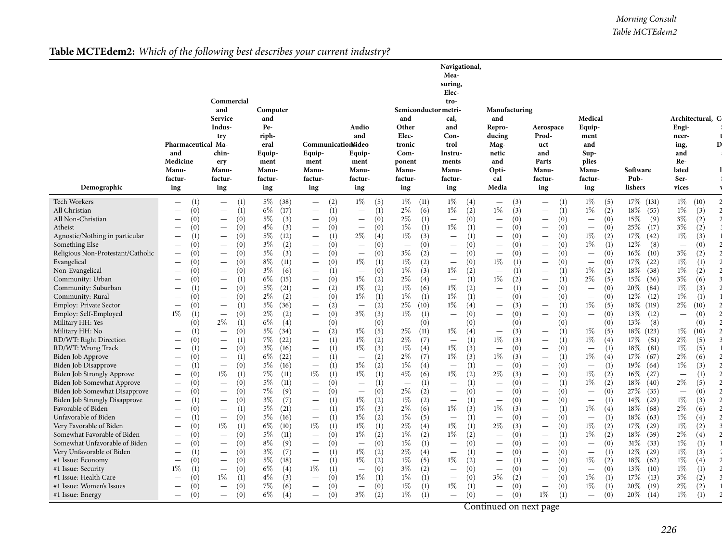#### *Morning Consult Table MCTEdem2*

### **Table MCTEdem2:** *Which of the following best describes your current industry?*

|                                                  |                                                                           |                                                                    |                               |                                                                           |                                       |                                                 | Navigational,<br>Mea-<br>suring,<br>Elec- |                                               |                                 |                                 |                           |                                        |
|--------------------------------------------------|---------------------------------------------------------------------------|--------------------------------------------------------------------|-------------------------------|---------------------------------------------------------------------------|---------------------------------------|-------------------------------------------------|-------------------------------------------|-----------------------------------------------|---------------------------------|---------------------------------|---------------------------|----------------------------------------|
|                                                  |                                                                           | Commercial<br>and<br>Service                                       | Computer<br>and               |                                                                           |                                       | Semiconductor metri-<br>and                     | tro-<br>cal,                              | Manufacturing<br>and                          |                                 | Medical                         |                           | Architectural, C                       |
|                                                  | Pharmaceutical Ma-                                                        | Indus-<br>try                                                      | Pe-<br>riph-<br>eral          | Communicationideo                                                         | Audio<br>and                          | Other<br>Elec-<br>tronic                        | and<br>Con-<br>trol                       | Repro-<br>ducing<br>Mag-                      | Aerospace<br>Prod-<br>uct       | Equip-<br>ment<br>and           |                           | Engi-<br>neer-                         |
|                                                  | and<br>Medicine<br>Manu-                                                  | chin-<br>ery<br>Manu-                                              | Equip-<br>ment<br>Manu-       | Equip-<br>ment<br>Manu-                                                   | Equip-<br>ment<br><b>Manu-</b>        | Com-<br>ponent<br>Manu-                         | Instru-<br>ments<br><b>Manu-</b>          | netic<br>and<br>Opti-                         | and<br>Parts<br>Manu-           | Sup-<br>plies<br>Manu-          | Software                  | ing,<br>and<br>Re-<br>lated            |
| Demographic                                      | factur-                                                                   | factur-                                                            | factur-                       | factur-                                                                   | factur-                               | factur-                                         | factur-                                   | cal                                           | factur-                         | factur-                         | Pub-                      | Ser-                                   |
|                                                  | ing                                                                       | ing                                                                | ing                           | ing                                                                       | ing                                   | ing                                             | ing                                       | Media                                         | ing                             | ing                             | lishers                   | vices                                  |
| Tech Workers                                     | (1)<br>$\qquad \qquad -$                                                  | (1)<br>$\overline{\phantom{m}}$                                    | $5\%$<br>(38)                 | (2)<br>$\overline{\phantom{m}}$                                           | $1\%$<br>(5)                          | $1\%$ (11)                                      | $1\%$<br>(4)                              | (3)<br>$\overline{\phantom{m}}$               | (1)                             | $1\%$<br>(5)                    | 17% (131)                 | $1\%$<br>(10)                          |
| All Christian                                    | (0)                                                                       | (1)                                                                | $6\%$                         | (1)                                                                       | (1)                                   | $2\%$                                           | $1\%$                                     | $1\%$                                         | (1)                             | $1\%$                           | $18\%$                    | $1\%$                                  |
|                                                  | $\overline{\phantom{0}}$                                                  | $\overline{\phantom{m}}$                                           | (17)                          | $\overline{\phantom{m}}$                                                  | $\overline{\phantom{m}}$              | (6)                                             | (2)                                       | (3)                                           |                                 | (2)                             | (55)                      | (3)                                    |
| All Non-Christian                                | (0)                                                                       | (0)                                                                | $5\%$                         | (0)                                                                       | (0)                                   | $2\%$                                           | (0)                                       | (0)                                           | (0)                             | (0)                             | 15%                       | $3\%$                                  |
|                                                  | $\qquad \qquad -$                                                         | $\overline{\phantom{m}}$                                           | (3)                           | $\overline{\phantom{m}}$                                                  |                                       | (1)                                             | $\qquad \qquad -$                         | $\overline{\phantom{m}}$                      | $\overline{\phantom{m}}$        | $\overline{\phantom{0}}$        | (9)                       | (2)                                    |
| Atheist                                          | (0)<br>$\overline{\phantom{m}}$                                           | (0)<br>$\overline{\phantom{m}}$                                    | $4\%$<br>(3)                  | (0)<br>$\overline{\phantom{m}}$                                           | (0)<br>$\overline{\phantom{m}}$       | $1\%$<br>(1)                                    | 1%<br>(1)                                 | (0)<br>$\overline{\phantom{m}}$               | (0)                             | (0)<br>$\overline{\phantom{m}}$ | 25%<br>(17)               | $3\%$<br>(2)<br>$1\%$                  |
| Agnostic/Nothing in particular<br>Something Else | (1)<br>$\overline{\phantom{m}}$<br>(0)<br>$\overbrace{\phantom{1232211}}$ | (0)<br>$\overline{\phantom{m}}$<br>(0)<br>$\overline{\phantom{m}}$ | $5\%$<br>(12)<br>$3\%$<br>(2) | (1)<br>$\overline{\phantom{m}}$<br>(0)<br>$\hspace{0.1mm}-\hspace{0.1mm}$ | $2\%$<br>(4)<br>(0)                   | $1\%$<br>(3)<br>(0)<br>$\overline{\phantom{0}}$ | (1)<br>$\qquad \qquad -$<br>(0)           | (0)<br>$\overbrace{\phantom{1232211}}$<br>(0) | (0)<br>(0)                      | $1\%$<br>(2)<br>$1\%$<br>(1)    | 17%<br>(42)<br>12%<br>(8) | (3)<br>(0)<br>$\overline{\phantom{m}}$ |
|                                                  | (0)                                                                       | (0)<br>$\overline{\phantom{m}}$                                    | $5\%$<br>(3)                  | (0)<br>$\hspace{0.1mm}-\hspace{0.1mm}$                                    | (0)                                   | $3\%$<br>(2)                                    | (0)<br>$\overbrace{\phantom{1232211}}$    | (0)<br>$\hspace{0.1mm}-\hspace{0.1mm}$        | (0)                             | (0)<br>$\overline{\phantom{0}}$ | $16\%$<br>(10)            | $3\%$<br>(2)                           |
| Religious Non-Protestant/Catholic<br>Evangelical | (0)<br>$\overbrace{\phantom{1232211}}$                                    | (0)<br>$\overline{\phantom{m}}$                                    | 8%<br>(11)                    | (0)<br>$\hspace{0.1mm}-\hspace{0.1mm}$                                    | $\overline{\phantom{m}}$<br>1%<br>(1) | $1\%$<br>(2)                                    | (0)<br>$\overline{\phantom{m}}$           | 1%<br>(1)                                     | (0)                             | (0)<br>$\qquad \qquad -$        | 17%<br>(22)               | $1\%$<br>(1)                           |
| Non-Evangelical                                  | (0)                                                                       | (0)                                                                | $3\%$                         | (1)                                                                       | (0)                                   | $1\%$                                           | 1%                                        | (1)                                           | (1)                             | $1\%$                           | 18%                       | $1\%$                                  |
|                                                  | $\overline{\phantom{0}}$                                                  | $\overline{\phantom{0}}$                                           | (6)                           | $\overline{\phantom{m}}$                                                  | $\overline{\phantom{m}}$              | (3)                                             | (2)                                       | $\overline{\phantom{0}}$                      |                                 | (2)                             | (38)                      | (2)                                    |
| Community: Urban                                 | (0)                                                                       | (1)                                                                | $6\%$                         | (0)                                                                       | $1\%$                                 | $2\%$                                           | (1)                                       | 1%                                            | (1)                             | $2\%$                           | 15%                       | $3\%$                                  |
|                                                  | $\overline{\phantom{m}}$                                                  | $\overline{\phantom{m}}$                                           | (15)                          | $\overline{\phantom{m}}$                                                  | (2)                                   | (4)                                             | $\qquad \qquad -$                         | (2)                                           | $\qquad \qquad -$               | (5)                             | (36)                      | (6)                                    |
| Community: Suburban                              | (1)                                                                       | (0)                                                                | $5\%$                         | (2)                                                                       | $1\%$                                 | $1\%$                                           | $1\%$                                     | (1)                                           | (0)                             | (0)                             | 20%                       | $1\%$                                  |
|                                                  | $\overline{\phantom{0}}$                                                  | $\overline{\phantom{m}}$                                           | (21)                          | $\overline{\phantom{m}}$                                                  | (2)                                   | (6)                                             | (2)                                       | $\overline{\phantom{m}}$                      |                                 |                                 | (84)                      | (3)                                    |
| Community: Rural                                 | (0)                                                                       | (0)                                                                | $2\%$                         | (0)                                                                       | $1\%$                                 | $1\%$                                           | $1\%$                                     | (0)                                           | (0)                             | (0)                             | 12%                       | $1\%$                                  |
|                                                  |                                                                           | $\overbrace{\phantom{1232211}}$                                    | (2)                           | $\overline{\phantom{0}}$                                                  | $\left(1\right)$                      | $\left(1\right)$                                | (1)                                       |                                               | $\overline{\phantom{0}}$        | $\qquad \qquad -$               | (12)                      | (1)                                    |
| Employ: Private Sector                           | (0)                                                                       | (1)                                                                | 5%                            | (2)                                                                       | (2)                                   | $2\%$                                           | 1%                                        | (3)                                           | (1)                             | $1\%$                           | 18%                       | $2\%$                                  |
|                                                  | $\overline{\phantom{m}}$                                                  | $\overline{\phantom{m}}$                                           | (36)                          | $\overline{\phantom{m}}$                                                  | $\overline{\phantom{0}}$              | (10)                                            | (4)                                       |                                               |                                 | (5)                             | (119)                     | (10)                                   |
| Employ: Self-Employed                            | $1\%$                                                                     | (0)                                                                | $2\%$                         | (0)                                                                       | $3\%$                                 | $1\%$                                           | (0)                                       | (0)                                           | (0)                             | (0)                             | 13%                       | (0)                                    |
|                                                  | (1)                                                                       | $\overline{\phantom{0}}$                                           | (2)                           | $\overline{\phantom{m}}$                                                  | (3)                                   | (1)                                             | $\overline{\phantom{0}}$                  | $\overline{\phantom{0}}$                      | $\overline{\phantom{0}}$        | $\qquad \qquad -$               | (12)                      |                                        |
| Military HH: Yes                                 | (0)                                                                       | $2\%$                                                              | $6\%$                         | (0)                                                                       | (0)                                   | (0)                                             | (0)                                       | (0)                                           | (0)                             | (0)                             | 13%                       | (0)                                    |
|                                                  | $\qquad \qquad -$                                                         | (1)                                                                | (4)                           | $\overline{\phantom{m}}$                                                  | $\overline{\phantom{m}}$              | $\overline{\phantom{m}}$                        | $\overline{\phantom{m}}$                  |                                               |                                 | $\overline{\phantom{m}}$        | (8)                       | $\overline{\phantom{m}}$               |
| Military HH: No                                  | (1)                                                                       | (0)                                                                | 5%                            | (2)                                                                       | 1%                                    | $2\%$                                           | 1%                                        | (3)                                           | (1)                             | $1\%$                           | 18%                       | $1\%$                                  |
|                                                  | $\overline{\phantom{m}}$                                                  | $\overline{\phantom{0}}$                                           | (34)                          | $\overline{\phantom{m}}$                                                  | (5)                                   | (11)                                            | (4)                                       | $\overline{\phantom{m}}$                      | $\qquad \qquad -$               | (5)                             | (123)                     | (10)                                   |
| RD/WT: Right Direction                           | (0)                                                                       | (1)                                                                | $7\%$                         | (1)                                                                       | 1%                                    | $2\%$                                           | (1)                                       | 1%                                            | (1)                             | $1\%$                           | 17%                       | $2\%$                                  |
|                                                  | $\hspace{0.1mm}-\hspace{0.1mm}$                                           |                                                                    | (22)                          | $\hspace{0.1mm}-\hspace{0.1mm}$                                           | (2)                                   | (7)                                             | $\qquad \qquad -$                         | (3)                                           | $\qquad \qquad -$               | (4)                             | (51)                      | (5)                                    |
| RD/WT: Wrong Track                               | (1)                                                                       | (0)                                                                | $3\%$                         | (1)                                                                       | 1%                                    | $1\%$                                           | $1\%$                                     | (0)                                           | (0)                             | (1)                             | $18\%$                    | $1\%$                                  |
|                                                  |                                                                           | $\overline{\phantom{0}}$                                           | (16)                          | $\qquad \qquad =$                                                         | (3)                                   | (4)                                             | (3)                                       | $\overline{\phantom{m}}$                      | $\overline{\phantom{0}}$        |                                 | (81)                      | (5)                                    |
| Biden Job Approve                                | (0)                                                                       | (1)                                                                | $6\%$                         | (1)                                                                       | (2)                                   | $2\%$                                           | 1%                                        | 1%                                            | (1)                             | $1\%$                           | 17%                       | $2\%$                                  |
|                                                  | $\overline{\phantom{0}}$                                                  | $\equiv$                                                           | (22)                          | $\overline{\phantom{m}}$                                                  | $\equiv$                              | (7)                                             | (3)                                       | (3)                                           | $\overline{\phantom{0}}$        | (4)                             | (67)                      | (6)                                    |
| Biden Job Disapprove                             | (1)                                                                       | (0)                                                                | 5%                            | (1)                                                                       | $1\%$                                 | $1\%$                                           | (1)                                       | (0)                                           | (0)                             | (1)                             | $19\%$                    | $1\%$                                  |
|                                                  | $\overline{\phantom{m}}$                                                  | $\overline{\phantom{0}}$                                           | (16)                          | $\overline{\phantom{m}}$                                                  | (2)                                   | (4)                                             | $\equiv$                                  | $\equiv$                                      | $\overline{\phantom{0}}$        | $\overline{\phantom{0}}$        | (64)                      | (3)                                    |
| Biden Job Strongly Approve                       | (0)                                                                       | $1\%$                                                              | $7\%$                         | $1\%$                                                                     | $1\%$                                 | $4\%$                                           | (2)                                       | 2%                                            | (0)                             | $1\%$                           | $16\%$                    | (1)                                    |
|                                                  | $\overbrace{\phantom{1232211}}$                                           | (1)                                                                | (11)                          | (1)                                                                       | (1)                                   | (6)                                             | 1%                                        | (3)                                           |                                 | (2)                             | (27)                      | $\overline{\phantom{m}}$               |
| Biden Job Somewhat Approve                       | (0)                                                                       | (0)                                                                | 5%                            | (0)                                                                       | (1)                                   | (1)                                             | (1)                                       | (0)                                           | (1)                             | $1\%$                           | 18%                       | $2\%$                                  |
|                                                  | $\overline{\phantom{0}}$                                                  | $\overline{\phantom{0}}$                                           | (11)                          | $\overline{\phantom{m}}$                                                  | $\qquad \qquad -$                     | $\qquad \qquad -$                               | $\equiv$                                  | $\equiv$                                      | $\overline{\phantom{0}}$        | (2)                             | (40)                      | (5)                                    |
| Biden Job Somewhat Disapprove                    | (0)                                                                       | (0)                                                                | $7\%$                         | (0)                                                                       | (0)                                   | $2\%$                                           | (0)                                       | (0)                                           | (0)                             | (0)                             | 27%                       | (0)                                    |
|                                                  | $\overbrace{\phantom{1232211}}$                                           | $\overline{\phantom{m}}$                                           | (9)                           | $\overline{\phantom{0}}$                                                  | $\overline{\phantom{m}}$              | (2)                                             | $\overline{\phantom{0}}$                  |                                               | $\overline{\phantom{0}}$        | $\equiv$                        | (35)                      |                                        |
| Biden Job Strongly Disapprove                    | (1)                                                                       | (0)                                                                | $3\%$                         | (1)                                                                       | $1\%$                                 | $1\%$                                           | (1)                                       | (0)                                           | (0)                             | (1)                             | $14\%$                    | $1\%$                                  |
|                                                  | $\overline{\phantom{0}}$                                                  | $\overline{\phantom{0}}$                                           | (7)                           | $\overline{\phantom{m}}$                                                  | (2)                                   | (2)                                             | $\qquad \qquad -$                         | $\overline{\phantom{m}}$                      | $\overline{\phantom{0}}$        | $\equiv$                        | (29)                      | (3)                                    |
| Favorable of Biden                               | (0)                                                                       | (1)                                                                | 5%                            | (1)                                                                       | $1\%$                                 | $2\%$                                           | 1%                                        | $1\%$                                         | (1)                             | $1\%$                           | 18%                       | 2%                                     |
|                                                  | $\overline{\phantom{m}}$                                                  | $\overline{\phantom{0}}$                                           | (21)                          | $\overline{\phantom{m}}$                                                  | (3)                                   | (6)                                             | (3)                                       | (3)                                           | $\overline{\phantom{0}}$        | (4)                             | (68)                      | (6)                                    |
| Unfavorable of Biden                             | (1)                                                                       | (0)                                                                | 5%                            | (1)                                                                       | $1\%$                                 | $1\%$                                           | (1)                                       | (0)                                           | (0)                             | (1)                             | 18%                       | $1\%$                                  |
|                                                  | $\overline{\phantom{m}}$                                                  | $\overline{\phantom{0}}$                                           | (16)                          | $\overline{\phantom{m}}$                                                  | (2)                                   | (5)                                             | $\overline{\phantom{0}}$                  | $\overline{\phantom{m}}$                      |                                 | $\overline{\phantom{0}}$        | (63)                      | (4)                                    |
| Very Favorable of Biden                          | (0)                                                                       | $1\%$                                                              | 6%                            | $1\%$                                                                     | $1\%$                                 | $2\%$                                           | 1%                                        | $2\%$                                         | (0)                             | $1\%$                           | $17\%$                    | $1\%$                                  |
|                                                  | $\overline{\phantom{m}}$                                                  | (1)                                                                | (10)                          | (1)                                                                       | (1)                                   | (4)                                             | (1)                                       | (3)                                           |                                 | (2)                             | (29)                      | (2)                                    |
| Somewhat Favorable of Biden                      | (0)                                                                       | (0)                                                                | 5%                            | (0)                                                                       | 1%                                    | $1\%$                                           | 1%                                        | (0)                                           | (1)                             | $1\%$                           | 18%                       | 2%                                     |
|                                                  | $\qquad \qquad -$                                                         | $\overline{\phantom{0}}$                                           | (11)                          | $\overline{\phantom{m}}$                                                  | (2)                                   | (2)                                             | (2)                                       | $\overline{\phantom{0}}$                      |                                 | (2)                             | (39)                      | (4)                                    |
| Somewhat Unfavorable of Biden                    | (0)<br>$\qquad \qquad -$                                                  | (0)<br>$\overline{\phantom{0}}$                                    | 8%<br>(9)                     | (0)<br>$\overline{\phantom{m}}$                                           | $\qquad \qquad -$                     | $1\%$<br>(1)                                    | (0)<br>$\overline{\phantom{0}}$           | (0)                                           | (0)<br>$\overline{\phantom{0}}$ | (0)<br>$-$                      | 31%<br>(33)               | $1\%$<br>(1)                           |
| Very Unfavorable of Biden                        | (1)                                                                       | (0)                                                                | $3\%$                         | (1)                                                                       | 1%                                    | $2\%$                                           | (1)                                       | (0)                                           | (0)                             | (1)                             | $12\%$                    | $1\%$                                  |
|                                                  | $\overline{\phantom{m}}$                                                  | $\overline{\phantom{m}}$                                           | (7)                           | $\overline{\phantom{m}}$                                                  | (2)                                   | (4)                                             | $\overline{\phantom{m}}$                  | $\overline{\phantom{m}}$                      |                                 | $\overline{\phantom{0}}$        | (29)                      | (3)                                    |
| #1 Issue: Economy                                | (0)                                                                       | (0)                                                                | 5%                            | (1)                                                                       | $1\%$                                 | $1\%$                                           | $1\%$                                     | (1)                                           | (0)                             | $1\%$                           | (62)                      | $1\%$                                  |
|                                                  | $\overline{\phantom{0}}$                                                  |                                                                    | (18)                          | $\overline{\phantom{m}}$                                                  | (2)                                   | (5)                                             | (2)                                       | $\overline{\phantom{0}}$                      | $\overline{\phantom{0}}$        | (2)                             | $18\%$                    | (4)                                    |
| #1 Issue: Security                               | $1\%$                                                                     | (0)                                                                | 6\%                           | 1%                                                                        | (0)                                   | $3\%$                                           | (0)                                       | (0)                                           | (0)                             | (0)                             | 13%                       | $1\%$                                  |
|                                                  | (1)                                                                       | $\overline{\phantom{m}}$                                           | (4)                           | (1)                                                                       | $\overline{\phantom{m}}$              | (2)                                             | $\qquad \qquad -$                         | $\overline{\phantom{0}}$                      |                                 |                                 | (10)                      | (1)                                    |
| #1 Issue: Health Care                            | (0)                                                                       | 1%                                                                 | $4\%$                         | (0)                                                                       | 1%                                    | $1\%$                                           | (0)                                       | $3\%$                                         | (0)                             | $1\%$                           | 17%                       | $3\%$                                  |
|                                                  |                                                                           | (1)                                                                | (3)                           | $\overline{\phantom{0}}$                                                  | (1)                                   | (1)                                             | $\equiv$                                  | (2)                                           |                                 | (1)                             | (13)                      | (2)                                    |
| #1 Issue: Women's Issues                         | (0)                                                                       | (0)                                                                | 7%                            | (0)                                                                       | (0)                                   | $1\%$                                           | $1\%$                                     | (0)                                           | (0)                             | $1\%$                           | 20%                       | $2\%$                                  |
|                                                  | $\qquad \qquad -$                                                         | $\overline{\phantom{m}}$                                           | (6)                           | $\overline{\phantom{m}}$                                                  | $\equiv$                              | (1)                                             | (1)                                       | $\overline{\phantom{0}}$                      | $\overline{\phantom{0}}$        | (1)                             | (19)                      | (2)                                    |
| #1 Issue: Energy                                 | (0)                                                                       | (0)                                                                | $6\%$                         | (0)                                                                       | $3\%$                                 | $1\%$                                           | (0)                                       | (0)                                           | 1%                              | (0)                             | $20\%$                    | $1\%$                                  |
|                                                  | $\overline{\phantom{0}}$                                                  | $\overline{\phantom{m}}$                                           | (4)                           | $\overline{\phantom{m}}$                                                  | (2)                                   | (1)                                             |                                           |                                               | (1)                             | $\qquad \qquad -$               | (14)                      | (1)                                    |
|                                                  |                                                                           |                                                                    |                               |                                                                           |                                       |                                                 |                                           |                                               |                                 |                                 |                           |                                        |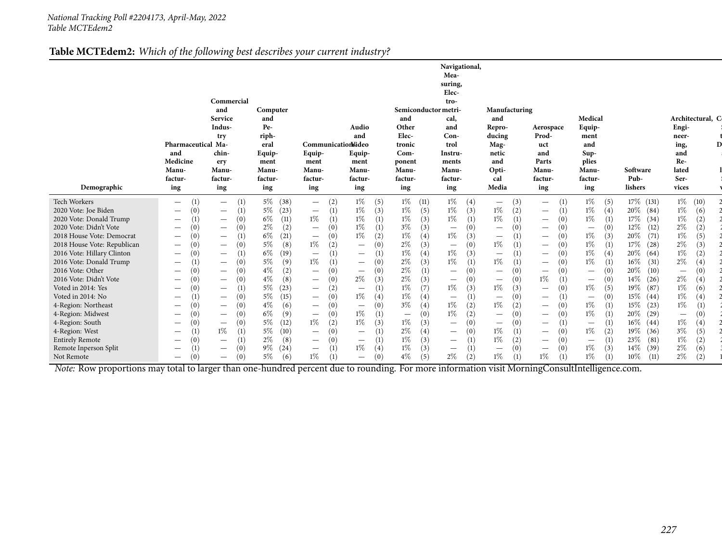#### **Table MCTEdem2:** *Which of the following best describes your current industry?*

| Demographic                                                                                                                                                                                                                                                                        | Pharmaceutical Ma-<br>and<br>Medicine<br>Manu-<br>factur-<br>ing                                                                                                                                                                                                                                                                                    | Commercial<br>and<br>Service<br>Indus-<br>try<br>chin-<br>ery<br>Manu-<br>factur-<br>ing                                                                                                                                                                                                                                                                          | Computer<br>and<br>Pe-<br>riph-<br>eral<br>Equip-<br>ment<br><b>Manu-</b><br>factur-<br>ing                                                                      | Communicationideo<br>Equip-<br>ment<br><b>Manu-</b><br>factur-<br>ing                                                                                                                                                                                                                                                                                                                 | Audio<br>and<br>Equip-<br>ment<br>Manu-<br>factur-<br>ing                                                                                                                                                                             | Semiconductor metri-<br>and<br>Other<br>Elec-<br>tronic<br>$Com-$<br>ponent<br>Manu-<br>factur-<br>ing                                                                  | Navigational,<br>Mea-<br>suring,<br>Elec-<br>tro-<br>cal,<br>and<br>Con-<br>trol<br>Instru-<br>ments<br><b>Manu-</b><br>factur-<br>ing                                                                         | Manufacturing<br>and<br>Repro-<br>ducing<br>Mag-<br>netic<br>and<br>Opti-<br>cal<br>Media                                                                                                                                                                   | Aerospace<br>Prod-<br>uct<br>and<br>Parts<br>Manu-<br>factur-<br>ing                                                                                                                                                                                                                                     | Medical<br>Equip-<br>ment<br>and<br>Sup-<br>plies<br>Manu-<br>factur-<br>ing                                                                                                                                     | Software<br>Pub-<br>lishers                                                                                                                                           | Architectural, C<br>Engi-<br>neer-<br>ing,<br>and<br>Re-<br>lated<br>Ser-<br>vices                                                                                                     |
|------------------------------------------------------------------------------------------------------------------------------------------------------------------------------------------------------------------------------------------------------------------------------------|-----------------------------------------------------------------------------------------------------------------------------------------------------------------------------------------------------------------------------------------------------------------------------------------------------------------------------------------------------|-------------------------------------------------------------------------------------------------------------------------------------------------------------------------------------------------------------------------------------------------------------------------------------------------------------------------------------------------------------------|------------------------------------------------------------------------------------------------------------------------------------------------------------------|---------------------------------------------------------------------------------------------------------------------------------------------------------------------------------------------------------------------------------------------------------------------------------------------------------------------------------------------------------------------------------------|---------------------------------------------------------------------------------------------------------------------------------------------------------------------------------------------------------------------------------------|-------------------------------------------------------------------------------------------------------------------------------------------------------------------------|----------------------------------------------------------------------------------------------------------------------------------------------------------------------------------------------------------------|-------------------------------------------------------------------------------------------------------------------------------------------------------------------------------------------------------------------------------------------------------------|----------------------------------------------------------------------------------------------------------------------------------------------------------------------------------------------------------------------------------------------------------------------------------------------------------|------------------------------------------------------------------------------------------------------------------------------------------------------------------------------------------------------------------|-----------------------------------------------------------------------------------------------------------------------------------------------------------------------|----------------------------------------------------------------------------------------------------------------------------------------------------------------------------------------|
| Tech Workers<br>2020 Vote: Joe Biden<br>2020 Vote: Donald Trump<br>2020 Vote: Didn't Vote<br>2018 House Vote: Democrat<br>2018 House Vote: Republican<br>2016 Vote: Hillary Clinton<br>2016 Vote: Donald Trump<br>2016 Vote: Other<br>2016 Vote: Didn't Vote<br>Voted in 2014: Yes | (1)<br>$\overline{\phantom{m}}$<br>(0)<br>$\qquad \qquad -$<br>$\hspace{0.1mm}-\hspace{0.1mm}$<br>$\hspace{0.1mm}-\hspace{0.1mm}$<br>(0)<br>$\qquad \qquad -$<br>(0)<br>$\overline{\phantom{0}}$<br>(0)<br>$\overline{\phantom{m}}$<br>$\overline{\phantom{m}}$<br>(0)<br>$\overline{\phantom{m}}$<br>(0)<br>$\qquad \qquad -$<br>$\qquad \qquad -$ | (1)<br>$\overline{\phantom{a}}$<br>(1)<br>$\overline{\phantom{m}}$<br>(0)<br>$\qquad \qquad -$<br>(0)<br>$\overline{\phantom{a}}$<br>(1)<br>$\qquad \qquad -$<br>(0)<br>$\qquad \qquad -$<br>(1)<br>$\overbrace{\phantom{1232211}}$<br>(0)<br>$\overbrace{\phantom{1232211}}$<br>(0)<br>$\qquad \qquad -$<br>(0)<br>$\qquad \qquad -$<br>(1)<br>$\qquad \qquad -$ | $5\%$<br>(38)<br>5%<br>(23)<br>6%<br>(11)<br>$2\%$<br>(2)<br>$6\%$<br>(21)<br>5%<br>(8)<br>6%<br>(19)<br>5%<br>(9)<br>$4\%$<br>(2)<br>$4\%$<br>(8)<br>5%<br>(23) | (2)<br>$\overline{\phantom{0}}$<br>(1)<br>$\hspace{0.1mm}-\hspace{0.1mm}$<br>$1\%$<br>(1)<br>(0)<br>$\hspace{0.1mm}-\hspace{0.1mm}$<br>(0)<br>$\hspace{0.1mm}-\hspace{0.1mm}$<br>$1\%$<br>(2)<br>(1)<br>$\hspace{0.1mm}-\hspace{0.1mm}$<br>$1\%$<br>(1)<br>(0)<br>$\hspace{0.1mm}-\hspace{0.1mm}$<br>(0)<br>$\hspace{0.1mm}-\hspace{0.1mm}$<br>(2)<br>$\hspace{0.1mm}-\hspace{0.1mm}$ | $1\%$<br>(5)<br>$1\%$<br>(3)<br>$1\%$<br>1%<br>$1\%$<br>(2)<br>(0)<br>$\overline{\phantom{0}}$<br>$\qquad \qquad -$<br>(0)<br>$\overline{\phantom{0}}$<br>(0)<br>$\overline{\phantom{0}}$<br>$2\%$<br>(3)<br>$\overline{\phantom{0}}$ | $1\%$ (11)<br>$1\%$<br>(5)<br>$1\%$<br>(3)<br>$3\%$<br>(3)<br>$1\%$<br>(4)<br>2%<br>(3)<br>$1\%$<br>(4)<br>$2\%$<br>(3)<br>$2\%$<br>(1)<br>$2\%$<br>(3)<br>$1\%$<br>(7) | $1\%$ (4)<br>(3)<br>1%<br>1%<br>(1)<br>(0)<br>$\qquad \qquad -$<br>(3)<br>1%<br>(0)<br>$\qquad \qquad -$<br>1%<br>(3)<br>1%<br>(1)<br>(0)<br>(0)<br>$\qquad \qquad -$<br>(3)<br>1%                             | (3)<br>$\overline{\phantom{0}}$<br>1%<br>(2)<br>$1\%$<br>(1)<br>(0)<br>$\overline{\phantom{a}}$<br>$\left(1\right)$<br>$\hspace{0.1mm}-\hspace{0.1mm}$<br>1%<br>(1)<br>(1)<br>$\hspace{0.1mm}-\hspace{0.1mm}$<br>$1\%$<br>(1)<br>(0)<br>(0)<br>$1\%$<br>(3) | (1)<br>$\overline{\phantom{0}}$<br>(1)<br>$\qquad \qquad -$<br>(0)<br>$\hspace{0.1mm}-\hspace{0.1mm}$<br>(0)<br>$\overline{\phantom{m}}$<br>(0)<br>$\overline{\phantom{0}}$<br>(0)<br>(0)<br>$\overline{\phantom{0}}$<br>(0)<br>(0)<br>$\overline{\phantom{0}}$<br>1%<br>(1)<br>(0)<br>$\qquad \qquad -$ | $1\%$<br>(5)<br>$1\%$<br>(4)<br>$1\%$<br>$\overline{\phantom{m}}$<br>$1\%$<br>(3)<br>$1\%$<br>(1)<br>$1\%$<br>(4)<br>$1\%$<br>(0)<br>$\overline{\phantom{m}}$<br>(0)<br>$\overline{\phantom{m}}$<br>$1\%$<br>(5) | 17% (131)<br>20%<br>(84)<br>17%<br>(34)<br>12%<br>(12)<br>(71)<br>$20\%$<br>(28)<br>17%<br>20%<br>(64)<br>$16\%$<br>(31)<br>(10)<br>20%<br>14%<br>(26)<br>19%<br>(87) | $1\%$ (10)<br>$1\%$<br>(6)<br>$1\%$<br>(2)<br>$2\%$<br>(2)<br>$1\%$<br>(5)<br>$2\%$<br>(3)<br>$1\%$<br>(2)<br>$2\%$<br>(4)<br>(0)<br>$\qquad \qquad -$<br>$2\%$<br>(4)<br>$1\%$<br>(6) |
| Voted in 2014: No<br>4-Region: Northeast<br>4-Region: Midwest<br>4-Region: South<br>4-Region: West<br><b>Entirely Remote</b><br>Remote Inperson Split<br>Not Remote                                                                                                                | $\hspace{0.1mm}-\hspace{0.1mm}$<br>(0)<br>$\overline{\phantom{m}}$<br>(0)<br>$\hspace{0.1mm}-\hspace{0.1mm}$<br>(0)<br>$\qquad \qquad -$<br>(0)<br>$\hspace{0.1mm}-\hspace{0.1mm}$<br>$\hspace{0.1mm}-\hspace{0.1mm}$<br>(0)<br>$\hspace{0.1mm}-\hspace{0.1mm}$                                                                                     | (0)<br>$\qquad \qquad -$<br>(0)<br>$\qquad \qquad -$<br>(0)<br>$\qquad \qquad -$<br>(0)<br>$\qquad \qquad -$<br>1%<br>(1)<br>(1)<br>$\hspace{0.1mm}-\hspace{0.1mm}$<br>(0)<br>$\hspace{0.1mm}-\hspace{0.1mm}$<br>(0)<br>$\hspace{0.1mm}-\hspace{0.1mm}$                                                                                                           | $5\%$<br>(15)<br>$4\%$<br>(6)<br>6%<br>(9)<br>5%<br>(12)<br>5%<br>(10)<br>$2\%$<br>(8)<br>$9\%$<br>(24)<br>$5\%$<br>(6)                                          | (0)<br>$\hspace{0.1mm}-\hspace{0.1mm}$<br>(0)<br>$\hspace{0.1mm}-\hspace{0.1mm}$<br>(0)<br>$\hspace{0.1mm}-\hspace{0.1mm}$<br>$1\%$<br>(2)<br>(0)<br>$\hspace{0.1mm}-\hspace{0.1mm}$<br>(0)<br>$\hspace{0.1mm}-\hspace{0.1mm}$<br>(1)<br>$\hspace{0.1mm}-\hspace{0.1mm}$<br>1%<br>(1)                                                                                                 | 1%<br>(0)<br>$\overline{\phantom{0}}$<br>$1\%$<br>(1)<br>$1\%$<br>(3)<br>$\overline{\phantom{m}}$<br>$\overline{\phantom{m}}$<br>$1\%$<br>(4)<br>$\hspace{0.1mm}-\hspace{0.1mm}$                                                      | $1\%$<br>(4)<br>$3\%$<br>(4)<br>(0)<br>$\overline{\phantom{m}}$<br>$1\%$<br>(3)<br>$2\%$<br>(4)<br>$1\%$<br>(3)<br>$1\%$<br>(3)<br>$4\%$<br>(5)                         | (1)<br>$\overline{\phantom{0}}$<br>1%<br>(2)<br>1%<br>(2)<br>(0)<br>$\qquad \qquad -$<br>(0)<br>$\overline{\phantom{0}}$<br>(1)<br>$\overline{\phantom{0}}$<br>(1)<br>$\overline{\phantom{m}}$<br>$2\%$<br>(2) | (0)<br>$\hspace{0.1mm}-\hspace{0.1mm}$<br>1%<br>(2)<br>(0)<br>(0)<br>$\hspace{0.1mm}-\hspace{0.1mm}$<br>$1\%$<br>$\left(1\right)$<br>$1\%$<br>(2)<br>(0)<br>$\overline{\phantom{m}}$<br>$1\%$<br>(1)                                                        | (1)<br>$\overline{\phantom{0}}$<br>$\left( 0\right)$<br>$\qquad \qquad -$<br>(0)<br>$\overline{\phantom{0}}$<br>(1)<br>$\overline{\phantom{0}}$<br>(0)<br>$\overline{\phantom{0}}$<br>(0)<br>$\overline{\phantom{m}}$<br>$\hspace{0.1mm}-\hspace{0.1mm}$<br>$1\%$                                        | (0)<br>$\hspace{0.1mm}-\hspace{0.1mm}$<br>$1\%$<br>(1)<br>$1\%$<br>$\hspace{0.1mm}-\hspace{0.1mm}$<br>$1\%$<br>(2)<br>$\qquad \qquad \longleftarrow$<br>$1\%$<br>(3)<br>$1\%$                                    | 15%<br>(44)<br>15%<br>(23)<br>20%<br>(29)<br>$16\%$<br>(44)<br>19%<br>(36)<br>23%<br>(81)<br>(39)<br>$14\%$<br>$10\%$<br>(11)                                         | $1\%$<br>(4)<br>$1\%$<br>(1)<br>(0)<br>$\overline{\phantom{0}}$<br>$1\%$<br>(4)<br>$3\%$<br>(5)<br>$1\%$<br>(2)<br>$2\%$<br>(6)<br>2%<br>(2)                                           |

Not Remote  $-$  (0)  $-$  (0)  $5\%$  (6)  $1\%$  (1)  $-$  (0)  $4\%$  (5)  $2\%$  (2)  $1\%$  (1)  $1\%$  (1)  $1\%$  (1)  $1\%$  (1)  $1\%$  (1)  $1\%$  (1)  $1\%$  (1)  $2\%$  (2)  $1$ <br>Note: Row proportions may total to larger than one-hundred per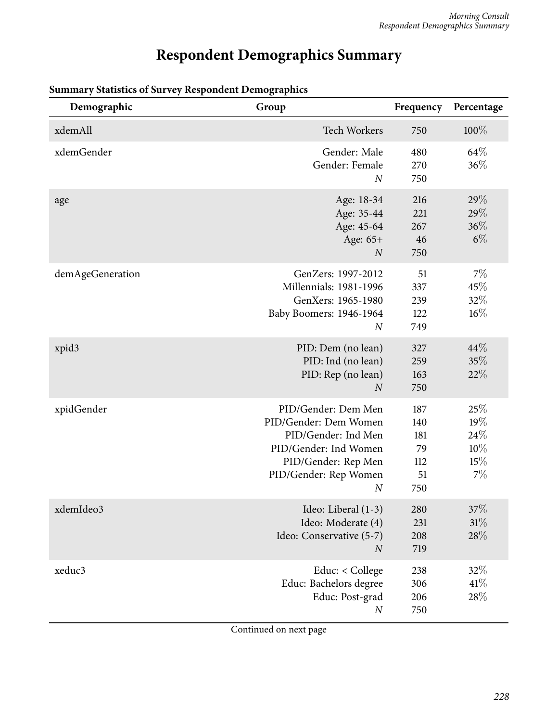## **Respondent Demographics Summary**

| Demographic      | Group                                                                                                                                                            | Frequency                                   | Percentage                            |
|------------------|------------------------------------------------------------------------------------------------------------------------------------------------------------------|---------------------------------------------|---------------------------------------|
| xdemAll          | Tech Workers                                                                                                                                                     | 750                                         | 100%                                  |
| xdemGender       | Gender: Male<br>Gender: Female<br>$\overline{N}$                                                                                                                 | 480<br>270<br>750                           | 64\%<br>36%                           |
| age              | Age: 18-34<br>Age: 35-44<br>Age: 45-64<br>Age: 65+<br>$\boldsymbol{N}$                                                                                           | 216<br>221<br>267<br>46<br>750              | 29%<br>29%<br>36%<br>$6\%$            |
| demAgeGeneration | GenZers: 1997-2012<br>Millennials: 1981-1996<br>GenXers: 1965-1980<br>Baby Boomers: 1946-1964<br>$\boldsymbol{N}$                                                | 51<br>337<br>239<br>122<br>749              | 7%<br>45%<br>32%<br>$16\%$            |
| xpid3            | PID: Dem (no lean)<br>PID: Ind (no lean)<br>PID: Rep (no lean)<br>$\overline{N}$                                                                                 | 327<br>259<br>163<br>750                    | 44%<br>35%<br>22%                     |
| xpidGender       | PID/Gender: Dem Men<br>PID/Gender: Dem Women<br>PID/Gender: Ind Men<br>PID/Gender: Ind Women<br>PID/Gender: Rep Men<br>PID/Gender: Rep Women<br>$\boldsymbol{N}$ | 187<br>140<br>181<br>79<br>112<br>51<br>750 | 25%<br>19%<br>24%<br>10%<br>15%<br>7% |
| xdemIdeo3        | Ideo: Liberal (1-3)<br>Ideo: Moderate (4)<br>Ideo: Conservative (5-7)<br>$\boldsymbol{N}$                                                                        | 280<br>231<br>208<br>719                    | $37\%$<br>31%<br>28%                  |
| xeduc3           | Educ: < College<br>Educ: Bachelors degree<br>Educ: Post-grad<br>$\boldsymbol{N}$                                                                                 | 238<br>306<br>206<br>750                    | 32%<br>41%<br>28\%                    |

#### **Summary Statistics of Survey Respondent Demographics**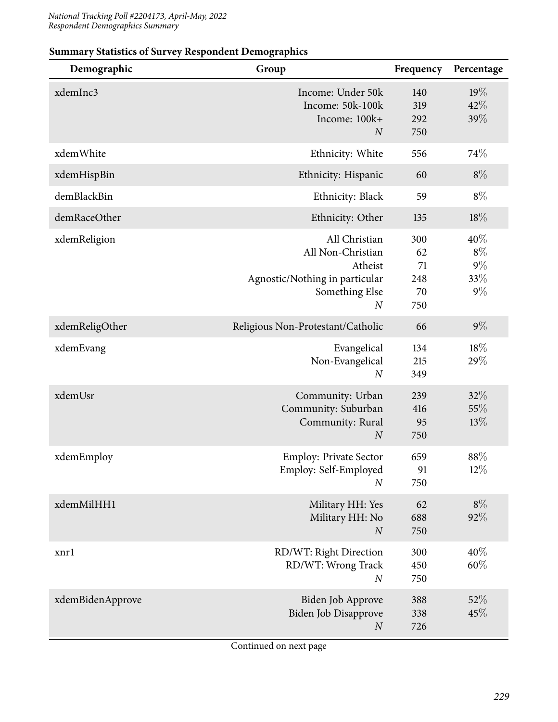| Demographic      | Group                                                                                                                 | Frequency                           | Percentage                            |
|------------------|-----------------------------------------------------------------------------------------------------------------------|-------------------------------------|---------------------------------------|
| xdemInc3         | Income: Under 50k<br>Income: 50k-100k<br>Income: 100k+<br>$\boldsymbol{N}$                                            | 140<br>319<br>292<br>750            | 19%<br>42%<br>39%                     |
| xdemWhite        | Ethnicity: White                                                                                                      | 556                                 | 74%                                   |
| xdemHispBin      | Ethnicity: Hispanic                                                                                                   | 60                                  | $8\%$                                 |
| demBlackBin      | Ethnicity: Black                                                                                                      | 59                                  | $8\%$                                 |
| demRaceOther     | Ethnicity: Other                                                                                                      | 135                                 | $18\%$                                |
| xdemReligion     | All Christian<br>All Non-Christian<br>Atheist<br>Agnostic/Nothing in particular<br>Something Else<br>$\boldsymbol{N}$ | 300<br>62<br>71<br>248<br>70<br>750 | 40%<br>$8\%$<br>$9\%$<br>33%<br>$9\%$ |
| xdemReligOther   | Religious Non-Protestant/Catholic                                                                                     | 66                                  | $9\%$                                 |
| xdemEvang        | Evangelical<br>Non-Evangelical<br>$\boldsymbol{N}$                                                                    | 134<br>215<br>349                   | 18%<br>29%                            |
| xdemUsr          | Community: Urban<br>Community: Suburban<br>Community: Rural<br>$\boldsymbol{N}$                                       | 239<br>416<br>95<br>750             | 32%<br>55%<br>13%                     |
| xdemEmploy       | <b>Employ: Private Sector</b><br>Employ: Self-Employed<br>$\boldsymbol{N}$                                            | 659<br>91<br>750                    | 88%<br>12%                            |
| xdemMilHH1       | Military HH: Yes<br>Military HH: No<br>$\boldsymbol{N}$                                                               | 62<br>688<br>750                    | $8\%$<br>92%                          |
| xnrl             | RD/WT: Right Direction<br>RD/WT: Wrong Track<br>$\boldsymbol{N}$                                                      | 300<br>450<br>750                   | 40%<br>60%                            |
| xdemBidenApprove | Biden Job Approve<br>Biden Job Disapprove<br>$\boldsymbol{N}$                                                         | 388<br>338<br>726                   | 52%<br>45%                            |

#### **Summary Statistics of Survey Respondent Demographics**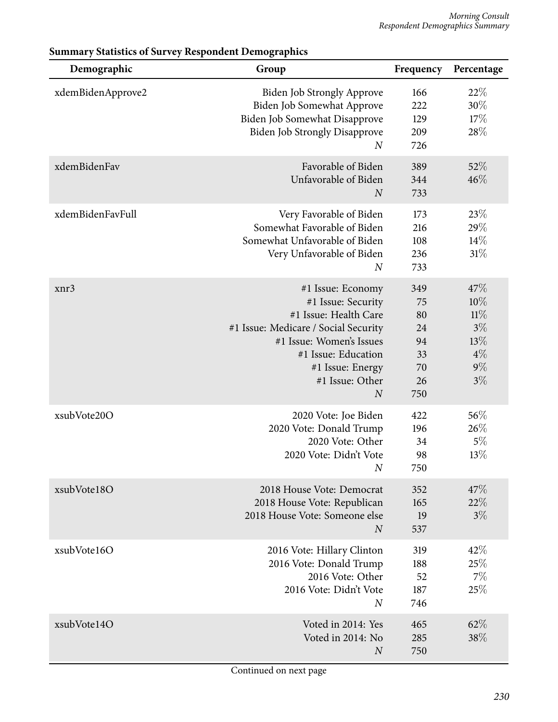| Demographic       | Group                                                                                                                                                                                                                  | Frequency                                            | Percentage                                                   |
|-------------------|------------------------------------------------------------------------------------------------------------------------------------------------------------------------------------------------------------------------|------------------------------------------------------|--------------------------------------------------------------|
| xdemBidenApprove2 | <b>Biden Job Strongly Approve</b><br>Biden Job Somewhat Approve<br>Biden Job Somewhat Disapprove<br><b>Biden Job Strongly Disapprove</b><br>$\boldsymbol{N}$                                                           | 166<br>222<br>129<br>209<br>726                      | 22%<br>30%<br>17%<br>28%                                     |
| xdemBidenFav      | Favorable of Biden<br>Unfavorable of Biden<br>$\boldsymbol{N}$                                                                                                                                                         | 389<br>344<br>733                                    | 52%<br>46%                                                   |
| xdemBidenFavFull  | Very Favorable of Biden<br>Somewhat Favorable of Biden<br>Somewhat Unfavorable of Biden<br>Very Unfavorable of Biden<br>$\boldsymbol{N}$                                                                               | 173<br>216<br>108<br>236<br>733                      | 23%<br>29%<br>14%<br>31%                                     |
| xnr3              | #1 Issue: Economy<br>#1 Issue: Security<br>#1 Issue: Health Care<br>#1 Issue: Medicare / Social Security<br>#1 Issue: Women's Issues<br>#1 Issue: Education<br>#1 Issue: Energy<br>#1 Issue: Other<br>$\boldsymbol{N}$ | 349<br>75<br>80<br>24<br>94<br>33<br>70<br>26<br>750 | 47%<br>10%<br>11%<br>$3\%$<br>13%<br>$4\%$<br>$9\%$<br>$3\%$ |
| xsubVote20O       | 2020 Vote: Joe Biden<br>2020 Vote: Donald Trump<br>2020 Vote: Other<br>2020 Vote: Didn't Vote<br>$\boldsymbol{N}$                                                                                                      | 422<br>196<br>34<br>98<br>750                        | 56%<br>26%<br>$5\%$<br>13%                                   |
| xsubVote18O       | 2018 House Vote: Democrat<br>2018 House Vote: Republican<br>2018 House Vote: Someone else<br>$\overline{N}$                                                                                                            | 352<br>165<br>19<br>537                              | 47%<br>22%<br>$3\%$                                          |
| xsubVote16O       | 2016 Vote: Hillary Clinton<br>2016 Vote: Donald Trump<br>2016 Vote: Other<br>2016 Vote: Didn't Vote<br>$\boldsymbol{N}$                                                                                                | 319<br>188<br>52<br>187<br>746                       | 42%<br>25%<br>$7\%$<br>25%                                   |
| xsubVote14O       | Voted in 2014: Yes<br>Voted in 2014: No<br>$\boldsymbol{N}$                                                                                                                                                            | 465<br>285<br>750                                    | 62%<br>38%                                                   |

#### **Summary Statistics of Survey Respondent Demographics**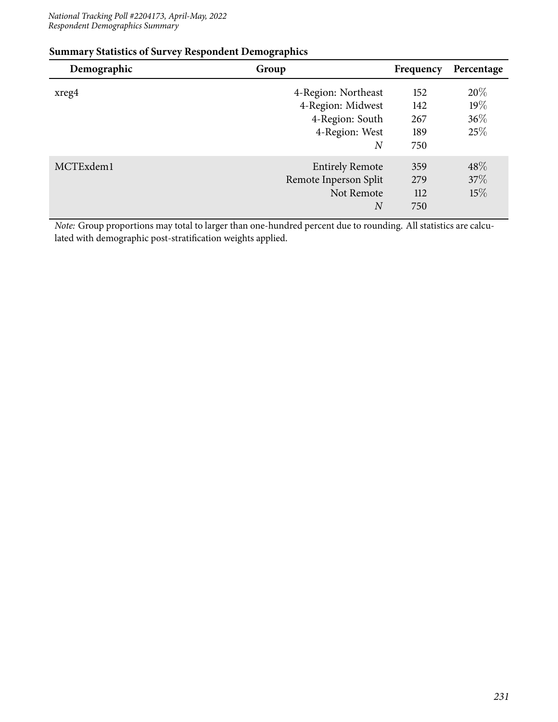| Demographic | Group                                                                                             | Frequency                       | Percentage                  |
|-------------|---------------------------------------------------------------------------------------------------|---------------------------------|-----------------------------|
| xreg4       | 4-Region: Northeast<br>4-Region: Midwest<br>4-Region: South<br>4-Region: West<br>$\boldsymbol{N}$ | 152<br>142<br>267<br>189<br>750 | 20%<br>19%<br>$36\%$<br>25% |
| MCTExdem1   | <b>Entirely Remote</b><br>Remote Inperson Split<br>Not Remote<br>$_{N}$                           | 359<br>279<br>112<br>750        | $48\%$<br>37\%<br>$15\%$    |

#### **Summary Statistics of Survey Respondent Demographics**

*Note:* Group proportions may total to larger than one-hundred percent due to rounding. All statistics are calculated with demographic post-stratification weights applied.